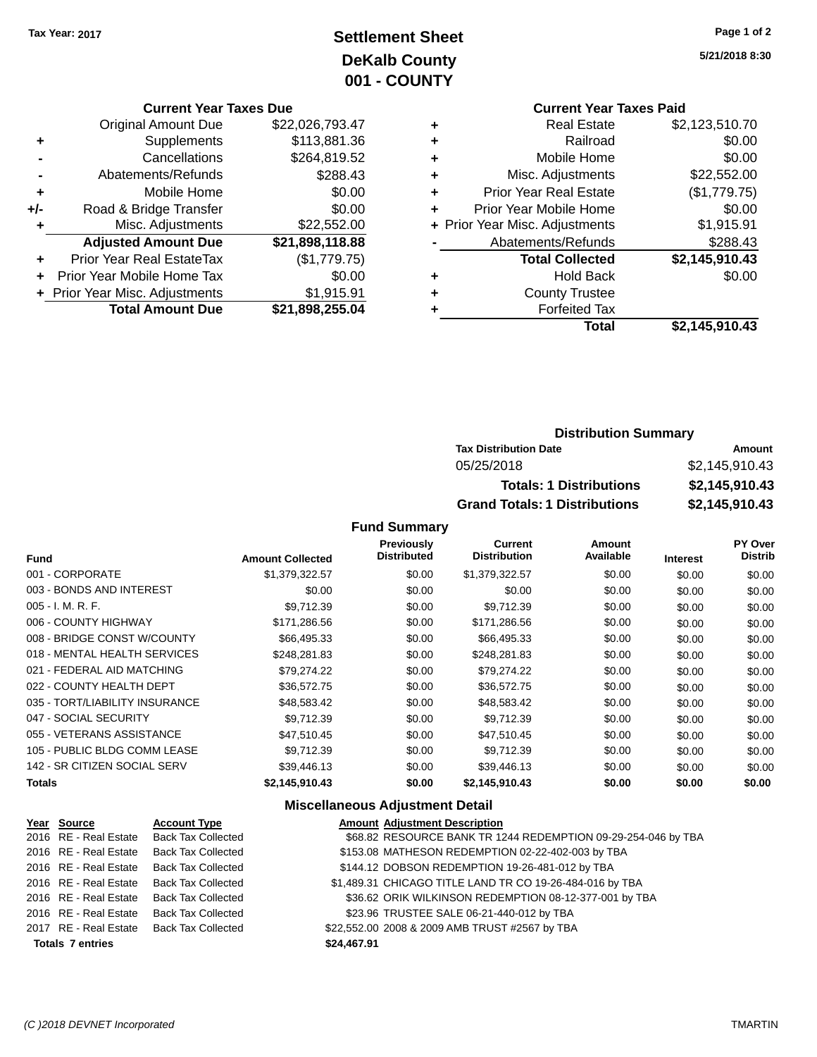## **Settlement Sheet Tax Year: 2017 Page 1 of 2 DeKalb County 001 - COUNTY**

**5/21/2018 8:30**

|                             | <b>Current Year Taxes Paid</b> |                |  |  |  |
|-----------------------------|--------------------------------|----------------|--|--|--|
| ٠                           | <b>Real Estate</b>             | \$2,123,510.70 |  |  |  |
| ٠                           | Railroad                       | \$0.00         |  |  |  |
| ٠                           | Mobile Home                    | \$0.00         |  |  |  |
| ٠                           | Misc. Adjustments              | \$22,552.00    |  |  |  |
| ٠                           | <b>Prior Year Real Estate</b>  | (\$1,779.75)   |  |  |  |
| Prior Year Mobile Home<br>÷ |                                |                |  |  |  |
|                             | + Prior Year Misc. Adjustments | \$1,915.91     |  |  |  |
|                             | Abatements/Refunds             | \$288.43       |  |  |  |
|                             | <b>Total Collected</b>         | \$2,145,910.43 |  |  |  |
| ٠                           | <b>Hold Back</b>               | \$0.00         |  |  |  |
|                             | <b>County Trustee</b>          |                |  |  |  |
|                             | <b>Forfeited Tax</b>           |                |  |  |  |
|                             | Total                          | \$2,145,910.43 |  |  |  |

## **Current Year Taxes Due** Original Amount Due \$22,026,793.47 **+** Supplements \$113,881.36 **-** Cancellations \$264,819.52 **-** Abatements/Refunds \$288.43 **+** Mobile Home \$0.00 **+/-** Road & Bridge Transfer \$0.00 **+** Misc. Adjustments \$22,552.00 **Adjusted Amount Due \$21,898,118.88 +** Prior Year Real EstateTax (\$1,779.75) **+** Prior Year Mobile Home Tax \$0.00 **+ Prior Year Misc. Adjustments \$1,915.91 Total Amount Due \$21,898,255.04**

## **Distribution Summary**

| <b>Tax Distribution Date</b>         | Amount         |
|--------------------------------------|----------------|
| 05/25/2018                           | \$2.145.910.43 |
| <b>Totals: 1 Distributions</b>       | \$2,145,910.43 |
| <b>Grand Totals: 1 Distributions</b> | \$2,145,910.43 |

#### **Fund Summary**

| <b>Fund</b>                    | <b>Amount Collected</b> | <b>Previously</b><br><b>Distributed</b> | <b>Current</b><br><b>Distribution</b> | Amount<br>Available | <b>Interest</b> | <b>PY Over</b><br><b>Distrib</b> |
|--------------------------------|-------------------------|-----------------------------------------|---------------------------------------|---------------------|-----------------|----------------------------------|
| 001 - CORPORATE                | \$1,379,322.57          | \$0.00                                  | \$1,379,322.57                        | \$0.00              | \$0.00          | \$0.00                           |
| 003 - BONDS AND INTEREST       | \$0.00                  | \$0.00                                  | \$0.00                                | \$0.00              | \$0.00          | \$0.00                           |
| $005 - I. M. R. F.$            | \$9,712.39              | \$0.00                                  | \$9,712.39                            | \$0.00              | \$0.00          | \$0.00                           |
| 006 - COUNTY HIGHWAY           | \$171,286.56            | \$0.00                                  | \$171,286.56                          | \$0.00              | \$0.00          | \$0.00                           |
| 008 - BRIDGE CONST W/COUNTY    | \$66,495.33             | \$0.00                                  | \$66,495.33                           | \$0.00              | \$0.00          | \$0.00                           |
| 018 - MENTAL HEALTH SERVICES   | \$248.281.83            | \$0.00                                  | \$248.281.83                          | \$0.00              | \$0.00          | \$0.00                           |
| 021 - FEDERAL AID MATCHING     | \$79,274.22             | \$0.00                                  | \$79,274.22                           | \$0.00              | \$0.00          | \$0.00                           |
| 022 - COUNTY HEALTH DEPT       | \$36,572.75             | \$0.00                                  | \$36,572.75                           | \$0.00              | \$0.00          | \$0.00                           |
| 035 - TORT/LIABILITY INSURANCE | \$48.583.42             | \$0.00                                  | \$48,583.42                           | \$0.00              | \$0.00          | \$0.00                           |
| 047 - SOCIAL SECURITY          | \$9.712.39              | \$0.00                                  | \$9,712.39                            | \$0.00              | \$0.00          | \$0.00                           |
| 055 - VETERANS ASSISTANCE      | \$47.510.45             | \$0.00                                  | \$47,510.45                           | \$0.00              | \$0.00          | \$0.00                           |
| 105 - PUBLIC BLDG COMM LEASE   | \$9.712.39              | \$0.00                                  | \$9,712.39                            | \$0.00              | \$0.00          | \$0.00                           |
| 142 - SR CITIZEN SOCIAL SERV   | \$39,446.13             | \$0.00                                  | \$39,446.13                           | \$0.00              | \$0.00          | \$0.00                           |
| <b>Totals</b>                  | \$2,145,910.43          | \$0.00                                  | \$2,145,910.43                        | \$0.00              | \$0.00          | \$0.00                           |

#### **Miscellaneous Adjustment Detail**

| Year Source             | <b>Account Type</b>       | <b>Amount Adjustment Description</b>                          |
|-------------------------|---------------------------|---------------------------------------------------------------|
| 2016 RE - Real Estate   | <b>Back Tax Collected</b> | \$68.82 RESOURCE BANK TR 1244 REDEMPTION 09-29-254-046 by TBA |
| 2016 RE - Real Estate   | Back Tax Collected        | \$153.08 MATHESON REDEMPTION 02-22-402-003 by TBA             |
| 2016 RE - Real Estate   | Back Tax Collected        | \$144.12 DOBSON REDEMPTION 19-26-481-012 by TBA               |
| 2016 RE - Real Estate   | Back Tax Collected        | \$1,489.31 CHICAGO TITLE LAND TR CO 19-26-484-016 by TBA      |
| 2016 RE - Real Estate   | <b>Back Tax Collected</b> | \$36.62 ORIK WILKINSON REDEMPTION 08-12-377-001 by TBA        |
| 2016 RE - Real Estate   | <b>Back Tax Collected</b> | \$23.96 TRUSTEE SALE 06-21-440-012 by TBA                     |
| 2017 RE - Real Estate   | Back Tax Collected        | \$22,552.00 2008 & 2009 AMB TRUST #2567 by TBA                |
| <b>Totals 7 entries</b> |                           | \$24,467.91                                                   |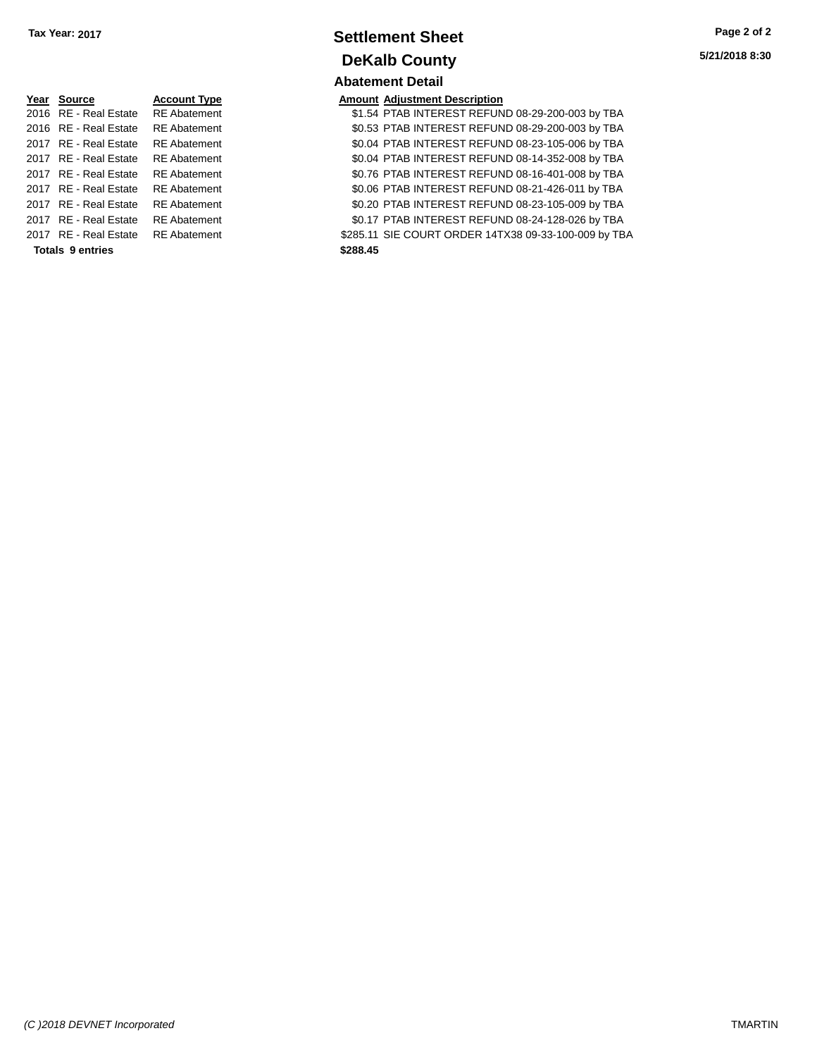| Year | <b>Source</b>           | <b>Account Type</b> | Amount   |
|------|-------------------------|---------------------|----------|
|      | 2016 RE - Real Estate   | <b>RE</b> Abatement | \$1.54   |
|      | 2016 RE - Real Estate   | <b>RE</b> Abatement | \$0.53   |
|      | 2017 RE - Real Estate   | <b>RE</b> Abatement | \$0.04   |
|      | 2017 RE - Real Estate   | <b>RE</b> Abatement | \$0.04   |
|      | 2017 RE - Real Estate   | <b>RE</b> Abatement | \$0.76   |
|      | 2017 RE - Real Estate   | <b>RE</b> Abatement | \$0.06   |
|      | 2017 RE - Real Estate   | <b>RE</b> Abatement | \$0.20   |
|      | 2017 RE - Real Estate   | <b>RE</b> Abatement | \$0.17   |
|      | 2017 RE - Real Estate   | <b>RE</b> Abatement | \$285.11 |
|      | <b>Totals 9 entries</b> |                     | \$288.45 |

## **Settlement Sheet Tax Year: 2017 Page 2 of 2 DeKalb County Abatement Detail**

#### **Amount Adjustment Description**

\$1.54 PTAB INTEREST REFUND 08-29-200-003 by TBA \$0.53 PTAB INTEREST REFUND 08-29-200-003 by TBA \$0.04 PTAB INTEREST REFUND 08-23-105-006 by TBA \$0.04 PTAB INTEREST REFUND 08-14-352-008 by TBA \$0.76 PTAB INTEREST REFUND 08-16-401-008 by TBA \$0.06 PTAB INTEREST REFUND 08-21-426-011 by TBA \$0.20 PTAB INTEREST REFUND 08-23-105-009 by TBA \$0.17 PTAB INTEREST REFUND 08-24-128-026 by TBA \$285.11 SIE COURT ORDER 14TX38 09-33-100-009 by TBA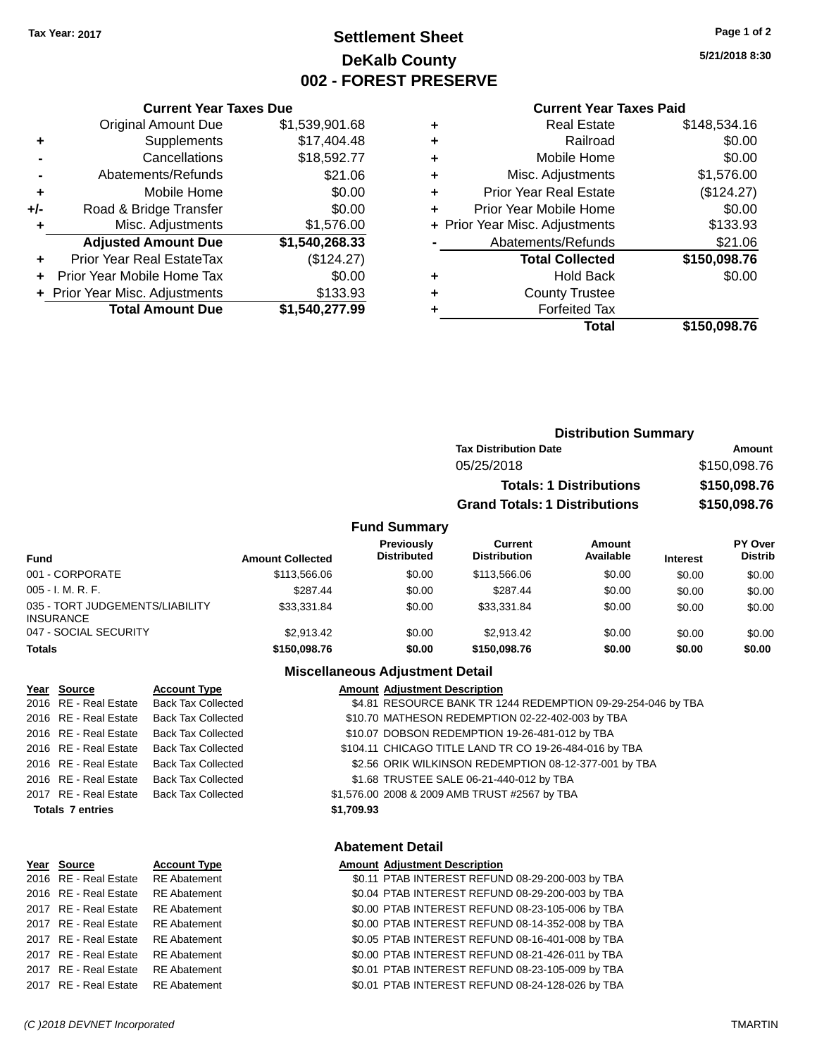## **Settlement Sheet Tax Year: 2017 Page 1 of 2 DeKalb County 002 - FOREST PRESERVE**

**5/21/2018 8:30**

#### **Current Year Taxes Paid**

|       | <b>Current Year Taxes Due</b>  |                |  |  |  |
|-------|--------------------------------|----------------|--|--|--|
|       | <b>Original Amount Due</b>     | \$1,539,901.68 |  |  |  |
| ٠     | Supplements                    | \$17,404.48    |  |  |  |
|       | Cancellations                  | \$18,592.77    |  |  |  |
|       | Abatements/Refunds             | \$21.06        |  |  |  |
| ٠     | Mobile Home                    | \$0.00         |  |  |  |
| $+/-$ | Road & Bridge Transfer         | \$0.00         |  |  |  |
| ٠     | Misc. Adjustments              | \$1,576.00     |  |  |  |
|       | <b>Adjusted Amount Due</b>     | \$1,540,268.33 |  |  |  |
| ÷     | Prior Year Real EstateTax      | (\$124.27)     |  |  |  |
|       | Prior Year Mobile Home Tax     | \$0.00         |  |  |  |
|       | + Prior Year Misc. Adjustments | \$133.93       |  |  |  |
|       | <b>Total Amount Due</b>        | \$1,540,277.99 |  |  |  |

| ٠ | <b>Real Estate</b>             | \$148,534.16 |
|---|--------------------------------|--------------|
| ٠ | Railroad                       | \$0.00       |
| ٠ | Mobile Home                    | \$0.00       |
| ٠ | Misc. Adjustments              | \$1,576.00   |
| ٠ | <b>Prior Year Real Estate</b>  | (\$124.27)   |
| ٠ | Prior Year Mobile Home         | \$0.00       |
|   | + Prior Year Misc. Adjustments | \$133.93     |
|   | Abatements/Refunds             | \$21.06      |
|   | <b>Total Collected</b>         | \$150,098.76 |
| ٠ | <b>Hold Back</b>               | \$0.00       |
| ٠ | <b>County Trustee</b>          |              |
| ٠ | <b>Forfeited Tax</b>           |              |
|   | Total                          | \$150,098.76 |
|   |                                |              |

|                     | <b>Distribution Summary</b>          |              |  |
|---------------------|--------------------------------------|--------------|--|
|                     | <b>Tax Distribution Date</b>         | Amount       |  |
|                     | 05/25/2018                           | \$150,098.76 |  |
|                     | <b>Totals: 1 Distributions</b>       | \$150,098.76 |  |
|                     | <b>Grand Totals: 1 Distributions</b> | \$150,098.76 |  |
| <b>Fund Summary</b> |                                      |              |  |

| <b>Fund</b>                                         | <b>Amount Collected</b> | <b>Previously</b><br><b>Distributed</b> | Current<br><b>Distribution</b> | Amount<br>Available | <b>Interest</b> | PY Over<br><b>Distrib</b> |
|-----------------------------------------------------|-------------------------|-----------------------------------------|--------------------------------|---------------------|-----------------|---------------------------|
| 001 - CORPORATE                                     | \$113,566,06            | \$0.00                                  | \$113,566,06                   | \$0.00              | \$0.00          | \$0.00                    |
| $005 - I. M. R. F.$                                 | \$287.44                | \$0.00                                  | \$287.44                       | \$0.00              | \$0.00          | \$0.00                    |
| 035 - TORT JUDGEMENTS/LIABILITY<br><b>INSURANCE</b> | \$33,331.84             | \$0.00                                  | \$33.331.84                    | \$0.00              | \$0.00          | \$0.00                    |
| 047 - SOCIAL SECURITY                               | \$2.913.42              | \$0.00                                  | \$2.913.42                     | \$0.00              | \$0.00          | \$0.00                    |
| <b>Totals</b>                                       | \$150,098.76            | \$0.00                                  | \$150,098.76                   | \$0.00              | \$0.00          | \$0.00                    |

## **Miscellaneous Adjustment Detail**

| Year Source             | <b>Account Type</b>       |            | <b>Amount Adjustment Description</b>                         |
|-------------------------|---------------------------|------------|--------------------------------------------------------------|
| 2016 RE - Real Estate   | <b>Back Tax Collected</b> |            | \$4.81 RESOURCE BANK TR 1244 REDEMPTION 09-29-254-046 by TBA |
| 2016 RE - Real Estate   | <b>Back Tax Collected</b> |            | \$10.70 MATHESON REDEMPTION 02-22-402-003 by TBA             |
| 2016 RE - Real Estate   | <b>Back Tax Collected</b> |            | \$10.07 DOBSON REDEMPTION 19-26-481-012 by TBA               |
| 2016 RE - Real Estate   | Back Tax Collected        |            | \$104.11 CHICAGO TITLE LAND TR CO 19-26-484-016 by TBA       |
| 2016 RE - Real Estate   | <b>Back Tax Collected</b> |            | \$2.56 ORIK WILKINSON REDEMPTION 08-12-377-001 by TBA        |
| 2016 RE - Real Estate   | <b>Back Tax Collected</b> |            | \$1.68 TRUSTEE SALE 06-21-440-012 by TBA                     |
| 2017 RE - Real Estate   | <b>Back Tax Collected</b> |            | \$1,576.00 2008 & 2009 AMB TRUST #2567 by TBA                |
| <b>Totals 7 entries</b> |                           | \$1,709.93 |                                                              |
|                         |                           |            |                                                              |
|                         |                           |            |                                                              |

| Year Source           | <b>Account Typ</b> |
|-----------------------|--------------------|
| 2016 RE - Real Estate | <b>RE</b> Abateme  |
| 2016 RE - Real Estate | <b>RE</b> Abateme  |
| 2017 RE - Real Estate | <b>RE</b> Abateme  |
| 2017 RE - Real Estate | <b>RE</b> Abateme  |
| 2017 RE - Real Estate | <b>RE</b> Abateme  |
| 2017 RE - Real Estate | <b>RE</b> Abateme  |
| 2017 RE - Real Estate | <b>RE</b> Abateme  |
| 2017 RE - Real Estate | <b>RE</b> Abateme  |
|                       |                    |

## **Abatement Detail**

#### **PE** *Amount Adjustment Description*

| 2016 RE - Real Estate RE Abatement |              | \$0.11 PTAB INTEREST REFUND 08-29-200-003 by TBA |
|------------------------------------|--------------|--------------------------------------------------|
| 2016 RE - Real Estate              | RE Abatement | \$0.04 PTAB INTEREST REFUND 08-29-200-003 by TBA |
| 2017 RE - Real Estate              | RE Abatement | \$0.00 PTAB INTEREST REFUND 08-23-105-006 by TBA |
| 2017 RE - Real Estate              | RE Abatement | \$0.00 PTAB INTEREST REFUND 08-14-352-008 by TBA |
| 2017 RE - Real Estate              | RE Abatement | \$0.05 PTAB INTEREST REFUND 08-16-401-008 by TBA |
| 2017 RE - Real Estate              | RE Abatement | \$0.00 PTAB INTEREST REFUND 08-21-426-011 by TBA |
| 2017 RE - Real Estate              | RE Abatement | \$0.01 PTAB INTEREST REFUND 08-23-105-009 by TBA |
| 2017 RE - Real Estate RE Abatement |              | \$0.01 PTAB INTEREST REFUND 08-24-128-026 by TBA |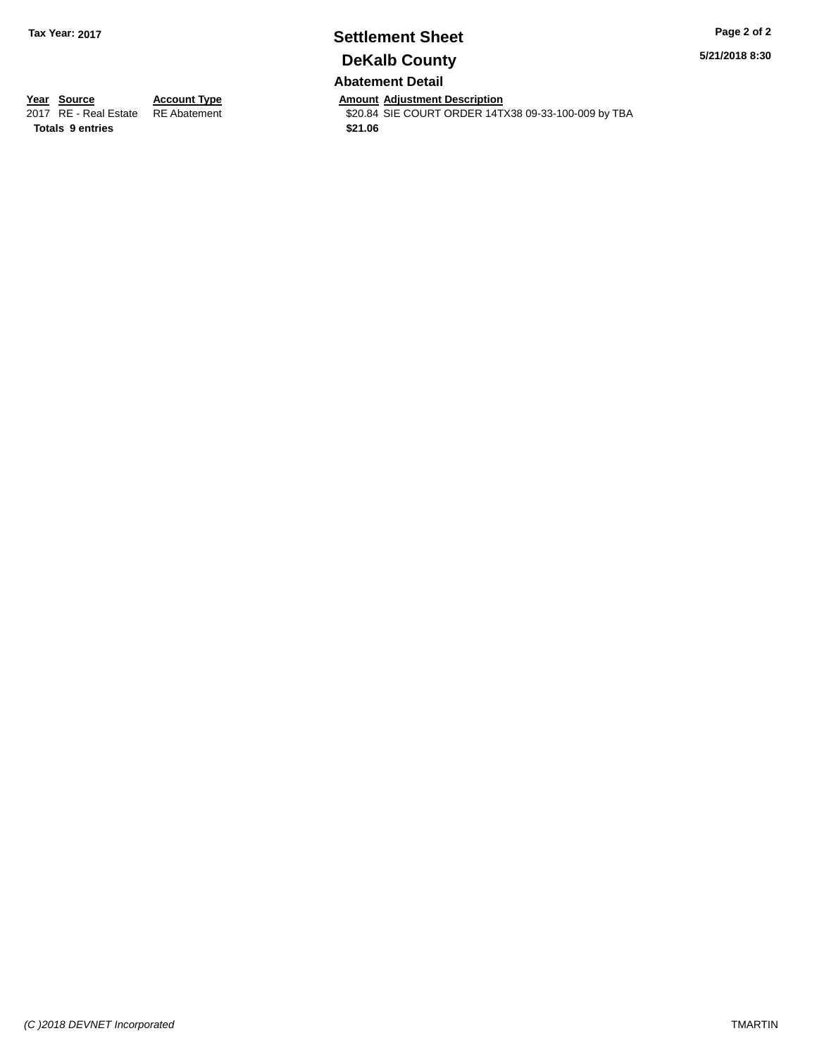## **Settlement Sheet Tax Year: 2017 Page 2 of 2 DeKalb County**

**5/21/2018 8:30**

## **Abatement Detail**

\$20.84 SIE COURT ORDER 14TX38 09-33-100-009 by TBA

**Year Source Account Type Account Type Amount Adjustment Description**<br>2017 RE - Real Estate RE Abatement **Account 1997 AMOURE ALCOURT ORDER 14T Totals \$21.06 9 entries**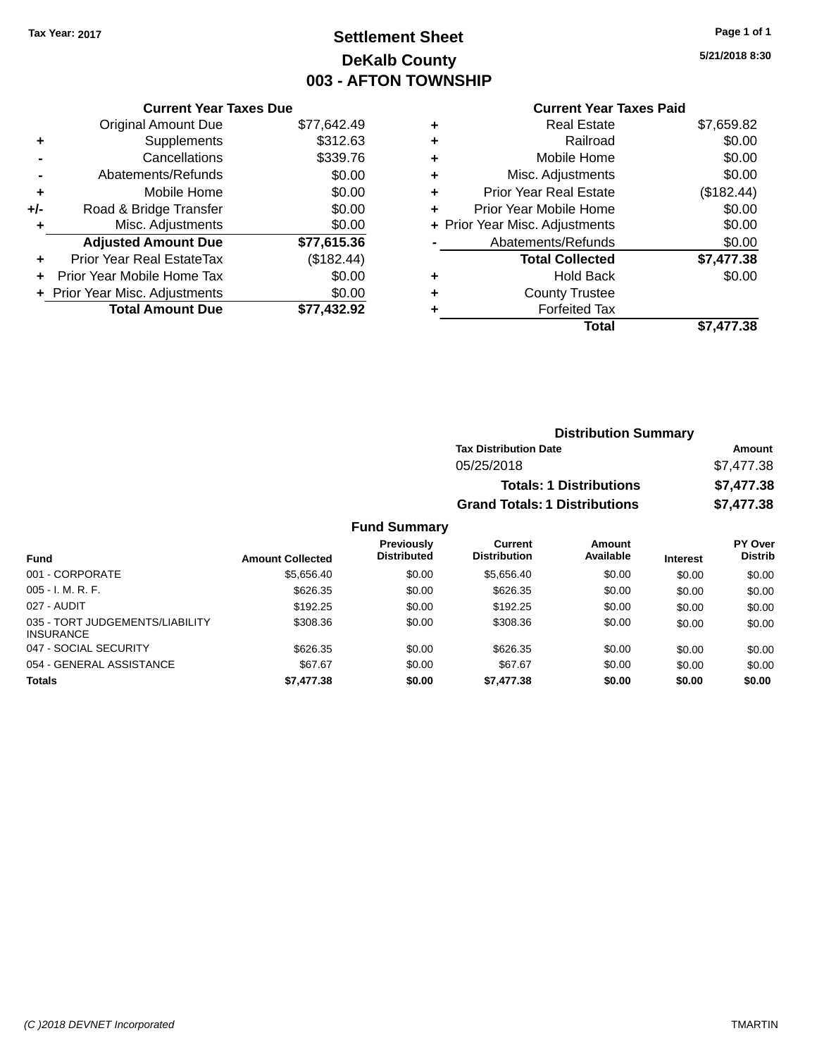## **Settlement Sheet Tax Year: 2017 Page 1 of 1 DeKalb County 003 - AFTON TOWNSHIP**

**5/21/2018 8:30**

## **Current Year Taxes Due** Original Amount Due \$77,642.49<br>Supplements \$312.63 **+**  $\frac{3}{2}$  Supplements **-** Cancellations \$339.76 **-** Abatements/Refunds \$0.00 **+** Mobile Home \$0.00

|     | <b>Total Amount Due</b>          | \$77,432.92 |
|-----|----------------------------------|-------------|
|     | + Prior Year Misc. Adjustments   | \$0.00      |
|     | + Prior Year Mobile Home Tax     | \$0.00      |
|     | <b>Prior Year Real EstateTax</b> | (\$182.44)  |
|     | <b>Adjusted Amount Due</b>       | \$77,615.36 |
| ٠   | Misc. Adjustments                | \$0.00      |
| +/- | Road & Bridge Transfer           | \$0.00      |

## **Current Year Taxes Paid**

|   | <b>Real Estate</b>             | \$7,659.82 |
|---|--------------------------------|------------|
| ٠ | Railroad                       | \$0.00     |
| ٠ | Mobile Home                    | \$0.00     |
| ٠ | Misc. Adjustments              | \$0.00     |
| ÷ | <b>Prior Year Real Estate</b>  | (\$182.44) |
| ٠ | Prior Year Mobile Home         | \$0.00     |
|   | + Prior Year Misc. Adjustments | \$0.00     |
|   | Abatements/Refunds             | \$0.00     |
|   | <b>Total Collected</b>         | \$7,477.38 |
| ٠ | <b>Hold Back</b>               | \$0.00     |
| ٠ | <b>County Trustee</b>          |            |
|   | <b>Forfeited Tax</b>           |            |
|   | Total                          | \$7,477.38 |
|   |                                |            |

| <b>Distribution Summary</b>          |            |
|--------------------------------------|------------|
| <b>Tax Distribution Date</b>         | Amount     |
| 05/25/2018                           | \$7,477.38 |
| <b>Totals: 1 Distributions</b>       | \$7,477.38 |
| <b>Grand Totals: 1 Distributions</b> | \$7,477.38 |

| <b>Fund</b>                                         | <b>Amount Collected</b> | <b>Previously</b><br><b>Distributed</b> | Current<br><b>Distribution</b> | Amount<br>Available | <b>Interest</b> | <b>PY Over</b><br><b>Distrib</b> |
|-----------------------------------------------------|-------------------------|-----------------------------------------|--------------------------------|---------------------|-----------------|----------------------------------|
| 001 - CORPORATE                                     | \$5.656.40              | \$0.00                                  | \$5.656.40                     | \$0.00              | \$0.00          | \$0.00                           |
|                                                     |                         |                                         |                                |                     |                 |                                  |
| $005 - I. M. R. F.$                                 | \$626.35                | \$0.00                                  | \$626.35                       | \$0.00              | \$0.00          | \$0.00                           |
| 027 - AUDIT                                         | \$192.25                | \$0.00                                  | \$192.25                       | \$0.00              | \$0.00          | \$0.00                           |
| 035 - TORT JUDGEMENTS/LIABILITY<br><b>INSURANCE</b> | \$308.36                | \$0.00                                  | \$308.36                       | \$0.00              | \$0.00          | \$0.00                           |
| 047 - SOCIAL SECURITY                               | \$626.35                | \$0.00                                  | \$626.35                       | \$0.00              | \$0.00          | \$0.00                           |
| 054 - GENERAL ASSISTANCE                            | \$67.67                 | \$0.00                                  | \$67.67                        | \$0.00              | \$0.00          | \$0.00                           |
| <b>Totals</b>                                       | \$7,477.38              | \$0.00                                  | \$7,477,38                     | \$0.00              | \$0.00          | \$0.00                           |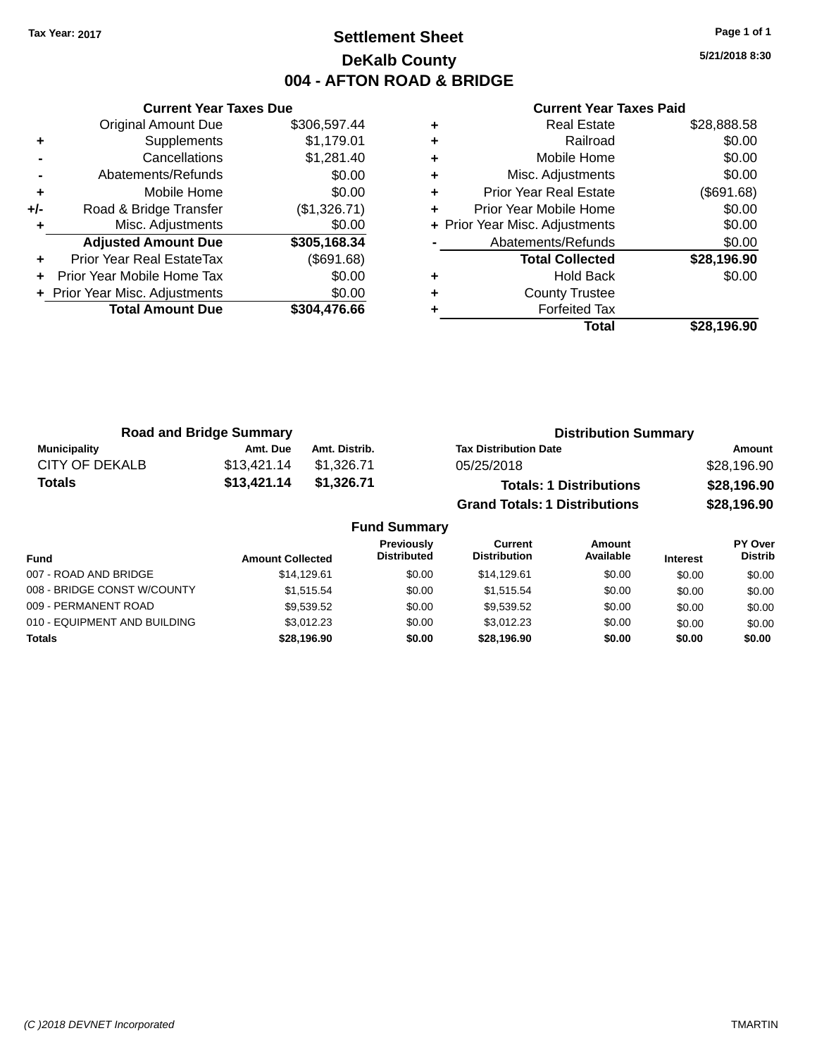## **Settlement Sheet Tax Year: 2017 Page 1 of 1 DeKalb County 004 - AFTON ROAD & BRIDGE**

**5/21/2018 8:30**

|     | <b>Current Year Taxes Due</b>  |              |
|-----|--------------------------------|--------------|
|     | <b>Original Amount Due</b>     | \$306,597.44 |
| ٠   | Supplements                    | \$1,179.01   |
|     | Cancellations                  | \$1,281.40   |
|     | Abatements/Refunds             | \$0.00       |
| ٠   | Mobile Home                    | \$0.00       |
| +/- | Road & Bridge Transfer         | (\$1,326.71) |
| ٠   | Misc. Adjustments              | \$0.00       |
|     | <b>Adjusted Amount Due</b>     | \$305,168.34 |
| ÷   | Prior Year Real EstateTax      | (\$691.68)   |
|     | Prior Year Mobile Home Tax     | \$0.00       |
|     | + Prior Year Misc. Adjustments | \$0.00       |
|     | <b>Total Amount Due</b>        | \$304,476.66 |
|     |                                |              |

|   | <b>Real Estate</b>             | \$28,888.58 |
|---|--------------------------------|-------------|
| ٠ | Railroad                       | \$0.00      |
| ÷ | Mobile Home                    | \$0.00      |
| ٠ | Misc. Adjustments              | \$0.00      |
| ٠ | <b>Prior Year Real Estate</b>  | (\$691.68)  |
|   | Prior Year Mobile Home         | \$0.00      |
|   | + Prior Year Misc. Adjustments | \$0.00      |
|   | Abatements/Refunds             | \$0.00      |
|   | <b>Total Collected</b>         | \$28,196.90 |
| ٠ | Hold Back                      | \$0.00      |
|   | <b>County Trustee</b>          |             |
|   | <b>Forfeited Tax</b>           |             |
|   | Total                          | \$28,196.90 |
|   |                                |             |

| <b>Road and Bridge Summary</b> |             |               | <b>Distribution Summary</b>          |             |  |
|--------------------------------|-------------|---------------|--------------------------------------|-------------|--|
| <b>Municipality</b>            | Amt. Due    | Amt. Distrib. | <b>Tax Distribution Date</b>         | Amount      |  |
| CITY OF DEKALB                 | \$13,421.14 | \$1,326.71    | 05/25/2018                           | \$28,196.90 |  |
| <b>Totals</b>                  | \$13,421.14 | \$1,326.71    | <b>Totals: 1 Distributions</b>       | \$28,196.90 |  |
|                                |             |               | <b>Grand Totals: 1 Distributions</b> | \$28,196.90 |  |

| <b>Fund Summary</b>          |                         |                                         |                                |                     |                 |                           |
|------------------------------|-------------------------|-----------------------------------------|--------------------------------|---------------------|-----------------|---------------------------|
| <b>Fund</b>                  | <b>Amount Collected</b> | <b>Previously</b><br><b>Distributed</b> | Current<br><b>Distribution</b> | Amount<br>Available | <b>Interest</b> | PY Over<br><b>Distrib</b> |
| 007 - ROAD AND BRIDGE        | \$14.129.61             | \$0.00                                  | \$14.129.61                    | \$0.00              | \$0.00          | \$0.00                    |
| 008 - BRIDGE CONST W/COUNTY  | \$1.515.54              | \$0.00                                  | \$1.515.54                     | \$0.00              | \$0.00          | \$0.00                    |
| 009 - PERMANENT ROAD         | \$9.539.52              | \$0.00                                  | \$9.539.52                     | \$0.00              | \$0.00          | \$0.00                    |
| 010 - EQUIPMENT AND BUILDING | \$3,012.23              | \$0.00                                  | \$3.012.23                     | \$0.00              | \$0.00          | \$0.00                    |
| <b>Totals</b>                | \$28,196.90             | \$0.00                                  | \$28,196.90                    | \$0.00              | \$0.00          | \$0.00                    |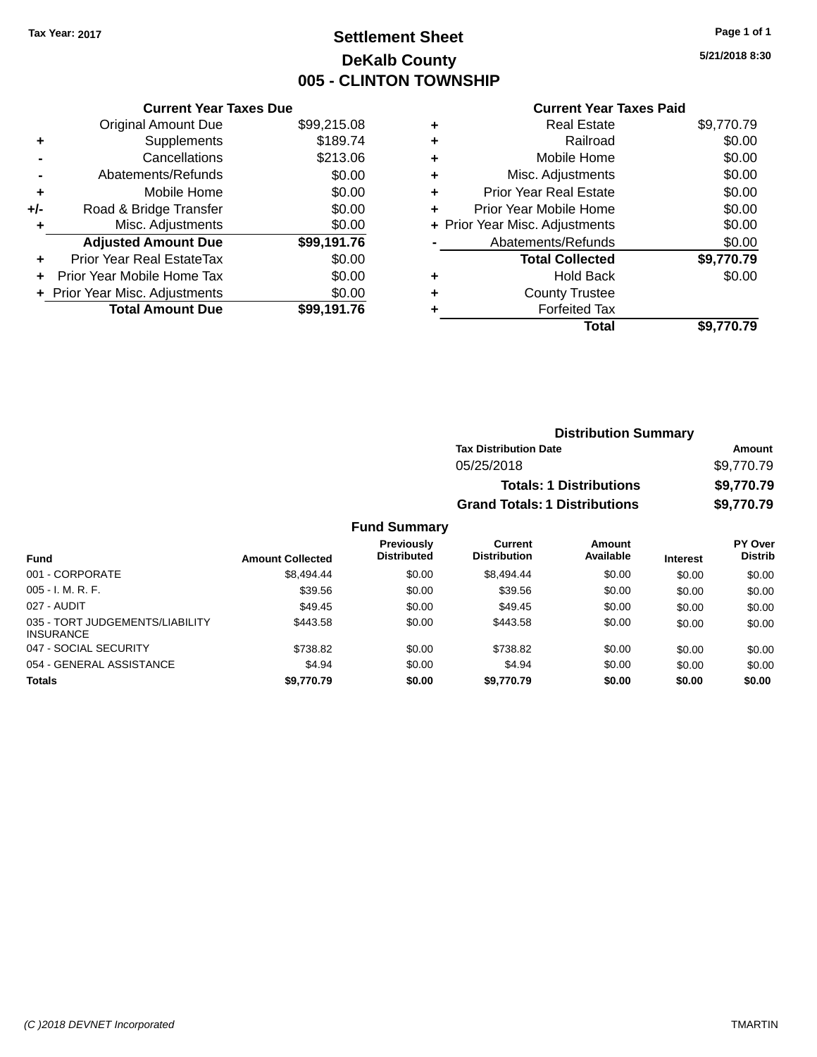## **Settlement Sheet Tax Year: 2017 Page 1 of 1 DeKalb County 005 - CLINTON TOWNSHIP**

**5/21/2018 8:30**

## **Current Year Taxes Paid**

|     | <b>Current Year Taxes Due</b>  |             |
|-----|--------------------------------|-------------|
|     | <b>Original Amount Due</b>     | \$99,215.08 |
| ٠   | Supplements                    | \$189.74    |
|     | Cancellations                  | \$213.06    |
|     | Abatements/Refunds             | \$0.00      |
| ٠   | Mobile Home                    | \$0.00      |
| +/- | Road & Bridge Transfer         | \$0.00      |
|     | Misc. Adjustments              | \$0.00      |
|     | <b>Adjusted Amount Due</b>     | \$99,191.76 |
| ÷   | Prior Year Real EstateTax      | \$0.00      |
| ÷   | Prior Year Mobile Home Tax     | \$0.00      |
|     | + Prior Year Misc. Adjustments | \$0.00      |
|     | <b>Total Amount Due</b>        | \$99.191.76 |

|   | <b>Real Estate</b>             | \$9,770.79 |
|---|--------------------------------|------------|
| ٠ | Railroad                       | \$0.00     |
| ٠ | Mobile Home                    | \$0.00     |
| ٠ | Misc. Adjustments              | \$0.00     |
| ٠ | <b>Prior Year Real Estate</b>  | \$0.00     |
| ٠ | Prior Year Mobile Home         | \$0.00     |
|   | + Prior Year Misc. Adjustments | \$0.00     |
|   | Abatements/Refunds             | \$0.00     |
|   | <b>Total Collected</b>         | \$9,770.79 |
| ٠ | <b>Hold Back</b>               | \$0.00     |
| ٠ | <b>County Trustee</b>          |            |
|   | <b>Forfeited Tax</b>           |            |
|   | Total                          | \$9,770.79 |
|   |                                |            |

| <b>Distribution Summary</b>          |            |
|--------------------------------------|------------|
| <b>Tax Distribution Date</b>         | Amount     |
| 05/25/2018                           | \$9,770.79 |
| <b>Totals: 1 Distributions</b>       | \$9,770.79 |
| <b>Grand Totals: 1 Distributions</b> | \$9,770.79 |

| <b>Fund</b>                                         | <b>Amount Collected</b> | <b>Previously</b><br><b>Distributed</b> | Current<br><b>Distribution</b> | Amount<br>Available | <b>Interest</b> | PY Over<br><b>Distrib</b> |
|-----------------------------------------------------|-------------------------|-----------------------------------------|--------------------------------|---------------------|-----------------|---------------------------|
| 001 - CORPORATE                                     | \$8,494.44              | \$0.00                                  | \$8,494.44                     | \$0.00              | \$0.00          | \$0.00                    |
| $005 - I. M. R. F.$                                 | \$39.56                 | \$0.00                                  | \$39.56                        | \$0.00              | \$0.00          | \$0.00                    |
| 027 - AUDIT                                         | \$49.45                 | \$0.00                                  | \$49.45                        | \$0.00              | \$0.00          | \$0.00                    |
| 035 - TORT JUDGEMENTS/LIABILITY<br><b>INSURANCE</b> | \$443.58                | \$0.00                                  | \$443.58                       | \$0.00              | \$0.00          | \$0.00                    |
| 047 - SOCIAL SECURITY                               | \$738.82                | \$0.00                                  | \$738.82                       | \$0.00              | \$0.00          | \$0.00                    |
| 054 - GENERAL ASSISTANCE                            | \$4.94                  | \$0.00                                  | \$4.94                         | \$0.00              | \$0.00          | \$0.00                    |
| <b>Totals</b>                                       | \$9,770.79              | \$0.00                                  | \$9.770.79                     | \$0.00              | \$0.00          | \$0.00                    |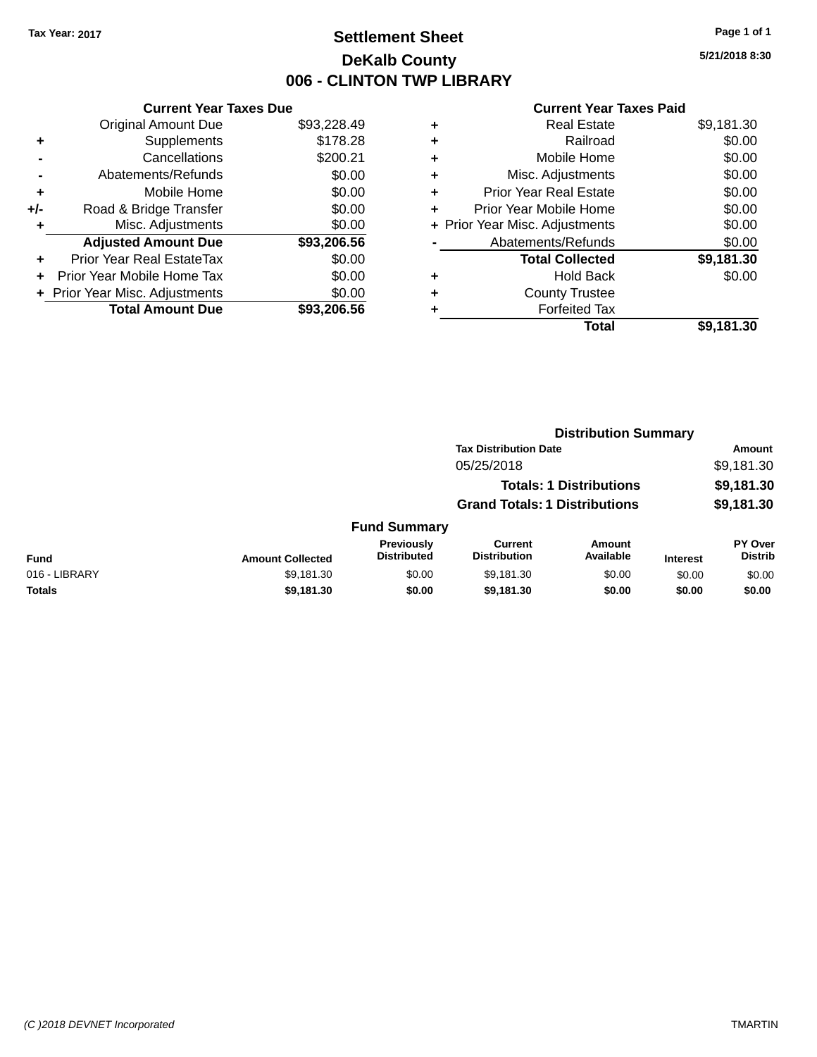## **Settlement Sheet Tax Year: 2017 Page 1 of 1 DeKalb County 006 - CLINTON TWP LIBRARY**

**5/21/2018 8:30**

|     | <b>Current Year Taxes Due</b>  |             |  |  |  |
|-----|--------------------------------|-------------|--|--|--|
|     | <b>Original Amount Due</b>     | \$93,228.49 |  |  |  |
| ٠   | Supplements                    | \$178.28    |  |  |  |
|     | Cancellations                  | \$200.21    |  |  |  |
|     | Abatements/Refunds             | \$0.00      |  |  |  |
| ٠   | Mobile Home                    | \$0.00      |  |  |  |
| +/- | Road & Bridge Transfer         | \$0.00      |  |  |  |
|     | Misc. Adjustments              | \$0.00      |  |  |  |
|     | <b>Adjusted Amount Due</b>     | \$93,206.56 |  |  |  |
| ÷   | Prior Year Real EstateTax      | \$0.00      |  |  |  |
| ÷   | Prior Year Mobile Home Tax     | \$0.00      |  |  |  |
|     | + Prior Year Misc. Adjustments | \$0.00      |  |  |  |
|     | <b>Total Amount Due</b>        | \$93.206.56 |  |  |  |

| ٠ | <b>Real Estate</b>             | \$9,181.30 |
|---|--------------------------------|------------|
| ٠ | Railroad                       | \$0.00     |
| ٠ | Mobile Home                    | \$0.00     |
| ٠ | Misc. Adjustments              | \$0.00     |
| ٠ | <b>Prior Year Real Estate</b>  | \$0.00     |
| ٠ | Prior Year Mobile Home         | \$0.00     |
|   | + Prior Year Misc. Adjustments | \$0.00     |
|   | Abatements/Refunds             | \$0.00     |
|   | <b>Total Collected</b>         | \$9,181.30 |
| ٠ | Hold Back                      | \$0.00     |
| ٠ | <b>County Trustee</b>          |            |
|   | <b>Forfeited Tax</b>           |            |
|   | Total                          | \$9,181.30 |
|   |                                |            |

|               |                         |                                  |                                       | <b>Distribution Summary</b>    |                 |                           |
|---------------|-------------------------|----------------------------------|---------------------------------------|--------------------------------|-----------------|---------------------------|
|               |                         |                                  | <b>Tax Distribution Date</b>          |                                |                 | <b>Amount</b>             |
|               |                         |                                  | 05/25/2018                            |                                |                 | \$9,181.30                |
|               |                         |                                  |                                       | <b>Totals: 1 Distributions</b> |                 | \$9,181.30                |
|               |                         |                                  | <b>Grand Totals: 1 Distributions</b>  |                                |                 | \$9,181.30                |
|               |                         | <b>Fund Summary</b>              |                                       |                                |                 |                           |
| <b>Fund</b>   | <b>Amount Collected</b> | Previously<br><b>Distributed</b> | <b>Current</b><br><b>Distribution</b> | Amount<br>Available            | <b>Interest</b> | PY Over<br><b>Distrib</b> |
| 016 - LIBRARY | \$9,181.30              | \$0.00                           | \$9,181.30                            | \$0.00                         | \$0.00          | \$0.00                    |
| <b>Totals</b> | \$9,181.30              | \$0.00                           | \$9,181.30                            | \$0.00                         | \$0.00          | \$0.00                    |
|               |                         |                                  |                                       |                                |                 |                           |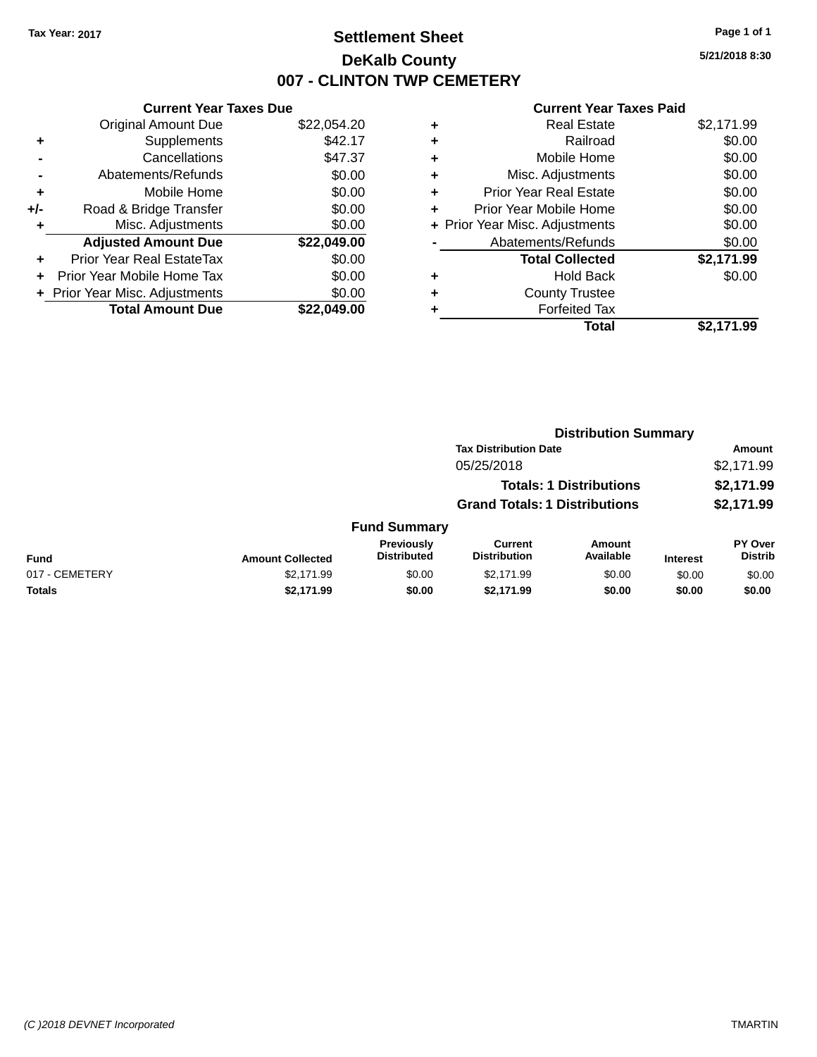## **Settlement Sheet Tax Year: 2017 Page 1 of 1 DeKalb County 007 - CLINTON TWP CEMETERY**

**5/21/2018 8:30**

| <b>Current Year Taxes Due</b> |                              |  |  |  |
|-------------------------------|------------------------------|--|--|--|
| <b>Original Amount Due</b>    | \$22,054.20                  |  |  |  |
| Supplements                   | \$42.17                      |  |  |  |
| Cancellations                 | \$47.37                      |  |  |  |
| Abatements/Refunds            | \$0.00                       |  |  |  |
| Mobile Home                   | \$0.00                       |  |  |  |
| Road & Bridge Transfer        | \$0.00                       |  |  |  |
| Misc. Adjustments             | \$0.00                       |  |  |  |
| <b>Adjusted Amount Due</b>    | \$22,049.00                  |  |  |  |
| Prior Year Real EstateTax     | \$0.00                       |  |  |  |
| Prior Year Mobile Home Tax    | \$0.00                       |  |  |  |
|                               | \$0.00                       |  |  |  |
| <b>Total Amount Due</b>       | \$22.049.00                  |  |  |  |
|                               | Prior Year Misc. Adjustments |  |  |  |

| ٠ | <b>Real Estate</b>             | \$2,171.99 |
|---|--------------------------------|------------|
| ٠ | Railroad                       | \$0.00     |
| ٠ | Mobile Home                    | \$0.00     |
| ٠ | Misc. Adjustments              | \$0.00     |
| ٠ | <b>Prior Year Real Estate</b>  | \$0.00     |
| ٠ | Prior Year Mobile Home         | \$0.00     |
|   | + Prior Year Misc. Adjustments | \$0.00     |
|   | Abatements/Refunds             | \$0.00     |
|   | <b>Total Collected</b>         | \$2,171.99 |
| ٠ | Hold Back                      | \$0.00     |
| ٠ | <b>County Trustee</b>          |            |
| ٠ | <b>Forfeited Tax</b>           |            |
|   | Total                          | \$2.171.99 |
|   |                                |            |

|                |                         |                                         | <b>Distribution Summary</b>           |                                |                 |                           |
|----------------|-------------------------|-----------------------------------------|---------------------------------------|--------------------------------|-----------------|---------------------------|
|                |                         |                                         | <b>Tax Distribution Date</b>          |                                |                 | <b>Amount</b>             |
|                |                         |                                         | 05/25/2018                            |                                |                 | \$2,171.99                |
|                |                         |                                         |                                       | <b>Totals: 1 Distributions</b> |                 | \$2,171.99                |
|                |                         |                                         | <b>Grand Totals: 1 Distributions</b>  |                                |                 | \$2,171.99                |
|                |                         | <b>Fund Summary</b>                     |                                       |                                |                 |                           |
| <b>Fund</b>    | <b>Amount Collected</b> | <b>Previously</b><br><b>Distributed</b> | <b>Current</b><br><b>Distribution</b> | Amount<br>Available            | <b>Interest</b> | PY Over<br><b>Distrib</b> |
| 017 - CEMETERY | \$2,171.99              | \$0.00                                  | \$2,171.99                            | \$0.00                         | \$0.00          | \$0.00                    |
| <b>Totals</b>  | \$2,171.99              | \$0.00                                  | \$2,171.99                            | \$0.00                         | \$0.00          | \$0.00                    |
|                |                         |                                         |                                       |                                |                 |                           |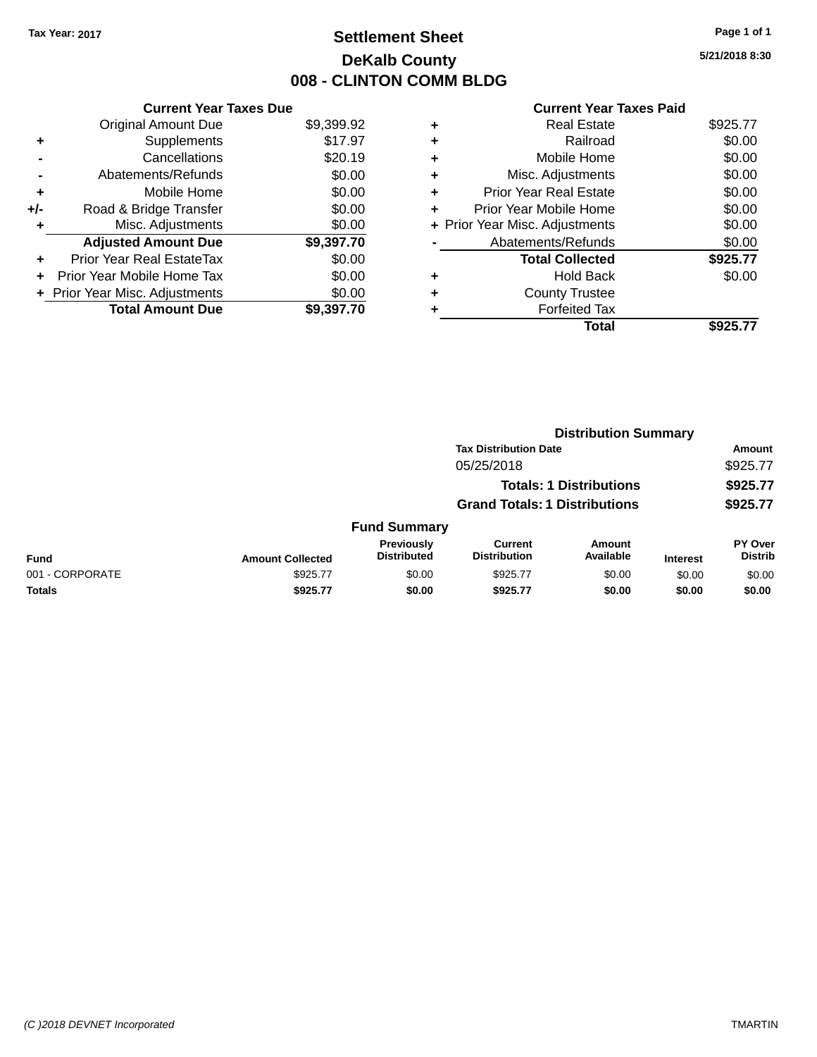## **Settlement Sheet Tax Year: 2017 Page 1 of 1 DeKalb County 008 - CLINTON COMM BLDG**

**5/21/2018 8:30**

|     | <b>Current Year Taxes Due</b>  |            |  |  |  |
|-----|--------------------------------|------------|--|--|--|
|     | <b>Original Amount Due</b>     | \$9,399.92 |  |  |  |
| ٠   | Supplements                    | \$17.97    |  |  |  |
|     | Cancellations                  | \$20.19    |  |  |  |
|     | Abatements/Refunds             | \$0.00     |  |  |  |
| ٠   | Mobile Home                    | \$0.00     |  |  |  |
| +/- | Road & Bridge Transfer         | \$0.00     |  |  |  |
| ٠   | Misc. Adjustments              | \$0.00     |  |  |  |
|     | <b>Adjusted Amount Due</b>     | \$9,397.70 |  |  |  |
| ٠   | Prior Year Real EstateTax      | \$0.00     |  |  |  |
|     | Prior Year Mobile Home Tax     | \$0.00     |  |  |  |
|     | + Prior Year Misc. Adjustments | \$0.00     |  |  |  |
|     | <b>Total Amount Due</b>        | \$9,397.70 |  |  |  |
|     |                                |            |  |  |  |

| ٠ | <b>Real Estate</b>             | \$925.77 |
|---|--------------------------------|----------|
| ٠ | Railroad                       | \$0.00   |
| ٠ | Mobile Home                    | \$0.00   |
| ٠ | Misc. Adjustments              | \$0.00   |
| ٠ | <b>Prior Year Real Estate</b>  | \$0.00   |
|   | Prior Year Mobile Home         | \$0.00   |
|   | + Prior Year Misc. Adjustments | \$0.00   |
|   | Abatements/Refunds             | \$0.00   |
|   | <b>Total Collected</b>         | \$925.77 |
|   | <b>Hold Back</b>               | \$0.00   |
| ٠ | <b>County Trustee</b>          |          |
| ٠ | <b>Forfeited Tax</b>           |          |
|   | Total                          | \$925.77 |
|   |                                |          |

|                 |                         |                                  |                                       | <b>Distribution Summary</b>    |                 |                                  |
|-----------------|-------------------------|----------------------------------|---------------------------------------|--------------------------------|-----------------|----------------------------------|
|                 |                         |                                  | <b>Tax Distribution Date</b>          |                                |                 | Amount                           |
|                 |                         |                                  | 05/25/2018                            |                                |                 | \$925.77                         |
|                 |                         |                                  |                                       | <b>Totals: 1 Distributions</b> |                 | \$925.77                         |
|                 |                         |                                  | <b>Grand Totals: 1 Distributions</b>  |                                |                 | \$925.77                         |
|                 |                         | <b>Fund Summary</b>              |                                       |                                |                 |                                  |
| <b>Fund</b>     | <b>Amount Collected</b> | Previously<br><b>Distributed</b> | <b>Current</b><br><b>Distribution</b> | Amount<br>Available            | <b>Interest</b> | <b>PY Over</b><br><b>Distrib</b> |
| 001 - CORPORATE | \$925.77                | \$0.00                           | \$925.77                              | \$0.00                         | \$0.00          | \$0.00                           |
| <b>Totals</b>   | \$925.77                | \$0.00                           | \$925.77                              | \$0.00                         | \$0.00          | \$0.00                           |
|                 |                         |                                  |                                       |                                |                 |                                  |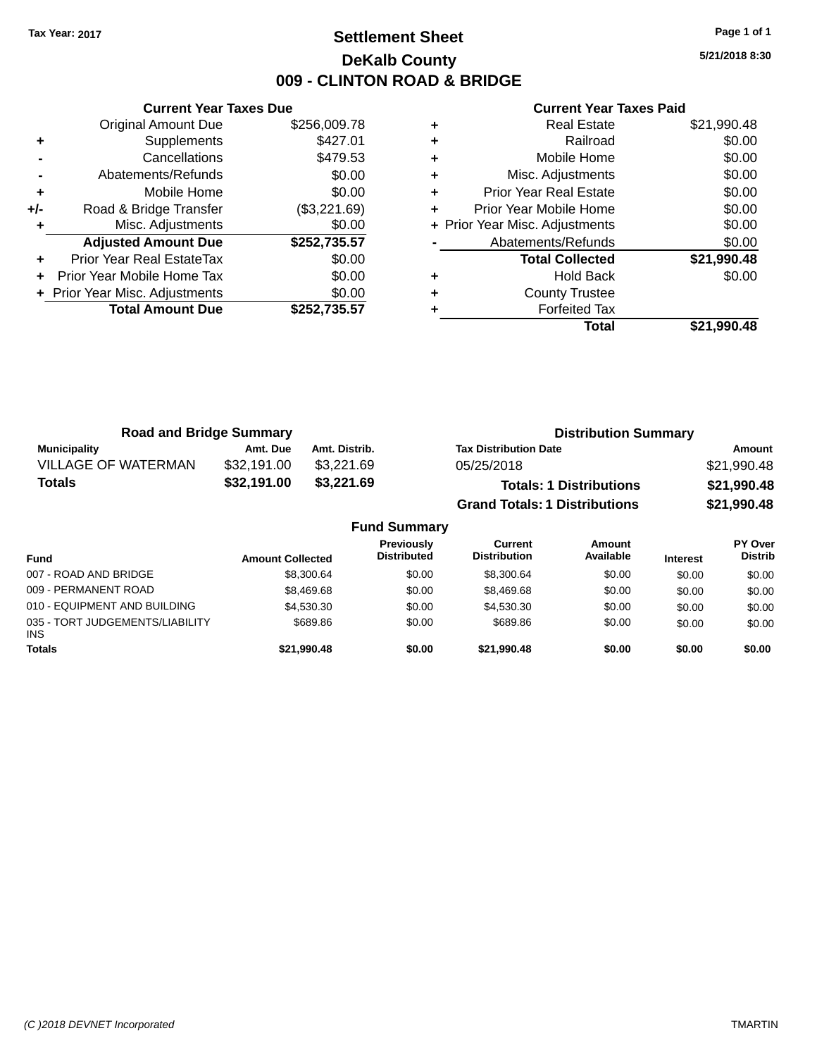## **Settlement Sheet Tax Year: 2017 Page 1 of 1 DeKalb County 009 - CLINTON ROAD & BRIDGE**

**5/21/2018 8:30**

|     | <b>Current Year Taxes Due</b>  |              |  |  |  |
|-----|--------------------------------|--------------|--|--|--|
|     | <b>Original Amount Due</b>     | \$256,009.78 |  |  |  |
| ٠   | Supplements                    | \$427.01     |  |  |  |
|     | Cancellations                  | \$479.53     |  |  |  |
|     | Abatements/Refunds             | \$0.00       |  |  |  |
| ٠   | Mobile Home                    | \$0.00       |  |  |  |
| +/- | Road & Bridge Transfer         | (\$3,221.69) |  |  |  |
|     | Misc. Adjustments              | \$0.00       |  |  |  |
|     | <b>Adjusted Amount Due</b>     | \$252,735.57 |  |  |  |
| ٠   | Prior Year Real EstateTax      | \$0.00       |  |  |  |
| ÷   | Prior Year Mobile Home Tax     | \$0.00       |  |  |  |
|     | + Prior Year Misc. Adjustments | \$0.00       |  |  |  |
|     | <b>Total Amount Due</b>        | \$252,735.57 |  |  |  |
|     |                                |              |  |  |  |

|   | <b>Real Estate</b>             | \$21,990.48 |
|---|--------------------------------|-------------|
| ٠ | Railroad                       | \$0.00      |
| ٠ | Mobile Home                    | \$0.00      |
| ٠ | Misc. Adjustments              | \$0.00      |
| ٠ | <b>Prior Year Real Estate</b>  | \$0.00      |
| ٠ | Prior Year Mobile Home         | \$0.00      |
|   | + Prior Year Misc. Adjustments | \$0.00      |
|   | Abatements/Refunds             | \$0.00      |
|   | <b>Total Collected</b>         | \$21,990.48 |
| ٠ | <b>Hold Back</b>               | \$0.00      |
| ٠ | <b>County Trustee</b>          |             |
|   | <b>Forfeited Tax</b>           |             |
|   | Total                          | \$21,990.48 |

| <b>Road and Bridge Summary</b> |             |                     | <b>Distribution Summary</b>          |             |
|--------------------------------|-------------|---------------------|--------------------------------------|-------------|
| <b>Municipality</b>            | Amt. Due    | Amt. Distrib.       | <b>Tax Distribution Date</b>         | Amount      |
| <b>VILLAGE OF WATERMAN</b>     | \$32,191.00 | \$3,221.69          | 05/25/2018                           | \$21,990.48 |
| <b>Totals</b>                  | \$32,191.00 | \$3,221.69          | <b>Totals: 1 Distributions</b>       | \$21,990.48 |
|                                |             |                     | <b>Grand Totals: 1 Distributions</b> | \$21,990.48 |
|                                |             | <b>Fund Summary</b> |                                      |             |

| <b>PY Over</b><br><b>Distrib</b> |
|----------------------------------|
| \$0.00                           |
| \$0.00                           |
| \$0.00                           |
| \$0.00                           |
| \$0.00                           |
|                                  |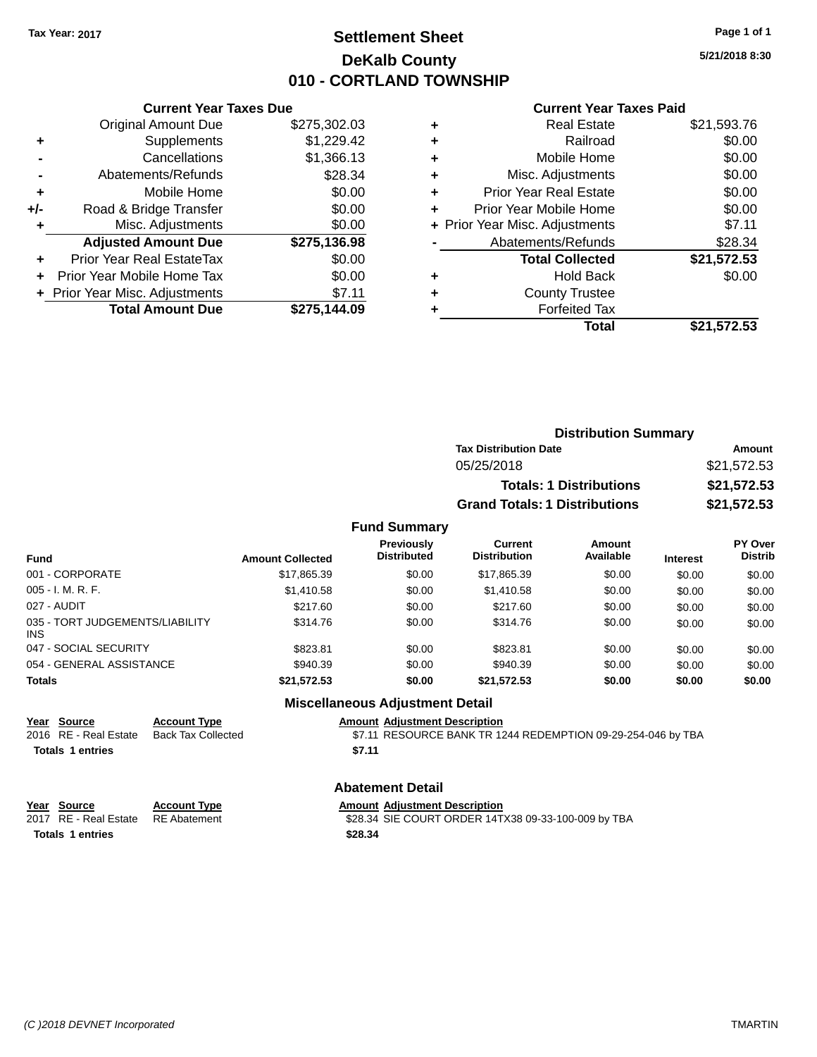## **Settlement Sheet Tax Year: 2017 Page 1 of 1 DeKalb County 010 - CORTLAND TOWNSHIP**

**5/21/2018 8:30**

#### **Current Year Taxes Paid**

|     | <b>Current Year Taxes Due</b>  |              |
|-----|--------------------------------|--------------|
|     | <b>Original Amount Due</b>     | \$275,302.03 |
| ٠   | Supplements                    | \$1,229.42   |
|     | Cancellations                  | \$1,366.13   |
|     | Abatements/Refunds             | \$28.34      |
| ٠   | Mobile Home                    | \$0.00       |
| +/- | Road & Bridge Transfer         | \$0.00       |
|     | Misc. Adjustments              | \$0.00       |
|     | <b>Adjusted Amount Due</b>     | \$275,136.98 |
| ٠   | Prior Year Real EstateTax      | \$0.00       |
|     | Prior Year Mobile Home Tax     | \$0.00       |
|     | + Prior Year Misc. Adjustments | \$7.11       |
|     | <b>Total Amount Due</b>        | \$275,144.09 |
|     |                                |              |

|   | <b>Real Estate</b>             | \$21,593.76 |
|---|--------------------------------|-------------|
| ٠ | Railroad                       | \$0.00      |
| ٠ | Mobile Home                    | \$0.00      |
| ÷ | Misc. Adjustments              | \$0.00      |
| ٠ | <b>Prior Year Real Estate</b>  | \$0.00      |
| ÷ | Prior Year Mobile Home         | \$0.00      |
|   | + Prior Year Misc. Adjustments | \$7.11      |
|   | Abatements/Refunds             | \$28.34     |
|   | <b>Total Collected</b>         | \$21,572.53 |
| ٠ | <b>Hold Back</b>               | \$0.00      |
| ٠ | <b>County Trustee</b>          |             |
|   | <b>Forfeited Tax</b>           |             |
|   | Total                          | \$21,572.53 |
|   |                                |             |

| <b>Distribution Summary</b>          |             |
|--------------------------------------|-------------|
| <b>Tax Distribution Date</b>         | Amount      |
| 05/25/2018                           | \$21,572.53 |
| <b>Totals: 1 Distributions</b>       | \$21,572.53 |
| <b>Grand Totals: 1 Distributions</b> | \$21,572.53 |

#### **Fund Summary**

| <b>Fund</b>                            | <b>Amount Collected</b> | <b>Previously</b><br><b>Distributed</b> | <b>Current</b><br><b>Distribution</b> | Amount<br>Available | <b>Interest</b> | <b>PY Over</b><br><b>Distrib</b> |
|----------------------------------------|-------------------------|-----------------------------------------|---------------------------------------|---------------------|-----------------|----------------------------------|
| 001 - CORPORATE                        | \$17,865.39             | \$0.00                                  | \$17,865.39                           | \$0.00              | \$0.00          | \$0.00                           |
| 005 - I. M. R. F.                      | \$1,410.58              | \$0.00                                  | \$1,410.58                            | \$0.00              | \$0.00          | \$0.00                           |
| 027 - AUDIT                            | \$217.60                | \$0.00                                  | \$217.60                              | \$0.00              | \$0.00          | \$0.00                           |
| 035 - TORT JUDGEMENTS/LIABILITY<br>INS | \$314.76                | \$0.00                                  | \$314.76                              | \$0.00              | \$0.00          | \$0.00                           |
| 047 - SOCIAL SECURITY                  | \$823.81                | \$0.00                                  | \$823.81                              | \$0.00              | \$0.00          | \$0.00                           |
| 054 - GENERAL ASSISTANCE               | \$940.39                | \$0.00                                  | \$940.39                              | \$0.00              | \$0.00          | \$0.00                           |
| <b>Totals</b>                          | \$21,572.53             | \$0.00                                  | \$21,572.53                           | \$0.00              | \$0.00          | \$0.00                           |

## **Miscellaneous Adjustment Detail**

**Year Source Account Type**<br>
2016 RE - Real Estate Back Tax Collected **Amount Adjustment Description**<br>
37.11 RESOURCE BANK TR 12

**Totals 1 entries** \$7.11

\$7.11 RESOURCE BANK TR 1244 REDEMPTION 09-29-254-046 by TBA

#### **Abatement Detail**

| Year Source                        | <b>Account Type</b> | <b>Amount Adiustment Description</b>                |
|------------------------------------|---------------------|-----------------------------------------------------|
| 2017 RE - Real Estate RE Abatement |                     | \$28.34 SIE COURT ORDER 14TX38 09-33-100-009 by TBA |
| <b>Totals 1 entries</b>            |                     | \$28.34                                             |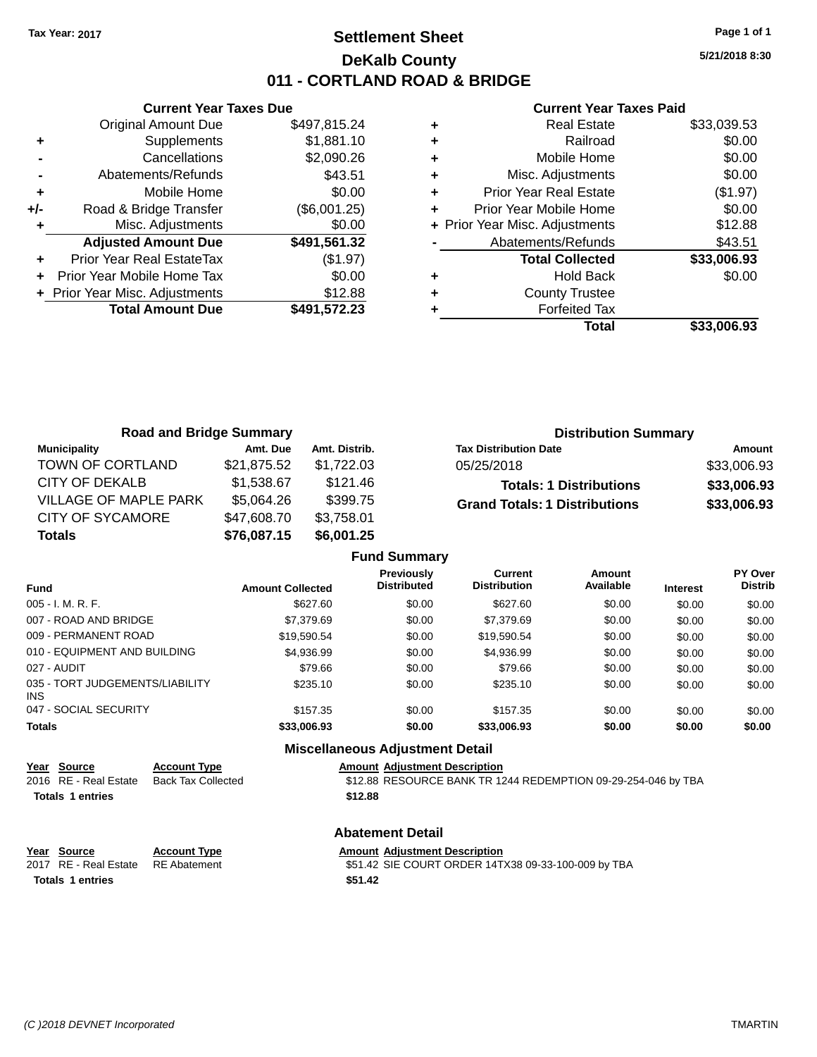## **Settlement Sheet Tax Year: 2017 Page 1 of 1 DeKalb County 011 - CORTLAND ROAD & BRIDGE**

**5/21/2018 8:30**

#### **Current Year Taxes Paid**

|     | <b>Current Year Taxes Due</b>  |              |
|-----|--------------------------------|--------------|
|     | <b>Original Amount Due</b>     | \$497,815.24 |
| ٠   | Supplements                    | \$1,881.10   |
|     | Cancellations                  | \$2,090.26   |
|     | Abatements/Refunds             | \$43.51      |
| ٠   | Mobile Home                    | \$0.00       |
| +/- | Road & Bridge Transfer         | (\$6,001.25) |
|     | Misc. Adjustments              | \$0.00       |
|     | <b>Adjusted Amount Due</b>     | \$491,561.32 |
|     | Prior Year Real EstateTax      | (\$1.97)     |
|     | Prior Year Mobile Home Tax     | \$0.00       |
|     | + Prior Year Misc. Adjustments | \$12.88      |
|     | <b>Total Amount Due</b>        | \$491,572.23 |
|     |                                |              |

|   | <b>Real Estate</b>             | \$33,039.53 |
|---|--------------------------------|-------------|
| ٠ | Railroad                       | \$0.00      |
| ٠ | Mobile Home                    | \$0.00      |
| ÷ | Misc. Adjustments              | \$0.00      |
| ٠ | <b>Prior Year Real Estate</b>  | (\$1.97)    |
| ÷ | Prior Year Mobile Home         | \$0.00      |
|   | + Prior Year Misc. Adjustments | \$12.88     |
|   | Abatements/Refunds             | \$43.51     |
|   | <b>Total Collected</b>         | \$33,006.93 |
| ٠ | <b>Hold Back</b>               | \$0.00      |
| ٠ | <b>County Trustee</b>          |             |
|   | <b>Forfeited Tax</b>           |             |
|   | Total                          | \$33.006.93 |
|   |                                |             |

| <b>Road and Bridge Summary</b> |             |               | <b>Distribution Summary</b>          |             |
|--------------------------------|-------------|---------------|--------------------------------------|-------------|
| <b>Municipality</b>            | Amt. Due    | Amt. Distrib. | <b>Tax Distribution Date</b>         | Amount      |
| TOWN OF CORTLAND               | \$21,875.52 | \$1.722.03    | 05/25/2018                           | \$33,006.93 |
| CITY OF DEKALB                 | \$1,538.67  | \$121.46      | <b>Totals: 1 Distributions</b>       | \$33,006.93 |
| VILLAGE OF MAPLE PARK          | \$5,064.26  | \$399.75      | <b>Grand Totals: 1 Distributions</b> | \$33,006.93 |
| <b>CITY OF SYCAMORE</b>        | \$47,608.70 | \$3,758.01    |                                      |             |
| <b>Totals</b>                  | \$76,087.15 | \$6,001.25    |                                      |             |

|                                        |                         | <b>Fund Summary</b>                     |                                       |                     |                 |                                  |
|----------------------------------------|-------------------------|-----------------------------------------|---------------------------------------|---------------------|-----------------|----------------------------------|
| Fund                                   | <b>Amount Collected</b> | <b>Previously</b><br><b>Distributed</b> | <b>Current</b><br><b>Distribution</b> | Amount<br>Available | <b>Interest</b> | <b>PY Over</b><br><b>Distrib</b> |
| 005 - I. M. R. F.                      | \$627.60                | \$0.00                                  | \$627.60                              | \$0.00              | \$0.00          | \$0.00                           |
| 007 - ROAD AND BRIDGE.                 | \$7.379.69              | \$0.00                                  | \$7,379.69                            | \$0.00              | \$0.00          | \$0.00                           |
| 009 - PERMANENT ROAD                   | \$19.590.54             | \$0.00                                  | \$19.590.54                           | \$0.00              | \$0.00          | \$0.00                           |
| 010 - EQUIPMENT AND BUILDING           | \$4.936.99              | \$0.00                                  | \$4,936.99                            | \$0.00              | \$0.00          | \$0.00                           |
| 027 - AUDIT                            | \$79.66                 | \$0.00                                  | \$79.66                               | \$0.00              | \$0.00          | \$0.00                           |
| 035 - TORT JUDGEMENTS/LIABILITY<br>INS | \$235.10                | \$0.00                                  | \$235.10                              | \$0.00              | \$0.00          | \$0.00                           |
| 047 - SOCIAL SECURITY                  | \$157.35                | \$0.00                                  | \$157.35                              | \$0.00              | \$0.00          | \$0.00                           |
| <b>Totals</b>                          | \$33,006.93             | \$0.00                                  | \$33,006.93                           | \$0.00              | \$0.00          | \$0.00                           |
|                                        |                         |                                         |                                       |                     |                 |                                  |

#### **Miscellaneous Adjustment Detail**

## **Year Source Account Type Amount Adjustment Description**<br>2016 RE - Real Estate Back Tax Collected \$12.88 RESOURCE BANK TR 12

\$12.88 RESOURCE BANK TR 1244 REDEMPTION 09-29-254-046 by TBA **Totals \$12.88 1 entries**

#### **Abatement Detail**

**Account Type Amount Adjustment Description** 

2017 RE - Real Estate RE Abatement \$51.42 SIE COURT ORDER 14TX38 09-33-100-009 by TBA

| rear Source |  |  |
|-------------|--|--|
|             |  |  |

**Totals 1 entries** \$51.42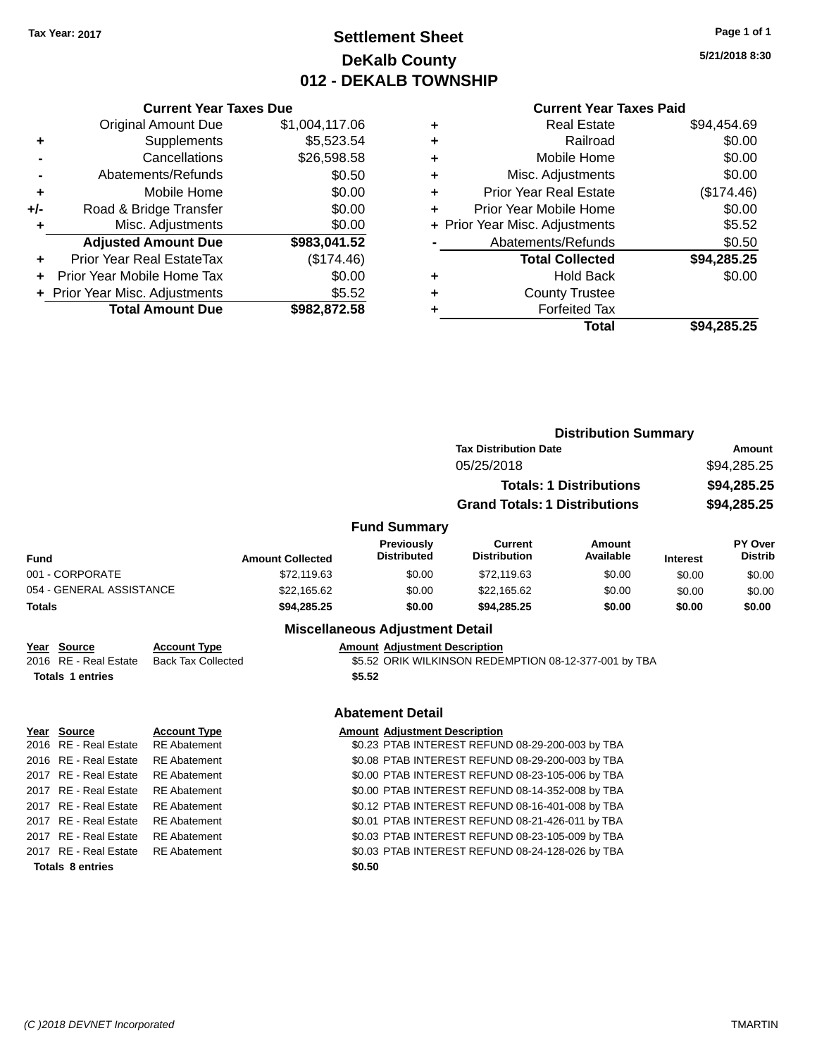## **Settlement Sheet Tax Year: 2017 Page 1 of 1 DeKalb County 012 - DEKALB TOWNSHIP**

**5/21/2018 8:30**

|     | <b>Current Year Taxes Due</b>            |                |  |  |
|-----|------------------------------------------|----------------|--|--|
|     | <b>Original Amount Due</b>               | \$1,004,117.06 |  |  |
| ٠   | Supplements                              | \$5,523.54     |  |  |
|     | Cancellations                            | \$26,598.58    |  |  |
|     | Abatements/Refunds                       | \$0.50         |  |  |
| ٠   | Mobile Home                              | \$0.00         |  |  |
| +/- | Road & Bridge Transfer                   | \$0.00         |  |  |
|     | Misc. Adjustments                        | \$0.00         |  |  |
|     | <b>Adjusted Amount Due</b>               | \$983,041.52   |  |  |
| ÷   | Prior Year Real EstateTax                | (\$174.46)     |  |  |
|     | Prior Year Mobile Home Tax               | \$0.00         |  |  |
|     | \$5.52<br>+ Prior Year Misc. Adjustments |                |  |  |
|     | <b>Total Amount Due</b>                  | \$982.872.58   |  |  |

| ٠ | <b>Real Estate</b>             | \$94,454.69 |
|---|--------------------------------|-------------|
| ٠ | Railroad                       | \$0.00      |
| ٠ | Mobile Home                    | \$0.00      |
| ٠ | Misc. Adjustments              | \$0.00      |
| ٠ | <b>Prior Year Real Estate</b>  | (\$174.46)  |
| ٠ | Prior Year Mobile Home         | \$0.00      |
|   | + Prior Year Misc. Adjustments | \$5.52      |
|   | Abatements/Refunds             | \$0.50      |
|   | <b>Total Collected</b>         | \$94,285.25 |
| ٠ | <b>Hold Back</b>               | \$0.00      |
| ٠ | <b>County Trustee</b>          |             |
| ٠ | <b>Forfeited Tax</b>           |             |
|   | Total                          | \$94.285.25 |
|   |                                |             |

|                              |                          |                           |                         |                                        | <b>Distribution Summary</b>                           |                                |                 |                           |
|------------------------------|--------------------------|---------------------------|-------------------------|----------------------------------------|-------------------------------------------------------|--------------------------------|-----------------|---------------------------|
|                              |                          |                           |                         |                                        | <b>Tax Distribution Date</b>                          | <b>Amount</b>                  |                 |                           |
| 05/25/2018                   |                          |                           |                         |                                        | \$94,285.25                                           |                                |                 |                           |
|                              |                          |                           |                         |                                        |                                                       | <b>Totals: 1 Distributions</b> |                 | \$94,285.25               |
|                              |                          |                           |                         |                                        | <b>Grand Totals: 1 Distributions</b>                  |                                | \$94,285.25     |                           |
|                              |                          |                           |                         |                                        |                                                       |                                |                 |                           |
|                              |                          |                           |                         | <b>Fund Summary</b>                    |                                                       |                                |                 |                           |
| Fund                         |                          |                           | <b>Amount Collected</b> | Previously<br><b>Distributed</b>       | <b>Current</b><br><b>Distribution</b>                 | Amount<br>Available            | <b>Interest</b> | PY Over<br><b>Distrib</b> |
|                              | 001 - CORPORATE          |                           | \$72,119.63             | \$0.00                                 | \$72,119.63                                           | \$0.00                         | \$0.00          | \$0.00                    |
|                              | 054 - GENERAL ASSISTANCE |                           | \$22,165.62             | \$0.00                                 | \$22,165.62                                           | \$0.00                         | \$0.00          | \$0.00                    |
| <b>Totals</b><br>\$94,285.25 |                          |                           | \$0.00                  | \$94,285.25                            | \$0.00                                                | \$0.00                         | \$0.00          |                           |
|                              |                          |                           |                         | <b>Miscellaneous Adjustment Detail</b> |                                                       |                                |                 |                           |
|                              | Year Source              | <b>Account Type</b>       |                         | <b>Amount Adjustment Description</b>   |                                                       |                                |                 |                           |
|                              | 2016 RE - Real Estate    | <b>Back Tax Collected</b> |                         |                                        | \$5.52 ORIK WILKINSON REDEMPTION 08-12-377-001 by TBA |                                |                 |                           |
|                              | <b>Totals 1 entries</b>  |                           |                         | \$5.52                                 |                                                       |                                |                 |                           |
|                              |                          |                           |                         | <b>Abatement Detail</b>                |                                                       |                                |                 |                           |
|                              | Year Source              | <b>Account Type</b>       |                         | <b>Amount Adjustment Description</b>   |                                                       |                                |                 |                           |
|                              | 2016 RE - Real Estate    | <b>RE</b> Abatement       |                         |                                        | \$0.23 PTAB INTEREST REFUND 08-29-200-003 by TBA      |                                |                 |                           |
|                              | 2016 RE - Real Estate    | <b>RE</b> Abatement       |                         |                                        | \$0.08 PTAB INTEREST REFUND 08-29-200-003 by TBA      |                                |                 |                           |
|                              | 2017 RE - Real Estate    | <b>RE</b> Abatement       |                         |                                        | \$0.00 PTAB INTEREST REFUND 08-23-105-006 by TBA      |                                |                 |                           |
|                              | 2017 RE - Real Estate    | <b>RE</b> Abatement       |                         |                                        | \$0.00 PTAB INTEREST REFUND 08-14-352-008 by TBA      |                                |                 |                           |
|                              | 2017 RE - Real Estate    | <b>RE</b> Abatement       |                         |                                        | \$0.12 PTAB INTEREST REFUND 08-16-401-008 by TBA      |                                |                 |                           |
|                              | 2017 RE - Real Estate    | <b>RE</b> Abatement       |                         |                                        | \$0.01 PTAB INTEREST REFUND 08-21-426-011 by TBA      |                                |                 |                           |
|                              | 2017 RE - Real Estate    | <b>RE</b> Abatement       |                         |                                        | \$0.03 PTAB INTEREST REFUND 08-23-105-009 by TBA      |                                |                 |                           |
|                              | 2017 RE - Real Estate    | <b>RE</b> Abatement       |                         |                                        | \$0.03 PTAB INTEREST REFUND 08-24-128-026 by TBA      |                                |                 |                           |
|                              | <b>Totals 8 entries</b>  |                           |                         | \$0.50                                 |                                                       |                                |                 |                           |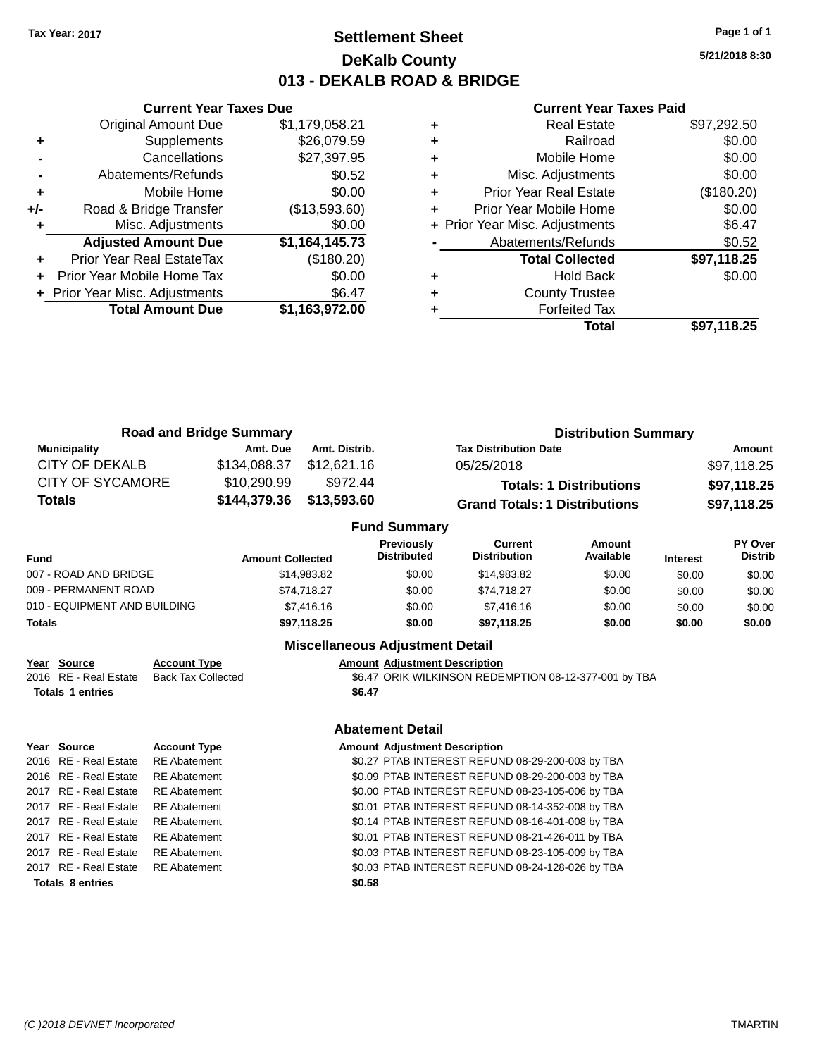## **Settlement Sheet Tax Year: 2017 Page 1 of 1 DeKalb County 013 - DEKALB ROAD & BRIDGE**

**5/21/2018 8:30**

## **Current Year Taxes Paid**

|     | <b>Current Year Taxes Due</b>    |                |
|-----|----------------------------------|----------------|
|     | <b>Original Amount Due</b>       | \$1,179,058.21 |
| ٠   | Supplements                      | \$26,079.59    |
|     | Cancellations                    | \$27,397.95    |
|     | Abatements/Refunds               | \$0.52         |
| ٠   | Mobile Home                      | \$0.00         |
| +/- | Road & Bridge Transfer           | (\$13,593.60)  |
|     | Misc. Adjustments                | \$0.00         |
|     | <b>Adjusted Amount Due</b>       | \$1,164,145.73 |
|     | <b>Prior Year Real EstateTax</b> | (\$180.20)     |
|     | Prior Year Mobile Home Tax       | \$0.00         |
|     | + Prior Year Misc. Adjustments   | \$6.47         |
|     | <b>Total Amount Due</b>          | \$1,163,972.00 |
|     |                                  |                |

|   | <b>Real Estate</b>             | \$97,292.50 |
|---|--------------------------------|-------------|
| ٠ | Railroad                       | \$0.00      |
| ٠ | Mobile Home                    | \$0.00      |
| ٠ | Misc. Adjustments              | \$0.00      |
| ٠ | Prior Year Real Estate         | (\$180.20)  |
| ٠ | Prior Year Mobile Home         | \$0.00      |
|   | + Prior Year Misc. Adjustments | \$6.47      |
|   | Abatements/Refunds             | \$0.52      |
|   | <b>Total Collected</b>         | \$97,118.25 |
| ٠ | <b>Hold Back</b>               | \$0.00      |
| ٠ | <b>County Trustee</b>          |             |
|   | <b>Forfeited Tax</b>           |             |
|   | Total                          | \$97.118.25 |

| <b>Road and Bridge Summary</b> |                         |               |                                         | <b>Distribution Summary</b>          |                                |                 |                           |  |
|--------------------------------|-------------------------|---------------|-----------------------------------------|--------------------------------------|--------------------------------|-----------------|---------------------------|--|
| <b>Municipality</b>            | Amt. Due                | Amt. Distrib. |                                         | <b>Tax Distribution Date</b>         |                                |                 | Amount                    |  |
| <b>CITY OF DEKALB</b>          | \$134,088.37            | \$12,621.16   |                                         | 05/25/2018                           |                                |                 | \$97,118.25               |  |
| <b>CITY OF SYCAMORE</b>        | \$10,290.99             | \$972.44      |                                         |                                      | <b>Totals: 1 Distributions</b> |                 | \$97,118.25               |  |
| <b>Totals</b>                  | \$144,379.36            | \$13,593.60   |                                         | <b>Grand Totals: 1 Distributions</b> |                                |                 | \$97,118.25               |  |
|                                |                         |               | <b>Fund Summary</b>                     |                                      |                                |                 |                           |  |
| <b>Fund</b>                    | <b>Amount Collected</b> |               | <b>Previously</b><br><b>Distributed</b> | Current<br><b>Distribution</b>       | <b>Amount</b><br>Available     | <b>Interest</b> | PY Over<br><b>Distrib</b> |  |
| 007 - ROAD AND BRIDGE          |                         | \$14.983.82   | \$0.00                                  | \$14.983.82                          | \$0.00                         | \$0.00          | \$0.00                    |  |

| Totals                       | \$97.118.25 | \$0.00 | \$97.118.25 | \$0.00 | \$0.00 | \$0.00 |
|------------------------------|-------------|--------|-------------|--------|--------|--------|
| 010 - EQUIPMENT AND BUILDING | \$7,416.16  | \$0.00 | \$7,416.16  | \$0.00 | \$0.00 | \$0.00 |
| 009 - PERMANENT ROAD         | \$74.718.27 | \$0.00 | \$74.718.27 | \$0.00 | \$0.00 | \$0.00 |
| 007 - ROAD AND BRIDGE        | \$14,983.82 | \$0.00 | \$14,983.82 | \$0.00 | \$0.00 | \$0.00 |
|                              |             |        |             |        |        |        |

## **Miscellaneous Adjustment Detail**

## **Year** Source **Account Type Account Adjustment Description**

2016 RE - Real Estate Back Tax Collected **56.47 ORIK WILKINSON REDEMPTION 08-12-377-001 by TBA Totals \$6.47 1 entries**

# **Year Source Account Type Account Type Amount Adjustment Description Totals \$0.58 8 entries**

#### **Abatement Detail**

2016 RE - Real Estate RE Abatement \$0.27 PTAB INTEREST REFUND 08-29-200-003 by TBA 2016 RE - Real Estate RE Abatement \$0.09 PTAB INTEREST REFUND 08-29-200-003 by TBA 2017 RE - Real Estate RE Abatement \$0.00 PTAB INTEREST REFUND 08-23-105-006 by TBA 2017 RE - Real Estate RE Abatement \$0.01 PTAB INTEREST REFUND 08-14-352-008 by TBA 2017 RE - Real Estate RE Abatement \$0.14 PTAB INTEREST REFUND 08-16-401-008 by TBA 2017 RE - Real Estate RE Abatement \$0.01 PTAB INTEREST REFUND 08-21-426-011 by TBA 2017 RE - Real Estate RE Abatement \$0.03 PTAB INTEREST REFUND 08-23-105-009 by TBA 2017 RE - Real Estate RE Abatement \$0.03 PTAB INTEREST REFUND 08-24-128-026 by TBA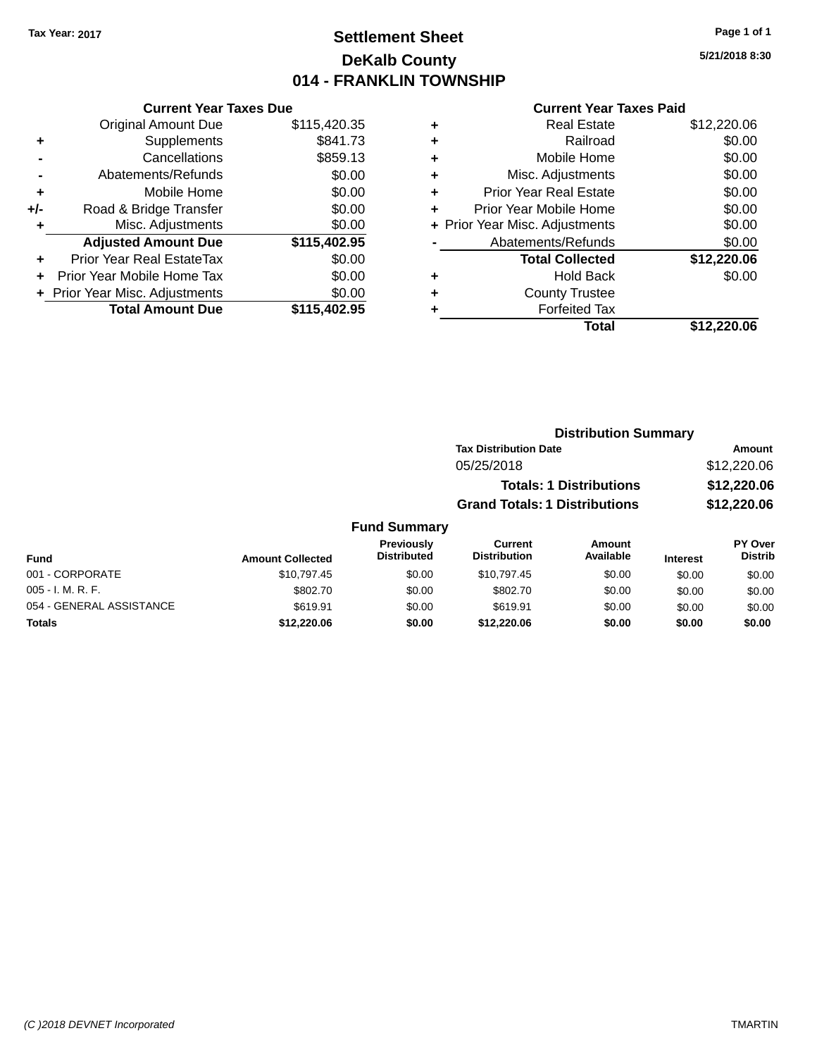## **Settlement Sheet Tax Year: 2017 Page 1 of 1 DeKalb County 014 - FRANKLIN TOWNSHIP**

**5/21/2018 8:30**

#### **Current Year Taxes Paid**

|     | <b>Current Year Taxes Due</b>  |              |  |  |  |
|-----|--------------------------------|--------------|--|--|--|
|     | <b>Original Amount Due</b>     | \$115,420.35 |  |  |  |
| ٠   | Supplements                    | \$841.73     |  |  |  |
|     | Cancellations                  | \$859.13     |  |  |  |
|     | Abatements/Refunds             | \$0.00       |  |  |  |
| ٠   | Mobile Home                    | \$0.00       |  |  |  |
| +/- | Road & Bridge Transfer         | \$0.00       |  |  |  |
| ٠   | Misc. Adjustments              | \$0.00       |  |  |  |
|     | <b>Adjusted Amount Due</b>     | \$115,402.95 |  |  |  |
| ÷   | Prior Year Real EstateTax      | \$0.00       |  |  |  |
|     | Prior Year Mobile Home Tax     | \$0.00       |  |  |  |
|     | + Prior Year Misc. Adjustments | \$0.00       |  |  |  |
|     | <b>Total Amount Due</b>        | \$115,402.95 |  |  |  |
|     |                                |              |  |  |  |

| ٠ | <b>Real Estate</b>             | \$12,220.06 |
|---|--------------------------------|-------------|
| ٠ | Railroad                       | \$0.00      |
| ٠ | Mobile Home                    | \$0.00      |
| ٠ | Misc. Adjustments              | \$0.00      |
| ٠ | <b>Prior Year Real Estate</b>  | \$0.00      |
| ٠ | Prior Year Mobile Home         | \$0.00      |
|   | + Prior Year Misc. Adjustments | \$0.00      |
|   | Abatements/Refunds             | \$0.00      |
|   | <b>Total Collected</b>         | \$12,220.06 |
| ٠ | <b>Hold Back</b>               | \$0.00      |
| ٠ | <b>County Trustee</b>          |             |
| ٠ | <b>Forfeited Tax</b>           |             |
|   | Total                          | \$12,220.06 |
|   |                                |             |

| <b>Distribution Summary</b>          |             |
|--------------------------------------|-------------|
| <b>Tax Distribution Date</b>         | Amount      |
| 05/25/2018                           | \$12,220.06 |
| <b>Totals: 1 Distributions</b>       | \$12,220.06 |
| <b>Grand Totals: 1 Distributions</b> | \$12,220.06 |
|                                      |             |

#### **Fund Summary Fund Interest Amount Collected Distributed PY Over Distrib Amount Available Current Distribution Previously** 001 - CORPORATE 60.00 \$10,797.45 \$10,797.45 \$0.00 \$10,797.45 \$0.00 \$0.00 \$0.00 \$0.00 005 - I. M. R. F. \$802.70 \$0.00 \$802.70 \$0.00 \$0.00 \$0.00 054 - GENERAL ASSISTANCE \$619.91 \$619.91 \$0.00 \$0.00 \$0.00 \$0.00 **Totals \$12,220.06 \$0.00 \$12,220.06 \$0.00 \$0.00 \$0.00**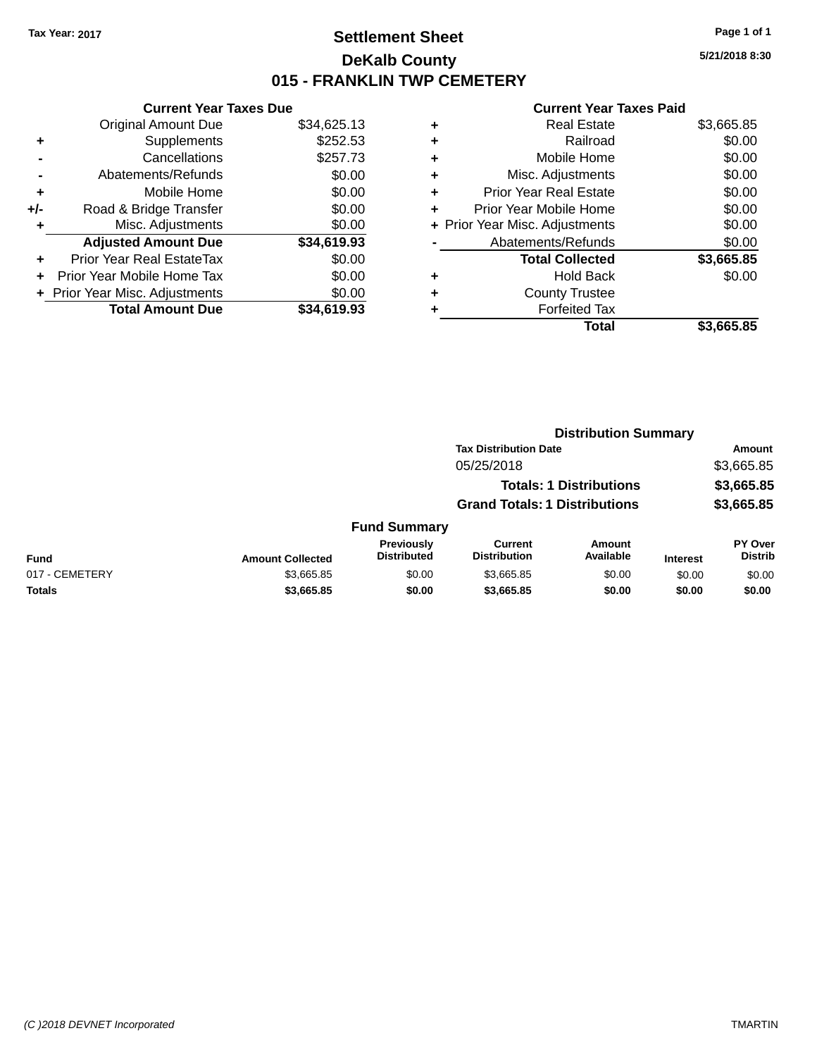## **Settlement Sheet Tax Year: 2017 Page 1 of 1 DeKalb County 015 - FRANKLIN TWP CEMETERY**

**5/21/2018 8:30**

| <b>Current Year Taxes Due</b>  |                         |
|--------------------------------|-------------------------|
| <b>Original Amount Due</b>     | \$34,625.13             |
| Supplements                    | \$252.53                |
| Cancellations                  | \$257.73                |
| Abatements/Refunds             | \$0.00                  |
| Mobile Home                    | \$0.00                  |
| Road & Bridge Transfer         | \$0.00                  |
| Misc. Adjustments              | \$0.00                  |
| <b>Adjusted Amount Due</b>     | \$34,619.93             |
| Prior Year Real EstateTax      | \$0.00                  |
| Prior Year Mobile Home Tax     | \$0.00                  |
| + Prior Year Misc. Adjustments | \$0.00                  |
|                                | \$34.619.93             |
|                                | <b>Total Amount Due</b> |

| ٠ | <b>Real Estate</b>             | \$3,665.85 |
|---|--------------------------------|------------|
| ٠ | Railroad                       | \$0.00     |
| ٠ | Mobile Home                    | \$0.00     |
| ٠ | Misc. Adjustments              | \$0.00     |
| ٠ | <b>Prior Year Real Estate</b>  | \$0.00     |
| ٠ | Prior Year Mobile Home         | \$0.00     |
|   | + Prior Year Misc. Adjustments | \$0.00     |
|   | Abatements/Refunds             | \$0.00     |
|   | <b>Total Collected</b>         | \$3,665.85 |
| ٠ | <b>Hold Back</b>               | \$0.00     |
| ٠ | <b>County Trustee</b>          |            |
| ٠ | <b>Forfeited Tax</b>           |            |
|   | Total                          | \$3,665.85 |
|   |                                |            |

|                |                         | <b>Distribution Summary</b>      |                                       |                                |                 |                           |
|----------------|-------------------------|----------------------------------|---------------------------------------|--------------------------------|-----------------|---------------------------|
|                |                         |                                  | <b>Tax Distribution Date</b>          |                                |                 | Amount                    |
|                |                         |                                  | 05/25/2018                            |                                |                 | \$3,665.85                |
|                |                         |                                  |                                       | <b>Totals: 1 Distributions</b> |                 | \$3,665.85                |
|                |                         |                                  | <b>Grand Totals: 1 Distributions</b>  |                                |                 | \$3,665.85                |
|                |                         | <b>Fund Summary</b>              |                                       |                                |                 |                           |
| <b>Fund</b>    | <b>Amount Collected</b> | Previously<br><b>Distributed</b> | <b>Current</b><br><b>Distribution</b> | <b>Amount</b><br>Available     | <b>Interest</b> | PY Over<br><b>Distrib</b> |
| 017 - CEMETERY | \$3,665.85              | \$0.00                           | \$3,665.85                            | \$0.00                         | \$0.00          | \$0.00                    |
| Totals         | \$3,665.85              | \$0.00                           | \$3,665.85                            | \$0.00                         | \$0.00          | \$0.00                    |
|                |                         |                                  |                                       |                                |                 |                           |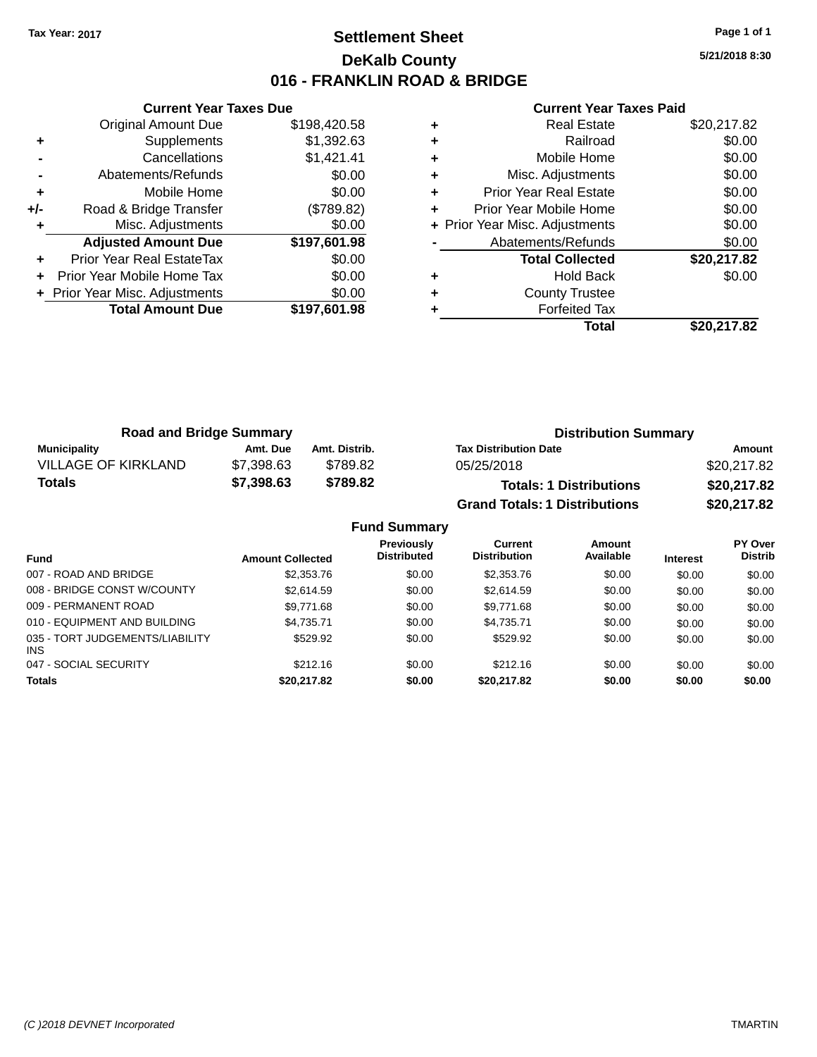## **Settlement Sheet Tax Year: 2017 Page 1 of 1 DeKalb County 016 - FRANKLIN ROAD & BRIDGE**

**5/21/2018 8:30**

|     | <b>Current Year Taxes Due</b>  |              |  |  |  |  |  |
|-----|--------------------------------|--------------|--|--|--|--|--|
|     | <b>Original Amount Due</b>     | \$198,420.58 |  |  |  |  |  |
| ٠   | Supplements                    | \$1,392.63   |  |  |  |  |  |
|     | Cancellations                  | \$1,421.41   |  |  |  |  |  |
|     | Abatements/Refunds             | \$0.00       |  |  |  |  |  |
| ٠   | Mobile Home                    | \$0.00       |  |  |  |  |  |
| +/- | Road & Bridge Transfer         | (\$789.82)   |  |  |  |  |  |
|     | Misc. Adjustments              | \$0.00       |  |  |  |  |  |
|     | <b>Adjusted Amount Due</b>     | \$197,601.98 |  |  |  |  |  |
| ٠   | Prior Year Real EstateTax      | \$0.00       |  |  |  |  |  |
|     | Prior Year Mobile Home Tax     | \$0.00       |  |  |  |  |  |
|     | + Prior Year Misc. Adjustments | \$0.00       |  |  |  |  |  |
|     | <b>Total Amount Due</b>        | \$197.601.98 |  |  |  |  |  |
|     |                                |              |  |  |  |  |  |

|   | <b>Real Estate</b>             | \$20,217.82 |
|---|--------------------------------|-------------|
| ٠ | Railroad                       | \$0.00      |
| ٠ | Mobile Home                    | \$0.00      |
| ٠ | Misc. Adjustments              | \$0.00      |
| ٠ | <b>Prior Year Real Estate</b>  | \$0.00      |
| ٠ | Prior Year Mobile Home         | \$0.00      |
|   | + Prior Year Misc. Adjustments | \$0.00      |
|   | Abatements/Refunds             | \$0.00      |
|   | <b>Total Collected</b>         | \$20,217.82 |
| ٠ | <b>Hold Back</b>               | \$0.00      |
| ٠ | <b>County Trustee</b>          |             |
|   | <b>Forfeited Tax</b>           |             |
|   | Total                          | \$20.217.82 |

| <b>Road and Bridge Summary</b> |            |               | <b>Distribution Summary</b>          |             |  |  |
|--------------------------------|------------|---------------|--------------------------------------|-------------|--|--|
| <b>Municipality</b>            | Amt. Due   | Amt. Distrib. | <b>Tax Distribution Date</b>         | Amount      |  |  |
| VILLAGE OF KIRKLAND            | \$7.398.63 | \$789.82      | 05/25/2018                           | \$20,217.82 |  |  |
| <b>Totals</b>                  | \$7,398.63 | \$789.82      | <b>Totals: 1 Distributions</b>       | \$20,217.82 |  |  |
|                                |            |               | <b>Grand Totals: 1 Distributions</b> | \$20,217.82 |  |  |

| <b>Fund Summary</b>                    |                         |                                         |                                       |                     |                 |                           |  |
|----------------------------------------|-------------------------|-----------------------------------------|---------------------------------------|---------------------|-----------------|---------------------------|--|
| <b>Fund</b>                            | <b>Amount Collected</b> | <b>Previously</b><br><b>Distributed</b> | <b>Current</b><br><b>Distribution</b> | Amount<br>Available | <b>Interest</b> | PY Over<br><b>Distrib</b> |  |
| 007 - ROAD AND BRIDGE                  | \$2,353.76              | \$0.00                                  | \$2,353,76                            | \$0.00              | \$0.00          | \$0.00                    |  |
| 008 - BRIDGE CONST W/COUNTY            | \$2.614.59              | \$0.00                                  | \$2,614.59                            | \$0.00              | \$0.00          | \$0.00                    |  |
| 009 - PERMANENT ROAD                   | \$9,771.68              | \$0.00                                  | \$9,771.68                            | \$0.00              | \$0.00          | \$0.00                    |  |
| 010 - EQUIPMENT AND BUILDING           | \$4.735.71              | \$0.00                                  | \$4.735.71                            | \$0.00              | \$0.00          | \$0.00                    |  |
| 035 - TORT JUDGEMENTS/LIABILITY<br>INS | \$529.92                | \$0.00                                  | \$529.92                              | \$0.00              | \$0.00          | \$0.00                    |  |
| 047 - SOCIAL SECURITY                  | \$212.16                | \$0.00                                  | \$212.16                              | \$0.00              | \$0.00          | \$0.00                    |  |
| <b>Totals</b>                          | \$20,217.82             | \$0.00                                  | \$20,217.82                           | \$0.00              | \$0.00          | \$0.00                    |  |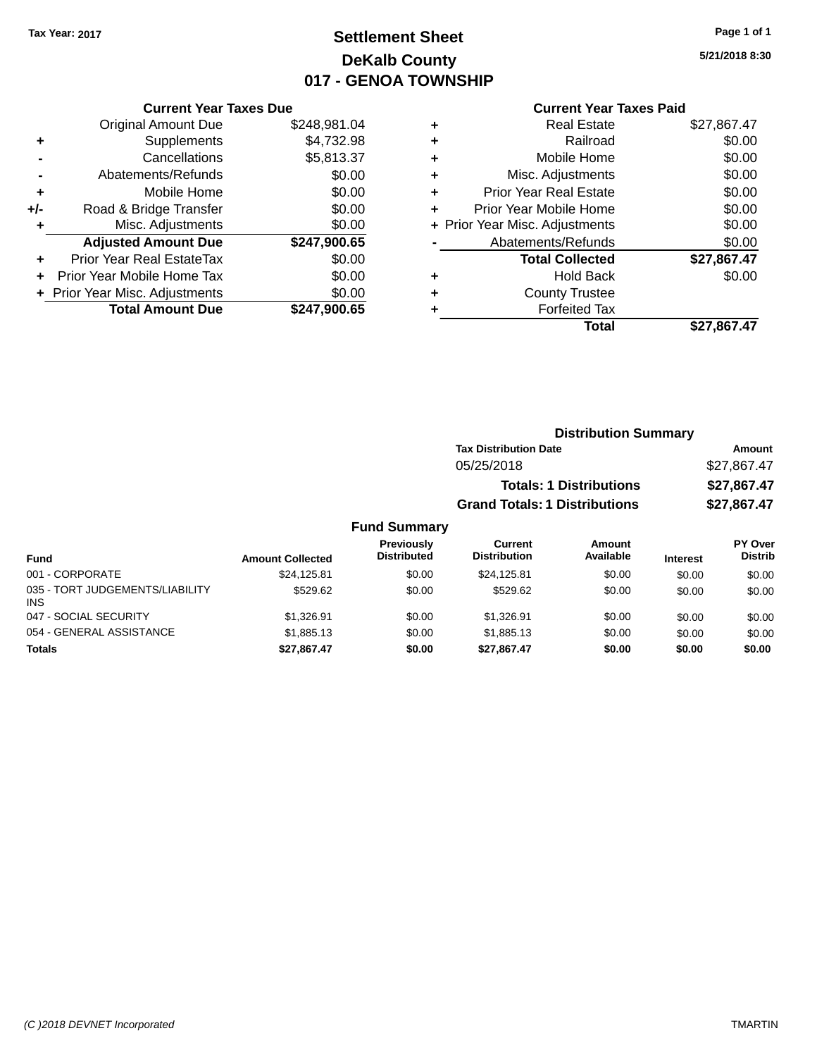## **Settlement Sheet Tax Year: 2017 Page 1 of 1 DeKalb County 017 - GENOA TOWNSHIP**

## **5/21/2018 8:30**

#### **Current Year Taxes Paid**

|     | <b>Current Year Taxes Due</b> |              |  |  |  |  |
|-----|-------------------------------|--------------|--|--|--|--|
|     | <b>Original Amount Due</b>    | \$248,981.04 |  |  |  |  |
| ٠   | Supplements                   | \$4,732.98   |  |  |  |  |
|     | Cancellations                 | \$5,813.37   |  |  |  |  |
|     | Abatements/Refunds            | \$0.00       |  |  |  |  |
| ٠   | Mobile Home                   | \$0.00       |  |  |  |  |
| +/- | Road & Bridge Transfer        | \$0.00       |  |  |  |  |
|     | Misc. Adjustments             | \$0.00       |  |  |  |  |
|     | <b>Adjusted Amount Due</b>    | \$247,900.65 |  |  |  |  |
| ÷   | Prior Year Real EstateTax     | \$0.00       |  |  |  |  |
| ٠   | Prior Year Mobile Home Tax    | \$0.00       |  |  |  |  |
|     | Prior Year Misc. Adjustments  | \$0.00       |  |  |  |  |
|     | <b>Total Amount Due</b>       | \$247.900.65 |  |  |  |  |

| ٠ | <b>Real Estate</b>             | \$27,867.47 |
|---|--------------------------------|-------------|
| ٠ | Railroad                       | \$0.00      |
| ٠ | Mobile Home                    | \$0.00      |
| ٠ | Misc. Adjustments              | \$0.00      |
| ٠ | <b>Prior Year Real Estate</b>  | \$0.00      |
| ٠ | Prior Year Mobile Home         | \$0.00      |
|   | + Prior Year Misc. Adjustments | \$0.00      |
|   | Abatements/Refunds             | \$0.00      |
|   | <b>Total Collected</b>         | \$27,867.47 |
| ٠ | Hold Back                      | \$0.00      |
| ٠ | <b>County Trustee</b>          |             |
| ٠ | <b>Forfeited Tax</b>           |             |
|   | Total                          | \$27,867.47 |
|   |                                |             |

| <b>Distribution Summary</b>          |             |
|--------------------------------------|-------------|
| <b>Tax Distribution Date</b>         | Amount      |
| 05/25/2018                           | \$27,867.47 |
| <b>Totals: 1 Distributions</b>       | \$27,867.47 |
| <b>Grand Totals: 1 Distributions</b> | \$27,867.47 |

| <b>Fund</b>                                   | <b>Amount Collected</b> | Previously<br><b>Distributed</b> | Current<br><b>Distribution</b> | Amount<br>Available | <b>Interest</b> | <b>PY Over</b><br><b>Distrib</b> |
|-----------------------------------------------|-------------------------|----------------------------------|--------------------------------|---------------------|-----------------|----------------------------------|
| 001 - CORPORATE                               | \$24.125.81             | \$0.00                           | \$24.125.81                    | \$0.00              | \$0.00          | \$0.00                           |
| 035 - TORT JUDGEMENTS/LIABILITY<br><b>INS</b> | \$529.62                | \$0.00                           | \$529.62                       | \$0.00              | \$0.00          | \$0.00                           |
| 047 - SOCIAL SECURITY                         | \$1.326.91              | \$0.00                           | \$1.326.91                     | \$0.00              | \$0.00          | \$0.00                           |
| 054 - GENERAL ASSISTANCE                      | \$1,885.13              | \$0.00                           | \$1.885.13                     | \$0.00              | \$0.00          | \$0.00                           |
| <b>Totals</b>                                 | \$27,867.47             | \$0.00                           | \$27.867.47                    | \$0.00              | \$0.00          | \$0.00                           |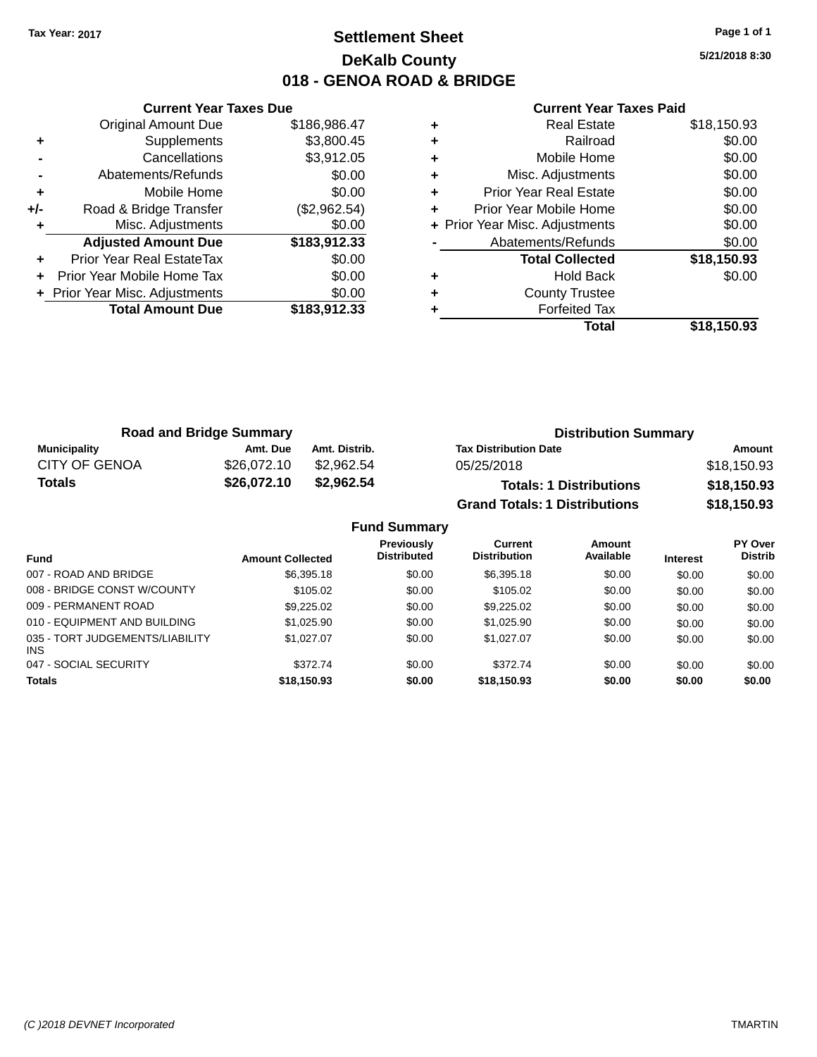## **Settlement Sheet Tax Year: 2017 Page 1 of 1 DeKalb County 018 - GENOA ROAD & BRIDGE**

**5/21/2018 8:30**

|     | <b>Current Year Taxes Due</b>  |              |  |  |  |  |
|-----|--------------------------------|--------------|--|--|--|--|
|     | <b>Original Amount Due</b>     | \$186,986.47 |  |  |  |  |
| ٠   | Supplements                    | \$3,800.45   |  |  |  |  |
|     | Cancellations                  | \$3,912.05   |  |  |  |  |
|     | Abatements/Refunds             | \$0.00       |  |  |  |  |
| ٠   | Mobile Home                    | \$0.00       |  |  |  |  |
| +/- | Road & Bridge Transfer         | (\$2,962.54) |  |  |  |  |
|     | Misc. Adjustments              | \$0.00       |  |  |  |  |
|     | <b>Adjusted Amount Due</b>     | \$183,912.33 |  |  |  |  |
|     | Prior Year Real EstateTax      | \$0.00       |  |  |  |  |
| ÷   | Prior Year Mobile Home Tax     | \$0.00       |  |  |  |  |
|     | + Prior Year Misc. Adjustments | \$0.00       |  |  |  |  |
|     | <b>Total Amount Due</b>        | \$183,912.33 |  |  |  |  |
|     |                                |              |  |  |  |  |

|   | Total                          | \$18,150.93 |
|---|--------------------------------|-------------|
|   | <b>Forfeited Tax</b>           |             |
| ٠ | <b>County Trustee</b>          |             |
| ٠ | Hold Back                      | \$0.00      |
|   | <b>Total Collected</b>         | \$18,150.93 |
|   | Abatements/Refunds             | \$0.00      |
|   | + Prior Year Misc. Adjustments | \$0.00      |
| ٠ | Prior Year Mobile Home         | \$0.00      |
| ٠ | <b>Prior Year Real Estate</b>  | \$0.00      |
| ٠ | Misc. Adjustments              | \$0.00      |
| ٠ | Mobile Home                    | \$0.00      |
| ÷ | Railroad                       | \$0.00      |
|   | <b>Real Estate</b>             | \$18,150.93 |

| <b>Road and Bridge Summary</b> |             |               | <b>Distribution Summary</b>          |             |  |  |
|--------------------------------|-------------|---------------|--------------------------------------|-------------|--|--|
| <b>Municipality</b>            | Amt. Due    | Amt. Distrib. | <b>Tax Distribution Date</b>         | Amount      |  |  |
| <b>CITY OF GENOA</b>           | \$26.072.10 | \$2,962.54    | 05/25/2018                           | \$18,150.93 |  |  |
| <b>Totals</b>                  | \$26,072.10 | \$2,962.54    | <b>Totals: 1 Distributions</b>       | \$18,150.93 |  |  |
|                                |             |               | <b>Grand Totals: 1 Distributions</b> | \$18,150.93 |  |  |

| <b>Fund Summary</b>                     |                         |                                         |                                |                     |                 |                           |  |
|-----------------------------------------|-------------------------|-----------------------------------------|--------------------------------|---------------------|-----------------|---------------------------|--|
| <b>Fund</b>                             | <b>Amount Collected</b> | <b>Previously</b><br><b>Distributed</b> | Current<br><b>Distribution</b> | Amount<br>Available | <b>Interest</b> | PY Over<br><b>Distrib</b> |  |
| 007 - ROAD AND BRIDGE                   | \$6,395.18              | \$0.00                                  | \$6,395.18                     | \$0.00              | \$0.00          | \$0.00                    |  |
| 008 - BRIDGE CONST W/COUNTY             | \$105.02                | \$0.00                                  | \$105.02                       | \$0.00              | \$0.00          | \$0.00                    |  |
| 009 - PERMANENT ROAD                    | \$9,225,02              | \$0.00                                  | \$9,225,02                     | \$0.00              | \$0.00          | \$0.00                    |  |
| 010 - EQUIPMENT AND BUILDING            | \$1.025.90              | \$0.00                                  | \$1,025.90                     | \$0.00              | \$0.00          | \$0.00                    |  |
| 035 - TORT JUDGEMENTS/LIABILITY<br>INS. | \$1,027.07              | \$0.00                                  | \$1.027.07                     | \$0.00              | \$0.00          | \$0.00                    |  |
| 047 - SOCIAL SECURITY                   | \$372.74                | \$0.00                                  | \$372.74                       | \$0.00              | \$0.00          | \$0.00                    |  |
| <b>Totals</b>                           | \$18,150.93             | \$0.00                                  | \$18,150.93                    | \$0.00              | \$0.00          | \$0.00                    |  |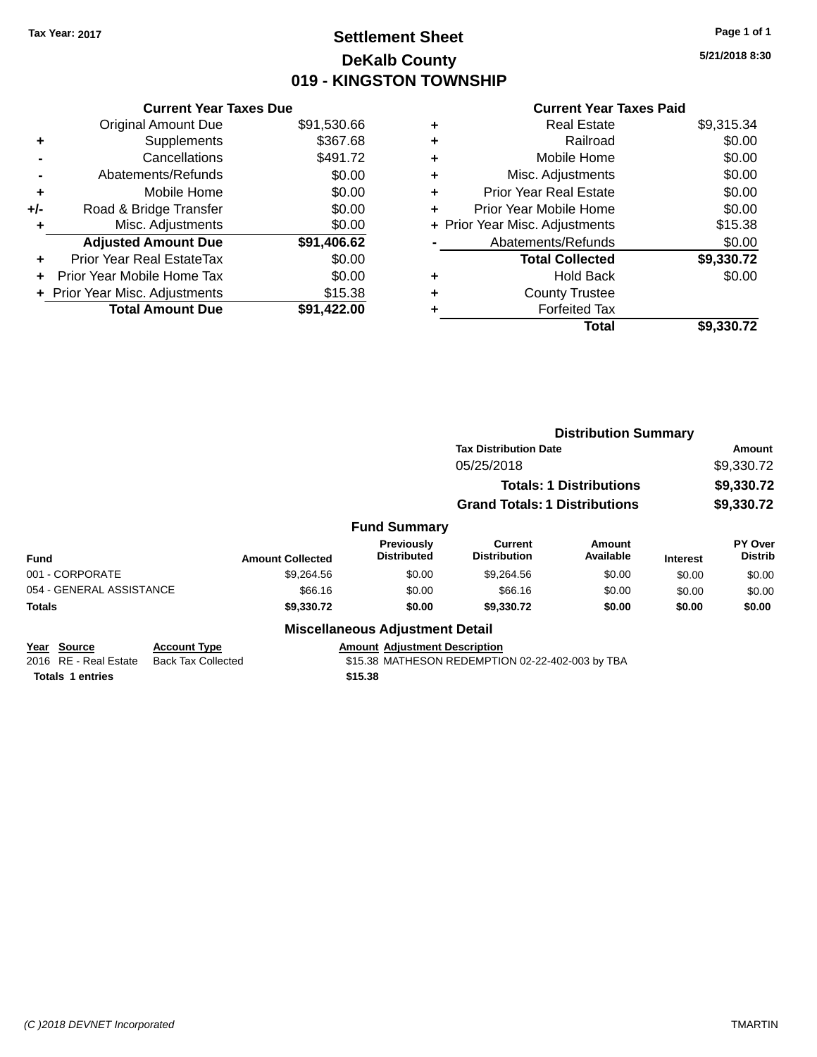## **Settlement Sheet Tax Year: 2017 Page 1 of 1 DeKalb County 019 - KINGSTON TOWNSHIP**

**5/21/2018 8:30**

|       | <b>Current Year Taxes Due</b>  |             |
|-------|--------------------------------|-------------|
|       | <b>Original Amount Due</b>     | \$91,530.66 |
| ٠     | Supplements                    | \$367.68    |
|       | Cancellations                  | \$491.72    |
|       | Abatements/Refunds             | \$0.00      |
| ٠     | Mobile Home                    | \$0.00      |
| $+/-$ | Road & Bridge Transfer         | \$0.00      |
| ٠     | Misc. Adjustments              | \$0.00      |
|       | <b>Adjusted Amount Due</b>     | \$91,406.62 |
| ÷     | Prior Year Real EstateTax      | \$0.00      |
|       | Prior Year Mobile Home Tax     | \$0.00      |
|       | + Prior Year Misc. Adjustments | \$15.38     |
|       | <b>Total Amount Due</b>        | \$91.422.00 |
|       |                                |             |

## **Current Year Taxes Paid**

|   | <b>Real Estate</b>             | \$9,315.34 |
|---|--------------------------------|------------|
| ٠ | Railroad                       | \$0.00     |
| ٠ | Mobile Home                    | \$0.00     |
| ٠ | Misc. Adjustments              | \$0.00     |
| ٠ | <b>Prior Year Real Estate</b>  | \$0.00     |
|   | Prior Year Mobile Home         | \$0.00     |
|   | + Prior Year Misc. Adjustments | \$15.38    |
|   | Abatements/Refunds             | \$0.00     |
|   | <b>Total Collected</b>         | \$9,330.72 |
| ٠ | <b>Hold Back</b>               | \$0.00     |
|   | <b>County Trustee</b>          |            |
|   | <b>Forfeited Tax</b>           |            |
|   | Total                          | \$9,330.72 |
|   |                                |            |

|             |                          |                                                  |                         |                                                                                          |                                       | <b>Distribution Summary</b>    |                 |                           |
|-------------|--------------------------|--------------------------------------------------|-------------------------|------------------------------------------------------------------------------------------|---------------------------------------|--------------------------------|-----------------|---------------------------|
|             |                          |                                                  |                         |                                                                                          | <b>Tax Distribution Date</b>          |                                |                 | <b>Amount</b>             |
|             |                          |                                                  |                         |                                                                                          | 05/25/2018                            |                                |                 | \$9,330.72                |
|             |                          |                                                  |                         |                                                                                          |                                       | <b>Totals: 1 Distributions</b> |                 | \$9,330.72                |
|             |                          |                                                  |                         |                                                                                          | <b>Grand Totals: 1 Distributions</b>  |                                |                 | \$9,330.72                |
|             |                          |                                                  |                         | <b>Fund Summary</b>                                                                      |                                       |                                |                 |                           |
| <b>Fund</b> |                          |                                                  | <b>Amount Collected</b> | <b>Previously</b><br><b>Distributed</b>                                                  | <b>Current</b><br><b>Distribution</b> | Amount<br>Available            | <b>Interest</b> | PY Over<br><b>Distrib</b> |
|             | 001 - CORPORATE          |                                                  | \$9,264.56              | \$0.00                                                                                   | \$9,264.56                            | \$0.00                         | \$0.00          | \$0.00                    |
|             | 054 - GENERAL ASSISTANCE |                                                  | \$66.16                 | \$0.00                                                                                   | \$66.16                               | \$0.00                         | \$0.00          | \$0.00                    |
| Totals      |                          |                                                  | \$9,330.72              | \$0.00                                                                                   | \$9,330.72                            | \$0.00                         | \$0.00          | \$0.00                    |
|             |                          |                                                  |                         | <b>Miscellaneous Adjustment Detail</b>                                                   |                                       |                                |                 |                           |
| Year Source | 2016 RE - Real Estate    | <b>Account Type</b><br><b>Back Tax Collected</b> |                         | <b>Amount Adjustment Description</b><br>\$15.38 MATHESON REDEMPTION 02-22-402-003 by TBA |                                       |                                |                 |                           |

**Totals \$15.38 1 entries**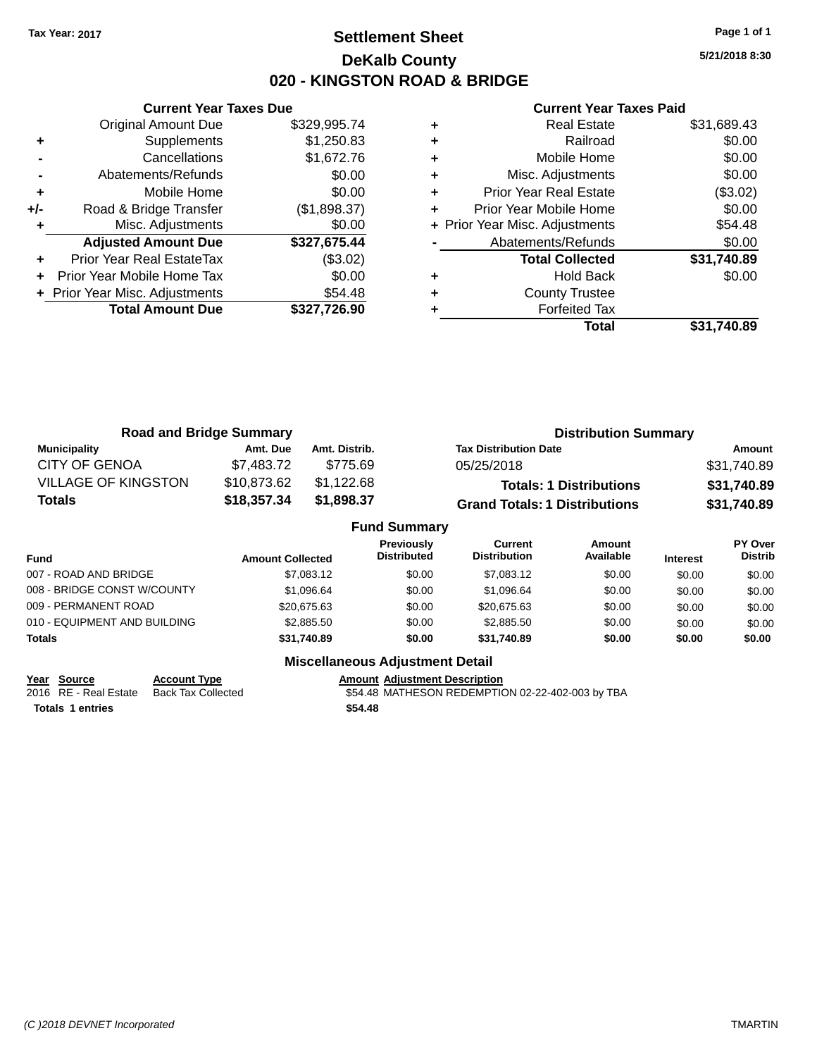## **Settlement Sheet Tax Year: 2017 Page 1 of 1 DeKalb County 020 - KINGSTON ROAD & BRIDGE**

**5/21/2018 8:30**

#### **Current Year Taxes Paid**

|       | <b>Current Year Taxes Due</b>  |              |
|-------|--------------------------------|--------------|
|       | <b>Original Amount Due</b>     | \$329,995.74 |
| ٠     | Supplements                    | \$1,250.83   |
|       | Cancellations                  | \$1,672.76   |
|       | Abatements/Refunds             | \$0.00       |
| ٠     | Mobile Home                    | \$0.00       |
| $+/-$ | Road & Bridge Transfer         | (\$1,898.37) |
|       | Misc. Adjustments              | \$0.00       |
|       | <b>Adjusted Amount Due</b>     | \$327,675.44 |
|       | Prior Year Real EstateTax      | (\$3.02)     |
|       | Prior Year Mobile Home Tax     | \$0.00       |
|       | + Prior Year Misc. Adjustments | \$54.48      |
|       | <b>Total Amount Due</b>        | \$327,726.90 |
|       |                                |              |

|   | <b>Real Estate</b>             | \$31,689.43 |
|---|--------------------------------|-------------|
| ٠ | Railroad                       | \$0.00      |
| ٠ | Mobile Home                    | \$0.00      |
| ٠ | Misc. Adjustments              | \$0.00      |
| ٠ | <b>Prior Year Real Estate</b>  | (\$3.02)    |
|   | Prior Year Mobile Home         | \$0.00      |
|   | + Prior Year Misc. Adjustments | \$54.48     |
|   | Abatements/Refunds             | \$0.00      |
|   | <b>Total Collected</b>         | \$31,740.89 |
|   | Hold Back                      | \$0.00      |
| ٠ | <b>County Trustee</b>          |             |
|   | <b>Forfeited Tax</b>           |             |
|   | Total                          | \$31.740.89 |

| <b>Road and Bridge Summary</b> |             |               | <b>Distribution Summary</b>          |             |
|--------------------------------|-------------|---------------|--------------------------------------|-------------|
| Municipality                   | Amt. Due    | Amt. Distrib. | <b>Tax Distribution Date</b>         | Amount      |
| <b>CITY OF GENOA</b>           | \$7.483.72  | \$775.69      | 05/25/2018                           | \$31,740.89 |
| <b>VILLAGE OF KINGSTON</b>     | \$10,873.62 | \$1,122.68    | <b>Totals: 1 Distributions</b>       | \$31,740.89 |
| Totals                         | \$18,357.34 | \$1,898.37    | <b>Grand Totals: 1 Distributions</b> | \$31,740.89 |

|                              |                         | <b>Fund Summary</b>                     |                                |                     |                 |                           |
|------------------------------|-------------------------|-----------------------------------------|--------------------------------|---------------------|-----------------|---------------------------|
| Fund                         | <b>Amount Collected</b> | <b>Previously</b><br><b>Distributed</b> | Current<br><b>Distribution</b> | Amount<br>Available | <b>Interest</b> | PY Over<br><b>Distrib</b> |
| 007 - ROAD AND BRIDGE        | \$7,083.12              | \$0.00                                  | \$7,083.12                     | \$0.00              | \$0.00          | \$0.00                    |
| 008 - BRIDGE CONST W/COUNTY  | \$1,096.64              | \$0.00                                  | \$1,096.64                     | \$0.00              | \$0.00          | \$0.00                    |
| 009 - PERMANENT ROAD         | \$20,675,63             | \$0.00                                  | \$20,675.63                    | \$0.00              | \$0.00          | \$0.00                    |
| 010 - EQUIPMENT AND BUILDING | \$2,885.50              | \$0.00                                  | \$2,885.50                     | \$0.00              | \$0.00          | \$0.00                    |
| Totals                       | \$31,740.89             | \$0.00                                  | \$31.740.89                    | \$0.00              | \$0.00          | \$0.00                    |

## **Year Source Account Type**<br>
2016 RE - Real Estate Back Tax Collected **Amount Adjustment Description**<br>
\$54.48 MATHESON REDEMPTIC

**Totals \$54.48 1 entries**

## **Miscellaneous Adjustment Detail**

\$54.48 MATHESON REDEMPTION 02-22-402-003 by TBA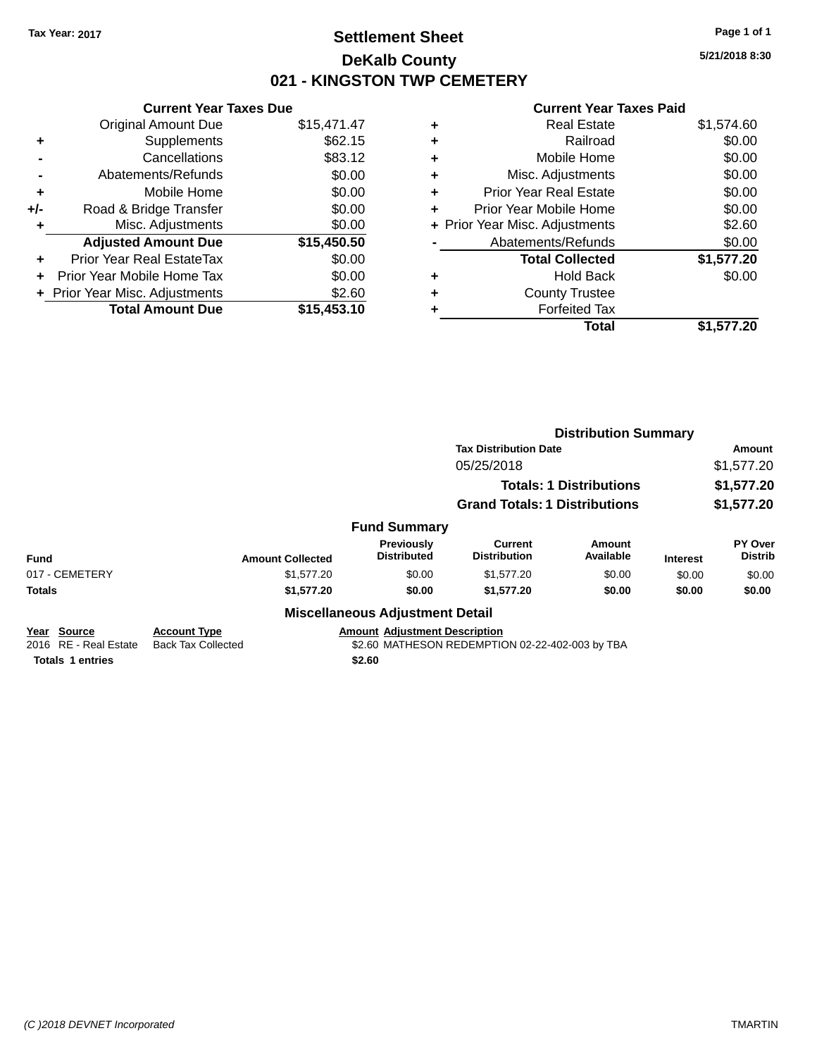## **Settlement Sheet Tax Year: 2017 Page 1 of 1 DeKalb County 021 - KINGSTON TWP CEMETERY**

**5/21/2018 8:30**

#### **Current Year Taxes Paid**

|     | <b>Current Year Taxes Due</b>  |             |
|-----|--------------------------------|-------------|
|     | <b>Original Amount Due</b>     | \$15,471.47 |
| ٠   | Supplements                    | \$62.15     |
|     | Cancellations                  | \$83.12     |
|     | Abatements/Refunds             | \$0.00      |
| ٠   | Mobile Home                    | \$0.00      |
| +/- | Road & Bridge Transfer         | \$0.00      |
| ٠   | Misc. Adjustments              | \$0.00      |
|     | <b>Adjusted Amount Due</b>     | \$15,450.50 |
| ÷   | Prior Year Real EstateTax      | \$0.00      |
| ÷   | Prior Year Mobile Home Tax     | \$0.00      |
|     | + Prior Year Misc. Adjustments | \$2.60      |
|     | <b>Total Amount Due</b>        | \$15,453,10 |

| ٠ | <b>Real Estate</b>             | \$1,574.60 |
|---|--------------------------------|------------|
| ٠ | Railroad                       | \$0.00     |
| ٠ | Mobile Home                    | \$0.00     |
| ٠ | Misc. Adjustments              | \$0.00     |
| ٠ | <b>Prior Year Real Estate</b>  | \$0.00     |
| ÷ | Prior Year Mobile Home         | \$0.00     |
|   | + Prior Year Misc. Adjustments | \$2.60     |
|   | Abatements/Refunds             | \$0.00     |
|   | <b>Total Collected</b>         | \$1,577.20 |
| ٠ | <b>Hold Back</b>               | \$0.00     |
| ٠ | <b>County Trustee</b>          |            |
| ٠ | <b>Forfeited Tax</b>           |            |
|   | Total                          | \$1,577.20 |

|                                      |                                                  |                                        | <b>Distribution Summary</b>                     |                                |                 |                           |
|--------------------------------------|--------------------------------------------------|----------------------------------------|-------------------------------------------------|--------------------------------|-----------------|---------------------------|
|                                      |                                                  |                                        | <b>Tax Distribution Date</b>                    |                                |                 | Amount                    |
|                                      |                                                  |                                        | 05/25/2018                                      |                                |                 | \$1,577.20                |
|                                      |                                                  |                                        |                                                 | <b>Totals: 1 Distributions</b> |                 | \$1,577.20                |
|                                      |                                                  |                                        | <b>Grand Totals: 1 Distributions</b>            |                                |                 | \$1,577.20                |
|                                      |                                                  | <b>Fund Summary</b>                    |                                                 |                                |                 |                           |
| <b>Fund</b>                          | <b>Amount Collected</b>                          | Previously<br><b>Distributed</b>       | Current<br><b>Distribution</b>                  | Amount<br>Available            | <b>Interest</b> | PY Over<br><b>Distrib</b> |
| 017 - CEMETERY                       | \$1,577.20                                       | \$0.00                                 | \$1,577.20                                      | \$0.00                         | \$0.00          | \$0.00                    |
| <b>Totals</b>                        | \$1,577.20                                       | \$0.00                                 | \$1,577.20                                      | \$0.00                         | \$0.00          | \$0.00                    |
|                                      |                                                  | <b>Miscellaneous Adjustment Detail</b> |                                                 |                                |                 |                           |
| Year Source<br>2016 RE - Real Estate | <b>Account Type</b><br><b>Back Tax Collected</b> | <b>Amount Adiustment Description</b>   | \$2.60 MATHESON REDEMPTION 02-22-402-003 by TBA |                                |                 |                           |

**Totals 1 entries** \$2.60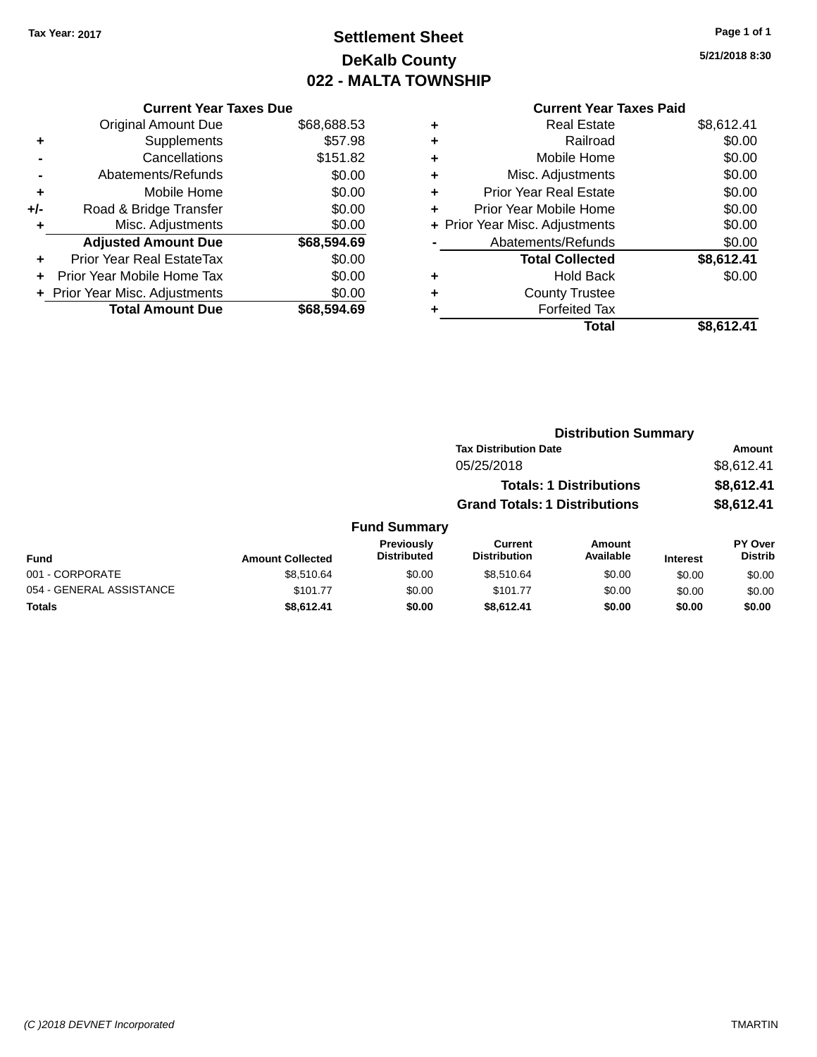## **Settlement Sheet Tax Year: 2017 Page 1 of 1 DeKalb County 022 - MALTA TOWNSHIP**

**5/21/2018 8:30**

|       | <b>Current Year Taxes Due</b>  |             |
|-------|--------------------------------|-------------|
|       | <b>Original Amount Due</b>     | \$68,688.53 |
| ٠     | Supplements                    | \$57.98     |
|       | Cancellations                  | \$151.82    |
|       | Abatements/Refunds             | \$0.00      |
| ٠     | Mobile Home                    | \$0.00      |
| $+/-$ | Road & Bridge Transfer         | \$0.00      |
| ٠     | Misc. Adjustments              | \$0.00      |
|       | <b>Adjusted Amount Due</b>     | \$68,594.69 |
| ٠     | Prior Year Real EstateTax      | \$0.00      |
|       | Prior Year Mobile Home Tax     | \$0.00      |
|       | + Prior Year Misc. Adjustments | \$0.00      |
|       | <b>Total Amount Due</b>        | \$68.594.69 |
|       |                                |             |

|   | <b>Current Year Taxes Paid</b> |            |
|---|--------------------------------|------------|
| ٠ | <b>Real Estate</b>             | \$8,612.41 |
| ٠ | Railroad                       | \$0.00     |
| ٠ | Mobile Home                    | \$0.00     |
| ٠ | Misc. Adjustments              | \$0.00     |
| ٠ | <b>Prior Year Real Estate</b>  | \$0.00     |
| ٠ | Prior Year Mobile Home         | \$0.00     |
|   | + Prior Year Misc. Adjustments | \$0.00     |
|   | Abatements/Refunds             | \$0.00     |
|   | <b>Total Collected</b>         | \$8,612.41 |
|   | <b>Hold Back</b>               | \$0.00     |
|   | <b>County Trustee</b>          |            |
|   | <b>Forfeited Tax</b>           |            |
|   | Total                          | \$8.612.41 |

|                         |                                  |                                       |                     |                                                                                                        | <b>Amount</b>               |
|-------------------------|----------------------------------|---------------------------------------|---------------------|--------------------------------------------------------------------------------------------------------|-----------------------------|
|                         |                                  | 05/25/2018                            |                     |                                                                                                        | \$8,612.41                  |
|                         |                                  |                                       |                     |                                                                                                        | \$8,612.41                  |
|                         |                                  |                                       |                     |                                                                                                        | \$8,612.41                  |
|                         |                                  |                                       |                     |                                                                                                        |                             |
| <b>Amount Collected</b> | Previously<br><b>Distributed</b> | <b>Current</b><br><b>Distribution</b> | Amount<br>Available | <b>Interest</b>                                                                                        | PY Over<br><b>Distrib</b>   |
| \$8,510.64              | \$0.00                           | \$8.510.64                            | \$0.00              | \$0.00                                                                                                 | \$0.00                      |
| \$101.77                | \$0.00                           | \$101.77                              | \$0.00              | \$0.00                                                                                                 | \$0.00                      |
| \$8,612.41              | \$0.00                           | \$8.612.41                            | \$0.00              | \$0.00                                                                                                 | \$0.00                      |
|                         |                                  | <b>Fund Summary</b>                   |                     | <b>Tax Distribution Date</b><br><b>Totals: 1 Distributions</b><br><b>Grand Totals: 1 Distributions</b> | <b>Distribution Summary</b> |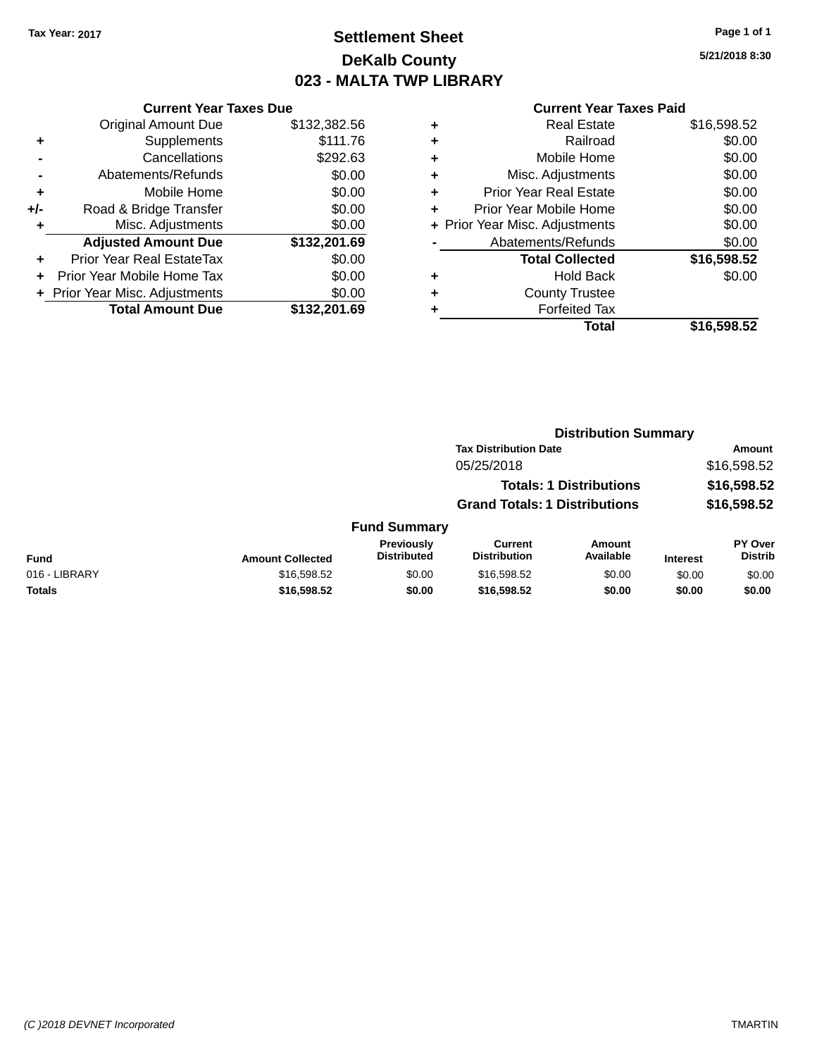## **Settlement Sheet Tax Year: 2017 Page 1 of 1 DeKalb County 023 - MALTA TWP LIBRARY**

**5/21/2018 8:30**

|     | <b>Current Year Taxes Due</b>  |              |  |  |  |  |  |
|-----|--------------------------------|--------------|--|--|--|--|--|
|     | <b>Original Amount Due</b>     | \$132,382.56 |  |  |  |  |  |
| ٠   | Supplements                    | \$111.76     |  |  |  |  |  |
|     | Cancellations                  | \$292.63     |  |  |  |  |  |
|     | Abatements/Refunds             | \$0.00       |  |  |  |  |  |
| ٠   | Mobile Home                    | \$0.00       |  |  |  |  |  |
| +/- | Road & Bridge Transfer         | \$0.00       |  |  |  |  |  |
| ٠   | Misc. Adjustments              | \$0.00       |  |  |  |  |  |
|     | <b>Adjusted Amount Due</b>     | \$132,201.69 |  |  |  |  |  |
| ÷   | Prior Year Real EstateTax      | \$0.00       |  |  |  |  |  |
|     | Prior Year Mobile Home Tax     | \$0.00       |  |  |  |  |  |
|     | + Prior Year Misc. Adjustments | \$0.00       |  |  |  |  |  |
|     | <b>Total Amount Due</b>        | \$132,201.69 |  |  |  |  |  |
|     |                                |              |  |  |  |  |  |

| ٠ | <b>Real Estate</b>             | \$16,598.52 |
|---|--------------------------------|-------------|
| ٠ | Railroad                       | \$0.00      |
| ٠ | Mobile Home                    | \$0.00      |
| ٠ | Misc. Adjustments              | \$0.00      |
| ٠ | <b>Prior Year Real Estate</b>  | \$0.00      |
| ٠ | Prior Year Mobile Home         | \$0.00      |
|   | + Prior Year Misc. Adjustments | \$0.00      |
|   | Abatements/Refunds             | \$0.00      |
|   | <b>Total Collected</b>         | \$16,598.52 |
| ٠ | Hold Back                      | \$0.00      |
| ٠ | <b>County Trustee</b>          |             |
|   | <b>Forfeited Tax</b>           |             |
|   | Total                          | \$16,598.52 |
|   |                                |             |

|                                      | <b>Tax Distribution Date</b>            |                                |                            |                                | <b>Amount</b>               |
|--------------------------------------|-----------------------------------------|--------------------------------|----------------------------|--------------------------------|-----------------------------|
|                                      |                                         | 05/25/2018                     |                            |                                | \$16,598.52                 |
|                                      |                                         |                                |                            |                                | \$16,598.52                 |
| <b>Grand Totals: 1 Distributions</b> |                                         | \$16,598.52                    |                            |                                |                             |
|                                      |                                         |                                |                            |                                |                             |
| <b>Amount Collected</b>              | <b>Previously</b><br><b>Distributed</b> | Current<br><b>Distribution</b> | <b>Amount</b><br>Available | <b>Interest</b>                | PY Over<br><b>Distrib</b>   |
| \$16,598.52                          | \$0.00                                  | \$16,598.52                    | \$0.00                     | \$0.00                         | \$0.00                      |
| \$16,598.52                          | \$0.00                                  | \$16,598.52                    | \$0.00                     | \$0.00                         | \$0.00                      |
|                                      |                                         |                                | <b>Fund Summary</b>        | <b>Totals: 1 Distributions</b> | <b>Distribution Summary</b> |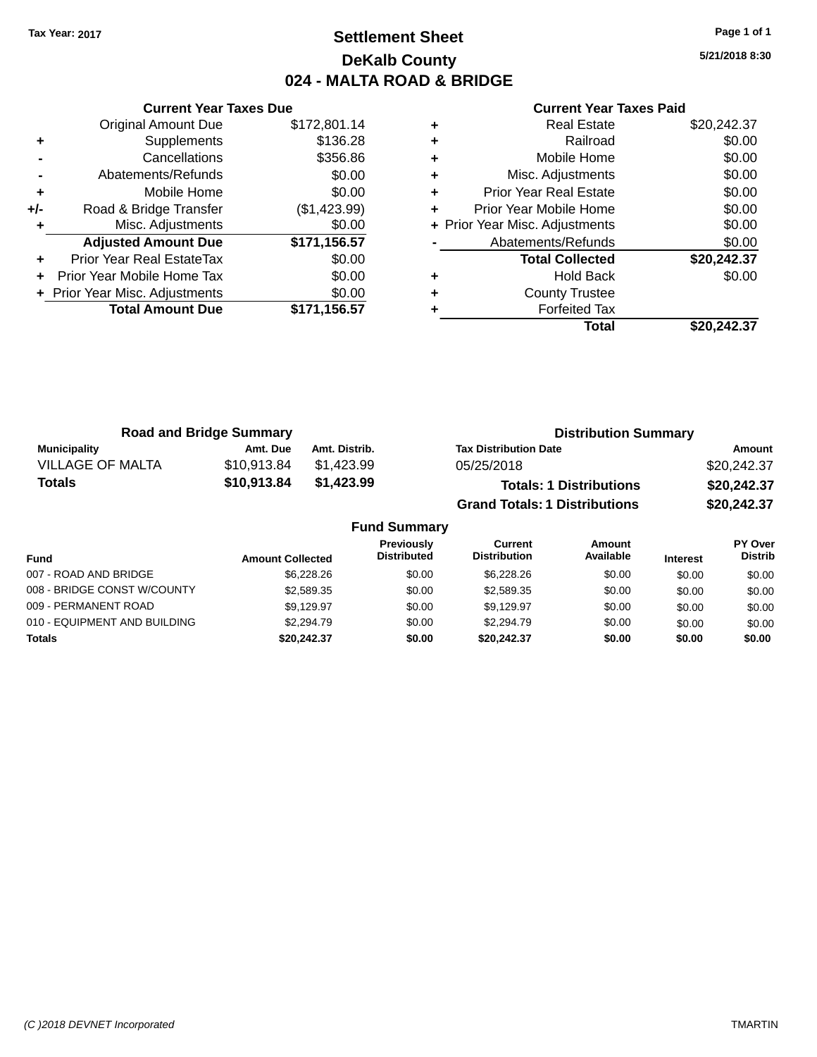## **Settlement Sheet Tax Year: 2017 Page 1 of 1 DeKalb County 024 - MALTA ROAD & BRIDGE**

**5/21/2018 8:30**

|     | <b>Current Year Taxes Due</b>  |              |
|-----|--------------------------------|--------------|
|     | <b>Original Amount Due</b>     | \$172,801.14 |
| ٠   | Supplements                    | \$136.28     |
|     | Cancellations                  | \$356.86     |
|     | Abatements/Refunds             | \$0.00       |
| ٠   | Mobile Home                    | \$0.00       |
| +/- | Road & Bridge Transfer         | (\$1,423.99) |
|     | Misc. Adjustments              | \$0.00       |
|     | <b>Adjusted Amount Due</b>     | \$171,156.57 |
| ٠   | Prior Year Real EstateTax      | \$0.00       |
| ÷   | Prior Year Mobile Home Tax     | \$0.00       |
|     | + Prior Year Misc. Adjustments | \$0.00       |
|     | <b>Total Amount Due</b>        | \$171,156.57 |
|     |                                |              |

| \$20,242.37 |
|-------------|
| \$0.00      |
| \$0.00      |
| \$0.00      |
| \$0.00      |
| \$0.00      |
| \$0.00      |
| \$0.00      |
| \$20,242.37 |
| \$0.00      |
|             |
|             |
| \$20,242.37 |
|             |

| <b>Road and Bridge Summary</b> |             |               | <b>Distribution Summary</b>          |             |
|--------------------------------|-------------|---------------|--------------------------------------|-------------|
| Municipality                   | Amt. Due    | Amt. Distrib. | <b>Tax Distribution Date</b>         | Amount      |
| <b>VILLAGE OF MALTA</b>        | \$10.913.84 | \$1.423.99    | 05/25/2018                           | \$20,242.37 |
| <b>Totals</b>                  | \$10,913.84 | \$1.423.99    | <b>Totals: 1 Distributions</b>       | \$20,242.37 |
|                                |             |               | <b>Grand Totals: 1 Distributions</b> | \$20,242.37 |

| <b>Fund Summary</b>          |                         |                                         |                                |                     |                 |                                  |
|------------------------------|-------------------------|-----------------------------------------|--------------------------------|---------------------|-----------------|----------------------------------|
| Fund                         | <b>Amount Collected</b> | <b>Previously</b><br><b>Distributed</b> | Current<br><b>Distribution</b> | Amount<br>Available | <b>Interest</b> | <b>PY Over</b><br><b>Distrib</b> |
| 007 - ROAD AND BRIDGE        | \$6,228,26              | \$0.00                                  | \$6,228,26                     | \$0.00              | \$0.00          | \$0.00                           |
| 008 - BRIDGE CONST W/COUNTY  | \$2,589.35              | \$0.00                                  | \$2,589.35                     | \$0.00              | \$0.00          | \$0.00                           |
| 009 - PERMANENT ROAD         | \$9.129.97              | \$0.00                                  | \$9.129.97                     | \$0.00              | \$0.00          | \$0.00                           |
| 010 - EQUIPMENT AND BUILDING | \$2,294.79              | \$0.00                                  | \$2,294.79                     | \$0.00              | \$0.00          | \$0.00                           |
| <b>Totals</b>                | \$20,242.37             | \$0.00                                  | \$20,242,37                    | \$0.00              | \$0.00          | \$0.00                           |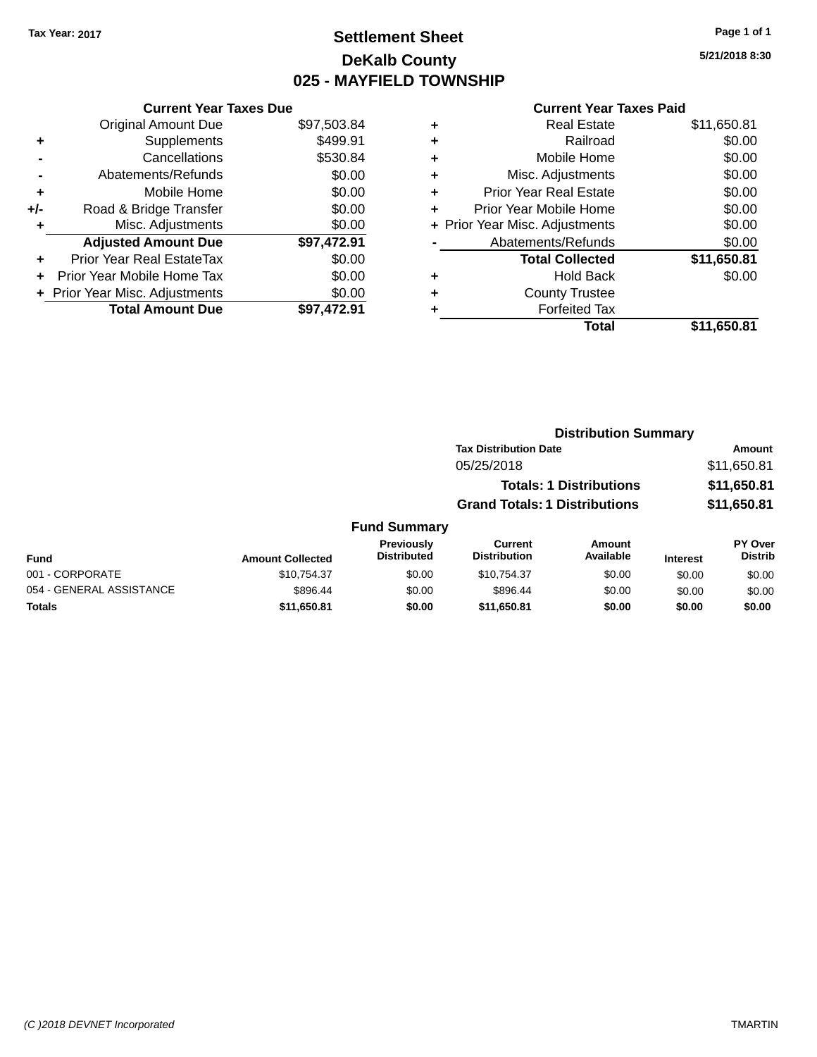## **Settlement Sheet Tax Year: 2017 Page 1 of 1 DeKalb County 025 - MAYFIELD TOWNSHIP**

**5/21/2018 8:30**

|     | <b>Current Year Taxes Due</b>  |             |
|-----|--------------------------------|-------------|
|     | <b>Original Amount Due</b>     | \$97,503.84 |
| ٠   | Supplements                    | \$499.91    |
|     | Cancellations                  | \$530.84    |
|     | Abatements/Refunds             | \$0.00      |
| ٠   | Mobile Home                    | \$0.00      |
| +/- | Road & Bridge Transfer         | \$0.00      |
|     | Misc. Adjustments              | \$0.00      |
|     | <b>Adjusted Amount Due</b>     | \$97,472.91 |
| ÷   | Prior Year Real EstateTax      | \$0.00      |
| ÷   | Prior Year Mobile Home Tax     | \$0.00      |
|     | + Prior Year Misc. Adjustments | \$0.00      |
|     | <b>Total Amount Due</b>        | \$97.472.91 |

|   | <b>Real Estate</b>             | \$11,650.81 |
|---|--------------------------------|-------------|
| ٠ | Railroad                       | \$0.00      |
| ٠ | Mobile Home                    | \$0.00      |
| ٠ | Misc. Adjustments              | \$0.00      |
| ٠ | <b>Prior Year Real Estate</b>  | \$0.00      |
| ٠ | Prior Year Mobile Home         | \$0.00      |
|   | + Prior Year Misc. Adjustments | \$0.00      |
|   | Abatements/Refunds             | \$0.00      |
|   | <b>Total Collected</b>         | \$11,650.81 |
| ٠ | <b>Hold Back</b>               | \$0.00      |
| ٠ | <b>County Trustee</b>          |             |
| ٠ | <b>Forfeited Tax</b>           |             |
|   | Total                          | \$11,650.81 |
|   |                                |             |

|                     |                                      | <b>Distribution Summary</b>    |                  |                |
|---------------------|--------------------------------------|--------------------------------|------------------|----------------|
|                     | <b>Tax Distribution Date</b>         |                                |                  | Amount         |
|                     | 05/25/2018                           |                                |                  | \$11,650.81    |
|                     |                                      | <b>Totals: 1 Distributions</b> |                  | \$11,650.81    |
|                     | <b>Grand Totals: 1 Distributions</b> |                                |                  | \$11,650.81    |
| <b>Fund Summary</b> |                                      |                                |                  |                |
| <b>Previously</b>   | <b>Current</b>                       | <b>Amount</b>                  |                  | <b>PY Over</b> |
| <b>Dictributed</b>  | <b>Dictribution</b>                  | <b>Availahla</b>               | $1.14 \pm .0.14$ | <b>Dictrib</b> |

| <b>Fund</b>              | <b>Amount Collected</b> | <b>Previously</b><br><b>Distributed</b> | Current<br><b>Distribution</b> | Amount<br>Available | <b>Interest</b> | <b>PY Over</b><br><b>Distrib</b> |
|--------------------------|-------------------------|-----------------------------------------|--------------------------------|---------------------|-----------------|----------------------------------|
| 001 - CORPORATE          | \$10.754.37             | \$0.00                                  | \$10.754.37                    | \$0.00              | \$0.00          | \$0.00                           |
| 054 - GENERAL ASSISTANCE | \$896.44                | \$0.00                                  | \$896.44                       | \$0.00              | \$0.00          | \$0.00                           |
| Totals                   | \$11,650.81             | \$0.00                                  | \$11,650.81                    | \$0.00              | \$0.00          | \$0.00                           |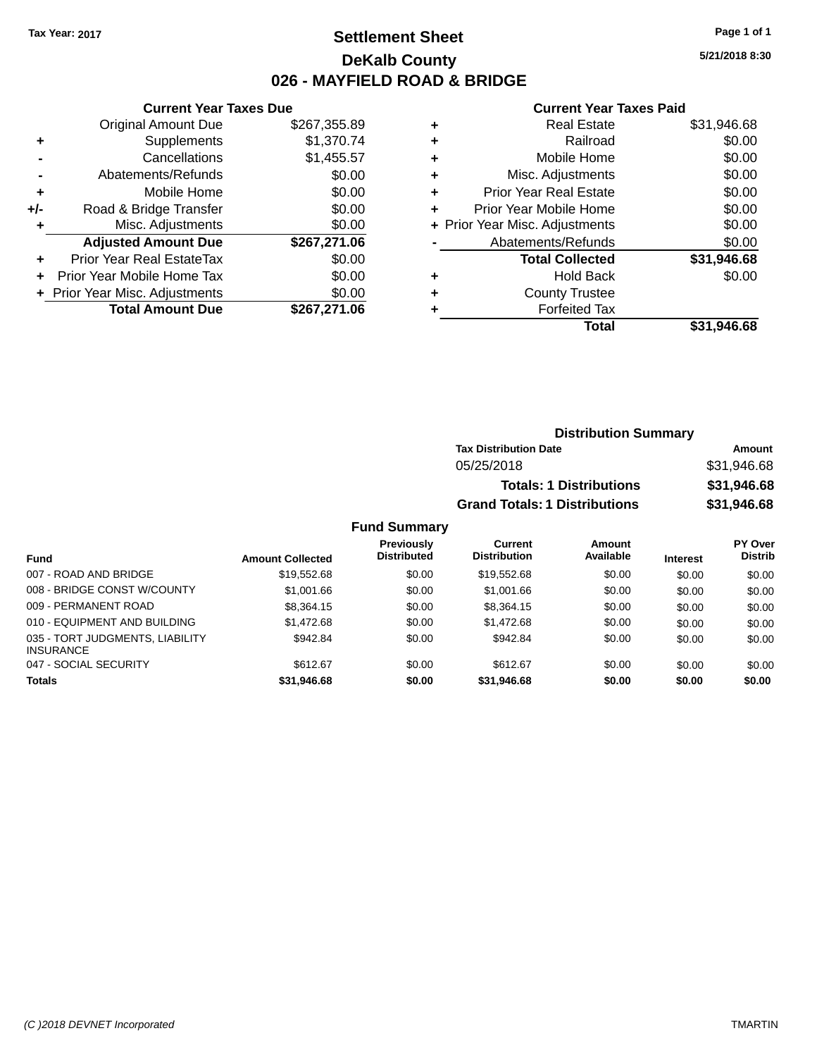## **Settlement Sheet Tax Year: 2017 Page 1 of 1 DeKalb County 026 - MAYFIELD ROAD & BRIDGE**

**5/21/2018 8:30**

#### **Current Year Taxes Paid**

| <b>Current Year Taxes Due</b> |                                |
|-------------------------------|--------------------------------|
| <b>Original Amount Due</b>    | \$267,355.89                   |
| Supplements                   | \$1,370.74                     |
| Cancellations                 | \$1,455.57                     |
| Abatements/Refunds            | \$0.00                         |
| Mobile Home                   | \$0.00                         |
| Road & Bridge Transfer        | \$0.00                         |
| Misc. Adjustments             | \$0.00                         |
| <b>Adjusted Amount Due</b>    | \$267,271.06                   |
| Prior Year Real EstateTax     | \$0.00                         |
| Prior Year Mobile Home Tax    | \$0.00                         |
|                               | \$0.00                         |
| <b>Total Amount Due</b>       | \$267,271.06                   |
|                               | + Prior Year Misc. Adjustments |

| <b>Real Estate</b>             | \$31,946.68 |
|--------------------------------|-------------|
| Railroad                       | \$0.00      |
| Mobile Home                    | \$0.00      |
| Misc. Adjustments              | \$0.00      |
| <b>Prior Year Real Estate</b>  | \$0.00      |
| Prior Year Mobile Home         | \$0.00      |
| + Prior Year Misc. Adjustments | \$0.00      |
| Abatements/Refunds             | \$0.00      |
| <b>Total Collected</b>         | \$31,946.68 |
| <b>Hold Back</b>               | \$0.00      |
| <b>County Trustee</b>          |             |
| <b>Forfeited Tax</b>           |             |
| Total                          | \$31,946.68 |
|                                |             |

| <b>Distribution Summary</b>          |             |
|--------------------------------------|-------------|
| <b>Tax Distribution Date</b>         | Amount      |
| 05/25/2018                           | \$31,946.68 |
| <b>Totals: 1 Distributions</b>       | \$31,946.68 |
| <b>Grand Totals: 1 Distributions</b> | \$31,946.68 |

| <b>Fund</b>                                         | <b>Amount Collected</b> | <b>Previously</b><br><b>Distributed</b> | Current<br><b>Distribution</b> | Amount<br>Available | <b>Interest</b> | <b>PY Over</b><br><b>Distrib</b> |
|-----------------------------------------------------|-------------------------|-----------------------------------------|--------------------------------|---------------------|-----------------|----------------------------------|
| 007 - ROAD AND BRIDGE                               | \$19,552.68             | \$0.00                                  | \$19.552.68                    | \$0.00              | \$0.00          | \$0.00                           |
| 008 - BRIDGE CONST W/COUNTY                         | \$1,001.66              | \$0.00                                  | \$1,001.66                     | \$0.00              | \$0.00          | \$0.00                           |
| 009 - PERMANENT ROAD                                | \$8,364.15              | \$0.00                                  | \$8,364.15                     | \$0.00              | \$0.00          | \$0.00                           |
| 010 - EQUIPMENT AND BUILDING                        | \$1,472.68              | \$0.00                                  | \$1,472.68                     | \$0.00              | \$0.00          | \$0.00                           |
| 035 - TORT JUDGMENTS, LIABILITY<br><b>INSURANCE</b> | \$942.84                | \$0.00                                  | \$942.84                       | \$0.00              | \$0.00          | \$0.00                           |
| 047 - SOCIAL SECURITY                               | \$612.67                | \$0.00                                  | \$612.67                       | \$0.00              | \$0.00          | \$0.00                           |
| <b>Totals</b>                                       | \$31,946.68             | \$0.00                                  | \$31.946.68                    | \$0.00              | \$0.00          | \$0.00                           |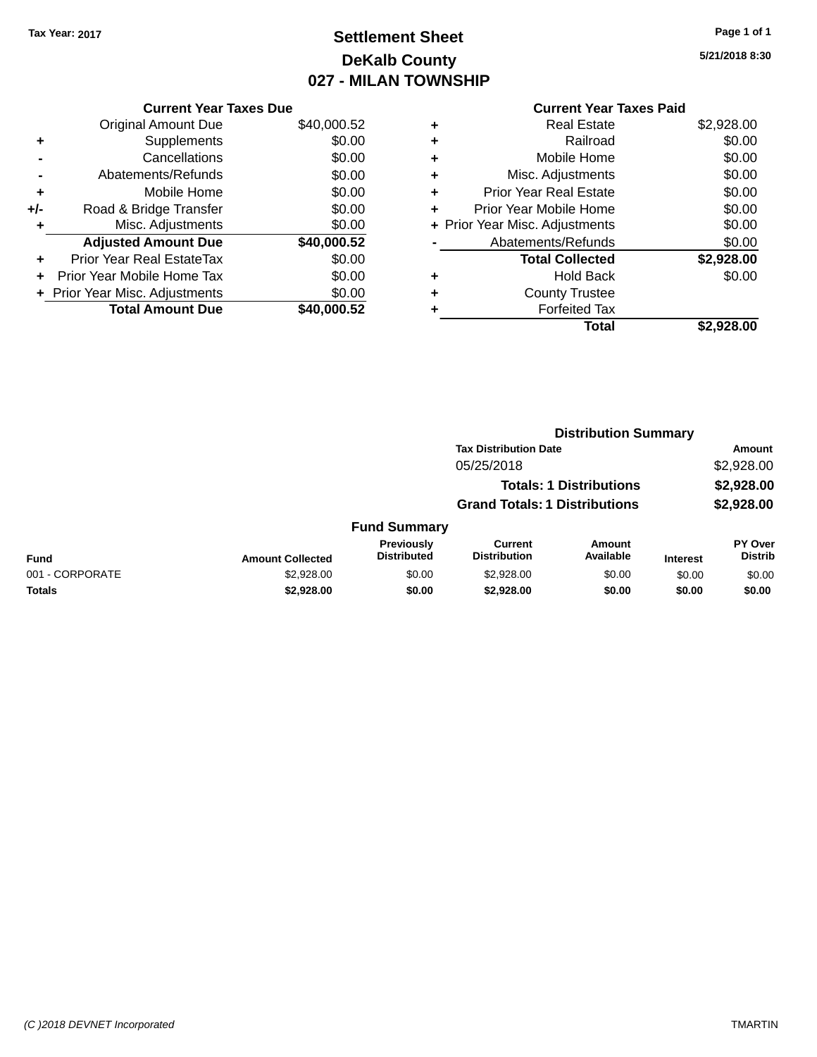## **Settlement Sheet Tax Year: 2017 Page 1 of 1 DeKalb County 027 - MILAN TOWNSHIP**

**5/21/2018 8:30**

|     | <b>Current Year Taxes Due</b>  |             |
|-----|--------------------------------|-------------|
|     | <b>Original Amount Due</b>     | \$40,000.52 |
| ٠   | Supplements                    | \$0.00      |
|     | Cancellations                  | \$0.00      |
|     | Abatements/Refunds             | \$0.00      |
| ٠   | Mobile Home                    | \$0.00      |
| +/- | Road & Bridge Transfer         | \$0.00      |
|     | Misc. Adjustments              | \$0.00      |
|     | <b>Adjusted Amount Due</b>     | \$40,000.52 |
| ٠   | Prior Year Real EstateTax      | \$0.00      |
|     | Prior Year Mobile Home Tax     | \$0.00      |
|     | + Prior Year Misc. Adjustments | \$0.00      |
|     | <b>Total Amount Due</b>        | \$40,000.52 |
|     |                                |             |

|   | <b>Current Year Taxes Paid</b> |            |
|---|--------------------------------|------------|
| ٠ | <b>Real Estate</b>             | \$2,928.00 |
| ٠ | Railroad                       | \$0.00     |
| ٠ | Mobile Home                    | \$0.00     |
| ٠ | Misc. Adjustments              | \$0.00     |
| ٠ | <b>Prior Year Real Estate</b>  | \$0.00     |
| ٠ | Prior Year Mobile Home         | \$0.00     |
|   | + Prior Year Misc. Adjustments | \$0.00     |
|   | Abatements/Refunds             | \$0.00     |
|   | <b>Total Collected</b>         | \$2,928.00 |
| ٠ | <b>Hold Back</b>               | \$0.00     |
| ٠ | <b>County Trustee</b>          |            |
|   | <b>Forfeited Tax</b>           |            |
|   | <b>Total</b>                   | \$2,928.00 |
|   |                                |            |

|                 |                         |                                  | <b>Distribution Summary</b>           |                                |                 |                                  |
|-----------------|-------------------------|----------------------------------|---------------------------------------|--------------------------------|-----------------|----------------------------------|
|                 |                         |                                  | <b>Tax Distribution Date</b>          |                                |                 | Amount                           |
|                 |                         |                                  | 05/25/2018                            |                                |                 | \$2,928.00                       |
|                 |                         |                                  |                                       | <b>Totals: 1 Distributions</b> |                 | \$2,928.00                       |
|                 |                         |                                  | <b>Grand Totals: 1 Distributions</b>  |                                |                 | \$2,928.00                       |
|                 |                         | <b>Fund Summary</b>              |                                       |                                |                 |                                  |
| <b>Fund</b>     | <b>Amount Collected</b> | Previously<br><b>Distributed</b> | <b>Current</b><br><b>Distribution</b> | Amount<br>Available            | <b>Interest</b> | <b>PY Over</b><br><b>Distrib</b> |
| 001 - CORPORATE | \$2,928.00              | \$0.00                           | \$2,928.00                            | \$0.00                         | \$0.00          | \$0.00                           |
| Totals          | \$2,928.00              | \$0.00                           | \$2,928.00                            | \$0.00                         | \$0.00          | \$0.00                           |
|                 |                         |                                  |                                       |                                |                 |                                  |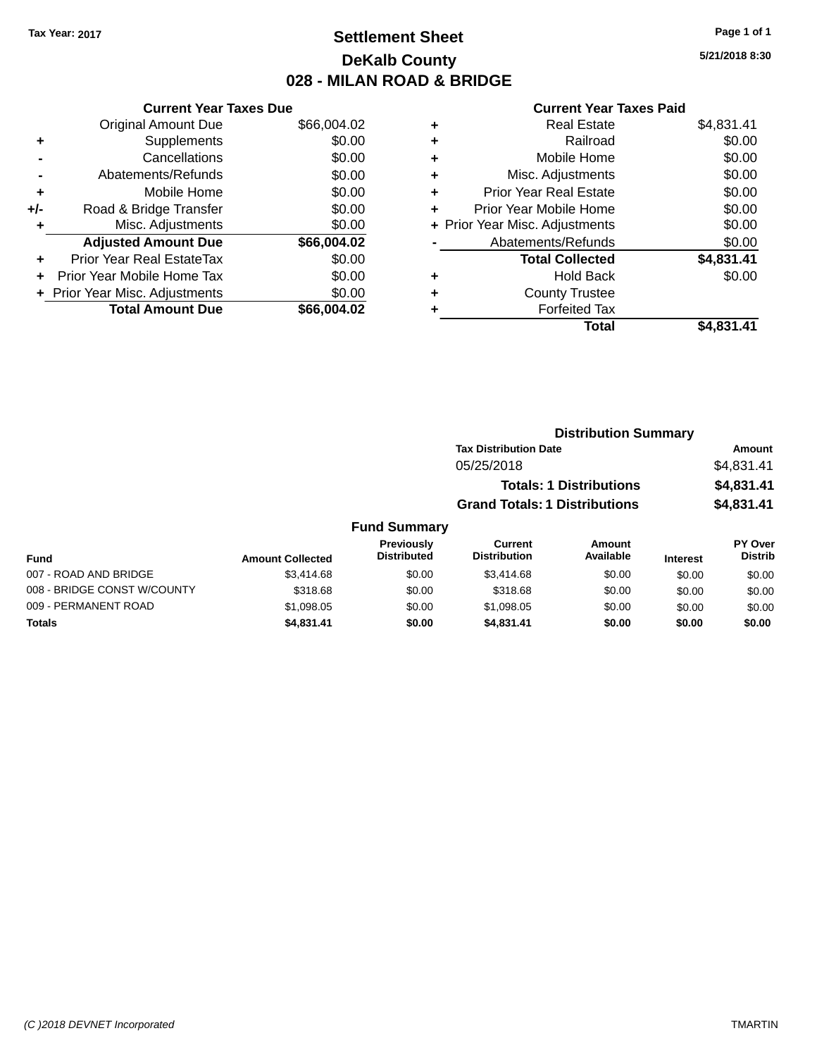## **Settlement Sheet Tax Year: 2017 Page 1 of 1 DeKalb County 028 - MILAN ROAD & BRIDGE**

**5/21/2018 8:30**

|     | <b>Current Year Taxes Due</b>  |             |  |  |  |  |
|-----|--------------------------------|-------------|--|--|--|--|
|     | <b>Original Amount Due</b>     | \$66,004.02 |  |  |  |  |
| ٠   | Supplements                    | \$0.00      |  |  |  |  |
|     | Cancellations                  | \$0.00      |  |  |  |  |
|     | Abatements/Refunds             | \$0.00      |  |  |  |  |
| ٠   | Mobile Home                    | \$0.00      |  |  |  |  |
| +/- | Road & Bridge Transfer         | \$0.00      |  |  |  |  |
| ٠   | Misc. Adjustments              | \$0.00      |  |  |  |  |
|     | <b>Adjusted Amount Due</b>     | \$66,004.02 |  |  |  |  |
| ÷   | Prior Year Real EstateTax      | \$0.00      |  |  |  |  |
|     | Prior Year Mobile Home Tax     | \$0.00      |  |  |  |  |
|     | + Prior Year Misc. Adjustments | \$0.00      |  |  |  |  |
|     | <b>Total Amount Due</b>        | \$66.004.02 |  |  |  |  |
|     |                                |             |  |  |  |  |

| ٠ | <b>Real Estate</b>             | \$4,831.41 |
|---|--------------------------------|------------|
| ٠ | Railroad                       | \$0.00     |
| ٠ | Mobile Home                    | \$0.00     |
| ٠ | Misc. Adjustments              | \$0.00     |
| ٠ | <b>Prior Year Real Estate</b>  | \$0.00     |
| ÷ | Prior Year Mobile Home         | \$0.00     |
|   | + Prior Year Misc. Adjustments | \$0.00     |
|   | Abatements/Refunds             | \$0.00     |
|   | <b>Total Collected</b>         | \$4,831.41 |
| ٠ | <b>Hold Back</b>               | \$0.00     |
| ٠ | <b>County Trustee</b>          |            |
|   | <b>Forfeited Tax</b>           |            |
|   | Total                          | \$4,831.41 |
|   |                                |            |

|                       |                         |                                         | <b>Distribution Summary</b>          |                                |                 |                           |  |
|-----------------------|-------------------------|-----------------------------------------|--------------------------------------|--------------------------------|-----------------|---------------------------|--|
|                       |                         |                                         | <b>Tax Distribution Date</b>         |                                |                 | Amount                    |  |
|                       |                         |                                         | 05/25/2018                           |                                |                 | \$4,831.41                |  |
|                       |                         |                                         |                                      | <b>Totals: 1 Distributions</b> |                 | \$4,831.41                |  |
|                       |                         |                                         | <b>Grand Totals: 1 Distributions</b> |                                |                 | \$4,831.41                |  |
|                       |                         | <b>Fund Summary</b>                     |                                      |                                |                 |                           |  |
| <b>Fund</b>           | <b>Amount Collected</b> | <b>Previously</b><br><b>Distributed</b> | Current<br><b>Distribution</b>       | Amount<br>Available            | <b>Interest</b> | PY Over<br><b>Distrib</b> |  |
| 007 - ROAD AND BRIDGE | $Q2$ $A1$ $A$ $B$       | AN UU                                   | $Q2$ $A1$ $A$ $B2$                   | <b>AO OO</b>                   | CD, CD          | CD, CD                    |  |

| ีนเเน                       | AMVUN CONGCLEU |        |            | - - - - - - - - - - - - | ilitel est | -------- |
|-----------------------------|----------------|--------|------------|-------------------------|------------|----------|
| 007 - ROAD AND BRIDGE       | \$3,414.68     | \$0.00 | \$3.414.68 | \$0.00                  | \$0.00     | \$0.00   |
| 008 - BRIDGE CONST W/COUNTY | \$318.68       | \$0.00 | \$318.68   | \$0.00                  | \$0.00     | \$0.00   |
| 009 - PERMANENT ROAD        | \$1,098.05     | \$0.00 | \$1,098.05 | \$0.00                  | \$0.00     | \$0.00   |
| <b>Totals</b>               | \$4,831.41     | \$0.00 | \$4.831.41 | \$0.00                  | \$0.00     | \$0.00   |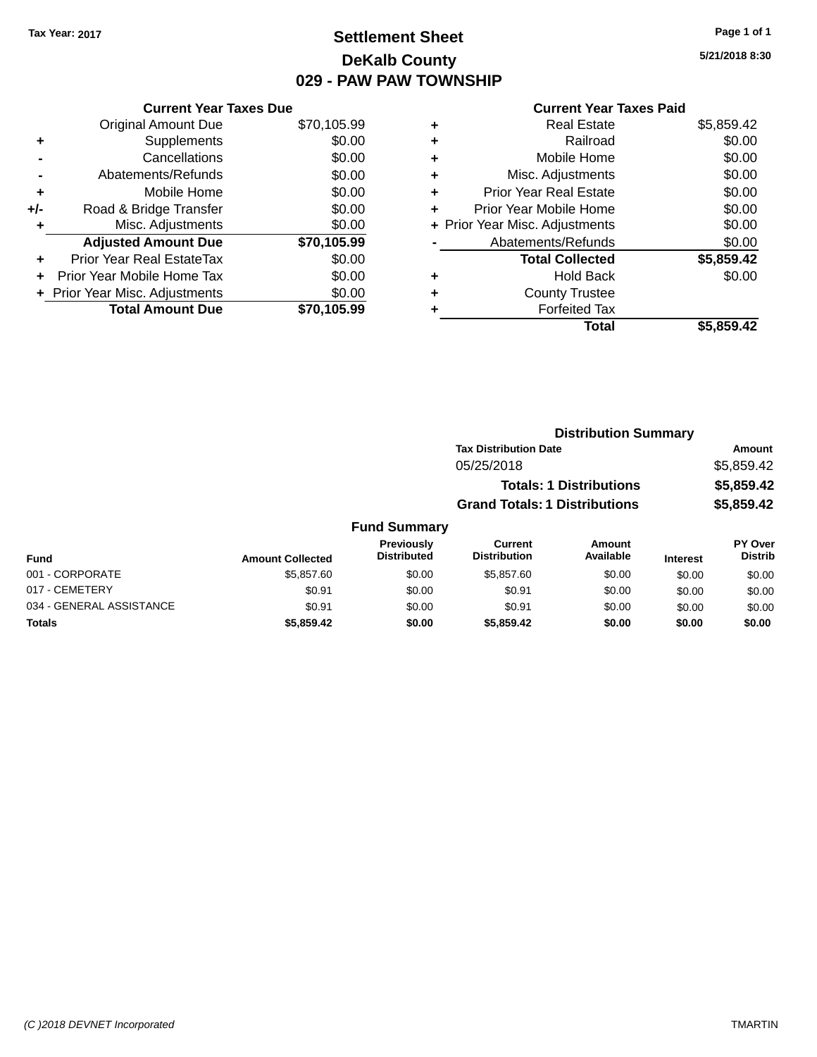## **Settlement Sheet Tax Year: 2017 Page 1 of 1 DeKalb County 029 - PAW PAW TOWNSHIP**

**Current Year Taxes Due** Original Amount Due \$70,105.99<br>Supplements \$0.00 **+**  $\sum_{n=1}^{\infty}$  Supplements **-** Cancellations \$0.00 **-** Abatements/Refunds \$0.00 **+** Mobile Home \$0.00 **+/-** Road & Bridge Transfer **\$0.00** 

|     | <b>Total Amount Due</b>        | \$70,105.99 |
|-----|--------------------------------|-------------|
|     | + Prior Year Misc. Adjustments | \$0.00      |
|     | Prior Year Mobile Home Tax     | \$0.00      |
| ÷   | Prior Year Real EstateTax      | \$0.00      |
|     | <b>Adjusted Amount Due</b>     | \$70,105.99 |
|     | Misc. Adjustments              | \$0.00      |
| ⊦/- | Road & Bridge Transfer         | \$0.00      |

#### **Current Year Taxes Paid**

|   | <b>Real Estate</b>             | \$5,859.42 |
|---|--------------------------------|------------|
| ٠ | Railroad                       | \$0.00     |
| ٠ | Mobile Home                    | \$0.00     |
| ٠ | Misc. Adjustments              | \$0.00     |
| ٠ | <b>Prior Year Real Estate</b>  | \$0.00     |
|   | Prior Year Mobile Home         | \$0.00     |
|   | + Prior Year Misc. Adjustments | \$0.00     |
|   | Abatements/Refunds             | \$0.00     |
|   | <b>Total Collected</b>         | \$5,859.42 |
| ٠ | Hold Back                      | \$0.00     |
|   | <b>County Trustee</b>          |            |
|   | <b>Forfeited Tax</b>           |            |
|   | Total                          | \$5.859.42 |
|   |                                |            |

| <b>Distribution Summary</b>  |            |
|------------------------------|------------|
| <b>Tax Distribution Date</b> | Amount     |
| 05/25/2018                   | \$5,859.42 |

| <b>Totals: 1 Distributions</b> | \$5,859.42 |
|--------------------------------|------------|
| Grand Totals: 1 Distributions  | \$5,859.42 |

| Fund                     | <b>Amount Collected</b> | <b>Previously</b><br><b>Distributed</b> | Current<br><b>Distribution</b> | Amount<br>Available | <b>Interest</b> | PY Over<br><b>Distrib</b> |
|--------------------------|-------------------------|-----------------------------------------|--------------------------------|---------------------|-----------------|---------------------------|
| 001 - CORPORATE          | \$5,857,60              | \$0.00                                  | \$5,857.60                     | \$0.00              | \$0.00          | \$0.00                    |
| 017 - CEMETERY           | \$0.91                  | \$0.00                                  | \$0.91                         | \$0.00              | \$0.00          | \$0.00                    |
| 034 - GENERAL ASSISTANCE | \$0.91                  | \$0.00                                  | \$0.91                         | \$0.00              | \$0.00          | \$0.00                    |
| <b>Totals</b>            | \$5,859,42              | \$0.00                                  | \$5,859.42                     | \$0.00              | \$0.00          | \$0.00                    |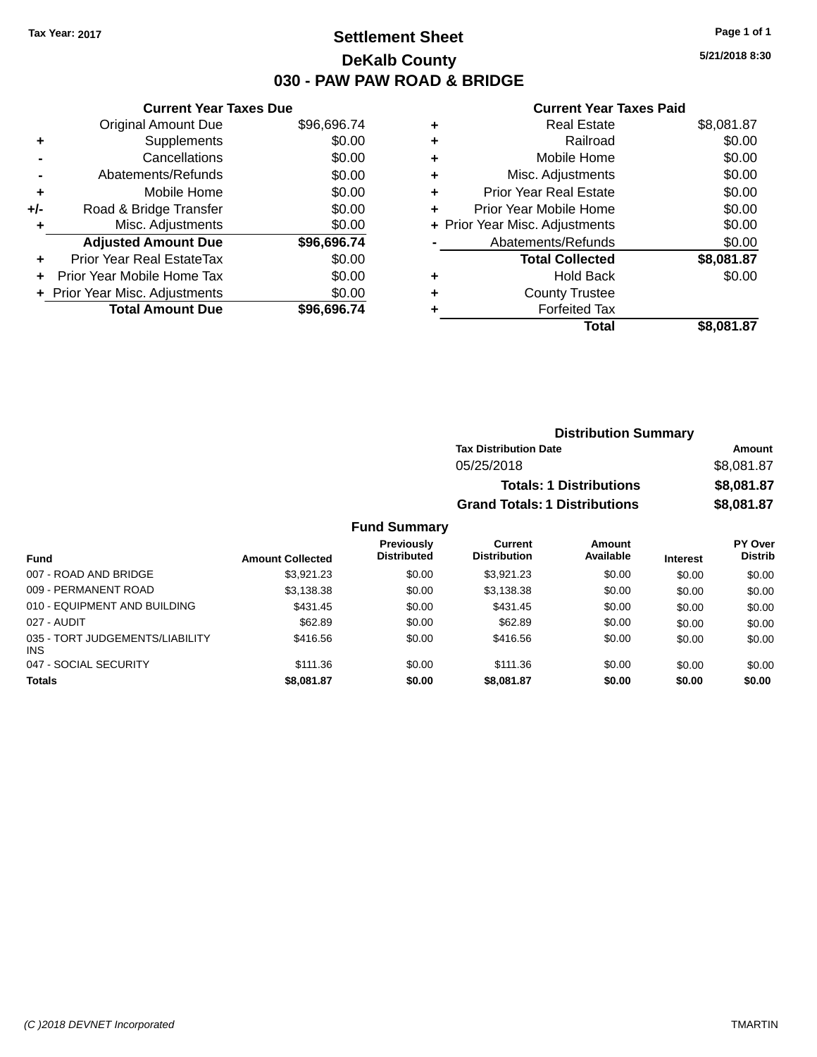## **Settlement Sheet Tax Year: 2017 Page 1 of 1 DeKalb County 030 - PAW PAW ROAD & BRIDGE**

**5/21/2018 8:30**

#### **Current Year Taxes Paid**

| <b>Original Amount Due</b>   | \$96,696.74                   |
|------------------------------|-------------------------------|
| Supplements                  | \$0.00                        |
| Cancellations                | \$0.00                        |
| Abatements/Refunds           | \$0.00                        |
| Mobile Home                  | \$0.00                        |
| Road & Bridge Transfer       | \$0.00                        |
| Misc. Adjustments            | \$0.00                        |
| <b>Adjusted Amount Due</b>   | \$96,696.74                   |
| Prior Year Real EstateTax    | \$0.00                        |
| Prior Year Mobile Home Tax   | \$0.00                        |
| Prior Year Misc. Adjustments | \$0.00                        |
| <b>Total Amount Due</b>      | \$96,696,74                   |
|                              | <b>Current Year Taxes Due</b> |

|   | <b>Real Estate</b>             | \$8,081.87 |
|---|--------------------------------|------------|
| ٠ | Railroad                       | \$0.00     |
| ٠ | Mobile Home                    | \$0.00     |
| ٠ | Misc. Adjustments              | \$0.00     |
| ٠ | <b>Prior Year Real Estate</b>  | \$0.00     |
| ٠ | Prior Year Mobile Home         | \$0.00     |
|   | + Prior Year Misc. Adjustments | \$0.00     |
|   | Abatements/Refunds             | \$0.00     |
|   | <b>Total Collected</b>         | \$8,081.87 |
| ٠ | <b>Hold Back</b>               | \$0.00     |
| ٠ | <b>County Trustee</b>          |            |
| ٠ | <b>Forfeited Tax</b>           |            |
|   | Total                          | \$8,081.87 |
|   |                                |            |

| <b>Distribution Summary</b>          |            |
|--------------------------------------|------------|
| <b>Tax Distribution Date</b>         | Amount     |
| 05/25/2018                           | \$8,081.87 |
| <b>Totals: 1 Distributions</b>       | \$8,081.87 |
| <b>Grand Totals: 1 Distributions</b> | \$8,081.87 |

| <b>Fund</b>                                   | <b>Amount Collected</b> | <b>Previously</b><br><b>Distributed</b> | Current<br><b>Distribution</b> | <b>Amount</b><br>Available | <b>Interest</b> | <b>PY Over</b><br><b>Distrib</b> |
|-----------------------------------------------|-------------------------|-----------------------------------------|--------------------------------|----------------------------|-----------------|----------------------------------|
| 007 - ROAD AND BRIDGE                         | \$3.921.23              | \$0.00                                  | \$3.921.23                     | \$0.00                     | \$0.00          | \$0.00                           |
| 009 - PERMANENT ROAD                          | \$3,138.38              | \$0.00                                  | \$3.138.38                     | \$0.00                     | \$0.00          | \$0.00                           |
| 010 - EQUIPMENT AND BUILDING                  | \$431.45                | \$0.00                                  | \$431.45                       | \$0.00                     | \$0.00          | \$0.00                           |
| 027 - AUDIT                                   | \$62.89                 | \$0.00                                  | \$62.89                        | \$0.00                     | \$0.00          | \$0.00                           |
| 035 - TORT JUDGEMENTS/LIABILITY<br><b>INS</b> | \$416.56                | \$0.00                                  | \$416.56                       | \$0.00                     | \$0.00          | \$0.00                           |
| 047 - SOCIAL SECURITY                         | \$111.36                | \$0.00                                  | \$111.36                       | \$0.00                     | \$0.00          | \$0.00                           |
| <b>Totals</b>                                 | \$8,081.87              | \$0.00                                  | \$8,081.87                     | \$0.00                     | \$0.00          | \$0.00                           |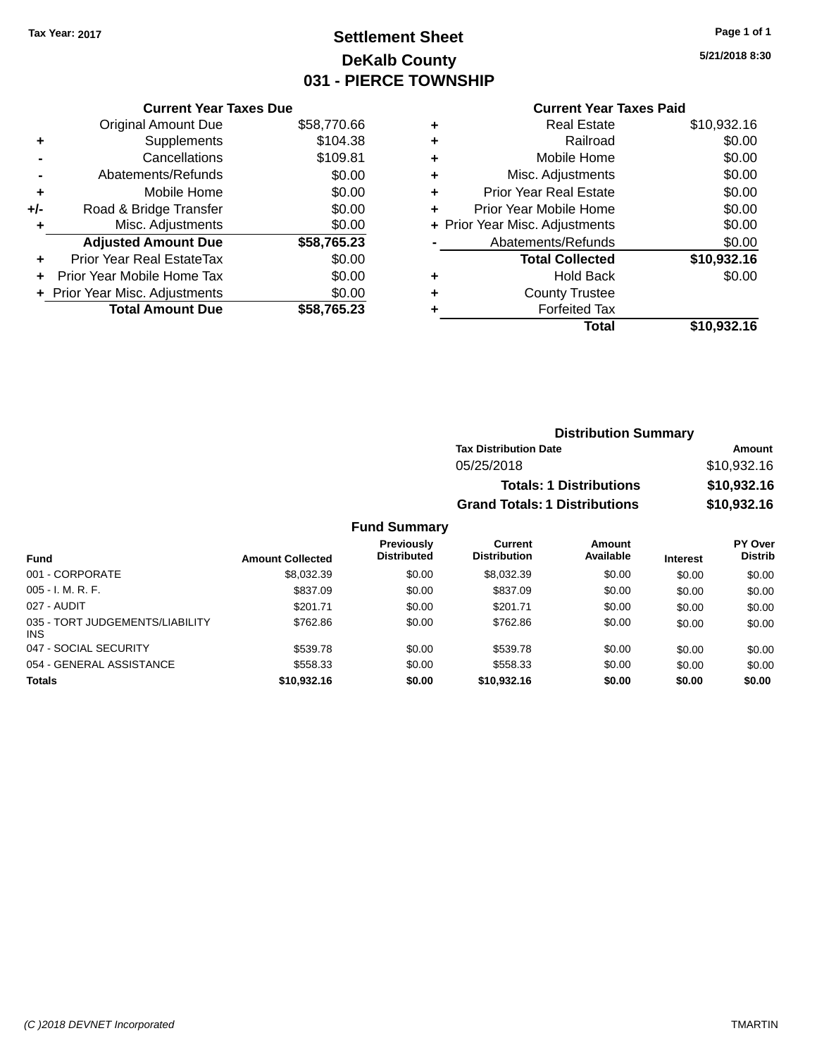## **Settlement Sheet Tax Year: 2017 Page 1 of 1 DeKalb County 031 - PIERCE TOWNSHIP**

**5/21/2018 8:30**

## **Current Year Taxes Paid**

| <b>Current Year Taxes Due</b> |             |
|-------------------------------|-------------|
| <b>Original Amount Due</b>    | \$58,770.66 |
| Supplements                   | \$104.38    |
| Cancellations                 | \$109.81    |
| Abatements/Refunds            | \$0.00      |
| Mobile Home                   | \$0.00      |
| Road & Bridge Transfer        | \$0.00      |
| Misc. Adjustments             | \$0.00      |
| <b>Adjusted Amount Due</b>    | \$58,765.23 |
| Prior Year Real EstateTax     | \$0.00      |
| Prior Year Mobile Home Tax    | \$0.00      |
| Prior Year Misc. Adjustments  | \$0.00      |
| <b>Total Amount Due</b>       | \$58.765.23 |
|                               |             |

|   | <b>Real Estate</b>             | \$10,932.16 |
|---|--------------------------------|-------------|
| ٠ | Railroad                       | \$0.00      |
| ٠ | Mobile Home                    | \$0.00      |
| ٠ | Misc. Adjustments              | \$0.00      |
| ٠ | <b>Prior Year Real Estate</b>  | \$0.00      |
| ٠ | Prior Year Mobile Home         | \$0.00      |
|   | + Prior Year Misc. Adjustments | \$0.00      |
|   | Abatements/Refunds             | \$0.00      |
|   | <b>Total Collected</b>         | \$10,932.16 |
| ٠ | <b>Hold Back</b>               | \$0.00      |
| ٠ | <b>County Trustee</b>          |             |
| ٠ | <b>Forfeited Tax</b>           |             |
|   | Total                          | \$10,932.16 |
|   |                                |             |

## **Distribution Summary Tax Distribution Date Amount** 05/25/2018 \$10,932.16 **Totals: 1 Distributions \$10,932.16 Grand Totals: 1 Distributions \$10,932.16**

| <b>Fund</b>                                   | <b>Amount Collected</b> | Previously<br><b>Distributed</b> | Current<br><b>Distribution</b> | Amount<br>Available | <b>Interest</b> | PY Over<br><b>Distrib</b> |
|-----------------------------------------------|-------------------------|----------------------------------|--------------------------------|---------------------|-----------------|---------------------------|
| 001 - CORPORATE                               | \$8,032.39              | \$0.00                           | \$8,032.39                     | \$0.00              | \$0.00          | \$0.00                    |
| $005 - I. M. R. F.$                           | \$837.09                | \$0.00                           | \$837.09                       | \$0.00              | \$0.00          | \$0.00                    |
| 027 - AUDIT                                   | \$201.71                | \$0.00                           | \$201.71                       | \$0.00              | \$0.00          | \$0.00                    |
| 035 - TORT JUDGEMENTS/LIABILITY<br><b>INS</b> | \$762.86                | \$0.00                           | \$762.86                       | \$0.00              | \$0.00          | \$0.00                    |
| 047 - SOCIAL SECURITY                         | \$539.78                | \$0.00                           | \$539.78                       | \$0.00              | \$0.00          | \$0.00                    |
| 054 - GENERAL ASSISTANCE                      | \$558.33                | \$0.00                           | \$558.33                       | \$0.00              | \$0.00          | \$0.00                    |
| <b>Totals</b>                                 | \$10,932.16             | \$0.00                           | \$10,932.16                    | \$0.00              | \$0.00          | \$0.00                    |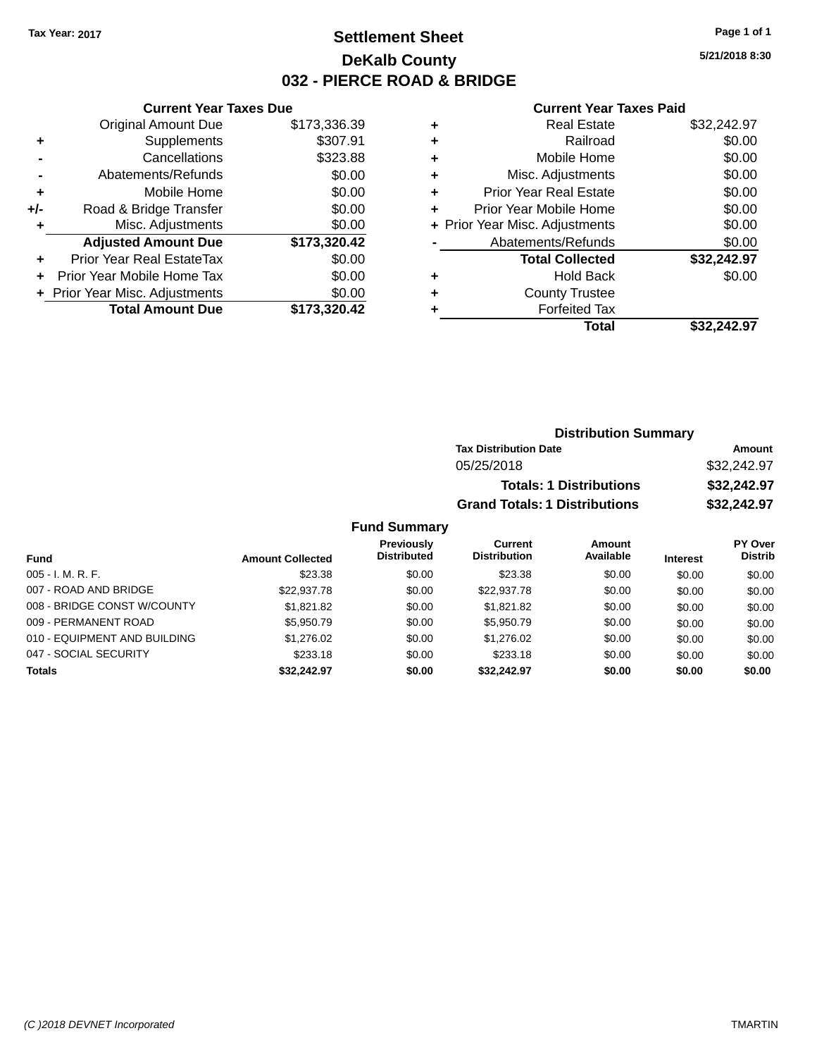## **Settlement Sheet Tax Year: 2017 Page 1 of 1 DeKalb County 032 - PIERCE ROAD & BRIDGE**

**5/21/2018 8:30**

#### **Current Year Taxes Paid**

|       | <b>Current Year Taxes Due</b>  |              |
|-------|--------------------------------|--------------|
|       | <b>Original Amount Due</b>     | \$173,336.39 |
| ٠     | Supplements                    | \$307.91     |
|       | Cancellations                  | \$323.88     |
|       | Abatements/Refunds             | \$0.00       |
| ٠     | Mobile Home                    | \$0.00       |
| $+/-$ | Road & Bridge Transfer         | \$0.00       |
| ٠     | Misc. Adjustments              | \$0.00       |
|       | <b>Adjusted Amount Due</b>     | \$173,320.42 |
| ٠     | Prior Year Real EstateTax      | \$0.00       |
|       | Prior Year Mobile Home Tax     | \$0.00       |
|       | + Prior Year Misc. Adjustments | \$0.00       |
|       | <b>Total Amount Due</b>        | \$173,320.42 |
|       |                                |              |

| ٠ | <b>Real Estate</b>             | \$32,242.97 |
|---|--------------------------------|-------------|
| ٠ | Railroad                       | \$0.00      |
| ٠ | Mobile Home                    | \$0.00      |
| ٠ | Misc. Adjustments              | \$0.00      |
| ٠ | <b>Prior Year Real Estate</b>  | \$0.00      |
| ÷ | Prior Year Mobile Home         | \$0.00      |
|   | + Prior Year Misc. Adjustments | \$0.00      |
|   | Abatements/Refunds             | \$0.00      |
|   | <b>Total Collected</b>         | \$32,242.97 |
| ٠ | <b>Hold Back</b>               | \$0.00      |
|   | <b>County Trustee</b>          |             |
| ٠ | <b>Forfeited Tax</b>           |             |
|   | Total                          | \$32.242.97 |
|   |                                |             |

| <b>Distribution Summary</b>          |             |
|--------------------------------------|-------------|
| <b>Tax Distribution Date</b>         | Amount      |
| 05/25/2018                           | \$32,242.97 |
| <b>Totals: 1 Distributions</b>       | \$32,242.97 |
| <b>Grand Totals: 1 Distributions</b> | \$32,242.97 |

| Fund                         | <b>Amount Collected</b> | Previously<br><b>Distributed</b> | Current<br><b>Distribution</b> | Amount<br>Available | <b>Interest</b> | PY Over<br><b>Distrib</b> |
|------------------------------|-------------------------|----------------------------------|--------------------------------|---------------------|-----------------|---------------------------|
| $005 - I. M. R. F.$          | \$23.38                 | \$0.00                           | \$23.38                        | \$0.00              | \$0.00          | \$0.00                    |
| 007 - ROAD AND BRIDGE        | \$22,937.78             | \$0.00                           | \$22,937.78                    | \$0.00              | \$0.00          | \$0.00                    |
| 008 - BRIDGE CONST W/COUNTY  | \$1.821.82              | \$0.00                           | \$1,821.82                     | \$0.00              | \$0.00          | \$0.00                    |
| 009 - PERMANENT ROAD         | \$5.950.79              | \$0.00                           | \$5,950.79                     | \$0.00              | \$0.00          | \$0.00                    |
| 010 - EQUIPMENT AND BUILDING | \$1.276.02              | \$0.00                           | \$1,276.02                     | \$0.00              | \$0.00          | \$0.00                    |
| 047 - SOCIAL SECURITY        | \$233.18                | \$0.00                           | \$233.18                       | \$0.00              | \$0.00          | \$0.00                    |
| <b>Totals</b>                | \$32.242.97             | \$0.00                           | \$32.242.97                    | \$0.00              | \$0.00          | \$0.00                    |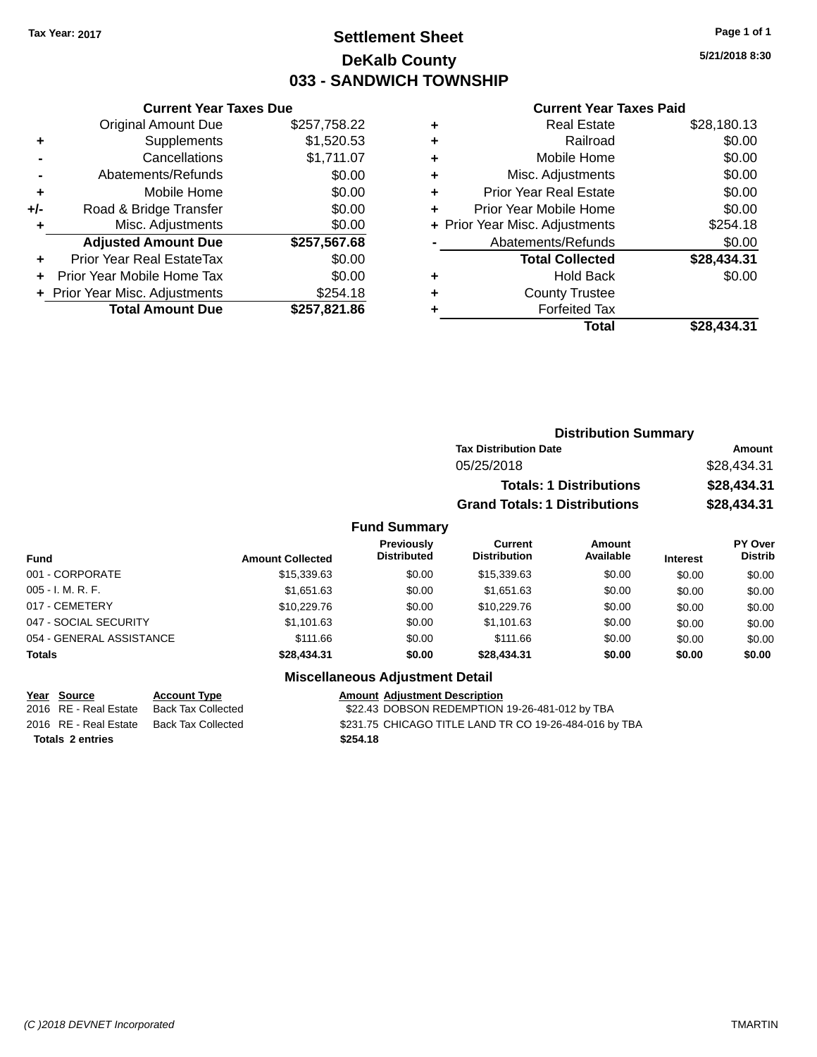## **Settlement Sheet Tax Year: 2017 Page 1 of 1 DeKalb County 033 - SANDWICH TOWNSHIP**

**5/21/2018 8:30**

#### **Current Year Taxes Paid**

|       | <b>Current Year Taxes Due</b>              |              |  |  |  |
|-------|--------------------------------------------|--------------|--|--|--|
|       | \$257,758.22<br><b>Original Amount Due</b> |              |  |  |  |
| ٠     | Supplements                                | \$1,520.53   |  |  |  |
|       | Cancellations                              | \$1,711.07   |  |  |  |
|       | Abatements/Refunds                         | \$0.00       |  |  |  |
| ÷     | Mobile Home                                | \$0.00       |  |  |  |
| $+/-$ | Road & Bridge Transfer                     | \$0.00       |  |  |  |
|       | \$0.00<br>Misc. Adjustments                |              |  |  |  |
|       | <b>Adjusted Amount Due</b>                 | \$257,567.68 |  |  |  |
| ÷     | Prior Year Real EstateTax                  | \$0.00       |  |  |  |
|       | Prior Year Mobile Home Tax                 | \$0.00       |  |  |  |
|       | + Prior Year Misc. Adjustments             | \$254.18     |  |  |  |
|       | <b>Total Amount Due</b>                    | \$257,821.86 |  |  |  |
|       |                                            |              |  |  |  |

| ٠ | <b>Real Estate</b>             | \$28,180.13 |
|---|--------------------------------|-------------|
| ٠ | Railroad                       | \$0.00      |
| ٠ | Mobile Home                    | \$0.00      |
| ٠ | Misc. Adjustments              | \$0.00      |
| ٠ | <b>Prior Year Real Estate</b>  | \$0.00      |
| ٠ | Prior Year Mobile Home         | \$0.00      |
|   | + Prior Year Misc. Adjustments | \$254.18    |
|   | Abatements/Refunds             | \$0.00      |
|   | <b>Total Collected</b>         | \$28,434.31 |
| ٠ | <b>Hold Back</b>               | \$0.00      |
| ٠ | <b>County Trustee</b>          |             |
| ٠ | <b>Forfeited Tax</b>           |             |
|   | Total                          | \$28,434.31 |
|   |                                |             |

|                     | <b>Distribution Summary</b>          |             |
|---------------------|--------------------------------------|-------------|
|                     | <b>Tax Distribution Date</b>         | Amount      |
|                     | 05/25/2018                           | \$28,434.31 |
|                     | <b>Totals: 1 Distributions</b>       | \$28,434.31 |
|                     | <b>Grand Totals: 1 Distributions</b> | \$28,434.31 |
| <b>Fund Summary</b> |                                      |             |

| <b>Fund</b>              | <b>Amount Collected</b> | <b>Previously</b><br><b>Distributed</b> | Current<br><b>Distribution</b> | <b>Amount</b><br>Available | <b>Interest</b> | PY Over<br><b>Distrib</b> |
|--------------------------|-------------------------|-----------------------------------------|--------------------------------|----------------------------|-----------------|---------------------------|
| 001 - CORPORATE          | \$15,339.63             | \$0.00                                  | \$15,339.63                    | \$0.00                     | \$0.00          | \$0.00                    |
| 005 - I. M. R. F.        | \$1,651.63              | \$0.00                                  | \$1,651.63                     | \$0.00                     | \$0.00          | \$0.00                    |
| 017 - CEMETERY           | \$10,229.76             | \$0.00                                  | \$10,229.76                    | \$0.00                     | \$0.00          | \$0.00                    |
| 047 - SOCIAL SECURITY    | \$1,101.63              | \$0.00                                  | \$1,101.63                     | \$0.00                     | \$0.00          | \$0.00                    |
| 054 - GENERAL ASSISTANCE | \$111.66                | \$0.00                                  | \$111.66                       | \$0.00                     | \$0.00          | \$0.00                    |
| <b>Totals</b>            | \$28,434.31             | \$0.00                                  | \$28,434.31                    | \$0.00                     | \$0.00          | \$0.00                    |
|                          |                         |                                         |                                |                            |                 |                           |

## **Miscellaneous Adjustment Detail**

|                         | Year Source           | <b>Account Type</b>                      | <b>Amount Adiustment Description</b>                   |
|-------------------------|-----------------------|------------------------------------------|--------------------------------------------------------|
|                         | 2016 RE - Real Estate | Back Tax Collected                       | \$22.43 DOBSON REDEMPTION 19-26-481-012 by TBA         |
|                         |                       | 2016 RE - Real Estate Back Tax Collected | \$231.75 CHICAGO TITLE LAND TR CO 19-26-484-016 by TBA |
| <b>Totals 2 entries</b> |                       |                                          | \$254.18                                               |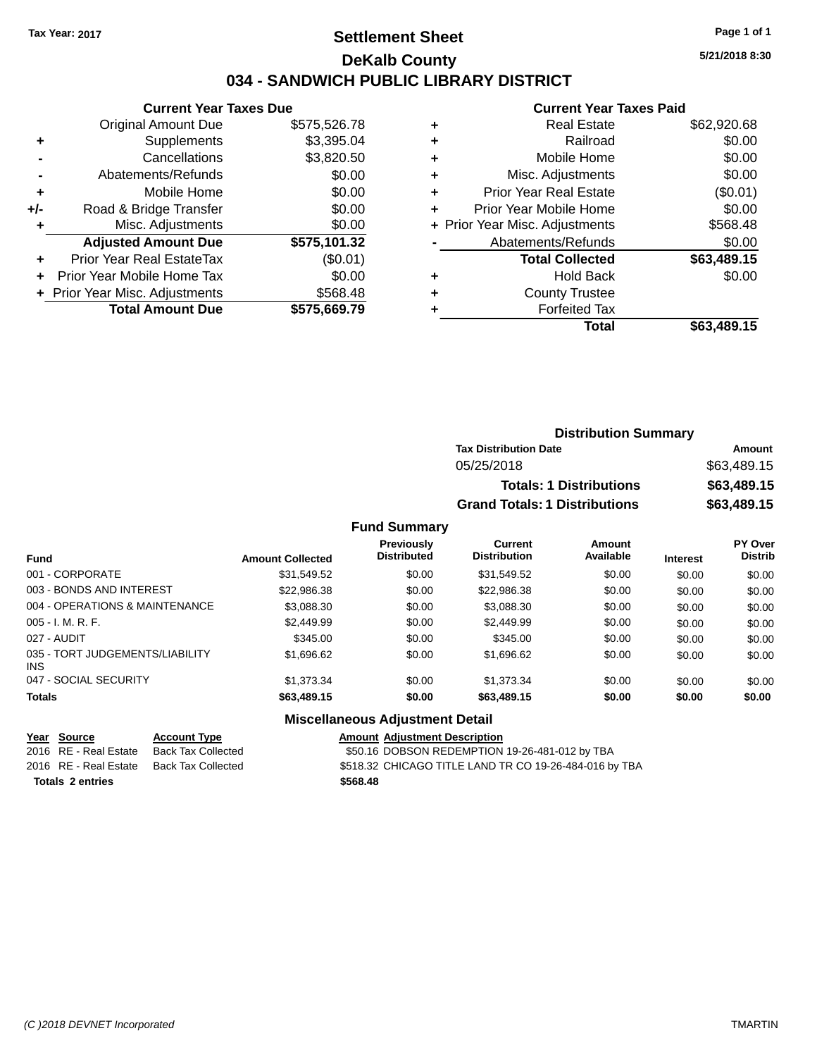## **Settlement Sheet Tax Year: 2017 Page 1 of 1 DeKalb County 034 - SANDWICH PUBLIC LIBRARY DISTRICT**

**5/21/2018 8:30**

## **Current Year Taxes Paid**

|       | <b>Current Year Taxes Due</b>  |              |  |  |  |
|-------|--------------------------------|--------------|--|--|--|
|       | <b>Original Amount Due</b>     | \$575,526.78 |  |  |  |
| ٠     | Supplements                    | \$3,395.04   |  |  |  |
|       | \$3,820.50<br>Cancellations    |              |  |  |  |
|       | Abatements/Refunds             | \$0.00       |  |  |  |
| ٠     | Mobile Home                    | \$0.00       |  |  |  |
| $+/-$ | Road & Bridge Transfer         | \$0.00       |  |  |  |
| ٠     | Misc. Adjustments              | \$0.00       |  |  |  |
|       | <b>Adjusted Amount Due</b>     | \$575,101.32 |  |  |  |
|       | Prior Year Real EstateTax      | (\$0.01)     |  |  |  |
|       | Prior Year Mobile Home Tax     | \$0.00       |  |  |  |
|       | + Prior Year Misc. Adjustments | \$568.48     |  |  |  |
|       | <b>Total Amount Due</b>        | \$575,669.79 |  |  |  |
|       |                                |              |  |  |  |

|   | <b>Real Estate</b>             | \$62,920.68 |
|---|--------------------------------|-------------|
| ٠ | Railroad                       | \$0.00      |
| ٠ | Mobile Home                    | \$0.00      |
| ٠ | Misc. Adjustments              | \$0.00      |
| ٠ | <b>Prior Year Real Estate</b>  | (\$0.01)    |
| ٠ | Prior Year Mobile Home         | \$0.00      |
|   | + Prior Year Misc. Adjustments | \$568.48    |
|   | Abatements/Refunds             | \$0.00      |
|   | <b>Total Collected</b>         | \$63,489.15 |
| ٠ | <b>Hold Back</b>               | \$0.00      |
| ٠ | <b>County Trustee</b>          |             |
|   | <b>Forfeited Tax</b>           |             |
|   | Total                          | \$63,489.15 |
|   |                                |             |

| <b>Distribution Summary</b>          |             |
|--------------------------------------|-------------|
| <b>Tax Distribution Date</b>         | Amount      |
| 05/25/2018                           | \$63,489.15 |
| <b>Totals: 1 Distributions</b>       | \$63,489.15 |
| <b>Grand Totals: 1 Distributions</b> | \$63,489.15 |

#### **Fund Summary**

| <b>Fund</b>                                   | <b>Amount Collected</b> | <b>Previously</b><br><b>Distributed</b> | Current<br><b>Distribution</b> | Amount<br>Available | <b>Interest</b> | PY Over<br><b>Distrib</b> |
|-----------------------------------------------|-------------------------|-----------------------------------------|--------------------------------|---------------------|-----------------|---------------------------|
| 001 - CORPORATE                               | \$31,549.52             | \$0.00                                  | \$31,549.52                    | \$0.00              | \$0.00          | \$0.00                    |
| 003 - BONDS AND INTEREST                      | \$22,986.38             | \$0.00                                  | \$22,986.38                    | \$0.00              | \$0.00          | \$0.00                    |
| 004 - OPERATIONS & MAINTENANCE                | \$3,088.30              | \$0.00                                  | \$3,088.30                     | \$0.00              | \$0.00          | \$0.00                    |
| $005 - I. M. R. F.$                           | \$2,449.99              | \$0.00                                  | \$2,449.99                     | \$0.00              | \$0.00          | \$0.00                    |
| 027 - AUDIT                                   | \$345.00                | \$0.00                                  | \$345.00                       | \$0.00              | \$0.00          | \$0.00                    |
| 035 - TORT JUDGEMENTS/LIABILITY<br><b>INS</b> | \$1,696.62              | \$0.00                                  | \$1,696.62                     | \$0.00              | \$0.00          | \$0.00                    |
| 047 - SOCIAL SECURITY                         | \$1,373.34              | \$0.00                                  | \$1.373.34                     | \$0.00              | \$0.00          | \$0.00                    |
| <b>Totals</b>                                 | \$63,489.15             | \$0.00                                  | \$63,489.15                    | \$0.00              | \$0.00          | \$0.00                    |

#### **Miscellaneous Adjustment Detail**

|                         | Year Source           | <b>Account Type</b>       | <b>Amount</b> |
|-------------------------|-----------------------|---------------------------|---------------|
|                         | 2016 RE - Real Estate | <b>Back Tax Collected</b> | \$50.16       |
|                         | 2016 RE - Real Estate | Back Tax Collected        | \$518.32      |
| <b>Totals 2 entries</b> |                       |                           | \$568.48      |

**Account Type Allergie Construction** *Amount Adjustment Description* ack Tax Collected **2016** S50.16 DOBSON REDEMPTION 19-26-481-012 by TBA 2020 Back Tax Collected **Canadian Canada State \$518.32 CHICAGO TITLE LAND TR CO 19-26-484-016 by TBA**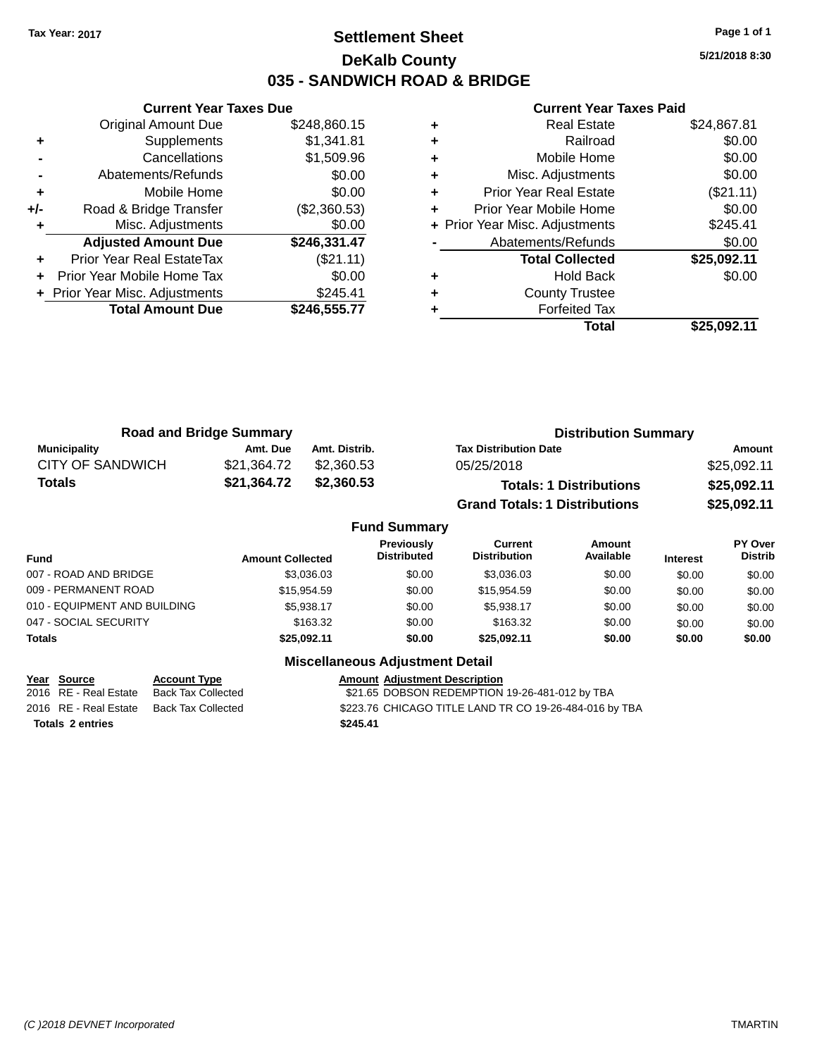### **Settlement Sheet Tax Year: 2017 Page 1 of 1 DeKalb County 035 - SANDWICH ROAD & BRIDGE**

**5/21/2018 8:30**

#### **Current Year Taxes Paid**

|       | <b>Current Year Taxes Due</b>  |              |
|-------|--------------------------------|--------------|
|       | <b>Original Amount Due</b>     | \$248,860.15 |
| ٠     | Supplements                    | \$1,341.81   |
|       | Cancellations                  | \$1,509.96   |
|       | Abatements/Refunds             | \$0.00       |
| ٠     | Mobile Home                    | \$0.00       |
| $+/-$ | Road & Bridge Transfer         | (\$2,360.53) |
|       | Misc. Adjustments              | \$0.00       |
|       | <b>Adjusted Amount Due</b>     | \$246,331.47 |
|       | Prior Year Real EstateTax      | (\$21.11)    |
|       | Prior Year Mobile Home Tax     | \$0.00       |
|       | + Prior Year Misc. Adjustments | \$245.41     |
|       | <b>Total Amount Due</b>        | \$246,555.77 |
|       |                                |              |

| <b>Real Estate</b>            | \$24,867.81                    |
|-------------------------------|--------------------------------|
| Railroad                      | \$0.00                         |
| Mobile Home                   | \$0.00                         |
| Misc. Adjustments             | \$0.00                         |
| <b>Prior Year Real Estate</b> | $(\$21.11)$                    |
| Prior Year Mobile Home        | \$0.00                         |
|                               | \$245.41                       |
| Abatements/Refunds            | \$0.00                         |
| <b>Total Collected</b>        | \$25,092.11                    |
| <b>Hold Back</b>              | \$0.00                         |
| <b>County Trustee</b>         |                                |
| <b>Forfeited Tax</b>          |                                |
| Total                         | \$25.092.11                    |
|                               | + Prior Year Misc. Adjustments |

| <b>Road and Bridge Summary</b> |             | <b>Distribution Summary</b> |                                      |             |
|--------------------------------|-------------|-----------------------------|--------------------------------------|-------------|
| Municipality                   | Amt. Due    | Amt. Distrib.               | <b>Tax Distribution Date</b>         | Amount      |
| <b>CITY OF SANDWICH</b>        | \$21.364.72 | \$2.360.53                  | 05/25/2018                           | \$25,092.11 |
| Totals                         | \$21,364.72 | \$2,360.53                  | <b>Totals: 1 Distributions</b>       | \$25,092.11 |
|                                |             |                             | <b>Grand Totals: 1 Distributions</b> | \$25,092.11 |

|                              |                         | <b>Fund Summary</b>                     |                                |                     |                 |                           |
|------------------------------|-------------------------|-----------------------------------------|--------------------------------|---------------------|-----------------|---------------------------|
| Fund                         | <b>Amount Collected</b> | <b>Previously</b><br><b>Distributed</b> | Current<br><b>Distribution</b> | Amount<br>Available | <b>Interest</b> | PY Over<br><b>Distrib</b> |
| 007 - ROAD AND BRIDGE        | \$3,036,03              | \$0.00                                  | \$3.036.03                     | \$0.00              | \$0.00          | \$0.00                    |
| 009 - PERMANENT ROAD         | \$15,954.59             | \$0.00                                  | \$15,954.59                    | \$0.00              | \$0.00          | \$0.00                    |
| 010 - EQUIPMENT AND BUILDING | \$5.938.17              | \$0.00                                  | \$5.938.17                     | \$0.00              | \$0.00          | \$0.00                    |
| 047 - SOCIAL SECURITY        | \$163.32                | \$0.00                                  | \$163.32                       | \$0.00              | \$0.00          | \$0.00                    |
| <b>Totals</b>                | \$25,092.11             | \$0.00                                  | \$25.092.11                    | \$0.00              | \$0.00          | \$0.00                    |
|                              | - -- -                  |                                         |                                |                     |                 |                           |

| <b>Miscellaneous Adjustment Detail</b> |
|----------------------------------------|
| .                                      |

| Year Source             | <b>Account Type</b> | <b>Amount Adiustment Description</b>                   |
|-------------------------|---------------------|--------------------------------------------------------|
| 2016 RE - Real Estate   | Back Tax Collected  | \$21.65 DOBSON REDEMPTION 19-26-481-012 by TBA         |
| 2016 RE - Real Estate   | Back Tax Collected  | \$223.76 CHICAGO TITLE LAND TR CO 19-26-484-016 by TBA |
| <b>Totals 2 entries</b> |                     | \$245.41                                               |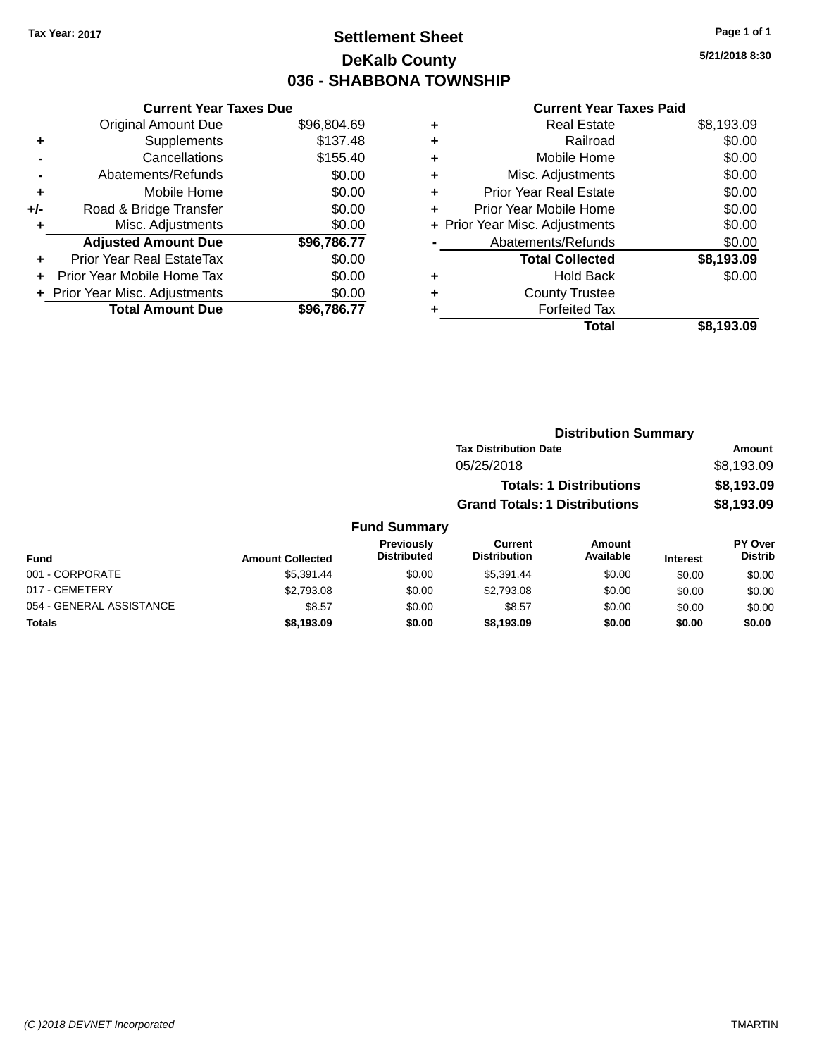### **Settlement Sheet Tax Year: 2017 Page 1 of 1 DeKalb County 036 - SHABBONA TOWNSHIP**

**5/21/2018 8:30**

| <b>Current Year Taxes Due</b> |             |
|-------------------------------|-------------|
| <b>Original Amount Due</b>    | \$96,804.69 |
| Supplements                   | \$137.48    |
| Cancellations                 | \$155.40    |
| Abatements/Refunds            | \$0.00      |
| Mobile Home                   | \$0.00      |
| Road & Bridge Transfer        | \$0.00      |
| Misc. Adjustments             | \$0.00      |
| <b>Adjusted Amount Due</b>    | \$96,786.77 |
| Prior Year Real EstateTax     | \$0.00      |
| Prior Year Mobile Home Tax    | \$0.00      |
| Prior Year Misc. Adjustments  | \$0.00      |
| <b>Total Amount Due</b>       | \$96.786.77 |
|                               |             |

|   | <b>Real Estate</b>             | \$8,193.09 |
|---|--------------------------------|------------|
| ٠ | Railroad                       | \$0.00     |
| ٠ | Mobile Home                    | \$0.00     |
| ٠ | Misc. Adjustments              | \$0.00     |
| ٠ | <b>Prior Year Real Estate</b>  | \$0.00     |
| ٠ | Prior Year Mobile Home         | \$0.00     |
|   | + Prior Year Misc. Adjustments | \$0.00     |
|   | Abatements/Refunds             | \$0.00     |
|   | <b>Total Collected</b>         | \$8,193.09 |
| ٠ | Hold Back                      | \$0.00     |
|   | <b>County Trustee</b>          |            |
| ٠ | <b>Forfeited Tax</b>           |            |
|   | Total                          | \$8.193.09 |
|   |                                |            |

|                     |                                      | <b>Distribution Summary</b>    |            |
|---------------------|--------------------------------------|--------------------------------|------------|
|                     | <b>Tax Distribution Date</b>         |                                | Amount     |
|                     | 05/25/2018                           |                                | \$8,193.09 |
|                     |                                      | <b>Totals: 1 Distributions</b> | \$8,193.09 |
|                     | <b>Grand Totals: 1 Distributions</b> |                                | \$8,193.09 |
| <b>Fund Summary</b> |                                      |                                |            |

|                          |                         | Previously         | Current             | Amount    |                 | <b>PY Over</b> |
|--------------------------|-------------------------|--------------------|---------------------|-----------|-----------------|----------------|
| Fund                     | <b>Amount Collected</b> | <b>Distributed</b> | <b>Distribution</b> | Available | <b>Interest</b> | <b>Distrib</b> |
| 001 - CORPORATE          | \$5.391.44              | \$0.00             | \$5.391.44          | \$0.00    | \$0.00          | \$0.00         |
| 017 - CEMETERY           | \$2,793.08              | \$0.00             | \$2.793.08          | \$0.00    | \$0.00          | \$0.00         |
| 054 - GENERAL ASSISTANCE | \$8.57                  | \$0.00             | \$8.57              | \$0.00    | \$0.00          | \$0.00         |
| <b>Totals</b>            | \$8,193.09              | \$0.00             | \$8.193.09          | \$0.00    | \$0.00          | \$0.00         |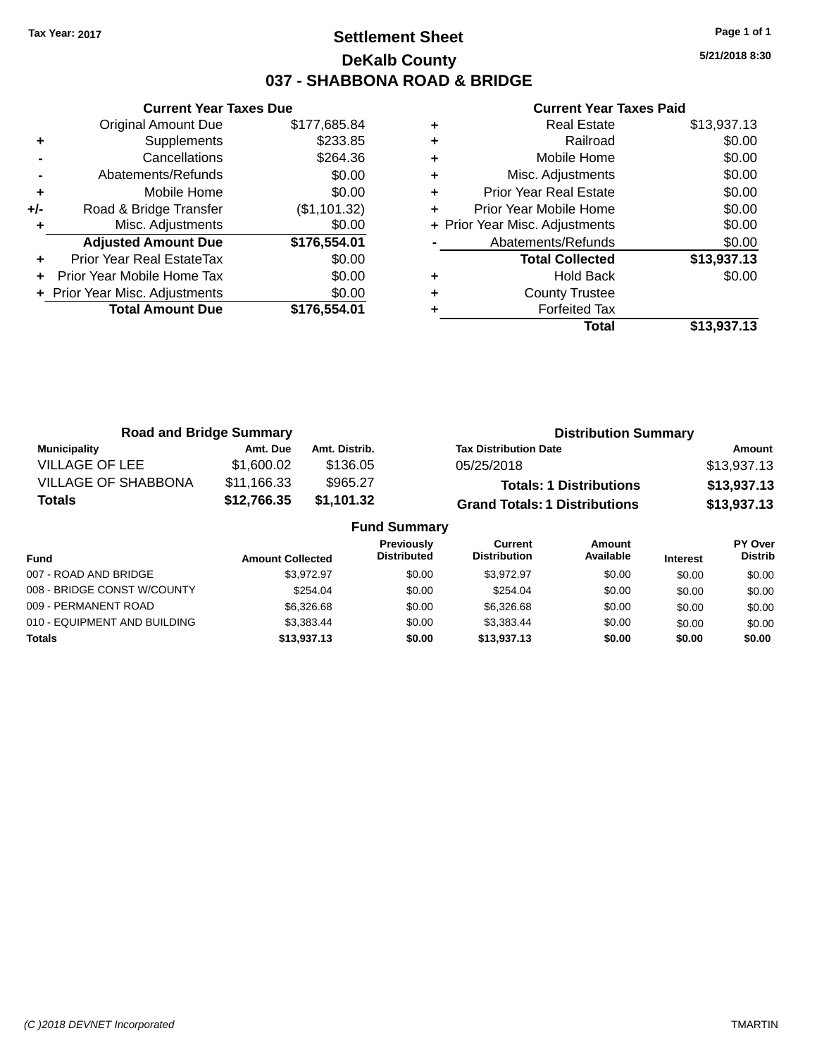### **Settlement Sheet Tax Year: 2017 Page 1 of 1 DeKalb County 037 - SHABBONA ROAD & BRIDGE**

**5/21/2018 8:30**

|     | <b>Current Year Taxes Due</b>  |              |
|-----|--------------------------------|--------------|
|     | <b>Original Amount Due</b>     | \$177,685.84 |
| ٠   | Supplements                    | \$233.85     |
|     | Cancellations                  | \$264.36     |
|     | Abatements/Refunds             | \$0.00       |
| ٠   | Mobile Home                    | \$0.00       |
| +/- | Road & Bridge Transfer         | (\$1,101.32) |
|     | Misc. Adjustments              | \$0.00       |
|     | <b>Adjusted Amount Due</b>     | \$176,554.01 |
| ٠   | Prior Year Real EstateTax      | \$0.00       |
|     | Prior Year Mobile Home Tax     | \$0.00       |
|     | + Prior Year Misc. Adjustments | \$0.00       |
|     | <b>Total Amount Due</b>        | \$176,554.01 |
|     |                                |              |

| <b>Real Estate</b>            | \$13,937.13                    |
|-------------------------------|--------------------------------|
| Railroad                      | \$0.00                         |
| Mobile Home                   | \$0.00                         |
| Misc. Adjustments             | \$0.00                         |
| <b>Prior Year Real Estate</b> | \$0.00                         |
| Prior Year Mobile Home        | \$0.00                         |
|                               | \$0.00                         |
| Abatements/Refunds            | \$0.00                         |
| <b>Total Collected</b>        | \$13,937.13                    |
| <b>Hold Back</b>              | \$0.00                         |
| <b>County Trustee</b>         |                                |
| <b>Forfeited Tax</b>          |                                |
| Total                         | \$13,937.13                    |
|                               | + Prior Year Misc. Adjustments |

| <b>Road and Bridge Summary</b> |             |               | <b>Distribution Summary</b>          |             |  |
|--------------------------------|-------------|---------------|--------------------------------------|-------------|--|
| <b>Municipality</b>            | Amt. Due    | Amt. Distrib. | <b>Tax Distribution Date</b>         | Amount      |  |
| VILLAGE OF LEE                 | \$1,600.02  | \$136.05      | 05/25/2018                           | \$13,937.13 |  |
| <b>VILLAGE OF SHABBONA</b>     | \$11,166.33 | \$965.27      | <b>Totals: 1 Distributions</b>       | \$13,937.13 |  |
| Totals                         | \$12,766.35 | \$1,101.32    | <b>Grand Totals: 1 Distributions</b> | \$13,937.13 |  |
| <b>Fund Summary</b>            |             |               |                                      |             |  |

| <b>Previously</b><br>Current<br>Amount<br>Available<br><b>Distribution</b><br><b>Distributed</b><br>Fund<br><b>Interest</b><br><b>Amount Collected</b><br>007 - ROAD AND BRIDGE<br>\$3.972.97<br>\$0.00<br>\$3.972.97<br>\$0.00<br>\$0.00<br>008 - BRIDGE CONST W/COUNTY<br>\$254.04<br>\$0.00<br>\$254.04<br>\$0.00<br>\$0.00<br>009 - PERMANENT ROAD<br>\$6,326,68<br>\$6,326,68<br>\$0.00<br>\$0.00<br>\$0.00<br>010 - EQUIPMENT AND BUILDING<br>\$3,383,44<br>\$0.00<br>\$3.383.44<br>\$0.00<br>\$0.00<br><b>Totals</b><br>\$13,937.13<br>\$13.937.13<br>\$0.00<br>\$0.00<br>\$0.00 |  | - |  |                                  |
|-----------------------------------------------------------------------------------------------------------------------------------------------------------------------------------------------------------------------------------------------------------------------------------------------------------------------------------------------------------------------------------------------------------------------------------------------------------------------------------------------------------------------------------------------------------------------------------------|--|---|--|----------------------------------|
|                                                                                                                                                                                                                                                                                                                                                                                                                                                                                                                                                                                         |  |   |  | <b>PY Over</b><br><b>Distrib</b> |
|                                                                                                                                                                                                                                                                                                                                                                                                                                                                                                                                                                                         |  |   |  | \$0.00                           |
|                                                                                                                                                                                                                                                                                                                                                                                                                                                                                                                                                                                         |  |   |  | \$0.00                           |
|                                                                                                                                                                                                                                                                                                                                                                                                                                                                                                                                                                                         |  |   |  | \$0.00                           |
|                                                                                                                                                                                                                                                                                                                                                                                                                                                                                                                                                                                         |  |   |  | \$0.00                           |
|                                                                                                                                                                                                                                                                                                                                                                                                                                                                                                                                                                                         |  |   |  | \$0.00                           |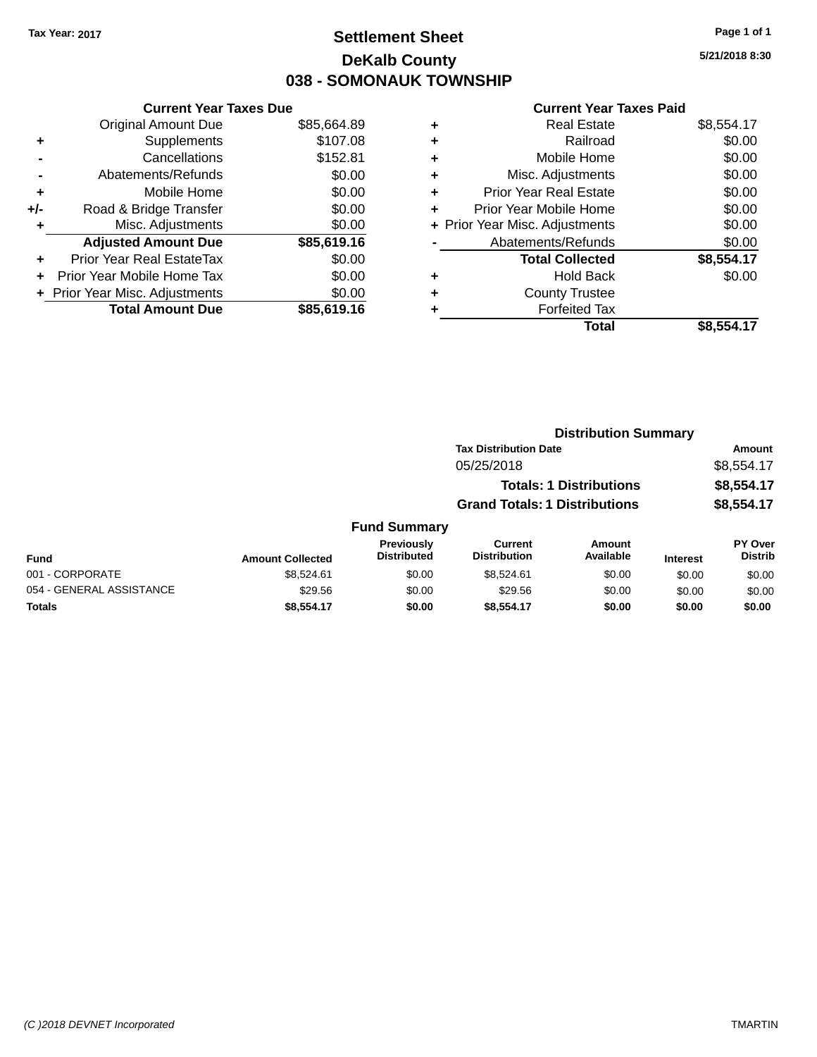### **Settlement Sheet Tax Year: 2017 Page 1 of 1 DeKalb County 038 - SOMONAUK TOWNSHIP**

**5/21/2018 8:30**

| <b>Current Year Taxes Due</b>  |             |
|--------------------------------|-------------|
| <b>Original Amount Due</b>     | \$85,664.89 |
| Supplements                    | \$107.08    |
| Cancellations                  | \$152.81    |
| Abatements/Refunds             | \$0.00      |
| Mobile Home                    | \$0.00      |
| Road & Bridge Transfer         | \$0.00      |
| Misc. Adjustments              | \$0.00      |
| <b>Adjusted Amount Due</b>     | \$85,619.16 |
| Prior Year Real EstateTax      | \$0.00      |
| Prior Year Mobile Home Tax     | \$0.00      |
| + Prior Year Misc. Adjustments | \$0.00      |
| <b>Total Amount Due</b>        | \$85,619.16 |
|                                |             |

|   | <b>Real Estate</b>             | \$8,554.17 |
|---|--------------------------------|------------|
| ٠ | Railroad                       | \$0.00     |
| ٠ | Mobile Home                    | \$0.00     |
| ٠ | Misc. Adjustments              | \$0.00     |
| ٠ | <b>Prior Year Real Estate</b>  | \$0.00     |
| ٠ | Prior Year Mobile Home         | \$0.00     |
|   | + Prior Year Misc. Adjustments | \$0.00     |
|   | Abatements/Refunds             | \$0.00     |
|   | <b>Total Collected</b>         | \$8,554.17 |
| ٠ | <b>Hold Back</b>               | \$0.00     |
| ٠ | <b>County Trustee</b>          |            |
|   | <b>Forfeited Tax</b>           |            |
|   | Total                          | \$8,554.17 |
|   |                                |            |

|          |                     |                                      | <b>Distribution Summary</b>    |                         |                |
|----------|---------------------|--------------------------------------|--------------------------------|-------------------------|----------------|
|          |                     | <b>Tax Distribution Date</b>         |                                |                         | Amount         |
|          |                     | 05/25/2018                           |                                |                         | \$8,554.17     |
|          |                     |                                      | <b>Totals: 1 Distributions</b> |                         | \$8,554.17     |
|          |                     | <b>Grand Totals: 1 Distributions</b> |                                |                         | \$8,554.17     |
|          | <b>Fund Summary</b> |                                      |                                |                         |                |
|          | Previously          | <b>Current</b>                       | <b>Amount</b>                  |                         | <b>PY Over</b> |
| المتبادر | <b>Dictributed</b>  | <b>Dictribution</b>                  | ماطعانصره                      | <b>Book and a state</b> | <b>Dictrib</b> |

| <b>Fund</b>              | <b>Amount Collected</b> | <b>Previously</b><br><b>Distributed</b> | Current<br><b>Distribution</b> | Amount<br>Available | <b>Interest</b> | PY Over<br>Distrib |
|--------------------------|-------------------------|-----------------------------------------|--------------------------------|---------------------|-----------------|--------------------|
| 001 - CORPORATE          | \$8.524.61              | \$0.00                                  | \$8.524.61                     | \$0.00              | \$0.00          | \$0.00             |
| 054 - GENERAL ASSISTANCE | \$29.56                 | \$0.00                                  | \$29.56                        | \$0.00              | \$0.00          | \$0.00             |
| <b>Totals</b>            | \$8.554.17              | \$0.00                                  | \$8,554.17                     | \$0.00              | \$0.00          | \$0.00             |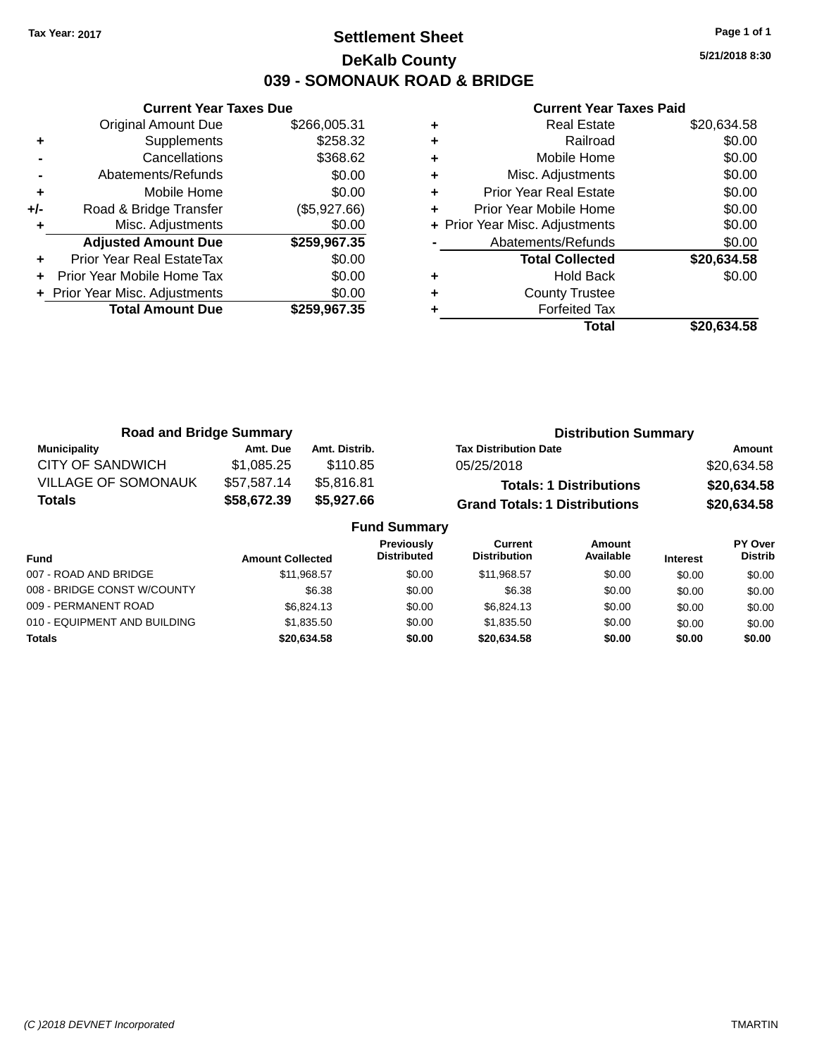### **Settlement Sheet Tax Year: 2017 Page 1 of 1 DeKalb County 039 - SOMONAUK ROAD & BRIDGE**

**5/21/2018 8:30**

|     | <b>Current Year Taxes Due</b>  |              |
|-----|--------------------------------|--------------|
|     | <b>Original Amount Due</b>     | \$266,005.31 |
| ÷   | Supplements                    | \$258.32     |
|     | Cancellations                  | \$368.62     |
|     | Abatements/Refunds             | \$0.00       |
| ٠   | Mobile Home                    | \$0.00       |
| +/- | Road & Bridge Transfer         | (\$5,927.66) |
|     | Misc. Adjustments              | \$0.00       |
|     | <b>Adjusted Amount Due</b>     | \$259,967.35 |
| ÷   | Prior Year Real EstateTax      | \$0.00       |
|     | Prior Year Mobile Home Tax     | \$0.00       |
|     | + Prior Year Misc. Adjustments | \$0.00       |
|     | <b>Total Amount Due</b>        | \$259,967.35 |
|     |                                |              |

| ٠ | <b>Real Estate</b>             | \$20,634.58 |
|---|--------------------------------|-------------|
| ٠ | Railroad                       | \$0.00      |
| ٠ | Mobile Home                    | \$0.00      |
| ٠ | Misc. Adjustments              | \$0.00      |
| ٠ | <b>Prior Year Real Estate</b>  | \$0.00      |
| ٠ | Prior Year Mobile Home         | \$0.00      |
|   | + Prior Year Misc. Adjustments | \$0.00      |
|   | Abatements/Refunds             | \$0.00      |
|   | <b>Total Collected</b>         | \$20,634.58 |
| ٠ | <b>Hold Back</b>               | \$0.00      |
| ٠ | <b>County Trustee</b>          |             |
|   | <b>Forfeited Tax</b>           |             |
|   | Total                          | \$20.634.58 |

| <b>Road and Bridge Summary</b> |             |               | <b>Distribution Summary</b>          |             |
|--------------------------------|-------------|---------------|--------------------------------------|-------------|
| <b>Municipality</b>            | Amt. Due    | Amt. Distrib. | <b>Tax Distribution Date</b>         | Amount      |
| CITY OF SANDWICH               | \$1.085.25  | \$110.85      | 05/25/2018                           | \$20,634.58 |
| <b>VILLAGE OF SOMONAUK</b>     | \$57,587.14 | \$5.816.81    | <b>Totals: 1 Distributions</b>       | \$20,634.58 |
| <b>Totals</b>                  | \$58,672.39 | \$5,927.66    | <b>Grand Totals: 1 Distributions</b> | \$20,634.58 |
| <b>Fund Summary</b>            |             |               |                                      |             |

| <b>Amount Collected</b> | <b>Previously</b><br><b>Distributed</b> | Current<br><b>Distribution</b> | Amount<br>Available | <b>Interest</b> | PY Over<br><b>Distrib</b> |  |
|-------------------------|-----------------------------------------|--------------------------------|---------------------|-----------------|---------------------------|--|
| \$11.968.57             | \$0.00                                  | \$11.968.57                    | \$0.00              | \$0.00          | \$0.00                    |  |
| \$6.38                  | \$0.00                                  | \$6.38                         | \$0.00              | \$0.00          | \$0.00                    |  |
| \$6.824.13              | \$0.00                                  | \$6,824.13                     | \$0.00              | \$0.00          | \$0.00                    |  |
| \$1,835,50              | \$0.00                                  | \$1,835,50                     | \$0.00              | \$0.00          | \$0.00                    |  |
| \$20,634.58             | \$0.00                                  | \$20.634.58                    | \$0.00              | \$0.00          | \$0.00                    |  |
|                         |                                         |                                |                     |                 |                           |  |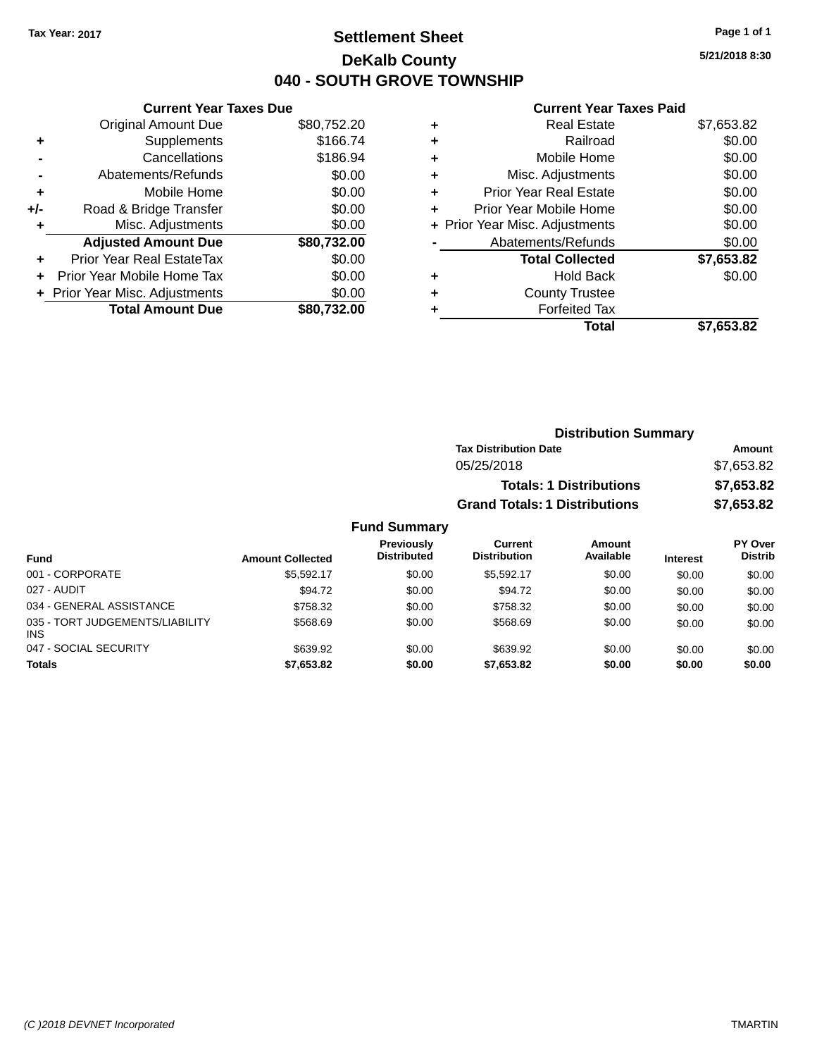### **Settlement Sheet Tax Year: 2017 Page 1 of 1 DeKalb County 040 - SOUTH GROVE TOWNSHIP**

**5/21/2018 8:30**

#### **Current Year Taxes Paid**

| <b>Current Year Taxes Due</b> |                                |
|-------------------------------|--------------------------------|
| <b>Original Amount Due</b>    | \$80,752.20                    |
| Supplements                   | \$166.74                       |
| Cancellations                 | \$186.94                       |
| Abatements/Refunds            | \$0.00                         |
| Mobile Home                   | \$0.00                         |
| Road & Bridge Transfer        | \$0.00                         |
| Misc. Adjustments             | \$0.00                         |
| <b>Adjusted Amount Due</b>    | \$80,732.00                    |
| Prior Year Real EstateTax     | \$0.00                         |
| Prior Year Mobile Home Tax    | \$0.00                         |
|                               | \$0.00                         |
| <b>Total Amount Due</b>       | \$80.732.00                    |
|                               | + Prior Year Misc. Adjustments |

|   | <b>Real Estate</b>             | \$7,653.82 |
|---|--------------------------------|------------|
| ٠ | Railroad                       | \$0.00     |
| ٠ | Mobile Home                    | \$0.00     |
| ٠ | Misc. Adjustments              | \$0.00     |
| ٠ | <b>Prior Year Real Estate</b>  | \$0.00     |
|   | Prior Year Mobile Home         | \$0.00     |
|   | + Prior Year Misc. Adjustments | \$0.00     |
|   | Abatements/Refunds             | \$0.00     |
|   | <b>Total Collected</b>         | \$7,653.82 |
| ٠ | <b>Hold Back</b>               | \$0.00     |
| ٠ | <b>County Trustee</b>          |            |
| ٠ | <b>Forfeited Tax</b>           |            |
|   | Total                          | \$7,653.82 |
|   |                                |            |

| <b>Distribution Summary</b>          |            |
|--------------------------------------|------------|
| <b>Tax Distribution Date</b>         | Amount     |
| 05/25/2018                           | \$7,653.82 |
| <b>Totals: 1 Distributions</b>       | \$7,653.82 |
| <b>Grand Totals: 1 Distributions</b> | \$7,653.82 |

#### **Fund Summary**

| <b>Fund</b>                                   | <b>Amount Collected</b> | <b>Previously</b><br><b>Distributed</b> | Current<br><b>Distribution</b> | Amount<br>Available | <b>Interest</b> | <b>PY Over</b><br><b>Distrib</b> |
|-----------------------------------------------|-------------------------|-----------------------------------------|--------------------------------|---------------------|-----------------|----------------------------------|
| 001 - CORPORATE                               | \$5.592.17              | \$0.00                                  | \$5.592.17                     | \$0.00              | \$0.00          | \$0.00                           |
| 027 - AUDIT                                   | \$94.72                 | \$0.00                                  | \$94.72                        | \$0.00              | \$0.00          | \$0.00                           |
| 034 - GENERAL ASSISTANCE                      | \$758.32                | \$0.00                                  | \$758.32                       | \$0.00              | \$0.00          | \$0.00                           |
| 035 - TORT JUDGEMENTS/LIABILITY<br><b>INS</b> | \$568.69                | \$0.00                                  | \$568.69                       | \$0.00              | \$0.00          | \$0.00                           |
| 047 - SOCIAL SECURITY                         | \$639.92                | \$0.00                                  | \$639.92                       | \$0.00              | \$0.00          | \$0.00                           |
| <b>Totals</b>                                 | \$7,653.82              | \$0.00                                  | \$7.653.82                     | \$0.00              | \$0.00          | \$0.00                           |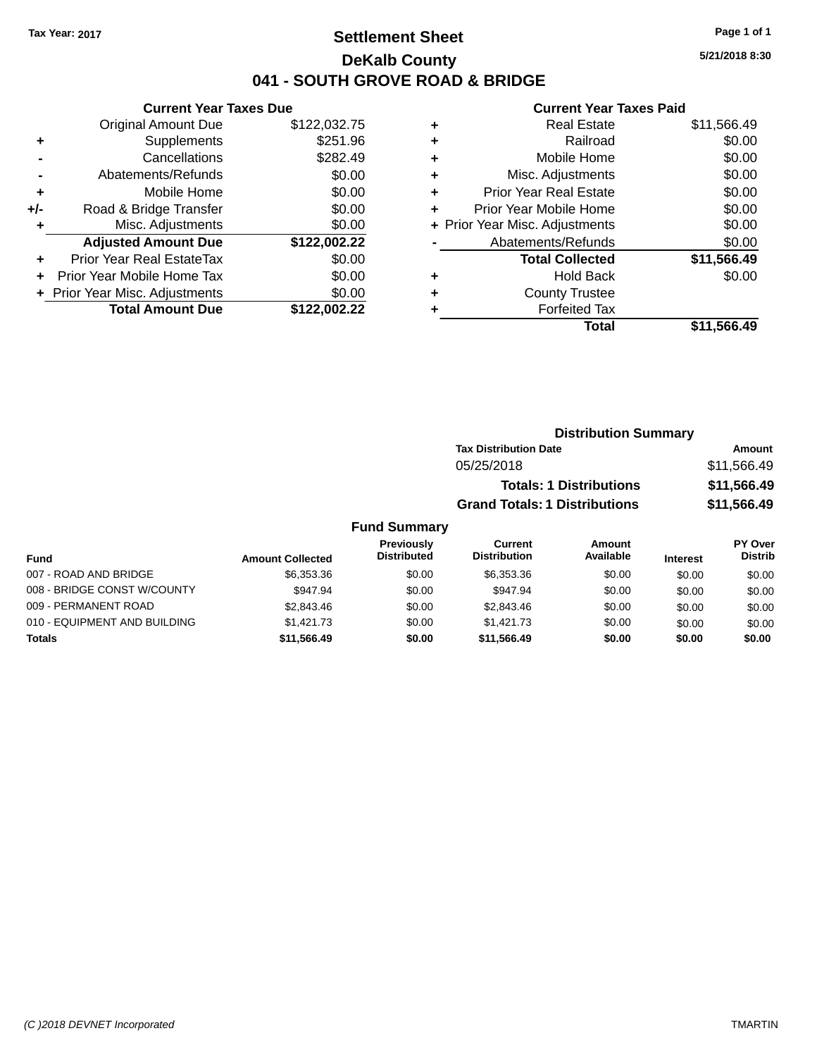### **Settlement Sheet Tax Year: 2017 Page 1 of 1 DeKalb County 041 - SOUTH GROVE ROAD & BRIDGE**

**5/21/2018 8:30**

### **Current Year Taxes Paid**

|       | <b>Current Year Taxes Due</b>  |              |
|-------|--------------------------------|--------------|
|       | <b>Original Amount Due</b>     | \$122,032.75 |
| ٠     | Supplements                    | \$251.96     |
|       | Cancellations                  | \$282.49     |
|       | Abatements/Refunds             | \$0.00       |
| ٠     | Mobile Home                    | \$0.00       |
| $+/-$ | Road & Bridge Transfer         | \$0.00       |
| ٠     | Misc. Adjustments              | \$0.00       |
|       | <b>Adjusted Amount Due</b>     | \$122,002.22 |
| ٠     | Prior Year Real EstateTax      | \$0.00       |
|       | Prior Year Mobile Home Tax     | \$0.00       |
|       | + Prior Year Misc. Adjustments | \$0.00       |
|       | <b>Total Amount Due</b>        | \$122.002.22 |
|       |                                |              |

| ٠ | <b>Real Estate</b>             | \$11,566.49 |
|---|--------------------------------|-------------|
| ٠ | Railroad                       | \$0.00      |
| ٠ | Mobile Home                    | \$0.00      |
| ٠ | Misc. Adjustments              | \$0.00      |
| ٠ | <b>Prior Year Real Estate</b>  | \$0.00      |
| ٠ | Prior Year Mobile Home         | \$0.00      |
|   | + Prior Year Misc. Adjustments | \$0.00      |
|   | Abatements/Refunds             | \$0.00      |
|   | <b>Total Collected</b>         | \$11,566.49 |
| ٠ | <b>Hold Back</b>               | \$0.00      |
| ٠ | <b>County Trustee</b>          |             |
| ٠ | <b>Forfeited Tax</b>           |             |
|   | Total                          | \$11,566.49 |
|   |                                |             |

| <b>Distribution Summary</b>          |             |
|--------------------------------------|-------------|
| <b>Tax Distribution Date</b>         | Amount      |
| 05/25/2018                           | \$11,566.49 |
| <b>Totals: 1 Distributions</b>       | \$11,566.49 |
| <b>Grand Totals: 1 Distributions</b> | \$11,566.49 |

#### **Fund Summary**

| Fund                         | <b>Amount Collected</b> | Previously<br><b>Distributed</b> | Current<br><b>Distribution</b> | Amount<br>Available | <b>Interest</b> | <b>PY Over</b><br><b>Distrib</b> |
|------------------------------|-------------------------|----------------------------------|--------------------------------|---------------------|-----------------|----------------------------------|
| 007 - ROAD AND BRIDGE        | \$6,353,36              | \$0.00                           | \$6,353,36                     | \$0.00              | \$0.00          | \$0.00                           |
| 008 - BRIDGE CONST W/COUNTY  | \$947.94                | \$0.00                           | \$947.94                       | \$0.00              | \$0.00          | \$0.00                           |
| 009 - PERMANENT ROAD         | \$2,843,46              | \$0.00                           | \$2,843,46                     | \$0.00              | \$0.00          | \$0.00                           |
| 010 - EQUIPMENT AND BUILDING | \$1.421.73              | \$0.00                           | \$1.421.73                     | \$0.00              | \$0.00          | \$0.00                           |
| <b>Totals</b>                | \$11,566,49             | \$0.00                           | \$11.566.49                    | \$0.00              | \$0.00          | \$0.00                           |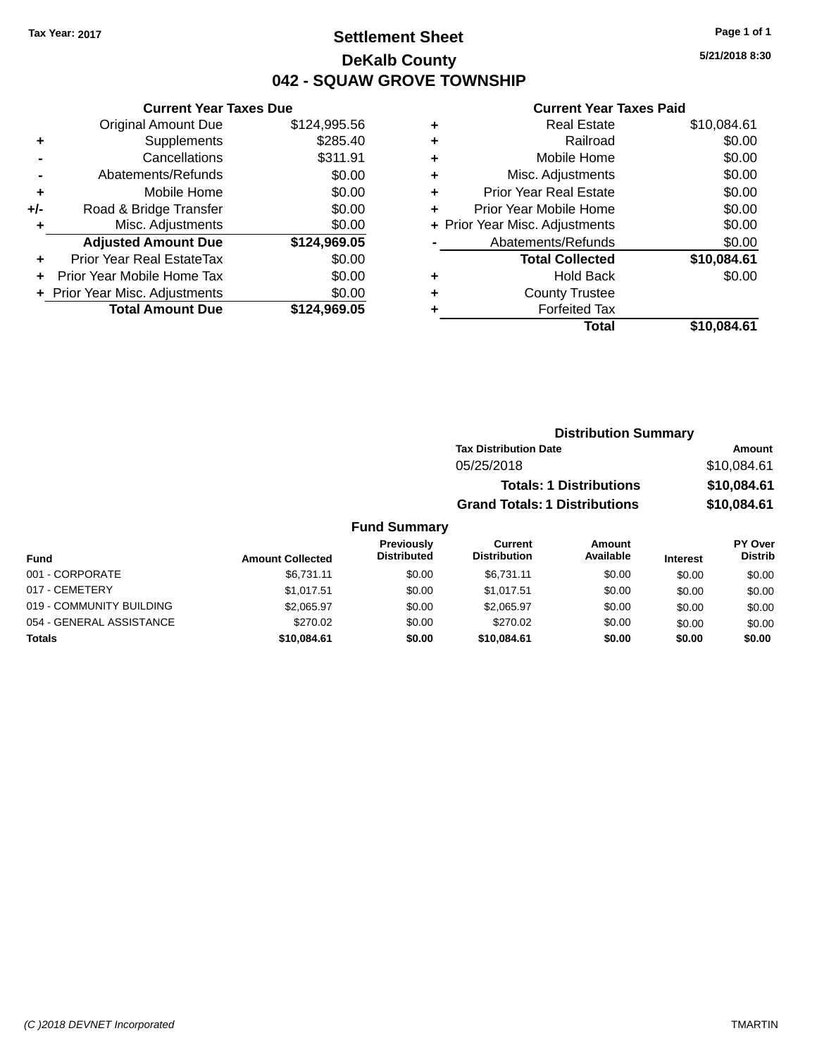### **Settlement Sheet Tax Year: 2017 Page 1 of 1 DeKalb County 042 - SQUAW GROVE TOWNSHIP**

**5/21/2018 8:30**

#### **Current Year Taxes Paid**

|       | <b>Original Amount Due</b>       | \$124,995.56 |
|-------|----------------------------------|--------------|
| ٠     | Supplements                      | \$285.40     |
|       | Cancellations                    | \$311.91     |
|       | Abatements/Refunds               | \$0.00       |
| ٠     | Mobile Home                      | \$0.00       |
| $+/-$ | Road & Bridge Transfer           | \$0.00       |
| ۰     | Misc. Adjustments                | \$0.00       |
|       | <b>Adjusted Amount Due</b>       | \$124,969.05 |
| ÷     | <b>Prior Year Real EstateTax</b> | \$0.00       |
|       | Prior Year Mobile Home Tax       | \$0.00       |
|       | + Prior Year Misc. Adjustments   | \$0.00       |
|       | <b>Total Amount Due</b>          | \$124,969.05 |
|       |                                  |              |

**Current Year Taxes Due**

| ٠ | <b>Real Estate</b>             | \$10,084.61 |
|---|--------------------------------|-------------|
| ٠ | Railroad                       | \$0.00      |
| ٠ | Mobile Home                    | \$0.00      |
| ٠ | Misc. Adjustments              | \$0.00      |
| ٠ | <b>Prior Year Real Estate</b>  | \$0.00      |
| ÷ | Prior Year Mobile Home         | \$0.00      |
|   | + Prior Year Misc. Adjustments | \$0.00      |
|   | Abatements/Refunds             | \$0.00      |
|   | <b>Total Collected</b>         | \$10,084.61 |
| ٠ | <b>Hold Back</b>               | \$0.00      |
| ٠ | <b>County Trustee</b>          |             |
| ٠ | <b>Forfeited Tax</b>           |             |
|   | Total                          | \$10.084.61 |
|   |                                |             |

| <b>Distribution Summary</b>          |             |
|--------------------------------------|-------------|
| <b>Tax Distribution Date</b>         | Amount      |
| 05/25/2018                           | \$10,084.61 |
| <b>Totals: 1 Distributions</b>       | \$10,084.61 |
| <b>Grand Totals: 1 Distributions</b> | \$10,084.61 |
|                                      |             |

#### **Fund Summary Fund Interest Amount Collected Distributed PY Over Distrib Amount Available Current Distribution Previously** 001 - CORPORATE \$6,731.11 \$0.00 \$6,731.11 \$0.00 \$0.00 \$0.00 017 - CEMETERY \$1,017.51 \$0.00 \$1,017.51 \$0.00 \$0.00 \$0.00 019 - COMMUNITY BUILDING \$2,065.97 \$0.00 \$0.00 \$0.00 \$0.00 \$0.00 054 - GENERAL ASSISTANCE \$270.02 \$0.00 \$0.00 \$0.00 \$0.00 \$0.00 **Totals \$10,084.61 \$0.00 \$10,084.61 \$0.00 \$0.00 \$0.00**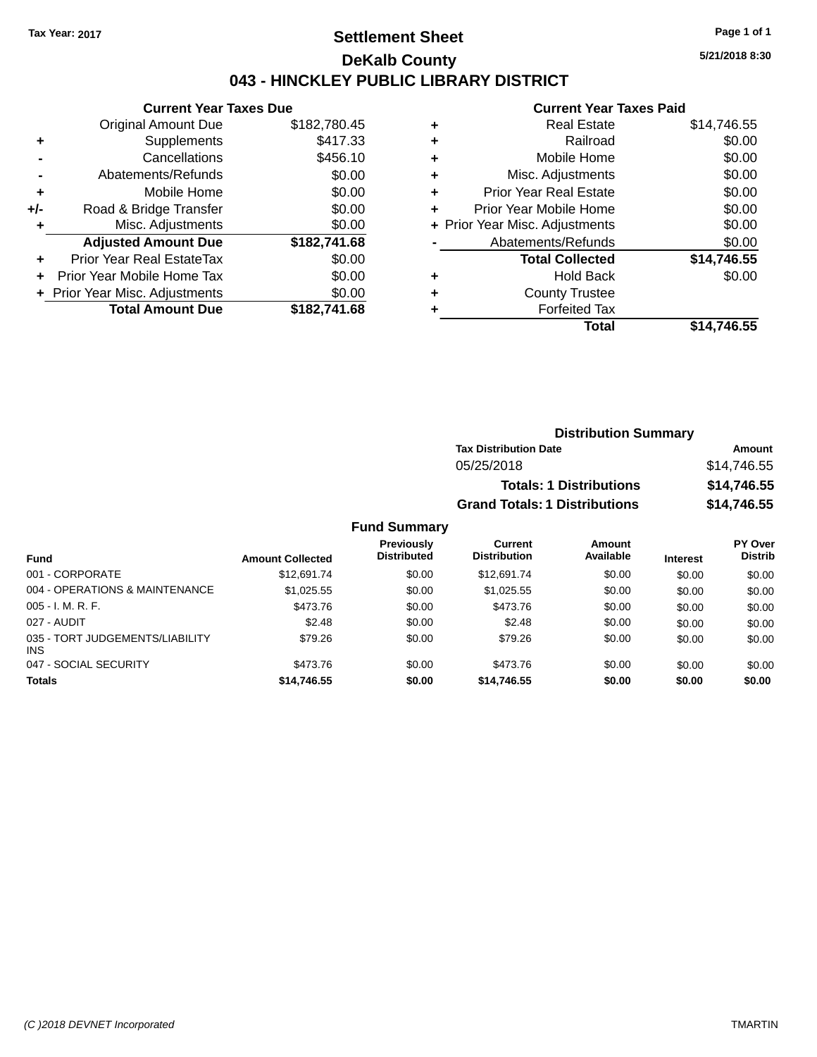### **Settlement Sheet Tax Year: 2017 Page 1 of 1 DeKalb County 043 - HINCKLEY PUBLIC LIBRARY DISTRICT**

**5/21/2018 8:30**

### **Current Year Taxes Paid**

|     | <b>Current Year Taxes Due</b>  |              |
|-----|--------------------------------|--------------|
|     | Original Amount Due            | \$182,780.45 |
|     | Supplements                    | \$417.33     |
|     | Cancellations                  | \$456.10     |
|     | Abatements/Refunds             | \$0.00       |
| ٠   | Mobile Home                    | \$0.00       |
| +/- | Road & Bridge Transfer         | \$0.00       |
|     | Misc. Adjustments              | \$0.00       |
|     | <b>Adjusted Amount Due</b>     | \$182,741.68 |
| ٠   | Prior Year Real EstateTax      | \$0.00       |
|     | Prior Year Mobile Home Tax     | \$0.00       |
|     | + Prior Year Misc. Adjustments | \$0.00       |
|     | <b>Total Amount Due</b>        | \$182,741.68 |

|   | Total                          | \$14,746.55 |
|---|--------------------------------|-------------|
| ٠ | <b>Forfeited Tax</b>           |             |
| ٠ | <b>County Trustee</b>          |             |
| ٠ | <b>Hold Back</b>               | \$0.00      |
|   | <b>Total Collected</b>         | \$14,746.55 |
|   | Abatements/Refunds             | \$0.00      |
|   | + Prior Year Misc. Adjustments | \$0.00      |
| ٠ | Prior Year Mobile Home         | \$0.00      |
| ÷ | <b>Prior Year Real Estate</b>  | \$0.00      |
| ٠ | Misc. Adjustments              | \$0.00      |
| ٠ | Mobile Home                    | \$0.00      |
| ٠ | Railroad                       | \$0.00      |
| ٠ | <b>Real Estate</b>             | \$14.746.55 |
|   |                                |             |

| <b>Distribution Summary</b>          |             |
|--------------------------------------|-------------|
| <b>Tax Distribution Date</b>         | Amount      |
| 05/25/2018                           | \$14,746.55 |
| <b>Totals: 1 Distributions</b>       | \$14,746.55 |
| <b>Grand Totals: 1 Distributions</b> | \$14,746.55 |

#### **Fund Summary**

| <b>Fund</b>                                   | <b>Amount Collected</b> | <b>Previously</b><br><b>Distributed</b> | Current<br><b>Distribution</b> | Amount<br>Available | Interest | <b>PY Over</b><br><b>Distrib</b> |
|-----------------------------------------------|-------------------------|-----------------------------------------|--------------------------------|---------------------|----------|----------------------------------|
| 001 - CORPORATE                               | \$12,691.74             | \$0.00                                  | \$12,691.74                    | \$0.00              | \$0.00   | \$0.00                           |
| 004 - OPERATIONS & MAINTENANCE                | \$1,025.55              | \$0.00                                  | \$1.025.55                     | \$0.00              | \$0.00   | \$0.00                           |
| $005 - I. M. R. F.$                           | \$473.76                | \$0.00                                  | \$473.76                       | \$0.00              | \$0.00   | \$0.00                           |
| 027 - AUDIT                                   | \$2.48                  | \$0.00                                  | \$2.48                         | \$0.00              | \$0.00   | \$0.00                           |
| 035 - TORT JUDGEMENTS/LIABILITY<br><b>INS</b> | \$79.26                 | \$0.00                                  | \$79.26                        | \$0.00              | \$0.00   | \$0.00                           |
| 047 - SOCIAL SECURITY                         | \$473.76                | \$0.00                                  | \$473.76                       | \$0.00              | \$0.00   | \$0.00                           |
| <b>Totals</b>                                 | \$14,746.55             | \$0.00                                  | \$14.746.55                    | \$0.00              | \$0.00   | \$0.00                           |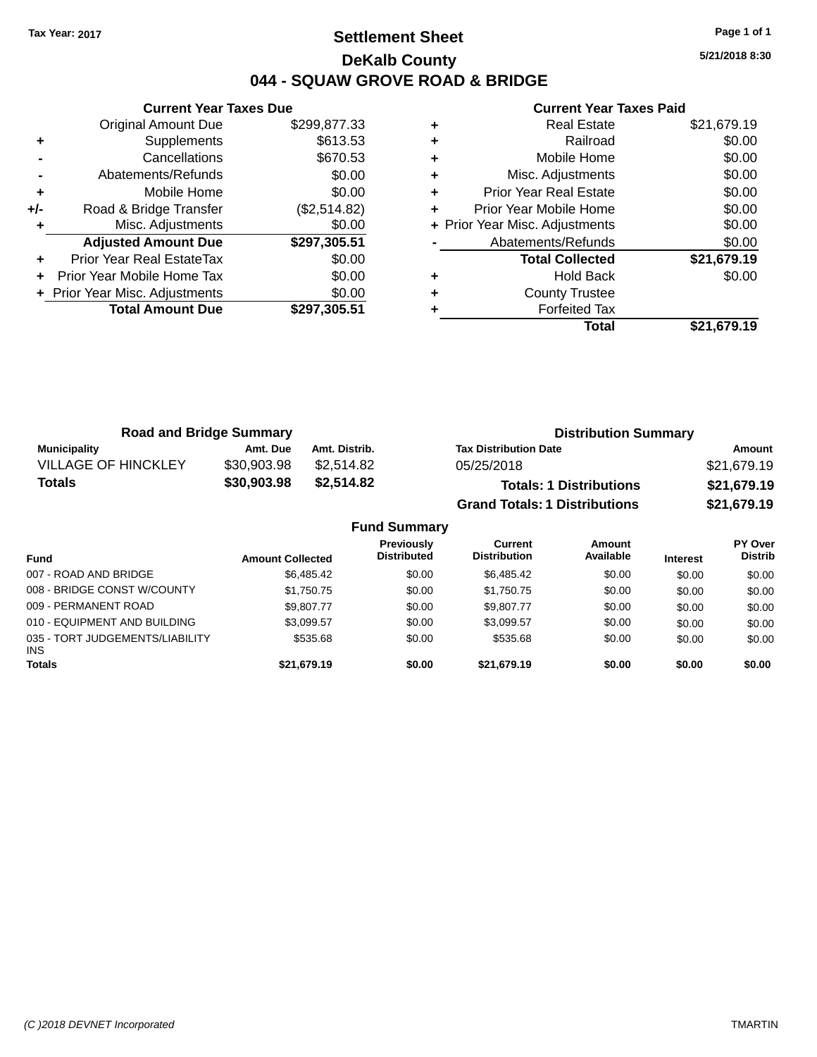### **Settlement Sheet Tax Year: 2017 Page 1 of 1 DeKalb County 044 - SQUAW GROVE ROAD & BRIDGE**

**5/21/2018 8:30**

|       | <b>Current Year Taxes Due</b>  |              |  |  |  |  |
|-------|--------------------------------|--------------|--|--|--|--|
|       | <b>Original Amount Due</b>     | \$299,877.33 |  |  |  |  |
| ٠     | Supplements                    | \$613.53     |  |  |  |  |
|       | Cancellations                  | \$670.53     |  |  |  |  |
|       | Abatements/Refunds             | \$0.00       |  |  |  |  |
| ٠     | Mobile Home                    | \$0.00       |  |  |  |  |
| $+/-$ | Road & Bridge Transfer         | (\$2,514.82) |  |  |  |  |
| ٠     | Misc. Adjustments              | \$0.00       |  |  |  |  |
|       | <b>Adjusted Amount Due</b>     | \$297,305.51 |  |  |  |  |
|       | Prior Year Real EstateTax      | \$0.00       |  |  |  |  |
|       | Prior Year Mobile Home Tax     | \$0.00       |  |  |  |  |
|       | + Prior Year Misc. Adjustments | \$0.00       |  |  |  |  |
|       | <b>Total Amount Due</b>        | \$297,305.51 |  |  |  |  |
|       |                                |              |  |  |  |  |

|   | <b>Real Estate</b>             | \$21,679.19 |
|---|--------------------------------|-------------|
| ٠ | Railroad                       | \$0.00      |
| ٠ | Mobile Home                    | \$0.00      |
| ٠ | Misc. Adjustments              | \$0.00      |
| ٠ | <b>Prior Year Real Estate</b>  | \$0.00      |
| ٠ | Prior Year Mobile Home         | \$0.00      |
|   | + Prior Year Misc. Adjustments | \$0.00      |
|   | Abatements/Refunds             | \$0.00      |
|   | <b>Total Collected</b>         | \$21,679.19 |
| ٠ | Hold Back                      | \$0.00      |
| ٠ | <b>County Trustee</b>          |             |
|   | <b>Forfeited Tax</b>           |             |
|   | Total                          | \$21,679.19 |

| <b>Road and Bridge Summary</b> |             |               | <b>Distribution Summary</b>          |             |  |
|--------------------------------|-------------|---------------|--------------------------------------|-------------|--|
| Municipality                   | Amt. Due    | Amt. Distrib. | <b>Tax Distribution Date</b>         | Amount      |  |
| <b>VILLAGE OF HINCKLEY</b>     | \$30,903.98 | \$2.514.82    | 05/25/2018                           | \$21.679.19 |  |
| <b>Totals</b>                  | \$30,903.98 | \$2,514.82    | <b>Totals: 1 Distributions</b>       | \$21,679.19 |  |
|                                |             |               | <b>Grand Totals: 1 Distributions</b> | \$21,679.19 |  |

|                                         |                         | <b>Fund Summary</b>                     |                                |                     |                 |                                  |
|-----------------------------------------|-------------------------|-----------------------------------------|--------------------------------|---------------------|-----------------|----------------------------------|
| <b>Fund</b>                             | <b>Amount Collected</b> | <b>Previously</b><br><b>Distributed</b> | Current<br><b>Distribution</b> | Amount<br>Available | <b>Interest</b> | <b>PY Over</b><br><b>Distrib</b> |
| 007 - ROAD AND BRIDGE                   | \$6,485,42              | \$0.00                                  | \$6,485,42                     | \$0.00              | \$0.00          | \$0.00                           |
| 008 - BRIDGE CONST W/COUNTY             | \$1,750.75              | \$0.00                                  | \$1,750.75                     | \$0.00              | \$0.00          | \$0.00                           |
| 009 - PERMANENT ROAD                    | \$9,807.77              | \$0.00                                  | \$9,807.77                     | \$0.00              | \$0.00          | \$0.00                           |
| 010 - EQUIPMENT AND BUILDING            | \$3,099.57              | \$0.00                                  | \$3,099.57                     | \$0.00              | \$0.00          | \$0.00                           |
| 035 - TORT JUDGEMENTS/LIABILITY<br>INS. | \$535.68                | \$0.00                                  | \$535.68                       | \$0.00              | \$0.00          | \$0.00                           |
| <b>Totals</b>                           | \$21,679.19             | \$0.00                                  | \$21,679.19                    | \$0.00              | \$0.00          | \$0.00                           |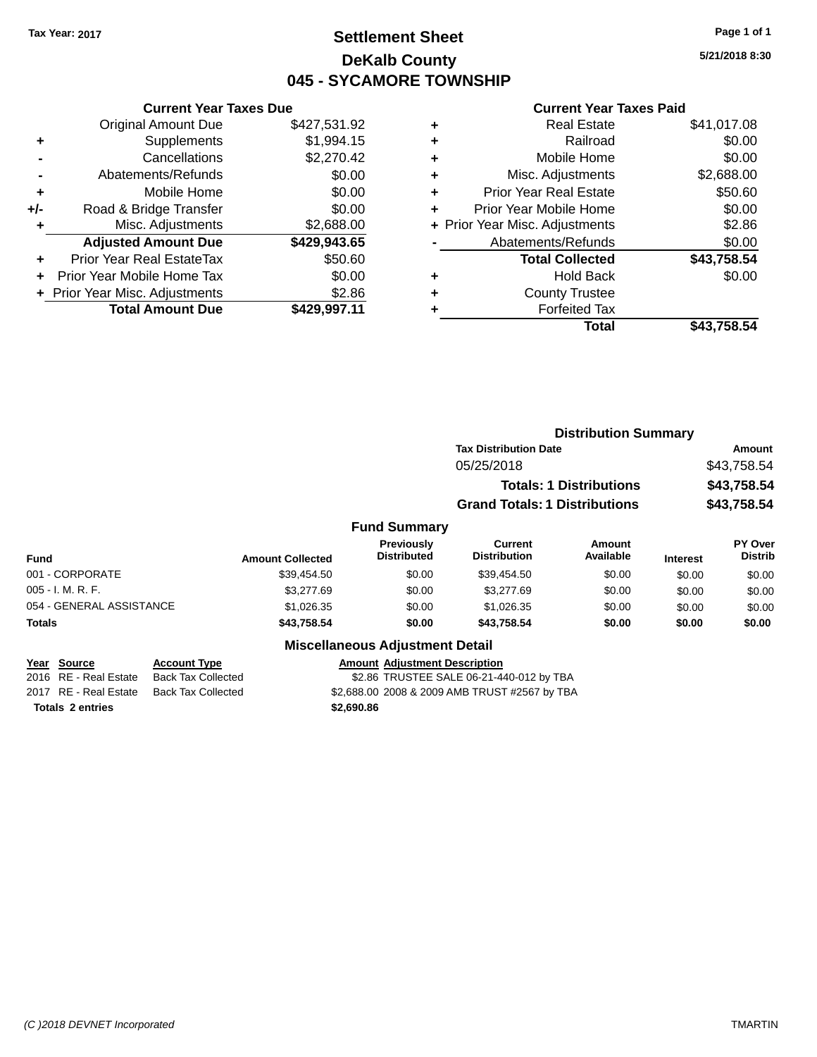### **Settlement Sheet Tax Year: 2017 Page 1 of 1 DeKalb County 045 - SYCAMORE TOWNSHIP**

**5/21/2018 8:30**

#### **Current Year Taxes Paid**

|     | <b>Current Year Taxes Due</b>              |              |  |  |  |  |
|-----|--------------------------------------------|--------------|--|--|--|--|
|     | \$427,531.92<br><b>Original Amount Due</b> |              |  |  |  |  |
| ٠   | Supplements                                | \$1,994.15   |  |  |  |  |
|     | Cancellations                              | \$2,270.42   |  |  |  |  |
|     | Abatements/Refunds                         | \$0.00       |  |  |  |  |
| ÷   | Mobile Home                                | \$0.00       |  |  |  |  |
| +/- | Road & Bridge Transfer                     | \$0.00       |  |  |  |  |
|     | Misc. Adjustments                          | \$2,688.00   |  |  |  |  |
|     | <b>Adjusted Amount Due</b>                 | \$429,943.65 |  |  |  |  |
| ÷   | Prior Year Real EstateTax                  | \$50.60      |  |  |  |  |
|     | Prior Year Mobile Home Tax                 | \$0.00       |  |  |  |  |
|     | + Prior Year Misc. Adjustments             | \$2.86       |  |  |  |  |
|     | <b>Total Amount Due</b>                    | \$429.997.11 |  |  |  |  |
|     |                                            |              |  |  |  |  |

| ٠ | <b>Real Estate</b>             | \$41,017.08 |
|---|--------------------------------|-------------|
| ٠ | Railroad                       | \$0.00      |
| ٠ | Mobile Home                    | \$0.00      |
| ٠ | Misc. Adjustments              | \$2,688.00  |
| ٠ | <b>Prior Year Real Estate</b>  | \$50.60     |
| ٠ | Prior Year Mobile Home         | \$0.00      |
|   | + Prior Year Misc. Adjustments | \$2.86      |
|   | Abatements/Refunds             | \$0.00      |
|   | <b>Total Collected</b>         | \$43,758.54 |
| ٠ | <b>Hold Back</b>               | \$0.00      |
| ٠ | <b>County Trustee</b>          |             |
| ٠ | <b>Forfeited Tax</b>           |             |
|   | Total                          | \$43,758.54 |
|   |                                |             |

|                          |                         |                                        | <b>Distribution Summary</b>           |                                |                 |                           |
|--------------------------|-------------------------|----------------------------------------|---------------------------------------|--------------------------------|-----------------|---------------------------|
|                          |                         |                                        | <b>Tax Distribution Date</b>          |                                | Amount          |                           |
|                          |                         |                                        | 05/25/2018                            |                                |                 | \$43,758.54               |
|                          |                         |                                        |                                       | <b>Totals: 1 Distributions</b> |                 | \$43,758.54               |
|                          |                         |                                        | <b>Grand Totals: 1 Distributions</b>  |                                |                 | \$43,758.54               |
|                          |                         | <b>Fund Summary</b>                    |                                       |                                |                 |                           |
| <b>Fund</b>              | <b>Amount Collected</b> | Previously<br><b>Distributed</b>       | <b>Current</b><br><b>Distribution</b> | <b>Amount</b><br>Available     | <b>Interest</b> | PY Over<br><b>Distrib</b> |
| 001 - CORPORATE          | \$39,454.50             | \$0.00                                 | \$39,454.50                           | \$0.00                         | \$0.00          | \$0.00                    |
| $005 - I. M. R. F.$      | \$3,277.69              | \$0.00                                 | \$3,277.69                            | \$0.00                         | \$0.00          | \$0.00                    |
| 054 - GENERAL ASSISTANCE | \$1,026.35              | \$0.00                                 | \$1,026.35                            | \$0.00                         | \$0.00          | \$0.00                    |
| <b>Totals</b>            | \$43,758.54             | \$0.00                                 | \$43,758.54                           | \$0.00                         | \$0.00          | \$0.00                    |
|                          |                         | <b>Miscellaneous Adjustment Detail</b> |                                       |                                |                 |                           |
| <b>Source</b><br>Year    | <b>Account Type</b>     | <b>Amount Adjustment Description</b>   |                                       |                                |                 |                           |

| Year Source | <b>Account Type</b>                      | <b>Amount Adiustment Description</b>     |  |
|-------------|------------------------------------------|------------------------------------------|--|
|             | 2016 RE - Real Estate Back Tax Collected | \$2.86 TRUSTEE SALE 06-21-440-012 by TBA |  |

**Totals \$2,690.86 2 entries**

2017 RE - Real Estate Back Tax Collected \$2,688.00 2008 & 2009 AMB TRUST #2567 by TBA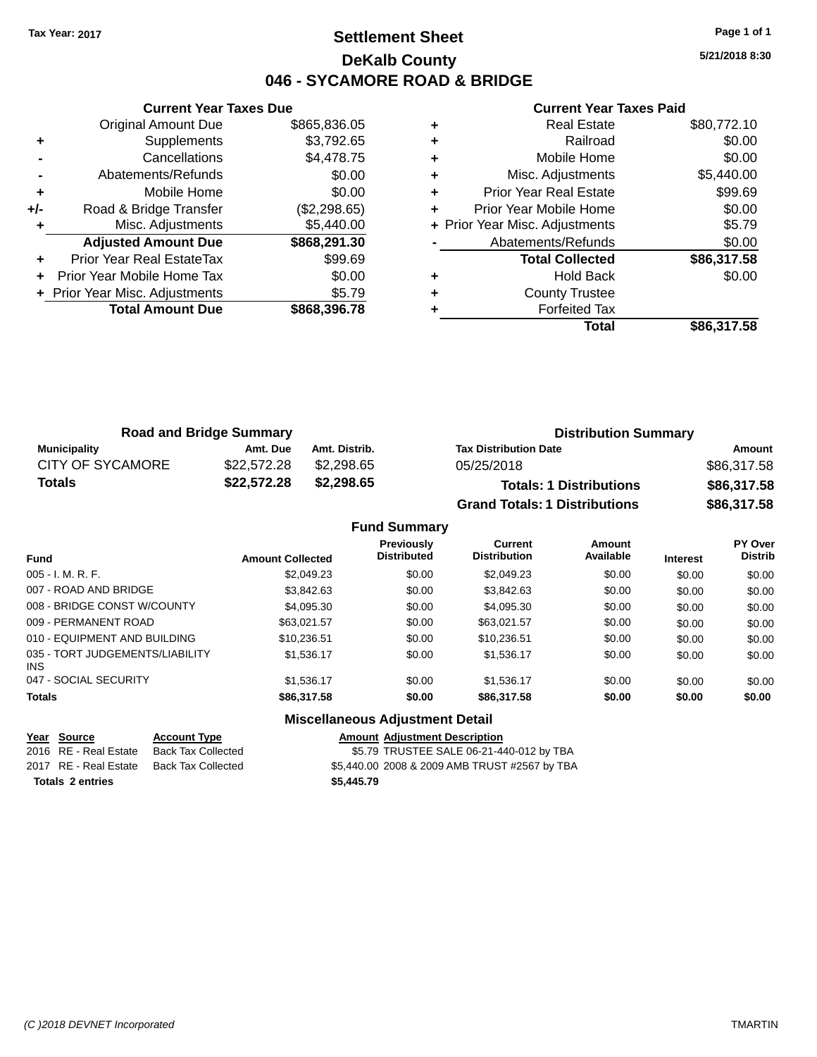### **Settlement Sheet Tax Year: 2017 Page 1 of 1 DeKalb County 046 - SYCAMORE ROAD & BRIDGE**

**5/21/2018 8:30**

#### **Current Year Taxes Paid**

|       | <b>Current Year Taxes Due</b>  |              |  |  |  |
|-------|--------------------------------|--------------|--|--|--|
|       | <b>Original Amount Due</b>     | \$865,836.05 |  |  |  |
| ٠     | Supplements                    | \$3,792.65   |  |  |  |
|       | Cancellations                  | \$4,478.75   |  |  |  |
|       | Abatements/Refunds             | \$0.00       |  |  |  |
| ٠     | Mobile Home                    | \$0.00       |  |  |  |
| $+/-$ | Road & Bridge Transfer         | (\$2,298.65) |  |  |  |
| ٠     | Misc. Adjustments              | \$5,440.00   |  |  |  |
|       | <b>Adjusted Amount Due</b>     | \$868,291.30 |  |  |  |
| ÷     | Prior Year Real EstateTax      | \$99.69      |  |  |  |
|       | Prior Year Mobile Home Tax     | \$0.00       |  |  |  |
|       | + Prior Year Misc. Adjustments | \$5.79       |  |  |  |
|       | <b>Total Amount Due</b>        | \$868,396.78 |  |  |  |
|       |                                |              |  |  |  |

|   | <b>Real Estate</b>             | \$80,772.10 |
|---|--------------------------------|-------------|
| ٠ | Railroad                       | \$0.00      |
| ٠ | Mobile Home                    | \$0.00      |
| ٠ | Misc. Adjustments              | \$5,440.00  |
| ٠ | <b>Prior Year Real Estate</b>  | \$99.69     |
|   | Prior Year Mobile Home         | \$0.00      |
|   | + Prior Year Misc. Adjustments | \$5.79      |
|   | Abatements/Refunds             | \$0.00      |
|   | <b>Total Collected</b>         | \$86,317.58 |
|   | <b>Hold Back</b>               | \$0.00      |
| ٠ | <b>County Trustee</b>          |             |
|   | <b>Forfeited Tax</b>           |             |
|   | Total                          | \$86.317.58 |

| <b>Road and Bridge Summary</b> |             |               | <b>Distribution Summary</b>          |             |  |
|--------------------------------|-------------|---------------|--------------------------------------|-------------|--|
| Municipality                   | Amt. Due    | Amt. Distrib. | <b>Tax Distribution Date</b>         | Amount      |  |
| <b>CITY OF SYCAMORE</b>        | \$22,572.28 | \$2,298.65    | 05/25/2018                           | \$86,317.58 |  |
| Totals                         | \$22,572.28 | \$2,298.65    | <b>Totals: 1 Distributions</b>       | \$86,317.58 |  |
|                                |             |               | <b>Grand Totals: 1 Distributions</b> | \$86,317.58 |  |

|                                         |                         | <b>Fund Summary</b>                     |                                       |                     |                 |                                  |
|-----------------------------------------|-------------------------|-----------------------------------------|---------------------------------------|---------------------|-----------------|----------------------------------|
| <b>Fund</b>                             | <b>Amount Collected</b> | <b>Previously</b><br><b>Distributed</b> | <b>Current</b><br><b>Distribution</b> | Amount<br>Available | <b>Interest</b> | <b>PY Over</b><br><b>Distrib</b> |
| 005 - I. M. R. F.                       | \$2,049.23              | \$0.00                                  | \$2,049.23                            | \$0.00              | \$0.00          | \$0.00                           |
| 007 - ROAD AND BRIDGE                   | \$3,842.63              | \$0.00                                  | \$3,842.63                            | \$0.00              | \$0.00          | \$0.00                           |
| 008 - BRIDGE CONST W/COUNTY             | \$4.095.30              | \$0.00                                  | \$4,095.30                            | \$0.00              | \$0.00          | \$0.00                           |
| 009 - PERMANENT ROAD                    | \$63,021.57             | \$0.00                                  | \$63.021.57                           | \$0.00              | \$0.00          | \$0.00                           |
| 010 - EQUIPMENT AND BUILDING            | \$10.236.51             | \$0.00                                  | \$10,236.51                           | \$0.00              | \$0.00          | \$0.00                           |
| 035 - TORT JUDGEMENTS/LIABILITY<br>INS. | \$1,536.17              | \$0.00                                  | \$1,536.17                            | \$0.00              | \$0.00          | \$0.00                           |
| 047 - SOCIAL SECURITY                   | \$1.536.17              | \$0.00                                  | \$1,536.17                            | \$0.00              | \$0.00          | \$0.00                           |
| <b>Totals</b>                           | \$86,317.58             | \$0.00                                  | \$86,317.58                           | \$0.00              | \$0.00          | \$0.00                           |
|                                         |                         | <b>Miscellaneous Adjustment Detail</b>  |                                       |                     |                 |                                  |

# **Year** Source **Account Type Account Adjustment Description Totals \$5,445.79 2 entries**

2016 RE - Real Estate Back Tax Collected 55.79 TRUSTEE SALE 06-21-440-012 by TBA 2017 RE - Real Estate Back Tax Collected \$5,440.00 2008 & 2009 AMB TRUST #2567 by TBA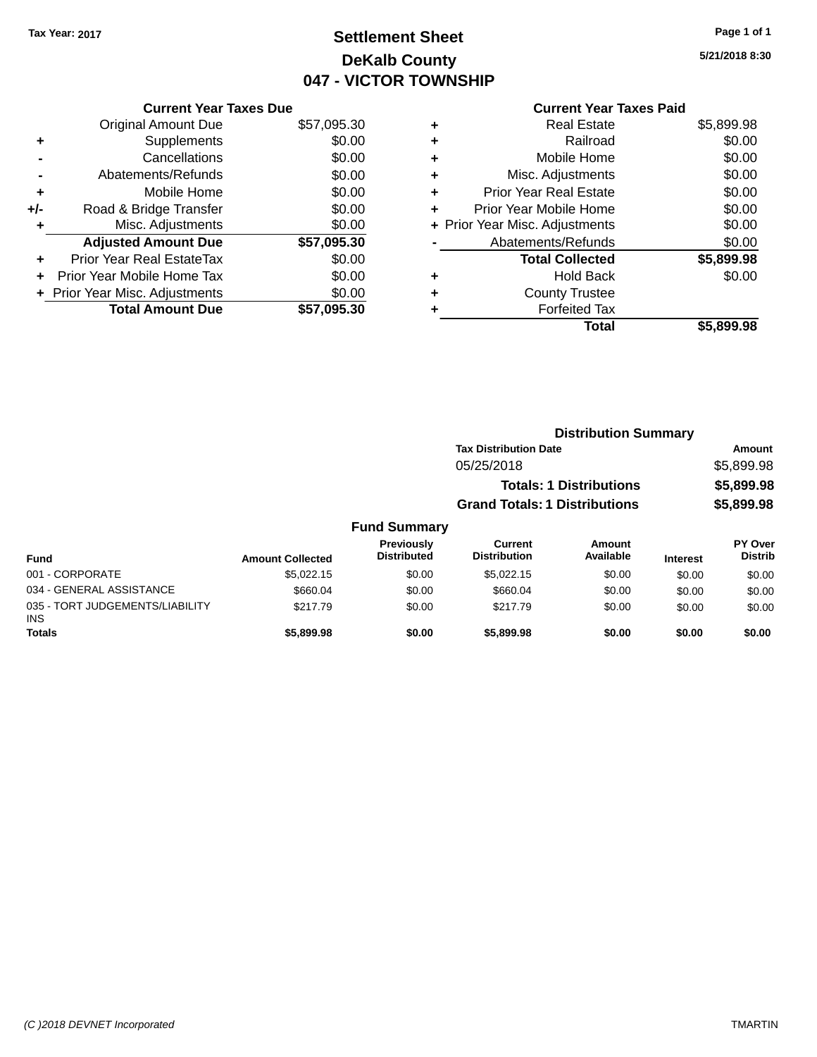### **Settlement Sheet Tax Year: 2017 Page 1 of 1 DeKalb County 047 - VICTOR TOWNSHIP**

**5/21/2018 8:30**

|       | <b>Current Year Taxes Due</b>  |             |
|-------|--------------------------------|-------------|
|       | <b>Original Amount Due</b>     | \$57,095.30 |
|       | Supplements                    | \$0.00      |
|       | Cancellations                  | \$0.00      |
|       | Abatements/Refunds             | \$0.00      |
| ٠     | Mobile Home                    | \$0.00      |
| $+/-$ | Road & Bridge Transfer         | \$0.00      |
| ٠     | Misc. Adjustments              | \$0.00      |
|       | <b>Adjusted Amount Due</b>     | \$57,095.30 |
| ÷     | Prior Year Real EstateTax      | \$0.00      |
|       | Prior Year Mobile Home Tax     | \$0.00      |
|       | + Prior Year Misc. Adjustments | \$0.00      |
|       | <b>Total Amount Due</b>        | \$57.095.30 |
|       |                                |             |

|   | <b>Real Estate</b>             | \$5,899.98 |
|---|--------------------------------|------------|
| ٠ | Railroad                       | \$0.00     |
| ٠ | Mobile Home                    | \$0.00     |
| ٠ | Misc. Adjustments              | \$0.00     |
| ٠ | <b>Prior Year Real Estate</b>  | \$0.00     |
| ٠ | Prior Year Mobile Home         | \$0.00     |
|   | + Prior Year Misc. Adjustments | \$0.00     |
|   | Abatements/Refunds             | \$0.00     |
|   | <b>Total Collected</b>         | \$5,899.98 |
|   | <b>Hold Back</b>               | \$0.00     |
|   | <b>County Trustee</b>          |            |
|   | <b>Forfeited Tax</b>           |            |
|   | Total                          | \$5,899.98 |
|   |                                |            |

|                     | <b>Distribution Summary</b>          |                                |            |  |
|---------------------|--------------------------------------|--------------------------------|------------|--|
|                     | <b>Tax Distribution Date</b>         |                                | Amount     |  |
|                     | 05/25/2018                           |                                | \$5,899.98 |  |
|                     |                                      | <b>Totals: 1 Distributions</b> | \$5,899.98 |  |
|                     | <b>Grand Totals: 1 Distributions</b> |                                | \$5,899.98 |  |
| <b>Fund Summary</b> |                                      |                                |            |  |
| <b>Draviaught</b>   | $r_{\text{turbant}}$                 | $A$ mesint                     | ימיים עם   |  |

| Fund                                          | <b>Amount Collected</b> | Previously<br><b>Distributed</b> | Current<br><b>Distribution</b> | Amount<br>Available | <b>Interest</b> | <b>PY Over</b><br><b>Distrib</b> |
|-----------------------------------------------|-------------------------|----------------------------------|--------------------------------|---------------------|-----------------|----------------------------------|
| 001 - CORPORATE                               | \$5.022.15              | \$0.00                           | \$5.022.15                     | \$0.00              | \$0.00          | \$0.00                           |
| 034 - GENERAL ASSISTANCE                      | \$660.04                | \$0.00                           | \$660.04                       | \$0.00              | \$0.00          | \$0.00                           |
| 035 - TORT JUDGEMENTS/LIABILITY<br><b>INS</b> | \$217.79                | \$0.00                           | \$217.79                       | \$0.00              | \$0.00          | \$0.00                           |
| <b>Totals</b>                                 | \$5,899.98              | \$0.00                           | \$5,899.98                     | \$0.00              | \$0.00          | \$0.00                           |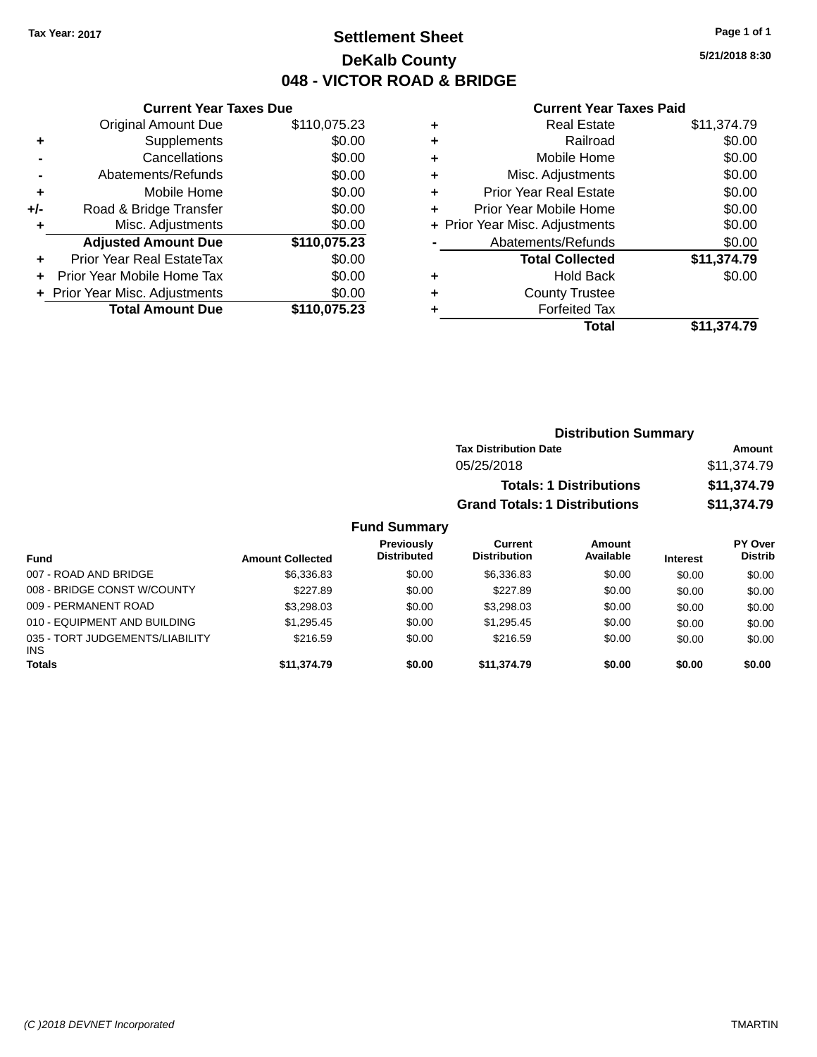### **Settlement Sheet Tax Year: 2017 Page 1 of 1 DeKalb County 048 - VICTOR ROAD & BRIDGE**

**5/21/2018 8:30**

#### **Current Year Taxes Paid**

|     | <b>Current Year Taxes Due</b>  |              |  |  |
|-----|--------------------------------|--------------|--|--|
|     | <b>Original Amount Due</b>     | \$110,075.23 |  |  |
| ÷   | Supplements                    | \$0.00       |  |  |
|     | Cancellations                  | \$0.00       |  |  |
|     | Abatements/Refunds             |              |  |  |
| ٠   | Mobile Home                    | \$0.00       |  |  |
| +/- | Road & Bridge Transfer         | \$0.00       |  |  |
| ٠   | Misc. Adjustments              | \$0.00       |  |  |
|     | <b>Adjusted Amount Due</b>     | \$110,075.23 |  |  |
| ÷   | Prior Year Real EstateTax      | \$0.00       |  |  |
|     | Prior Year Mobile Home Tax     | \$0.00       |  |  |
|     | + Prior Year Misc. Adjustments | \$0.00       |  |  |
|     | <b>Total Amount Due</b>        | \$110,075.23 |  |  |
|     |                                |              |  |  |

|   | <b>Real Estate</b>             | \$11,374.79 |
|---|--------------------------------|-------------|
| ٠ | Railroad                       | \$0.00      |
| ٠ | Mobile Home                    | \$0.00      |
| ٠ | Misc. Adjustments              | \$0.00      |
| ٠ | <b>Prior Year Real Estate</b>  | \$0.00      |
| ٠ | Prior Year Mobile Home         | \$0.00      |
|   | + Prior Year Misc. Adjustments | \$0.00      |
|   | Abatements/Refunds             | \$0.00      |
|   | <b>Total Collected</b>         | \$11,374.79 |
| ٠ | <b>Hold Back</b>               | \$0.00      |
| ٠ | <b>County Trustee</b>          |             |
| ٠ | <b>Forfeited Tax</b>           |             |
|   | Total                          | \$11.374.79 |
|   |                                |             |

| <b>Distribution Summary</b>          |             |
|--------------------------------------|-------------|
| <b>Tax Distribution Date</b>         | Amount      |
| 05/25/2018                           | \$11,374.79 |
| <b>Totals: 1 Distributions</b>       | \$11,374.79 |
| <b>Grand Totals: 1 Distributions</b> | \$11,374.79 |

#### **Fund Summary**

| <b>Fund</b>                                   | <b>Amount Collected</b> | <b>Previously</b><br><b>Distributed</b> | Current<br><b>Distribution</b> | Amount<br>Available | <b>Interest</b> | <b>PY Over</b><br><b>Distrib</b> |
|-----------------------------------------------|-------------------------|-----------------------------------------|--------------------------------|---------------------|-----------------|----------------------------------|
| 007 - ROAD AND BRIDGE                         | \$6,336,83              | \$0.00                                  | \$6.336.83                     | \$0.00              | \$0.00          | \$0.00                           |
| 008 - BRIDGE CONST W/COUNTY                   | \$227.89                | \$0.00                                  | \$227.89                       | \$0.00              | \$0.00          | \$0.00                           |
| 009 - PERMANENT ROAD                          | \$3,298.03              | \$0.00                                  | \$3.298.03                     | \$0.00              | \$0.00          | \$0.00                           |
| 010 - EQUIPMENT AND BUILDING                  | \$1.295.45              | \$0.00                                  | \$1,295.45                     | \$0.00              | \$0.00          | \$0.00                           |
| 035 - TORT JUDGEMENTS/LIABILITY<br><b>INS</b> | \$216.59                | \$0.00                                  | \$216.59                       | \$0.00              | \$0.00          | \$0.00                           |
| <b>Totals</b>                                 | \$11,374.79             | \$0.00                                  | \$11,374.79                    | \$0.00              | \$0.00          | \$0.00                           |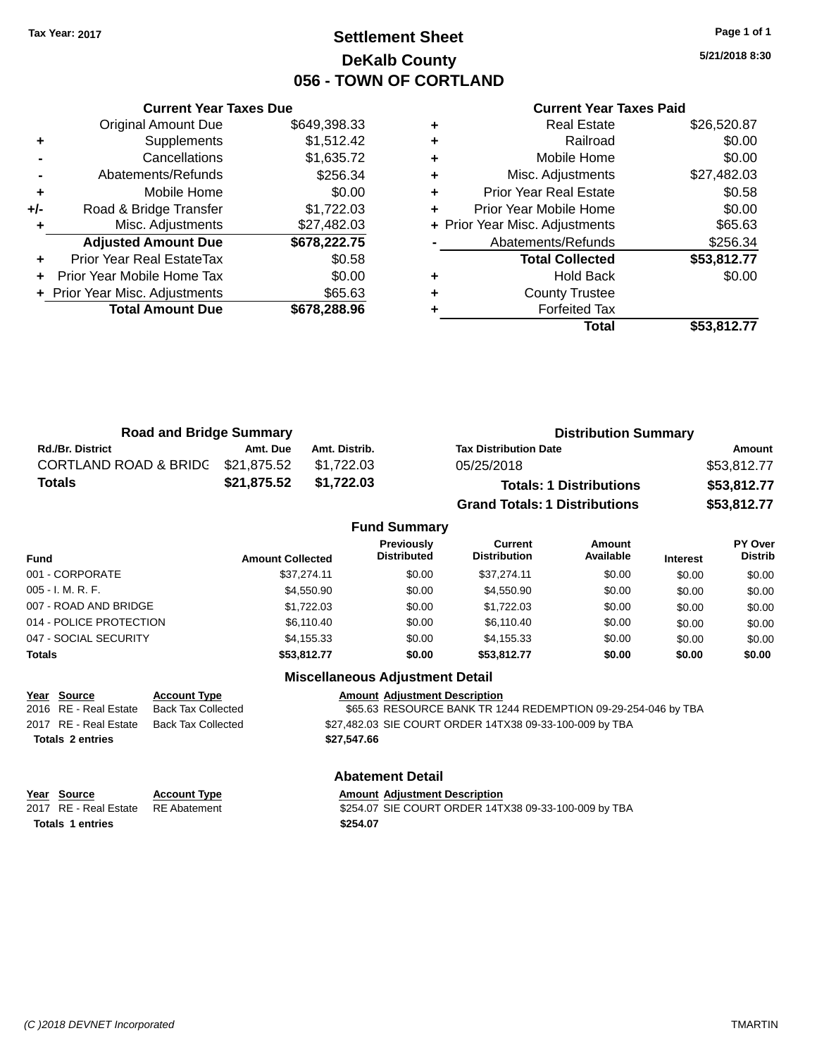### **Settlement Sheet Tax Year: 2017 Page 1 of 1 DeKalb County 056 - TOWN OF CORTLAND**

**5/21/2018 8:30**

| <b>Current Year Taxes Paid</b> |  |  |
|--------------------------------|--|--|
|                                |  |  |

|       | <b>Current Year Taxes Due</b>  |              |
|-------|--------------------------------|--------------|
|       | <b>Original Amount Due</b>     | \$649,398.33 |
| ٠     | Supplements                    | \$1,512.42   |
|       | Cancellations                  | \$1,635.72   |
|       | Abatements/Refunds             | \$256.34     |
| ٠     | Mobile Home                    | \$0.00       |
| $+/-$ | Road & Bridge Transfer         | \$1,722.03   |
| ٠     | Misc. Adjustments              | \$27,482.03  |
|       | <b>Adjusted Amount Due</b>     | \$678,222.75 |
| ٠     | Prior Year Real EstateTax      | \$0.58       |
|       | Prior Year Mobile Home Tax     | \$0.00       |
|       | + Prior Year Misc. Adjustments | \$65.63      |
|       | <b>Total Amount Due</b>        | \$678,288.96 |
|       |                                |              |

|   | Total                          | \$53,812.77 |
|---|--------------------------------|-------------|
|   | <b>Forfeited Tax</b>           |             |
| ÷ | <b>County Trustee</b>          |             |
| ٠ | <b>Hold Back</b>               | \$0.00      |
|   | <b>Total Collected</b>         | \$53,812.77 |
|   | Abatements/Refunds             | \$256.34    |
|   | + Prior Year Misc. Adjustments | \$65.63     |
| ٠ | Prior Year Mobile Home         | \$0.00      |
| ٠ | <b>Prior Year Real Estate</b>  | \$0.58      |
| ٠ | Misc. Adjustments              | \$27,482.03 |
| ٠ | Mobile Home                    | \$0.00      |
| ٠ | Railroad                       | \$0.00      |
| ٠ | Real Estate                    | \$26,520.87 |
|   |                                |             |

| <b>Road and Bridge Summary</b>    |             |               | <b>Distribution Summary</b>          |             |  |
|-----------------------------------|-------------|---------------|--------------------------------------|-------------|--|
| <b>Rd./Br. District</b>           | Amt. Due    | Amt. Distrib. | <b>Tax Distribution Date</b>         | Amount      |  |
| CORTLAND ROAD & BRIDG \$21,875.52 |             | \$1.722.03    | 05/25/2018                           | \$53,812.77 |  |
| Totals                            | \$21,875.52 | \$1,722.03    | <b>Totals: 1 Distributions</b>       | \$53,812.77 |  |
|                                   |             |               | <b>Grand Totals: 1 Distributions</b> | \$53,812.77 |  |

| <b>Fund Summary</b>     |                         |                                  |                                       |                            |                 |                                  |
|-------------------------|-------------------------|----------------------------------|---------------------------------------|----------------------------|-----------------|----------------------------------|
| <b>Fund</b>             | <b>Amount Collected</b> | Previously<br><b>Distributed</b> | <b>Current</b><br><b>Distribution</b> | <b>Amount</b><br>Available | <b>Interest</b> | <b>PY Over</b><br><b>Distrib</b> |
| 001 - CORPORATE         | \$37.274.11             | \$0.00                           | \$37.274.11                           | \$0.00                     | \$0.00          | \$0.00                           |
| $005 - I. M. R. F.$     | \$4,550.90              | \$0.00                           | \$4,550.90                            | \$0.00                     | \$0.00          | \$0.00                           |
| 007 - ROAD AND BRIDGE   | \$1,722.03              | \$0.00                           | \$1,722.03                            | \$0.00                     | \$0.00          | \$0.00                           |
| 014 - POLICE PROTECTION | \$6,110.40              | \$0.00                           | \$6,110.40                            | \$0.00                     | \$0.00          | \$0.00                           |
| 047 - SOCIAL SECURITY   | \$4,155.33              | \$0.00                           | \$4,155.33                            | \$0.00                     | \$0.00          | \$0.00                           |
| <b>Totals</b>           | \$53,812.77             | \$0.00                           | \$53,812.77                           | \$0.00                     | \$0.00          | \$0.00                           |

#### **Miscellaneous Adjustment Detail**

| <u>Year Source</u><br><b>Account Type</b>   | <b>Amount Adjustment Description</b>                          |
|---------------------------------------------|---------------------------------------------------------------|
| 2016 RE - Real Estate<br>Back Tax Collected | \$65.63 RESOURCE BANK TR 1244 REDEMPTION 09-29-254-046 by TBA |
| 2017 RE - Real Estate<br>Back Tax Collected | \$27,482.03 SIE COURT ORDER 14TX38 09-33-100-009 by TBA       |
| <b>Totals 2 entries</b>                     | \$27.547.66                                                   |

#### **Abatement Detail**

| Year Source           | <b>Account Type</b> | <b>Amount Adiustment Description</b>                 |
|-----------------------|---------------------|------------------------------------------------------|
| 2017 RE - Real Estate | RE Abatement        | \$254.07 SIE COURT ORDER 14TX38 09-33-100-009 by TBA |
| Totals 1 entries      |                     | \$254.07                                             |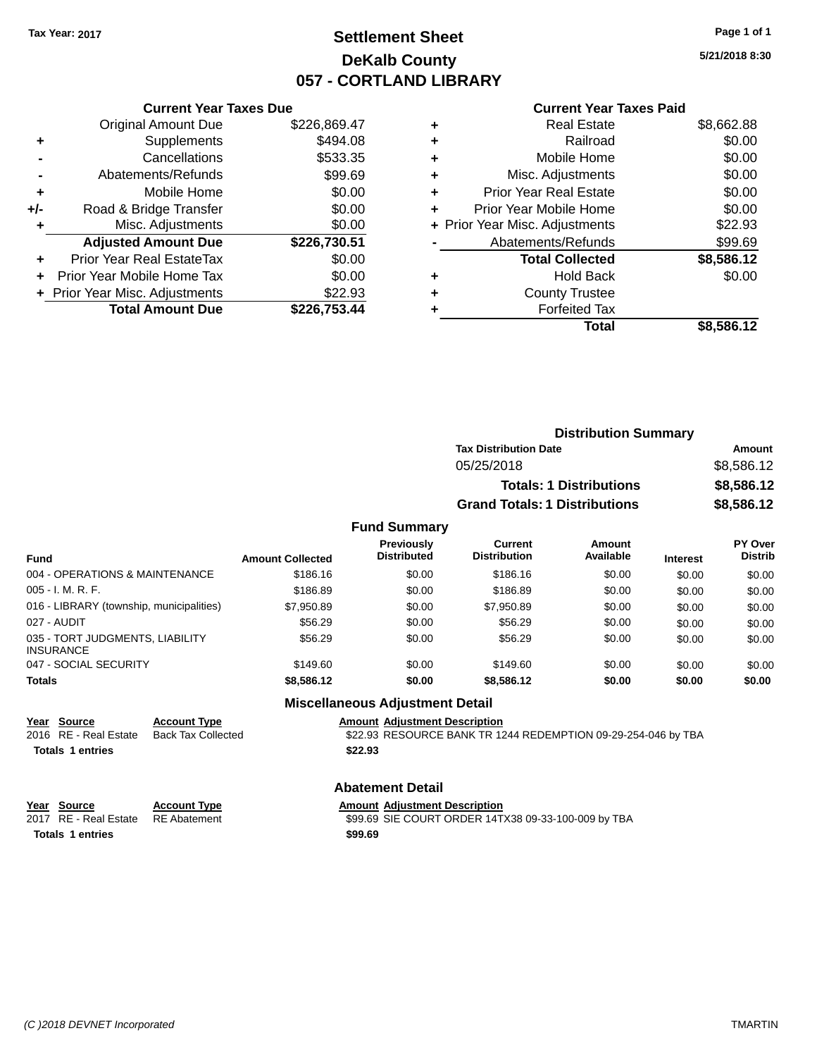### **Settlement Sheet Tax Year: 2017 Page 1 of 1 DeKalb County 057 - CORTLAND LIBRARY**

**5/21/2018 8:30**

#### **Current Year Taxes Paid**

|       | <b>Current Year Taxes Due</b>  |              |
|-------|--------------------------------|--------------|
|       | <b>Original Amount Due</b>     | \$226,869.47 |
| ٠     | Supplements                    | \$494.08     |
|       | Cancellations                  | \$533.35     |
|       | Abatements/Refunds             | \$99.69      |
| ٠     | Mobile Home                    | \$0.00       |
| $+/-$ | Road & Bridge Transfer         | \$0.00       |
| ٠     | Misc. Adjustments              | \$0.00       |
|       | <b>Adjusted Amount Due</b>     | \$226,730.51 |
| ٠     | Prior Year Real EstateTax      | \$0.00       |
|       | Prior Year Mobile Home Tax     | \$0.00       |
|       | + Prior Year Misc. Adjustments | \$22.93      |
|       | <b>Total Amount Due</b>        | \$226,753.44 |
|       |                                |              |

|   | <b>Real Estate</b>             | \$8,662.88 |
|---|--------------------------------|------------|
| ÷ | Railroad                       | \$0.00     |
| ٠ | Mobile Home                    | \$0.00     |
| ٠ | Misc. Adjustments              | \$0.00     |
| ٠ | <b>Prior Year Real Estate</b>  | \$0.00     |
| ٠ | Prior Year Mobile Home         | \$0.00     |
|   | + Prior Year Misc. Adjustments | \$22.93    |
|   | Abatements/Refunds             | \$99.69    |
|   | <b>Total Collected</b>         | \$8,586.12 |
| ٠ | <b>Hold Back</b>               | \$0.00     |
| ٠ | <b>County Trustee</b>          |            |
|   | <b>Forfeited Tax</b>           |            |
|   | Total                          | \$8,586.12 |

| <b>Distribution Summary</b>          |            |
|--------------------------------------|------------|
| <b>Tax Distribution Date</b>         | Amount     |
| 05/25/2018                           | \$8,586.12 |
| <b>Totals: 1 Distributions</b>       | \$8,586.12 |
| <b>Grand Totals: 1 Distributions</b> | \$8,586.12 |

#### **Fund Summary**

| <b>Fund</b>                                         | <b>Amount Collected</b> | <b>Previously</b><br><b>Distributed</b> | <b>Current</b><br><b>Distribution</b> | Amount<br>Available | <b>Interest</b> | <b>PY Over</b><br><b>Distrib</b> |
|-----------------------------------------------------|-------------------------|-----------------------------------------|---------------------------------------|---------------------|-----------------|----------------------------------|
| 004 - OPERATIONS & MAINTENANCE                      | \$186.16                | \$0.00                                  | \$186.16                              | \$0.00              | \$0.00          | \$0.00                           |
| 005 - I. M. R. F.                                   | \$186.89                | \$0.00                                  | \$186.89                              | \$0.00              | \$0.00          | \$0.00                           |
| 016 - LIBRARY (township, municipalities)            | \$7,950.89              | \$0.00                                  | \$7,950.89                            | \$0.00              | \$0.00          | \$0.00                           |
| 027 - AUDIT                                         | \$56.29                 | \$0.00                                  | \$56.29                               | \$0.00              | \$0.00          | \$0.00                           |
| 035 - TORT JUDGMENTS, LIABILITY<br><b>INSURANCE</b> | \$56.29                 | \$0.00                                  | \$56.29                               | \$0.00              | \$0.00          | \$0.00                           |
| 047 - SOCIAL SECURITY                               | \$149.60                | \$0.00                                  | \$149.60                              | \$0.00              | \$0.00          | \$0.00                           |
| <b>Totals</b>                                       | \$8,586.12              | \$0.00                                  | \$8,586,12                            | \$0.00              | \$0.00          | \$0.00                           |

**Totals \$22.93 1 entries**

**Year Source Account Type**<br>
2016 RE - Real Estate Back Tax Collected **Amount Adjustment Description**<br>
\$22.93 RESOURCE BANK TR 12

**Miscellaneous Adjustment Detail**

\$22.93 RESOURCE BANK TR 1244 REDEMPTION 09-29-254-046 by TBA

#### **Abatement Detail**

| Year Source                        | <b>Account Type</b> | <b>Amount Adiustment Description</b>                |
|------------------------------------|---------------------|-----------------------------------------------------|
| 2017 RE - Real Estate RE Abatement |                     | \$99.69 SIE COURT ORDER 14TX38 09-33-100-009 by TBA |
| <b>Totals 1 entries</b>            |                     | \$99.69                                             |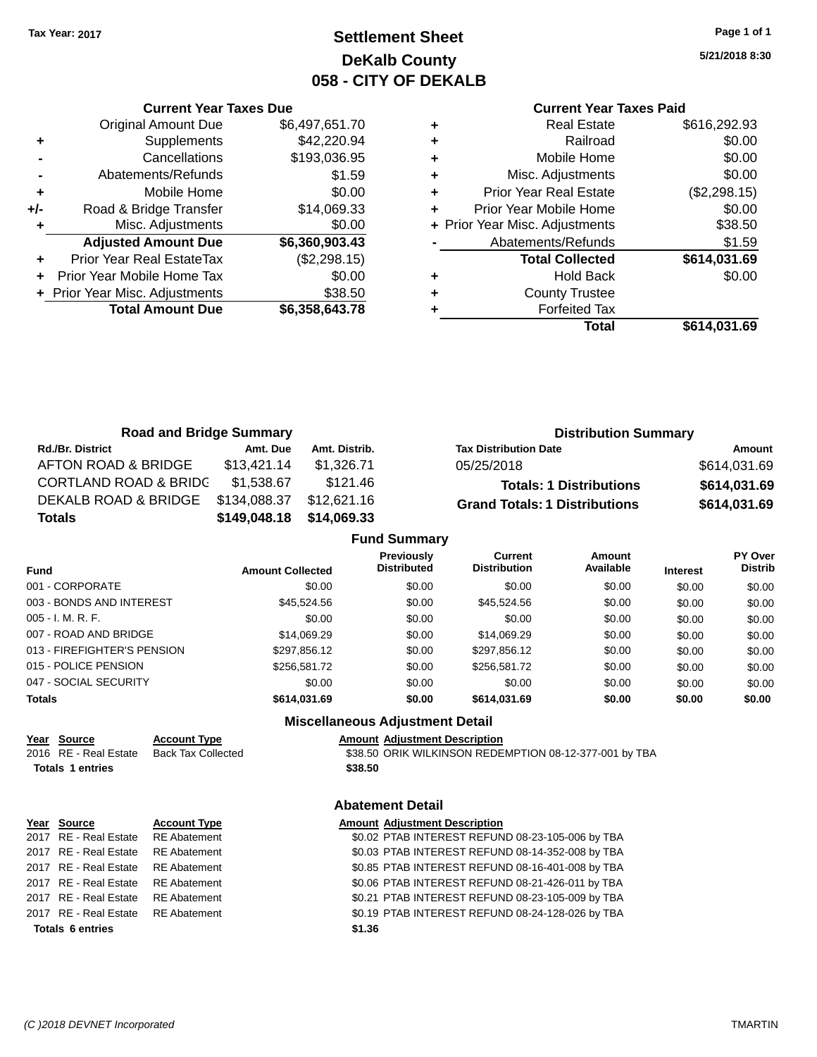### **Settlement Sheet Tax Year: 2017 Page 1 of 1 DeKalb County 058 - CITY OF DEKALB**

**5/21/2018 8:30**

#### **Current Year Taxes Paid**

|     | <b>Current Year Taxes Due</b>  |                |
|-----|--------------------------------|----------------|
|     | <b>Original Amount Due</b>     | \$6,497,651.70 |
| ٠   | Supplements                    | \$42,220.94    |
|     | Cancellations                  | \$193,036.95   |
|     | Abatements/Refunds             | \$1.59         |
| ٠   | Mobile Home                    | \$0.00         |
| +/- | Road & Bridge Transfer         | \$14,069.33    |
| ٠   | Misc. Adjustments              | \$0.00         |
|     | <b>Adjusted Amount Due</b>     | \$6,360,903.43 |
| ٠   | Prior Year Real EstateTax      | (\$2,298.15)   |
|     | Prior Year Mobile Home Tax     | \$0.00         |
|     | + Prior Year Misc. Adjustments | \$38.50        |
|     | <b>Total Amount Due</b>        | \$6,358,643.78 |
|     |                                |                |

|   | <b>Real Estate</b>             | \$616,292.93 |
|---|--------------------------------|--------------|
| ٠ | Railroad                       | \$0.00       |
| ٠ | Mobile Home                    | \$0.00       |
| ٠ | Misc. Adjustments              | \$0.00       |
| ٠ | <b>Prior Year Real Estate</b>  | (\$2,298.15) |
|   | Prior Year Mobile Home         | \$0.00       |
|   | + Prior Year Misc. Adjustments | \$38.50      |
|   | Abatements/Refunds             | \$1.59       |
|   | <b>Total Collected</b>         | \$614,031.69 |
| ٠ | <b>Hold Back</b>               | \$0.00       |
|   | <b>County Trustee</b>          |              |
|   | <b>Forfeited Tax</b>           |              |
|   | Total                          | \$614,031.69 |
|   |                                |              |

| <b>Road and Bridge Summary</b>   |              |               |                                      | <b>Distribution Summary</b> |  |  |
|----------------------------------|--------------|---------------|--------------------------------------|-----------------------------|--|--|
| <b>Rd./Br. District</b>          | Amt. Due     | Amt. Distrib. | <b>Tax Distribution Date</b>         | Amount                      |  |  |
| AFTON ROAD & BRIDGE              | \$13,421.14  | \$1,326.71    | 05/25/2018                           | \$614,031.69                |  |  |
| <b>CORTLAND ROAD &amp; BRIDC</b> | \$1,538.67   | \$121.46      | <b>Totals: 1 Distributions</b>       | \$614,031.69                |  |  |
| DEKALB ROAD & BRIDGE             | \$134,088.37 | \$12,621.16   | <b>Grand Totals: 1 Distributions</b> | \$614,031.69                |  |  |
| <b>Totals</b>                    | \$149,048.18 | \$14,069.33   |                                      |                             |  |  |
| <b>Fund Summary</b>              |              |               |                                      |                             |  |  |

|                             |                         | runu Junniary                           |                                       |                     |                 |                                  |
|-----------------------------|-------------------------|-----------------------------------------|---------------------------------------|---------------------|-----------------|----------------------------------|
| <b>Fund</b>                 | <b>Amount Collected</b> | <b>Previously</b><br><b>Distributed</b> | <b>Current</b><br><b>Distribution</b> | Amount<br>Available | <b>Interest</b> | <b>PY Over</b><br><b>Distrib</b> |
| 001 - CORPORATE             | \$0.00                  | \$0.00                                  | \$0.00                                | \$0.00              | \$0.00          | \$0.00                           |
| 003 - BONDS AND INTEREST    | \$45,524.56             | \$0.00                                  | \$45,524.56                           | \$0.00              | \$0.00          | \$0.00                           |
| 005 - I. M. R. F.           | \$0.00                  | \$0.00                                  | \$0.00                                | \$0.00              | \$0.00          | \$0.00                           |
| 007 - ROAD AND BRIDGE.      | \$14.069.29             | \$0.00                                  | \$14,069.29                           | \$0.00              | \$0.00          | \$0.00                           |
| 013 - FIREFIGHTER'S PENSION | \$297,856.12            | \$0.00                                  | \$297,856.12                          | \$0.00              | \$0.00          | \$0.00                           |
| 015 - POLICE PENSION        | \$256,581.72            | \$0.00                                  | \$256,581.72                          | \$0.00              | \$0.00          | \$0.00                           |
| 047 - SOCIAL SECURITY       | \$0.00                  | \$0.00                                  | \$0.00                                | \$0.00              | \$0.00          | \$0.00                           |
| Totals                      | \$614.031.69            | \$0.00                                  | \$614,031.69                          | \$0.00              | \$0.00          | \$0.00                           |
|                             | ---<br>. .              | .                                       |                                       |                     |                 |                                  |

#### **Miscellaneous Adjustment Detail**

| Year Source               | Acc |
|---------------------------|-----|
| 2016 RE - Real Estate Bac |     |

**Totals \$38.50 1 entries**

**Year Source Account Type Amount Adjustment Description** \$38.50 ORIK WILKINSON REDEMPTION 08-12-377-001 by TBA

#### **Abatement Detail**

| Year Source                        | <b>Account Type</b> |        | <b>Amount Adjustment Description</b>             |
|------------------------------------|---------------------|--------|--------------------------------------------------|
| 2017 RE - Real Estate RE Abatement |                     |        | \$0.02 PTAB INTEREST REFUND 08-23-105-006 by TBA |
| 2017 RE - Real Estate              | RE Abatement        |        | \$0.03 PTAB INTEREST REFUND 08-14-352-008 by TBA |
| 2017 RE - Real Estate RE Abatement |                     |        | \$0.85 PTAB INTEREST REFUND 08-16-401-008 by TBA |
| 2017 RE - Real Estate RE Abatement |                     |        | \$0.06 PTAB INTEREST REFUND 08-21-426-011 by TBA |
| 2017 RE - Real Estate              | RE Abatement        |        | \$0.21 PTAB INTEREST REFUND 08-23-105-009 by TBA |
| 2017 RE - Real Estate RE Abatement |                     |        | \$0.19 PTAB INTEREST REFUND 08-24-128-026 by TBA |
| <b>Totals 6 entries</b>            |                     | \$1.36 |                                                  |
|                                    |                     |        |                                                  |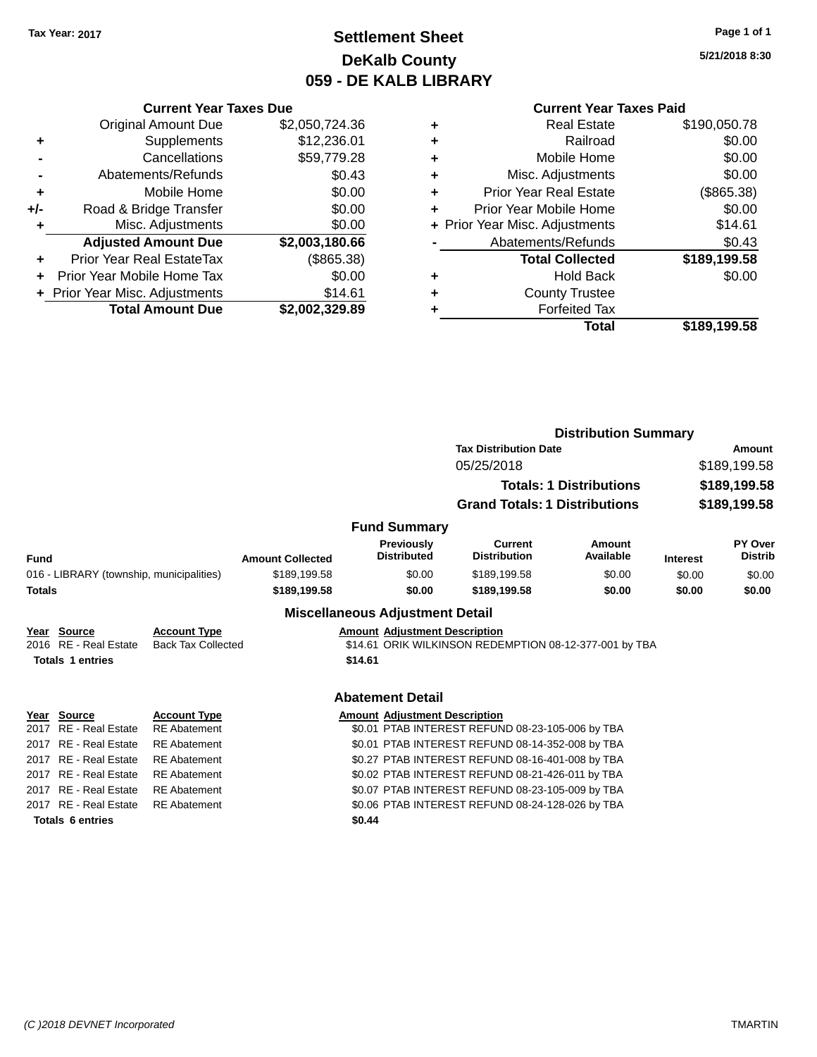### **Settlement Sheet Tax Year: 2017 Page 1 of 1 DeKalb County 059 - DE KALB LIBRARY**

**5/21/2018 8:30**

|       | <b>Current Year Taxes Due</b>  |                |
|-------|--------------------------------|----------------|
|       | <b>Original Amount Due</b>     | \$2,050,724.36 |
| ٠     | Supplements                    | \$12,236.01    |
|       | Cancellations                  | \$59,779.28    |
|       | Abatements/Refunds             | \$0.43         |
| ٠     | Mobile Home                    | \$0.00         |
| $+/-$ | Road & Bridge Transfer         | \$0.00         |
|       | Misc. Adjustments              | \$0.00         |
|       | <b>Adjusted Amount Due</b>     | \$2,003,180.66 |
| ÷     | Prior Year Real EstateTax      | (\$865.38)     |
|       | Prior Year Mobile Home Tax     | \$0.00         |
|       | + Prior Year Misc. Adjustments | \$14.61        |
|       | <b>Total Amount Due</b>        | \$2.002.329.89 |

| ٠ | <b>Real Estate</b>             | \$190,050.78 |
|---|--------------------------------|--------------|
| ٠ | Railroad                       | \$0.00       |
| ٠ | Mobile Home                    | \$0.00       |
| ٠ | Misc. Adjustments              | \$0.00       |
| ٠ | <b>Prior Year Real Estate</b>  | (\$865.38)   |
| ٠ | Prior Year Mobile Home         | \$0.00       |
|   | + Prior Year Misc. Adjustments | \$14.61      |
|   | Abatements/Refunds             | \$0.43       |
|   | <b>Total Collected</b>         | \$189,199.58 |
| ٠ | <b>Hold Back</b>               | \$0.00       |
| ٠ | <b>County Trustee</b>          |              |
|   | <b>Forfeited Tax</b>           |              |
|   | Total                          | \$189.199.58 |
|   |                                |              |

|               |                                          |                           |                         |                                        | <b>Distribution Summary</b>                            |                                |                 |                           |
|---------------|------------------------------------------|---------------------------|-------------------------|----------------------------------------|--------------------------------------------------------|--------------------------------|-----------------|---------------------------|
|               |                                          |                           |                         |                                        | <b>Tax Distribution Date</b>                           |                                | Amount          |                           |
|               |                                          |                           |                         |                                        | 05/25/2018                                             |                                | \$189,199.58    |                           |
|               |                                          |                           |                         |                                        |                                                        | <b>Totals: 1 Distributions</b> |                 | \$189,199.58              |
|               |                                          |                           |                         |                                        | <b>Grand Totals: 1 Distributions</b>                   |                                |                 | \$189,199.58              |
|               |                                          |                           |                         | <b>Fund Summary</b>                    |                                                        |                                |                 |                           |
| <b>Fund</b>   |                                          |                           | <b>Amount Collected</b> | Previously<br><b>Distributed</b>       | <b>Current</b><br><b>Distribution</b>                  | Amount<br>Available            | <b>Interest</b> | PY Over<br><b>Distrib</b> |
|               | 016 - LIBRARY (township, municipalities) |                           | \$189,199.58            | \$0.00                                 | \$189,199.58                                           | \$0.00                         | \$0.00          | \$0.00                    |
| <b>Totals</b> |                                          |                           | \$189,199.58            | \$0.00                                 | \$189.199.58                                           | \$0.00                         | \$0.00          | \$0.00                    |
|               |                                          |                           |                         | <b>Miscellaneous Adjustment Detail</b> |                                                        |                                |                 |                           |
| Year          | Source                                   | <b>Account Type</b>       |                         | <b>Amount Adjustment Description</b>   |                                                        |                                |                 |                           |
| 2016          | <b>RE</b> - Real Estate                  | <b>Back Tax Collected</b> |                         |                                        | \$14.61 ORIK WILKINSON REDEMPTION 08-12-377-001 by TBA |                                |                 |                           |
|               | <b>Totals 1 entries</b>                  |                           |                         | \$14.61                                |                                                        |                                |                 |                           |
|               |                                          |                           |                         | <b>Abatement Detail</b>                |                                                        |                                |                 |                           |
|               | Year Source                              | <b>Account Type</b>       |                         | <b>Amount Adjustment Description</b>   |                                                        |                                |                 |                           |
| 2017          | <b>RE</b> - Real Estate                  | <b>RE</b> Abatement       |                         |                                        | \$0.01 PTAB INTEREST REFUND 08-23-105-006 by TBA       |                                |                 |                           |
| 2017          | <b>RE</b> - Real Estate                  | <b>RE</b> Abatement       |                         |                                        | \$0.01 PTAB INTEREST REFUND 08-14-352-008 by TBA       |                                |                 |                           |
| 2017          | RE - Real Estate                         | <b>RE</b> Abatement       |                         |                                        | \$0.27 PTAB INTEREST REFUND 08-16-401-008 by TBA       |                                |                 |                           |
| 2017          | RE - Real Estate                         | <b>RE</b> Abatement       |                         |                                        | \$0.02 PTAB INTEREST REFUND 08-21-426-011 by TBA       |                                |                 |                           |
|               | 2017 RE - Real Estate                    | <b>RE</b> Abatement       |                         |                                        | \$0.07 PTAB INTEREST REFUND 08-23-105-009 by TBA       |                                |                 |                           |
|               | 2017 RE - Real Estate                    | <b>RE</b> Abatement       |                         |                                        | \$0.06 PTAB INTEREST REFUND 08-24-128-026 by TBA       |                                |                 |                           |
|               | <b>Totals 6 entries</b>                  |                           |                         | \$0.44                                 |                                                        |                                |                 |                           |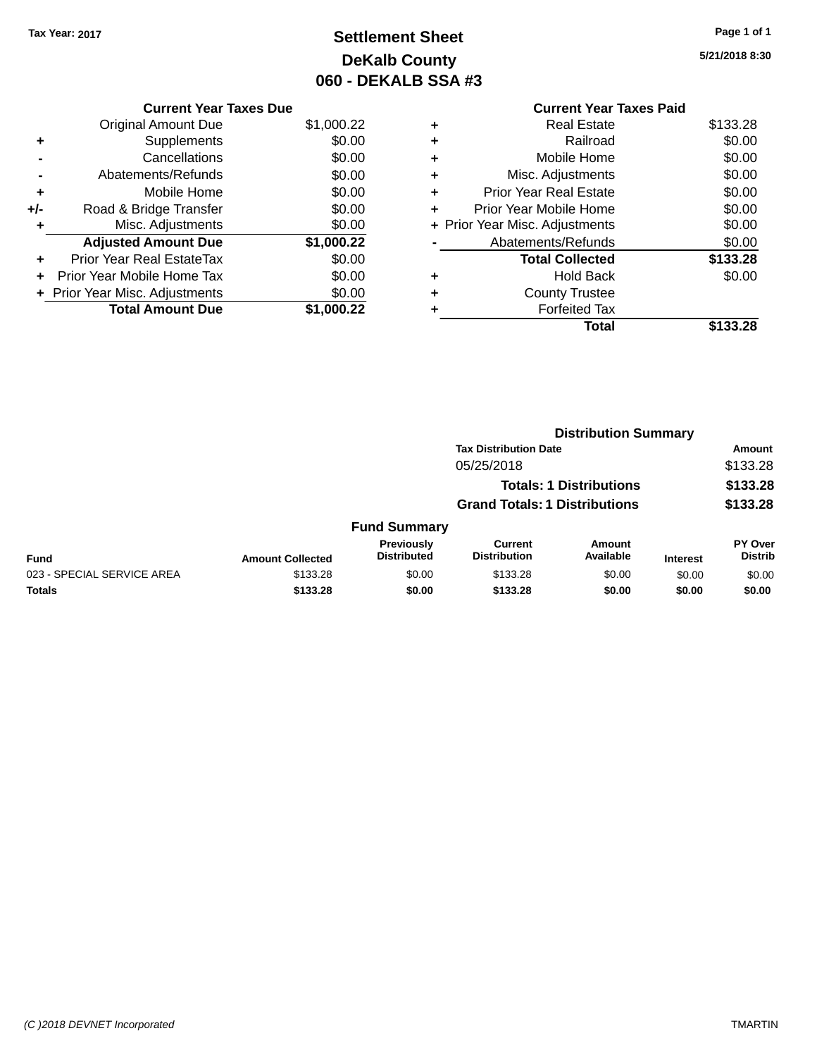### **Settlement Sheet Tax Year: 2017 Page 1 of 1 DeKalb County 060 - DEKALB SSA #3**

**5/21/2018 8:30**

|       | <b>Current Year Taxes Due</b>  |            |
|-------|--------------------------------|------------|
|       | <b>Original Amount Due</b>     | \$1,000.22 |
| ٠     | Supplements                    | \$0.00     |
|       | Cancellations                  | \$0.00     |
|       | Abatements/Refunds             | \$0.00     |
| ٠     | Mobile Home                    | \$0.00     |
| $+/-$ | Road & Bridge Transfer         | \$0.00     |
|       | Misc. Adjustments              | \$0.00     |
|       | <b>Adjusted Amount Due</b>     | \$1,000.22 |
|       | Prior Year Real EstateTax      | \$0.00     |
|       | Prior Year Mobile Home Tax     | \$0.00     |
|       | + Prior Year Misc. Adjustments | \$0.00     |
|       | <b>Total Amount Due</b>        | \$1,000.22 |

|   | <b>Current Year Taxes Paid</b> |          |
|---|--------------------------------|----------|
| ٠ | Real Estate                    | \$133.28 |
| ٠ | Railroad                       | \$0.00   |
| ٠ | Mobile Home                    | \$0.00   |
| ٠ | Misc. Adjustments              | \$0.00   |
| ٠ | <b>Prior Year Real Estate</b>  | \$0.00   |
| ٠ | Prior Year Mobile Home         | \$0.00   |
|   | + Prior Year Misc. Adjustments | \$0.00   |
|   | Abatements/Refunds             | \$0.00   |
|   | <b>Total Collected</b>         | \$133.28 |
|   | <b>Hold Back</b>               | \$0.00   |
| ٠ | <b>County Trustee</b>          |          |
|   | <b>Forfeited Tax</b>           |          |
|   | Total                          | \$133.28 |
|   |                                |          |

|                            | <b>Distribution Summary</b> |                                         |                                       |                                |                 |                                  |  |
|----------------------------|-----------------------------|-----------------------------------------|---------------------------------------|--------------------------------|-----------------|----------------------------------|--|
|                            |                             |                                         | <b>Tax Distribution Date</b>          |                                |                 | Amount                           |  |
|                            |                             |                                         | 05/25/2018                            |                                |                 | \$133.28                         |  |
|                            |                             |                                         |                                       | <b>Totals: 1 Distributions</b> |                 | \$133.28                         |  |
|                            |                             | <b>Grand Totals: 1 Distributions</b>    |                                       |                                |                 | \$133.28                         |  |
|                            |                             | <b>Fund Summary</b>                     |                                       |                                |                 |                                  |  |
| <b>Fund</b>                | <b>Amount Collected</b>     | <b>Previously</b><br><b>Distributed</b> | <b>Current</b><br><b>Distribution</b> | Amount<br>Available            | <b>Interest</b> | <b>PY Over</b><br><b>Distrib</b> |  |
| 023 - SPECIAL SERVICE AREA | \$133.28                    | \$0.00                                  | \$133.28                              | \$0.00                         | \$0.00          | \$0.00                           |  |
| <b>Totals</b>              | \$133.28                    | \$0.00                                  | \$133.28                              | \$0.00                         | \$0.00          | \$0.00                           |  |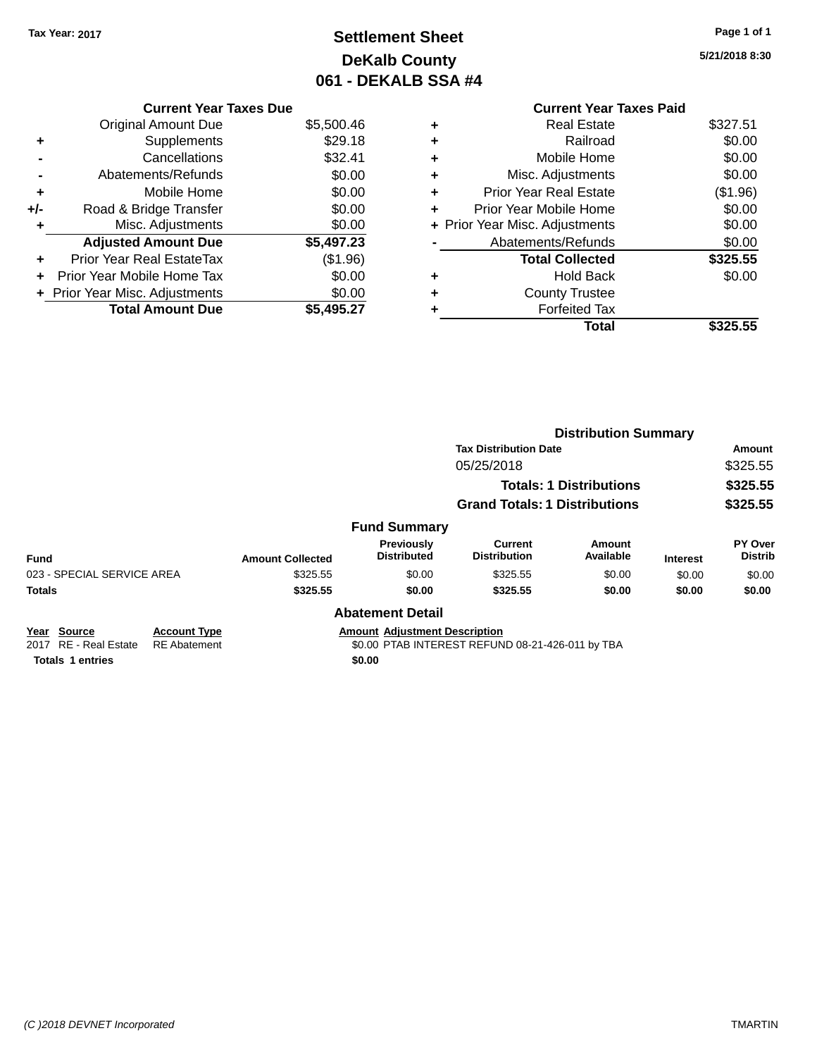### **Settlement Sheet Tax Year: 2017 Page 1 of 1 DeKalb County 061 - DEKALB SSA #4**

**5/21/2018 8:30**

|   | <b>Current Year Taxes Paid</b> |          |
|---|--------------------------------|----------|
| ٠ | Real Estate                    | \$327.51 |
| ٠ | Railroad                       | \$0.00   |
| ٠ | Mobile Home                    | \$0.00   |
| ٠ | Misc. Adjustments              | \$0.00   |
| ٠ | <b>Prior Year Real Estate</b>  | (\$1.96) |
| ٠ | Prior Year Mobile Home         | \$0.00   |
|   | + Prior Year Misc. Adjustments | \$0.00   |
|   | Abatements/Refunds             | \$0.00   |
|   | <b>Total Collected</b>         | \$325.55 |
| ٠ | <b>Hold Back</b>               | \$0.00   |
| ٠ | <b>County Trustee</b>          |          |
| ٠ | <b>Forfeited Tax</b>           |          |
|   | Total                          | \$325.55 |

|       | Abatements/Refunds               | \$0.00     | ٠ | Misc. A              |
|-------|----------------------------------|------------|---|----------------------|
| ÷     | Mobile Home                      | \$0.00     | ٠ | <b>Prior Year F</b>  |
| $+/-$ | Road & Bridge Transfer           | \$0.00     | ٠ | Prior Year Mo        |
| ÷     | Misc. Adjustments                | \$0.00     |   | + Prior Year Misc. A |
|       | <b>Adjusted Amount Due</b>       | \$5,497.23 |   | Abatemen             |
| ٠     | <b>Prior Year Real EstateTax</b> | (\$1.96)   |   | <b>Total</b>         |
| ٠     | Prior Year Mobile Home Tax       | \$0.00     | ٠ |                      |
|       | + Prior Year Misc. Adjustments   | \$0.00     | ٠ | Cour                 |
|       | <b>Total Amount Due</b>          | \$5,495.27 |   | Fc                   |
|       |                                  |            |   |                      |
|       |                                  |            |   |                      |

**Current Year Taxes Due** Original Amount Due \$5,500.46

**+** Supplements \$29.18 **-** Cancellations \$32.41

|                                       |                         |                                      |                                      | <b>Distribution Summary</b>    |                 |                           |  |
|---------------------------------------|-------------------------|--------------------------------------|--------------------------------------|--------------------------------|-----------------|---------------------------|--|
|                                       |                         |                                      | <b>Tax Distribution Date</b>         |                                |                 | Amount                    |  |
|                                       |                         |                                      | 05/25/2018                           |                                |                 | \$325.55                  |  |
|                                       |                         |                                      |                                      | <b>Totals: 1 Distributions</b> |                 | \$325.55                  |  |
|                                       |                         |                                      | <b>Grand Totals: 1 Distributions</b> |                                |                 | \$325.55                  |  |
|                                       |                         | <b>Fund Summary</b>                  |                                      |                                |                 |                           |  |
| <b>Fund</b>                           | <b>Amount Collected</b> | Previously<br><b>Distributed</b>     | Current<br><b>Distribution</b>       | Amount<br>Available            | <b>Interest</b> | PY Over<br><b>Distrib</b> |  |
| 023 - SPECIAL SERVICE AREA            | \$325.55                | \$0.00                               | \$325.55                             | \$0.00                         | \$0.00          | \$0.00                    |  |
| <b>Totals</b>                         | \$325.55                | \$0.00                               | \$325.55                             | \$0.00                         | \$0.00          | \$0.00                    |  |
|                                       |                         | <b>Abatement Detail</b>              |                                      |                                |                 |                           |  |
| Year<br><b>Account Type</b><br>Source |                         | <b>Amount Adjustment Description</b> |                                      |                                |                 |                           |  |

2017 RE - Real Estate RE Abatement \$0.00 PTAB INTEREST REFUND 08-21-426-011 by TBA

**Totals 1 entries** \$0.00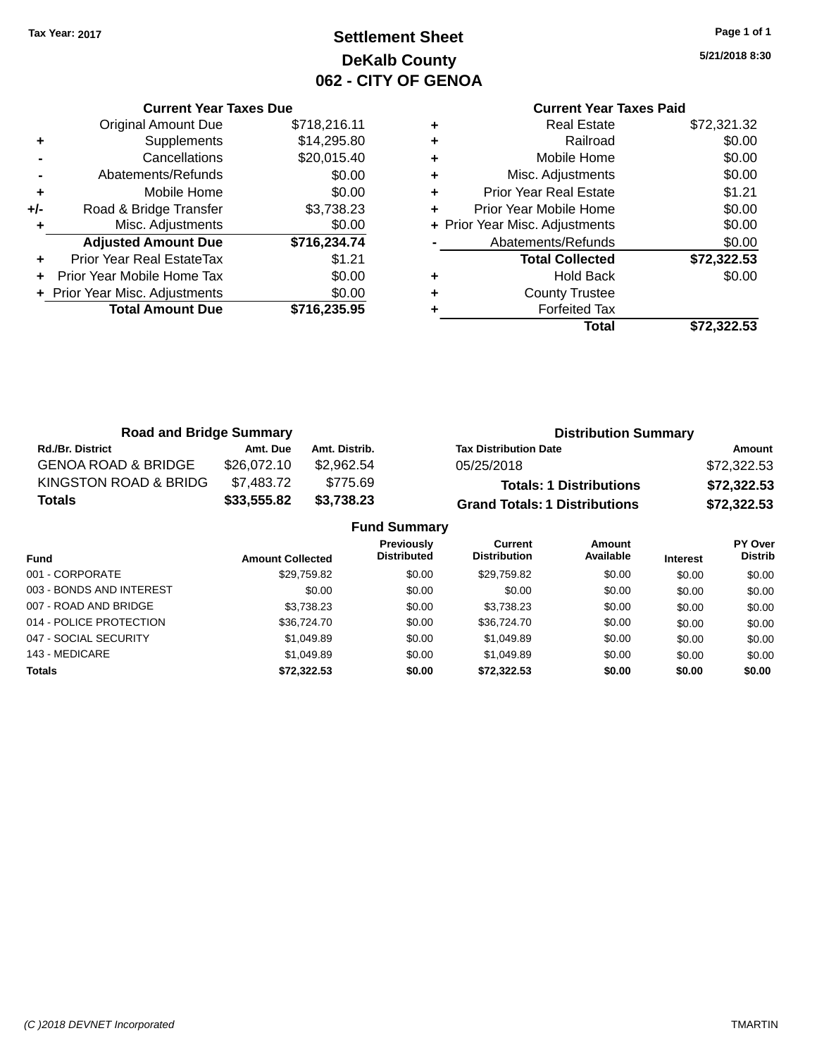### **Settlement Sheet Tax Year: 2017 Page 1 of 1 DeKalb County 062 - CITY OF GENOA**

**5/21/2018 8:30**

|     | <b>Current Year Taxes Due</b>  |              |
|-----|--------------------------------|--------------|
|     | <b>Original Amount Due</b>     | \$718,216.11 |
| ٠   | Supplements                    | \$14,295.80  |
|     | Cancellations                  | \$20,015.40  |
|     | Abatements/Refunds             | \$0.00       |
| ٠   | Mobile Home                    | \$0.00       |
| +/- | Road & Bridge Transfer         | \$3,738.23   |
| ٠   | Misc. Adjustments              | \$0.00       |
|     | <b>Adjusted Amount Due</b>     | \$716,234.74 |
|     | Prior Year Real EstateTax      | \$1.21       |
|     | Prior Year Mobile Home Tax     | \$0.00       |
|     | + Prior Year Misc. Adjustments | \$0.00       |
|     | <b>Total Amount Due</b>        | \$716,235.95 |
|     |                                |              |

### **Current Year Taxes Paid +** Real Estate \$72,321.32 **+** Railroad \$0.00

|   | Total                          | \$72,322.53 |
|---|--------------------------------|-------------|
|   | <b>Forfeited Tax</b>           |             |
| ÷ | <b>County Trustee</b>          |             |
|   | <b>Hold Back</b>               | \$0.00      |
|   | <b>Total Collected</b>         | \$72,322.53 |
|   | Abatements/Refunds             | \$0.00      |
|   | + Prior Year Misc. Adjustments | \$0.00      |
|   | Prior Year Mobile Home         | \$0.00      |
| ٠ | <b>Prior Year Real Estate</b>  | \$1.21      |
| ÷ | Misc. Adjustments              | \$0.00      |
| ÷ | Mobile Home                    | \$0.00      |
|   |                                | vv.vv       |

| <b>Road and Bridge Summary</b> |             |               | <b>Distribution Summary</b>          |             |
|--------------------------------|-------------|---------------|--------------------------------------|-------------|
| <b>Rd./Br. District</b>        | Amt. Due    | Amt. Distrib. | <b>Tax Distribution Date</b>         | Amount      |
| <b>GENOA ROAD &amp; BRIDGE</b> | \$26,072.10 | \$2.962.54    | 05/25/2018                           | \$72,322.53 |
| KINGSTON ROAD & BRIDG          | \$7,483.72  | \$775.69      | <b>Totals: 1 Distributions</b>       | \$72,322.53 |
| <b>Totals</b>                  | \$33,555.82 | \$3,738.23    | <b>Grand Totals: 1 Distributions</b> | \$72,322.53 |

| <b>Fund Summary</b>      |                         |                                         |                                |                     |                 |                                  |  |  |
|--------------------------|-------------------------|-----------------------------------------|--------------------------------|---------------------|-----------------|----------------------------------|--|--|
| <b>Fund</b>              | <b>Amount Collected</b> | <b>Previously</b><br><b>Distributed</b> | Current<br><b>Distribution</b> | Amount<br>Available | <b>Interest</b> | <b>PY Over</b><br><b>Distrib</b> |  |  |
| 001 - CORPORATE          | \$29,759.82             | \$0.00                                  | \$29,759.82                    | \$0.00              | \$0.00          | \$0.00                           |  |  |
| 003 - BONDS AND INTEREST | \$0.00                  | \$0.00                                  | \$0.00                         | \$0.00              | \$0.00          | \$0.00                           |  |  |
| 007 - ROAD AND BRIDGE    | \$3.738.23              | \$0.00                                  | \$3,738.23                     | \$0.00              | \$0.00          | \$0.00                           |  |  |
| 014 - POLICE PROTECTION  | \$36,724.70             | \$0.00                                  | \$36,724.70                    | \$0.00              | \$0.00          | \$0.00                           |  |  |
| 047 - SOCIAL SECURITY    | \$1,049.89              | \$0.00                                  | \$1,049.89                     | \$0.00              | \$0.00          | \$0.00                           |  |  |
| 143 - MEDICARE           | \$1.049.89              | \$0.00                                  | \$1,049.89                     | \$0.00              | \$0.00          | \$0.00                           |  |  |
| <b>Totals</b>            | \$72,322.53             | \$0.00                                  | \$72,322.53                    | \$0.00              | \$0.00          | \$0.00                           |  |  |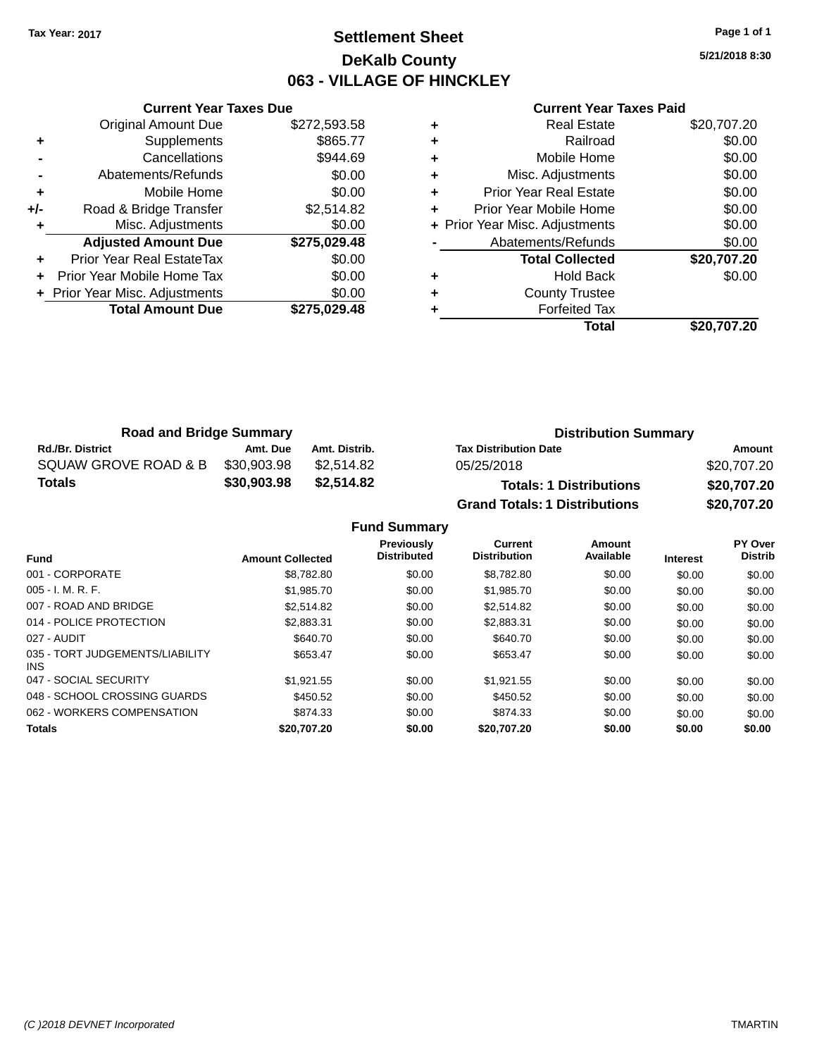### **Settlement Sheet Tax Year: 2017 Page 1 of 1 DeKalb County 063 - VILLAGE OF HINCKLEY**

**5/21/2018 8:30**

#### **Current Year Taxes Paid**

|     | <b>Current Year Taxes Due</b>  |              |
|-----|--------------------------------|--------------|
|     | <b>Original Amount Due</b>     | \$272,593.58 |
| ٠   | Supplements                    | \$865.77     |
|     | Cancellations                  | \$944.69     |
|     | Abatements/Refunds             | \$0.00       |
| ٠   | Mobile Home                    | \$0.00       |
| +/- | Road & Bridge Transfer         | \$2,514.82   |
|     | Misc. Adjustments              | \$0.00       |
|     | <b>Adjusted Amount Due</b>     | \$275,029.48 |
| ٠   | Prior Year Real EstateTax      | \$0.00       |
|     | Prior Year Mobile Home Tax     | \$0.00       |
|     | + Prior Year Misc. Adjustments | \$0.00       |
|     | <b>Total Amount Due</b>        | \$275.029.48 |
|     |                                |              |

| <b>Real Estate</b>            | \$20,707.20                    |
|-------------------------------|--------------------------------|
| Railroad                      | \$0.00                         |
| Mobile Home                   | \$0.00                         |
| Misc. Adjustments             | \$0.00                         |
| <b>Prior Year Real Estate</b> | \$0.00                         |
| Prior Year Mobile Home        | \$0.00                         |
|                               | \$0.00                         |
| Abatements/Refunds            | \$0.00                         |
| <b>Total Collected</b>        | \$20,707.20                    |
| <b>Hold Back</b>              | \$0.00                         |
| <b>County Trustee</b>         |                                |
| <b>Forfeited Tax</b>          |                                |
| Total                         | \$20.707.20                    |
|                               | + Prior Year Misc. Adjustments |

| <b>Road and Bridge Summary</b> |             |               | <b>Distribution Summary</b>          |             |
|--------------------------------|-------------|---------------|--------------------------------------|-------------|
| <b>Rd./Br. District</b>        | Amt. Due    | Amt. Distrib. | <b>Tax Distribution Date</b>         | Amount      |
| SQUAW GROVE ROAD & B           | \$30,903.98 | \$2.514.82    | 05/25/2018                           | \$20,707.20 |
| <b>Totals</b>                  | \$30,903.98 | \$2,514.82    | <b>Totals: 1 Distributions</b>       | \$20,707.20 |
|                                |             |               | <b>Grand Totals: 1 Distributions</b> | \$20,707.20 |

**Fund Summary**

| <b>Fund</b>                             | <b>Amount Collected</b> | Previously<br><b>Distributed</b> | <b>Current</b><br><b>Distribution</b> | Amount<br>Available | <b>Interest</b> | PY Over<br><b>Distrib</b> |
|-----------------------------------------|-------------------------|----------------------------------|---------------------------------------|---------------------|-----------------|---------------------------|
| 001 - CORPORATE                         | \$8,782.80              | \$0.00                           | \$8,782.80                            | \$0.00              | \$0.00          | \$0.00                    |
| $005 - I. M. R. F.$                     | \$1,985.70              | \$0.00                           | \$1,985.70                            | \$0.00              | \$0.00          | \$0.00                    |
| 007 - ROAD AND BRIDGE                   | \$2,514.82              | \$0.00                           | \$2,514.82                            | \$0.00              | \$0.00          | \$0.00                    |
| 014 - POLICE PROTECTION                 | \$2,883.31              | \$0.00                           | \$2.883.31                            | \$0.00              | \$0.00          | \$0.00                    |
| 027 - AUDIT                             | \$640.70                | \$0.00                           | \$640.70                              | \$0.00              | \$0.00          | \$0.00                    |
| 035 - TORT JUDGEMENTS/LIABILITY<br>INS. | \$653.47                | \$0.00                           | \$653.47                              | \$0.00              | \$0.00          | \$0.00                    |
| 047 - SOCIAL SECURITY                   | \$1,921.55              | \$0.00                           | \$1,921.55                            | \$0.00              | \$0.00          | \$0.00                    |
| 048 - SCHOOL CROSSING GUARDS            | \$450.52                | \$0.00                           | \$450.52                              | \$0.00              | \$0.00          | \$0.00                    |
| 062 - WORKERS COMPENSATION              | \$874.33                | \$0.00                           | \$874.33                              | \$0.00              | \$0.00          | \$0.00                    |
| <b>Totals</b>                           | \$20,707.20             | \$0.00                           | \$20.707.20                           | \$0.00              | \$0.00          | \$0.00                    |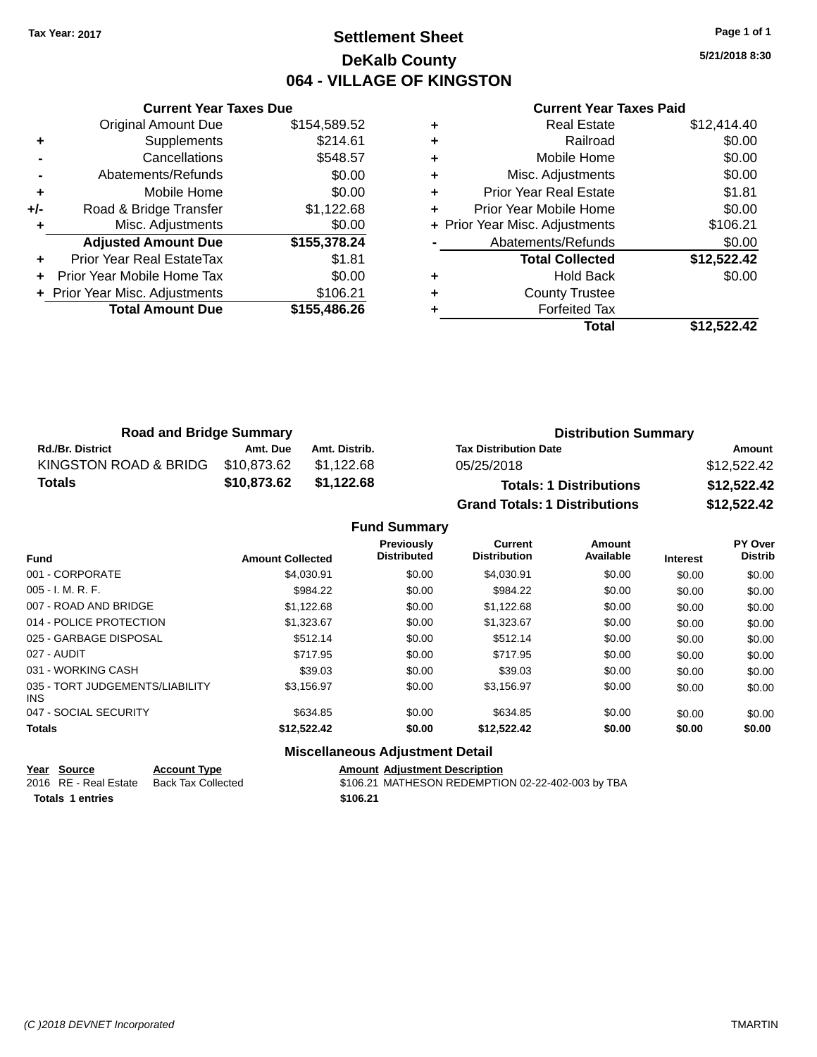### **Settlement Sheet Tax Year: 2017 Page 1 of 1 DeKalb County 064 - VILLAGE OF KINGSTON**

**5/21/2018 8:30**

|     | <b>Current Year Taxes Due</b>  |              |  |  |  |
|-----|--------------------------------|--------------|--|--|--|
|     | <b>Original Amount Due</b>     | \$154,589.52 |  |  |  |
| ٠   | Supplements                    | \$214.61     |  |  |  |
|     | Cancellations                  | \$548.57     |  |  |  |
|     | Abatements/Refunds             | \$0.00       |  |  |  |
| ٠   | Mobile Home                    | \$0.00       |  |  |  |
| +/- | Road & Bridge Transfer         | \$1,122.68   |  |  |  |
| ٠   | Misc. Adjustments              | \$0.00       |  |  |  |
|     | <b>Adjusted Amount Due</b>     | \$155,378.24 |  |  |  |
|     | Prior Year Real EstateTax      | \$1.81       |  |  |  |
|     | Prior Year Mobile Home Tax     | \$0.00       |  |  |  |
|     | + Prior Year Misc. Adjustments | \$106.21     |  |  |  |
|     | <b>Total Amount Due</b>        | \$155,486.26 |  |  |  |
|     |                                |              |  |  |  |

#### **Current Year Taxes Paid**

|   | <b>Real Estate</b>             | \$12,414.40 |
|---|--------------------------------|-------------|
| ٠ | Railroad                       | \$0.00      |
| ٠ | Mobile Home                    | \$0.00      |
| ٠ | Misc. Adjustments              | \$0.00      |
| ٠ | Prior Year Real Estate         | \$1.81      |
|   | Prior Year Mobile Home         | \$0.00      |
|   | + Prior Year Misc. Adjustments | \$106.21    |
|   | Abatements/Refunds             | \$0.00      |
|   | <b>Total Collected</b>         | \$12,522.42 |
| ٠ | <b>Hold Back</b>               | \$0.00      |
| ٠ | <b>County Trustee</b>          |             |
|   | <b>Forfeited Tax</b>           |             |
|   | Total                          | \$12,522.42 |
|   |                                |             |

| <b>Road and Bridge Summary</b> |             |               | <b>Distribution Summary</b>          |             |
|--------------------------------|-------------|---------------|--------------------------------------|-------------|
| <b>Rd./Br. District</b>        | Amt. Due    | Amt. Distrib. | <b>Tax Distribution Date</b>         | Amount      |
| KINGSTON ROAD & BRIDG          | \$10,873.62 | \$1,122.68    | 05/25/2018                           | \$12,522.42 |
| Totals                         | \$10,873.62 | \$1,122.68    | <b>Totals: 1 Distributions</b>       | \$12,522.42 |
|                                |             |               | <b>Grand Totals: 1 Distributions</b> | \$12,522.42 |

## **Fund Summary**

| <b>Fund</b>                             | <b>Amount Collected</b> | Previously<br><b>Distributed</b> | Current<br><b>Distribution</b> | Amount<br>Available | <b>Interest</b> | PY Over<br><b>Distrib</b> |
|-----------------------------------------|-------------------------|----------------------------------|--------------------------------|---------------------|-----------------|---------------------------|
| 001 - CORPORATE                         | \$4.030.91              | \$0.00                           | \$4.030.91                     | \$0.00              | \$0.00          | \$0.00                    |
| $005 - I. M. R. F.$                     | \$984.22                | \$0.00                           | \$984.22                       | \$0.00              | \$0.00          | \$0.00                    |
| 007 - ROAD AND BRIDGE                   | \$1,122.68              | \$0.00                           | \$1,122.68                     | \$0.00              | \$0.00          | \$0.00                    |
| 014 - POLICE PROTECTION                 | \$1.323.67              | \$0.00                           | \$1.323.67                     | \$0.00              | \$0.00          | \$0.00                    |
| 025 - GARBAGE DISPOSAL                  | \$512.14                | \$0.00                           | \$512.14                       | \$0.00              | \$0.00          | \$0.00                    |
| 027 - AUDIT                             | \$717.95                | \$0.00                           | \$717.95                       | \$0.00              | \$0.00          | \$0.00                    |
| 031 - WORKING CASH                      | \$39.03                 | \$0.00                           | \$39.03                        | \$0.00              | \$0.00          | \$0.00                    |
| 035 - TORT JUDGEMENTS/LIABILITY<br>INS. | \$3,156.97              | \$0.00                           | \$3,156.97                     | \$0.00              | \$0.00          | \$0.00                    |
| 047 - SOCIAL SECURITY                   | \$634.85                | \$0.00                           | \$634.85                       | \$0.00              | \$0.00          | \$0.00                    |
| <b>Totals</b>                           | \$12,522.42             | \$0.00                           | \$12,522.42                    | \$0.00              | \$0.00          | \$0.00                    |

#### **Miscellaneous Adjustment Detail**

| <b>Amount Adjustment Descri</b> |
|---------------------------------|
|                                 |

**Totals \$106.21 1 entries**

**Year Source Account Type**<br>
2016 RE - Real Estate Back Tax Collected **Amount Adjustment Description**<br>
\$106.21 MATHESON REDEMPTIC \$106.21 MATHESON REDEMPTION 02-22-402-003 by TBA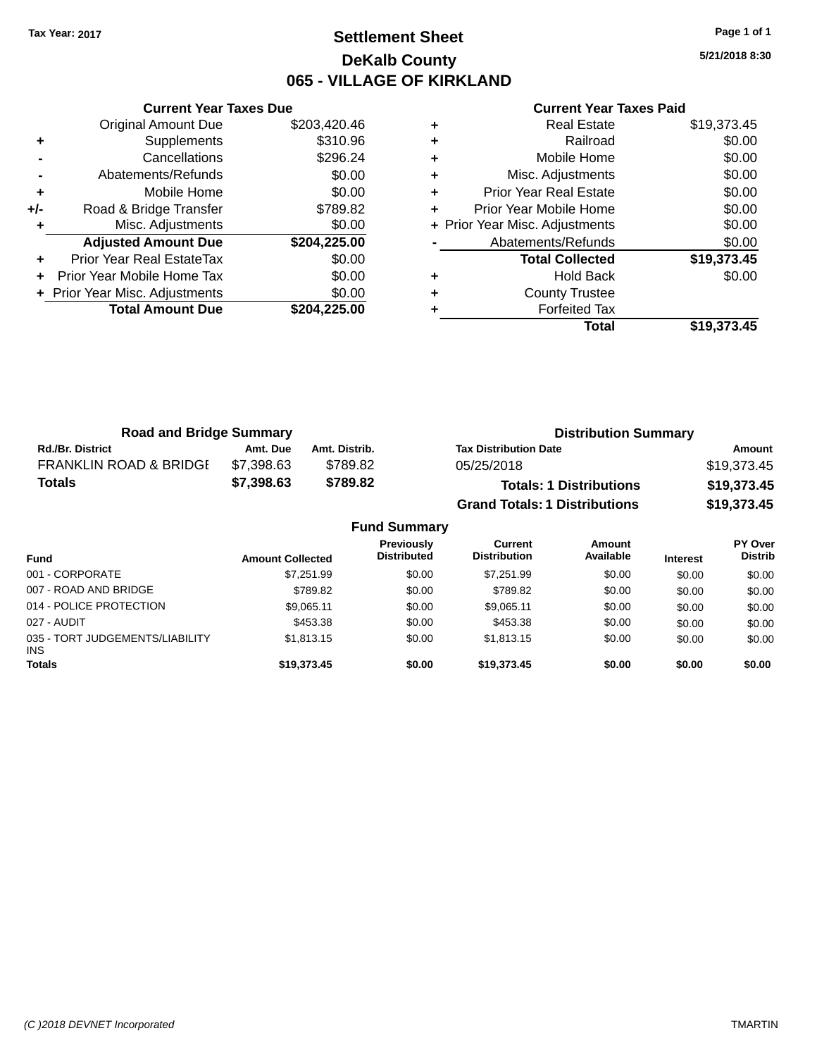### **Settlement Sheet Tax Year: 2017 Page 1 of 1 DeKalb County 065 - VILLAGE OF KIRKLAND**

**5/21/2018 8:30**

|     | <b>Current Year Taxes Due</b>  |              |
|-----|--------------------------------|--------------|
|     | <b>Original Amount Due</b>     | \$203,420.46 |
| ٠   | Supplements                    | \$310.96     |
|     | Cancellations                  | \$296.24     |
|     | Abatements/Refunds             | \$0.00       |
| ٠   | Mobile Home                    | \$0.00       |
| +/- | Road & Bridge Transfer         | \$789.82     |
|     | Misc. Adjustments              | \$0.00       |
|     | <b>Adjusted Amount Due</b>     | \$204,225.00 |
| ٠   | Prior Year Real EstateTax      | \$0.00       |
|     | Prior Year Mobile Home Tax     | \$0.00       |
|     | + Prior Year Misc. Adjustments | \$0.00       |
|     | <b>Total Amount Due</b>        | \$204.225.00 |
|     |                                |              |

| <b>Real Estate</b>            | \$19,373.45                    |
|-------------------------------|--------------------------------|
| Railroad                      | \$0.00                         |
| Mobile Home                   | \$0.00                         |
| Misc. Adjustments             | \$0.00                         |
| <b>Prior Year Real Estate</b> | \$0.00                         |
| Prior Year Mobile Home        | \$0.00                         |
|                               | \$0.00                         |
| Abatements/Refunds            | \$0.00                         |
| <b>Total Collected</b>        | \$19,373.45                    |
| <b>Hold Back</b>              | \$0.00                         |
| <b>County Trustee</b>         |                                |
| <b>Forfeited Tax</b>          |                                |
| Total                         | \$19,373.45                    |
|                               | + Prior Year Misc. Adjustments |

| <b>Road and Bridge Summary</b>    |            | <b>Distribution Summary</b> |                                      |             |
|-----------------------------------|------------|-----------------------------|--------------------------------------|-------------|
| <b>Rd./Br. District</b>           | Amt. Due   | Amt. Distrib.               | <b>Tax Distribution Date</b>         | Amount      |
| <b>FRANKLIN ROAD &amp; BRIDGE</b> | \$7.398.63 | \$789.82                    | 05/25/2018                           | \$19,373.45 |
| Totals                            | \$7,398.63 | \$789.82                    | <b>Totals: 1 Distributions</b>       | \$19,373.45 |
|                                   |            |                             | <b>Grand Totals: 1 Distributions</b> | \$19,373.45 |

| <b>Fund Summary</b>                     |                         |                                  |                                |                     |                 |                                  |
|-----------------------------------------|-------------------------|----------------------------------|--------------------------------|---------------------|-----------------|----------------------------------|
| <b>Fund</b>                             | <b>Amount Collected</b> | Previously<br><b>Distributed</b> | Current<br><b>Distribution</b> | Amount<br>Available | <b>Interest</b> | <b>PY Over</b><br><b>Distrib</b> |
| 001 - CORPORATE                         | \$7.251.99              | \$0.00                           | \$7,251.99                     | \$0.00              | \$0.00          | \$0.00                           |
| 007 - ROAD AND BRIDGE                   | \$789.82                | \$0.00                           | \$789.82                       | \$0.00              | \$0.00          | \$0.00                           |
| 014 - POLICE PROTECTION                 | \$9,065.11              | \$0.00                           | \$9,065.11                     | \$0.00              | \$0.00          | \$0.00                           |
| 027 - AUDIT                             | \$453.38                | \$0.00                           | \$453.38                       | \$0.00              | \$0.00          | \$0.00                           |
| 035 - TORT JUDGEMENTS/LIABILITY<br>INS. | \$1,813.15              | \$0.00                           | \$1,813.15                     | \$0.00              | \$0.00          | \$0.00                           |
| <b>Totals</b>                           | \$19,373.45             | \$0.00                           | \$19,373.45                    | \$0.00              | \$0.00          | \$0.00                           |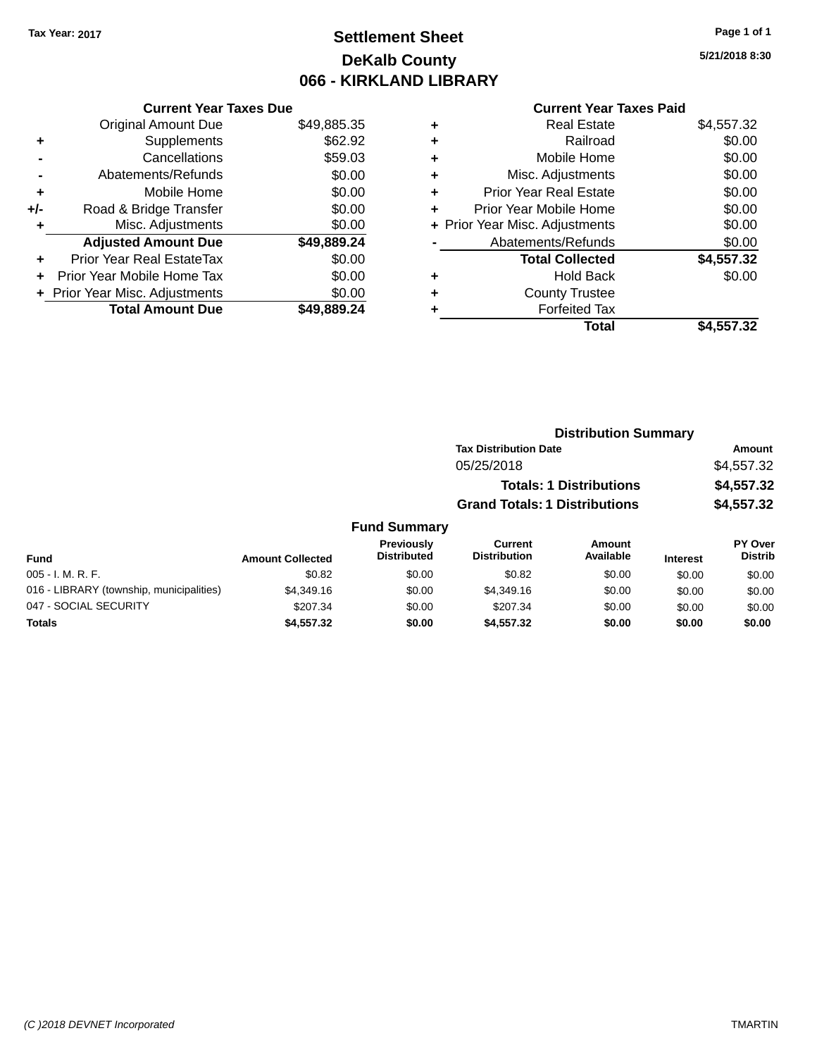### **Settlement Sheet Tax Year: 2017 Page 1 of 1 DeKalb County 066 - KIRKLAND LIBRARY**

**5/21/2018 8:30**

| <b>Current Year Taxes Paid</b> |  |  |
|--------------------------------|--|--|
|                                |  |  |

|     | <b>Current Year Taxes Due</b>  |             |
|-----|--------------------------------|-------------|
|     | <b>Original Amount Due</b>     | \$49,885.35 |
| ٠   | Supplements                    | \$62.92     |
|     | Cancellations                  | \$59.03     |
|     | Abatements/Refunds             | \$0.00      |
| ٠   | Mobile Home                    | \$0.00      |
| +/- | Road & Bridge Transfer         | \$0.00      |
| ٠   | Misc. Adjustments              | \$0.00      |
|     | <b>Adjusted Amount Due</b>     | \$49,889.24 |
| ÷   | Prior Year Real EstateTax      | \$0.00      |
|     | Prior Year Mobile Home Tax     | \$0.00      |
|     | + Prior Year Misc. Adjustments | \$0.00      |
|     | <b>Total Amount Due</b>        | \$49,889.24 |

| ٠ | <b>Real Estate</b>             | \$4,557.32 |
|---|--------------------------------|------------|
| ٠ | Railroad                       | \$0.00     |
| ٠ | Mobile Home                    | \$0.00     |
| ٠ | Misc. Adjustments              | \$0.00     |
| ٠ | <b>Prior Year Real Estate</b>  | \$0.00     |
| ÷ | Prior Year Mobile Home         | \$0.00     |
|   | + Prior Year Misc. Adjustments | \$0.00     |
|   | Abatements/Refunds             | \$0.00     |
|   | <b>Total Collected</b>         | \$4,557.32 |
| ٠ | <b>Hold Back</b>               | \$0.00     |
| ٠ | <b>County Trustee</b>          |            |
| ٠ | <b>Forfeited Tax</b>           |            |
|   | Total                          | \$4,557.32 |
|   |                                |            |

|         | <b>Distribution Summary</b>          |            |
|---------|--------------------------------------|------------|
|         | <b>Tax Distribution Date</b>         | Amount     |
|         | 05/25/2018                           | \$4,557.32 |
|         | <b>Totals: 1 Distributions</b>       | \$4,557.32 |
|         | <b>Grand Totals: 1 Distributions</b> | \$4,557.32 |
| Summary |                                      |            |

| <b>Fund Summary</b>                      |                         |                                         |                                |                     |                 |                           |
|------------------------------------------|-------------------------|-----------------------------------------|--------------------------------|---------------------|-----------------|---------------------------|
| <b>Fund</b>                              | <b>Amount Collected</b> | <b>Previously</b><br><b>Distributed</b> | Current<br><b>Distribution</b> | Amount<br>Available | <b>Interest</b> | PY Over<br><b>Distrib</b> |
| 005 - I. M. R. F.                        | \$0.82                  | \$0.00                                  | \$0.82                         | \$0.00              | \$0.00          | \$0.00                    |
| 016 - LIBRARY (township, municipalities) | \$4,349.16              | \$0.00                                  | \$4,349.16                     | \$0.00              | \$0.00          | \$0.00                    |
| 047 - SOCIAL SECURITY                    | \$207.34                | \$0.00                                  | \$207.34                       | \$0.00              | \$0.00          | \$0.00                    |
| <b>Totals</b>                            | \$4,557.32              | \$0.00                                  | \$4,557,32                     | \$0.00              | \$0.00          | \$0.00                    |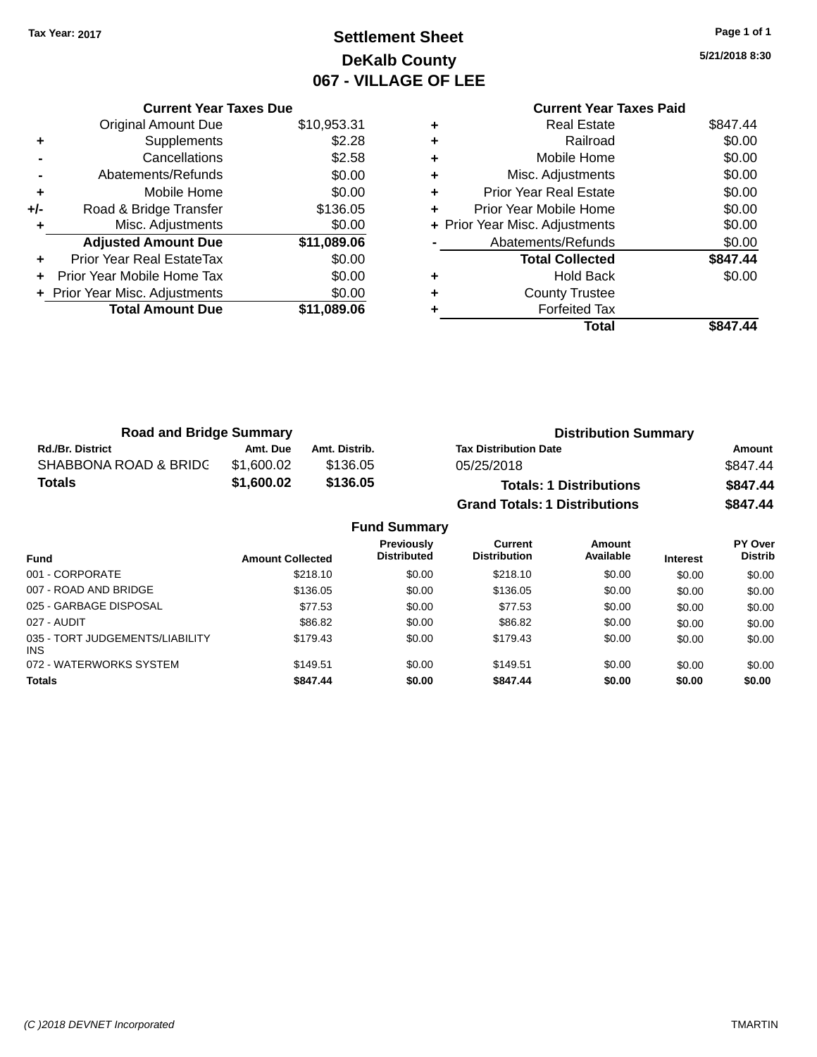### **Settlement Sheet Tax Year: 2017 Page 1 of 1 DeKalb County 067 - VILLAGE OF LEE**

**5/21/2018 8:30**

| <b>Current Year Taxes Paid</b> |                                |
|--------------------------------|--------------------------------|
| <b>Real Estate</b>             | \$847.44                       |
| Railroad                       | \$0.00                         |
| Mobile Home                    | \$0.00                         |
| Misc. Adjustments              | \$0.00                         |
| <b>Prior Year Real Estate</b>  | \$0.00                         |
| Prior Year Mobile Home         | \$0.00                         |
|                                | \$0.00                         |
| Abatements/Refunds             | \$0.00                         |
|                                |                                |
| <b>Total Collected</b>         | \$847.44                       |
| <b>Hold Back</b>               | \$0.00                         |
| <b>County Trustee</b>          |                                |
| <b>Forfeited Tax</b>           |                                |
|                                | + Prior Year Misc. Adjustments |

|     | <b>Current Year Taxes Due</b>  |             |
|-----|--------------------------------|-------------|
|     | <b>Original Amount Due</b>     | \$10,953.31 |
| ٠   | Supplements                    | \$2.28      |
|     | Cancellations                  | \$2.58      |
|     | Abatements/Refunds             | \$0.00      |
| ٠   | Mobile Home                    | \$0.00      |
| +/- | Road & Bridge Transfer         | \$136.05    |
| ٠   | Misc. Adjustments              | \$0.00      |
|     | <b>Adjusted Amount Due</b>     | \$11,089.06 |
| ٠   | Prior Year Real EstateTax      | \$0.00      |
|     | Prior Year Mobile Home Tax     | \$0.00      |
|     | + Prior Year Misc. Adjustments | \$0.00      |
|     | <b>Total Amount Due</b>        | \$11,089.06 |
|     |                                |             |

| <b>Road and Bridge Summary</b> |                         |               |                                         |                                       | <b>Distribution Summary</b>    |                 |                           |
|--------------------------------|-------------------------|---------------|-----------------------------------------|---------------------------------------|--------------------------------|-----------------|---------------------------|
| <b>Rd./Br. District</b>        | Amt. Due                | Amt. Distrib. |                                         | <b>Tax Distribution Date</b>          |                                |                 | Amount                    |
| SHABBONA ROAD & BRIDG          | \$1,600.02              | \$136.05      |                                         | 05/25/2018                            |                                |                 | \$847.44                  |
| <b>Totals</b>                  | \$1,600.02              | \$136.05      |                                         |                                       | <b>Totals: 1 Distributions</b> |                 | \$847.44                  |
|                                |                         |               |                                         | <b>Grand Totals: 1 Distributions</b>  |                                |                 | \$847.44                  |
|                                |                         |               | <b>Fund Summary</b>                     |                                       |                                |                 |                           |
| <b>Fund</b>                    | <b>Amount Collected</b> |               | <b>Previously</b><br><b>Distributed</b> | <b>Current</b><br><b>Distribution</b> | Amount<br>Available            | <b>Interest</b> | PY Over<br><b>Distrib</b> |
| 001 - CORPORATE                |                         | \$218.10      | \$0.00                                  | \$218.10                              | \$0.00                         | \$0.00          | \$0.00                    |
| 007 - ROAD AND BRIDGE          |                         | \$136.05      | ደሰ ሰሰ                                   | \$136.05                              | ደስ ሰሰ                          | ደስ ሰሰ           | ደሰ ሰሰ                     |

| <b>Totals</b>                                 | \$847.44 | \$0.00 | \$847.44 | \$0.00 | \$0.00 | \$0.00 |
|-----------------------------------------------|----------|--------|----------|--------|--------|--------|
| 072 - WATERWORKS SYSTEM                       | \$149.51 | \$0.00 | \$149.51 | \$0.00 | \$0.00 | \$0.00 |
| 035 - TORT JUDGEMENTS/LIABILITY<br><b>INS</b> | \$179.43 | \$0.00 | \$179.43 | \$0.00 | \$0.00 | \$0.00 |
| 027 - AUDIT                                   | \$86.82  | \$0.00 | \$86.82  | \$0.00 | \$0.00 | \$0.00 |
| 025 - GARBAGE DISPOSAL                        | \$77.53  | \$0.00 | \$77.53  | \$0.00 | \$0.00 | \$0.00 |
| 007 - ROAD AND BRIDGE                         | \$136.05 | \$0.00 | \$136.05 | \$0.00 | \$0.00 | \$0.00 |
|                                               | -----    |        | ------   |        | wv.vv  | vv.vv  |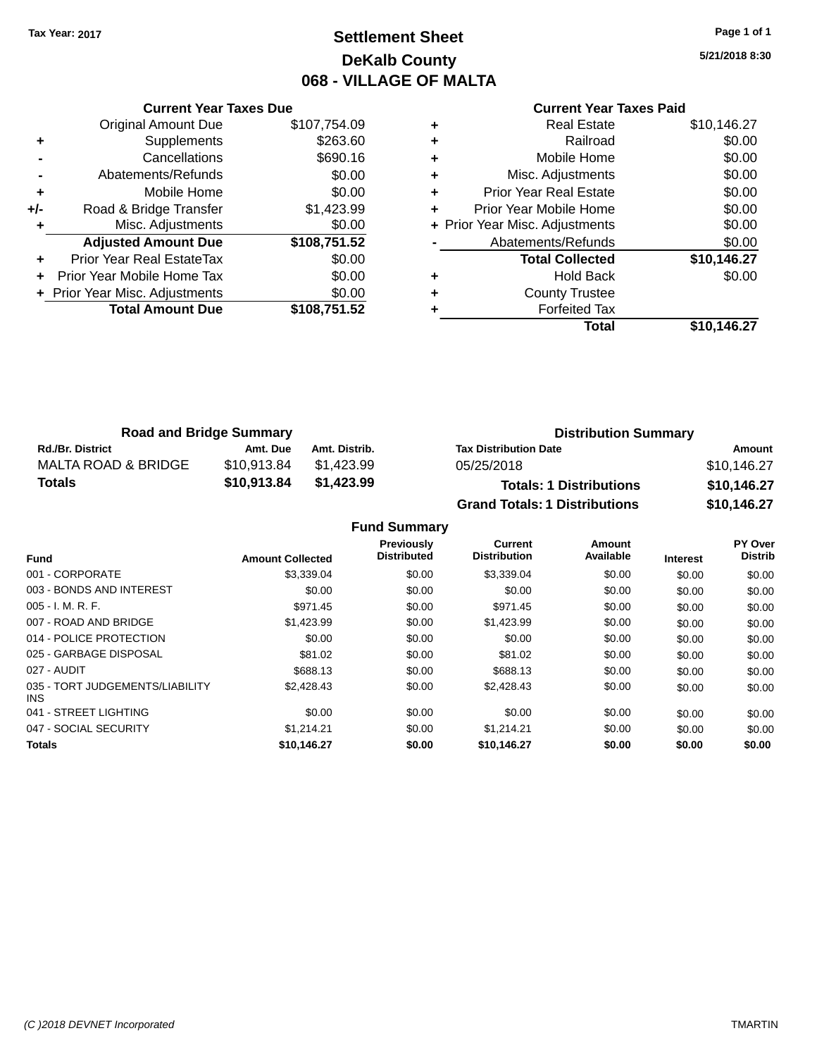### **Settlement Sheet Tax Year: 2017 Page 1 of 1 DeKalb County 068 - VILLAGE OF MALTA**

**5/21/2018 8:30**

| <b>Current Year Taxes Due</b> |              |  |  |  |  |  |
|-------------------------------|--------------|--|--|--|--|--|
| <b>Original Amount Due</b>    | \$107,754.09 |  |  |  |  |  |
| Supplements                   | \$263.60     |  |  |  |  |  |
| Cancellations                 | \$690.16     |  |  |  |  |  |
| Abatements/Refunds            | \$0.00       |  |  |  |  |  |
| Mobile Home                   | \$0.00       |  |  |  |  |  |
| Road & Bridge Transfer        | \$1,423.99   |  |  |  |  |  |
| Misc. Adjustments             | \$0.00       |  |  |  |  |  |
| <b>Adjusted Amount Due</b>    | \$108,751.52 |  |  |  |  |  |
| Prior Year Real EstateTax     | \$0.00       |  |  |  |  |  |
| Prior Year Mobile Home Tax    | \$0.00       |  |  |  |  |  |
| Prior Year Misc. Adjustments  | \$0.00       |  |  |  |  |  |
| <b>Total Amount Due</b>       | \$108.751.52 |  |  |  |  |  |
|                               |              |  |  |  |  |  |

# **Current Year Taxes Paid**

|   | <b>Real Estate</b>             | \$10,146.27 |
|---|--------------------------------|-------------|
| ٠ | Railroad                       | \$0.00      |
| ٠ | Mobile Home                    | \$0.00      |
| ٠ | Misc. Adjustments              | \$0.00      |
| ٠ | Prior Year Real Estate         | \$0.00      |
| ٠ | Prior Year Mobile Home         | \$0.00      |
|   | + Prior Year Misc. Adjustments | \$0.00      |
|   | Abatements/Refunds             | \$0.00      |
|   | <b>Total Collected</b>         | \$10,146.27 |
|   | <b>Hold Back</b>               | \$0.00      |
| ٠ | <b>County Trustee</b>          |             |
|   | <b>Forfeited Tax</b>           |             |
|   | Total                          | \$10,146.27 |
|   |                                |             |

| <b>Road and Bridge Summary</b> |             |               | <b>Distribution Summary</b>          |             |  |
|--------------------------------|-------------|---------------|--------------------------------------|-------------|--|
| <b>Rd./Br. District</b>        | Amt. Due    | Amt. Distrib. | <b>Tax Distribution Date</b>         | Amount      |  |
| MALTA ROAD & BRIDGE            | \$10,913.84 | \$1.423.99    | 05/25/2018                           | \$10,146.27 |  |
| Totals                         | \$10,913.84 | \$1,423.99    | <b>Totals: 1 Distributions</b>       | \$10,146.27 |  |
|                                |             |               | <b>Grand Totals: 1 Distributions</b> | \$10,146.27 |  |

#### **Fund Summary**

| <b>Fund</b>                             | <b>Amount Collected</b> | Previously<br><b>Distributed</b> | Current<br><b>Distribution</b> | Amount<br>Available | <b>Interest</b> | PY Over<br><b>Distrib</b> |
|-----------------------------------------|-------------------------|----------------------------------|--------------------------------|---------------------|-----------------|---------------------------|
| 001 - CORPORATE                         | \$3,339.04              | \$0.00                           | \$3.339.04                     | \$0.00              | \$0.00          | \$0.00                    |
| 003 - BONDS AND INTEREST                | \$0.00                  | \$0.00                           | \$0.00                         | \$0.00              | \$0.00          | \$0.00                    |
| $005 - I. M. R. F.$                     | \$971.45                | \$0.00                           | \$971.45                       | \$0.00              | \$0.00          | \$0.00                    |
| 007 - ROAD AND BRIDGE                   | \$1,423.99              | \$0.00                           | \$1,423.99                     | \$0.00              | \$0.00          | \$0.00                    |
| 014 - POLICE PROTECTION                 | \$0.00                  | \$0.00                           | \$0.00                         | \$0.00              | \$0.00          | \$0.00                    |
| 025 - GARBAGE DISPOSAL                  | \$81.02                 | \$0.00                           | \$81.02                        | \$0.00              | \$0.00          | \$0.00                    |
| 027 - AUDIT                             | \$688.13                | \$0.00                           | \$688.13                       | \$0.00              | \$0.00          | \$0.00                    |
| 035 - TORT JUDGEMENTS/LIABILITY<br>INS. | \$2,428.43              | \$0.00                           | \$2,428.43                     | \$0.00              | \$0.00          | \$0.00                    |
| 041 - STREET LIGHTING                   | \$0.00                  | \$0.00                           | \$0.00                         | \$0.00              | \$0.00          | \$0.00                    |
| 047 - SOCIAL SECURITY                   | \$1.214.21              | \$0.00                           | \$1.214.21                     | \$0.00              | \$0.00          | \$0.00                    |
| <b>Totals</b>                           | \$10.146.27             | \$0.00                           | \$10.146.27                    | \$0.00              | \$0.00          | \$0.00                    |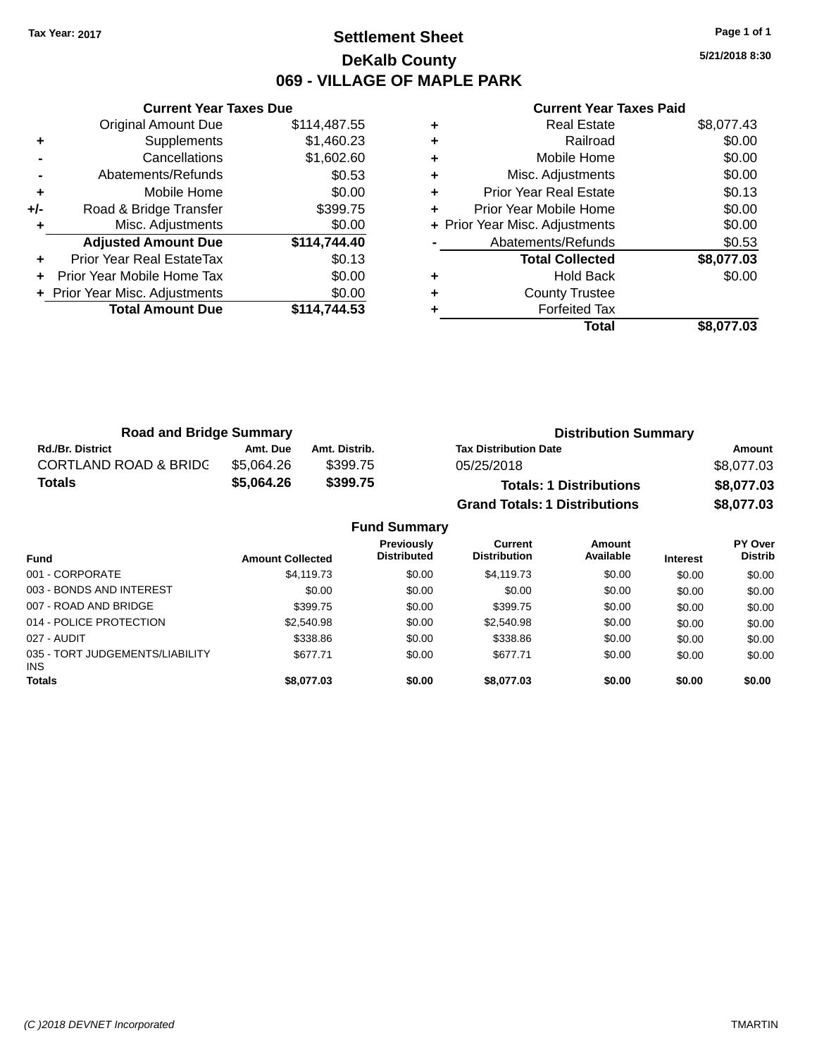### **Settlement Sheet Tax Year: 2017 Page 1 of 1 DeKalb County 069 - VILLAGE OF MAPLE PARK**

**5/21/2018 8:30**

|       | <b>Current Year Taxes Due</b>  |              |
|-------|--------------------------------|--------------|
|       | <b>Original Amount Due</b>     | \$114,487.55 |
| ٠     | Supplements                    | \$1,460.23   |
|       | Cancellations                  | \$1,602.60   |
|       | Abatements/Refunds             | \$0.53       |
| ٠     | Mobile Home                    | \$0.00       |
| $+/-$ | Road & Bridge Transfer         | \$399.75     |
|       | Misc. Adjustments              | \$0.00       |
|       | <b>Adjusted Amount Due</b>     | \$114,744.40 |
| ÷     | Prior Year Real EstateTax      | \$0.13       |
|       | Prior Year Mobile Home Tax     | \$0.00       |
|       | + Prior Year Misc. Adjustments | \$0.00       |
|       | <b>Total Amount Due</b>        | \$114.744.53 |
|       |                                |              |

|   | Real Estate                    | \$8,077.43 |
|---|--------------------------------|------------|
| ÷ | Railroad                       | \$0.00     |
| ٠ | Mobile Home                    | \$0.00     |
| ٠ | Misc. Adjustments              | \$0.00     |
| ÷ | <b>Prior Year Real Estate</b>  | \$0.13     |
| ٠ | Prior Year Mobile Home         | \$0.00     |
|   | + Prior Year Misc. Adjustments | \$0.00     |
|   | Abatements/Refunds             | \$0.53     |
|   | <b>Total Collected</b>         | \$8,077.03 |
|   | <b>Hold Back</b>               | \$0.00     |
| ٠ | <b>County Trustee</b>          |            |
|   | <b>Forfeited Tax</b>           |            |
|   | Total                          | \$8.077.03 |

| <b>Road and Bridge Summary</b>   |            |               | <b>Distribution Summary</b>          |            |
|----------------------------------|------------|---------------|--------------------------------------|------------|
| <b>Rd./Br. District</b>          | Amt. Due   | Amt. Distrib. | <b>Tax Distribution Date</b>         | Amount     |
| <b>CORTLAND ROAD &amp; BRIDC</b> | \$5.064.26 | \$399.75      | 05/25/2018                           | \$8,077.03 |
| <b>Totals</b>                    | \$5,064.26 | \$399.75      | <b>Totals: 1 Distributions</b>       | \$8,077.03 |
|                                  |            |               | <b>Grand Totals: 1 Distributions</b> | \$8,077.03 |

|                                         |                         | <b>Fund Summary</b>              |                                |                     |                 |                           |
|-----------------------------------------|-------------------------|----------------------------------|--------------------------------|---------------------|-----------------|---------------------------|
| <b>Fund</b>                             | <b>Amount Collected</b> | Previously<br><b>Distributed</b> | Current<br><b>Distribution</b> | Amount<br>Available | <b>Interest</b> | PY Over<br><b>Distrib</b> |
| 001 - CORPORATE                         | \$4,119.73              | \$0.00                           | \$4,119.73                     | \$0.00              | \$0.00          | \$0.00                    |
| 003 - BONDS AND INTEREST                | \$0.00                  | \$0.00                           | \$0.00                         | \$0.00              | \$0.00          | \$0.00                    |
| 007 - ROAD AND BRIDGE                   | \$399.75                | \$0.00                           | \$399.75                       | \$0.00              | \$0.00          | \$0.00                    |
| 014 - POLICE PROTECTION                 | \$2,540.98              | \$0.00                           | \$2,540.98                     | \$0.00              | \$0.00          | \$0.00                    |
| 027 - AUDIT                             | \$338.86                | \$0.00                           | \$338.86                       | \$0.00              | \$0.00          | \$0.00                    |
| 035 - TORT JUDGEMENTS/LIABILITY<br>INS. | \$677.71                | \$0.00                           | \$677.71                       | \$0.00              | \$0.00          | \$0.00                    |
| <b>Totals</b>                           | \$8,077.03              | \$0.00                           | \$8,077.03                     | \$0.00              | \$0.00          | \$0.00                    |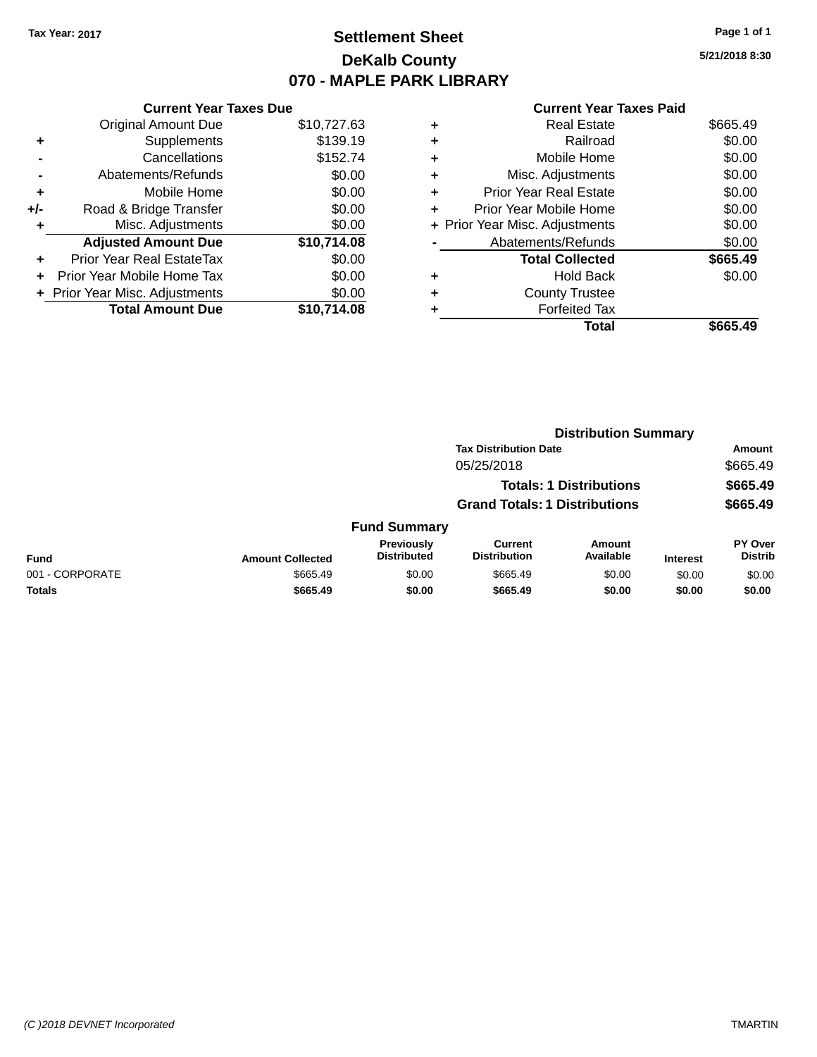### **Settlement Sheet Tax Year: 2017 Page 1 of 1 DeKalb County 070 - MAPLE PARK LIBRARY**

**5/21/2018 8:30**

|     | <b>Current Year Taxes Due</b>  |             |
|-----|--------------------------------|-------------|
|     | <b>Original Amount Due</b>     | \$10,727.63 |
| ٠   | Supplements                    | \$139.19    |
|     | Cancellations                  | \$152.74    |
|     | Abatements/Refunds             | \$0.00      |
| ٠   | Mobile Home                    | \$0.00      |
| +/- | Road & Bridge Transfer         | \$0.00      |
| ٠   | Misc. Adjustments              | \$0.00      |
|     | <b>Adjusted Amount Due</b>     | \$10,714.08 |
| ÷   | Prior Year Real EstateTax      | \$0.00      |
|     | Prior Year Mobile Home Tax     | \$0.00      |
|     | + Prior Year Misc. Adjustments | \$0.00      |
|     | <b>Total Amount Due</b>        | \$10.714.08 |

|   | Total                          | \$665.49 |
|---|--------------------------------|----------|
|   | <b>Forfeited Tax</b>           |          |
| ٠ | <b>County Trustee</b>          |          |
| ٠ | <b>Hold Back</b>               | \$0.00   |
|   | <b>Total Collected</b>         | \$665.49 |
|   | Abatements/Refunds             | \$0.00   |
|   | + Prior Year Misc. Adjustments | \$0.00   |
| ٠ | Prior Year Mobile Home         | \$0.00   |
| ÷ | <b>Prior Year Real Estate</b>  | \$0.00   |
| ٠ | Misc. Adjustments              | \$0.00   |
| ٠ | Mobile Home                    | \$0.00   |
| ٠ | Railroad                       | \$0.00   |
| ٠ | <b>Real Estate</b>             | \$665.49 |
|   |                                |          |

|                 |                         |                                  | <b>Distribution Summary</b>           |                                |                 |                                  |  |
|-----------------|-------------------------|----------------------------------|---------------------------------------|--------------------------------|-----------------|----------------------------------|--|
|                 |                         |                                  | <b>Tax Distribution Date</b>          |                                |                 | Amount                           |  |
|                 |                         |                                  | 05/25/2018                            |                                |                 | \$665.49                         |  |
|                 |                         |                                  |                                       | <b>Totals: 1 Distributions</b> |                 | \$665.49                         |  |
|                 |                         |                                  | <b>Grand Totals: 1 Distributions</b>  |                                |                 | \$665.49                         |  |
|                 |                         | <b>Fund Summary</b>              |                                       |                                |                 |                                  |  |
| <b>Fund</b>     | <b>Amount Collected</b> | Previously<br><b>Distributed</b> | <b>Current</b><br><b>Distribution</b> | Amount<br>Available            | <b>Interest</b> | <b>PY Over</b><br><b>Distrib</b> |  |
| 001 - CORPORATE | \$665.49                | \$0.00                           | \$665.49                              | \$0.00                         | \$0.00          | \$0.00                           |  |
| <b>Totals</b>   | \$665.49                | \$0.00                           | \$665.49                              | \$0.00                         | \$0.00          | \$0.00                           |  |
|                 |                         |                                  |                                       |                                |                 |                                  |  |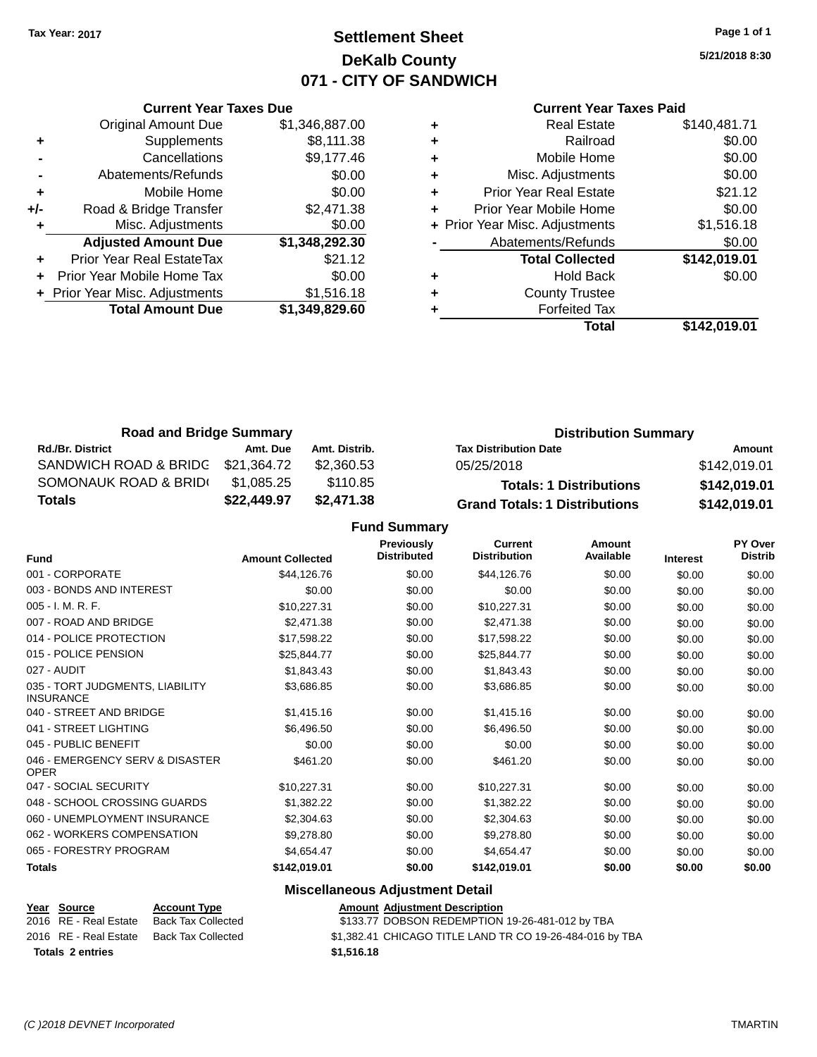### **Settlement Sheet Tax Year: 2017 Page 1 of 1 DeKalb County 071 - CITY OF SANDWICH**

**5/21/2018 8:30**

#### **Current Year Taxes Paid**

|     | <b>Current Year Taxes Due</b>  |                |
|-----|--------------------------------|----------------|
|     | <b>Original Amount Due</b>     | \$1,346,887.00 |
| ٠   | Supplements                    | \$8,111.38     |
|     | Cancellations                  | \$9,177.46     |
|     | Abatements/Refunds             | \$0.00         |
| ٠   | Mobile Home                    | \$0.00         |
| +/- | Road & Bridge Transfer         | \$2,471.38     |
|     | Misc. Adjustments              | \$0.00         |
|     | <b>Adjusted Amount Due</b>     | \$1,348,292.30 |
|     | Prior Year Real EstateTax      | \$21.12        |
|     | Prior Year Mobile Home Tax     | \$0.00         |
|     | + Prior Year Misc. Adjustments | \$1,516.18     |
|     | <b>Total Amount Due</b>        | \$1,349,829.60 |
|     |                                |                |

|   | <b>Real Estate</b>             | \$140,481.71 |
|---|--------------------------------|--------------|
| ٠ | Railroad                       | \$0.00       |
| ٠ | Mobile Home                    | \$0.00       |
| ٠ | Misc. Adjustments              | \$0.00       |
| ٠ | <b>Prior Year Real Estate</b>  | \$21.12      |
| ٠ | Prior Year Mobile Home         | \$0.00       |
|   | + Prior Year Misc. Adjustments | \$1,516.18   |
|   | Abatements/Refunds             | \$0.00       |
|   | <b>Total Collected</b>         | \$142,019.01 |
| ٠ | <b>Hold Back</b>               | \$0.00       |
| ٠ | <b>County Trustee</b>          |              |
| ٠ | <b>Forfeited Tax</b>           |              |
|   | Total                          | \$142.019.01 |
|   |                                |              |

| <b>Road and Bridge Summary</b> |             |               | <b>Distribution Summary</b>          |              |  |
|--------------------------------|-------------|---------------|--------------------------------------|--------------|--|
| <b>Rd./Br. District</b>        | Amt. Due    | Amt. Distrib. | <b>Tax Distribution Date</b>         | Amount       |  |
| SANDWICH ROAD & BRIDC          | \$21,364.72 | \$2,360.53    | 05/25/2018                           | \$142,019.01 |  |
| SOMONAUK ROAD & BRIDI          | \$1,085.25  | \$110.85      | <b>Totals: 1 Distributions</b>       | \$142,019.01 |  |
| <b>Totals</b>                  | \$22,449.97 | \$2,471.38    | <b>Grand Totals: 1 Distributions</b> | \$142,019.01 |  |

#### **Fund Summary**

| <b>Fund</b>                                         | <b>Amount Collected</b> | <b>Previously</b><br><b>Distributed</b> | <b>Current</b><br><b>Distribution</b> | Amount<br>Available | Interest | PY Over<br><b>Distrib</b> |
|-----------------------------------------------------|-------------------------|-----------------------------------------|---------------------------------------|---------------------|----------|---------------------------|
| 001 - CORPORATE                                     | \$44,126.76             | \$0.00                                  | \$44,126.76                           | \$0.00              | \$0.00   | \$0.00                    |
| 003 - BONDS AND INTEREST                            | \$0.00                  | \$0.00                                  | \$0.00                                | \$0.00              | \$0.00   | \$0.00                    |
| 005 - I. M. R. F.                                   | \$10,227.31             | \$0.00                                  | \$10,227.31                           | \$0.00              | \$0.00   | \$0.00                    |
| 007 - ROAD AND BRIDGE                               | \$2,471.38              | \$0.00                                  | \$2,471.38                            | \$0.00              | \$0.00   | \$0.00                    |
| 014 - POLICE PROTECTION                             | \$17,598.22             | \$0.00                                  | \$17,598.22                           | \$0.00              | \$0.00   | \$0.00                    |
| 015 - POLICE PENSION                                | \$25,844.77             | \$0.00                                  | \$25,844.77                           | \$0.00              | \$0.00   | \$0.00                    |
| 027 - AUDIT                                         | \$1,843.43              | \$0.00                                  | \$1,843.43                            | \$0.00              | \$0.00   | \$0.00                    |
| 035 - TORT JUDGMENTS, LIABILITY<br><b>INSURANCE</b> | \$3,686.85              | \$0.00                                  | \$3,686.85                            | \$0.00              | \$0.00   | \$0.00                    |
| 040 - STREET AND BRIDGE                             | \$1,415.16              | \$0.00                                  | \$1,415.16                            | \$0.00              | \$0.00   | \$0.00                    |
| 041 - STREET LIGHTING                               | \$6,496.50              | \$0.00                                  | \$6,496.50                            | \$0.00              | \$0.00   | \$0.00                    |
| 045 - PUBLIC BENEFIT                                | \$0.00                  | \$0.00                                  | \$0.00                                | \$0.00              | \$0.00   | \$0.00                    |
| 046 - EMERGENCY SERV & DISASTER<br><b>OPER</b>      | \$461.20                | \$0.00                                  | \$461.20                              | \$0.00              | \$0.00   | \$0.00                    |
| 047 - SOCIAL SECURITY                               | \$10,227.31             | \$0.00                                  | \$10,227.31                           | \$0.00              | \$0.00   | \$0.00                    |
| 048 - SCHOOL CROSSING GUARDS                        | \$1,382.22              | \$0.00                                  | \$1,382.22                            | \$0.00              | \$0.00   | \$0.00                    |
| 060 - UNEMPLOYMENT INSURANCE                        | \$2,304.63              | \$0.00                                  | \$2,304.63                            | \$0.00              | \$0.00   | \$0.00                    |
| 062 - WORKERS COMPENSATION                          | \$9,278.80              | \$0.00                                  | \$9,278.80                            | \$0.00              | \$0.00   | \$0.00                    |
| 065 - FORESTRY PROGRAM                              | \$4,654.47              | \$0.00                                  | \$4,654.47                            | \$0.00              | \$0.00   | \$0.00                    |
| <b>Totals</b>                                       | \$142,019.01            | \$0.00                                  | \$142,019.01                          | \$0.00              | \$0.00   | \$0.00                    |

### **Miscellaneous Adjustment Detail**

| Year Source             | <b>Account Type</b> | <b>Amount Adjustment Description</b>                     |
|-------------------------|---------------------|----------------------------------------------------------|
| 2016 RE - Real Estate   | Back Tax Collected  | \$133.77 DOBSON REDEMPTION 19-26-481-012 by TBA          |
| 2016 RE - Real Estate   | Back Tax Collected  | \$1,382.41 CHICAGO TITLE LAND TR CO 19-26-484-016 by TBA |
| <b>Totals 2 entries</b> |                     | \$1,516.18                                               |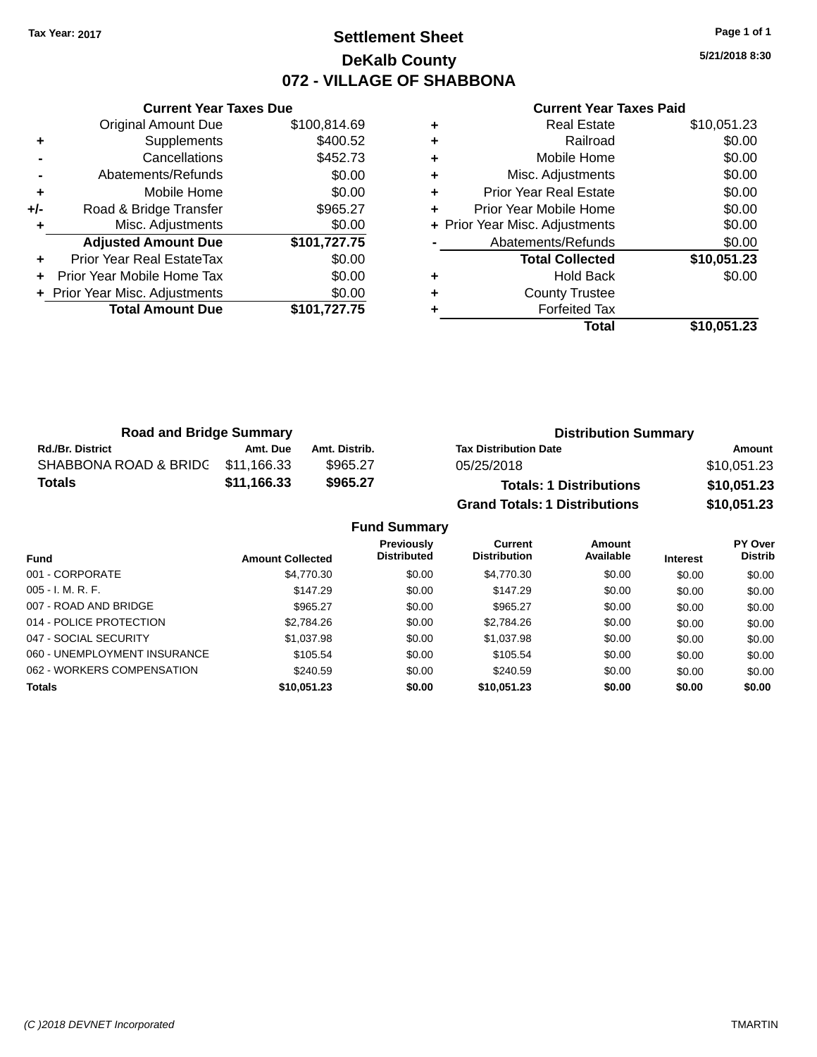### **Settlement Sheet Tax Year: 2017 Page 1 of 1 DeKalb County 072 - VILLAGE OF SHABBONA**

**5/21/2018 8:30**

| <b>Current Year Taxes Paid</b> |  |  |  |
|--------------------------------|--|--|--|
|--------------------------------|--|--|--|

|     | <b>Current Year Taxes Due</b>  |              |
|-----|--------------------------------|--------------|
|     | <b>Original Amount Due</b>     | \$100,814.69 |
| ٠   | Supplements                    | \$400.52     |
|     | Cancellations                  | \$452.73     |
|     | Abatements/Refunds             | \$0.00       |
| ٠   | Mobile Home                    | \$0.00       |
| +/- | Road & Bridge Transfer         | \$965.27     |
| ٠   | Misc. Adjustments              | \$0.00       |
|     | <b>Adjusted Amount Due</b>     | \$101,727.75 |
|     | Prior Year Real EstateTax      | \$0.00       |
| ٠   | Prior Year Mobile Home Tax     | \$0.00       |
|     | + Prior Year Misc. Adjustments | \$0.00       |
|     | <b>Total Amount Due</b>        | \$101,727.75 |
|     |                                |              |

|   | <b>Real Estate</b>             | \$10,051.23 |
|---|--------------------------------|-------------|
| ٠ | Railroad                       | \$0.00      |
| ٠ | Mobile Home                    | \$0.00      |
| ٠ | Misc. Adjustments              | \$0.00      |
| ٠ | <b>Prior Year Real Estate</b>  | \$0.00      |
| ÷ | Prior Year Mobile Home         | \$0.00      |
|   | + Prior Year Misc. Adjustments | \$0.00      |
|   | Abatements/Refunds             | \$0.00      |
|   | <b>Total Collected</b>         | \$10,051.23 |
| ٠ | <b>Hold Back</b>               | \$0.00      |
| ٠ | <b>County Trustee</b>          |             |
| ٠ | <b>Forfeited Tax</b>           |             |
|   | Total                          | \$10,051.23 |
|   |                                |             |

| <b>Road and Bridge Summary</b>    |             |               | <b>Distribution Summary</b>          |             |  |
|-----------------------------------|-------------|---------------|--------------------------------------|-------------|--|
| <b>Rd./Br. District</b>           | Amt. Due    | Amt. Distrib. | <b>Tax Distribution Date</b>         | Amount      |  |
| SHABBONA ROAD & BRIDC \$11,166.33 |             | \$965.27      | 05/25/2018                           | \$10,051.23 |  |
| <b>Totals</b>                     | \$11,166.33 | \$965.27      | <b>Totals: 1 Distributions</b>       | \$10,051.23 |  |
|                                   |             |               | <b>Grand Totals: 1 Distributions</b> | \$10,051.23 |  |

| <b>Fund Summary</b>          |                         |                                         |                                |                     |                 |                                  |  |
|------------------------------|-------------------------|-----------------------------------------|--------------------------------|---------------------|-----------------|----------------------------------|--|
| Fund                         | <b>Amount Collected</b> | <b>Previously</b><br><b>Distributed</b> | Current<br><b>Distribution</b> | Amount<br>Available | <b>Interest</b> | <b>PY Over</b><br><b>Distrib</b> |  |
| 001 - CORPORATE              | \$4,770.30              | \$0.00                                  | \$4,770.30                     | \$0.00              | \$0.00          | \$0.00                           |  |
| $005 - I. M. R. F.$          | \$147.29                | \$0.00                                  | \$147.29                       | \$0.00              | \$0.00          | \$0.00                           |  |
| 007 - ROAD AND BRIDGE        | \$965.27                | \$0.00                                  | \$965.27                       | \$0.00              | \$0.00          | \$0.00                           |  |
| 014 - POLICE PROTECTION      | \$2,784.26              | \$0.00                                  | \$2,784.26                     | \$0.00              | \$0.00          | \$0.00                           |  |
| 047 - SOCIAL SECURITY        | \$1,037.98              | \$0.00                                  | \$1,037.98                     | \$0.00              | \$0.00          | \$0.00                           |  |
| 060 - UNEMPLOYMENT INSURANCE | \$105.54                | \$0.00                                  | \$105.54                       | \$0.00              | \$0.00          | \$0.00                           |  |
| 062 - WORKERS COMPENSATION   | \$240.59                | \$0.00                                  | \$240.59                       | \$0.00              | \$0.00          | \$0.00                           |  |
| <b>Totals</b>                | \$10,051.23             | \$0.00                                  | \$10,051.23                    | \$0.00              | \$0.00          | \$0.00                           |  |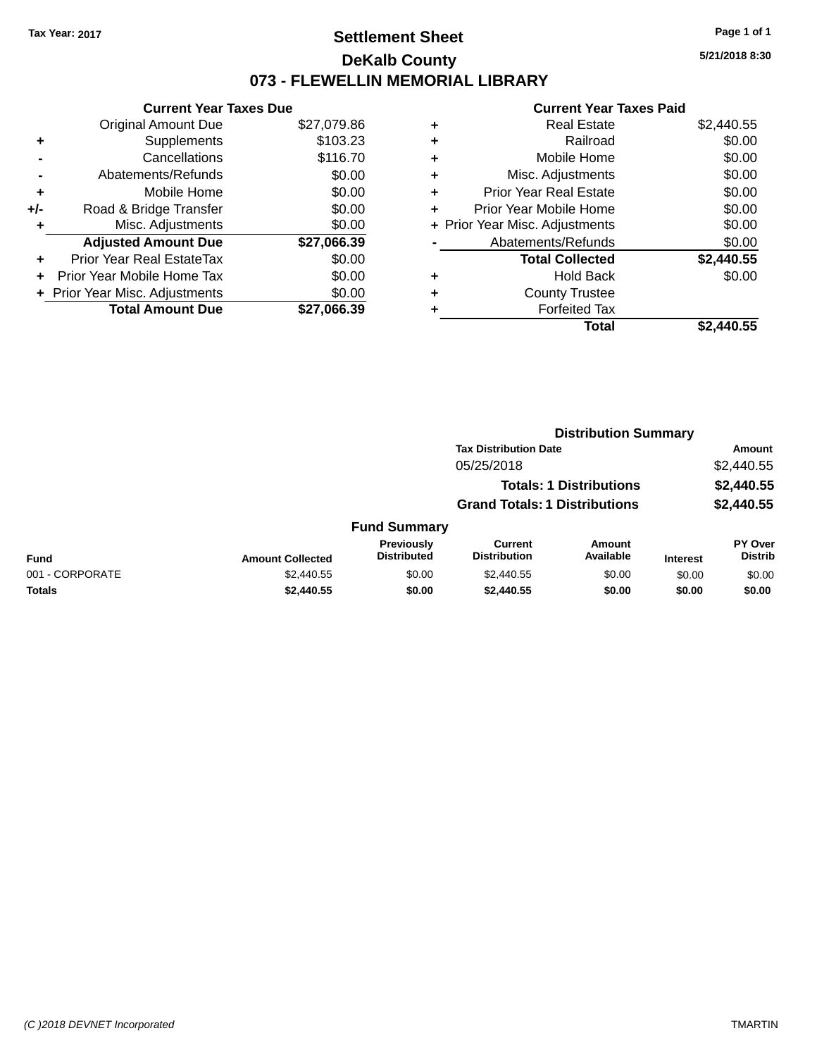### **Settlement Sheet Tax Year: 2017 Page 1 of 1 DeKalb County 073 - FLEWELLIN MEMORIAL LIBRARY**

**5/21/2018 8:30**

| <b>Current Year Taxes Due</b> |             |
|-------------------------------|-------------|
| <b>Original Amount Due</b>    | \$27,079.86 |
| Supplements                   | \$103.23    |
| Cancellations                 | \$116.70    |
| Abatements/Refunds            | \$0.00      |
| Mobile Home                   | \$0.00      |
| Road & Bridge Transfer        | \$0.00      |
| Misc. Adjustments             | \$0.00      |
| <b>Adjusted Amount Due</b>    | \$27,066.39 |
| Prior Year Real EstateTax     | \$0.00      |
| Prior Year Mobile Home Tax    | \$0.00      |
| Prior Year Misc. Adjustments  | \$0.00      |
| <b>Total Amount Due</b>       | \$27.066.39 |
|                               |             |

| ٠ | <b>Real Estate</b>             | \$2,440.55 |
|---|--------------------------------|------------|
| ٠ | Railroad                       | \$0.00     |
| ٠ | Mobile Home                    | \$0.00     |
| ٠ | Misc. Adjustments              | \$0.00     |
| ٠ | <b>Prior Year Real Estate</b>  | \$0.00     |
| ٠ | Prior Year Mobile Home         | \$0.00     |
|   | + Prior Year Misc. Adjustments | \$0.00     |
|   | Abatements/Refunds             | \$0.00     |
|   | <b>Total Collected</b>         | \$2,440.55 |
| ٠ | <b>Hold Back</b>               | \$0.00     |
| ٠ | <b>County Trustee</b>          |            |
| ٠ | <b>Forfeited Tax</b>           |            |
|   | Total                          | \$2.440.55 |
|   |                                |            |

|                 |                         |                                  | <b>Distribution Summary</b>           |                                |                 |                                  |  |
|-----------------|-------------------------|----------------------------------|---------------------------------------|--------------------------------|-----------------|----------------------------------|--|
|                 |                         |                                  | <b>Tax Distribution Date</b>          |                                |                 | Amount                           |  |
|                 |                         |                                  | 05/25/2018                            |                                |                 | \$2,440.55                       |  |
|                 |                         |                                  |                                       | <b>Totals: 1 Distributions</b> |                 | \$2,440.55                       |  |
|                 |                         |                                  | <b>Grand Totals: 1 Distributions</b>  |                                |                 | \$2,440.55                       |  |
|                 |                         | <b>Fund Summary</b>              |                                       |                                |                 |                                  |  |
| <b>Fund</b>     | <b>Amount Collected</b> | Previously<br><b>Distributed</b> | <b>Current</b><br><b>Distribution</b> | Amount<br>Available            | <b>Interest</b> | <b>PY Over</b><br><b>Distrib</b> |  |
| 001 - CORPORATE | \$2,440.55              | \$0.00                           | \$2,440.55                            | \$0.00                         | \$0.00          | \$0.00                           |  |
| <b>Totals</b>   | \$2,440.55              | \$0.00                           | \$2,440.55                            | \$0.00                         | \$0.00          | \$0.00                           |  |
|                 |                         |                                  |                                       |                                |                 |                                  |  |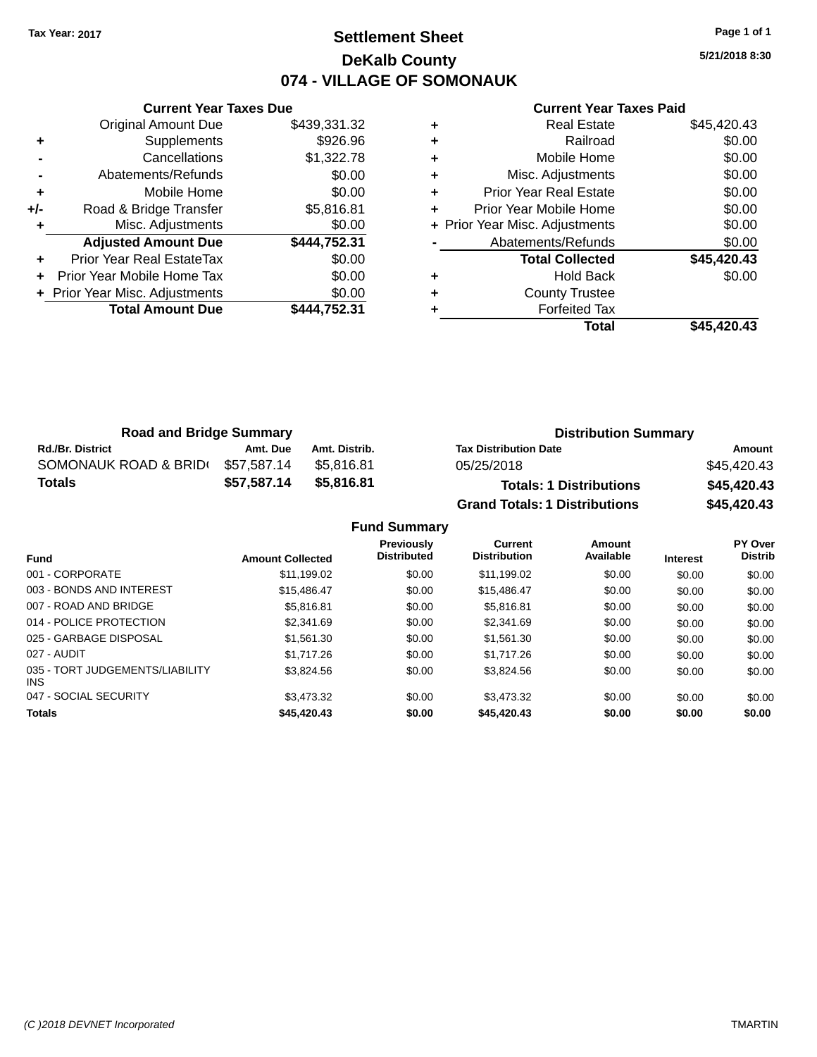### **Settlement Sheet Tax Year: 2017 Page 1 of 1 DeKalb County 074 - VILLAGE OF SOMONAUK**

**5/21/2018 8:30**

|     | <b>Current Year Taxes Due</b>  |              |
|-----|--------------------------------|--------------|
|     | <b>Original Amount Due</b>     | \$439,331.32 |
| ٠   | Supplements                    | \$926.96     |
|     | Cancellations                  | \$1,322.78   |
|     | Abatements/Refunds             | \$0.00       |
| ٠   | Mobile Home                    | \$0.00       |
| +/- | Road & Bridge Transfer         | \$5,816.81   |
|     | Misc. Adjustments              | \$0.00       |
|     | <b>Adjusted Amount Due</b>     | \$444,752.31 |
| ٠   | Prior Year Real EstateTax      | \$0.00       |
|     | Prior Year Mobile Home Tax     | \$0.00       |
|     | + Prior Year Misc. Adjustments | \$0.00       |
|     | <b>Total Amount Due</b>        | \$444.752.31 |
|     |                                |              |

| ٠ | <b>Real Estate</b>             | \$45,420.43 |
|---|--------------------------------|-------------|
| ٠ | Railroad                       | \$0.00      |
| ٠ | Mobile Home                    | \$0.00      |
| ٠ | Misc. Adjustments              | \$0.00      |
| ٠ | <b>Prior Year Real Estate</b>  | \$0.00      |
| ٠ | Prior Year Mobile Home         | \$0.00      |
|   | + Prior Year Misc. Adjustments | \$0.00      |
|   | Abatements/Refunds             | \$0.00      |
|   | <b>Total Collected</b>         | \$45,420.43 |
| ٠ | <b>Hold Back</b>               | \$0.00      |
| ٠ | <b>County Trustee</b>          |             |
|   | <b>Forfeited Tax</b>           |             |
|   | Total                          | \$45,420.43 |

| <b>Road and Bridge Summary</b> |             |               | <b>Distribution Summary</b>          |             |  |
|--------------------------------|-------------|---------------|--------------------------------------|-------------|--|
| <b>Rd./Br. District</b>        | Amt. Due    | Amt. Distrib. | <b>Tax Distribution Date</b>         | Amount      |  |
| SOMONAUK ROAD & BRID(          | \$57,587.14 | \$5.816.81    | 05/25/2018                           | \$45.420.43 |  |
| <b>Totals</b>                  | \$57.587.14 | \$5.816.81    | <b>Totals: 1 Distributions</b>       | \$45,420.43 |  |
|                                |             |               | <b>Grand Totals: 1 Distributions</b> | \$45,420.43 |  |

|                                         |                         | <b>Fund Summary</b>                     |                                |                     |                 |                                  |
|-----------------------------------------|-------------------------|-----------------------------------------|--------------------------------|---------------------|-----------------|----------------------------------|
| <b>Fund</b>                             | <b>Amount Collected</b> | <b>Previously</b><br><b>Distributed</b> | Current<br><b>Distribution</b> | Amount<br>Available | <b>Interest</b> | <b>PY Over</b><br><b>Distrib</b> |
| 001 - CORPORATE                         | \$11,199.02             | \$0.00                                  | \$11,199.02                    | \$0.00              | \$0.00          | \$0.00                           |
| 003 - BONDS AND INTEREST                | \$15,486,47             | \$0.00                                  | \$15,486.47                    | \$0.00              | \$0.00          | \$0.00                           |
| 007 - ROAD AND BRIDGE                   | \$5.816.81              | \$0.00                                  | \$5,816.81                     | \$0.00              | \$0.00          | \$0.00                           |
| 014 - POLICE PROTECTION                 | \$2,341.69              | \$0.00                                  | \$2,341.69                     | \$0.00              | \$0.00          | \$0.00                           |
| 025 - GARBAGE DISPOSAL                  | \$1,561,30              | \$0.00                                  | \$1,561,30                     | \$0.00              | \$0.00          | \$0.00                           |
| 027 - AUDIT                             | \$1,717.26              | \$0.00                                  | \$1,717.26                     | \$0.00              | \$0.00          | \$0.00                           |
| 035 - TORT JUDGEMENTS/LIABILITY<br>INS. | \$3.824.56              | \$0.00                                  | \$3.824.56                     | \$0.00              | \$0.00          | \$0.00                           |
| 047 - SOCIAL SECURITY                   | \$3,473,32              | \$0.00                                  | \$3,473,32                     | \$0.00              | \$0.00          | \$0.00                           |
| <b>Totals</b>                           | \$45,420.43             | \$0.00                                  | \$45,420.43                    | \$0.00              | \$0.00          | \$0.00                           |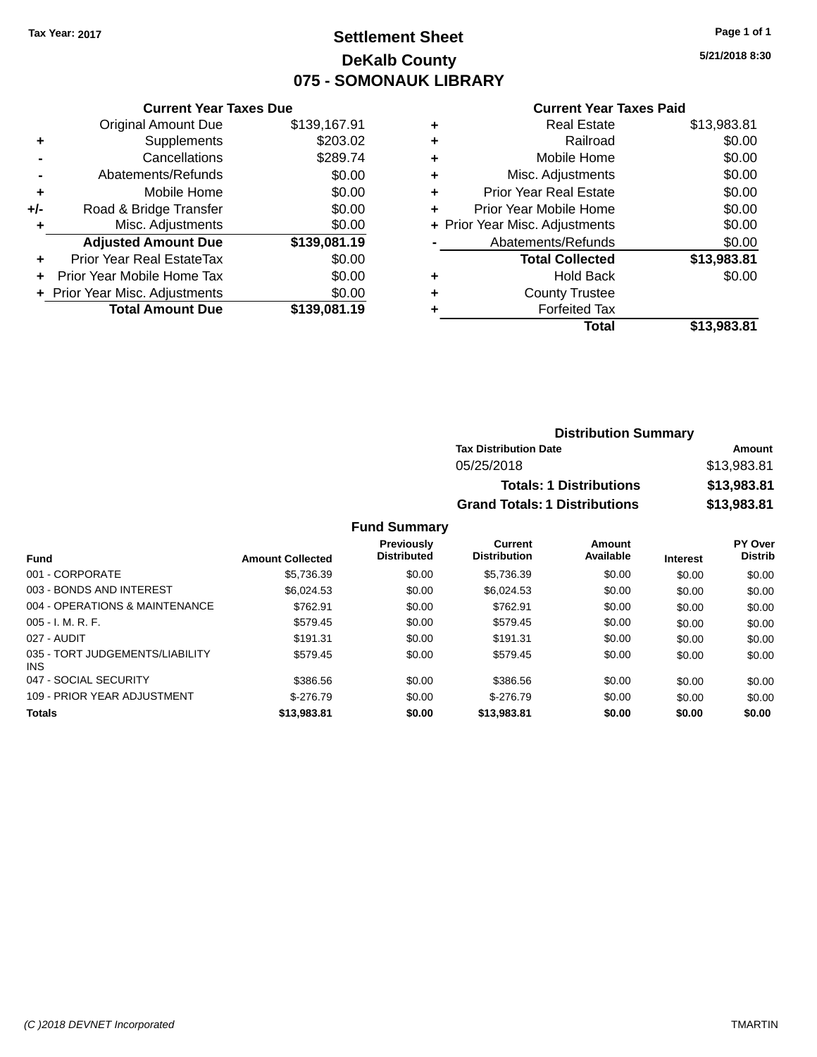### **Settlement Sheet Tax Year: 2017 Page 1 of 1 DeKalb County 075 - SOMONAUK LIBRARY**

**5/21/2018 8:30**

#### **Current Year Taxes Paid**

| <b>Current Year Taxes Due</b>  |                         |  |  |  |
|--------------------------------|-------------------------|--|--|--|
| <b>Original Amount Due</b>     | \$139,167.91            |  |  |  |
| Supplements                    | \$203.02                |  |  |  |
| Cancellations                  | \$289.74                |  |  |  |
| Abatements/Refunds             | \$0.00                  |  |  |  |
| Mobile Home                    | \$0.00                  |  |  |  |
| Road & Bridge Transfer         | \$0.00                  |  |  |  |
| Misc. Adjustments              | \$0.00                  |  |  |  |
| <b>Adjusted Amount Due</b>     | \$139,081.19            |  |  |  |
| Prior Year Real EstateTax      | \$0.00                  |  |  |  |
| Prior Year Mobile Home Tax     | \$0.00                  |  |  |  |
| + Prior Year Misc. Adjustments | \$0.00                  |  |  |  |
|                                | \$139.081.19            |  |  |  |
|                                | <b>Total Amount Due</b> |  |  |  |

| ٠ | <b>Real Estate</b>             | \$13,983.81 |
|---|--------------------------------|-------------|
| ٠ | Railroad                       | \$0.00      |
| ٠ | Mobile Home                    | \$0.00      |
| ٠ | Misc. Adjustments              | \$0.00      |
| ٠ | <b>Prior Year Real Estate</b>  | \$0.00      |
| ٠ | Prior Year Mobile Home         | \$0.00      |
|   | + Prior Year Misc. Adjustments | \$0.00      |
|   | Abatements/Refunds             | \$0.00      |
|   | <b>Total Collected</b>         | \$13,983.81 |
| ٠ | <b>Hold Back</b>               | \$0.00      |
| ٠ | <b>County Trustee</b>          |             |
| ٠ | <b>Forfeited Tax</b>           |             |
|   | Total                          | \$13,983.81 |
|   |                                |             |

| <b>Distribution Summary</b>          |             |
|--------------------------------------|-------------|
| <b>Tax Distribution Date</b>         | Amount      |
| 05/25/2018                           | \$13,983.81 |
| <b>Totals: 1 Distributions</b>       | \$13,983.81 |
| <b>Grand Totals: 1 Distributions</b> | \$13,983.81 |

#### **Fund Summary**

| <b>Fund</b>                                   | <b>Amount Collected</b> | <b>Previously</b><br><b>Distributed</b> | Current<br><b>Distribution</b> | Amount<br>Available | <b>Interest</b> | PY Over<br><b>Distrib</b> |
|-----------------------------------------------|-------------------------|-----------------------------------------|--------------------------------|---------------------|-----------------|---------------------------|
| 001 - CORPORATE                               | \$5,736.39              | \$0.00                                  | \$5,736.39                     | \$0.00              | \$0.00          | \$0.00                    |
| 003 - BONDS AND INTEREST                      | \$6.024.53              | \$0.00                                  | \$6.024.53                     | \$0.00              | \$0.00          | \$0.00                    |
| 004 - OPERATIONS & MAINTENANCE                | \$762.91                | \$0.00                                  | \$762.91                       | \$0.00              | \$0.00          | \$0.00                    |
| $005 - I. M. R. F.$                           | \$579.45                | \$0.00                                  | \$579.45                       | \$0.00              | \$0.00          | \$0.00                    |
| 027 - AUDIT                                   | \$191.31                | \$0.00                                  | \$191.31                       | \$0.00              | \$0.00          | \$0.00                    |
| 035 - TORT JUDGEMENTS/LIABILITY<br><b>INS</b> | \$579.45                | \$0.00                                  | \$579.45                       | \$0.00              | \$0.00          | \$0.00                    |
| 047 - SOCIAL SECURITY                         | \$386.56                | \$0.00                                  | \$386.56                       | \$0.00              | \$0.00          | \$0.00                    |
| 109 - PRIOR YEAR ADJUSTMENT                   | $$-276.79$              | \$0.00                                  | $$-276.79$                     | \$0.00              | \$0.00          | \$0.00                    |
| <b>Totals</b>                                 | \$13,983.81             | \$0.00                                  | \$13,983.81                    | \$0.00              | \$0.00          | \$0.00                    |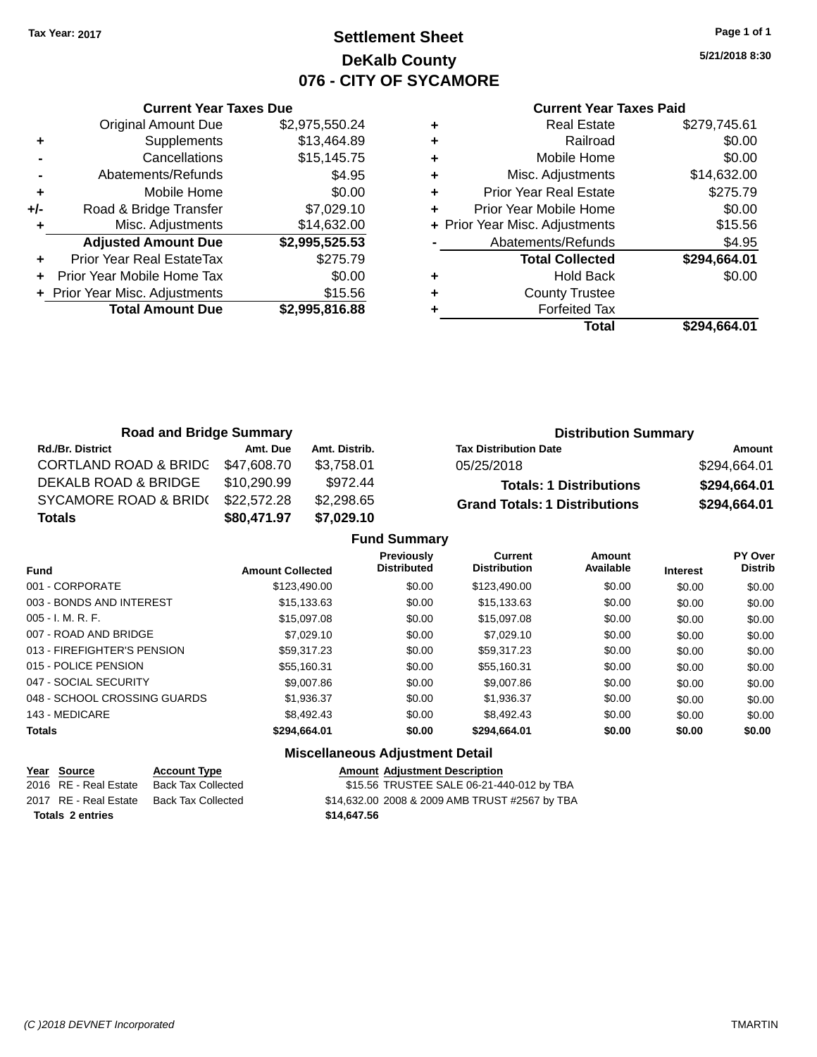### **Settlement Sheet Tax Year: 2017 Page 1 of 1 DeKalb County 076 - CITY OF SYCAMORE**

**5/21/2018 8:30**

|     | <b>Current Year Taxes Due</b>  |                |  |  |  |
|-----|--------------------------------|----------------|--|--|--|
|     | <b>Original Amount Due</b>     | \$2,975,550.24 |  |  |  |
| ٠   | Supplements                    | \$13,464.89    |  |  |  |
|     | Cancellations                  | \$15,145.75    |  |  |  |
|     | Abatements/Refunds             | \$4.95         |  |  |  |
| ٠   | Mobile Home                    | \$0.00         |  |  |  |
| +/- | Road & Bridge Transfer         | \$7,029.10     |  |  |  |
|     | Misc. Adjustments              | \$14,632.00    |  |  |  |
|     | <b>Adjusted Amount Due</b>     | \$2,995,525.53 |  |  |  |
|     | Prior Year Real EstateTax      | \$275.79       |  |  |  |
| ÷   | Prior Year Mobile Home Tax     | \$0.00         |  |  |  |
|     | + Prior Year Misc. Adjustments | \$15.56        |  |  |  |
|     | <b>Total Amount Due</b>        | \$2,995,816.88 |  |  |  |
|     |                                |                |  |  |  |

#### **Current Year Taxes Paid**

|   | <b>Real Estate</b>             | \$279,745.61 |
|---|--------------------------------|--------------|
| ٠ | Railroad                       | \$0.00       |
| ٠ | Mobile Home                    | \$0.00       |
| ٠ | Misc. Adjustments              | \$14,632.00  |
| ٠ | <b>Prior Year Real Estate</b>  | \$275.79     |
|   | Prior Year Mobile Home         | \$0.00       |
|   | + Prior Year Misc. Adjustments | \$15.56      |
|   | Abatements/Refunds             | \$4.95       |
|   | <b>Total Collected</b>         | \$294,664.01 |
| ٠ | <b>Hold Back</b>               | \$0.00       |
| ٠ | <b>County Trustee</b>          |              |
|   | <b>Forfeited Tax</b>           |              |
|   | Total                          | \$294,664.01 |
|   |                                |              |

| <b>Road and Bridge Summary</b>   |             |               | <b>Distribution Summary</b>          |              |  |
|----------------------------------|-------------|---------------|--------------------------------------|--------------|--|
| <b>Rd./Br. District</b>          | Amt. Due    | Amt. Distrib. | <b>Tax Distribution Date</b>         | Amount       |  |
| <b>CORTLAND ROAD &amp; BRIDC</b> | \$47,608.70 | \$3.758.01    | 05/25/2018                           | \$294,664.01 |  |
| DEKALB ROAD & BRIDGE             | \$10,290.99 | \$972.44      | <b>Totals: 1 Distributions</b>       | \$294,664.01 |  |
| SYCAMORE ROAD & BRID(            | \$22,572.28 | \$2,298.65    | <b>Grand Totals: 1 Distributions</b> | \$294,664.01 |  |
| <b>Totals</b>                    | \$80,471.97 | \$7,029.10    |                                      |              |  |

|                              |                         | <b>Fund Summary</b>                     |                                       |                            |                 |                                  |
|------------------------------|-------------------------|-----------------------------------------|---------------------------------------|----------------------------|-----------------|----------------------------------|
| <b>Fund</b>                  | <b>Amount Collected</b> | <b>Previously</b><br><b>Distributed</b> | <b>Current</b><br><b>Distribution</b> | <b>Amount</b><br>Available | <b>Interest</b> | <b>PY Over</b><br><b>Distrib</b> |
| 001 - CORPORATE              | \$123,490,00            | \$0.00                                  | \$123,490.00                          | \$0.00                     | \$0.00          | \$0.00                           |
| 003 - BONDS AND INTEREST     | \$15,133.63             | \$0.00                                  | \$15,133.63                           | \$0.00                     | \$0.00          | \$0.00                           |
| $005 - I. M. R. F.$          | \$15,097.08             | \$0.00                                  | \$15,097.08                           | \$0.00                     | \$0.00          | \$0.00                           |
| 007 - ROAD AND BRIDGE        | \$7.029.10              | \$0.00                                  | \$7,029.10                            | \$0.00                     | \$0.00          | \$0.00                           |
| 013 - FIREFIGHTER'S PENSION  | \$59.317.23             | \$0.00                                  | \$59.317.23                           | \$0.00                     | \$0.00          | \$0.00                           |
| 015 - POLICE PENSION         | \$55.160.31             | \$0.00                                  | \$55,160.31                           | \$0.00                     | \$0.00          | \$0.00                           |
| 047 - SOCIAL SECURITY        | \$9,007.86              | \$0.00                                  | \$9,007.86                            | \$0.00                     | \$0.00          | \$0.00                           |
| 048 - SCHOOL CROSSING GUARDS | \$1,936.37              | \$0.00                                  | \$1,936.37                            | \$0.00                     | \$0.00          | \$0.00                           |
| 143 - MEDICARE               | \$8,492.43              | \$0.00                                  | \$8,492.43                            | \$0.00                     | \$0.00          | \$0.00                           |
| <b>Totals</b>                | \$294,664.01            | \$0.00                                  | \$294,664.01                          | \$0.00                     | \$0.00          | \$0.00                           |

### **Miscellaneous Adjustment Detail**

| Year Source             | <b>Account Type</b> | <b>Amount Adiustment Description</b>           |  |
|-------------------------|---------------------|------------------------------------------------|--|
| 2016 RE - Real Estate   | Back Tax Collected  | \$15.56 TRUSTEE SALE 06-21-440-012 by TBA      |  |
| 2017 RE - Real Estate   | Back Tax Collected  | \$14,632.00 2008 & 2009 AMB TRUST #2567 by TBA |  |
| <b>Totals 2 entries</b> |                     | \$14,647.56                                    |  |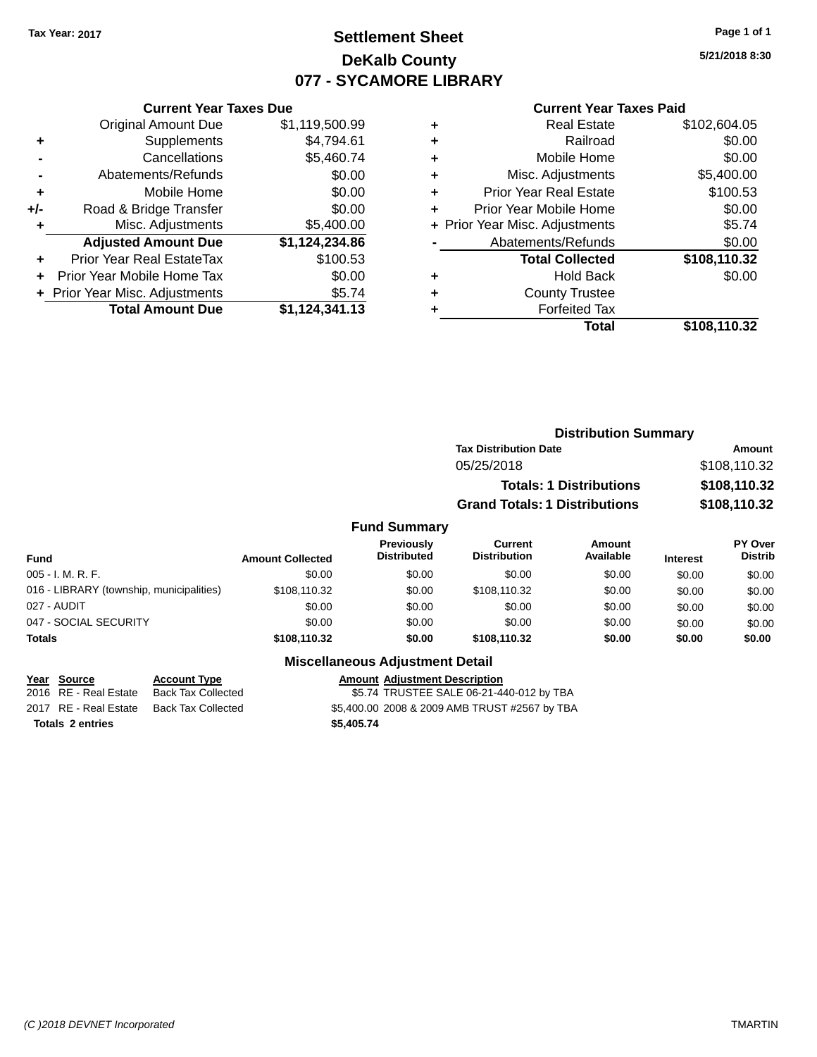### **Settlement Sheet Tax Year: 2017 Page 1 of 1 DeKalb County 077 - SYCAMORE LIBRARY**

**5/21/2018 8:30**

#### **Current Year Taxes Paid**

|     | <b>Total Amount Due</b>        | \$1,124,341.13 |
|-----|--------------------------------|----------------|
|     | + Prior Year Misc. Adjustments | \$5.74         |
|     | Prior Year Mobile Home Tax     | \$0.00         |
| ÷   | Prior Year Real EstateTax      | \$100.53       |
|     | <b>Adjusted Amount Due</b>     | \$1,124,234.86 |
| ٠   | Misc. Adjustments              | \$5,400.00     |
| +/- | Road & Bridge Transfer         | \$0.00         |
| ÷   | Mobile Home                    | \$0.00         |
|     | Abatements/Refunds             | \$0.00         |
|     | Cancellations                  | \$5,460.74     |
| ٠   | Supplements                    | \$4,794.61     |
|     | <b>Original Amount Due</b>     | \$1,119,500.99 |
|     |                                |                |

**Current Year Taxes Due**

|   | <b>Real Estate</b>             | \$102,604.05 |
|---|--------------------------------|--------------|
| ٠ | Railroad                       | \$0.00       |
| ٠ | Mobile Home                    | \$0.00       |
| ٠ | Misc. Adjustments              | \$5,400.00   |
| ٠ | <b>Prior Year Real Estate</b>  | \$100.53     |
| ٠ | Prior Year Mobile Home         | \$0.00       |
|   | + Prior Year Misc. Adjustments | \$5.74       |
|   | Abatements/Refunds             | \$0.00       |
|   | <b>Total Collected</b>         | \$108,110.32 |
| ٠ | <b>Hold Back</b>               | \$0.00       |
| ٠ | <b>County Trustee</b>          |              |
| ٠ | <b>Forfeited Tax</b>           |              |
|   | Total                          | \$108,110.32 |
|   |                                |              |

|                     | <b>Distribution Summary</b>          |              |
|---------------------|--------------------------------------|--------------|
|                     | <b>Tax Distribution Date</b>         | Amount       |
|                     | 05/25/2018                           | \$108,110.32 |
|                     | <b>Totals: 1 Distributions</b>       | \$108,110.32 |
|                     | <b>Grand Totals: 1 Distributions</b> | \$108,110.32 |
| <b>Fund Summary</b> |                                      |              |

#### **Fund Interest Amount Collected Distributed PY Over Distrib Amount Available Current Distribution Previously** 005 - I. M. R. F. Channel Communication of the South State of South State State State State State State State S 016 - LIBRARY (township, municipalities)  $$108,110.32$   $$0.00$   $$108,110.32$  \$0.00 \$0.00 \$0.00 027 - AUDIT \$0.00 \$0.00 \$0.00 \$0.00 \$0.00 \$0.00 047 - SOCIAL SECURITY 60.00 \$0.00 \$0.00 \$0.00 \$0.00 \$0.00 \$0.00 \$0.00 \$0.00 \$0.00 **Totals \$108,110.32 \$0.00 \$108,110.32 \$0.00 \$0.00 \$0.00**

#### **Miscellaneous Adjustment Detail**

**Year Source Account Type Amount Adjustment Description**

\$5.74 TRUSTEE SALE 06-21-440-012 by TBA 2017 RE - Real Estate Back Tax Collected S5,400.00 2008 & 2009 AMB TRUST #2567 by TBA **Totals \$5,405.74 2 entries**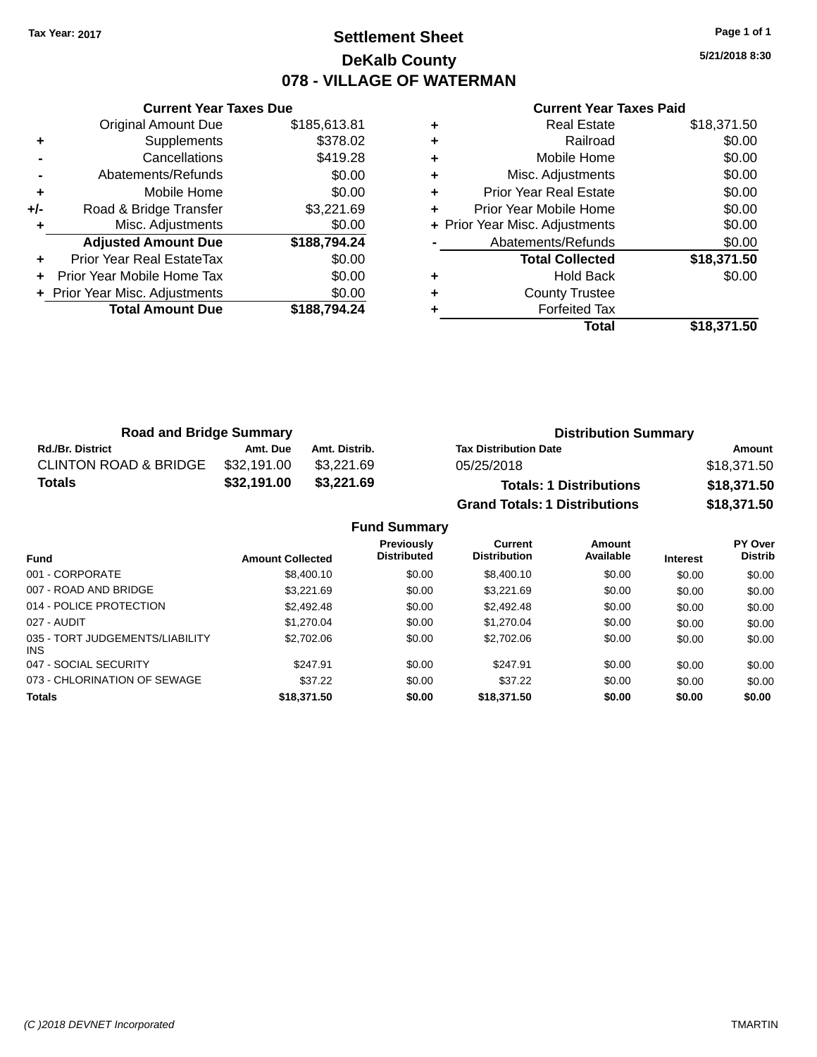# **Settlement Sheet Tax Year: 2017 Page 1 of 1 DeKalb County 078 - VILLAGE OF WATERMAN**

**5/21/2018 8:30**

|     | <b>Current Year Taxes Due</b>  |              |
|-----|--------------------------------|--------------|
|     | <b>Original Amount Due</b>     | \$185,613.81 |
| ٠   | Supplements                    | \$378.02     |
|     | Cancellations                  | \$419.28     |
|     | Abatements/Refunds             | \$0.00       |
| ٠   | Mobile Home                    | \$0.00       |
| +/- | Road & Bridge Transfer         | \$3,221.69   |
|     | Misc. Adjustments              | \$0.00       |
|     | <b>Adjusted Amount Due</b>     | \$188,794.24 |
| ٠   | Prior Year Real EstateTax      | \$0.00       |
|     | Prior Year Mobile Home Tax     | \$0.00       |
|     | + Prior Year Misc. Adjustments | \$0.00       |
|     | <b>Total Amount Due</b>        | \$188,794.24 |
|     |                                |              |

|   | <b>Real Estate</b>             | \$18,371.50 |
|---|--------------------------------|-------------|
| ٠ | Railroad                       | \$0.00      |
| ٠ | Mobile Home                    | \$0.00      |
| ٠ | Misc. Adjustments              | \$0.00      |
| ٠ | <b>Prior Year Real Estate</b>  | \$0.00      |
| ٠ | Prior Year Mobile Home         | \$0.00      |
|   | + Prior Year Misc. Adjustments | \$0.00      |
|   | Abatements/Refunds             | \$0.00      |
|   | <b>Total Collected</b>         | \$18,371.50 |
| ٠ | <b>Hold Back</b>               | \$0.00      |
| ٠ | <b>County Trustee</b>          |             |
|   | <b>Forfeited Tax</b>           |             |
|   | Total                          | \$18,371.50 |

| <b>Road and Bridge Summary</b>   |             |               | <b>Distribution Summary</b>          |             |  |
|----------------------------------|-------------|---------------|--------------------------------------|-------------|--|
| <b>Rd./Br. District</b>          | Amt. Due    | Amt. Distrib. | <b>Tax Distribution Date</b>         | Amount      |  |
| <b>CLINTON ROAD &amp; BRIDGE</b> | \$32,191.00 | \$3.221.69    | 05/25/2018                           | \$18,371.50 |  |
| \$32,191.00<br><b>Totals</b>     |             | \$3,221.69    | <b>Totals: 1 Distributions</b>       | \$18,371.50 |  |
|                                  |             |               | <b>Grand Totals: 1 Distributions</b> | \$18,371.50 |  |

|                                         |                         | <b>Fund Summary</b>                     |                                |                     |                 |                    |
|-----------------------------------------|-------------------------|-----------------------------------------|--------------------------------|---------------------|-----------------|--------------------|
| Fund                                    | <b>Amount Collected</b> | <b>Previously</b><br><b>Distributed</b> | Current<br><b>Distribution</b> | Amount<br>Available | <b>Interest</b> | PY Over<br>Distrib |
| 001 - CORPORATE                         | \$8,400.10              | \$0.00                                  | \$8,400.10                     | \$0.00              | \$0.00          | \$0.00             |
| 007 - ROAD AND BRIDGE                   | \$3.221.69              | \$0.00                                  | \$3.221.69                     | \$0.00              | \$0.00          | \$0.00             |
| 014 - POLICE PROTECTION                 | \$2,492.48              | \$0.00                                  | \$2,492.48                     | \$0.00              | \$0.00          | \$0.00             |
| 027 - AUDIT                             | \$1,270.04              | \$0.00                                  | \$1,270.04                     | \$0.00              | \$0.00          | \$0.00             |
| 035 - TORT JUDGEMENTS/LIABILITY<br>INS. | \$2,702.06              | \$0.00                                  | \$2,702.06                     | \$0.00              | \$0.00          | \$0.00             |
| 047 - SOCIAL SECURITY                   | \$247.91                | \$0.00                                  | \$247.91                       | \$0.00              | \$0.00          | \$0.00             |
| 073 - CHLORINATION OF SEWAGE            | \$37.22                 | \$0.00                                  | \$37.22                        | \$0.00              | \$0.00          | \$0.00             |
| <b>Totals</b>                           | \$18,371.50             | \$0.00                                  | \$18,371.50                    | \$0.00              | \$0.00          | \$0.00             |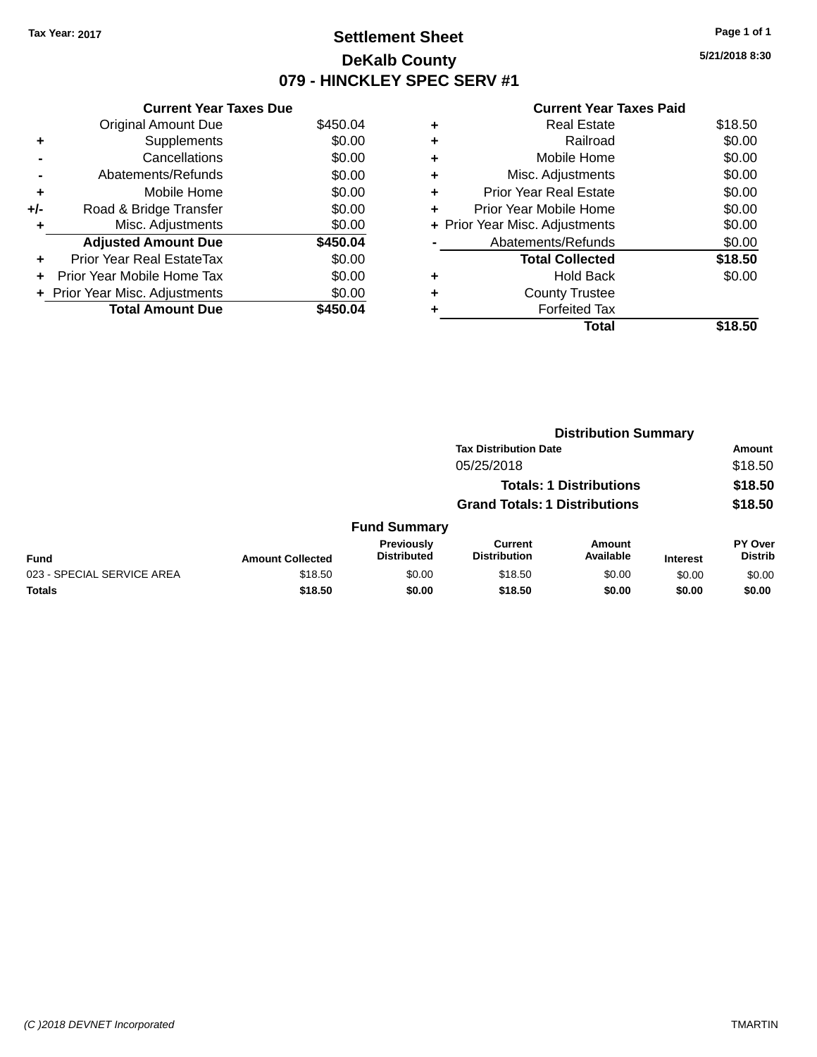# **Settlement Sheet Tax Year: 2017 Page 1 of 1 DeKalb County 079 - HINCKLEY SPEC SERV #1**

**5/21/2018 8:30**

|     | <b>Current Year Taxes Due</b>     |          |
|-----|-----------------------------------|----------|
|     | <b>Original Amount Due</b>        | \$450.04 |
| ٠   | Supplements                       | \$0.00   |
|     | Cancellations                     | \$0.00   |
|     | Abatements/Refunds                | \$0.00   |
| ٠   | Mobile Home                       | \$0.00   |
| +/- | Road & Bridge Transfer            | \$0.00   |
| ٠   | Misc. Adjustments                 | \$0.00   |
|     | <b>Adjusted Amount Due</b>        | \$450.04 |
| ÷   | Prior Year Real EstateTax         | \$0.00   |
| ÷   | <b>Prior Year Mobile Home Tax</b> | \$0.00   |
|     | + Prior Year Misc. Adjustments    | \$0.00   |
|     | <b>Total Amount Due</b>           | \$450.04 |

|   | <b>Real Estate</b>             | \$18.50 |
|---|--------------------------------|---------|
| ٠ | Railroad                       | \$0.00  |
| ٠ | Mobile Home                    | \$0.00  |
| ٠ | Misc. Adjustments              | \$0.00  |
| ٠ | <b>Prior Year Real Estate</b>  | \$0.00  |
|   | Prior Year Mobile Home         | \$0.00  |
|   | + Prior Year Misc. Adjustments | \$0.00  |
|   | Abatements/Refunds             | \$0.00  |
|   | <b>Total Collected</b>         | \$18.50 |
| ٠ | <b>Hold Back</b>               | \$0.00  |
|   | <b>County Trustee</b>          |         |
| ٠ | <b>Forfeited Tax</b>           |         |
|   | Total                          | \$18.50 |
|   |                                |         |

|                            |                         |                                  | <b>Distribution Summary</b>           |                                |                 |                           |
|----------------------------|-------------------------|----------------------------------|---------------------------------------|--------------------------------|-----------------|---------------------------|
|                            |                         |                                  | <b>Tax Distribution Date</b>          |                                |                 | Amount                    |
|                            |                         |                                  | 05/25/2018                            |                                |                 | \$18.50                   |
|                            |                         |                                  |                                       | <b>Totals: 1 Distributions</b> |                 | \$18.50                   |
|                            |                         |                                  | <b>Grand Totals: 1 Distributions</b>  |                                |                 | \$18.50                   |
|                            |                         | <b>Fund Summary</b>              |                                       |                                |                 |                           |
| <b>Fund</b>                | <b>Amount Collected</b> | Previously<br><b>Distributed</b> | <b>Current</b><br><b>Distribution</b> | Amount<br>Available            | <b>Interest</b> | PY Over<br><b>Distrib</b> |
| 023 - SPECIAL SERVICE AREA | \$18.50                 | \$0.00                           | \$18.50                               | \$0.00                         | \$0.00          | \$0.00                    |
| <b>Totals</b>              | \$18.50                 | \$0.00                           | \$18.50                               | \$0.00                         | \$0.00          | \$0.00                    |
|                            |                         |                                  |                                       |                                |                 |                           |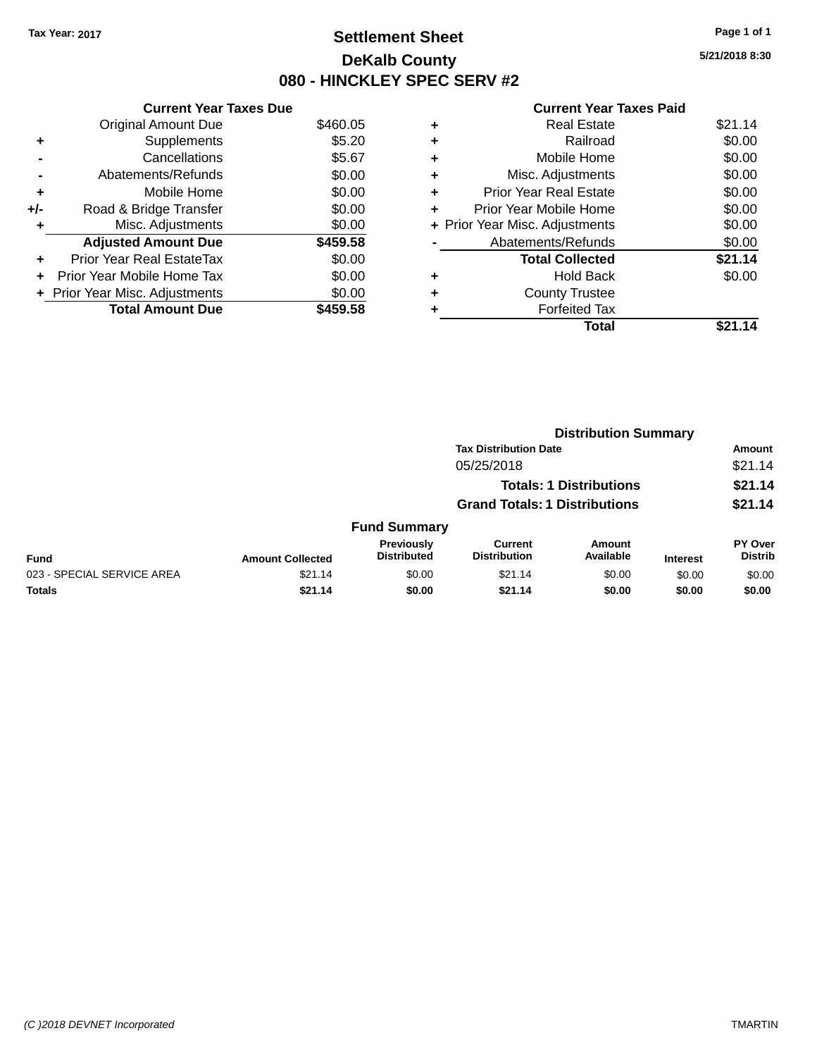# **Settlement Sheet Tax Year: 2017 Page 1 of 1 DeKalb County 080 - HINCKLEY SPEC SERV #2**

**5/21/2018 8:30**

|     | <b>Current Year Taxes Due</b>  |          |
|-----|--------------------------------|----------|
|     | <b>Original Amount Due</b>     | \$460.05 |
| ٠   | Supplements                    | \$5.20   |
|     | Cancellations                  | \$5.67   |
|     | Abatements/Refunds             | \$0.00   |
| ٠   | Mobile Home                    | \$0.00   |
| +/- | Road & Bridge Transfer         | \$0.00   |
| ٠   | Misc. Adjustments              | \$0.00   |
|     | <b>Adjusted Amount Due</b>     | \$459.58 |
| ٠   | Prior Year Real EstateTax      | \$0.00   |
| ÷   | Prior Year Mobile Home Tax     | \$0.00   |
|     | + Prior Year Misc. Adjustments | \$0.00   |
|     | <b>Total Amount Due</b>        | \$459.58 |

|   | <b>Real Estate</b>             | \$21.14 |
|---|--------------------------------|---------|
| ٠ | Railroad                       | \$0.00  |
| ٠ | Mobile Home                    | \$0.00  |
| ٠ | Misc. Adjustments              | \$0.00  |
| ٠ | <b>Prior Year Real Estate</b>  | \$0.00  |
| ٠ | Prior Year Mobile Home         | \$0.00  |
|   | + Prior Year Misc. Adjustments | \$0.00  |
|   | Abatements/Refunds             | \$0.00  |
|   | <b>Total Collected</b>         | \$21.14 |
| ٠ | <b>Hold Back</b>               | \$0.00  |
|   | <b>County Trustee</b>          |         |
| ٠ | <b>Forfeited Tax</b>           |         |
|   | <b>Total</b>                   | \$21.14 |
|   |                                |         |

|                            |                         |                                  | <b>Distribution Summary</b>           |                                |                 |                           |
|----------------------------|-------------------------|----------------------------------|---------------------------------------|--------------------------------|-----------------|---------------------------|
|                            |                         |                                  | <b>Tax Distribution Date</b>          |                                |                 | <b>Amount</b>             |
|                            |                         |                                  | 05/25/2018                            |                                |                 | \$21.14                   |
|                            |                         |                                  |                                       | <b>Totals: 1 Distributions</b> |                 | \$21.14                   |
|                            |                         |                                  | <b>Grand Totals: 1 Distributions</b>  |                                |                 | \$21.14                   |
|                            |                         | <b>Fund Summary</b>              |                                       |                                |                 |                           |
| <b>Fund</b>                | <b>Amount Collected</b> | Previously<br><b>Distributed</b> | <b>Current</b><br><b>Distribution</b> | Amount<br>Available            | <b>Interest</b> | PY Over<br><b>Distrib</b> |
| 023 - SPECIAL SERVICE AREA | \$21.14                 | \$0.00                           | \$21.14                               | \$0.00                         | \$0.00          | \$0.00                    |
| <b>Totals</b>              | \$21.14                 | \$0.00                           | \$21.14                               | \$0.00                         | \$0.00          | \$0.00                    |
|                            |                         |                                  |                                       |                                |                 |                           |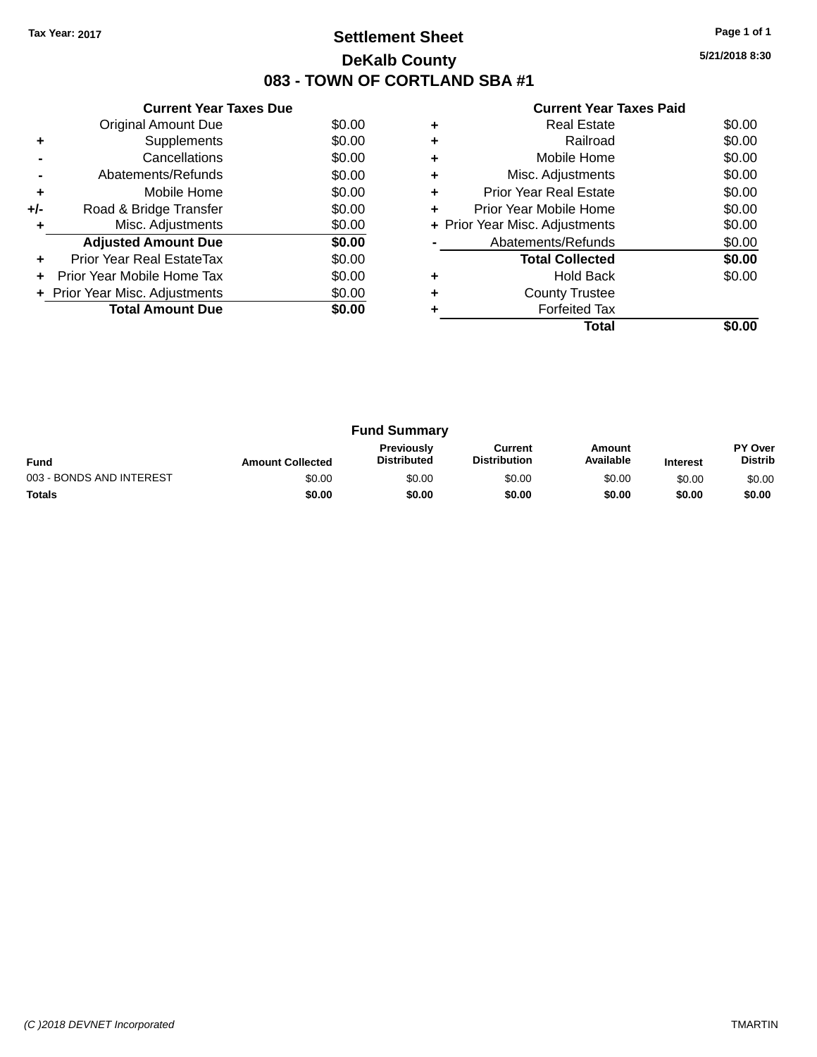# **Settlement Sheet Tax Year: 2017 Page 1 of 1 DeKalb County 083 - TOWN OF CORTLAND SBA #1**

**5/21/2018 8:30**

|     | <b>Current Year Taxes Due</b>  |        |
|-----|--------------------------------|--------|
|     | <b>Original Amount Due</b>     | \$0.00 |
| ٠   | Supplements                    | \$0.00 |
|     | Cancellations                  | \$0.00 |
|     | Abatements/Refunds             | \$0.00 |
| ٠   | Mobile Home                    | \$0.00 |
| +/- | Road & Bridge Transfer         | \$0.00 |
| ٠   | Misc. Adjustments              | \$0.00 |
|     | <b>Adjusted Amount Due</b>     | \$0.00 |
| ٠   | Prior Year Real EstateTax      | \$0.00 |
| ÷   | Prior Year Mobile Home Tax     | \$0.00 |
|     | + Prior Year Misc. Adjustments | \$0.00 |
|     | <b>Total Amount Due</b>        | \$0.00 |
|     |                                |        |

|   | Total                          |        |
|---|--------------------------------|--------|
|   | <b>Forfeited Tax</b>           |        |
|   | <b>County Trustee</b>          |        |
|   | <b>Hold Back</b>               | \$0.00 |
|   | <b>Total Collected</b>         | \$0.00 |
|   | Abatements/Refunds             | \$0.00 |
|   | + Prior Year Misc. Adjustments | \$0.00 |
|   | Prior Year Mobile Home         | \$0.00 |
| ٠ | Prior Year Real Estate         | \$0.00 |
| ٠ | Misc. Adjustments              | \$0.00 |
| ٠ | Mobile Home                    | \$0.00 |
|   | Railroad                       | \$0.00 |
|   | Real Estate                    | \$0.00 |

| <b>Fund Summary</b>      |                         |                                         |                                |                     |                 |                           |
|--------------------------|-------------------------|-----------------------------------------|--------------------------------|---------------------|-----------------|---------------------------|
| <b>Fund</b>              | <b>Amount Collected</b> | <b>Previously</b><br><b>Distributed</b> | Current<br><b>Distribution</b> | Amount<br>Available | <b>Interest</b> | PY Over<br><b>Distrib</b> |
| 003 - BONDS AND INTEREST | \$0.00                  | \$0.00                                  | \$0.00                         | \$0.00              | \$0.00          | \$0.00                    |
| <b>Totals</b>            | \$0.00                  | \$0.00                                  | \$0.00                         | \$0.00              | \$0.00          | \$0.00                    |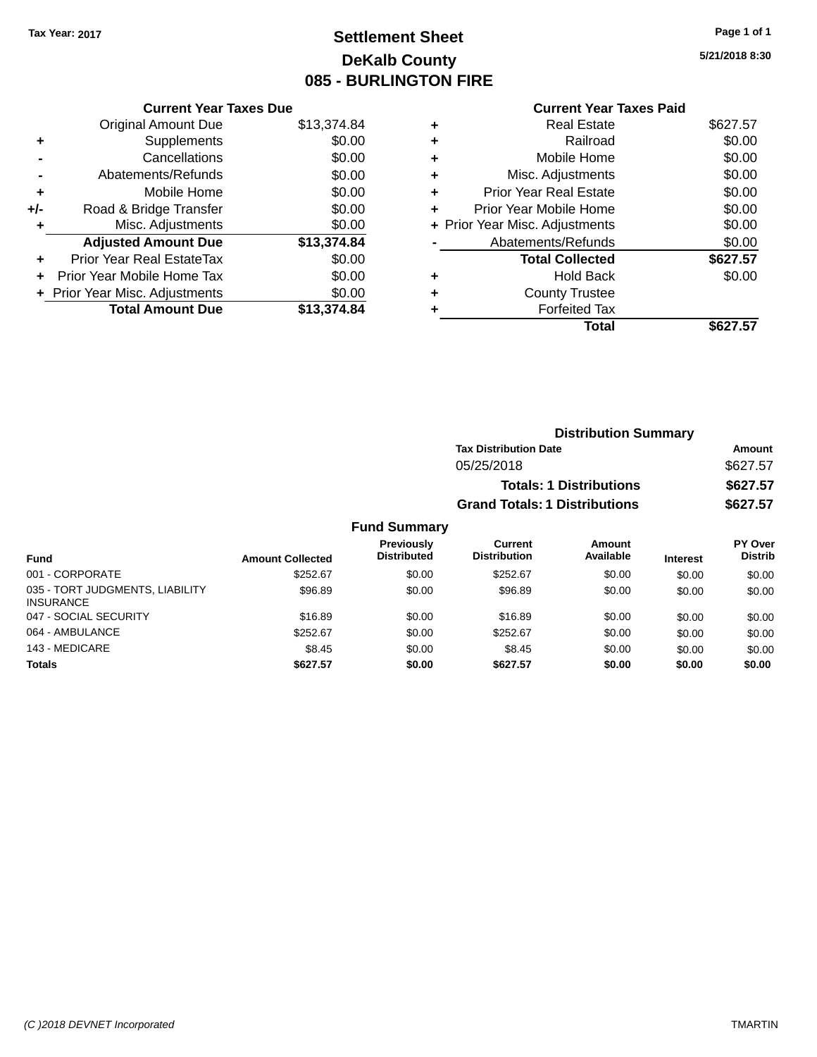# **Settlement Sheet Tax Year: 2017 Page 1 of 1 DeKalb County 085 - BURLINGTON FIRE**

**5/21/2018 8:30**

|   | <b>Current Year Taxes Paid</b> |          |
|---|--------------------------------|----------|
| ٠ | <b>Real Estate</b>             | \$627.57 |
| ٠ | Railroad                       | \$0.00   |
| ٠ | Mobile Home                    | \$0.00   |
| ٠ | Misc. Adjustments              | \$0.00   |
| ٠ | <b>Prior Year Real Estate</b>  | \$0.00   |
| ٠ | Prior Year Mobile Home         | \$0.00   |
|   | + Prior Year Misc. Adjustments | \$0.00   |
|   | Abatements/Refunds             | \$0.00   |
|   | <b>Total Collected</b>         | \$627.57 |
| ٠ | Hold Back                      | \$0.00   |
| ٠ | <b>County Trustee</b>          |          |
|   | <b>Forfeited Tax</b>           |          |
|   | Total                          | \$627.57 |

|     | <b>Current Year Taxes Due</b>  |             |
|-----|--------------------------------|-------------|
|     | <b>Original Amount Due</b>     | \$13,374.84 |
| ٠   | Supplements                    | \$0.00      |
|     | Cancellations                  | \$0.00      |
|     | Abatements/Refunds             | \$0.00      |
| ٠   | Mobile Home                    | \$0.00      |
| +/- | Road & Bridge Transfer         | \$0.00      |
| ٠   | Misc. Adjustments              | \$0.00      |
|     | <b>Adjusted Amount Due</b>     | \$13,374.84 |
| ٠   | Prior Year Real EstateTax      | \$0.00      |
|     | Prior Year Mobile Home Tax     | \$0.00      |
|     | + Prior Year Misc. Adjustments | \$0.00      |
|     | <b>Total Amount Due</b>        | \$13,374.84 |
|     |                                |             |

|                     | <b>Distribution Summary</b>          |          |  |  |
|---------------------|--------------------------------------|----------|--|--|
|                     | <b>Tax Distribution Date</b>         | Amount   |  |  |
|                     | 05/25/2018                           | \$627.57 |  |  |
|                     | <b>Totals: 1 Distributions</b>       | \$627.57 |  |  |
|                     | <b>Grand Totals: 1 Distributions</b> | \$627.57 |  |  |
| <b>Fund Summary</b> |                                      |          |  |  |

| <b>Fund</b>                                         | <b>Amount Collected</b> | <b>Previously</b><br><b>Distributed</b> | <b>Current</b><br><b>Distribution</b> | Amount<br>Available | <b>Interest</b> | <b>PY Over</b><br><b>Distrib</b> |
|-----------------------------------------------------|-------------------------|-----------------------------------------|---------------------------------------|---------------------|-----------------|----------------------------------|
| 001 - CORPORATE                                     | \$252.67                | \$0.00                                  | \$252.67                              | \$0.00              | \$0.00          | \$0.00                           |
| 035 - TORT JUDGMENTS, LIABILITY<br><b>INSURANCE</b> | \$96.89                 | \$0.00                                  | \$96.89                               | \$0.00              | \$0.00          | \$0.00                           |
| 047 - SOCIAL SECURITY                               | \$16.89                 | \$0.00                                  | \$16.89                               | \$0.00              | \$0.00          | \$0.00                           |
| 064 - AMBULANCE                                     | \$252.67                | \$0.00                                  | \$252.67                              | \$0.00              | \$0.00          | \$0.00                           |
| 143 - MEDICARE                                      | \$8.45                  | \$0.00                                  | \$8.45                                | \$0.00              | \$0.00          | \$0.00                           |
| <b>Totals</b>                                       | \$627.57                | \$0.00                                  | \$627.57                              | \$0.00              | \$0.00          | \$0.00                           |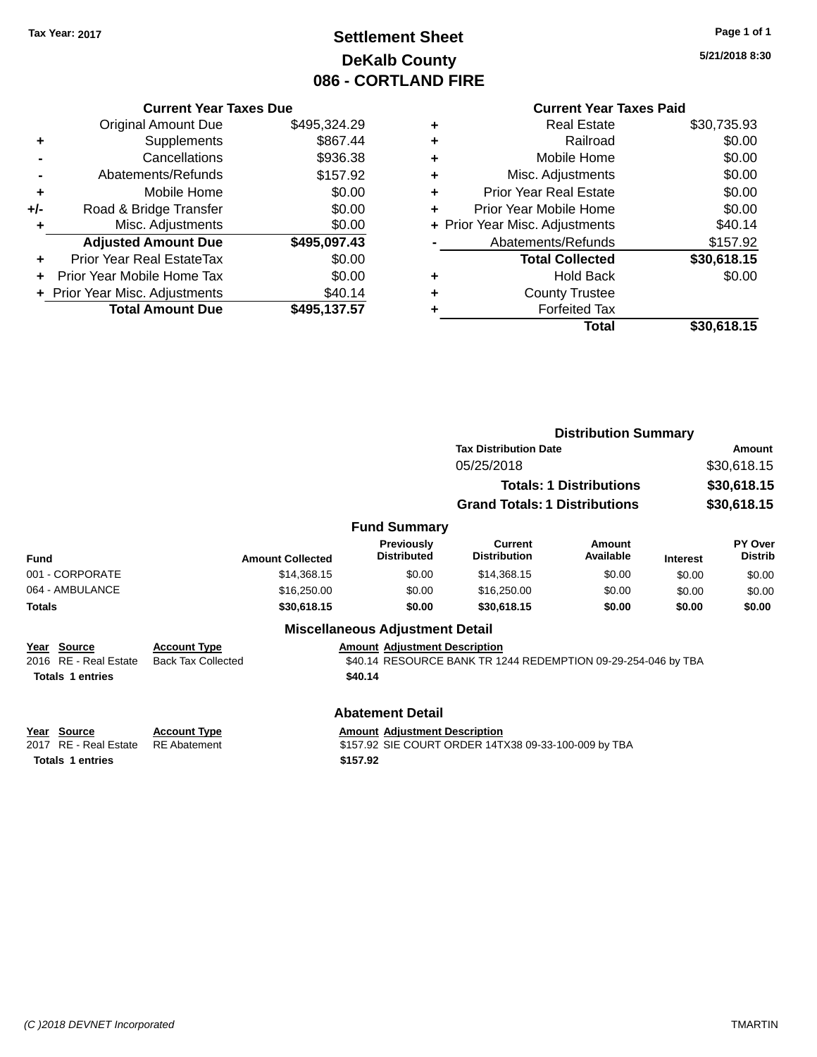# **Settlement Sheet Tax Year: 2017 Page 1 of 1 DeKalb County 086 - CORTLAND FIRE**

**5/21/2018 8:30**

|     | <b>Current Year Taxes Due</b>    |              |
|-----|----------------------------------|--------------|
|     | <b>Original Amount Due</b>       | \$495,324.29 |
| ٠   | Supplements                      | \$867.44     |
|     | Cancellations                    | \$936.38     |
|     | Abatements/Refunds               | \$157.92     |
| ٠   | Mobile Home                      | \$0.00       |
| +/- | Road & Bridge Transfer           | \$0.00       |
|     | Misc. Adjustments                | \$0.00       |
|     | <b>Adjusted Amount Due</b>       | \$495,097.43 |
| ÷   | <b>Prior Year Real EstateTax</b> | \$0.00       |
|     | Prior Year Mobile Home Tax       | \$0.00       |
|     | + Prior Year Misc. Adjustments   | \$40.14      |
|     | <b>Total Amount Due</b>          | \$495.137.57 |

|   | <b>Real Estate</b>             | \$30,735.93 |
|---|--------------------------------|-------------|
| ٠ | Railroad                       | \$0.00      |
| ٠ | Mobile Home                    | \$0.00      |
| ٠ | Misc. Adjustments              | \$0.00      |
| ٠ | <b>Prior Year Real Estate</b>  | \$0.00      |
| ٠ | Prior Year Mobile Home         | \$0.00      |
|   | + Prior Year Misc. Adjustments | \$40.14     |
|   | Abatements/Refunds             | \$157.92    |
|   | <b>Total Collected</b>         | \$30,618.15 |
| ٠ | <b>Hold Back</b>               | \$0.00      |
| ٠ | <b>County Trustee</b>          |             |
| ٠ | <b>Forfeited Tax</b>           |             |
|   | Total                          | \$30,618.15 |
|   |                                |             |

**Taxes Paid** 

|                                                                                                                                                                                                        |                                                  |                                                 | <b>Distribution Summary</b>                                   |                                |                 |                           |
|--------------------------------------------------------------------------------------------------------------------------------------------------------------------------------------------------------|--------------------------------------------------|-------------------------------------------------|---------------------------------------------------------------|--------------------------------|-----------------|---------------------------|
|                                                                                                                                                                                                        |                                                  |                                                 | <b>Tax Distribution Date</b>                                  | Amount                         |                 |                           |
|                                                                                                                                                                                                        |                                                  |                                                 | 05/25/2018                                                    |                                | \$30,618.15     |                           |
|                                                                                                                                                                                                        |                                                  |                                                 |                                                               | <b>Totals: 1 Distributions</b> | \$30,618.15     |                           |
|                                                                                                                                                                                                        |                                                  |                                                 | <b>Grand Totals: 1 Distributions</b>                          |                                | \$30,618.15     |                           |
|                                                                                                                                                                                                        |                                                  | <b>Fund Summary</b>                             |                                                               |                                |                 |                           |
| <b>Fund</b>                                                                                                                                                                                            | <b>Amount Collected</b>                          | Previously<br><b>Distributed</b>                | Current<br><b>Distribution</b>                                | Amount<br>Available            | <b>Interest</b> | PY Over<br><b>Distrib</b> |
| 001 - CORPORATE                                                                                                                                                                                        | \$14,368.15                                      | \$0.00                                          | \$14,368.15                                                   | \$0.00                         | \$0.00          | \$0.00                    |
| 064 - AMBULANCE                                                                                                                                                                                        | \$16,250.00                                      | \$0.00                                          | \$16,250.00                                                   | \$0.00                         | \$0.00          | \$0.00                    |
| <b>Totals</b>                                                                                                                                                                                          | \$30,618.15                                      | \$0.00                                          | \$30,618.15                                                   | \$0.00                         | \$0.00          | \$0.00                    |
|                                                                                                                                                                                                        |                                                  | <b>Miscellaneous Adjustment Detail</b>          |                                                               |                                |                 |                           |
| Year Source<br>2016 RE - Real Estate<br><b>Totals 1 entries</b>                                                                                                                                        | <b>Account Type</b><br><b>Back Tax Collected</b> | <b>Amount Adjustment Description</b><br>\$40.14 | \$40.14 RESOURCE BANK TR 1244 REDEMPTION 09-29-254-046 by TBA |                                |                 |                           |
|                                                                                                                                                                                                        |                                                  | <b>Abatement Detail</b>                         |                                                               |                                |                 |                           |
| <b>Source</b><br><b>Account Type</b><br><b>Amount Adjustment Description</b><br>Year<br><b>RE</b> - Real Estate<br><b>RE</b> Abatement<br>\$157.92 SIE COURT ORDER 14TX38 09-33-100-009 by TBA<br>2017 |                                                  |                                                 |                                                               |                                |                 |                           |
| <b>Totals 1 entries</b>                                                                                                                                                                                |                                                  | \$157.92                                        |                                                               |                                |                 |                           |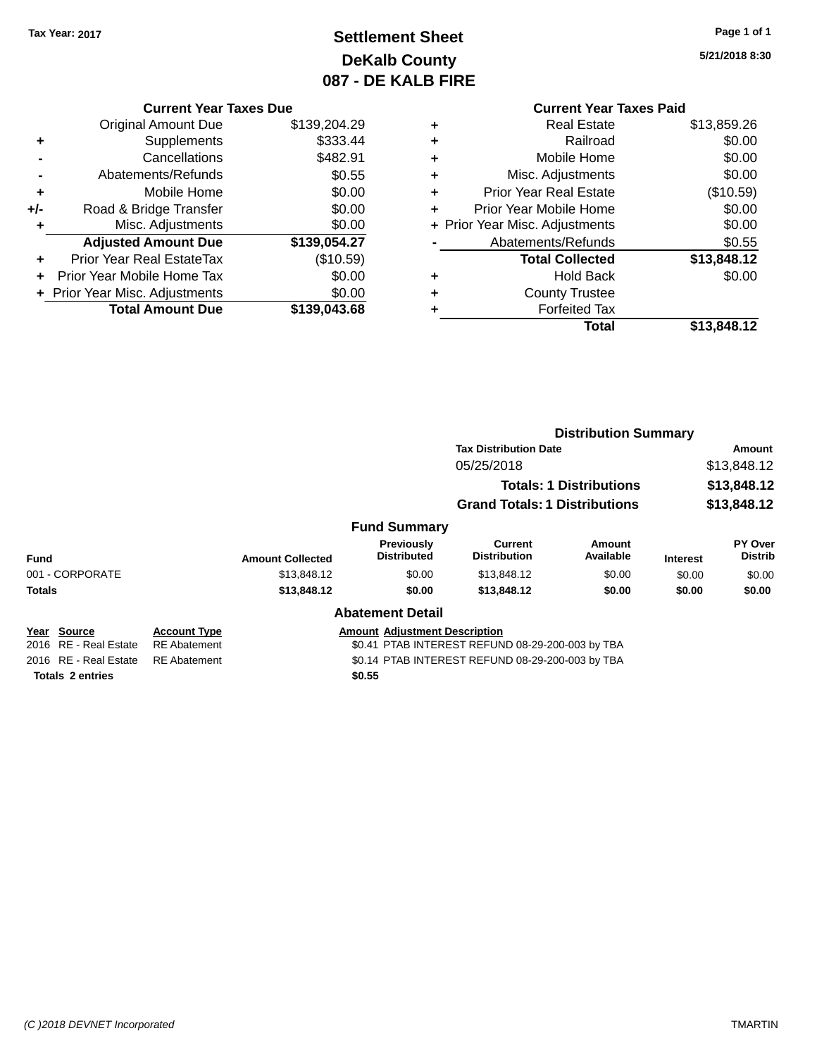# **Settlement Sheet Tax Year: 2017 Page 1 of 1 DeKalb County 087 - DE KALB FIRE**

**5/21/2018 8:30**

|     | <b>Current Year Taxes Due</b>  |              |  |  |  |  |  |
|-----|--------------------------------|--------------|--|--|--|--|--|
|     | Original Amount Due            | \$139,204.29 |  |  |  |  |  |
| ٠   | Supplements                    | \$333.44     |  |  |  |  |  |
|     | Cancellations                  | \$482.91     |  |  |  |  |  |
|     | Abatements/Refunds             | \$0.55       |  |  |  |  |  |
| ٠   | Mobile Home                    | \$0.00       |  |  |  |  |  |
| +/- | Road & Bridge Transfer         | \$0.00       |  |  |  |  |  |
|     | Misc. Adjustments              | \$0.00       |  |  |  |  |  |
|     | <b>Adjusted Amount Due</b>     | \$139,054.27 |  |  |  |  |  |
| ٠   | Prior Year Real EstateTax      | (\$10.59)    |  |  |  |  |  |
|     | Prior Year Mobile Home Tax     | \$0.00       |  |  |  |  |  |
|     | + Prior Year Misc. Adjustments | \$0.00       |  |  |  |  |  |
|     | <b>Total Amount Due</b>        | \$139,043.68 |  |  |  |  |  |
|     |                                |              |  |  |  |  |  |

## **Current Year Taxes Paid +** Real Estate \$13,859.26 **+** Railroad \$0.00 **+** Mobile Home \$0.00 **+** Misc. Adjustments \$0.00 **+** Prior Year Real Estate (\$10.59) **+** Prior Year Mobile Home \$0.00

|           | + Prior Year Misc. Adjustments | \$0.00      |
|-----------|--------------------------------|-------------|
|           | Abatements/Refunds             | \$0.55      |
|           | <b>Total Collected</b>         | \$13,848.12 |
| ÷         | <b>Hold Back</b>               | \$0.00      |
| $\ddot{}$ | <b>County Trustee</b>          |             |
| $\ddot{}$ | <b>Forfeited Tax</b>           |             |
|           | Total                          | \$13,848.12 |

|                         |                     |                         |                                      | <b>Distribution Summary</b>                      |                            |                 |                           |
|-------------------------|---------------------|-------------------------|--------------------------------------|--------------------------------------------------|----------------------------|-----------------|---------------------------|
|                         |                     |                         |                                      | <b>Tax Distribution Date</b>                     |                            | Amount          |                           |
|                         |                     |                         |                                      | 05/25/2018                                       |                            | \$13,848.12     |                           |
|                         |                     |                         |                                      | <b>Totals: 1 Distributions</b>                   |                            | \$13,848.12     |                           |
|                         |                     |                         |                                      | <b>Grand Totals: 1 Distributions</b>             |                            | \$13,848.12     |                           |
|                         |                     |                         | <b>Fund Summary</b>                  |                                                  |                            |                 |                           |
| <b>Fund</b>             |                     | <b>Amount Collected</b> | Previously<br><b>Distributed</b>     | Current<br><b>Distribution</b>                   | <b>Amount</b><br>Available | <b>Interest</b> | PY Over<br><b>Distrib</b> |
| 001 - CORPORATE         |                     | \$13,848.12             | \$0.00                               | \$13,848.12                                      | \$0.00                     | \$0.00          | \$0.00                    |
| <b>Totals</b>           |                     | \$13,848.12             | \$0.00                               | \$13,848.12                                      | \$0.00                     | \$0.00          | \$0.00                    |
|                         |                     |                         | <b>Abatement Detail</b>              |                                                  |                            |                 |                           |
| Source<br>Year          | <b>Account Type</b> |                         | <b>Amount Adjustment Description</b> |                                                  |                            |                 |                           |
| 2016 RE - Real Estate   | <b>RE</b> Abatement |                         |                                      | \$0.41 PTAB INTEREST REFUND 08-29-200-003 by TBA |                            |                 |                           |
| 2016 RE - Real Estate   | <b>RE</b> Abatement |                         |                                      | \$0.14 PTAB INTEREST REFUND 08-29-200-003 by TBA |                            |                 |                           |
| <b>Totals 2 entries</b> |                     |                         | \$0.55                               |                                                  |                            |                 |                           |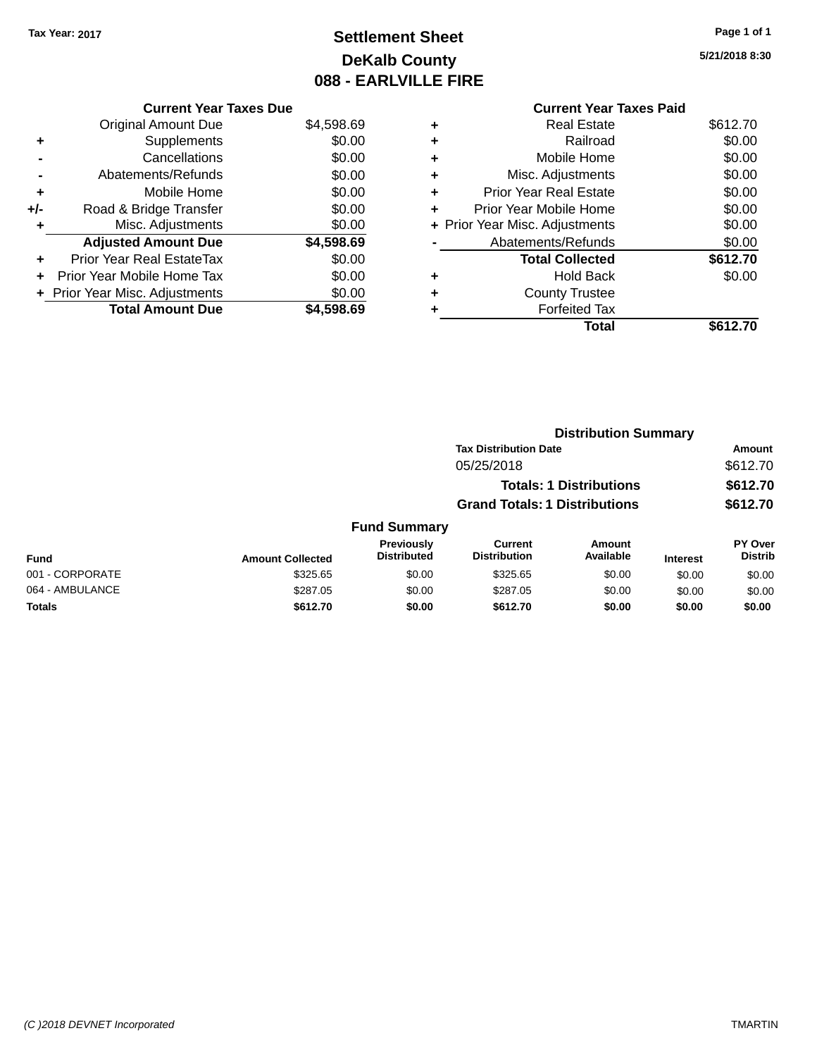# **Settlement Sheet Tax Year: 2017 Page 1 of 1 DeKalb County 088 - EARLVILLE FIRE**

**5/21/2018 8:30**

|       | <b>Current Year Taxes Due</b> |            |
|-------|-------------------------------|------------|
|       | <b>Original Amount Due</b>    | \$4,598.69 |
| ٠     | Supplements                   | \$0.00     |
|       | Cancellations                 | \$0.00     |
|       | Abatements/Refunds            | \$0.00     |
| ٠     | Mobile Home                   | \$0.00     |
| $+/-$ | Road & Bridge Transfer        | \$0.00     |
|       | Misc. Adjustments             | \$0.00     |
|       | <b>Adjusted Amount Due</b>    | \$4,598.69 |
|       | Prior Year Real EstateTax     | \$0.00     |
|       | Prior Year Mobile Home Tax    | \$0.00     |
|       | Prior Year Misc. Adjustments  | \$0.00     |
|       | <b>Total Amount Due</b>       | \$4.598.69 |

|   | <b>Current Year Taxes Paid</b> |          |
|---|--------------------------------|----------|
| ٠ | <b>Real Estate</b>             | \$612.70 |
| ٠ | Railroad                       | \$0.00   |
| ٠ | Mobile Home                    | \$0.00   |
| ٠ | Misc. Adjustments              | \$0.00   |
| ÷ | <b>Prior Year Real Estate</b>  | \$0.00   |
| ٠ | Prior Year Mobile Home         | \$0.00   |
|   | + Prior Year Misc. Adjustments | \$0.00   |
|   | Abatements/Refunds             | \$0.00   |
|   | <b>Total Collected</b>         | \$612.70 |
| ٠ | <b>Hold Back</b>               | \$0.00   |
|   | <b>County Trustee</b>          |          |
|   | <b>Forfeited Tax</b>           |          |
|   | Total                          | \$612.70 |
|   |                                |          |

|                 |                         |                                  | <b>Distribution Summary</b>           |                                |                 |                           |
|-----------------|-------------------------|----------------------------------|---------------------------------------|--------------------------------|-----------------|---------------------------|
|                 |                         |                                  | <b>Tax Distribution Date</b>          |                                |                 | <b>Amount</b>             |
|                 |                         |                                  | 05/25/2018                            |                                |                 | \$612.70                  |
|                 |                         |                                  |                                       | <b>Totals: 1 Distributions</b> |                 | \$612.70                  |
|                 |                         |                                  | <b>Grand Totals: 1 Distributions</b>  |                                |                 | \$612.70                  |
|                 |                         | <b>Fund Summary</b>              |                                       |                                |                 |                           |
| <b>Fund</b>     | <b>Amount Collected</b> | Previously<br><b>Distributed</b> | <b>Current</b><br><b>Distribution</b> | Amount<br>Available            | <b>Interest</b> | PY Over<br><b>Distrib</b> |
| 001 - CORPORATE | \$325.65                | \$0.00                           | \$325.65                              | \$0.00                         | \$0.00          | \$0.00                    |
| 064 - AMBULANCE | \$287.05                | \$0.00                           | \$287.05                              | \$0.00                         | \$0.00          | \$0.00                    |
| <b>Totals</b>   | \$612.70                | \$0.00                           | \$612.70                              | \$0.00                         | \$0.00          | \$0.00                    |
|                 |                         |                                  |                                       |                                |                 |                           |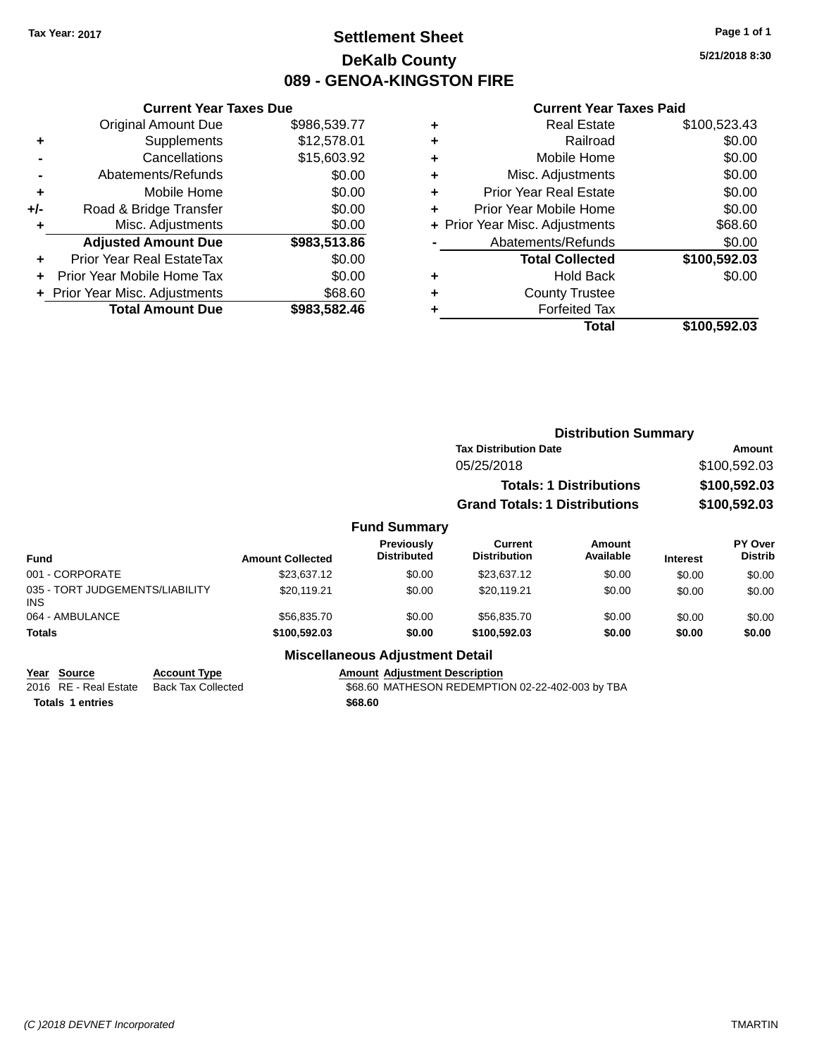# **Settlement Sheet Tax Year: 2017 Page 1 of 1 DeKalb County 089 - GENOA-KINGSTON FIRE**

**5/21/2018 8:30**

### **Current Year Taxes Paid**

| <b>Current Year Taxes Due</b>  |                         |  |
|--------------------------------|-------------------------|--|
| <b>Original Amount Due</b>     | \$986,539.77            |  |
| Supplements                    | \$12,578.01             |  |
| Cancellations                  | \$15,603.92             |  |
| Abatements/Refunds             | \$0.00                  |  |
| Mobile Home                    | \$0.00                  |  |
| Road & Bridge Transfer         | \$0.00                  |  |
| Misc. Adjustments              | \$0.00                  |  |
| <b>Adjusted Amount Due</b>     | \$983,513.86            |  |
| Prior Year Real EstateTax      | \$0.00                  |  |
| Prior Year Mobile Home Tax     | \$0.00                  |  |
| + Prior Year Misc. Adjustments | \$68.60                 |  |
|                                | \$983,582.46            |  |
|                                | <b>Total Amount Due</b> |  |

| ٠ | <b>Real Estate</b>             | \$100,523.43 |
|---|--------------------------------|--------------|
| ٠ | Railroad                       | \$0.00       |
| ٠ | Mobile Home                    | \$0.00       |
| ٠ | Misc. Adjustments              | \$0.00       |
| ٠ | <b>Prior Year Real Estate</b>  | \$0.00       |
| ٠ | Prior Year Mobile Home         | \$0.00       |
|   | + Prior Year Misc. Adjustments | \$68.60      |
|   | Abatements/Refunds             | \$0.00       |
|   | <b>Total Collected</b>         | \$100,592.03 |
| ٠ | <b>Hold Back</b>               | \$0.00       |
| ٠ | <b>County Trustee</b>          |              |
| ٠ | <b>Forfeited Tax</b>           |              |
|   | Total                          | \$100,592.03 |
|   |                                |              |

|                                         |                         |                                         |                                      | <b>Distribution Summary</b>    |                 |                                  |
|-----------------------------------------|-------------------------|-----------------------------------------|--------------------------------------|--------------------------------|-----------------|----------------------------------|
|                                         |                         |                                         | <b>Tax Distribution Date</b>         |                                |                 | Amount                           |
|                                         |                         |                                         | 05/25/2018                           |                                |                 | \$100,592.03                     |
|                                         |                         |                                         |                                      | <b>Totals: 1 Distributions</b> |                 | \$100,592.03                     |
|                                         |                         |                                         | <b>Grand Totals: 1 Distributions</b> |                                |                 | \$100,592.03                     |
|                                         |                         | <b>Fund Summary</b>                     |                                      |                                |                 |                                  |
| <b>Fund</b>                             | <b>Amount Collected</b> | <b>Previously</b><br><b>Distributed</b> | Current<br><b>Distribution</b>       | Amount<br>Available            | <b>Interest</b> | <b>PY Over</b><br><b>Distrib</b> |
| 001 - CORPORATE                         | \$23,637.12             | \$0.00                                  | \$23,637.12                          | \$0.00                         | \$0.00          | \$0.00                           |
| 035 - TORT JUDGEMENTS/LIABILITY<br>INS. | \$20,119.21             | \$0.00                                  | \$20.119.21                          | \$0.00                         | \$0.00          | \$0.00                           |
| 064 - AMBULANCE                         | \$56,835.70             | \$0.00                                  | \$56,835.70                          | \$0.00                         | \$0.00          | \$0.00                           |
| <b>Totals</b>                           | \$100,592.03            | \$0.00                                  | \$100,592.03                         | \$0.00                         | \$0.00          | \$0.00                           |
|                                         |                         | <b>Miscellaneous Adjustment Detail</b>  |                                      |                                |                 |                                  |

## **Year Source Account Type Amount Adjustment Description**

| <b>IGAI JUULLE</b>      | ACCOUNT IVDE                             | Allivulli Aulustillelli Describildii             |
|-------------------------|------------------------------------------|--------------------------------------------------|
|                         | 2016 RE - Real Estate Back Tax Collected | \$68.60 MATHESON REDEMPTION 02-22-402-003 by TBA |
| <b>Totals 1 entries</b> |                                          | \$68.60                                          |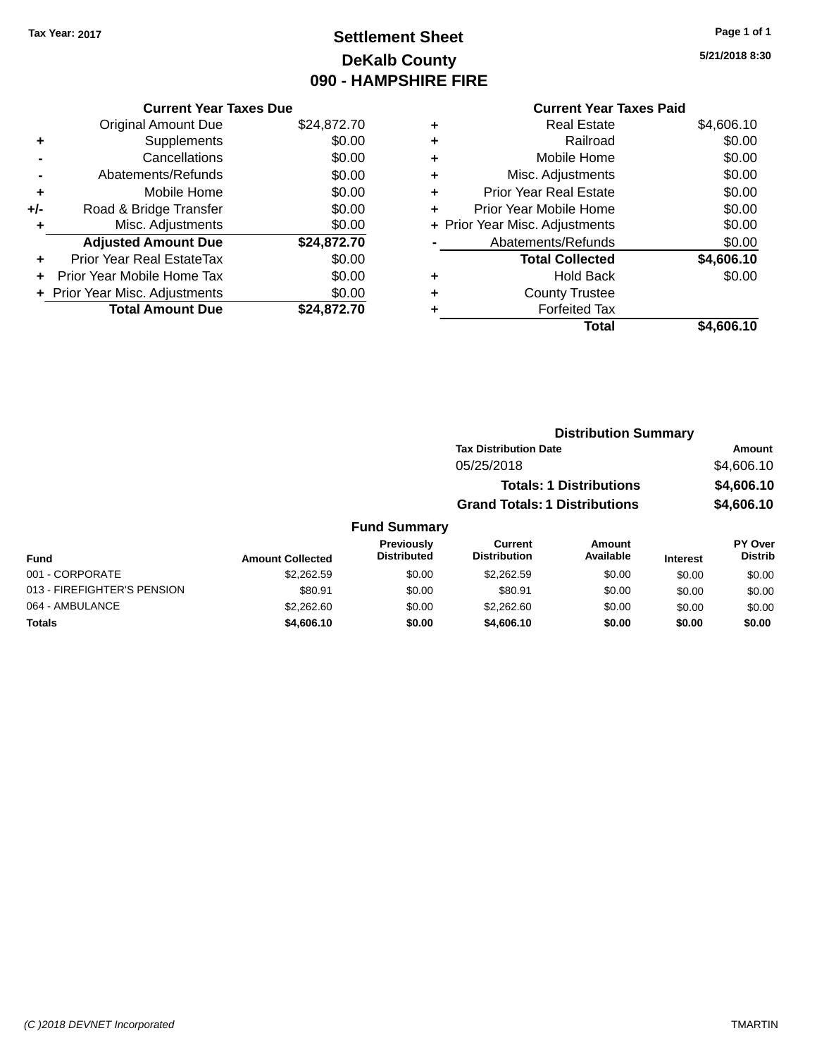# **Settlement Sheet Tax Year: 2017 Page 1 of 1 DeKalb County 090 - HAMPSHIRE FIRE**

**5/21/2018 8:30**

## **Current Year Taxes Paid**

|     | <b>Current Year Taxes Due</b>  |             |  |
|-----|--------------------------------|-------------|--|
|     | <b>Original Amount Due</b>     | \$24,872.70 |  |
| ٠   | Supplements                    | \$0.00      |  |
|     | Cancellations                  | \$0.00      |  |
|     | Abatements/Refunds             | \$0.00      |  |
| ٠   | Mobile Home                    | \$0.00      |  |
| +/- | Road & Bridge Transfer         | \$0.00      |  |
| ٠   | Misc. Adjustments              | \$0.00      |  |
|     | <b>Adjusted Amount Due</b>     | \$24,872.70 |  |
| ٠   | Prior Year Real EstateTax      | \$0.00      |  |
|     | Prior Year Mobile Home Tax     | \$0.00      |  |
|     | + Prior Year Misc. Adjustments | \$0.00      |  |
|     | <b>Total Amount Due</b>        | \$24,872.70 |  |
|     |                                |             |  |

| ٠ | <b>Real Estate</b>             | \$4,606.10 |
|---|--------------------------------|------------|
| ٠ | Railroad                       | \$0.00     |
| ٠ | Mobile Home                    | \$0.00     |
| ٠ | Misc. Adjustments              | \$0.00     |
| ٠ | <b>Prior Year Real Estate</b>  | \$0.00     |
| ٠ | Prior Year Mobile Home         | \$0.00     |
|   | + Prior Year Misc. Adjustments | \$0.00     |
|   | Abatements/Refunds             | \$0.00     |
|   | <b>Total Collected</b>         | \$4,606.10 |
| ٠ | <b>Hold Back</b>               | \$0.00     |
|   | <b>County Trustee</b>          |            |
| ٠ | <b>Forfeited Tax</b>           |            |
|   | Total                          | \$4,606.10 |
|   |                                |            |

|      | <b>Distribution Summary</b>          |            |
|------|--------------------------------------|------------|
|      | <b>Tax Distribution Date</b>         | Amount     |
|      | 05/25/2018                           | \$4,606.10 |
|      | <b>Totals: 1 Distributions</b>       | \$4,606.10 |
|      | <b>Grand Totals: 1 Distributions</b> | \$4,606.10 |
| morv |                                      |            |

#### **Fund Summary Fund Interest Amount Collected Distributed PY Over Distrib Amount Available Current Distribution Previously** 001 - CORPORATE \$2,262.59 \$0.00 \$2,262.59 \$0.00 \$0.00 \$0.00 013 - FIREFIGHTER'S PENSION \$80.91 \$80.91 \$0.00 \$80.91 \$0.00 \$0.00 \$0.00 \$0.00 064 - AMBULANCE \$2,262.60 \$0.00 \$2,262.60 \$0.00 \$0.00 \$0.00 **Totals \$4,606.10 \$0.00 \$4,606.10 \$0.00 \$0.00 \$0.00**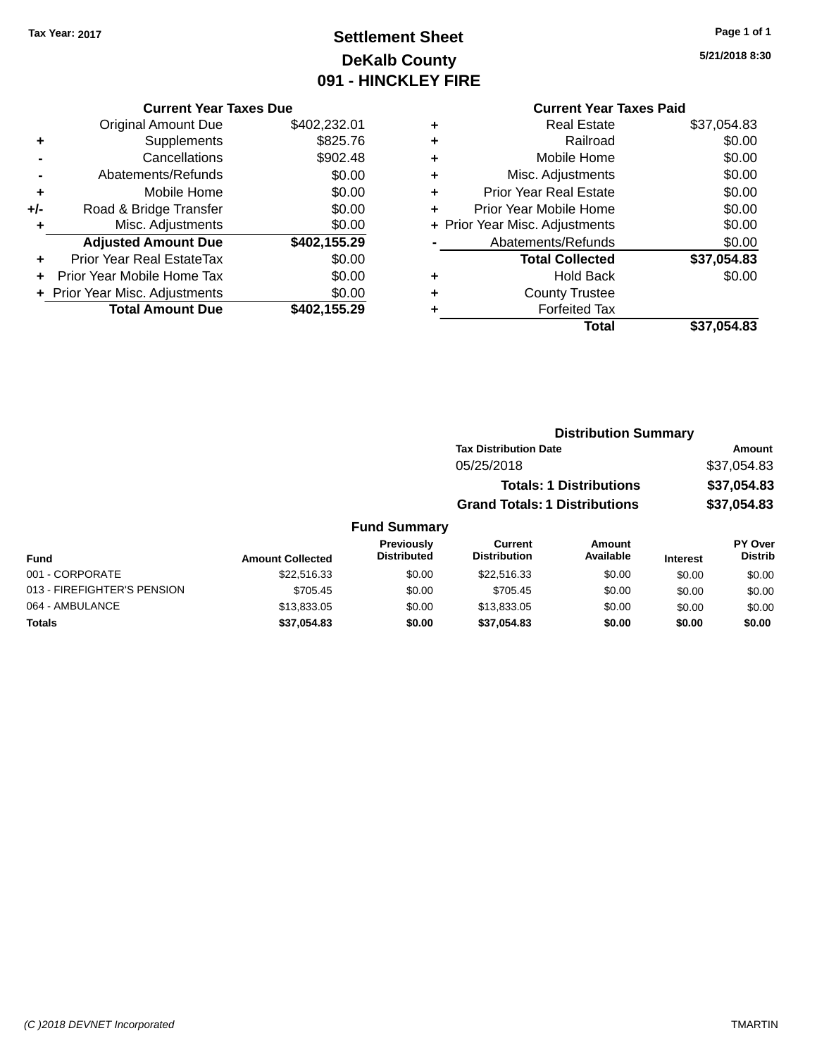# **Settlement Sheet Tax Year: 2017 Page 1 of 1 DeKalb County 091 - HINCKLEY FIRE**

**5/21/2018 8:30**

|  | <b>Current Year Taxes Due</b> |  |
|--|-------------------------------|--|
|  |                               |  |

|     | <b>Original Amount Due</b>     | \$402,232.01 |
|-----|--------------------------------|--------------|
| ٠   | Supplements                    | \$825.76     |
|     | Cancellations                  | \$902.48     |
|     | Abatements/Refunds             | \$0.00       |
| ٠   | Mobile Home                    | \$0.00       |
| +/- | Road & Bridge Transfer         | \$0.00       |
| ٠   | Misc. Adjustments              | \$0.00       |
|     | <b>Adjusted Amount Due</b>     | \$402,155.29 |
| ÷   | Prior Year Real EstateTax      | \$0.00       |
|     | Prior Year Mobile Home Tax     | \$0.00       |
|     | + Prior Year Misc. Adjustments | \$0.00       |
|     | <b>Total Amount Due</b>        | \$402,155.29 |

## **Current Year Taxes Paid +** Real Estate \$37,054.83 **+** Railroad \$0.00 **+** Mobile Home \$0.00 **+** Misc. Adjustments \$0.00 **+** Prior Year Real Estate \$0.00 **+** Prior Year Mobile Home \$0.00<br> **+** Prior Year Misc. Adjustments \$0.00 **+** Prior Year Misc. Adjustments \$0.00 **-** Abatements/Refunds \$0.00

|   | Total                  | \$37,054.83 |
|---|------------------------|-------------|
| ٠ | <b>Forfeited Tax</b>   |             |
| ٠ | <b>County Trustee</b>  |             |
| ٠ | <b>Hold Back</b>       | \$0.00      |
|   | <b>Total Collected</b> | \$37,054.83 |
|   | Abatements/Refunds     | \$0.00      |

| <b>Distribution Summary</b>          |             |
|--------------------------------------|-------------|
| <b>Tax Distribution Date</b>         | Amount      |
| 05/25/2018                           | \$37,054.83 |
| <b>Totals: 1 Distributions</b>       | \$37,054.83 |
| <b>Grand Totals: 1 Distributions</b> | \$37,054.83 |

| Fund                        | <b>Amount Collected</b> | <b>Previously</b><br><b>Distributed</b> | Current<br><b>Distribution</b> | Amount<br>Available | <b>Interest</b> | <b>PY Over</b><br><b>Distrib</b> |
|-----------------------------|-------------------------|-----------------------------------------|--------------------------------|---------------------|-----------------|----------------------------------|
| 001 - CORPORATE             | \$22.516.33             | \$0.00                                  | \$22.516.33                    | \$0.00              | \$0.00          | \$0.00                           |
| 013 - FIREFIGHTER'S PENSION | \$705.45                | \$0.00                                  | \$705.45                       | \$0.00              | \$0.00          | \$0.00                           |
| 064 - AMBULANCE             | \$13,833.05             | \$0.00                                  | \$13,833.05                    | \$0.00              | \$0.00          | \$0.00                           |
| <b>Totals</b>               | \$37,054.83             | \$0.00                                  | \$37.054.83                    | \$0.00              | \$0.00          | \$0.00                           |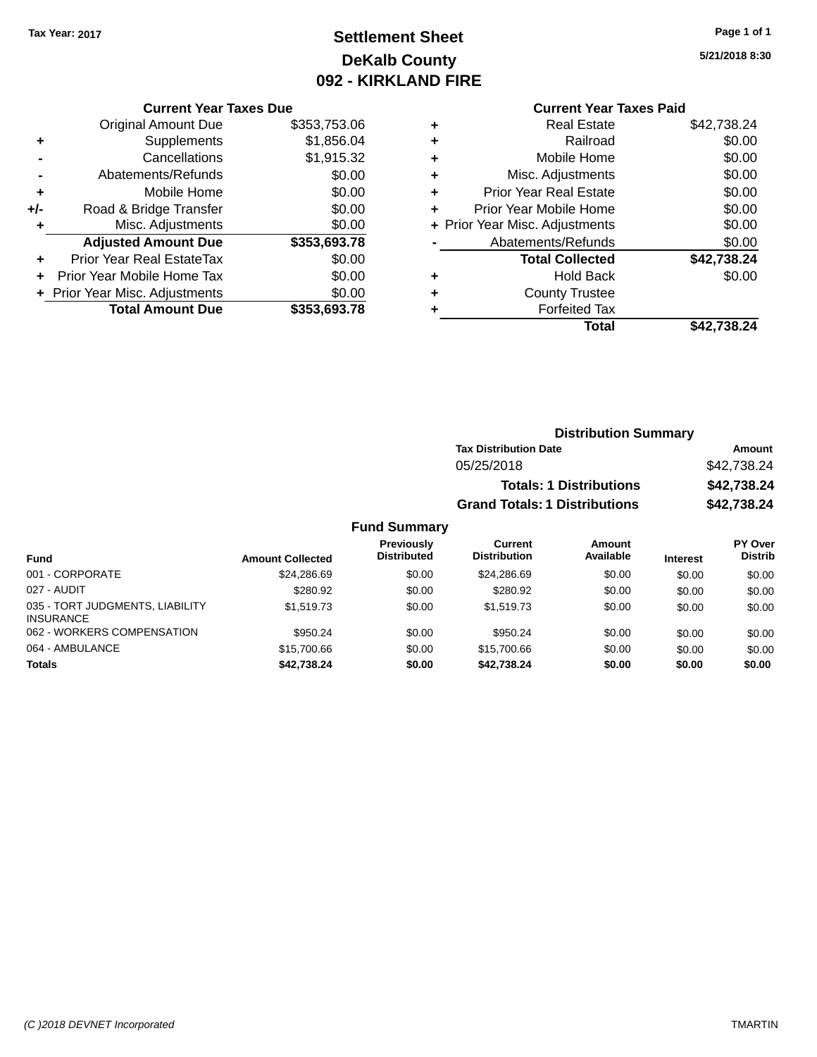# **Settlement Sheet Tax Year: 2017 Page 1 of 1 DeKalb County 092 - KIRKLAND FIRE**

**5/21/2018 8:30**

|     | <b>Original Amount Due</b>     | \$353,753.06 |
|-----|--------------------------------|--------------|
| ٠   | Supplements                    | \$1,856.04   |
|     | Cancellations                  | \$1,915.32   |
|     | Abatements/Refunds             | \$0.00       |
| ÷   | Mobile Home                    | \$0.00       |
| +/- | Road & Bridge Transfer         | \$0.00       |
| ٠   | Misc. Adjustments              | \$0.00       |
|     | <b>Adjusted Amount Due</b>     | \$353,693.78 |
| ÷   | Prior Year Real EstateTax      | \$0.00       |
|     | Prior Year Mobile Home Tax     | \$0.00       |
|     | + Prior Year Misc. Adjustments | \$0.00       |
|     | <b>Total Amount Due</b>        | \$353,693.78 |

## **Current Year Taxes Paid +** Real Estate \$42,738.24 **+** Railroad \$0.00 **+** Mobile Home \$0.00 **+** Misc. Adjustments \$0.00 **+** Prior Year Real Estate \$0.00 **+** Prior Year Mobile Home \$0.00 **+ Prior Year Misc. Adjustments**  $$0.00$ **-** Abatements/Refunds \$0.00 **Total Collected \$42,738.24 +** Hold Back \$0.00 **+** County Trustee **+** Forfeited Tax **Total \$42,738.24**

| <b>Distribution Summary</b> |
|-----------------------------|
| Amount                      |
| \$42,738.24                 |
| \$42,738.24                 |
| \$42,738.24                 |
|                             |

| <b>Fund</b>                                         | <b>Amount Collected</b> | <b>Previously</b><br><b>Distributed</b> | Current<br><b>Distribution</b> | <b>Amount</b><br>Available | <b>Interest</b> | PY Over<br><b>Distrib</b> |
|-----------------------------------------------------|-------------------------|-----------------------------------------|--------------------------------|----------------------------|-----------------|---------------------------|
| 001 - CORPORATE                                     | \$24,286.69             | \$0.00                                  | \$24.286.69                    | \$0.00                     | \$0.00          | \$0.00                    |
| 027 - AUDIT                                         | \$280.92                | \$0.00                                  | \$280.92                       | \$0.00                     | \$0.00          | \$0.00                    |
| 035 - TORT JUDGMENTS, LIABILITY<br><b>INSURANCE</b> | \$1,519.73              | \$0.00                                  | \$1,519.73                     | \$0.00                     | \$0.00          | \$0.00                    |
| 062 - WORKERS COMPENSATION                          | \$950.24                | \$0.00                                  | \$950.24                       | \$0.00                     | \$0.00          | \$0.00                    |
| 064 - AMBULANCE                                     | \$15,700.66             | \$0.00                                  | \$15,700.66                    | \$0.00                     | \$0.00          | \$0.00                    |
| <b>Totals</b>                                       | \$42,738.24             | \$0.00                                  | \$42,738.24                    | \$0.00                     | \$0.00          | \$0.00                    |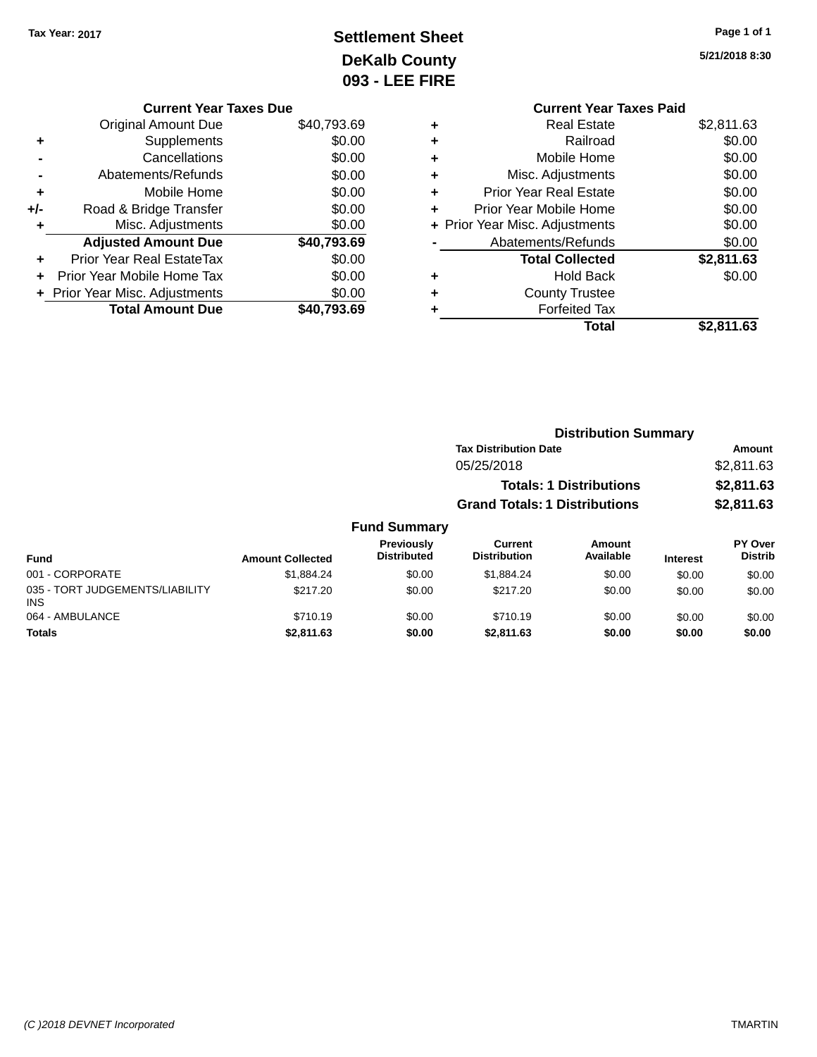# **Settlement Sheet Tax Year: 2017 Page 1 of 1 DeKalb County 093 - LEE FIRE**

**5/21/2018 8:30**

|   | <b>Current Year Taxes Paid</b> |            |
|---|--------------------------------|------------|
| ٠ | <b>Real Estate</b>             | \$2,811.63 |
| ٠ | Railroad                       | \$0.00     |
| ٠ | Mobile Home                    | \$0.00     |
| ٠ | Misc. Adjustments              | \$0.00     |
| ÷ | <b>Prior Year Real Estate</b>  | \$0.00     |
| ٠ | Prior Year Mobile Home         | \$0.00     |
|   | + Prior Year Misc. Adjustments | \$0.00     |
|   | Abatements/Refunds             | \$0.00     |
|   | <b>Total Collected</b>         | \$2,811.63 |
| ٠ | <b>Hold Back</b>               | \$0.00     |
|   | <b>County Trustee</b>          |            |
|   | <b>Forfeited Tax</b>           |            |
|   | Total                          | \$2.811.63 |
|   |                                |            |

| <b>Current Year Taxes Due</b>  |             |
|--------------------------------|-------------|
| <b>Original Amount Due</b>     | \$40,793.69 |
| Supplements                    | \$0.00      |
| Cancellations                  | \$0.00      |
| Abatements/Refunds             | \$0.00      |
| Mobile Home                    | \$0.00      |
| Road & Bridge Transfer         | \$0.00      |
| Misc. Adjustments              | \$0.00      |
| <b>Adjusted Amount Due</b>     | \$40,793.69 |
| Prior Year Real EstateTax      | \$0.00      |
| Prior Year Mobile Home Tax     | \$0.00      |
| + Prior Year Misc. Adjustments | \$0.00      |
| <b>Total Amount Due</b>        | \$40.793.69 |
|                                |             |

|                                         |                         |                                  | <b>Distribution Summary</b>           |                                |                 |                                  |
|-----------------------------------------|-------------------------|----------------------------------|---------------------------------------|--------------------------------|-----------------|----------------------------------|
|                                         |                         |                                  | <b>Tax Distribution Date</b>          |                                |                 | <b>Amount</b>                    |
|                                         |                         |                                  | 05/25/2018                            |                                |                 | \$2,811.63                       |
|                                         |                         |                                  |                                       | <b>Totals: 1 Distributions</b> |                 | \$2,811.63                       |
|                                         |                         |                                  | <b>Grand Totals: 1 Distributions</b>  |                                |                 | \$2,811.63                       |
|                                         |                         | <b>Fund Summary</b>              |                                       |                                |                 |                                  |
| <b>Fund</b>                             | <b>Amount Collected</b> | Previously<br><b>Distributed</b> | <b>Current</b><br><b>Distribution</b> | Amount<br>Available            | <b>Interest</b> | <b>PY Over</b><br><b>Distrib</b> |
| 001 - CORPORATE                         | \$1.884.24              | \$0.00                           | \$1.884.24                            | \$0.00                         | \$0.00          | \$0.00                           |
| 035 - TORT JUDGEMENTS/LIABILITY<br>INS. | \$217.20                | \$0.00                           | \$217.20                              | \$0.00                         | \$0.00          | \$0.00                           |
| 064 - AMBULANCE                         | \$710.19                | \$0.00                           | \$710.19                              | \$0.00                         | \$0.00          | \$0.00                           |

**Totals \$2,811.63 \$0.00 \$2,811.63 \$0.00 \$0.00 \$0.00**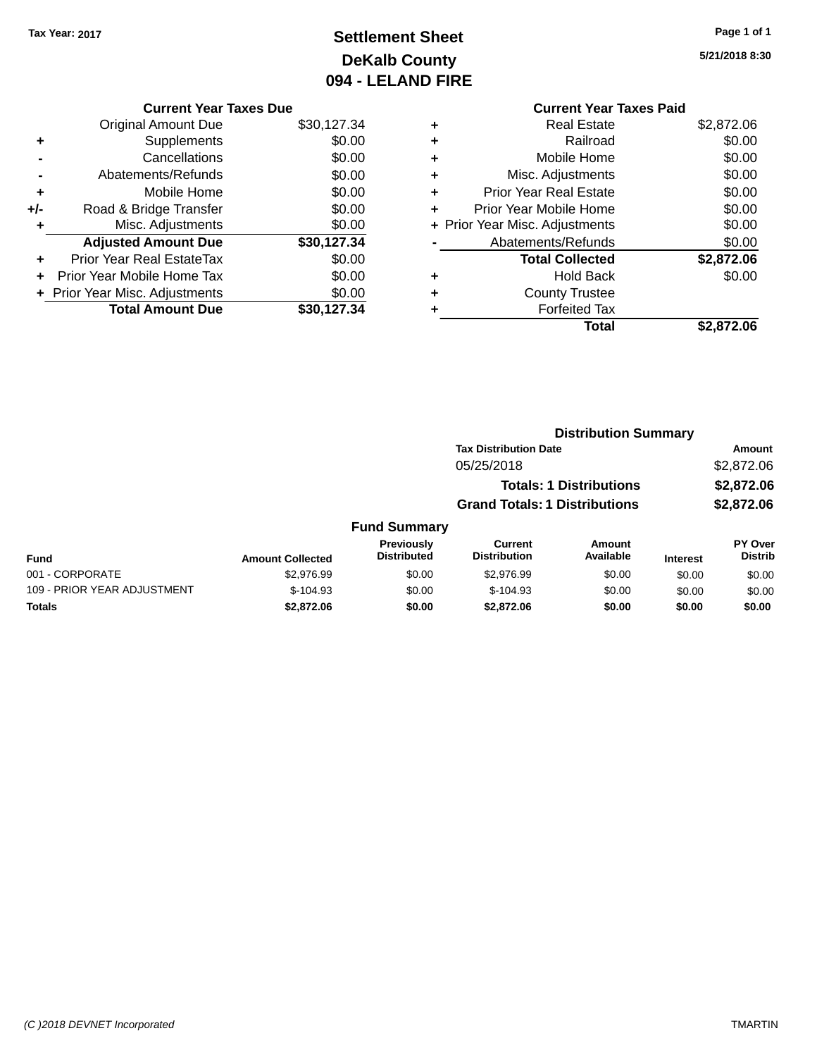# **Settlement Sheet Tax Year: 2017 Page 1 of 1 DeKalb County 094 - LELAND FIRE**

**5/21/2018 8:30**

| <b>Current Year Taxes Paid</b> |            |
|--------------------------------|------------|
| <b>Real Estate</b>             | \$2,872.06 |
| Railroad                       | \$0.00     |
| Mobile Home                    | \$0.00     |
| Misc. Adjustments              | \$0.00     |
| <b>Prior Year Real Estate</b>  | \$0.00     |
| Prior Year Mobile Home         | \$0.00     |
| + Prior Year Misc. Adjustments | \$0.00     |
| Abatements/Refunds             | \$0.00     |
| <b>Total Collected</b>         | \$2,872.06 |
| <b>Hold Back</b>               | \$0.00     |
| <b>County Trustee</b>          |            |
| <b>Forfeited Tax</b>           |            |
| Total                          | \$2,872.06 |
|                                |            |

|     | <b>Current Year Taxes Due</b>  |             |
|-----|--------------------------------|-------------|
|     | <b>Original Amount Due</b>     | \$30,127.34 |
| ٠   | Supplements                    | \$0.00      |
|     | Cancellations                  | \$0.00      |
|     | Abatements/Refunds             | \$0.00      |
| ٠   | Mobile Home                    | \$0.00      |
| +/- | Road & Bridge Transfer         | \$0.00      |
| ٠   | Misc. Adjustments              | \$0.00      |
|     | <b>Adjusted Amount Due</b>     | \$30,127.34 |
| ٠   | Prior Year Real EstateTax      | \$0.00      |
|     | Prior Year Mobile Home Tax     | \$0.00      |
|     | + Prior Year Misc. Adjustments | \$0.00      |
|     | <b>Total Amount Due</b>        | \$30.127.34 |

|                             |                         |                                  | <b>Distribution Summary</b>           |                                |                 |                           |
|-----------------------------|-------------------------|----------------------------------|---------------------------------------|--------------------------------|-----------------|---------------------------|
|                             |                         |                                  | <b>Tax Distribution Date</b>          |                                |                 | <b>Amount</b>             |
|                             |                         |                                  | 05/25/2018                            |                                |                 | \$2,872.06                |
|                             |                         |                                  |                                       | <b>Totals: 1 Distributions</b> |                 | \$2,872.06                |
|                             |                         |                                  | <b>Grand Totals: 1 Distributions</b>  |                                |                 | \$2,872.06                |
|                             |                         | <b>Fund Summary</b>              |                                       |                                |                 |                           |
| <b>Fund</b>                 | <b>Amount Collected</b> | Previously<br><b>Distributed</b> | <b>Current</b><br><b>Distribution</b> | Amount<br>Available            | <b>Interest</b> | PY Over<br><b>Distrib</b> |
| 001 - CORPORATE             | \$2,976.99              | \$0.00                           | \$2.976.99                            | \$0.00                         | \$0.00          | \$0.00                    |
| 109 - PRIOR YEAR ADJUSTMENT | $$-104.93$              | \$0.00                           | $$-104.93$                            | \$0.00                         | \$0.00          | \$0.00                    |
| <b>Totals</b>               | \$2,872.06              | \$0.00                           | \$2,872.06                            | \$0.00                         | \$0.00          | \$0.00                    |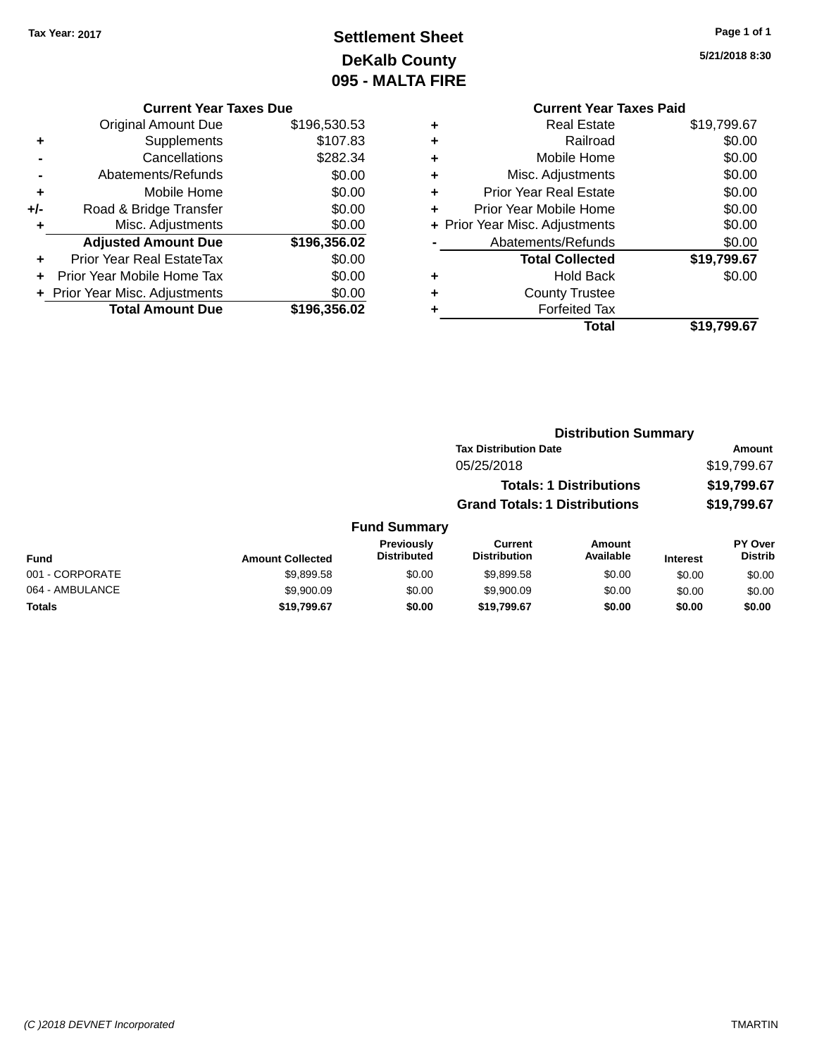# **Settlement Sheet Tax Year: 2017 Page 1 of 1 DeKalb County 095 - MALTA FIRE**

**5/21/2018 8:30**

|     | <b>Current Year Taxes Due</b>    |              |   | <b>Current Year Taxes Paid</b> |             |
|-----|----------------------------------|--------------|---|--------------------------------|-------------|
|     | <b>Original Amount Due</b>       | \$196,530.53 |   | <b>Real Estate</b>             | \$19,799.67 |
|     | <b>Supplements</b>               | \$107.83     |   | Railroad                       | \$0.00      |
|     | Cancellations                    | \$282.34     | ٠ | Mobile Home                    | \$0.00      |
|     | Abatements/Refunds               | \$0.00       | ٠ | Misc. Adjustments              | \$0.00      |
| ٠   | Mobile Home                      | \$0.00       | ٠ | <b>Prior Year Real Estate</b>  | \$0.00      |
| +/- | Road & Bridge Transfer           | \$0.00       |   | Prior Year Mobile Home         | \$0.00      |
|     | Misc. Adjustments                | \$0.00       |   | + Prior Year Misc. Adjustments | \$0.00      |
|     | <b>Adjusted Amount Due</b>       | \$196,356.02 |   | Abatements/Refunds             | \$0.00      |
| ٠   | <b>Prior Year Real EstateTax</b> | \$0.00       |   | <b>Total Collected</b>         | \$19,799.67 |
| $+$ | Prior Year Mobile Home Tax       | \$0.00       | ٠ | <b>Hold Back</b>               | \$0.00      |
|     | + Prior Year Misc. Adjustments   | \$0.00       |   | <b>County Trustee</b>          |             |
|     | <b>Total Amount Due</b>          | \$196,356.02 |   | <b>Forfeited Tax</b>           |             |

# **Total \$19,799.67**

**Distribution Summary Tax Distribution Date Amount** 05/25/2018 \$19,799.67

|                 |                         |                                         |                                      | <b>Totals: 1 Distributions</b> |                 | \$19,799.67                      |
|-----------------|-------------------------|-----------------------------------------|--------------------------------------|--------------------------------|-----------------|----------------------------------|
|                 |                         |                                         | <b>Grand Totals: 1 Distributions</b> |                                | \$19,799.67     |                                  |
|                 |                         | <b>Fund Summary</b>                     |                                      |                                |                 |                                  |
| <b>Fund</b>     | <b>Amount Collected</b> | <b>Previously</b><br><b>Distributed</b> | Current<br><b>Distribution</b>       | <b>Amount</b><br>Available     | <b>Interest</b> | <b>PY Over</b><br><b>Distrib</b> |
| 001 - CORPORATE | \$9,899.58              | \$0.00                                  | \$9,899.58                           | \$0.00                         | \$0.00          | \$0.00                           |
| 064 - AMBULANCE | \$9,900.09              | \$0.00                                  | \$9,900.09                           | \$0.00                         | \$0.00          | \$0.00                           |
| <b>Totals</b>   | \$19,799.67             | \$0.00                                  | \$19.799.67                          | \$0.00                         | \$0.00          | \$0.00                           |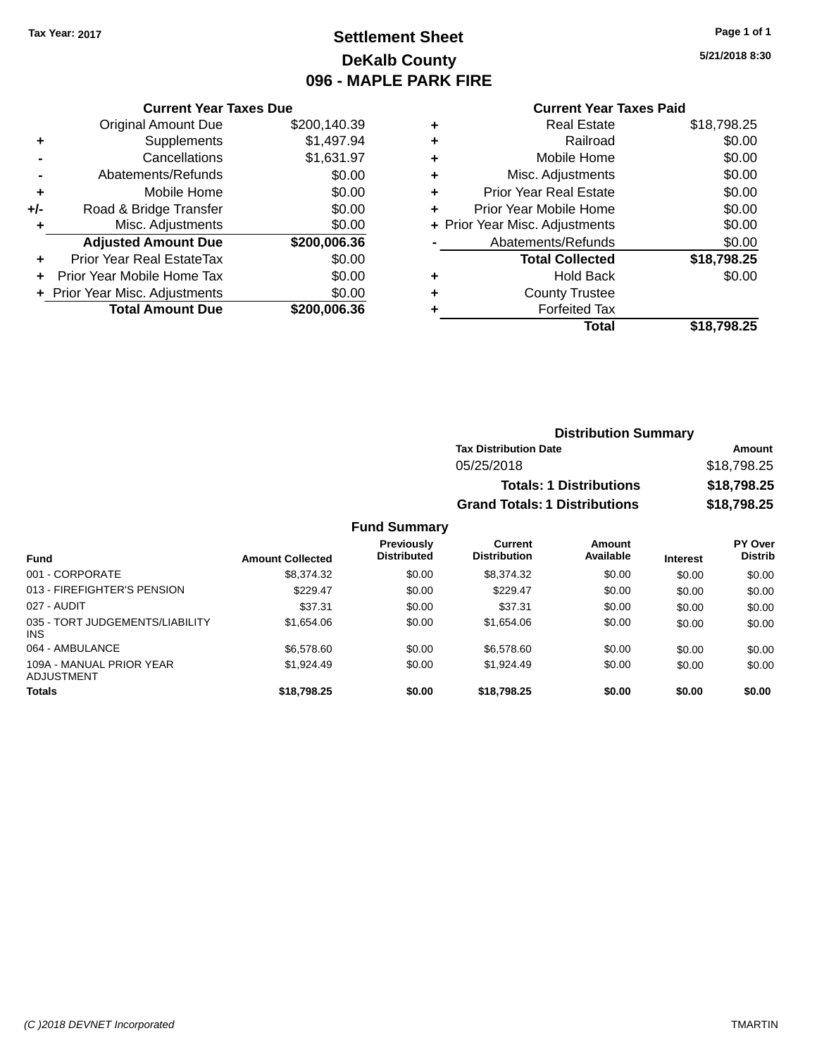# **Settlement Sheet Tax Year: 2017 Page 1 of 1 DeKalb County 096 - MAPLE PARK FIRE**

**5/21/2018 8:30**

## **Current Year Taxes Paid**

| <b>Current Year Taxes Due</b> |                         |  |  |  |  |  |
|-------------------------------|-------------------------|--|--|--|--|--|
| <b>Original Amount Due</b>    | \$200,140.39            |  |  |  |  |  |
| Supplements                   | \$1,497.94              |  |  |  |  |  |
| Cancellations                 | \$1,631.97              |  |  |  |  |  |
| Abatements/Refunds            | \$0.00                  |  |  |  |  |  |
| Mobile Home                   | \$0.00                  |  |  |  |  |  |
| Road & Bridge Transfer        | \$0.00                  |  |  |  |  |  |
| Misc. Adjustments             | \$0.00                  |  |  |  |  |  |
| <b>Adjusted Amount Due</b>    | \$200,006.36            |  |  |  |  |  |
| Prior Year Real EstateTax     | \$0.00                  |  |  |  |  |  |
| Prior Year Mobile Home Tax    | \$0.00                  |  |  |  |  |  |
| Prior Year Misc. Adjustments  | \$0.00                  |  |  |  |  |  |
|                               | \$200,006.36            |  |  |  |  |  |
|                               | <b>Total Amount Due</b> |  |  |  |  |  |

| ٠ | <b>Real Estate</b>             | \$18,798.25 |
|---|--------------------------------|-------------|
| ٠ | Railroad                       | \$0.00      |
| ٠ | Mobile Home                    | \$0.00      |
| ٠ | Misc. Adjustments              | \$0.00      |
| ٠ | <b>Prior Year Real Estate</b>  | \$0.00      |
| ٠ | Prior Year Mobile Home         | \$0.00      |
|   | + Prior Year Misc. Adjustments | \$0.00      |
|   | Abatements/Refunds             | \$0.00      |
|   | <b>Total Collected</b>         | \$18,798.25 |
| ٠ | Hold Back                      | \$0.00      |
| ٠ | <b>County Trustee</b>          |             |
| ٠ | <b>Forfeited Tax</b>           |             |
|   | Total                          | \$18,798.25 |
|   |                                |             |

## **Distribution Summary Tax Distribution Date Amount** 05/25/2018 \$18,798.25 **Totals: 1 Distributions \$18,798.25 Grand Totals: 1 Distributions \$18,798.25**

| Fund                                          | <b>Amount Collected</b> | Previously<br><b>Distributed</b> | Current<br><b>Distribution</b> | Amount<br>Available | <b>Interest</b> | <b>PY Over</b><br><b>Distrib</b> |
|-----------------------------------------------|-------------------------|----------------------------------|--------------------------------|---------------------|-----------------|----------------------------------|
| 001 - CORPORATE                               | \$8.374.32              | \$0.00                           | \$8,374.32                     | \$0.00              | \$0.00          | \$0.00                           |
| 013 - FIREFIGHTER'S PENSION                   | \$229.47                | \$0.00                           | \$229.47                       | \$0.00              | \$0.00          | \$0.00                           |
| 027 - AUDIT                                   | \$37.31                 | \$0.00                           | \$37.31                        | \$0.00              | \$0.00          | \$0.00                           |
| 035 - TORT JUDGEMENTS/LIABILITY<br><b>INS</b> | \$1.654.06              | \$0.00                           | \$1,654.06                     | \$0.00              | \$0.00          | \$0.00                           |
| 064 - AMBULANCE                               | \$6,578,60              | \$0.00                           | \$6,578,60                     | \$0.00              | \$0.00          | \$0.00                           |
| 109A - MANUAL PRIOR YEAR<br>ADJUSTMENT        | \$1.924.49              | \$0.00                           | \$1,924.49                     | \$0.00              | \$0.00          | \$0.00                           |
| <b>Totals</b>                                 | \$18,798.25             | \$0.00                           | \$18,798,25                    | \$0.00              | \$0.00          | \$0.00                           |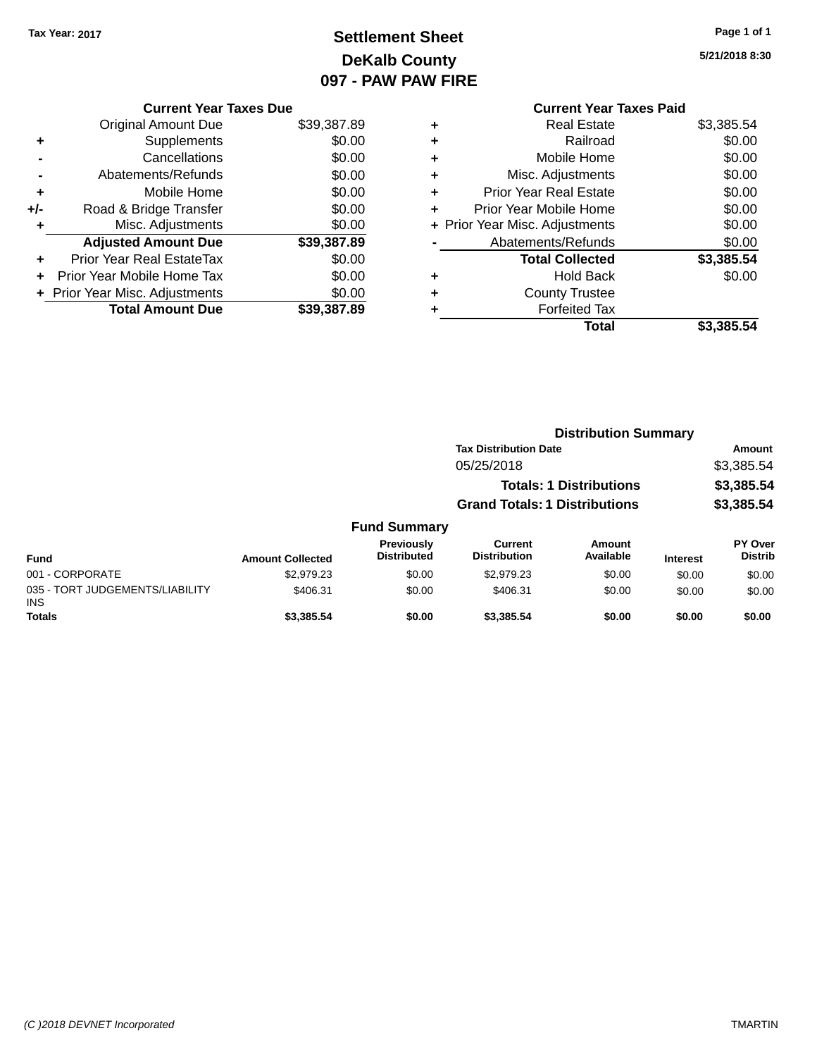# **Settlement Sheet Tax Year: 2017 Page 1 of 1 DeKalb County 097 - PAW PAW FIRE**

| Current Year Taxes Paid |
|-------------------------|
|                         |
|                         |
|                         |
|                         |
|                         |
|                         |

|     | <b>Current Year Taxes Due</b>    |             |  |  |
|-----|----------------------------------|-------------|--|--|
|     | <b>Original Amount Due</b>       | \$39,387.89 |  |  |
| ٠   | Supplements                      | \$0.00      |  |  |
|     | \$0.00<br>Cancellations          |             |  |  |
|     | Abatements/Refunds               | \$0.00      |  |  |
| ٠   | Mobile Home                      | \$0.00      |  |  |
| +/- | Road & Bridge Transfer           | \$0.00      |  |  |
| ٠   | Misc. Adjustments                | \$0.00      |  |  |
|     | <b>Adjusted Amount Due</b>       | \$39,387.89 |  |  |
|     | <b>Prior Year Real EstateTax</b> | \$0.00      |  |  |
|     | Prior Year Mobile Home Tax       | \$0.00      |  |  |
|     | + Prior Year Misc. Adjustments   | \$0.00      |  |  |
|     | <b>Total Amount Due</b>          | \$39,387,89 |  |  |

|   | OUITUR TUUT TUAUJ LUIU         |            |
|---|--------------------------------|------------|
| ٠ | <b>Real Estate</b>             | \$3,385.54 |
| ÷ | Railroad                       | \$0.00     |
| ٠ | Mobile Home                    | \$0.00     |
| ٠ | Misc. Adjustments              | \$0.00     |
| ٠ | <b>Prior Year Real Estate</b>  | \$0.00     |
| ٠ | Prior Year Mobile Home         | \$0.00     |
|   | + Prior Year Misc. Adjustments | \$0.00     |
|   | Abatements/Refunds             | \$0.00     |
|   | <b>Total Collected</b>         | \$3,385.54 |
| ٠ | Hold Back                      | \$0.00     |
| ٠ | <b>County Trustee</b>          |            |
| ٠ | <b>Forfeited Tax</b>           |            |
|   | Total                          | \$3,385.54 |
|   |                                |            |

| 5/21/2018 8:30 |  |
|----------------|--|

|                                         |                         |                                  | <b>Distribution Summary</b>           |                                |                 |                                  |
|-----------------------------------------|-------------------------|----------------------------------|---------------------------------------|--------------------------------|-----------------|----------------------------------|
|                                         |                         |                                  | <b>Tax Distribution Date</b>          |                                |                 | Amount                           |
|                                         |                         |                                  | 05/25/2018                            |                                |                 | \$3,385.54                       |
|                                         |                         |                                  |                                       | <b>Totals: 1 Distributions</b> |                 | \$3,385.54                       |
|                                         |                         |                                  | <b>Grand Totals: 1 Distributions</b>  |                                |                 | \$3,385.54                       |
|                                         |                         | <b>Fund Summary</b>              |                                       |                                |                 |                                  |
| <b>Fund</b>                             | <b>Amount Collected</b> | Previously<br><b>Distributed</b> | <b>Current</b><br><b>Distribution</b> | <b>Amount</b><br>Available     | <b>Interest</b> | <b>PY Over</b><br><b>Distrib</b> |
| 001 - CORPORATE                         | \$2,979.23              | \$0.00                           | \$2,979.23                            | \$0.00                         | \$0.00          | \$0.00                           |
| 035 - TORT JUDGEMENTS/LIABILITY<br>INS. | \$406.31                | \$0.00                           | \$406.31                              | \$0.00                         | \$0.00          | \$0.00                           |
| <b>Totals</b>                           | \$3,385.54              | \$0.00                           | \$3,385.54                            | \$0.00                         | \$0.00          | \$0.00                           |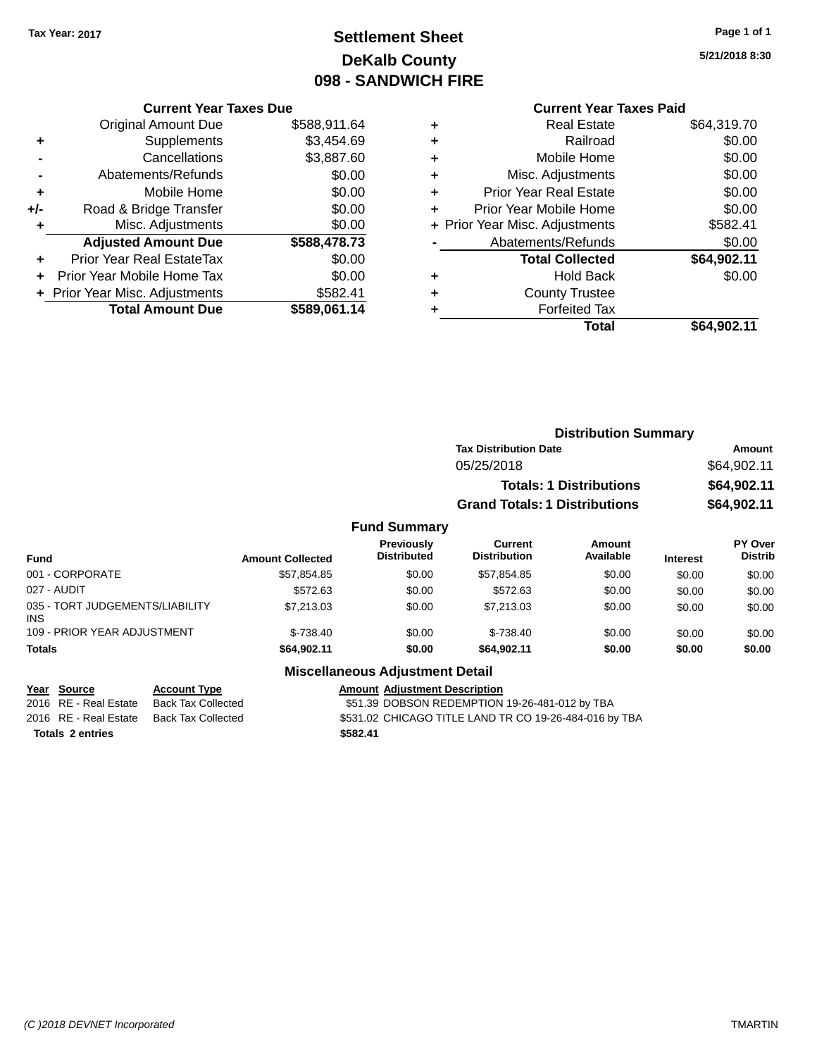# **Settlement Sheet Tax Year: 2017 Page 1 of 1 DeKalb County 098 - SANDWICH FIRE**

**5/21/2018 8:30**

# **Current Year Taxes Paid**

|       | <b>Current Year Taxes Due</b>  |              |  |  |  |  |
|-------|--------------------------------|--------------|--|--|--|--|
|       | <b>Original Amount Due</b>     | \$588,911.64 |  |  |  |  |
| ٠     | Supplements                    | \$3,454.69   |  |  |  |  |
|       | \$3,887.60<br>Cancellations    |              |  |  |  |  |
|       | Abatements/Refunds             | \$0.00       |  |  |  |  |
| ٠     | Mobile Home                    | \$0.00       |  |  |  |  |
| $+/-$ | Road & Bridge Transfer         | \$0.00       |  |  |  |  |
| ٠     | Misc. Adjustments              | \$0.00       |  |  |  |  |
|       | <b>Adjusted Amount Due</b>     | \$588,478.73 |  |  |  |  |
| ٠     | Prior Year Real EstateTax      | \$0.00       |  |  |  |  |
|       | Prior Year Mobile Home Tax     | \$0.00       |  |  |  |  |
|       | + Prior Year Misc. Adjustments | \$582.41     |  |  |  |  |
|       | <b>Total Amount Due</b>        | \$589,061.14 |  |  |  |  |
|       |                                |              |  |  |  |  |

|   | <b>Real Estate</b>             | \$64,319.70 |
|---|--------------------------------|-------------|
| ٠ | Railroad                       | \$0.00      |
| ٠ | Mobile Home                    | \$0.00      |
| ٠ | Misc. Adjustments              | \$0.00      |
| ٠ | <b>Prior Year Real Estate</b>  | \$0.00      |
| ÷ | Prior Year Mobile Home         | \$0.00      |
|   | + Prior Year Misc. Adjustments | \$582.41    |
|   | Abatements/Refunds             | \$0.00      |
|   | <b>Total Collected</b>         | \$64,902.11 |
| ٠ | Hold Back                      | \$0.00      |
| ٠ | <b>County Trustee</b>          |             |
| ٠ | <b>Forfeited Tax</b>           |             |
|   | <b>Total</b>                   | \$64,902.11 |
|   |                                |             |

| <b>Distribution Summary</b>          |             |
|--------------------------------------|-------------|
| <b>Tax Distribution Date</b>         | Amount      |
| 05/25/2018                           | \$64,902.11 |
| <b>Totals: 1 Distributions</b>       | \$64,902.11 |
| <b>Grand Totals: 1 Distributions</b> | \$64,902.11 |
|                                      |             |

# **Fund Summary**

| Fund                                    | <b>Amount Collected</b> | <b>Previously</b><br><b>Distributed</b> | <b>Current</b><br><b>Distribution</b> | Amount<br>Available | <b>Interest</b> | PY Over<br><b>Distrib</b> |
|-----------------------------------------|-------------------------|-----------------------------------------|---------------------------------------|---------------------|-----------------|---------------------------|
| 001 - CORPORATE                         | \$57,854.85             | \$0.00                                  | \$57.854.85                           | \$0.00              | \$0.00          | \$0.00                    |
| 027 - AUDIT                             | \$572.63                | \$0.00                                  | \$572.63                              | \$0.00              | \$0.00          | \$0.00                    |
| 035 - TORT JUDGEMENTS/LIABILITY<br>INS. | \$7,213,03              | \$0.00                                  | \$7.213.03                            | \$0.00              | \$0.00          | \$0.00                    |
| 109 - PRIOR YEAR ADJUSTMENT             | $$-738.40$              | \$0.00                                  | $$-738.40$                            | \$0.00              | \$0.00          | \$0.00                    |
| <b>Totals</b>                           | \$64.902.11             | \$0.00                                  | \$64.902.11                           | \$0.00              | \$0.00          | \$0.00                    |

## **Miscellaneous Adjustment Detail**

| Year Source             | <b>Account Type</b> | <b>Amount Adiustment Description</b>                   |
|-------------------------|---------------------|--------------------------------------------------------|
| 2016 RE - Real Estate   | Back Tax Collected  | \$51.39 DOBSON REDEMPTION 19-26-481-012 by TBA         |
| 2016 RE - Real Estate   | Back Tax Collected  | \$531.02 CHICAGO TITLE LAND TR CO 19-26-484-016 by TBA |
| <b>Totals 2 entries</b> |                     | \$582.41                                               |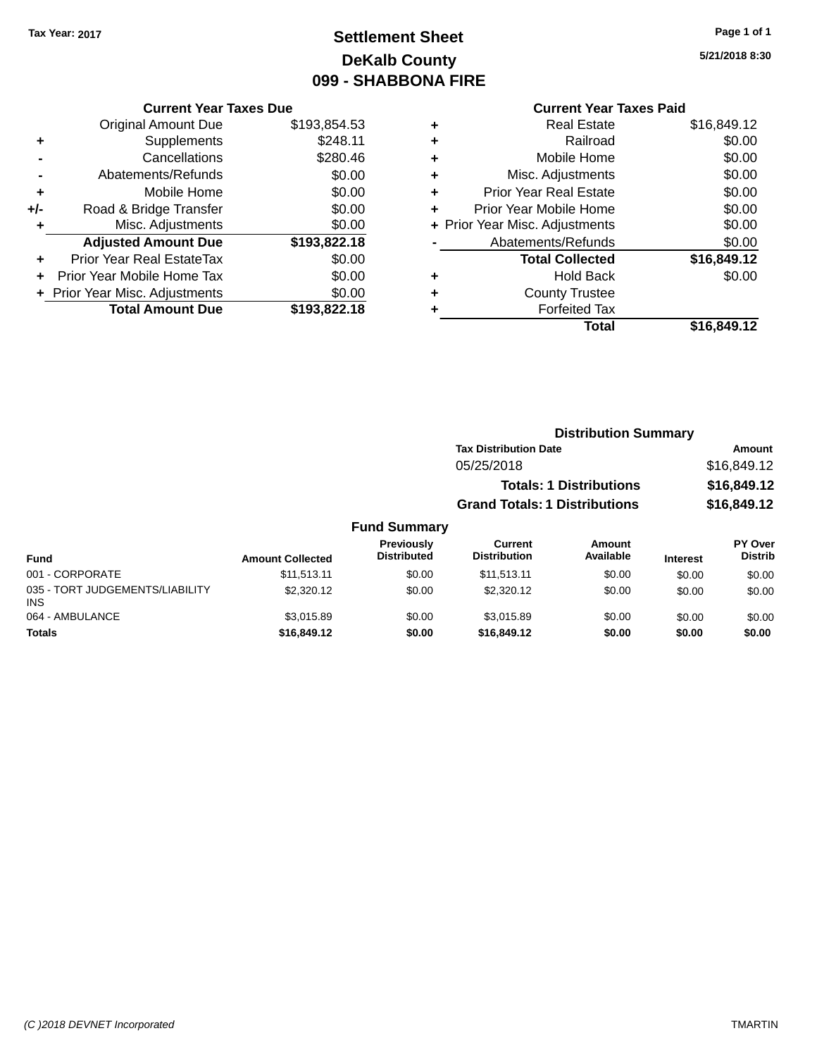# **Settlement Sheet Tax Year: 2017 Page 1 of 1 DeKalb County 099 - SHABBONA FIRE**

**5/21/2018 8:30**

## **Current Year Taxes Paid**

|     | <b>Current Year Taxes Due</b>  |              |
|-----|--------------------------------|--------------|
|     | <b>Original Amount Due</b>     | \$193,854.53 |
| ÷   | Supplements                    | \$248.11     |
|     | Cancellations                  | \$280.46     |
|     | Abatements/Refunds             | \$0.00       |
| ٠   | Mobile Home                    | \$0.00       |
| +/- | Road & Bridge Transfer         | \$0.00       |
| ٠   | Misc. Adjustments              | \$0.00       |
|     | <b>Adjusted Amount Due</b>     | \$193,822.18 |
| ٠   | Prior Year Real EstateTax      | \$0.00       |
|     | Prior Year Mobile Home Tax     | \$0.00       |
|     | + Prior Year Misc. Adjustments | \$0.00       |
|     | <b>Total Amount Due</b>        | \$193,822.18 |
|     |                                |              |

| ٠ | <b>Real Estate</b>             | \$16,849.12 |
|---|--------------------------------|-------------|
| ٠ | Railroad                       | \$0.00      |
| ٠ | Mobile Home                    | \$0.00      |
| ٠ | Misc. Adjustments              | \$0.00      |
| ٠ | <b>Prior Year Real Estate</b>  | \$0.00      |
| ٠ | Prior Year Mobile Home         | \$0.00      |
|   | + Prior Year Misc. Adjustments | \$0.00      |
|   | Abatements/Refunds             | \$0.00      |
|   | <b>Total Collected</b>         | \$16,849.12 |
| ٠ | Hold Back                      | \$0.00      |
| ٠ | <b>County Trustee</b>          |             |
| ٠ | <b>Forfeited Tax</b>           |             |
|   | Total                          | \$16,849.12 |
|   |                                |             |

## **Distribution Summary Tax Distribution Date Amount** 05/25/2018 \$16,849.12 **Totals: 1 Distributions \$16,849.12 Grand Totals: 1 Distributions \$16,849.12**

| <b>Fund</b>                                   | <b>Amount Collected</b> | Previously<br><b>Distributed</b> | <b>Current</b><br><b>Distribution</b> | Amount<br>Available | <b>Interest</b> | <b>PY Over</b><br><b>Distrib</b> |
|-----------------------------------------------|-------------------------|----------------------------------|---------------------------------------|---------------------|-----------------|----------------------------------|
| 001 - CORPORATE                               | \$11,513,11             | \$0.00                           | \$11,513.11                           | \$0.00              | \$0.00          | \$0.00                           |
| 035 - TORT JUDGEMENTS/LIABILITY<br><b>INS</b> | \$2,320.12              | \$0.00                           | \$2,320.12                            | \$0.00              | \$0.00          | \$0.00                           |
| 064 - AMBULANCE                               | \$3.015.89              | \$0.00                           | \$3.015.89                            | \$0.00              | \$0.00          | \$0.00                           |
| <b>Totals</b>                                 | \$16,849.12             | \$0.00                           | \$16,849.12                           | \$0.00              | \$0.00          | \$0.00                           |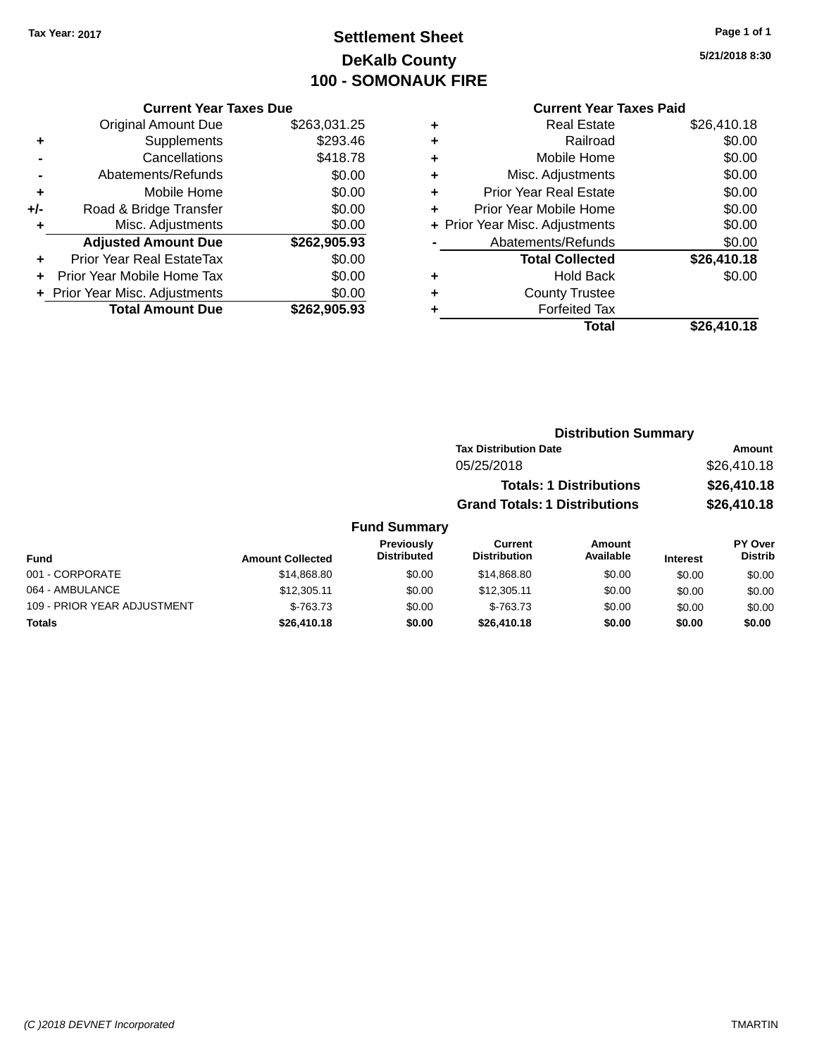# **Settlement Sheet Tax Year: 2017 Page 1 of 1 DeKalb County 100 - SOMONAUK FIRE**

**5/21/2018 8:30**

## **Current Year Taxes Paid**

|     | <b>Current Year Taxes Due</b>  |              |
|-----|--------------------------------|--------------|
|     | <b>Original Amount Due</b>     | \$263,031.25 |
| ٠   | Supplements                    | \$293.46     |
|     | Cancellations                  | \$418.78     |
|     | Abatements/Refunds             | \$0.00       |
| ٠   | Mobile Home                    | \$0.00       |
| +/- | Road & Bridge Transfer         | \$0.00       |
| ٠   | Misc. Adjustments              | \$0.00       |
|     | <b>Adjusted Amount Due</b>     | \$262,905.93 |
| ٠   | Prior Year Real EstateTax      | \$0.00       |
|     | Prior Year Mobile Home Tax     | \$0.00       |
|     | + Prior Year Misc. Adjustments | \$0.00       |
|     | <b>Total Amount Due</b>        | \$262.905.93 |
|     |                                |              |

| ٠ | <b>Real Estate</b>             | \$26,410.18 |
|---|--------------------------------|-------------|
| ٠ | Railroad                       | \$0.00      |
| ٠ | Mobile Home                    | \$0.00      |
| ٠ | Misc. Adjustments              | \$0.00      |
| ٠ | <b>Prior Year Real Estate</b>  | \$0.00      |
| ٠ | Prior Year Mobile Home         | \$0.00      |
|   | + Prior Year Misc. Adjustments | \$0.00      |
|   | Abatements/Refunds             | \$0.00      |
|   | <b>Total Collected</b>         | \$26,410.18 |
| ٠ | Hold Back                      | \$0.00      |
|   | <b>County Trustee</b>          |             |
| ٠ | <b>Forfeited Tax</b>           |             |
|   | Total                          | \$26,410.18 |
|   |                                |             |

| <b>Distribution Summary</b>          |             |
|--------------------------------------|-------------|
| <b>Tax Distribution Date</b>         | Amount      |
| 05/25/2018                           | \$26,410.18 |
| <b>Totals: 1 Distributions</b>       | \$26,410.18 |
| <b>Grand Totals: 1 Distributions</b> | \$26,410.18 |
|                                      |             |

#### **Fund Summary Fund Interest Amount Collected Distributed PY Over Distrib Amount Available Current Distribution Previously** 001 - CORPORATE \$14,868.80 \$0.00 \$14,868.80 \$0.00 \$0.00 \$0.00 064 - AMBULANCE \$12,305.11 \$0.00 \$12,305.11 \$0.00 \$0.00 \$0.00 109 - PRIOR YEAR ADJUSTMENT **\$-763.73** \$0.00 \$-763.73 \$0.00 \$0.00 \$0.00 \$0.00 **Totals \$26,410.18 \$0.00 \$26,410.18 \$0.00 \$0.00 \$0.00**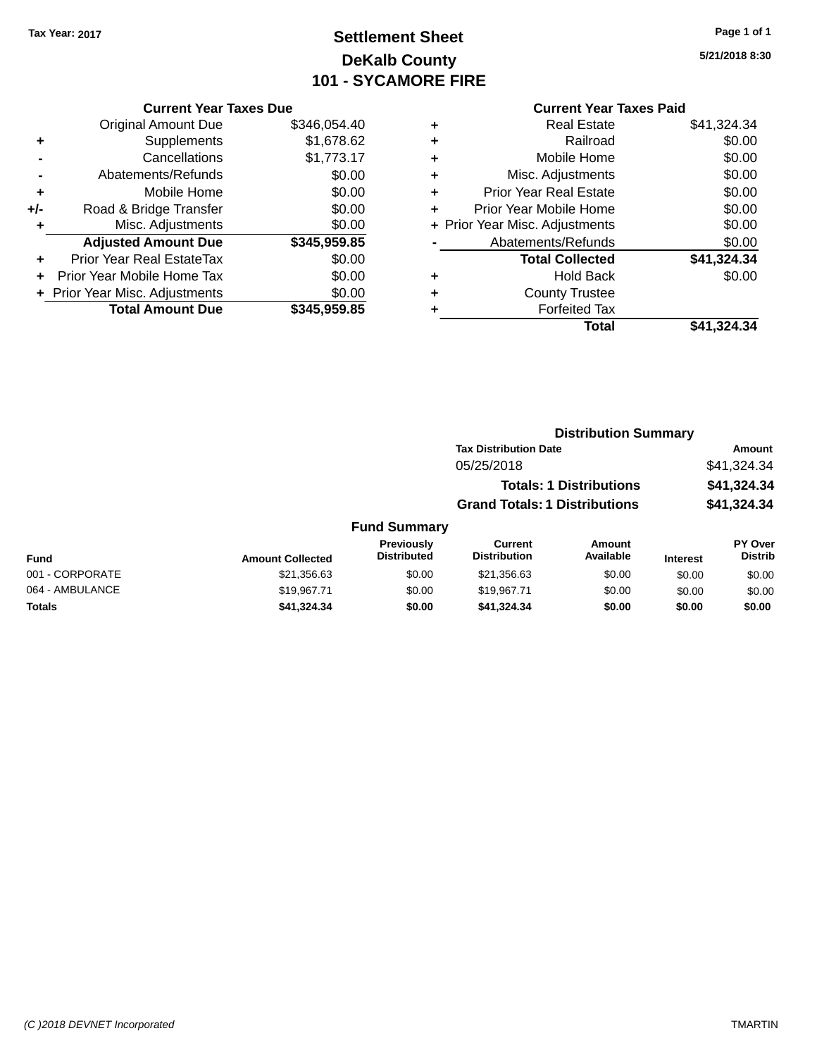# **Settlement Sheet Tax Year: 2017 Page 1 of 1 DeKalb County 101 - SYCAMORE FIRE**

**5/21/2018 8:30**

### **Current Year Taxes Due**

|     | <b>Original Amount Due</b>     | \$346,054.40 |
|-----|--------------------------------|--------------|
| ٠   | Supplements                    | \$1,678.62   |
|     | Cancellations                  | \$1,773.17   |
|     | Abatements/Refunds             | \$0.00       |
| ٠   | Mobile Home                    | \$0.00       |
| +/- | Road & Bridge Transfer         | \$0.00       |
| ٠   | Misc. Adjustments              | \$0.00       |
|     | <b>Adjusted Amount Due</b>     | \$345,959.85 |
| ÷   | Prior Year Real EstateTax      | \$0.00       |
|     | Prior Year Mobile Home Tax     | \$0.00       |
|     | + Prior Year Misc. Adjustments | \$0.00       |
|     | <b>Total Amount Due</b>        | \$345.959.85 |

## **Current Year Taxes Paid +** Real Estate \$41,324.34 **+** Railroad \$0.00 **+** Mobile Home \$0.00 **+** Misc. Adjustments \$0.00 **+** Prior Year Real Estate \$0.00 **+** Prior Year Mobile Home \$0.00 **+ Prior Year Misc. Adjustments**  $$0.00$ **-** Abatements/Refunds \$0.00 **Total Collected \$41,324.34 +** Hold Back \$0.00 **+** County Trustee **+** Forfeited Tax

**Total \$41,324.34**

| <b>Distribution Summary</b>          |             |
|--------------------------------------|-------------|
| <b>Tax Distribution Date</b>         | Amount      |
| 05/25/2018                           | \$41.324.34 |
| <b>Totals: 1 Distributions</b>       | \$41,324.34 |
| <b>Grand Totals: 1 Distributions</b> | \$41,324.34 |

| <b>Fund</b>     | <b>Amount Collected</b> | <b>Previously</b><br><b>Distributed</b> | Current<br><b>Distribution</b> | Amount<br>Available | <b>Interest</b> | <b>PY Over</b><br><b>Distrib</b> |
|-----------------|-------------------------|-----------------------------------------|--------------------------------|---------------------|-----------------|----------------------------------|
| 001 - CORPORATE | \$21,356.63             | \$0.00                                  | \$21.356.63                    | \$0.00              | \$0.00          | \$0.00                           |
| 064 - AMBULANCE | \$19.967.71             | \$0.00                                  | \$19.967.71                    | \$0.00              | \$0.00          | \$0.00                           |
| <b>Totals</b>   | \$41.324.34             | \$0.00                                  | \$41,324,34                    | \$0.00              | \$0.00          | \$0.00                           |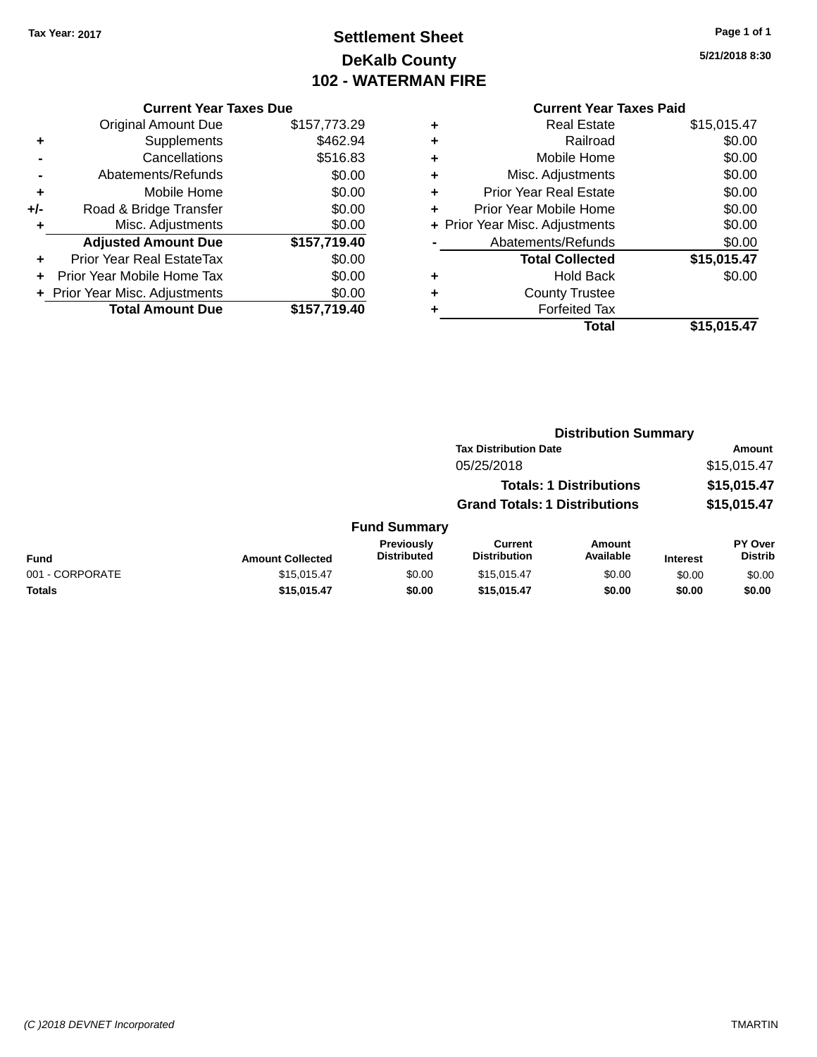# **Settlement Sheet Tax Year: 2017 Page 1 of 1 DeKalb County 102 - WATERMAN FIRE**

**5/21/2018 8:30**

## **Current Year Taxes Due**

|     | <b>Original Amount Due</b>     | \$157,773.29 |
|-----|--------------------------------|--------------|
| ٠   | Supplements                    | \$462.94     |
|     | Cancellations                  | \$516.83     |
|     | Abatements/Refunds             | \$0.00       |
| ٠   | Mobile Home                    | \$0.00       |
| +/- | Road & Bridge Transfer         | \$0.00       |
| ٠   | Misc. Adjustments              | \$0.00       |
|     | <b>Adjusted Amount Due</b>     | \$157,719.40 |
| ÷   | Prior Year Real EstateTax      | \$0.00       |
|     | Prior Year Mobile Home Tax     | \$0.00       |
|     | + Prior Year Misc. Adjustments | \$0.00       |
|     | <b>Total Amount Due</b>        | \$157,719.40 |

## **Current Year Taxes Paid +** Real Estate \$15,015.47 **+** Railroad \$0.00 **+** Mobile Home \$0.00 **+** Misc. Adjustments \$0.00 **+** Prior Year Real Estate \$0.00 **+** Prior Year Mobile Home \$0.00 **+** Prior Year Misc. Adjustments  $$0.00$ **-** Abatements/Refunds \$0.00

|   | <b>Total Collected</b> | \$15,015.47 |
|---|------------------------|-------------|
| ٠ | <b>Hold Back</b>       | \$0.00      |
| ٠ | <b>County Trustee</b>  |             |
| ٠ | <b>Forfeited Tax</b>   |             |
|   | Total                  | \$15,015.47 |

#### **Distribution Summary Tax Distribution Date Amount** 05/25/2018 \$15,015.47 **Totals: 1 Distributions \$15,015.47 Grand Totals: 1 Distributions \$15,015.47 Fund Summary Fund Interest Amount Collected Distributed PY Over Distrib Amount Available Current Distribution Previously** 001 - CORPORATE \$15,015.47 \$0.00 \$15,015.47 \$0.00 \$0.00 \$0.00

**Totals \$15,015.47 \$0.00 \$15,015.47 \$0.00 \$0.00 \$0.00**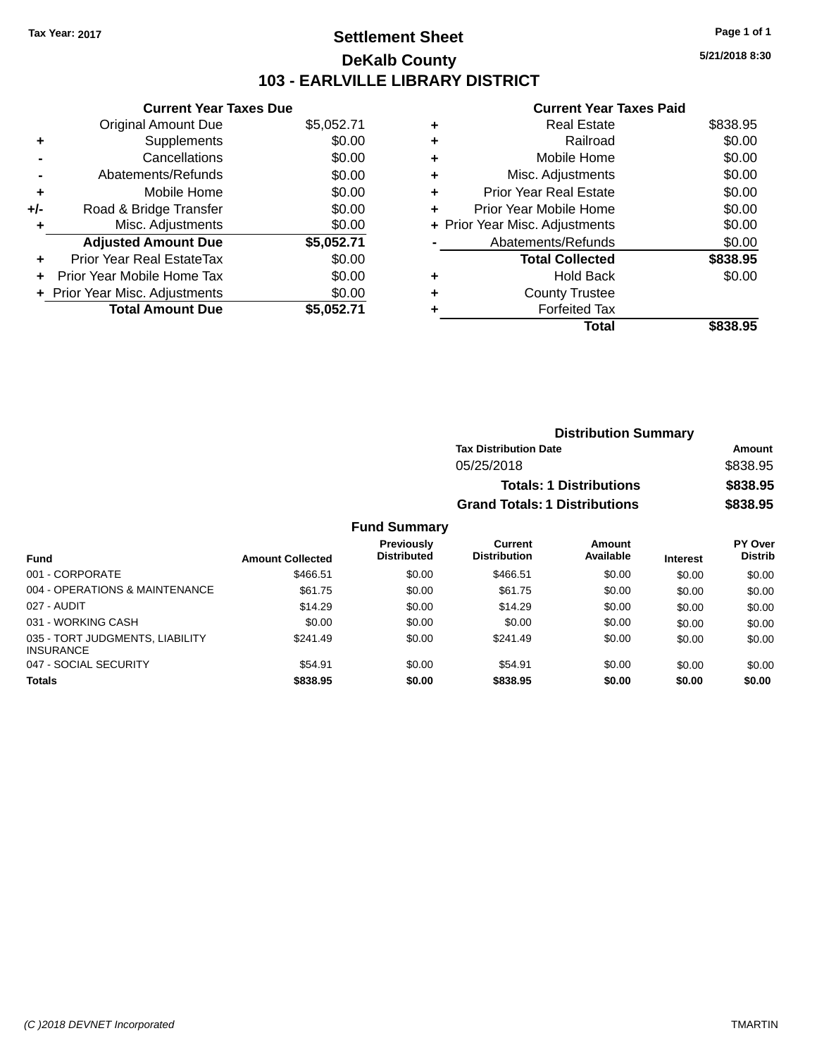## **Settlement Sheet Tax Year: 2017 Page 1 of 1 DeKalb County 103 - EARLVILLE LIBRARY DISTRICT**

**5/21/2018 8:30**

### **Current Year Taxes Paid**

|     | <b>Current Year Taxes Due</b> |            |
|-----|-------------------------------|------------|
|     | <b>Original Amount Due</b>    | \$5,052.71 |
| ٠   | Supplements                   | \$0.00     |
|     | Cancellations                 | \$0.00     |
|     | Abatements/Refunds            | \$0.00     |
| ٠   | Mobile Home                   | \$0.00     |
| +/- | Road & Bridge Transfer        | \$0.00     |
| ٠   | Misc. Adjustments             | \$0.00     |
|     | <b>Adjusted Amount Due</b>    | \$5,052.71 |
| ÷   | Prior Year Real EstateTax     | \$0.00     |
|     | Prior Year Mobile Home Tax    | \$0.00     |
|     | Prior Year Misc. Adjustments  | \$0.00     |
|     | <b>Total Amount Due</b>       | \$5,052.71 |

| ٠ | <b>Real Estate</b>             | \$838.95 |
|---|--------------------------------|----------|
| ٠ | Railroad                       | \$0.00   |
| ٠ | Mobile Home                    | \$0.00   |
| ٠ | Misc. Adjustments              | \$0.00   |
| ٠ | <b>Prior Year Real Estate</b>  | \$0.00   |
| ٠ | Prior Year Mobile Home         | \$0.00   |
|   | + Prior Year Misc. Adjustments | \$0.00   |
|   | Abatements/Refunds             | \$0.00   |
|   | <b>Total Collected</b>         | \$838.95 |
| ٠ | <b>Hold Back</b>               | \$0.00   |
| ٠ | <b>County Trustee</b>          |          |
| ٠ | <b>Forfeited Tax</b>           |          |
|   | Total                          | \$838.95 |
|   |                                |          |

| <b>Distribution Summary</b>          |          |  |  |  |
|--------------------------------------|----------|--|--|--|
| <b>Tax Distribution Date</b>         | Amount   |  |  |  |
| 05/25/2018                           | \$838.95 |  |  |  |
| <b>Totals: 1 Distributions</b>       | \$838.95 |  |  |  |
| <b>Grand Totals: 1 Distributions</b> | \$838.95 |  |  |  |

| <b>Fund</b>                                         | <b>Amount Collected</b> | Previously<br><b>Distributed</b> | Current<br><b>Distribution</b> | <b>Amount</b><br>Available | <b>Interest</b> | PY Over<br><b>Distrib</b> |
|-----------------------------------------------------|-------------------------|----------------------------------|--------------------------------|----------------------------|-----------------|---------------------------|
| 001 - CORPORATE                                     | \$466.51                | \$0.00                           | \$466.51                       | \$0.00                     | \$0.00          | \$0.00                    |
| 004 - OPERATIONS & MAINTENANCE                      | \$61.75                 | \$0.00                           | \$61.75                        | \$0.00                     | \$0.00          | \$0.00                    |
| 027 - AUDIT                                         | \$14.29                 | \$0.00                           | \$14.29                        | \$0.00                     | \$0.00          | \$0.00                    |
| 031 - WORKING CASH                                  | \$0.00                  | \$0.00                           | \$0.00                         | \$0.00                     | \$0.00          | \$0.00                    |
| 035 - TORT JUDGMENTS, LIABILITY<br><b>INSURANCE</b> | \$241.49                | \$0.00                           | \$241.49                       | \$0.00                     | \$0.00          | \$0.00                    |
| 047 - SOCIAL SECURITY                               | \$54.91                 | \$0.00                           | \$54.91                        | \$0.00                     | \$0.00          | \$0.00                    |
| <b>Totals</b>                                       | \$838.95                | \$0.00                           | \$838.95                       | \$0.00                     | \$0.00          | \$0.00                    |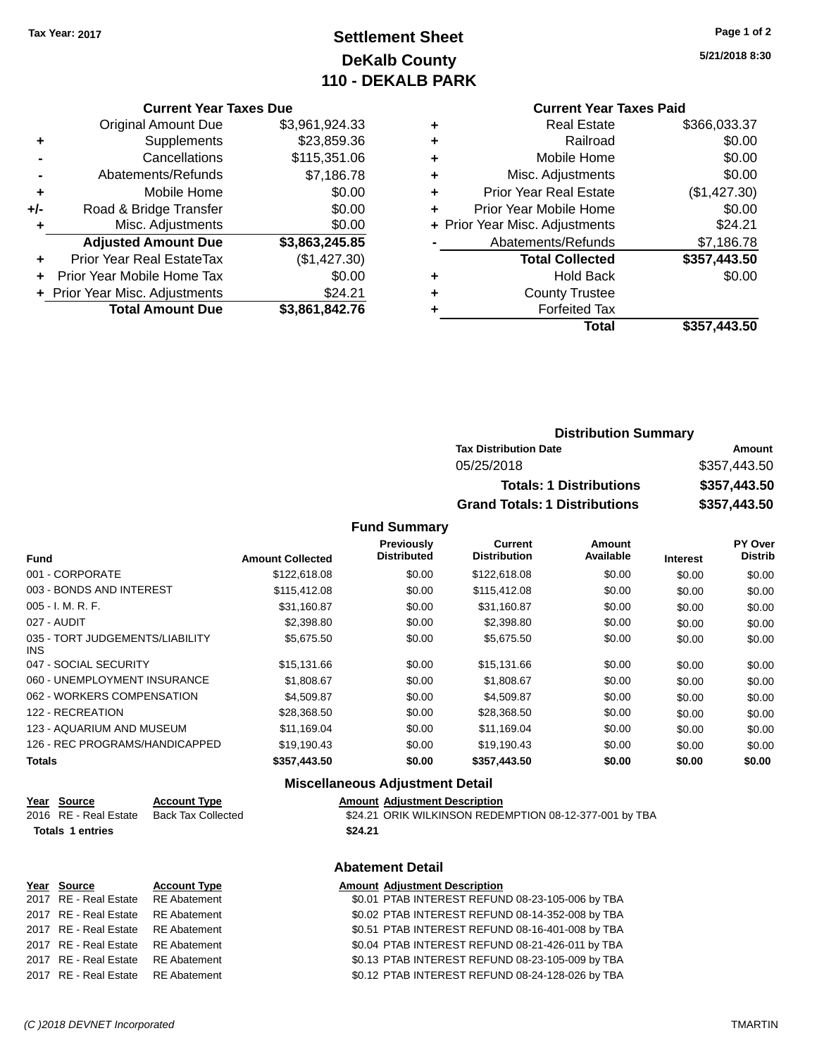# **Settlement Sheet Tax Year: 2017 Page 1 of 2 DeKalb County 110 - DEKALB PARK**

**5/21/2018 8:30**

## **Current Year Taxes Paid**

|     | <b>Current Year Taxes Due</b>  |                |
|-----|--------------------------------|----------------|
|     | <b>Original Amount Due</b>     | \$3,961,924.33 |
| ٠   | Supplements                    | \$23,859.36    |
|     | Cancellations                  | \$115,351.06   |
|     | Abatements/Refunds             | \$7,186.78     |
| ٠   | Mobile Home                    | \$0.00         |
| +/- | Road & Bridge Transfer         | \$0.00         |
|     | Misc. Adjustments              | \$0.00         |
|     | <b>Adjusted Amount Due</b>     | \$3,863,245.85 |
| ÷   | Prior Year Real EstateTax      | (\$1,427.30)   |
|     | Prior Year Mobile Home Tax     | \$0.00         |
|     | + Prior Year Misc. Adjustments | \$24.21        |
|     | <b>Total Amount Due</b>        | \$3,861,842.76 |

|   | <b>Real Estate</b>             | \$366,033.37 |
|---|--------------------------------|--------------|
| ٠ | Railroad                       | \$0.00       |
| ٠ | Mobile Home                    | \$0.00       |
| ٠ | Misc. Adjustments              | \$0.00       |
| ٠ | <b>Prior Year Real Estate</b>  | (\$1,427.30) |
|   | Prior Year Mobile Home         | \$0.00       |
|   | + Prior Year Misc. Adjustments | \$24.21      |
|   | Abatements/Refunds             | \$7,186.78   |
|   | <b>Total Collected</b>         | \$357,443.50 |
| ٠ | <b>Hold Back</b>               | \$0.00       |
| ٠ | <b>County Trustee</b>          |              |
| ٠ | <b>Forfeited Tax</b>           |              |
|   | Total                          | \$357,443,50 |
|   |                                |              |

| <b>Distribution Summary</b>          |              |  |  |  |  |
|--------------------------------------|--------------|--|--|--|--|
| <b>Tax Distribution Date</b>         | Amount       |  |  |  |  |
| 05/25/2018                           | \$357,443.50 |  |  |  |  |
| <b>Totals: 1 Distributions</b>       | \$357,443.50 |  |  |  |  |
| <b>Grand Totals: 1 Distributions</b> | \$357,443.50 |  |  |  |  |

**Fund Summary**

| <b>Fund</b>                             | <b>Amount Collected</b> | Previously<br><b>Distributed</b> | Current<br><b>Distribution</b> | Amount<br>Available | <b>Interest</b> | PY Over<br><b>Distrib</b> |
|-----------------------------------------|-------------------------|----------------------------------|--------------------------------|---------------------|-----------------|---------------------------|
| 001 - CORPORATE                         | \$122,618,08            | \$0.00                           | \$122,618.08                   | \$0.00              | \$0.00          | \$0.00                    |
| 003 - BONDS AND INTEREST                | \$115,412.08            | \$0.00                           | \$115,412.08                   | \$0.00              | \$0.00          | \$0.00                    |
| $005 - I. M. R. F.$                     | \$31.160.87             | \$0.00                           | \$31,160.87                    | \$0.00              | \$0.00          | \$0.00                    |
| 027 - AUDIT                             | \$2,398.80              | \$0.00                           | \$2,398.80                     | \$0.00              | \$0.00          | \$0.00                    |
| 035 - TORT JUDGEMENTS/LIABILITY<br>INS. | \$5,675.50              | \$0.00                           | \$5,675.50                     | \$0.00              | \$0.00          | \$0.00                    |
| 047 - SOCIAL SECURITY                   | \$15,131.66             | \$0.00                           | \$15,131.66                    | \$0.00              | \$0.00          | \$0.00                    |
| 060 - UNEMPLOYMENT INSURANCE            | \$1,808.67              | \$0.00                           | \$1,808.67                     | \$0.00              | \$0.00          | \$0.00                    |
| 062 - WORKERS COMPENSATION              | \$4,509.87              | \$0.00                           | \$4.509.87                     | \$0.00              | \$0.00          | \$0.00                    |
| 122 - RECREATION                        | \$28,368.50             | \$0.00                           | \$28,368.50                    | \$0.00              | \$0.00          | \$0.00                    |
| 123 - AQUARIUM AND MUSEUM               | \$11,169.04             | \$0.00                           | \$11,169.04                    | \$0.00              | \$0.00          | \$0.00                    |
| 126 - REC PROGRAMS/HANDICAPPED          | \$19.190.43             | \$0.00                           | \$19,190.43                    | \$0.00              | \$0.00          | \$0.00                    |
| <b>Totals</b>                           | \$357,443.50            | \$0.00                           | \$357,443.50                   | \$0.00              | \$0.00          | \$0.00                    |

## **Miscellaneous Adjustment Detail**

| Year Source             | <b>Account Type</b> |         | <b>Amount Adiustment Description</b>                   |
|-------------------------|---------------------|---------|--------------------------------------------------------|
| 2016 RE - Real Estate   | Back Tax Collected  |         | \$24.21 ORIK WILKINSON REDEMPTION 08-12-377-001 by TBA |
| <b>Totals 1 entries</b> |                     | \$24.21 |                                                        |

# **Abatement Detail**

| Year Source                        | <b>Account Type</b> | <b>Amount Adjustment Description</b>             |
|------------------------------------|---------------------|--------------------------------------------------|
| 2017 RE - Real Estate RE Abatement |                     | \$0.01 PTAB INTEREST REFUND 08-23-105-006 by TBA |
| 2017 RE - Real Estate RE Abatement |                     | \$0.02 PTAB INTEREST REFUND 08-14-352-008 by TBA |
| 2017 RE - Real Estate RE Abatement |                     | \$0.51 PTAB INTEREST REFUND 08-16-401-008 by TBA |
| 2017 RE - Real Estate RE Abatement |                     | \$0.04 PTAB INTEREST REFUND 08-21-426-011 by TBA |
| 2017 RE - Real Estate RE Abatement |                     | \$0.13 PTAB INTEREST REFUND 08-23-105-009 by TBA |
| 2017 RE - Real Estate RE Abatement |                     | \$0.12 PTAB INTEREST REFUND 08-24-128-026 by TBA |
|                                    |                     |                                                  |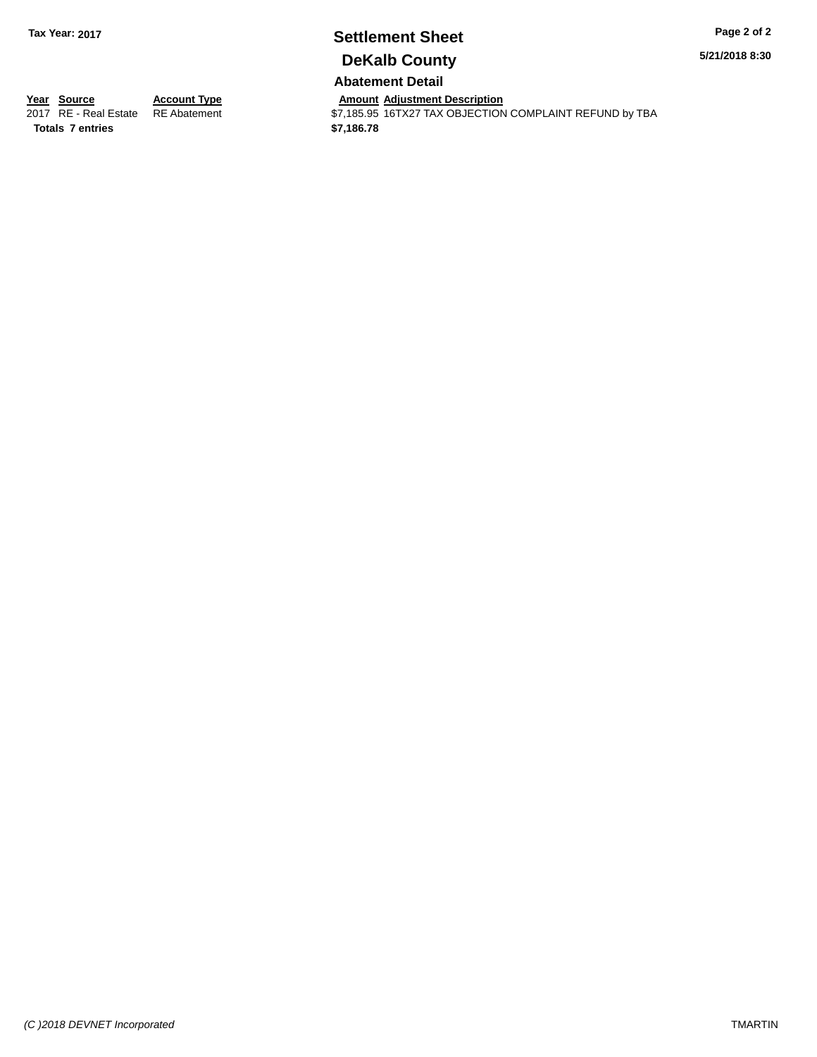# **Settlement Sheet Tax Year: 2017 Page 2 of 2 DeKalb County**

**5/21/2018 8:30**

# **Abatement Detail**

Amount Adjustment Description<br>\$7,185.95 16TX27 TAX OBJECTION COMPLAINT REFUND by TBA

**<u>Year Source</u> <b>Account Type**<br> **ALCOUNTE ADEL ADEL ADALLE ADALLEMENT ADDEL ADDEL ADDEL ADDEL ADDEL ADDEL ADDEL ADDEL Totals \$7,186.78 7 entries**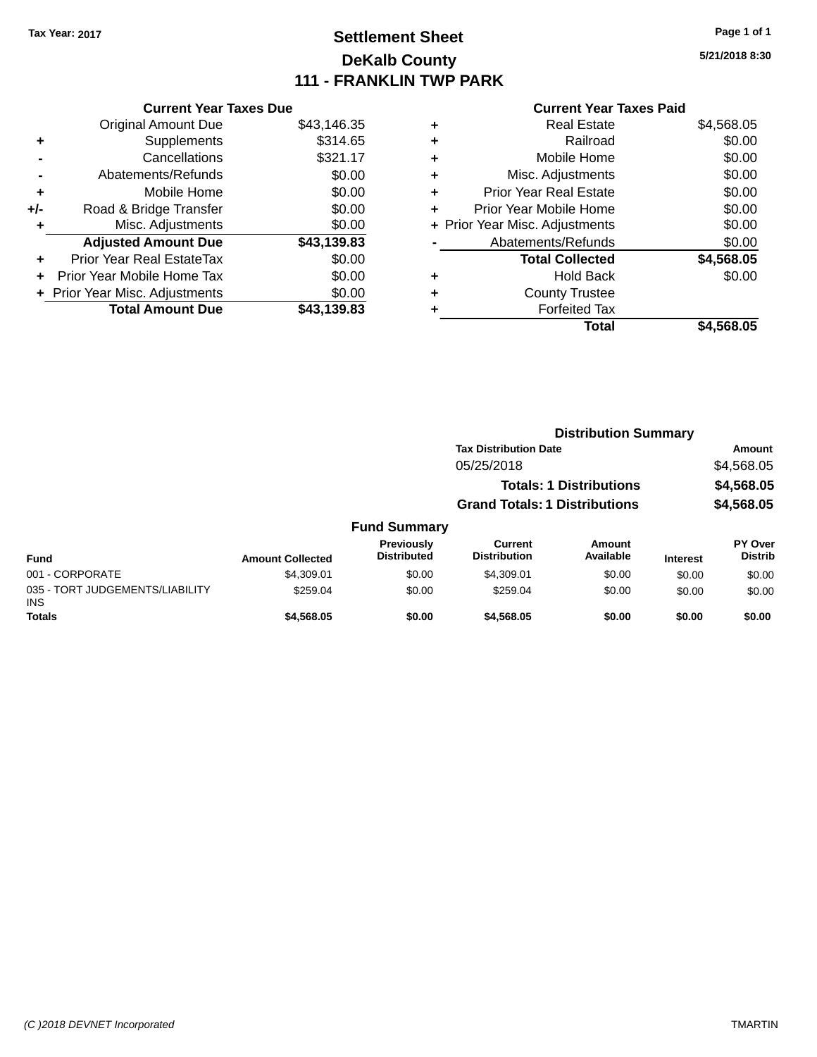# **Settlement Sheet Tax Year: 2017 Page 1 of 1 DeKalb County 111 - FRANKLIN TWP PARK**

**5/21/2018 8:30**

|     | <b>Current Year Taxes Due</b>  |             |
|-----|--------------------------------|-------------|
|     | <b>Original Amount Due</b>     | \$43,146.35 |
| ٠   | Supplements                    | \$314.65    |
|     | Cancellations                  | \$321.17    |
|     | Abatements/Refunds             | \$0.00      |
| ٠   | Mobile Home                    | \$0.00      |
| +/- | Road & Bridge Transfer         | \$0.00      |
|     | Misc. Adjustments              | \$0.00      |
|     | <b>Adjusted Amount Due</b>     | \$43,139.83 |
| ٠   | Prior Year Real EstateTax      | \$0.00      |
|     | Prior Year Mobile Home Tax     | \$0.00      |
|     | + Prior Year Misc. Adjustments | \$0.00      |
|     | <b>Total Amount Due</b>        | \$43,139.83 |
|     |                                |             |

|   | <b>Current Year Taxes Paid</b> |            |
|---|--------------------------------|------------|
| ٠ | <b>Real Estate</b>             | \$4,568.05 |
| ٠ | Railroad                       | \$0.00     |
| ٠ | Mobile Home                    | \$0.00     |
| ٠ | Misc. Adjustments              | \$0.00     |
| ٠ | <b>Prior Year Real Estate</b>  | \$0.00     |
| ÷ | Prior Year Mobile Home         | \$0.00     |
|   | + Prior Year Misc. Adjustments | \$0.00     |
|   | Abatements/Refunds             | \$0.00     |
|   | <b>Total Collected</b>         | \$4,568.05 |
| ٠ | Hold Back                      | \$0.00     |
|   | <b>County Trustee</b>          |            |
| ٠ | <b>Forfeited Tax</b>           |            |
|   | Total                          | \$4,568.05 |

|                                         |                         |                                  | <b>Distribution Summary</b>          |                                |                 |                                  |  |
|-----------------------------------------|-------------------------|----------------------------------|--------------------------------------|--------------------------------|-----------------|----------------------------------|--|
|                                         |                         |                                  | <b>Tax Distribution Date</b>         |                                |                 | Amount                           |  |
|                                         |                         |                                  | 05/25/2018                           |                                |                 | \$4,568.05                       |  |
|                                         |                         |                                  |                                      | <b>Totals: 1 Distributions</b> |                 | \$4,568.05                       |  |
|                                         |                         |                                  | <b>Grand Totals: 1 Distributions</b> |                                |                 | \$4,568.05                       |  |
|                                         |                         | <b>Fund Summary</b>              |                                      |                                |                 |                                  |  |
| <b>Fund</b>                             | <b>Amount Collected</b> | Previously<br><b>Distributed</b> | Current<br><b>Distribution</b>       | Amount<br>Available            | <b>Interest</b> | <b>PY Over</b><br><b>Distrib</b> |  |
| 001 - CORPORATE                         | \$4.309.01              | \$0.00                           | \$4,309.01                           | \$0.00                         | \$0.00          | \$0.00                           |  |
| 035 - TORT JUDGEMENTS/LIABILITY<br>INS. | \$259.04                | \$0.00                           | \$259.04                             | \$0.00                         | \$0.00          | \$0.00                           |  |
| <b>Totals</b>                           | \$4.568.05              | \$0.00                           | \$4,568,05                           | \$0.00                         | \$0.00          | \$0.00                           |  |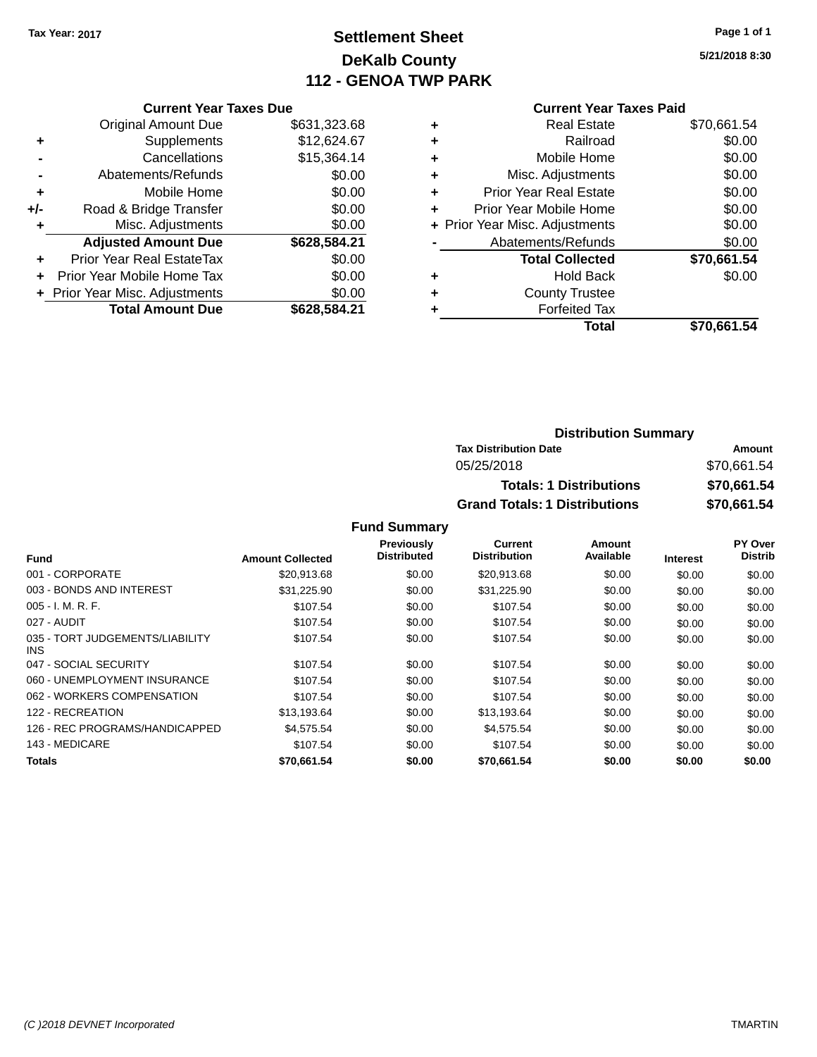# **Settlement Sheet Tax Year: 2017 Page 1 of 1 DeKalb County 112 - GENOA TWP PARK**

**5/21/2018 8:30**

## **Current Year Taxes Paid**

|     | <b>Current Year Taxes Due</b>  |              |  |  |  |  |
|-----|--------------------------------|--------------|--|--|--|--|
|     | <b>Original Amount Due</b>     | \$631,323.68 |  |  |  |  |
| ٠   | \$12,624.67<br>Supplements     |              |  |  |  |  |
|     | Cancellations                  | \$15,364.14  |  |  |  |  |
|     | Abatements/Refunds             | \$0.00       |  |  |  |  |
| ٠   | Mobile Home                    | \$0.00       |  |  |  |  |
| +/- | Road & Bridge Transfer         | \$0.00       |  |  |  |  |
| ٠   | \$0.00<br>Misc. Adjustments    |              |  |  |  |  |
|     | <b>Adjusted Amount Due</b>     | \$628,584.21 |  |  |  |  |
| ÷   | Prior Year Real EstateTax      | \$0.00       |  |  |  |  |
|     | Prior Year Mobile Home Tax     | \$0.00       |  |  |  |  |
|     | + Prior Year Misc. Adjustments | \$0.00       |  |  |  |  |
|     | <b>Total Amount Due</b>        | \$628.584.21 |  |  |  |  |

| \$0.00      |
|-------------|
| \$0.00      |
| \$0.00      |
| \$0.00      |
| \$0.00      |
| \$0.00      |
| \$0.00      |
| \$70,661.54 |
| \$0.00      |
|             |
|             |
| \$70,661.54 |
|             |

## **Distribution Summary Tax Distribution Date Amount** 05/25/2018 \$70,661.54 **Totals: 1 Distributions \$70,661.54 Grand Totals: 1 Distributions \$70,661.54**

|                                         |                         | Previously  | Current             | Amount    |                 | PY Over        |
|-----------------------------------------|-------------------------|-------------|---------------------|-----------|-----------------|----------------|
| <b>Fund</b>                             | <b>Amount Collected</b> | Distributed | <b>Distribution</b> | Available | <b>Interest</b> | <b>Distrib</b> |
| 001 - CORPORATE                         | \$20,913.68             | \$0.00      | \$20,913.68         | \$0.00    | \$0.00          | \$0.00         |
| 003 - BONDS AND INTEREST                | \$31,225.90             | \$0.00      | \$31,225.90         | \$0.00    | \$0.00          | \$0.00         |
| $005 - I. M. R. F.$                     | \$107.54                | \$0.00      | \$107.54            | \$0.00    | \$0.00          | \$0.00         |
| 027 - AUDIT                             | \$107.54                | \$0.00      | \$107.54            | \$0.00    | \$0.00          | \$0.00         |
| 035 - TORT JUDGEMENTS/LIABILITY<br>INS. | \$107.54                | \$0.00      | \$107.54            | \$0.00    | \$0.00          | \$0.00         |
| 047 - SOCIAL SECURITY                   | \$107.54                | \$0.00      | \$107.54            | \$0.00    | \$0.00          | \$0.00         |
| 060 - UNEMPLOYMENT INSURANCE            | \$107.54                | \$0.00      | \$107.54            | \$0.00    | \$0.00          | \$0.00         |
| 062 - WORKERS COMPENSATION              | \$107.54                | \$0.00      | \$107.54            | \$0.00    | \$0.00          | \$0.00         |
| 122 - RECREATION                        | \$13,193.64             | \$0.00      | \$13,193.64         | \$0.00    | \$0.00          | \$0.00         |
| 126 - REC PROGRAMS/HANDICAPPED          | \$4.575.54              | \$0.00      | \$4,575.54          | \$0.00    | \$0.00          | \$0.00         |
| 143 - MEDICARE                          | \$107.54                | \$0.00      | \$107.54            | \$0.00    | \$0.00          | \$0.00         |
| Totals                                  | \$70,661.54             | \$0.00      | \$70.661.54         | \$0.00    | \$0.00          | \$0.00         |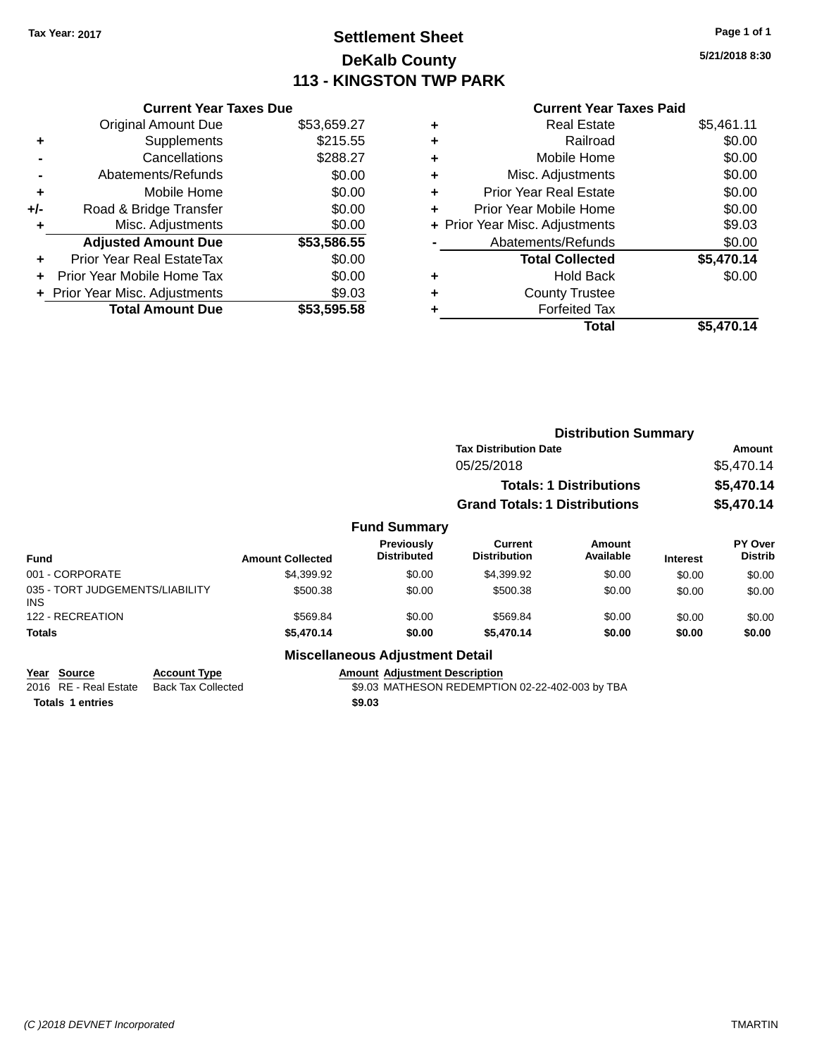# **Settlement Sheet Tax Year: 2017 Page 1 of 1 DeKalb County 113 - KINGSTON TWP PARK**

**5/21/2018 8:30**

| <b>Current Year Taxes Due</b>  |             |
|--------------------------------|-------------|
| <b>Original Amount Due</b>     | \$53,659.27 |
| Supplements                    | \$215.55    |
| Cancellations                  | \$288.27    |
| Abatements/Refunds             | \$0.00      |
| Mobile Home                    | \$0.00      |
| Road & Bridge Transfer         | \$0.00      |
| Misc. Adjustments              | \$0.00      |
| <b>Adjusted Amount Due</b>     | \$53,586.55 |
| Prior Year Real EstateTax      | \$0.00      |
| Prior Year Mobile Home Tax     | \$0.00      |
| + Prior Year Misc. Adjustments | \$9.03      |
| <b>Total Amount Due</b>        | \$53.595.58 |
|                                |             |

| ٠ | <b>Real Estate</b>             | \$5,461.11 |
|---|--------------------------------|------------|
| ٠ | Railroad                       | \$0.00     |
| ٠ | Mobile Home                    | \$0.00     |
| ٠ | Misc. Adjustments              | \$0.00     |
| ٠ | <b>Prior Year Real Estate</b>  | \$0.00     |
| ٠ | Prior Year Mobile Home         | \$0.00     |
|   | + Prior Year Misc. Adjustments | \$9.03     |
|   | Abatements/Refunds             | \$0.00     |
|   | <b>Total Collected</b>         | \$5,470.14 |
| ٠ | Hold Back                      | \$0.00     |
| ٠ | <b>County Trustee</b>          |            |
| ٠ | <b>Forfeited Tax</b>           |            |
|   | Total                          | \$5,470.14 |
|   |                                |            |

|                                         |                     |                         |                                        | <b>Distribution Summary</b>           |                                |                 |                                  |
|-----------------------------------------|---------------------|-------------------------|----------------------------------------|---------------------------------------|--------------------------------|-----------------|----------------------------------|
|                                         |                     |                         |                                        | <b>Tax Distribution Date</b>          |                                |                 | Amount                           |
|                                         |                     |                         |                                        | 05/25/2018                            |                                |                 | \$5,470.14                       |
|                                         |                     |                         |                                        |                                       | <b>Totals: 1 Distributions</b> |                 | \$5,470.14                       |
|                                         |                     |                         |                                        | <b>Grand Totals: 1 Distributions</b>  |                                |                 | \$5,470.14                       |
|                                         |                     |                         | <b>Fund Summary</b>                    |                                       |                                |                 |                                  |
| <b>Fund</b>                             |                     | <b>Amount Collected</b> | Previously<br><b>Distributed</b>       | <b>Current</b><br><b>Distribution</b> | <b>Amount</b><br>Available     | <b>Interest</b> | <b>PY Over</b><br><b>Distrib</b> |
| 001 - CORPORATE                         |                     | \$4,399.92              | \$0.00                                 | \$4,399.92                            | \$0.00                         | \$0.00          | \$0.00                           |
| 035 - TORT JUDGEMENTS/LIABILITY<br>INS. |                     | \$500.38                | \$0.00                                 | \$500.38                              | \$0.00                         | \$0.00          | \$0.00                           |
| 122 - RECREATION                        |                     | \$569.84                | \$0.00                                 | \$569.84                              | \$0.00                         | \$0.00          | \$0.00                           |
| <b>Totals</b>                           |                     | \$5,470.14              | \$0.00                                 | \$5,470.14                            | \$0.00                         | \$0.00          | \$0.00                           |
|                                         |                     |                         | <b>Miscellaneous Adjustment Detail</b> |                                       |                                |                 |                                  |
| <b>Source</b><br>Year                   | <b>Account Type</b> |                         | <b>Amount Adiustment Description</b>   |                                       |                                |                 |                                  |

| --------------                           | . |                                                 |
|------------------------------------------|---|-------------------------------------------------|
| 2016 RE - Real Estate Back Tax Collected |   | \$9.03 MATHESON REDEMPTION 02-22-402-003 by TBA |
| <b>Totals 1 entries</b>                  |   | \$9.03                                          |
|                                          |   |                                                 |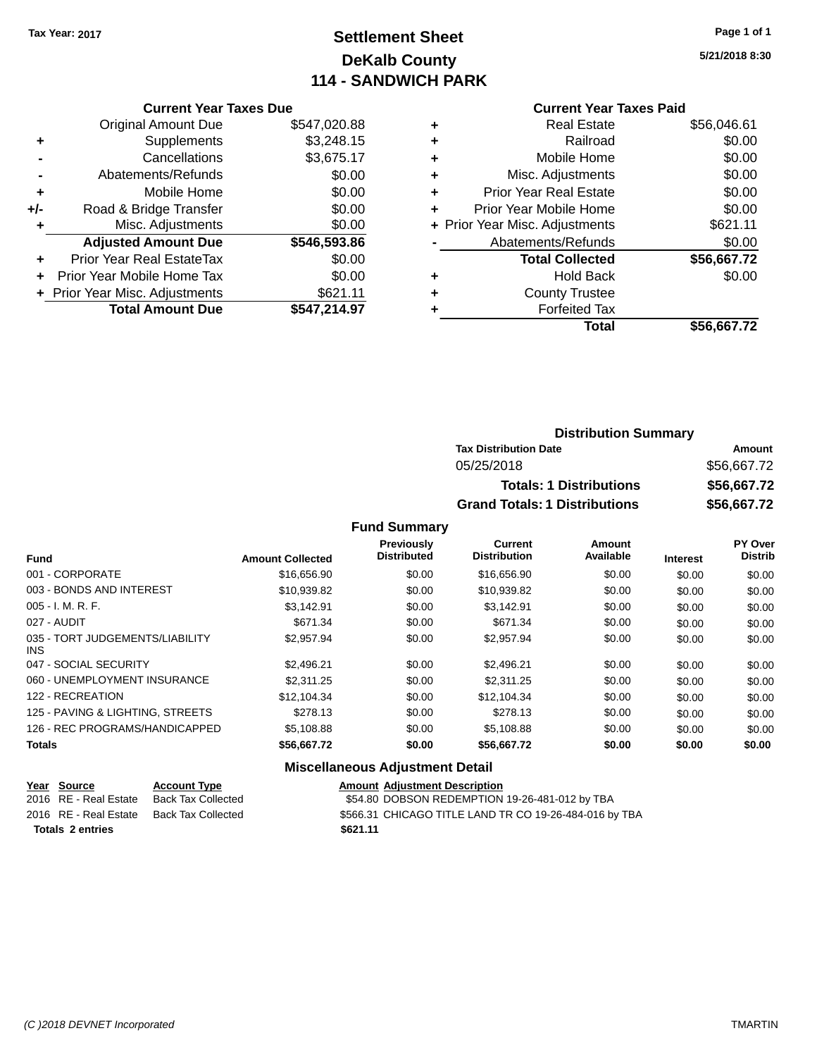# **Settlement Sheet Tax Year: 2017 Page 1 of 1 DeKalb County 114 - SANDWICH PARK**

**5/21/2018 8:30**

### **Current Year Taxes Due**

|       | <b>Original Amount Due</b>       | \$547,020.88 |
|-------|----------------------------------|--------------|
| ٠     | Supplements                      | \$3,248.15   |
|       | Cancellations                    | \$3,675.17   |
|       | Abatements/Refunds               | \$0.00       |
| ٠     | Mobile Home                      | \$0.00       |
| $+/-$ | Road & Bridge Transfer           | \$0.00       |
| ٠     | Misc. Adjustments                | \$0.00       |
|       | <b>Adjusted Amount Due</b>       | \$546,593.86 |
|       | <b>Prior Year Real EstateTax</b> | \$0.00       |
|       | Prior Year Mobile Home Tax       | \$0.00       |
|       | + Prior Year Misc. Adjustments   | \$621.11     |
|       | <b>Total Amount Due</b>          | \$547,214.97 |

## **Current Year Taxes Paid +** Real Estate \$56,046.61 **+** Railroad \$0.00 **+** Mobile Home \$0.00 **+** Misc. Adjustments \$0.00 **+** Prior Year Real Estate \$0.00 **+** Prior Year Mobile Home \$0.00 **+ Prior Year Misc. Adjustments \$621.11** Abatements/Refunds \$0.00 **Total Collected \$56,667.72 +** Hold Back \$0.00 **+** County Trustee **+** Forfeited Tax **Total \$56,667.72**

## **Distribution Summary Tax Distribution Date Amount** 05/25/2018 \$56,667.72 **Totals: 1 Distributions \$56,667.72 Grand Totals: 1 Distributions \$56,667.72**

### **Fund Summary**

|                                         |                         | Previously<br><b>Distributed</b> | Current<br><b>Distribution</b> | Amount<br>Available |                 | PY Over<br><b>Distrib</b> |
|-----------------------------------------|-------------------------|----------------------------------|--------------------------------|---------------------|-----------------|---------------------------|
| <b>Fund</b>                             | <b>Amount Collected</b> |                                  |                                |                     | <b>Interest</b> |                           |
| 001 - CORPORATE                         | \$16,656.90             | \$0.00                           | \$16,656.90                    | \$0.00              | \$0.00          | \$0.00                    |
| 003 - BONDS AND INTEREST                | \$10,939.82             | \$0.00                           | \$10,939.82                    | \$0.00              | \$0.00          | \$0.00                    |
| $005 - I. M. R. F.$                     | \$3.142.91              | \$0.00                           | \$3,142.91                     | \$0.00              | \$0.00          | \$0.00                    |
| 027 - AUDIT                             | \$671.34                | \$0.00                           | \$671.34                       | \$0.00              | \$0.00          | \$0.00                    |
| 035 - TORT JUDGEMENTS/LIABILITY<br>INS. | \$2,957.94              | \$0.00                           | \$2,957.94                     | \$0.00              | \$0.00          | \$0.00                    |
| 047 - SOCIAL SECURITY                   | \$2.496.21              | \$0.00                           | \$2.496.21                     | \$0.00              | \$0.00          | \$0.00                    |
| 060 - UNEMPLOYMENT INSURANCE            | \$2,311.25              | \$0.00                           | \$2,311,25                     | \$0.00              | \$0.00          | \$0.00                    |
| 122 - RECREATION                        | \$12.104.34             | \$0.00                           | \$12.104.34                    | \$0.00              | \$0.00          | \$0.00                    |
| 125 - PAVING & LIGHTING, STREETS        | \$278.13                | \$0.00                           | \$278.13                       | \$0.00              | \$0.00          | \$0.00                    |
| 126 - REC PROGRAMS/HANDICAPPED          | \$5,108.88              | \$0.00                           | \$5,108.88                     | \$0.00              | \$0.00          | \$0.00                    |
| <b>Totals</b>                           | \$56,667.72             | \$0.00                           | \$56,667.72                    | \$0.00              | \$0.00          | \$0.00                    |

### **Miscellaneous Adjustment Detail**

|                         | Year Source           | <b>Account Type</b> | <b>Amount Adiustment Description</b>                   |
|-------------------------|-----------------------|---------------------|--------------------------------------------------------|
|                         | 2016 RE - Real Estate | Back Tax Collected  | \$54.80 DOBSON REDEMPTION 19-26-481-012 by TBA         |
|                         | 2016 RE - Real Estate | Back Tax Collected  | \$566.31 CHICAGO TITLE LAND TR CO 19-26-484-016 by TBA |
| <b>Totals 2 entries</b> |                       |                     | \$621.11                                               |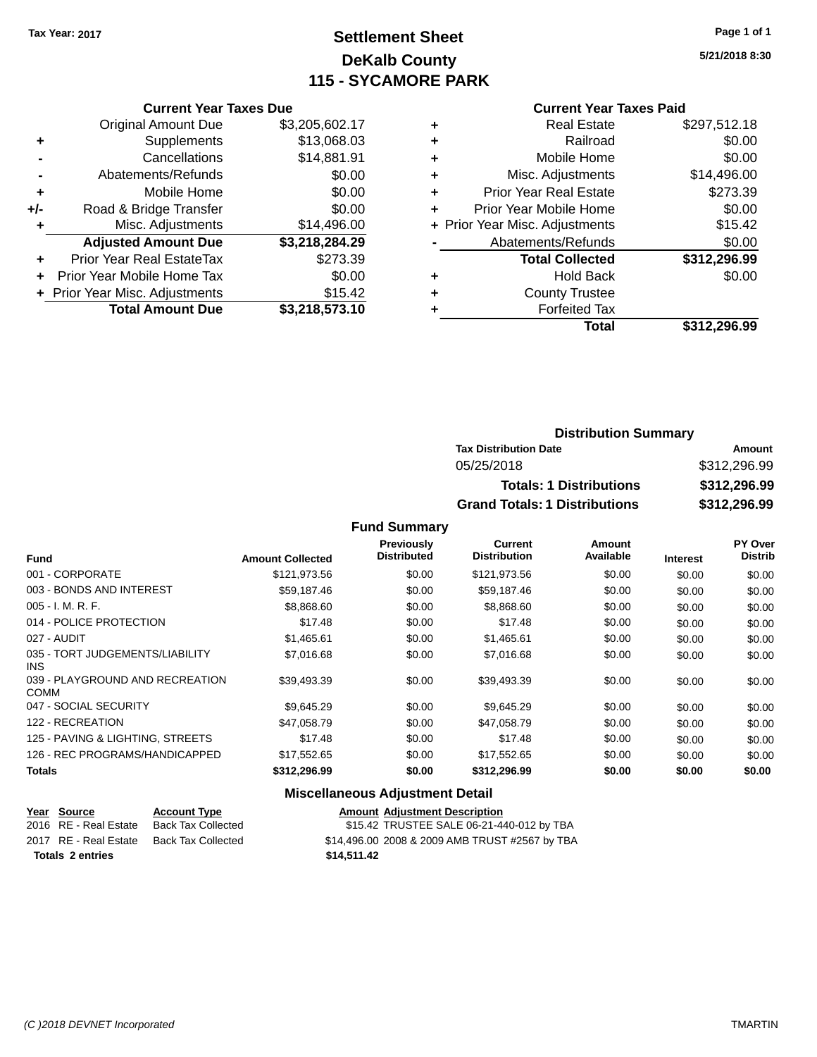# **Settlement Sheet Tax Year: 2017 Page 1 of 1 DeKalb County 115 - SYCAMORE PARK**

**5/21/2018 8:30**

### **Current Year Taxes Paid**

|     | <b>Current Year Taxes Due</b>  |                |
|-----|--------------------------------|----------------|
|     | <b>Original Amount Due</b>     | \$3,205,602.17 |
| ٠   | Supplements                    | \$13,068.03    |
|     | Cancellations                  | \$14,881.91    |
|     | Abatements/Refunds             | \$0.00         |
| ٠   | Mobile Home                    | \$0.00         |
| +/- | Road & Bridge Transfer         | \$0.00         |
| ٠   | Misc. Adjustments              | \$14,496.00    |
|     | <b>Adjusted Amount Due</b>     | \$3,218,284.29 |
| ÷   | Prior Year Real EstateTax      | \$273.39       |
| ÷   | Prior Year Mobile Home Tax     | \$0.00         |
|     | + Prior Year Misc. Adjustments | \$15.42        |
|     | <b>Total Amount Due</b>        | \$3,218,573.10 |

|   | <b>Real Estate</b>             | \$297,512.18 |
|---|--------------------------------|--------------|
| ٠ | Railroad                       | \$0.00       |
| ٠ | Mobile Home                    | \$0.00       |
| ٠ | Misc. Adjustments              | \$14,496.00  |
| ٠ | <b>Prior Year Real Estate</b>  | \$273.39     |
| ÷ | Prior Year Mobile Home         | \$0.00       |
|   | + Prior Year Misc. Adjustments | \$15.42      |
|   | Abatements/Refunds             | \$0.00       |
|   | <b>Total Collected</b>         | \$312,296.99 |
| ٠ | <b>Hold Back</b>               | \$0.00       |
| ٠ | <b>County Trustee</b>          |              |
| ٠ | <b>Forfeited Tax</b>           |              |
|   | Total                          | \$312,296.99 |
|   |                                |              |

## **Distribution Summary Tax Distribution Date Amount** 05/25/2018 \$312,296.99 **Totals: 1 Distributions \$312,296.99 Grand Totals: 1 Distributions \$312,296.99**

## **Fund Summary**

|                                                |                         | <b>Previously</b><br><b>Distributed</b> | <b>Current</b><br><b>Distribution</b> | Amount<br>Available |                 | <b>PY Over</b><br><b>Distrib</b> |
|------------------------------------------------|-------------------------|-----------------------------------------|---------------------------------------|---------------------|-----------------|----------------------------------|
| <b>Fund</b>                                    | <b>Amount Collected</b> |                                         |                                       |                     | <b>Interest</b> |                                  |
| 001 - CORPORATE                                | \$121,973.56            | \$0.00                                  | \$121,973.56                          | \$0.00              | \$0.00          | \$0.00                           |
| 003 - BONDS AND INTEREST                       | \$59,187.46             | \$0.00                                  | \$59,187.46                           | \$0.00              | \$0.00          | \$0.00                           |
| $005 - I. M. R. F.$                            | \$8,868.60              | \$0.00                                  | \$8,868.60                            | \$0.00              | \$0.00          | \$0.00                           |
| 014 - POLICE PROTECTION                        | \$17.48                 | \$0.00                                  | \$17.48                               | \$0.00              | \$0.00          | \$0.00                           |
| 027 - AUDIT                                    | \$1,465.61              | \$0.00                                  | \$1,465.61                            | \$0.00              | \$0.00          | \$0.00                           |
| 035 - TORT JUDGEMENTS/LIABILITY<br><b>INS</b>  | \$7.016.68              | \$0.00                                  | \$7,016.68                            | \$0.00              | \$0.00          | \$0.00                           |
| 039 - PLAYGROUND AND RECREATION<br><b>COMM</b> | \$39,493.39             | \$0.00                                  | \$39,493.39                           | \$0.00              | \$0.00          | \$0.00                           |
| 047 - SOCIAL SECURITY                          | \$9,645.29              | \$0.00                                  | \$9,645.29                            | \$0.00              | \$0.00          | \$0.00                           |
| 122 - RECREATION                               | \$47,058.79             | \$0.00                                  | \$47,058.79                           | \$0.00              | \$0.00          | \$0.00                           |
| 125 - PAVING & LIGHTING, STREETS               | \$17.48                 | \$0.00                                  | \$17.48                               | \$0.00              | \$0.00          | \$0.00                           |
| 126 - REC PROGRAMS/HANDICAPPED                 | \$17,552.65             | \$0.00                                  | \$17,552.65                           | \$0.00              | \$0.00          | \$0.00                           |
| Totals                                         | \$312,296.99            | \$0.00                                  | \$312,296.99                          | \$0.00              | \$0.00          | \$0.00                           |

## **Miscellaneous Adjustment Detail**

|                         | Year Source           | <b>Account Type</b> | <b>Amount Adjustment Description</b>           |
|-------------------------|-----------------------|---------------------|------------------------------------------------|
|                         | 2016 RE - Real Estate | Back Tax Collected  | \$15.42 TRUSTEE SALE 06-21-440-012 by TBA      |
|                         | 2017 RE - Real Estate | Back Tax Collected  | \$14,496.00 2008 & 2009 AMB TRUST #2567 by TBA |
| <b>Totals 2 entries</b> |                       |                     | \$14.511.42                                    |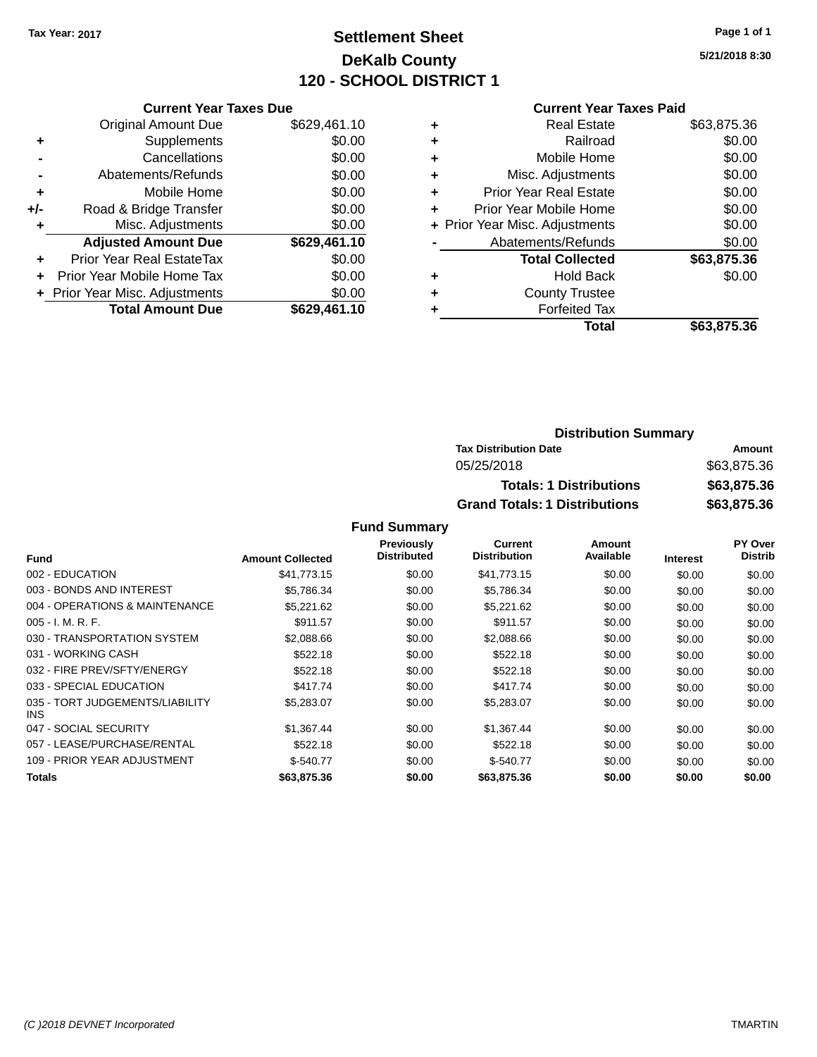# **Settlement Sheet Tax Year: 2017 Page 1 of 1 DeKalb County 120 - SCHOOL DISTRICT 1**

**5/21/2018 8:30**

## **Current Year Taxes Paid**

|     | <b>Current Year Taxes Due</b>  |              |
|-----|--------------------------------|--------------|
|     | <b>Original Amount Due</b>     | \$629,461.10 |
| ٠   | Supplements                    | \$0.00       |
|     | Cancellations                  | \$0.00       |
|     | Abatements/Refunds             | \$0.00       |
| ٠   | Mobile Home                    | \$0.00       |
| +/- | Road & Bridge Transfer         | \$0.00       |
|     | Misc. Adjustments              | \$0.00       |
|     | <b>Adjusted Amount Due</b>     | \$629,461.10 |
| ٠   | Prior Year Real EstateTax      | \$0.00       |
|     | Prior Year Mobile Home Tax     | \$0.00       |
|     | + Prior Year Misc. Adjustments | \$0.00       |
|     | <b>Total Amount Due</b>        | \$629,461.10 |
|     |                                |              |

|   | Total                          | \$63,875.36 |
|---|--------------------------------|-------------|
|   | <b>Forfeited Tax</b>           |             |
| ٠ | <b>County Trustee</b>          |             |
| ٠ | Hold Back                      | \$0.00      |
|   | <b>Total Collected</b>         | \$63,875.36 |
|   | Abatements/Refunds             | \$0.00      |
|   | + Prior Year Misc. Adjustments | \$0.00      |
| ٠ | Prior Year Mobile Home         | \$0.00      |
| ÷ | <b>Prior Year Real Estate</b>  | \$0.00      |
| ٠ | Misc. Adjustments              | \$0.00      |
| ٠ | Mobile Home                    | \$0.00      |
| ٠ | Railroad                       | \$0.00      |
| ٠ | <b>Real Estate</b>             | \$63,875.36 |
|   |                                |             |

| <b>Distribution Summary</b>          |             |  |  |  |
|--------------------------------------|-------------|--|--|--|
| <b>Tax Distribution Date</b>         | Amount      |  |  |  |
| 05/25/2018                           | \$63,875.36 |  |  |  |
| <b>Totals: 1 Distributions</b>       | \$63,875.36 |  |  |  |
| <b>Grand Totals: 1 Distributions</b> | \$63,875.36 |  |  |  |

|                                         |                         | Previously<br><b>Distributed</b> | Current             | Amount    |                 | <b>PY Over</b> |
|-----------------------------------------|-------------------------|----------------------------------|---------------------|-----------|-----------------|----------------|
| <b>Fund</b>                             | <b>Amount Collected</b> |                                  | <b>Distribution</b> | Available | <b>Interest</b> | <b>Distrib</b> |
| 002 - EDUCATION                         | \$41.773.15             | \$0.00                           | \$41,773.15         | \$0.00    | \$0.00          | \$0.00         |
| 003 - BONDS AND INTEREST                | \$5,786.34              | \$0.00                           | \$5,786.34          | \$0.00    | \$0.00          | \$0.00         |
| 004 - OPERATIONS & MAINTENANCE          | \$5,221.62              | \$0.00                           | \$5,221.62          | \$0.00    | \$0.00          | \$0.00         |
| $005 - I. M. R. F.$                     | \$911.57                | \$0.00                           | \$911.57            | \$0.00    | \$0.00          | \$0.00         |
| 030 - TRANSPORTATION SYSTEM             | \$2,088.66              | \$0.00                           | \$2,088.66          | \$0.00    | \$0.00          | \$0.00         |
| 031 - WORKING CASH                      | \$522.18                | \$0.00                           | \$522.18            | \$0.00    | \$0.00          | \$0.00         |
| 032 - FIRE PREV/SFTY/ENERGY             | \$522.18                | \$0.00                           | \$522.18            | \$0.00    | \$0.00          | \$0.00         |
| 033 - SPECIAL EDUCATION                 | \$417.74                | \$0.00                           | \$417.74            | \$0.00    | \$0.00          | \$0.00         |
| 035 - TORT JUDGEMENTS/LIABILITY<br>INS. | \$5,283.07              | \$0.00                           | \$5,283.07          | \$0.00    | \$0.00          | \$0.00         |
| 047 - SOCIAL SECURITY                   | \$1,367.44              | \$0.00                           | \$1,367.44          | \$0.00    | \$0.00          | \$0.00         |
| 057 - LEASE/PURCHASE/RENTAL             | \$522.18                | \$0.00                           | \$522.18            | \$0.00    | \$0.00          | \$0.00         |
| 109 - PRIOR YEAR ADJUSTMENT             | $$-540.77$              | \$0.00                           | $$-540.77$          | \$0.00    | \$0.00          | \$0.00         |
| Totals                                  | \$63,875.36             | \$0.00                           | \$63,875.36         | \$0.00    | \$0.00          | \$0.00         |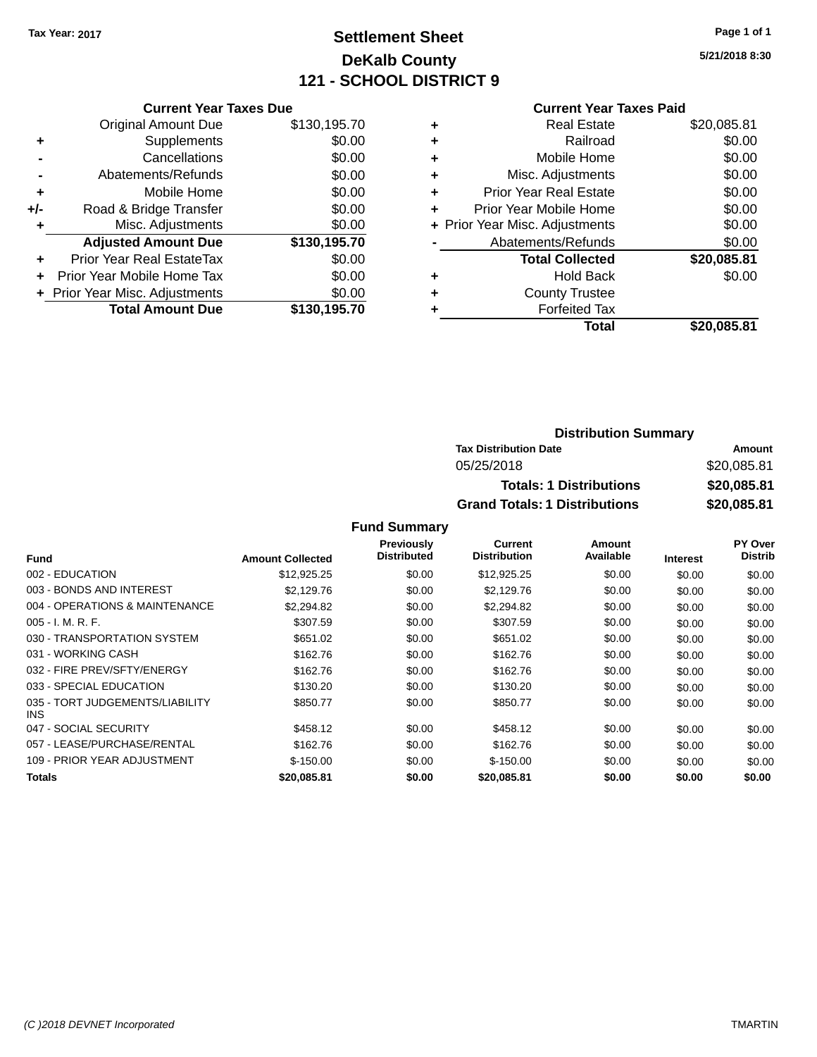# **Settlement Sheet Tax Year: 2017 Page 1 of 1 DeKalb County 121 - SCHOOL DISTRICT 9**

**5/21/2018 8:30**

## **Current Year Taxes Paid**

|       | <b>Current Year Taxes Due</b>  |              |
|-------|--------------------------------|--------------|
|       | <b>Original Amount Due</b>     | \$130,195.70 |
| ٠     | Supplements                    | \$0.00       |
|       | Cancellations                  | \$0.00       |
|       | Abatements/Refunds             | \$0.00       |
| ٠     | Mobile Home                    | \$0.00       |
| $+/-$ | Road & Bridge Transfer         | \$0.00       |
| ÷     | Misc. Adjustments              | \$0.00       |
|       | <b>Adjusted Amount Due</b>     | \$130,195.70 |
| ÷     | Prior Year Real EstateTax      | \$0.00       |
|       | Prior Year Mobile Home Tax     | \$0.00       |
|       | + Prior Year Misc. Adjustments | \$0.00       |
|       | <b>Total Amount Due</b>        | \$130,195.70 |
|       |                                |              |

|   | <b>Real Estate</b>             | \$20,085.81 |
|---|--------------------------------|-------------|
| ٠ | Railroad                       | \$0.00      |
| ٠ | Mobile Home                    | \$0.00      |
| ٠ | Misc. Adjustments              | \$0.00      |
| ٠ | <b>Prior Year Real Estate</b>  | \$0.00      |
| ٠ | Prior Year Mobile Home         | \$0.00      |
|   | + Prior Year Misc. Adjustments | \$0.00      |
|   | Abatements/Refunds             | \$0.00      |
|   | <b>Total Collected</b>         | \$20,085.81 |
| ٠ | Hold Back                      | \$0.00      |
| ٠ | <b>County Trustee</b>          |             |
|   | <b>Forfeited Tax</b>           |             |
|   | Total                          | \$20.085.81 |
|   |                                |             |

| <b>Distribution Summary</b>          |             |
|--------------------------------------|-------------|
| <b>Tax Distribution Date</b>         | Amount      |
| 05/25/2018                           | \$20,085.81 |
| <b>Totals: 1 Distributions</b>       | \$20,085.81 |
| <b>Grand Totals: 1 Distributions</b> | \$20,085.81 |

| <b>Fund</b>                             | <b>Amount Collected</b> | <b>Previously</b><br><b>Distributed</b> | <b>Current</b><br><b>Distribution</b> | Amount<br>Available | <b>Interest</b> | <b>PY Over</b><br><b>Distrib</b> |
|-----------------------------------------|-------------------------|-----------------------------------------|---------------------------------------|---------------------|-----------------|----------------------------------|
|                                         |                         |                                         |                                       |                     |                 |                                  |
| 002 - EDUCATION                         | \$12,925.25             | \$0.00                                  | \$12,925.25                           | \$0.00              | \$0.00          | \$0.00                           |
| 003 - BONDS AND INTEREST                | \$2,129.76              | \$0.00                                  | \$2,129.76                            | \$0.00              | \$0.00          | \$0.00                           |
| 004 - OPERATIONS & MAINTENANCE          | \$2,294.82              | \$0.00                                  | \$2,294.82                            | \$0.00              | \$0.00          | \$0.00                           |
| $005 - I. M. R. F.$                     | \$307.59                | \$0.00                                  | \$307.59                              | \$0.00              | \$0.00          | \$0.00                           |
| 030 - TRANSPORTATION SYSTEM             | \$651.02                | \$0.00                                  | \$651.02                              | \$0.00              | \$0.00          | \$0.00                           |
| 031 - WORKING CASH                      | \$162.76                | \$0.00                                  | \$162.76                              | \$0.00              | \$0.00          | \$0.00                           |
| 032 - FIRE PREV/SFTY/ENERGY             | \$162.76                | \$0.00                                  | \$162.76                              | \$0.00              | \$0.00          | \$0.00                           |
| 033 - SPECIAL EDUCATION                 | \$130.20                | \$0.00                                  | \$130.20                              | \$0.00              | \$0.00          | \$0.00                           |
| 035 - TORT JUDGEMENTS/LIABILITY<br>INS. | \$850.77                | \$0.00                                  | \$850.77                              | \$0.00              | \$0.00          | \$0.00                           |
| 047 - SOCIAL SECURITY                   | \$458.12                | \$0.00                                  | \$458.12                              | \$0.00              | \$0.00          | \$0.00                           |
| 057 - LEASE/PURCHASE/RENTAL             | \$162.76                | \$0.00                                  | \$162.76                              | \$0.00              | \$0.00          | \$0.00                           |
| 109 - PRIOR YEAR ADJUSTMENT             | $$-150.00$              | \$0.00                                  | $$-150.00$                            | \$0.00              | \$0.00          | \$0.00                           |
| <b>Totals</b>                           | \$20,085.81             | \$0.00                                  | \$20,085.81                           | \$0.00              | \$0.00          | \$0.00                           |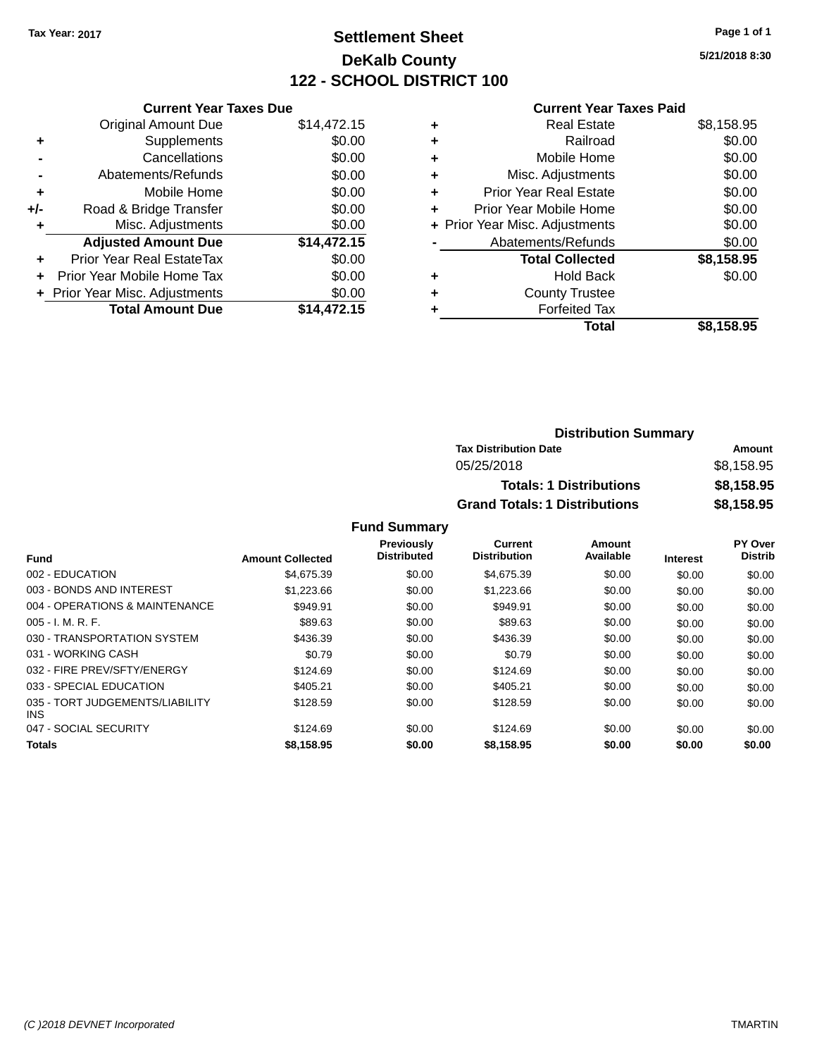# **Settlement Sheet Tax Year: 2017 Page 1 of 1 DeKalb County 122 - SCHOOL DISTRICT 100**

**5/21/2018 8:30**

| <b>Current Year Taxes Paid</b> |  |  |
|--------------------------------|--|--|
|                                |  |  |

| <b>Current Year Taxes Due</b>  |                         |  |  |  |
|--------------------------------|-------------------------|--|--|--|
| <b>Original Amount Due</b>     | \$14,472.15             |  |  |  |
| Supplements                    | \$0.00                  |  |  |  |
| Cancellations                  | \$0.00                  |  |  |  |
| Abatements/Refunds             | \$0.00                  |  |  |  |
| Mobile Home                    | \$0.00                  |  |  |  |
| Road & Bridge Transfer         | \$0.00                  |  |  |  |
| Misc. Adjustments              | \$0.00                  |  |  |  |
| <b>Adjusted Amount Due</b>     | \$14,472.15             |  |  |  |
| Prior Year Real EstateTax      | \$0.00                  |  |  |  |
| Prior Year Mobile Home Tax     | \$0.00                  |  |  |  |
| + Prior Year Misc. Adjustments | \$0.00                  |  |  |  |
|                                | \$14.472.15             |  |  |  |
|                                | <b>Total Amount Due</b> |  |  |  |

| ٠ | <b>Real Estate</b>             | \$8,158.95 |
|---|--------------------------------|------------|
| ٠ | Railroad                       | \$0.00     |
| ٠ | Mobile Home                    | \$0.00     |
| ٠ | Misc. Adjustments              | \$0.00     |
| ٠ | <b>Prior Year Real Estate</b>  | \$0.00     |
| ٠ | Prior Year Mobile Home         | \$0.00     |
|   | + Prior Year Misc. Adjustments | \$0.00     |
|   | Abatements/Refunds             | \$0.00     |
|   | <b>Total Collected</b>         | \$8,158.95 |
| ٠ | <b>Hold Back</b>               | \$0.00     |
| ٠ | <b>County Trustee</b>          |            |
| ٠ | <b>Forfeited Tax</b>           |            |
|   | Total                          | \$8,158.95 |
|   |                                |            |

| <b>Distribution Summary</b>          |            |
|--------------------------------------|------------|
| <b>Tax Distribution Date</b>         | Amount     |
| 05/25/2018                           | \$8,158.95 |
| <b>Totals: 1 Distributions</b>       | \$8,158.95 |
| <b>Grand Totals: 1 Distributions</b> | \$8,158.95 |

|                                         |                         | <b>Previously</b><br><b>Distributed</b> | Current             | Amount    |                 | PY Over        |
|-----------------------------------------|-------------------------|-----------------------------------------|---------------------|-----------|-----------------|----------------|
| <b>Fund</b>                             | <b>Amount Collected</b> |                                         | <b>Distribution</b> | Available | <b>Interest</b> | <b>Distrib</b> |
| 002 - EDUCATION                         | \$4.675.39              | \$0.00                                  | \$4,675.39          | \$0.00    | \$0.00          | \$0.00         |
| 003 - BONDS AND INTEREST                | \$1,223.66              | \$0.00                                  | \$1,223.66          | \$0.00    | \$0.00          | \$0.00         |
| 004 - OPERATIONS & MAINTENANCE          | \$949.91                | \$0.00                                  | \$949.91            | \$0.00    | \$0.00          | \$0.00         |
| 005 - I. M. R. F.                       | \$89.63                 | \$0.00                                  | \$89.63             | \$0.00    | \$0.00          | \$0.00         |
| 030 - TRANSPORTATION SYSTEM             | \$436.39                | \$0.00                                  | \$436.39            | \$0.00    | \$0.00          | \$0.00         |
| 031 - WORKING CASH                      | \$0.79                  | \$0.00                                  | \$0.79              | \$0.00    | \$0.00          | \$0.00         |
| 032 - FIRE PREV/SFTY/ENERGY             | \$124.69                | \$0.00                                  | \$124.69            | \$0.00    | \$0.00          | \$0.00         |
| 033 - SPECIAL EDUCATION                 | \$405.21                | \$0.00                                  | \$405.21            | \$0.00    | \$0.00          | \$0.00         |
| 035 - TORT JUDGEMENTS/LIABILITY<br>INS. | \$128.59                | \$0.00                                  | \$128.59            | \$0.00    | \$0.00          | \$0.00         |
| 047 - SOCIAL SECURITY                   | \$124.69                | \$0.00                                  | \$124.69            | \$0.00    | \$0.00          | \$0.00         |
| <b>Totals</b>                           | \$8,158.95              | \$0.00                                  | \$8,158.95          | \$0.00    | \$0.00          | \$0.00         |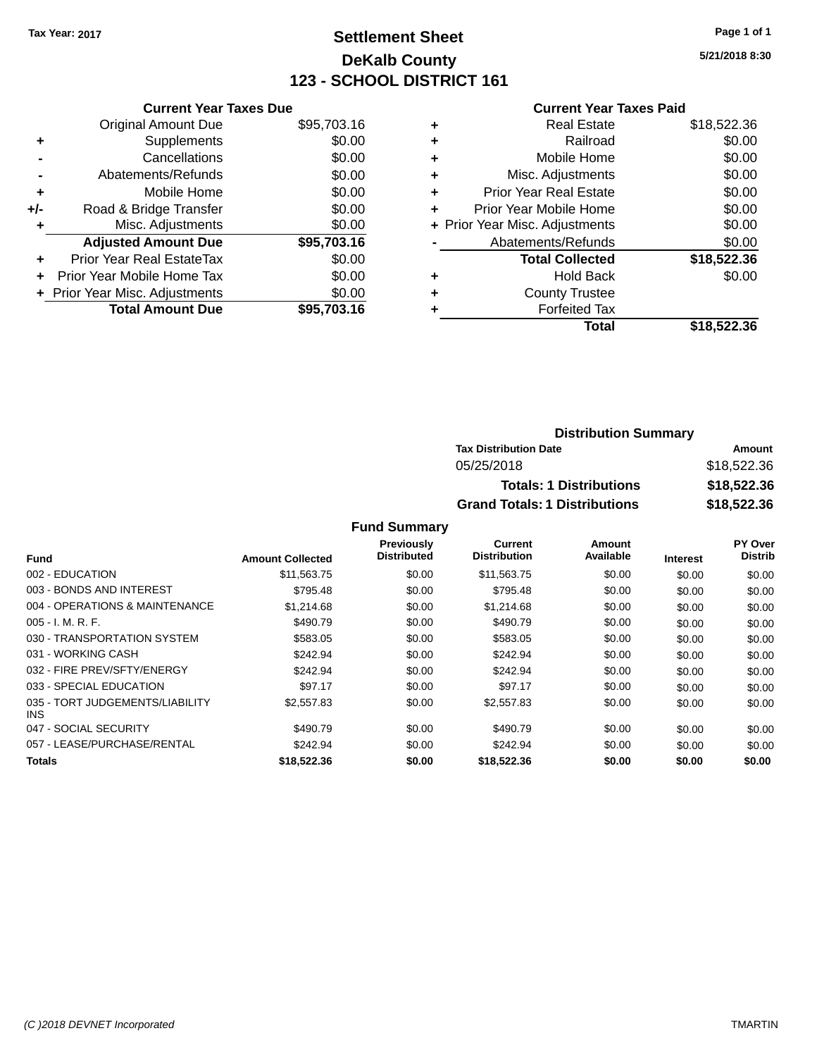# **Settlement Sheet Tax Year: 2017 Page 1 of 1 DeKalb County 123 - SCHOOL DISTRICT 161**

**5/21/2018 8:30**

## **Current Year Taxes Paid**

|     | <b>Current Year Taxes Due</b>  |             |  |  |  |
|-----|--------------------------------|-------------|--|--|--|
|     | <b>Original Amount Due</b>     | \$95,703.16 |  |  |  |
| ٠   | Supplements                    | \$0.00      |  |  |  |
|     | Cancellations                  | \$0.00      |  |  |  |
|     | Abatements/Refunds             | \$0.00      |  |  |  |
| ٠   | Mobile Home                    | \$0.00      |  |  |  |
| +/- | Road & Bridge Transfer         | \$0.00      |  |  |  |
|     | Misc. Adjustments              | \$0.00      |  |  |  |
|     | <b>Adjusted Amount Due</b>     | \$95,703.16 |  |  |  |
| ÷   | Prior Year Real EstateTax      | \$0.00      |  |  |  |
| ÷   | Prior Year Mobile Home Tax     | \$0.00      |  |  |  |
|     | + Prior Year Misc. Adjustments | \$0.00      |  |  |  |
|     | <b>Total Amount Due</b>        | \$95,703,16 |  |  |  |

| ٠ | <b>Real Estate</b>             | \$18,522.36 |
|---|--------------------------------|-------------|
| ٠ | Railroad                       | \$0.00      |
| ٠ | Mobile Home                    | \$0.00      |
| ٠ | Misc. Adjustments              | \$0.00      |
| ٠ | <b>Prior Year Real Estate</b>  | \$0.00      |
| ٠ | Prior Year Mobile Home         | \$0.00      |
|   | + Prior Year Misc. Adjustments | \$0.00      |
|   | Abatements/Refunds             | \$0.00      |
|   | <b>Total Collected</b>         | \$18,522.36 |
| ٠ | Hold Back                      | \$0.00      |
| ٠ | <b>County Trustee</b>          |             |
| ٠ | <b>Forfeited Tax</b>           |             |
|   | Total                          | \$18,522.36 |
|   |                                |             |

## **Distribution Summary Tax Distribution Date Amount** 05/25/2018 \$18,522.36 **Totals: 1 Distributions \$18,522.36 Grand Totals: 1 Distributions \$18,522.36**

|                                         |                         | Previously  | Current             | Amount    |                 | PY Over        |
|-----------------------------------------|-------------------------|-------------|---------------------|-----------|-----------------|----------------|
| <b>Fund</b>                             | <b>Amount Collected</b> | Distributed | <b>Distribution</b> | Available | <b>Interest</b> | <b>Distrib</b> |
| 002 - EDUCATION                         | \$11,563.75             | \$0.00      | \$11,563.75         | \$0.00    | \$0.00          | \$0.00         |
| 003 - BONDS AND INTEREST                | \$795.48                | \$0.00      | \$795.48            | \$0.00    | \$0.00          | \$0.00         |
| 004 - OPERATIONS & MAINTENANCE          | \$1,214.68              | \$0.00      | \$1,214.68          | \$0.00    | \$0.00          | \$0.00         |
| $005 - I. M. R. F.$                     | \$490.79                | \$0.00      | \$490.79            | \$0.00    | \$0.00          | \$0.00         |
| 030 - TRANSPORTATION SYSTEM             | \$583.05                | \$0.00      | \$583.05            | \$0.00    | \$0.00          | \$0.00         |
| 031 - WORKING CASH                      | \$242.94                | \$0.00      | \$242.94            | \$0.00    | \$0.00          | \$0.00         |
| 032 - FIRE PREV/SFTY/ENERGY             | \$242.94                | \$0.00      | \$242.94            | \$0.00    | \$0.00          | \$0.00         |
| 033 - SPECIAL EDUCATION                 | \$97.17                 | \$0.00      | \$97.17             | \$0.00    | \$0.00          | \$0.00         |
| 035 - TORT JUDGEMENTS/LIABILITY<br>INS. | \$2,557.83              | \$0.00      | \$2,557.83          | \$0.00    | \$0.00          | \$0.00         |
| 047 - SOCIAL SECURITY                   | \$490.79                | \$0.00      | \$490.79            | \$0.00    | \$0.00          | \$0.00         |
| 057 - LEASE/PURCHASE/RENTAL             | \$242.94                | \$0.00      | \$242.94            | \$0.00    | \$0.00          | \$0.00         |
| Totals                                  | \$18,522,36             | \$0.00      | \$18,522,36         | \$0.00    | \$0.00          | \$0.00         |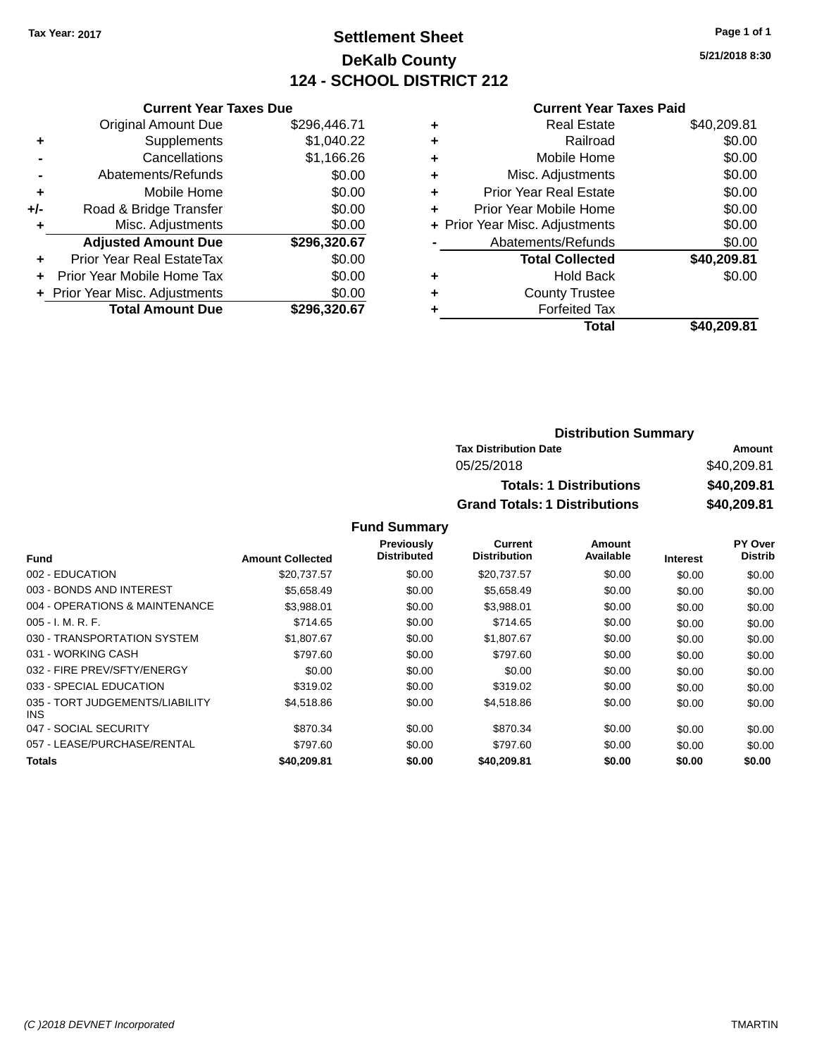# **Settlement Sheet Tax Year: 2017 Page 1 of 1 DeKalb County 124 - SCHOOL DISTRICT 212**

**5/21/2018 8:30**

### **Current Year Taxes Paid**

| \$296,446.71 |
|--------------|
| \$1,040.22   |
| \$1,166.26   |
| \$0.00       |
| \$0.00       |
| \$0.00       |
| \$0.00       |
| \$296,320.67 |
| \$0.00       |
| \$0.00       |
| \$0.00       |
| \$296.320.67 |
|              |

| ٠ | <b>Real Estate</b>             | \$40,209.81 |
|---|--------------------------------|-------------|
| ٠ | Railroad                       | \$0.00      |
| ٠ | Mobile Home                    | \$0.00      |
| ٠ | Misc. Adjustments              | \$0.00      |
| ٠ | <b>Prior Year Real Estate</b>  | \$0.00      |
| ٠ | Prior Year Mobile Home         | \$0.00      |
|   | + Prior Year Misc. Adjustments | \$0.00      |
|   | Abatements/Refunds             | \$0.00      |
|   | <b>Total Collected</b>         | \$40,209.81 |
| ٠ | Hold Back                      | \$0.00      |
| ٠ | <b>County Trustee</b>          |             |
| ٠ | <b>Forfeited Tax</b>           |             |
|   | Total                          | \$40.209.81 |
|   |                                |             |

| <b>Distribution Summary</b>          |             |
|--------------------------------------|-------------|
| <b>Tax Distribution Date</b>         | Amount      |
| 05/25/2018                           | \$40,209.81 |
| <b>Totals: 1 Distributions</b>       | \$40,209.81 |
| <b>Grand Totals: 1 Distributions</b> | \$40,209.81 |

|                                         |                         | Previously         | <b>Current</b>      | Amount    |                 | PY Over        |
|-----------------------------------------|-------------------------|--------------------|---------------------|-----------|-----------------|----------------|
| <b>Fund</b>                             | <b>Amount Collected</b> | <b>Distributed</b> | <b>Distribution</b> | Available | <b>Interest</b> | <b>Distrib</b> |
| 002 - EDUCATION                         | \$20,737.57             | \$0.00             | \$20,737.57         | \$0.00    | \$0.00          | \$0.00         |
| 003 - BONDS AND INTEREST                | \$5,658.49              | \$0.00             | \$5,658.49          | \$0.00    | \$0.00          | \$0.00         |
| 004 - OPERATIONS & MAINTENANCE          | \$3.988.01              | \$0.00             | \$3,988.01          | \$0.00    | \$0.00          | \$0.00         |
| $005 - I. M. R. F.$                     | \$714.65                | \$0.00             | \$714.65            | \$0.00    | \$0.00          | \$0.00         |
| 030 - TRANSPORTATION SYSTEM             | \$1,807.67              | \$0.00             | \$1,807.67          | \$0.00    | \$0.00          | \$0.00         |
| 031 - WORKING CASH                      | \$797.60                | \$0.00             | \$797.60            | \$0.00    | \$0.00          | \$0.00         |
| 032 - FIRE PREV/SFTY/ENERGY             | \$0.00                  | \$0.00             | \$0.00              | \$0.00    | \$0.00          | \$0.00         |
| 033 - SPECIAL EDUCATION                 | \$319.02                | \$0.00             | \$319.02            | \$0.00    | \$0.00          | \$0.00         |
| 035 - TORT JUDGEMENTS/LIABILITY<br>INS. | \$4,518.86              | \$0.00             | \$4,518.86          | \$0.00    | \$0.00          | \$0.00         |
| 047 - SOCIAL SECURITY                   | \$870.34                | \$0.00             | \$870.34            | \$0.00    | \$0.00          | \$0.00         |
| 057 - LEASE/PURCHASE/RENTAL             | \$797.60                | \$0.00             | \$797.60            | \$0.00    | \$0.00          | \$0.00         |
| Totals                                  | \$40,209.81             | \$0.00             | \$40,209.81         | \$0.00    | \$0.00          | \$0.00         |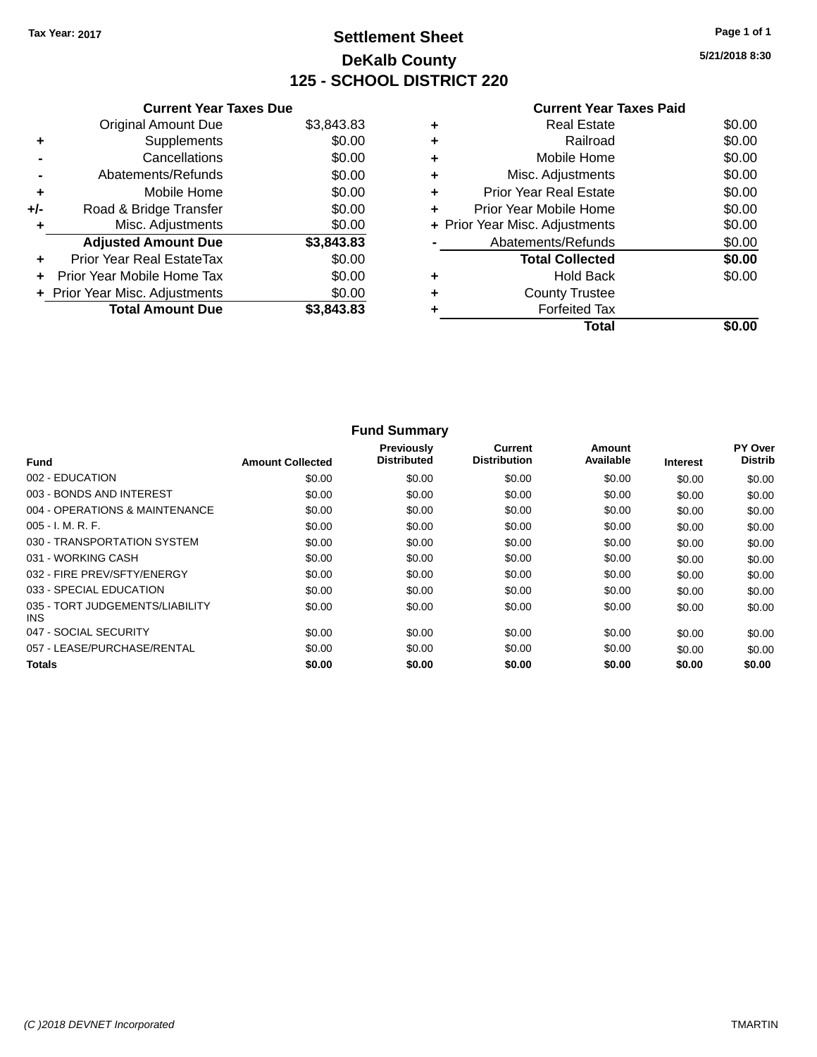# **Settlement Sheet Tax Year: 2017 Page 1 of 1 DeKalb County 125 - SCHOOL DISTRICT 220**

**5/21/2018 8:30**

|       | <b>Current Year Taxes Due</b>  |            |  |  |  |
|-------|--------------------------------|------------|--|--|--|
|       | <b>Original Amount Due</b>     | \$3,843.83 |  |  |  |
| ٠     | Supplements                    | \$0.00     |  |  |  |
|       | Cancellations                  | \$0.00     |  |  |  |
|       | Abatements/Refunds             | \$0.00     |  |  |  |
| ٠     | Mobile Home                    | \$0.00     |  |  |  |
| $+/-$ | Road & Bridge Transfer         | \$0.00     |  |  |  |
| ٠     | Misc. Adjustments              | \$0.00     |  |  |  |
|       | <b>Adjusted Amount Due</b>     | \$3,843.83 |  |  |  |
| ٠     | Prior Year Real EstateTax      | \$0.00     |  |  |  |
| ÷     | Prior Year Mobile Home Tax     | \$0.00     |  |  |  |
|       | + Prior Year Misc. Adjustments | \$0.00     |  |  |  |
|       | <b>Total Amount Due</b>        | \$3,843.83 |  |  |  |
|       |                                |            |  |  |  |

|   | Total                          |        |
|---|--------------------------------|--------|
|   | <b>Forfeited Tax</b>           |        |
| ٠ | <b>County Trustee</b>          |        |
| ٠ | <b>Hold Back</b>               | \$0.00 |
|   | <b>Total Collected</b>         | \$0.00 |
|   | Abatements/Refunds             | \$0.00 |
|   | + Prior Year Misc. Adjustments | \$0.00 |
| ٠ | Prior Year Mobile Home         | \$0.00 |
| ٠ | Prior Year Real Estate         | \$0.00 |
| ٠ | Misc. Adjustments              | \$0.00 |
| ٠ | Mobile Home                    | \$0.00 |
| ٠ | Railroad                       | \$0.00 |
| ٠ | <b>Real Estate</b>             | \$0.00 |

|                                         |                         | <b>Fund Summary</b>              |                                       |                     |                 |                           |
|-----------------------------------------|-------------------------|----------------------------------|---------------------------------------|---------------------|-----------------|---------------------------|
| <b>Fund</b>                             | <b>Amount Collected</b> | Previously<br><b>Distributed</b> | <b>Current</b><br><b>Distribution</b> | Amount<br>Available | <b>Interest</b> | PY Over<br><b>Distrib</b> |
| 002 - EDUCATION                         | \$0.00                  | \$0.00                           | \$0.00                                | \$0.00              | \$0.00          | \$0.00                    |
| 003 - BONDS AND INTEREST                | \$0.00                  | \$0.00                           | \$0.00                                | \$0.00              | \$0.00          | \$0.00                    |
| 004 - OPERATIONS & MAINTENANCE          | \$0.00                  | \$0.00                           | \$0.00                                | \$0.00              | \$0.00          | \$0.00                    |
| 005 - I. M. R. F.                       | \$0.00                  | \$0.00                           | \$0.00                                | \$0.00              | \$0.00          | \$0.00                    |
| 030 - TRANSPORTATION SYSTEM             | \$0.00                  | \$0.00                           | \$0.00                                | \$0.00              | \$0.00          | \$0.00                    |
| 031 - WORKING CASH                      | \$0.00                  | \$0.00                           | \$0.00                                | \$0.00              | \$0.00          | \$0.00                    |
| 032 - FIRE PREV/SFTY/ENERGY             | \$0.00                  | \$0.00                           | \$0.00                                | \$0.00              | \$0.00          | \$0.00                    |
| 033 - SPECIAL EDUCATION                 | \$0.00                  | \$0.00                           | \$0.00                                | \$0.00              | \$0.00          | \$0.00                    |
| 035 - TORT JUDGEMENTS/LIABILITY<br>INS. | \$0.00                  | \$0.00                           | \$0.00                                | \$0.00              | \$0.00          | \$0.00                    |
| 047 - SOCIAL SECURITY                   | \$0.00                  | \$0.00                           | \$0.00                                | \$0.00              | \$0.00          | \$0.00                    |
| 057 - LEASE/PURCHASE/RENTAL             | \$0.00                  | \$0.00                           | \$0.00                                | \$0.00              | \$0.00          | \$0.00                    |
| <b>Totals</b>                           | \$0.00                  | \$0.00                           | \$0.00                                | \$0.00              | \$0.00          | \$0.00                    |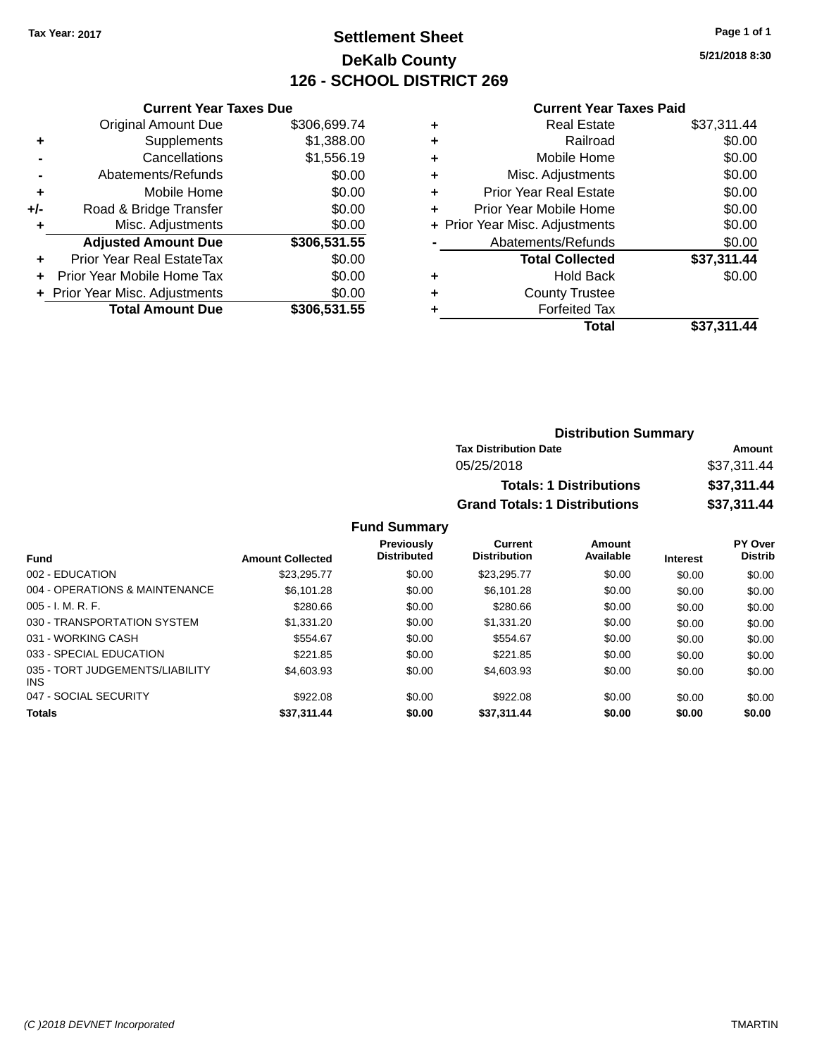## **Settlement Sheet Tax Year: 2017 Page 1 of 1 DeKalb County 126 - SCHOOL DISTRICT 269**

**5/21/2018 8:30**

#### **Current Year Taxes Paid**

|     | <b>Current Year Taxes Due</b>  |              |  |  |  |
|-----|--------------------------------|--------------|--|--|--|
|     | <b>Original Amount Due</b>     | \$306,699.74 |  |  |  |
| ٠   | Supplements                    | \$1,388.00   |  |  |  |
|     | Cancellations                  | \$1,556.19   |  |  |  |
|     | Abatements/Refunds             | \$0.00       |  |  |  |
| ٠   | Mobile Home                    | \$0.00       |  |  |  |
| +/- | Road & Bridge Transfer         | \$0.00       |  |  |  |
|     | Misc. Adjustments              | \$0.00       |  |  |  |
|     | <b>Adjusted Amount Due</b>     | \$306,531.55 |  |  |  |
| ÷   | Prior Year Real EstateTax      | \$0.00       |  |  |  |
|     | Prior Year Mobile Home Tax     | \$0.00       |  |  |  |
|     | + Prior Year Misc. Adjustments | \$0.00       |  |  |  |
|     | <b>Total Amount Due</b>        | \$306,531.55 |  |  |  |

|   | Total                          | \$37,311.44 |
|---|--------------------------------|-------------|
| ٠ | <b>Forfeited Tax</b>           |             |
| ٠ | <b>County Trustee</b>          |             |
| ٠ | <b>Hold Back</b>               | \$0.00      |
|   | <b>Total Collected</b>         | \$37,311.44 |
|   | Abatements/Refunds             | \$0.00      |
|   | + Prior Year Misc. Adjustments | \$0.00      |
| ٠ | Prior Year Mobile Home         | \$0.00      |
| ÷ | <b>Prior Year Real Estate</b>  | \$0.00      |
| ٠ | Misc. Adjustments              | \$0.00      |
| ÷ | Mobile Home                    | \$0.00      |
| ٠ | Railroad                       | \$0.00      |
| ٠ | <b>Real Estate</b>             | \$37,311.44 |
|   |                                |             |

| <b>Distribution Summary</b>          |             |
|--------------------------------------|-------------|
| <b>Tax Distribution Date</b>         | Amount      |
| 05/25/2018                           | \$37,311.44 |
| <b>Totals: 1 Distributions</b>       | \$37,311.44 |
| <b>Grand Totals: 1 Distributions</b> | \$37,311.44 |

| <b>Fund</b>                             | <b>Amount Collected</b> | <b>Previously</b><br><b>Distributed</b> | Current<br><b>Distribution</b> | Amount<br>Available | <b>Interest</b> | <b>PY Over</b><br><b>Distrib</b> |
|-----------------------------------------|-------------------------|-----------------------------------------|--------------------------------|---------------------|-----------------|----------------------------------|
| 002 - EDUCATION                         | \$23,295.77             | \$0.00                                  | \$23.295.77                    | \$0.00              | \$0.00          | \$0.00                           |
| 004 - OPERATIONS & MAINTENANCE          | \$6,101.28              | \$0.00                                  | \$6.101.28                     | \$0.00              | \$0.00          | \$0.00                           |
| $005 - I. M. R. F.$                     | \$280.66                | \$0.00                                  | \$280.66                       | \$0.00              | \$0.00          | \$0.00                           |
| 030 - TRANSPORTATION SYSTEM             | \$1,331.20              | \$0.00                                  | \$1,331,20                     | \$0.00              | \$0.00          | \$0.00                           |
| 031 - WORKING CASH                      | \$554.67                | \$0.00                                  | \$554.67                       | \$0.00              | \$0.00          | \$0.00                           |
| 033 - SPECIAL EDUCATION                 | \$221.85                | \$0.00                                  | \$221.85                       | \$0.00              | \$0.00          | \$0.00                           |
| 035 - TORT JUDGEMENTS/LIABILITY<br>INS. | \$4,603.93              | \$0.00                                  | \$4,603.93                     | \$0.00              | \$0.00          | \$0.00                           |
| 047 - SOCIAL SECURITY                   | \$922.08                | \$0.00                                  | \$922.08                       | \$0.00              | \$0.00          | \$0.00                           |
| <b>Totals</b>                           | \$37.311.44             | \$0.00                                  | \$37.311.44                    | \$0.00              | \$0.00          | \$0.00                           |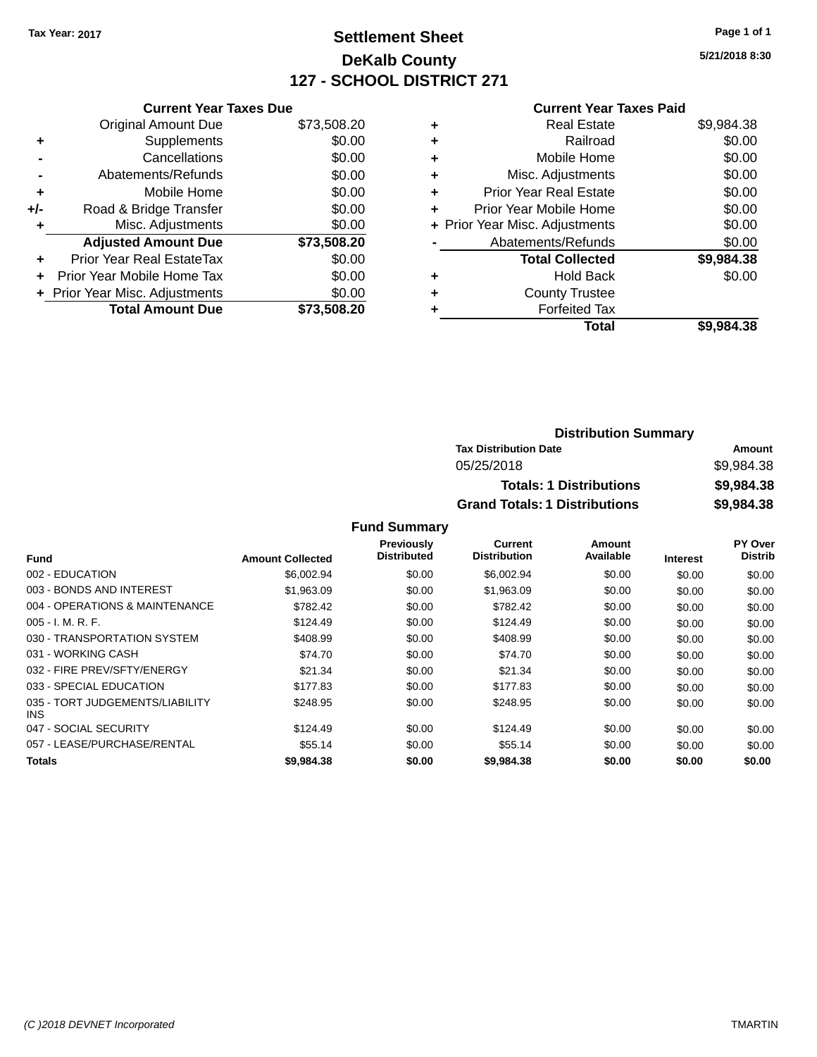## **Settlement Sheet Tax Year: 2017 Page 1 of 1 DeKalb County 127 - SCHOOL DISTRICT 271**

**5/21/2018 8:30**

#### **Current Year Taxes Paid**

|     | <b>Current Year Taxes Due</b>  |             |
|-----|--------------------------------|-------------|
|     | <b>Original Amount Due</b>     | \$73,508.20 |
| ÷   | Supplements                    | \$0.00      |
|     | Cancellations                  | \$0.00      |
|     | Abatements/Refunds             | \$0.00      |
| ٠   | Mobile Home                    | \$0.00      |
| +/- | Road & Bridge Transfer         | \$0.00      |
| ٠   | Misc. Adjustments              | \$0.00      |
|     | <b>Adjusted Amount Due</b>     | \$73,508.20 |
| ٠   | Prior Year Real EstateTax      | \$0.00      |
|     | Prior Year Mobile Home Tax     | \$0.00      |
|     | + Prior Year Misc. Adjustments | \$0.00      |
|     | <b>Total Amount Due</b>        | \$73.508.20 |
|     |                                |             |

|   | <b>Real Estate</b>             | \$9,984.38 |
|---|--------------------------------|------------|
| ٠ | Railroad                       | \$0.00     |
| ٠ | Mobile Home                    | \$0.00     |
| ٠ | Misc. Adjustments              | \$0.00     |
| ٠ | <b>Prior Year Real Estate</b>  | \$0.00     |
| ٠ | Prior Year Mobile Home         | \$0.00     |
|   | + Prior Year Misc. Adjustments | \$0.00     |
|   | Abatements/Refunds             | \$0.00     |
|   | <b>Total Collected</b>         | \$9,984.38 |
| ٠ | <b>Hold Back</b>               | \$0.00     |
| ٠ | <b>County Trustee</b>          |            |
| ٠ | <b>Forfeited Tax</b>           |            |
|   | Total                          | \$9,984.38 |
|   |                                |            |

| <b>Distribution Summary</b>          |            |
|--------------------------------------|------------|
| <b>Tax Distribution Date</b>         | Amount     |
| 05/25/2018                           | \$9,984.38 |
| <b>Totals: 1 Distributions</b>       | \$9,984.38 |
| <b>Grand Totals: 1 Distributions</b> | \$9,984.38 |

|                                               |                         | Previously         | Current             | Amount    |                 | PY Over        |
|-----------------------------------------------|-------------------------|--------------------|---------------------|-----------|-----------------|----------------|
| <b>Fund</b>                                   | <b>Amount Collected</b> | <b>Distributed</b> | <b>Distribution</b> | Available | <b>Interest</b> | <b>Distrib</b> |
| 002 - EDUCATION                               | \$6,002.94              | \$0.00             | \$6,002.94          | \$0.00    | \$0.00          | \$0.00         |
| 003 - BONDS AND INTEREST                      | \$1.963.09              | \$0.00             | \$1,963.09          | \$0.00    | \$0.00          | \$0.00         |
| 004 - OPERATIONS & MAINTENANCE                | \$782.42                | \$0.00             | \$782.42            | \$0.00    | \$0.00          | \$0.00         |
| $005 - I. M. R. F.$                           | \$124.49                | \$0.00             | \$124.49            | \$0.00    | \$0.00          | \$0.00         |
| 030 - TRANSPORTATION SYSTEM                   | \$408.99                | \$0.00             | \$408.99            | \$0.00    | \$0.00          | \$0.00         |
| 031 - WORKING CASH                            | \$74.70                 | \$0.00             | \$74.70             | \$0.00    | \$0.00          | \$0.00         |
| 032 - FIRE PREV/SFTY/ENERGY                   | \$21.34                 | \$0.00             | \$21.34             | \$0.00    | \$0.00          | \$0.00         |
| 033 - SPECIAL EDUCATION                       | \$177.83                | \$0.00             | \$177.83            | \$0.00    | \$0.00          | \$0.00         |
| 035 - TORT JUDGEMENTS/LIABILITY<br><b>INS</b> | \$248.95                | \$0.00             | \$248.95            | \$0.00    | \$0.00          | \$0.00         |
| 047 - SOCIAL SECURITY                         | \$124.49                | \$0.00             | \$124.49            | \$0.00    | \$0.00          | \$0.00         |
| 057 - LEASE/PURCHASE/RENTAL                   | \$55.14                 | \$0.00             | \$55.14             | \$0.00    | \$0.00          | \$0.00         |
| Totals                                        | \$9,984,38              | \$0.00             | \$9,984,38          | \$0.00    | \$0.00          | \$0.00         |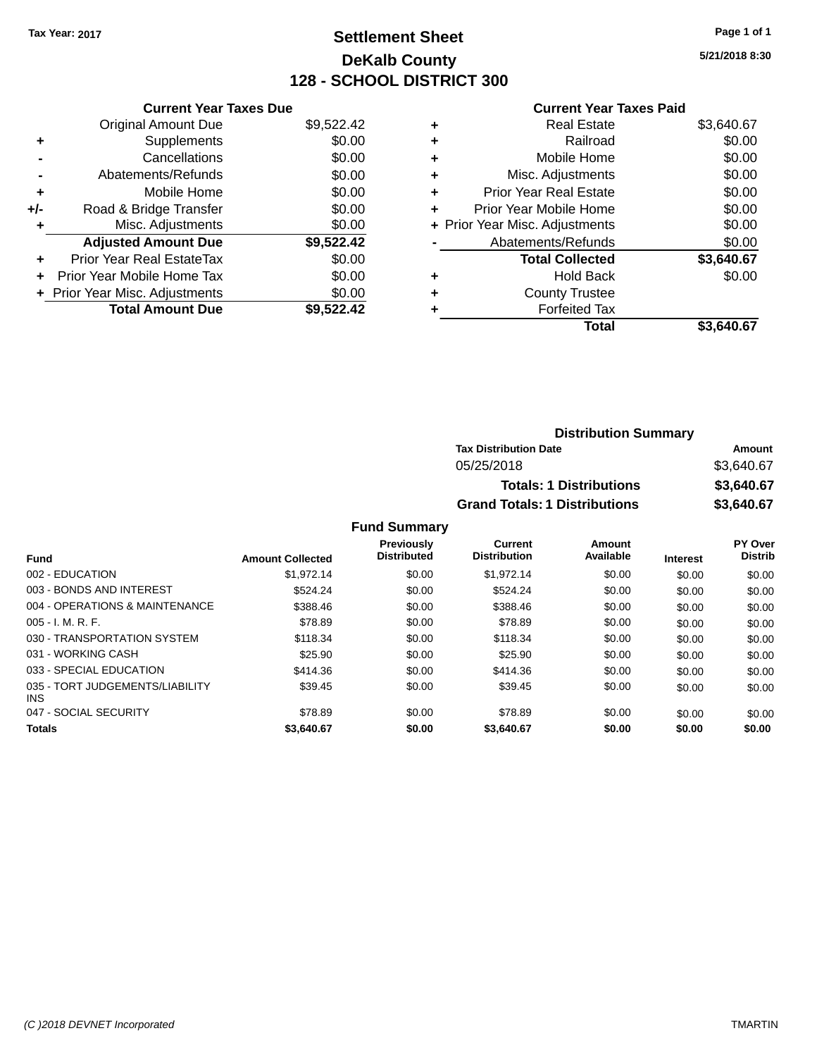## **Settlement Sheet Tax Year: 2017 Page 1 of 1 DeKalb County 128 - SCHOOL DISTRICT 300**

**5/21/2018 8:30**

#### **Current Year Taxes Paid**

| \$9,522.42 |
|------------|
| \$0.00     |
| \$0.00     |
| \$0.00     |
| \$0.00     |
| \$0.00     |
| \$0.00     |
| \$9,522.42 |
| \$0.00     |
| \$0.00     |
| \$0.00     |
| \$9,522.42 |
|            |

| ٠ | <b>Real Estate</b>             | \$3,640.67 |
|---|--------------------------------|------------|
| ٠ | Railroad                       | \$0.00     |
| ٠ | Mobile Home                    | \$0.00     |
| ٠ | Misc. Adjustments              | \$0.00     |
| ٠ | <b>Prior Year Real Estate</b>  | \$0.00     |
| ٠ | Prior Year Mobile Home         | \$0.00     |
|   | + Prior Year Misc. Adjustments | \$0.00     |
|   | Abatements/Refunds             | \$0.00     |
|   | <b>Total Collected</b>         | \$3,640.67 |
| ٠ | <b>Hold Back</b>               | \$0.00     |
| ٠ | <b>County Trustee</b>          |            |
|   | <b>Forfeited Tax</b>           |            |
|   | Total                          | \$3.640.67 |
|   |                                |            |

| <b>Distribution Summary</b>          |            |
|--------------------------------------|------------|
| <b>Tax Distribution Date</b>         | Amount     |
| 05/25/2018                           | \$3.640.67 |
| <b>Totals: 1 Distributions</b>       | \$3,640.67 |
| <b>Grand Totals: 1 Distributions</b> | \$3,640.67 |

| <b>Fund</b>                                   | <b>Amount Collected</b> | <b>Previously</b><br><b>Distributed</b> | <b>Current</b><br><b>Distribution</b> | Amount<br>Available | <b>Interest</b> | PY Over<br><b>Distrib</b> |
|-----------------------------------------------|-------------------------|-----------------------------------------|---------------------------------------|---------------------|-----------------|---------------------------|
|                                               |                         |                                         |                                       |                     |                 |                           |
| 002 - EDUCATION                               | \$1.972.14              | \$0.00                                  | \$1.972.14                            | \$0.00              | \$0.00          | \$0.00                    |
| 003 - BONDS AND INTEREST                      | \$524.24                | \$0.00                                  | \$524.24                              | \$0.00              | \$0.00          | \$0.00                    |
| 004 - OPERATIONS & MAINTENANCE                | \$388.46                | \$0.00                                  | \$388.46                              | \$0.00              | \$0.00          | \$0.00                    |
| $005 - I. M. R. F.$                           | \$78.89                 | \$0.00                                  | \$78.89                               | \$0.00              | \$0.00          | \$0.00                    |
| 030 - TRANSPORTATION SYSTEM                   | \$118.34                | \$0.00                                  | \$118.34                              | \$0.00              | \$0.00          | \$0.00                    |
| 031 - WORKING CASH                            | \$25.90                 | \$0.00                                  | \$25.90                               | \$0.00              | \$0.00          | \$0.00                    |
| 033 - SPECIAL EDUCATION                       | \$414.36                | \$0.00                                  | \$414.36                              | \$0.00              | \$0.00          | \$0.00                    |
| 035 - TORT JUDGEMENTS/LIABILITY<br><b>INS</b> | \$39.45                 | \$0.00                                  | \$39.45                               | \$0.00              | \$0.00          | \$0.00                    |
| 047 - SOCIAL SECURITY                         | \$78.89                 | \$0.00                                  | \$78.89                               | \$0.00              | \$0.00          | \$0.00                    |
| <b>Totals</b>                                 | \$3,640.67              | \$0.00                                  | \$3,640.67                            | \$0.00              | \$0.00          | \$0.00                    |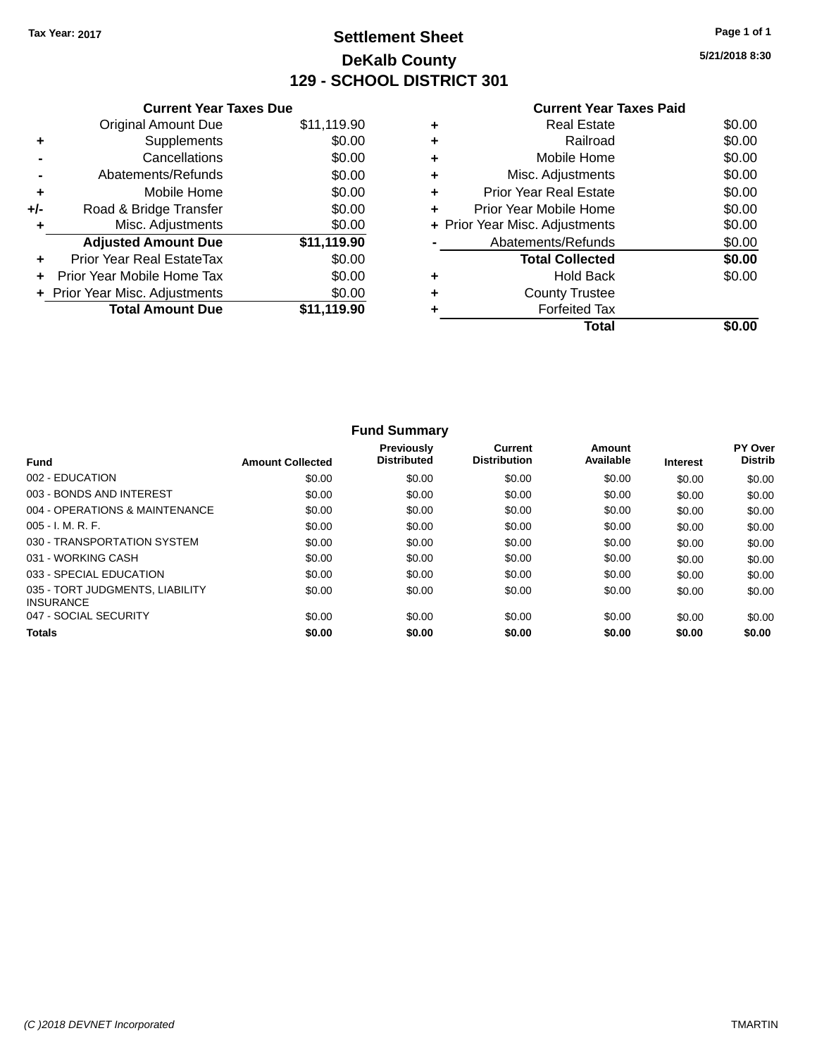## **Settlement Sheet Tax Year: 2017 Page 1 of 1 DeKalb County 129 - SCHOOL DISTRICT 301**

**5/21/2018 8:30**

|       | <b>Current Year Taxes Due</b>  |             |  |  |  |
|-------|--------------------------------|-------------|--|--|--|
|       | <b>Original Amount Due</b>     | \$11,119.90 |  |  |  |
| ٠     | Supplements                    | \$0.00      |  |  |  |
|       | Cancellations                  | \$0.00      |  |  |  |
|       | Abatements/Refunds             | \$0.00      |  |  |  |
| ٠     | Mobile Home                    | \$0.00      |  |  |  |
| $+/-$ | Road & Bridge Transfer         | \$0.00      |  |  |  |
|       | Misc. Adjustments              | \$0.00      |  |  |  |
|       | <b>Adjusted Amount Due</b>     | \$11,119.90 |  |  |  |
| ÷     | Prior Year Real EstateTax      | \$0.00      |  |  |  |
|       | Prior Year Mobile Home Tax     | \$0.00      |  |  |  |
|       | + Prior Year Misc. Adjustments | \$0.00      |  |  |  |
|       | <b>Total Amount Due</b>        | \$11,119.90 |  |  |  |
|       |                                |             |  |  |  |

## **Current Year Taxes Paid +** Real Estate \$0.00 **+** Railroad \$0.00

|           | Total                          |        |
|-----------|--------------------------------|--------|
|           | <b>Forfeited Tax</b>           |        |
| ÷         | <b>County Trustee</b>          |        |
| ÷         | <b>Hold Back</b>               | \$0.00 |
|           | <b>Total Collected</b>         | \$0.00 |
|           | Abatements/Refunds             | \$0.00 |
|           | + Prior Year Misc. Adjustments | \$0.00 |
| ÷         | Prior Year Mobile Home         | \$0.00 |
| ÷         | <b>Prior Year Real Estate</b>  | \$0.00 |
| $\ddot{}$ | Misc. Adjustments              | \$0.00 |
| $\ddot{}$ | Mobile Home                    | \$0.00 |
|           |                                |        |

|                                                     |                         | <b>Fund Summary</b>                     |                                |                     |                 |                                  |
|-----------------------------------------------------|-------------------------|-----------------------------------------|--------------------------------|---------------------|-----------------|----------------------------------|
| <b>Fund</b>                                         | <b>Amount Collected</b> | <b>Previously</b><br><b>Distributed</b> | Current<br><b>Distribution</b> | Amount<br>Available | <b>Interest</b> | <b>PY Over</b><br><b>Distrib</b> |
| 002 - EDUCATION                                     | \$0.00                  | \$0.00                                  | \$0.00                         | \$0.00              | \$0.00          | \$0.00                           |
| 003 - BONDS AND INTEREST                            | \$0.00                  | \$0.00                                  | \$0.00                         | \$0.00              | \$0.00          | \$0.00                           |
| 004 - OPERATIONS & MAINTENANCE                      | \$0.00                  | \$0.00                                  | \$0.00                         | \$0.00              | \$0.00          | \$0.00                           |
| $005 - I. M. R. F.$                                 | \$0.00                  | \$0.00                                  | \$0.00                         | \$0.00              | \$0.00          | \$0.00                           |
| 030 - TRANSPORTATION SYSTEM                         | \$0.00                  | \$0.00                                  | \$0.00                         | \$0.00              | \$0.00          | \$0.00                           |
| 031 - WORKING CASH                                  | \$0.00                  | \$0.00                                  | \$0.00                         | \$0.00              | \$0.00          | \$0.00                           |
| 033 - SPECIAL EDUCATION                             | \$0.00                  | \$0.00                                  | \$0.00                         | \$0.00              | \$0.00          | \$0.00                           |
| 035 - TORT JUDGMENTS, LIABILITY<br><b>INSURANCE</b> | \$0.00                  | \$0.00                                  | \$0.00                         | \$0.00              | \$0.00          | \$0.00                           |
| 047 - SOCIAL SECURITY                               | \$0.00                  | \$0.00                                  | \$0.00                         | \$0.00              | \$0.00          | \$0.00                           |
| <b>Totals</b>                                       | \$0.00                  | \$0.00                                  | \$0.00                         | \$0.00              | \$0.00          | \$0.00                           |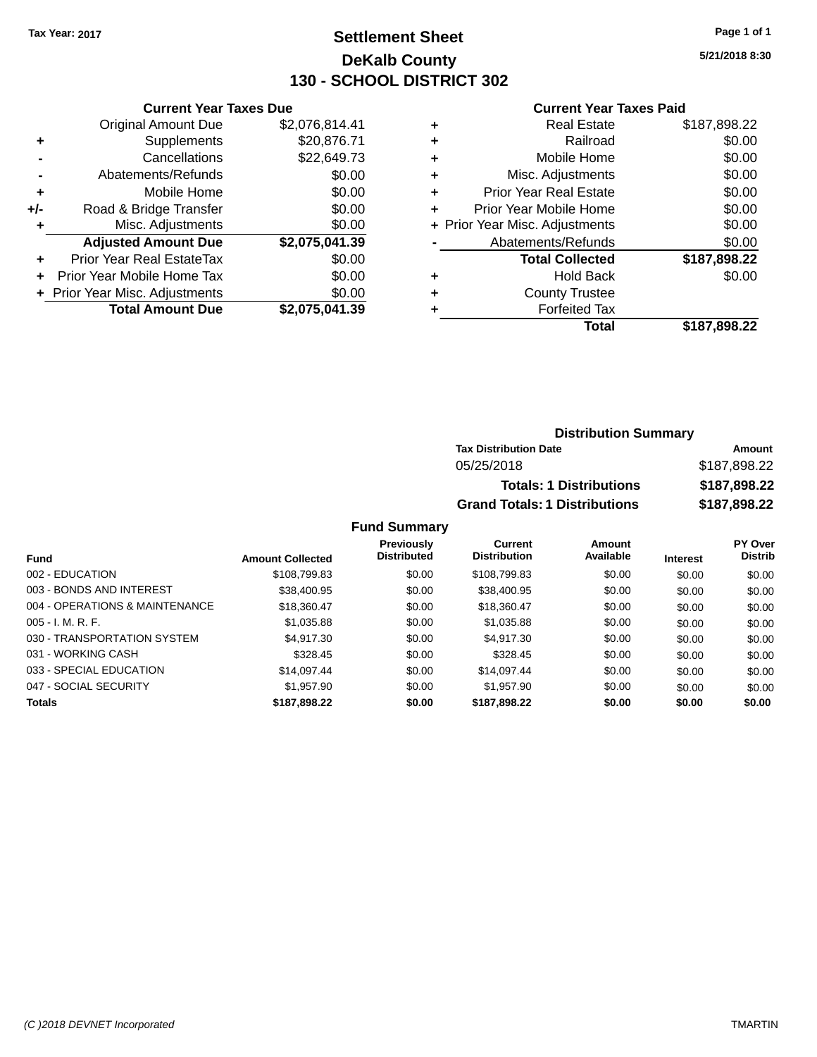## **Settlement Sheet Tax Year: 2017 Page 1 of 1 DeKalb County 130 - SCHOOL DISTRICT 302**

**5/21/2018 8:30**

#### **Current Year Taxes Paid**

|     | <b>Current Year Taxes Due</b>                |                |  |  |  |
|-----|----------------------------------------------|----------------|--|--|--|
|     | <b>Original Amount Due</b><br>\$2,076,814.41 |                |  |  |  |
| ٠   | Supplements                                  | \$20,876.71    |  |  |  |
|     | Cancellations                                | \$22,649.73    |  |  |  |
|     | Abatements/Refunds                           | \$0.00         |  |  |  |
| ٠   | \$0.00<br>Mobile Home                        |                |  |  |  |
| +/- | Road & Bridge Transfer                       | \$0.00         |  |  |  |
| ٠   | Misc. Adjustments                            | \$0.00         |  |  |  |
|     | <b>Adjusted Amount Due</b>                   | \$2,075,041.39 |  |  |  |
| ٠   | <b>Prior Year Real EstateTax</b>             | \$0.00         |  |  |  |
|     | Prior Year Mobile Home Tax                   | \$0.00         |  |  |  |
|     | + Prior Year Misc. Adjustments               | \$0.00         |  |  |  |
|     | <b>Total Amount Due</b>                      | \$2.075.041.39 |  |  |  |

|   | <b>Real Estate</b>             | \$187,898.22 |
|---|--------------------------------|--------------|
| ٠ | Railroad                       | \$0.00       |
| ٠ | Mobile Home                    | \$0.00       |
| ٠ | Misc. Adjustments              | \$0.00       |
| ٠ | <b>Prior Year Real Estate</b>  | \$0.00       |
| ٠ | Prior Year Mobile Home         | \$0.00       |
|   | + Prior Year Misc. Adjustments | \$0.00       |
|   | Abatements/Refunds             | \$0.00       |
|   | <b>Total Collected</b>         | \$187,898.22 |
| ٠ | <b>Hold Back</b>               | \$0.00       |
| ٠ | <b>County Trustee</b>          |              |
| ٠ | <b>Forfeited Tax</b>           |              |
|   | Total                          | \$187,898.22 |
|   |                                |              |

#### **Distribution Summary Tax Distribution Date Amount** 05/25/2018 \$187,898.22 **Totals: 1 Distributions \$187,898.22 Grand Totals: 1 Distributions \$187,898.22**

| <b>Fund</b>                    | <b>Amount Collected</b> | <b>Previously</b><br><b>Distributed</b> | Current<br><b>Distribution</b> | Amount<br>Available | <b>Interest</b> | <b>PY Over</b><br><b>Distrib</b> |
|--------------------------------|-------------------------|-----------------------------------------|--------------------------------|---------------------|-----------------|----------------------------------|
| 002 - EDUCATION                | \$108,799.83            | \$0.00                                  | \$108,799.83                   | \$0.00              | \$0.00          | \$0.00                           |
| 003 - BONDS AND INTEREST       | \$38,400.95             | \$0.00                                  | \$38,400.95                    | \$0.00              | \$0.00          | \$0.00                           |
| 004 - OPERATIONS & MAINTENANCE | \$18,360.47             | \$0.00                                  | \$18,360.47                    | \$0.00              | \$0.00          | \$0.00                           |
| $005 - I. M. R. F.$            | \$1,035.88              | \$0.00                                  | \$1,035.88                     | \$0.00              | \$0.00          | \$0.00                           |
| 030 - TRANSPORTATION SYSTEM    | \$4,917.30              | \$0.00                                  | \$4,917.30                     | \$0.00              | \$0.00          | \$0.00                           |
| 031 - WORKING CASH             | \$328.45                | \$0.00                                  | \$328.45                       | \$0.00              | \$0.00          | \$0.00                           |
| 033 - SPECIAL EDUCATION        | \$14,097.44             | \$0.00                                  | \$14,097.44                    | \$0.00              | \$0.00          | \$0.00                           |
| 047 - SOCIAL SECURITY          | \$1.957.90              | \$0.00                                  | \$1,957.90                     | \$0.00              | \$0.00          | \$0.00                           |
| <b>Totals</b>                  | \$187,898.22            | \$0.00                                  | \$187,898.22                   | \$0.00              | \$0.00          | \$0.00                           |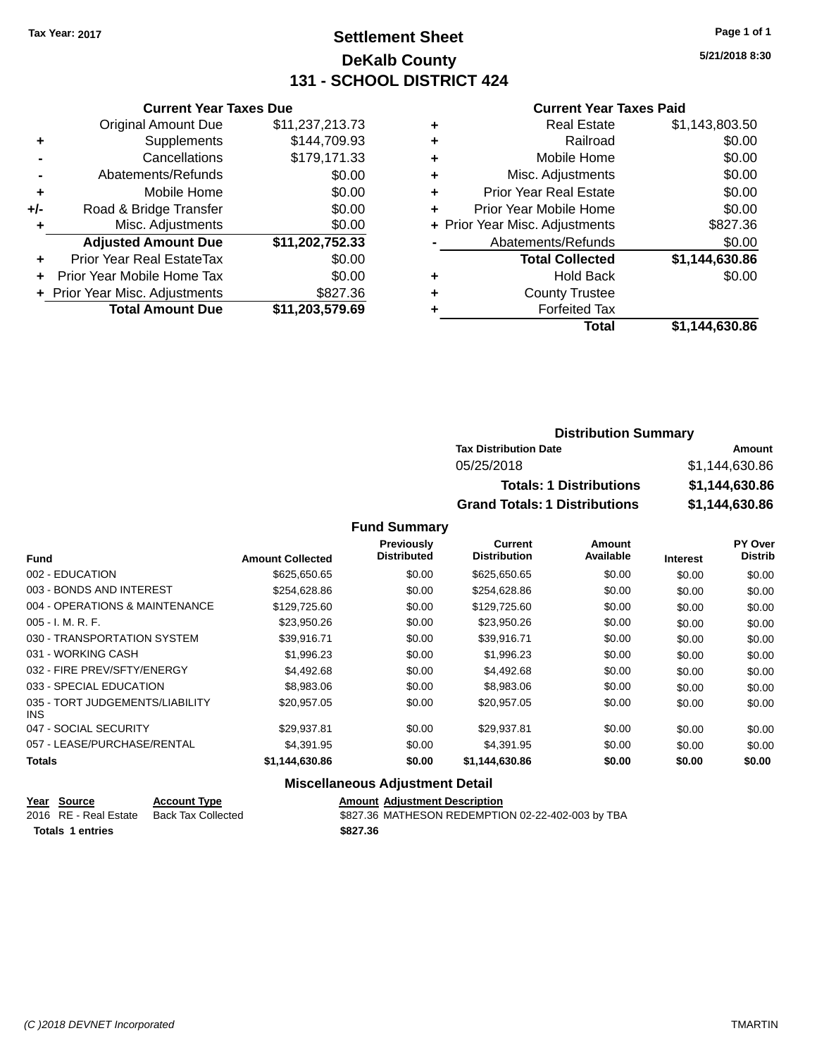## **Settlement Sheet Tax Year: 2017 Page 1 of 1 DeKalb County 131 - SCHOOL DISTRICT 424**

**5/21/2018 8:30**

#### **Current Year Taxes Paid**

| <b>Current Year Taxes Due</b>              |                 |  |  |  |
|--------------------------------------------|-----------------|--|--|--|
| <b>Original Amount Due</b>                 | \$11,237,213.73 |  |  |  |
| Supplements                                | \$144,709.93    |  |  |  |
| Cancellations                              | \$179,171.33    |  |  |  |
| Abatements/Refunds                         | \$0.00          |  |  |  |
| Mobile Home                                | \$0.00          |  |  |  |
| Road & Bridge Transfer                     | \$0.00          |  |  |  |
| \$0.00<br>Misc. Adjustments<br>٠           |                 |  |  |  |
| <b>Adjusted Amount Due</b>                 | \$11,202,752.33 |  |  |  |
| Prior Year Real EstateTax                  | \$0.00          |  |  |  |
| Prior Year Mobile Home Tax                 | \$0.00          |  |  |  |
| \$827.36<br>+ Prior Year Misc. Adjustments |                 |  |  |  |
| <b>Total Amount Due</b>                    | \$11,203,579.69 |  |  |  |
|                                            |                 |  |  |  |

| ٠ | <b>Real Estate</b>             | \$1,143,803.50 |
|---|--------------------------------|----------------|
| ٠ | Railroad                       | \$0.00         |
| ٠ | Mobile Home                    | \$0.00         |
| ٠ | Misc. Adjustments              | \$0.00         |
| ٠ | <b>Prior Year Real Estate</b>  | \$0.00         |
| ٠ | Prior Year Mobile Home         | \$0.00         |
|   | + Prior Year Misc. Adjustments | \$827.36       |
|   | Abatements/Refunds             | \$0.00         |
|   | <b>Total Collected</b>         | \$1,144,630.86 |
| ٠ | <b>Hold Back</b>               | \$0.00         |
| ٠ | <b>County Trustee</b>          |                |
| ٠ | <b>Forfeited Tax</b>           |                |
|   | Total                          | \$1,144,630.86 |
|   |                                |                |

#### **Distribution Summary Tax Distribution Date Amount** 05/25/2018 \$1,144,630.86 **Totals: 1 Distributions \$1,144,630.86 Grand Totals: 1 Distributions \$1,144,630.86**

#### **Fund Summary**

|                                         |                         | Previously         | <b>Current</b>      | Amount    |                 | <b>PY Over</b> |
|-----------------------------------------|-------------------------|--------------------|---------------------|-----------|-----------------|----------------|
| <b>Fund</b>                             | <b>Amount Collected</b> | <b>Distributed</b> | <b>Distribution</b> | Available | <b>Interest</b> | <b>Distrib</b> |
| 002 - EDUCATION                         | \$625,650.65            | \$0.00             | \$625,650.65        | \$0.00    | \$0.00          | \$0.00         |
| 003 - BONDS AND INTEREST                | \$254,628.86            | \$0.00             | \$254,628.86        | \$0.00    | \$0.00          | \$0.00         |
| 004 - OPERATIONS & MAINTENANCE          | \$129,725.60            | \$0.00             | \$129,725.60        | \$0.00    | \$0.00          | \$0.00         |
| $005 - I. M. R. F.$                     | \$23,950.26             | \$0.00             | \$23,950.26         | \$0.00    | \$0.00          | \$0.00         |
| 030 - TRANSPORTATION SYSTEM             | \$39.916.71             | \$0.00             | \$39.916.71         | \$0.00    | \$0.00          | \$0.00         |
| 031 - WORKING CASH                      | \$1.996.23              | \$0.00             | \$1,996.23          | \$0.00    | \$0.00          | \$0.00         |
| 032 - FIRE PREV/SFTY/ENERGY             | \$4.492.68              | \$0.00             | \$4,492.68          | \$0.00    | \$0.00          | \$0.00         |
| 033 - SPECIAL EDUCATION                 | \$8,983.06              | \$0.00             | \$8,983.06          | \$0.00    | \$0.00          | \$0.00         |
| 035 - TORT JUDGEMENTS/LIABILITY<br>INS. | \$20,957.05             | \$0.00             | \$20.957.05         | \$0.00    | \$0.00          | \$0.00         |
| 047 - SOCIAL SECURITY                   | \$29.937.81             | \$0.00             | \$29,937.81         | \$0.00    | \$0.00          | \$0.00         |
| 057 - LEASE/PURCHASE/RENTAL             | \$4.391.95              | \$0.00             | \$4.391.95          | \$0.00    | \$0.00          | \$0.00         |
| <b>Totals</b>                           | \$1,144,630.86          | \$0.00             | \$1,144,630.86      | \$0.00    | \$0.00          | \$0.00         |

#### **Miscellaneous Adjustment Detail**

|                  | Year Source           | <b>Account Type</b> | <b>Amount Adjustment Description</b>              |
|------------------|-----------------------|---------------------|---------------------------------------------------|
|                  | 2016 RE - Real Estate | Back Tax Collected  | \$827.36 MATHESON REDEMPTION 02-22-402-003 by TBA |
| Totals 1 entries |                       |                     | \$827.36                                          |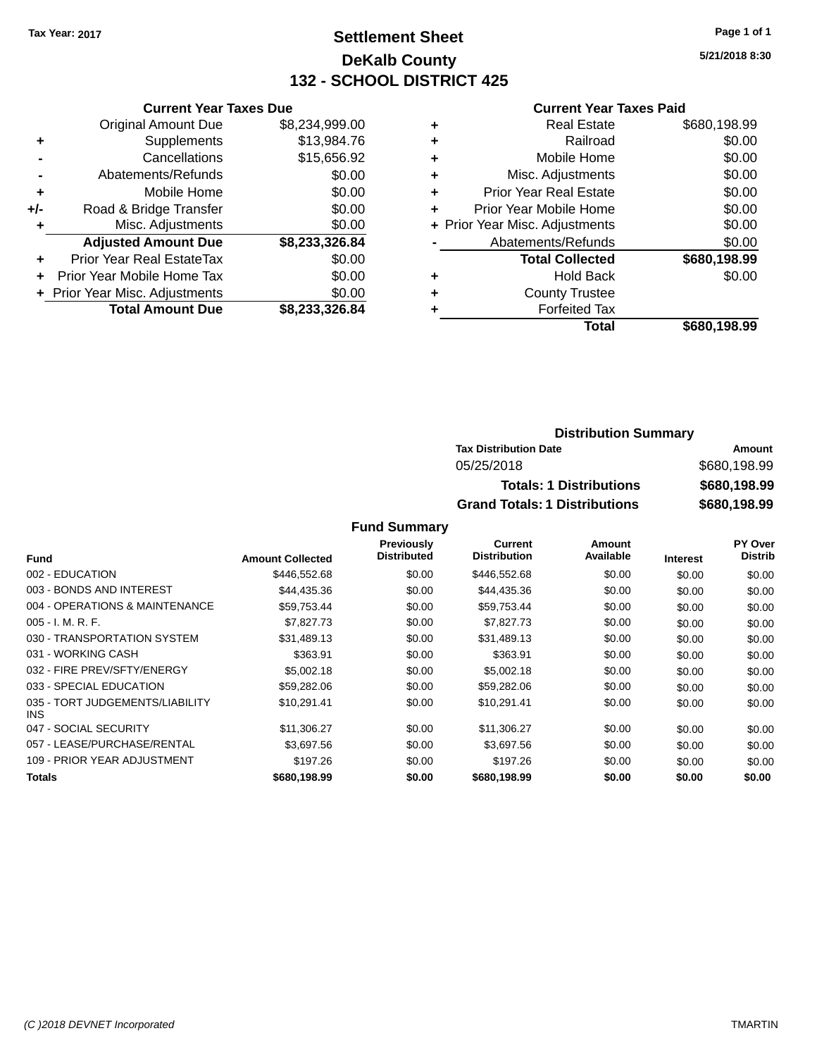## **Settlement Sheet Tax Year: 2017 Page 1 of 1 DeKalb County 132 - SCHOOL DISTRICT 425**

**5/21/2018 8:30**

#### **Current Year Taxes Paid**

|       | <b>Current Year Taxes Due</b>    |                |  |  |  |
|-------|----------------------------------|----------------|--|--|--|
|       | <b>Original Amount Due</b>       | \$8,234,999.00 |  |  |  |
| ٠     | Supplements                      | \$13,984.76    |  |  |  |
|       | Cancellations                    | \$15,656.92    |  |  |  |
|       | Abatements/Refunds               | \$0.00         |  |  |  |
| ٠     | Mobile Home                      | \$0.00         |  |  |  |
| $+/-$ | Road & Bridge Transfer           | \$0.00         |  |  |  |
| ٠     | Misc. Adjustments                | \$0.00         |  |  |  |
|       | <b>Adjusted Amount Due</b>       | \$8,233,326.84 |  |  |  |
| ÷     | <b>Prior Year Real EstateTax</b> | \$0.00         |  |  |  |
|       | Prior Year Mobile Home Tax       | \$0.00         |  |  |  |
|       | + Prior Year Misc. Adjustments   | \$0.00         |  |  |  |
|       | <b>Total Amount Due</b>          | \$8,233,326.84 |  |  |  |

|   | <b>Real Estate</b>             | \$680,198.99 |
|---|--------------------------------|--------------|
| ٠ | Railroad                       | \$0.00       |
| ٠ | Mobile Home                    | \$0.00       |
| ٠ | Misc. Adjustments              | \$0.00       |
| ٠ | <b>Prior Year Real Estate</b>  | \$0.00       |
| ÷ | Prior Year Mobile Home         | \$0.00       |
|   | + Prior Year Misc. Adjustments | \$0.00       |
|   | Abatements/Refunds             | \$0.00       |
|   | <b>Total Collected</b>         | \$680,198.99 |
| ٠ | <b>Hold Back</b>               | \$0.00       |
| ٠ | <b>County Trustee</b>          |              |
| ٠ | <b>Forfeited Tax</b>           |              |
|   | Total                          | \$680,198.99 |
|   |                                |              |

#### **Distribution Summary Tax Distribution Date Amount** 05/25/2018 \$680,198.99 **Totals: 1 Distributions \$680,198.99 Grand Totals: 1 Distributions \$680,198.99**

|                                         |                         | <b>Previously</b>  | Current             | Amount    |                 | <b>PY Over</b> |
|-----------------------------------------|-------------------------|--------------------|---------------------|-----------|-----------------|----------------|
| Fund                                    | <b>Amount Collected</b> | <b>Distributed</b> | <b>Distribution</b> | Available | <b>Interest</b> | <b>Distrib</b> |
| 002 - EDUCATION                         | \$446,552.68            | \$0.00             | \$446,552.68        | \$0.00    | \$0.00          | \$0.00         |
| 003 - BONDS AND INTEREST                | \$44.435.36             | \$0.00             | \$44,435.36         | \$0.00    | \$0.00          | \$0.00         |
| 004 - OPERATIONS & MAINTENANCE          | \$59,753.44             | \$0.00             | \$59,753.44         | \$0.00    | \$0.00          | \$0.00         |
| $005 - I. M. R. F.$                     | \$7.827.73              | \$0.00             | \$7,827.73          | \$0.00    | \$0.00          | \$0.00         |
| 030 - TRANSPORTATION SYSTEM             | \$31,489.13             | \$0.00             | \$31,489.13         | \$0.00    | \$0.00          | \$0.00         |
| 031 - WORKING CASH                      | \$363.91                | \$0.00             | \$363.91            | \$0.00    | \$0.00          | \$0.00         |
| 032 - FIRE PREV/SFTY/ENERGY             | \$5,002.18              | \$0.00             | \$5,002.18          | \$0.00    | \$0.00          | \$0.00         |
| 033 - SPECIAL EDUCATION                 | \$59,282.06             | \$0.00             | \$59,282.06         | \$0.00    | \$0.00          | \$0.00         |
| 035 - TORT JUDGEMENTS/LIABILITY<br>INS. | \$10,291.41             | \$0.00             | \$10,291.41         | \$0.00    | \$0.00          | \$0.00         |
| 047 - SOCIAL SECURITY                   | \$11,306.27             | \$0.00             | \$11,306.27         | \$0.00    | \$0.00          | \$0.00         |
| 057 - LEASE/PURCHASE/RENTAL             | \$3.697.56              | \$0.00             | \$3,697.56          | \$0.00    | \$0.00          | \$0.00         |
| 109 - PRIOR YEAR ADJUSTMENT             | \$197.26                | \$0.00             | \$197.26            | \$0.00    | \$0.00          | \$0.00         |
| <b>Totals</b>                           | \$680,198.99            | \$0.00             | \$680,198.99        | \$0.00    | \$0.00          | \$0.00         |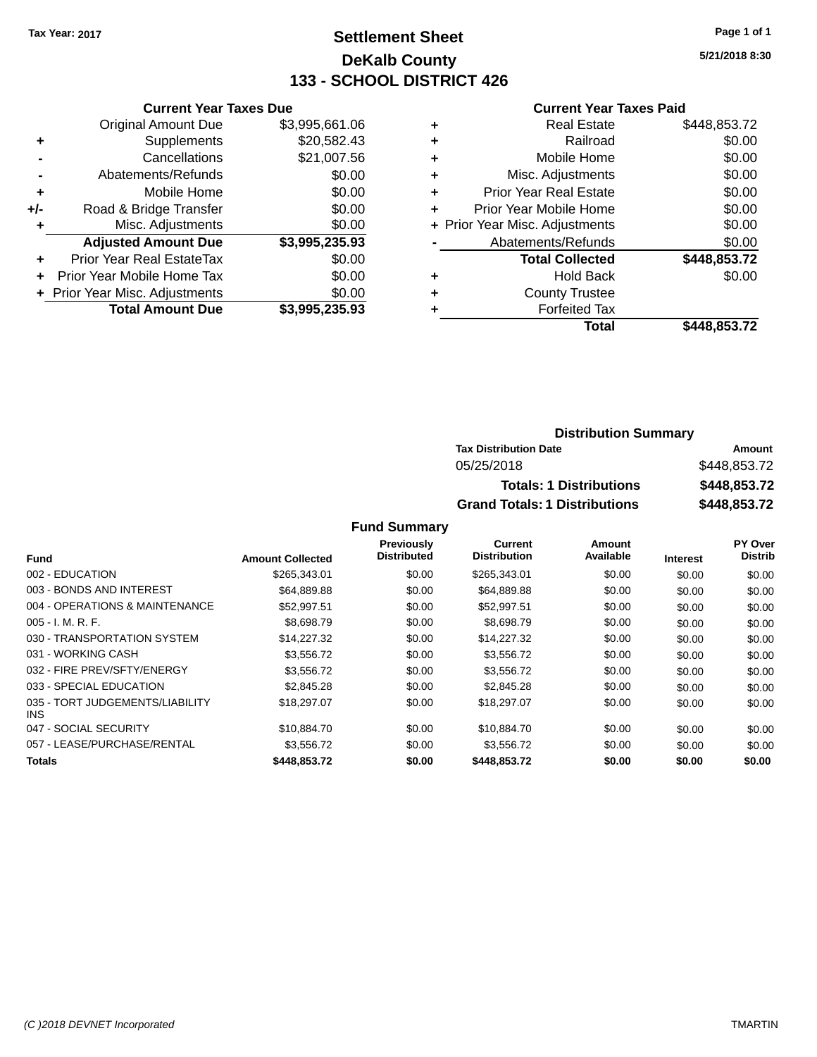## **Settlement Sheet Tax Year: 2017 Page 1 of 1 DeKalb County 133 - SCHOOL DISTRICT 426**

**5/21/2018 8:30**

#### **Current Year Taxes Paid**

| \$3,995,661.06<br>\$20,582.43<br>\$21,007.56<br>\$0.00<br>\$0.00 |
|------------------------------------------------------------------|
|                                                                  |
|                                                                  |
|                                                                  |
|                                                                  |
|                                                                  |
| \$0.00                                                           |
| \$0.00                                                           |
| \$3,995,235.93                                                   |
| \$0.00                                                           |
| \$0.00                                                           |
| \$0.00                                                           |
| \$3,995,235.93                                                   |
|                                                                  |

|   | <b>Real Estate</b>             | \$448,853.72 |
|---|--------------------------------|--------------|
| ٠ | Railroad                       | \$0.00       |
| ٠ | Mobile Home                    | \$0.00       |
| ٠ | Misc. Adjustments              | \$0.00       |
| ٠ | <b>Prior Year Real Estate</b>  | \$0.00       |
| ÷ | Prior Year Mobile Home         | \$0.00       |
|   | + Prior Year Misc. Adjustments | \$0.00       |
|   | Abatements/Refunds             | \$0.00       |
|   | <b>Total Collected</b>         | \$448,853.72 |
| ٠ | <b>Hold Back</b>               | \$0.00       |
| ٠ | <b>County Trustee</b>          |              |
| ٠ | <b>Forfeited Tax</b>           |              |
|   | Total                          | \$448,853.72 |
|   |                                |              |

| <b>Distribution Summary</b>          |              |  |  |  |  |
|--------------------------------------|--------------|--|--|--|--|
| <b>Tax Distribution Date</b>         | Amount       |  |  |  |  |
| 05/25/2018                           | \$448,853.72 |  |  |  |  |
| <b>Totals: 1 Distributions</b>       | \$448,853.72 |  |  |  |  |
| <b>Grand Totals: 1 Distributions</b> | \$448,853.72 |  |  |  |  |

|                                         |                         | Previously         | Current             | Amount    |                 | PY Over        |
|-----------------------------------------|-------------------------|--------------------|---------------------|-----------|-----------------|----------------|
| <b>Fund</b>                             | <b>Amount Collected</b> | <b>Distributed</b> | <b>Distribution</b> | Available | <b>Interest</b> | <b>Distrib</b> |
| 002 - EDUCATION                         | \$265,343.01            | \$0.00             | \$265,343.01        | \$0.00    | \$0.00          | \$0.00         |
| 003 - BONDS AND INTEREST                | \$64,889.88             | \$0.00             | \$64,889.88         | \$0.00    | \$0.00          | \$0.00         |
| 004 - OPERATIONS & MAINTENANCE          | \$52.997.51             | \$0.00             | \$52.997.51         | \$0.00    | \$0.00          | \$0.00         |
| $005 - I. M. R. F.$                     | \$8,698.79              | \$0.00             | \$8,698.79          | \$0.00    | \$0.00          | \$0.00         |
| 030 - TRANSPORTATION SYSTEM             | \$14,227,32             | \$0.00             | \$14,227.32         | \$0.00    | \$0.00          | \$0.00         |
| 031 - WORKING CASH                      | \$3,556.72              | \$0.00             | \$3,556.72          | \$0.00    | \$0.00          | \$0.00         |
| 032 - FIRE PREV/SFTY/ENERGY             | \$3.556.72              | \$0.00             | \$3,556.72          | \$0.00    | \$0.00          | \$0.00         |
| 033 - SPECIAL EDUCATION                 | \$2,845,28              | \$0.00             | \$2,845.28          | \$0.00    | \$0.00          | \$0.00         |
| 035 - TORT JUDGEMENTS/LIABILITY<br>INS. | \$18,297.07             | \$0.00             | \$18,297.07         | \$0.00    | \$0.00          | \$0.00         |
| 047 - SOCIAL SECURITY                   | \$10.884.70             | \$0.00             | \$10,884.70         | \$0.00    | \$0.00          | \$0.00         |
| 057 - LEASE/PURCHASE/RENTAL             | \$3.556.72              | \$0.00             | \$3,556,72          | \$0.00    | \$0.00          | \$0.00         |
| Totals                                  | \$448,853.72            | \$0.00             | \$448,853.72        | \$0.00    | \$0.00          | \$0.00         |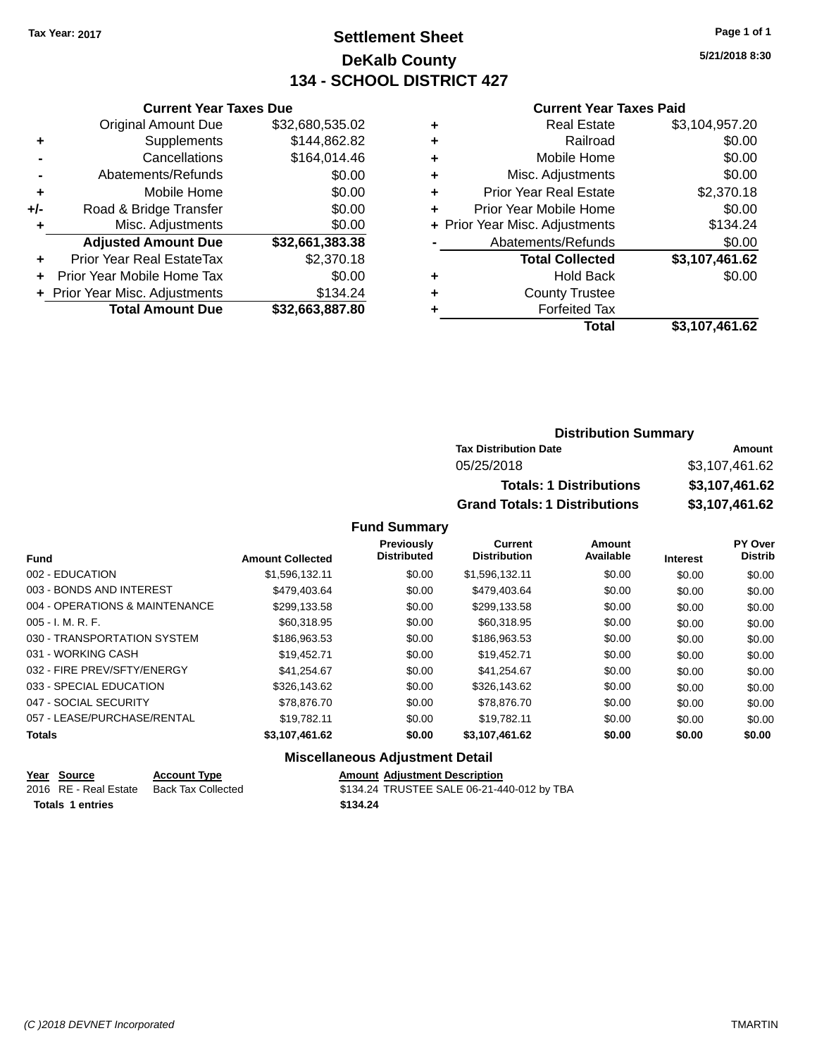## **Settlement Sheet Tax Year: 2017 Page 1 of 1 DeKalb County 134 - SCHOOL DISTRICT 427**

**5/21/2018 8:30**

#### **Current Year Taxes Paid**

|       | <b>Current Year Taxes Due</b>  |                 |
|-------|--------------------------------|-----------------|
|       | <b>Original Amount Due</b>     | \$32,680,535.02 |
| ٠     | Supplements                    | \$144,862.82    |
|       | Cancellations                  | \$164,014.46    |
|       | Abatements/Refunds             | \$0.00          |
| ٠     | Mobile Home                    | \$0.00          |
| $+/-$ | Road & Bridge Transfer         | \$0.00          |
|       | Misc. Adjustments              | \$0.00          |
|       | <b>Adjusted Amount Due</b>     | \$32,661,383.38 |
| ٠     | Prior Year Real EstateTax      | \$2,370.18      |
|       | Prior Year Mobile Home Tax     | \$0.00          |
|       | + Prior Year Misc. Adjustments | \$134.24        |
|       | <b>Total Amount Due</b>        | \$32,663,887.80 |
|       |                                |                 |

|   | Total                          | \$3,107,461.62 |
|---|--------------------------------|----------------|
|   | <b>Forfeited Tax</b>           |                |
| ٠ | <b>County Trustee</b>          |                |
| ٠ | <b>Hold Back</b>               | \$0.00         |
|   | <b>Total Collected</b>         | \$3,107,461.62 |
|   | Abatements/Refunds             | \$0.00         |
|   | + Prior Year Misc. Adjustments | \$134.24       |
| ٠ | Prior Year Mobile Home         | \$0.00         |
| ٠ | <b>Prior Year Real Estate</b>  | \$2,370.18     |
| ٠ | Misc. Adjustments              | \$0.00         |
| ٠ | Mobile Home                    | \$0.00         |
| ٠ | Railroad                       | \$0.00         |
| ٠ | <b>Real Estate</b>             | \$3,104,957.20 |
|   |                                |                |

## **Distribution Summary Tax Distribution Date Amount** 05/25/2018 \$3,107,461.62 **Totals: 1 Distributions \$3,107,461.62 Grand Totals: 1 Distributions \$3,107,461.62**

#### **Fund Summary**

|                                |                         | Previously         | Current             | Amount    |                 | <b>PY Over</b> |
|--------------------------------|-------------------------|--------------------|---------------------|-----------|-----------------|----------------|
| <b>Fund</b>                    | <b>Amount Collected</b> | <b>Distributed</b> | <b>Distribution</b> | Available | <b>Interest</b> | <b>Distrib</b> |
| 002 - EDUCATION                | \$1.596.132.11          | \$0.00             | \$1,596,132.11      | \$0.00    | \$0.00          | \$0.00         |
| 003 - BONDS AND INTEREST       | \$479.403.64            | \$0.00             | \$479.403.64        | \$0.00    | \$0.00          | \$0.00         |
| 004 - OPERATIONS & MAINTENANCE | \$299.133.58            | \$0.00             | \$299.133.58        | \$0.00    | \$0.00          | \$0.00         |
| $005 - I. M. R. F.$            | \$60.318.95             | \$0.00             | \$60,318.95         | \$0.00    | \$0.00          | \$0.00         |
| 030 - TRANSPORTATION SYSTEM    | \$186,963.53            | \$0.00             | \$186,963.53        | \$0.00    | \$0.00          | \$0.00         |
| 031 - WORKING CASH             | \$19.452.71             | \$0.00             | \$19.452.71         | \$0.00    | \$0.00          | \$0.00         |
| 032 - FIRE PREV/SFTY/ENERGY    | \$41.254.67             | \$0.00             | \$41.254.67         | \$0.00    | \$0.00          | \$0.00         |
| 033 - SPECIAL EDUCATION        | \$326,143.62            | \$0.00             | \$326,143.62        | \$0.00    | \$0.00          | \$0.00         |
| 047 - SOCIAL SECURITY          | \$78,876.70             | \$0.00             | \$78,876.70         | \$0.00    | \$0.00          | \$0.00         |
| 057 - LEASE/PURCHASE/RENTAL    | \$19.782.11             | \$0.00             | \$19.782.11         | \$0.00    | \$0.00          | \$0.00         |
| <b>Totals</b>                  | \$3,107,461.62          | \$0.00             | \$3,107,461.62      | \$0.00    | \$0.00          | \$0.00         |

#### **Miscellaneous Adjustment Detail**

| Year Source           | <b>Account Type</b> | <b>Amount Adiustment Description</b>       |
|-----------------------|---------------------|--------------------------------------------|
| 2016 RE - Real Estate | Back Tax Collected  | \$134.24 TRUSTEE SALE 06-21-440-012 by TBA |
| Totals 1 entries      |                     | \$134.24                                   |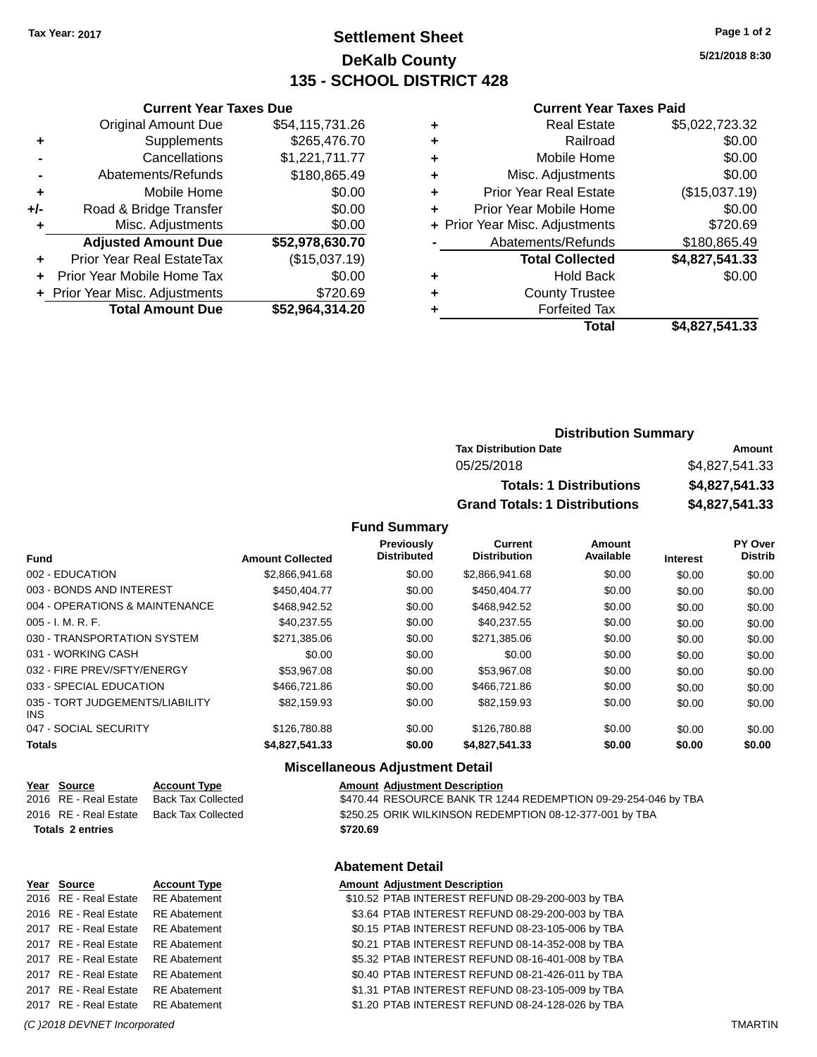## **Settlement Sheet Tax Year: 2017 Page 1 of 2 DeKalb County 135 - SCHOOL DISTRICT 428**

**5/21/2018 8:30**

#### **Current Year Taxes Paid**

|     | <b>Original Amount Due</b>       | \$54,115,731.26 |  |
|-----|----------------------------------|-----------------|--|
| ٠   | Supplements                      | \$265,476.70    |  |
|     | Cancellations                    | \$1,221,711.77  |  |
|     | Abatements/Refunds               | \$180,865.49    |  |
| ٠   | Mobile Home                      | \$0.00          |  |
| +/- | Road & Bridge Transfer           | \$0.00          |  |
| ٠   | Misc. Adjustments                | \$0.00          |  |
|     | <b>Adjusted Amount Due</b>       | \$52,978,630.70 |  |
| ٠   | <b>Prior Year Real EstateTax</b> | (\$15,037.19)   |  |
| ٠   | Prior Year Mobile Home Tax       | \$0.00          |  |
|     | + Prior Year Misc. Adjustments   | \$720.69        |  |
|     | <b>Total Amount Due</b>          | \$52,964,314.20 |  |
|     |                                  |                 |  |

**Current Year Taxes Due**

|   | <b>Real Estate</b>             | \$5,022,723.32 |
|---|--------------------------------|----------------|
| ٠ | Railroad                       | \$0.00         |
| ٠ | Mobile Home                    | \$0.00         |
| ٠ | Misc. Adjustments              | \$0.00         |
| ٠ | <b>Prior Year Real Estate</b>  | (\$15,037.19)  |
|   | Prior Year Mobile Home         | \$0.00         |
|   | + Prior Year Misc. Adjustments | \$720.69       |
|   | Abatements/Refunds             | \$180,865.49   |
|   | <b>Total Collected</b>         | \$4,827,541.33 |
| ٠ | <b>Hold Back</b>               | \$0.00         |
|   | <b>County Trustee</b>          |                |
|   | <b>Forfeited Tax</b>           |                |
|   | Total                          | \$4,827,541.33 |
|   |                                |                |

## **Distribution Summary Tax Distribution Date Amount** 05/25/2018 \$4,827,541.33 **Totals: 1 Distributions \$4,827,541.33 Grand Totals: 1 Distributions \$4,827,541.33**

#### **Fund Summary**

| <b>Fund</b>                             | <b>Amount Collected</b> | <b>Previously</b><br><b>Distributed</b> | Current<br><b>Distribution</b> | Amount<br>Available | <b>Interest</b> | PY Over<br><b>Distrib</b> |
|-----------------------------------------|-------------------------|-----------------------------------------|--------------------------------|---------------------|-----------------|---------------------------|
| 002 - EDUCATION                         | \$2,866,941.68          | \$0.00                                  | \$2,866,941.68                 | \$0.00              | \$0.00          | \$0.00                    |
| 003 - BONDS AND INTEREST                | \$450,404.77            | \$0.00                                  | \$450.404.77                   | \$0.00              | \$0.00          | \$0.00                    |
| 004 - OPERATIONS & MAINTENANCE          | \$468,942.52            | \$0.00                                  | \$468,942.52                   | \$0.00              | \$0.00          | \$0.00                    |
| $005 - I. M. R. F.$                     | \$40.237.55             | \$0.00                                  | \$40.237.55                    | \$0.00              | \$0.00          | \$0.00                    |
| 030 - TRANSPORTATION SYSTEM             | \$271,385.06            | \$0.00                                  | \$271,385.06                   | \$0.00              | \$0.00          | \$0.00                    |
| 031 - WORKING CASH                      | \$0.00                  | \$0.00                                  | \$0.00                         | \$0.00              | \$0.00          | \$0.00                    |
| 032 - FIRE PREV/SFTY/ENERGY             | \$53,967.08             | \$0.00                                  | \$53,967.08                    | \$0.00              | \$0.00          | \$0.00                    |
| 033 - SPECIAL EDUCATION                 | \$466,721.86            | \$0.00                                  | \$466,721.86                   | \$0.00              | \$0.00          | \$0.00                    |
| 035 - TORT JUDGEMENTS/LIABILITY<br>INS. | \$82.159.93             | \$0.00                                  | \$82,159.93                    | \$0.00              | \$0.00          | \$0.00                    |
| 047 - SOCIAL SECURITY                   | \$126,780.88            | \$0.00                                  | \$126,780.88                   | \$0.00              | \$0.00          | \$0.00                    |
| <b>Totals</b>                           | \$4,827,541.33          | \$0.00                                  | \$4,827,541.33                 | \$0.00              | \$0.00          | \$0.00                    |

#### **Miscellaneous Adjustment Detail**

**Abatement Detail**

| Year Source             | <b>Account Type</b> |          | <b>Amount Adiustment Description</b>                           |
|-------------------------|---------------------|----------|----------------------------------------------------------------|
| 2016 RE - Real Estate   | Back Tax Collected  |          | \$470.44 RESOURCE BANK TR 1244 REDEMPTION 09-29-254-046 by TBA |
| 2016 RE - Real Estate   | Back Tax Collected  |          | \$250.25 ORIK WILKINSON REDEMPTION 08-12-377-001 by TBA        |
| <b>Totals 2 entries</b> |                     | \$720.69 |                                                                |

# **Year Source Account Type Amount Adjustment Description**

2017 RE - Real Estate RE Abatement \$1.20 PTAB INTEREST REFUND 08-24-128-026 by TBA

2016 RE - Real Estate \$10.52 PTAB INTEREST REFUND 08-29-200-003 by TBA RE Abatement 2016 RE - Real Estate RE Abatement \$3.64 PTAB INTEREST REFUND 08-29-200-003 by TBA 2017 RE - Real Estate RE Abatement \$0.15 PTAB INTEREST REFUND 08-23-105-006 by TBA 2017 RE - Real Estate RE Abatement \$0.21 PTAB INTEREST REFUND 08-14-352-008 by TBA 2017 RE - Real Estate RE Abatement \$5.32 PTAB INTEREST REFUND 08-16-401-008 by TBA 2017 RE - Real Estate RE Abatement \$0.40 PTAB INTEREST REFUND 08-21-426-011 by TBA 2017 RE - Real Estate RE Abatement \$1.31 PTAB INTEREST REFUND 08-23-105-009 by TBA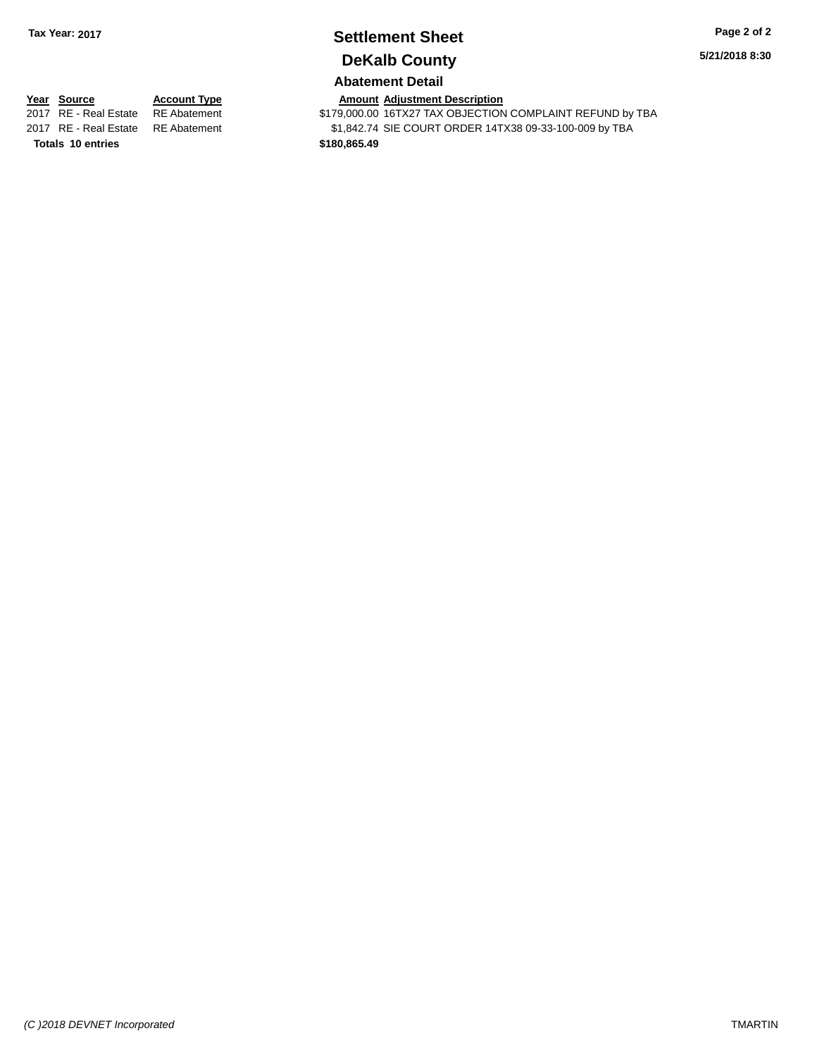## **Settlement Sheet Tax Year: 2017 Page 2 of 2 DeKalb County**

**5/21/2018 8:30**

#### **Abatement Detail**

**Totals \$180,865.49 10 entries**

**Year Source Account Type Amount Adjustment Description**<br>2017 RE - Real Estate RE Abatement \$179,000.00 16TX27 TAX OBJECTION \$179,000.00 16TX27 TAX OBJECTION COMPLAINT REFUND by TBA 2017 RE - Real Estate RE Abatement \$1,842.74 SIE COURT ORDER 14TX38 09-33-100-009 by TBA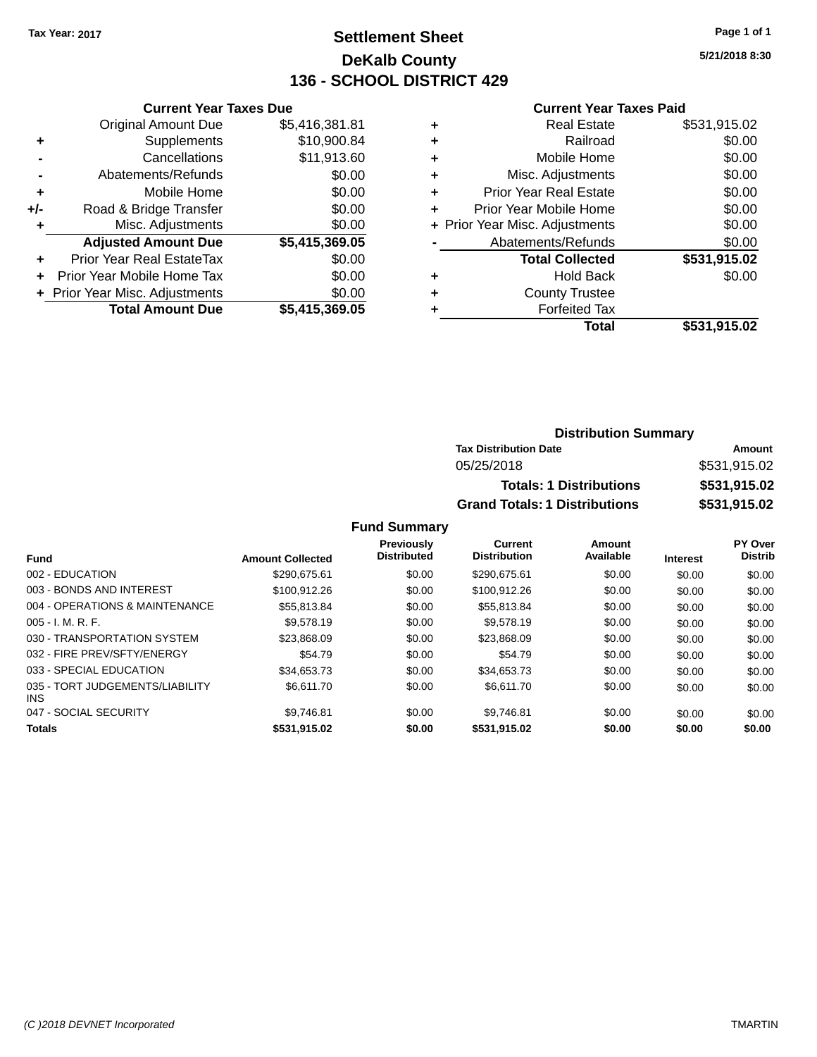## **Settlement Sheet Tax Year: 2017 Page 1 of 1 DeKalb County 136 - SCHOOL DISTRICT 429**

**5/21/2018 8:30**

#### **Current Year Taxes Paid**

|     | <b>Current Year Taxes Due</b>  |                |
|-----|--------------------------------|----------------|
|     | <b>Original Amount Due</b>     | \$5,416,381.81 |
| ٠   | Supplements                    | \$10,900.84    |
|     | Cancellations                  | \$11,913.60    |
|     | Abatements/Refunds             | \$0.00         |
| ٠   | Mobile Home                    | \$0.00         |
| +/- | Road & Bridge Transfer         | \$0.00         |
|     | Misc. Adjustments              | \$0.00         |
|     | <b>Adjusted Amount Due</b>     | \$5,415,369.05 |
| ٠   | Prior Year Real EstateTax      | \$0.00         |
|     | Prior Year Mobile Home Tax     | \$0.00         |
|     | + Prior Year Misc. Adjustments | \$0.00         |
|     | <b>Total Amount Due</b>        | \$5,415,369.05 |
|     |                                |                |

| ٠ | <b>Real Estate</b>             | \$531,915.02 |
|---|--------------------------------|--------------|
| ٠ | Railroad                       | \$0.00       |
| ٠ | Mobile Home                    | \$0.00       |
| ٠ | Misc. Adjustments              | \$0.00       |
| ٠ | <b>Prior Year Real Estate</b>  | \$0.00       |
| ÷ | Prior Year Mobile Home         | \$0.00       |
|   | + Prior Year Misc. Adjustments | \$0.00       |
|   | Abatements/Refunds             | \$0.00       |
|   | <b>Total Collected</b>         | \$531,915.02 |
| ٠ | <b>Hold Back</b>               | \$0.00       |
| ٠ | <b>County Trustee</b>          |              |
| ٠ | <b>Forfeited Tax</b>           |              |
|   | Total                          | \$531,915.02 |
|   |                                |              |

#### **Distribution Summary Tax Distribution Date Amount** 05/25/2018 \$531,915.02 **Totals: 1 Distributions \$531,915.02 Grand Totals: 1 Distributions \$531,915.02**

| <b>Fund</b>                             | <b>Amount Collected</b> | <b>Previously</b><br><b>Distributed</b> | Current<br><b>Distribution</b> | Amount<br>Available | <b>Interest</b> | PY Over<br><b>Distrib</b> |
|-----------------------------------------|-------------------------|-----------------------------------------|--------------------------------|---------------------|-----------------|---------------------------|
| 002 - EDUCATION                         | \$290.675.61            | \$0.00                                  | \$290.675.61                   | \$0.00              | \$0.00          | \$0.00                    |
| 003 - BONDS AND INTEREST                | \$100.912.26            | \$0.00                                  | \$100.912.26                   | \$0.00              | \$0.00          | \$0.00                    |
| 004 - OPERATIONS & MAINTENANCE          | \$55,813.84             | \$0.00                                  | \$55,813.84                    | \$0.00              | \$0.00          | \$0.00                    |
| $005 - I. M. R. F.$                     | \$9.578.19              | \$0.00                                  | \$9.578.19                     | \$0.00              | \$0.00          | \$0.00                    |
| 030 - TRANSPORTATION SYSTEM             | \$23,868,09             | \$0.00                                  | \$23.868.09                    | \$0.00              | \$0.00          | \$0.00                    |
| 032 - FIRE PREV/SFTY/ENERGY             | \$54.79                 | \$0.00                                  | \$54.79                        | \$0.00              | \$0.00          | \$0.00                    |
| 033 - SPECIAL EDUCATION                 | \$34,653,73             | \$0.00                                  | \$34,653,73                    | \$0.00              | \$0.00          | \$0.00                    |
| 035 - TORT JUDGEMENTS/LIABILITY<br>INS. | \$6,611.70              | \$0.00                                  | \$6.611.70                     | \$0.00              | \$0.00          | \$0.00                    |
| 047 - SOCIAL SECURITY                   | \$9.746.81              | \$0.00                                  | \$9.746.81                     | \$0.00              | \$0.00          | \$0.00                    |
| <b>Totals</b>                           | \$531,915.02            | \$0.00                                  | \$531,915.02                   | \$0.00              | \$0.00          | \$0.00                    |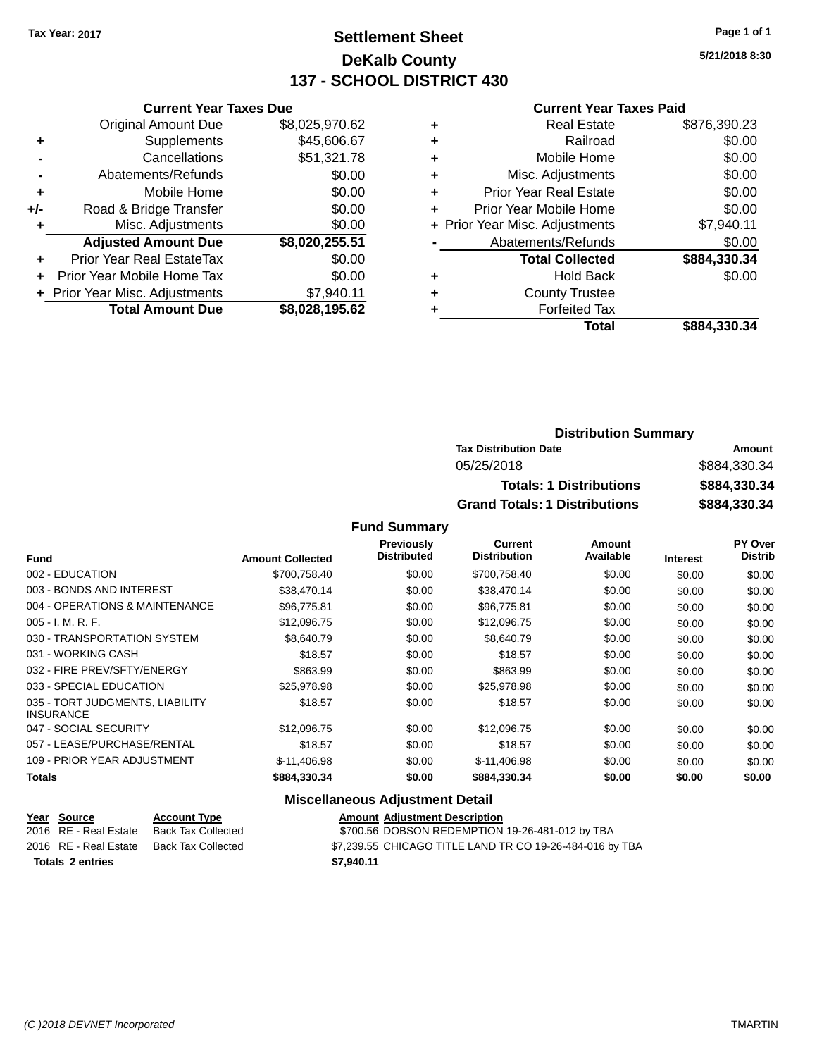## **Settlement Sheet Tax Year: 2017 Page 1 of 1 DeKalb County 137 - SCHOOL DISTRICT 430**

**5/21/2018 8:30**

#### **Current Year Taxes Paid**

|       | <b>Current Year Taxes Due</b>  |                |  |  |  |  |  |
|-------|--------------------------------|----------------|--|--|--|--|--|
|       | <b>Original Amount Due</b>     | \$8,025,970.62 |  |  |  |  |  |
| ٠     | Supplements                    | \$45,606.67    |  |  |  |  |  |
|       | Cancellations                  | \$51,321.78    |  |  |  |  |  |
|       | Abatements/Refunds             | \$0.00         |  |  |  |  |  |
| ٠     | Mobile Home                    | \$0.00         |  |  |  |  |  |
| $+/-$ | Road & Bridge Transfer         | \$0.00         |  |  |  |  |  |
| ٠     | Misc. Adjustments              | \$0.00         |  |  |  |  |  |
|       | <b>Adjusted Amount Due</b>     | \$8,020,255.51 |  |  |  |  |  |
| ٠     | Prior Year Real EstateTax      | \$0.00         |  |  |  |  |  |
|       | Prior Year Mobile Home Tax     | \$0.00         |  |  |  |  |  |
|       | + Prior Year Misc. Adjustments | \$7,940.11     |  |  |  |  |  |
|       | <b>Total Amount Due</b>        | \$8,028,195.62 |  |  |  |  |  |
|       |                                |                |  |  |  |  |  |

|   | <b>Real Estate</b>             | \$876,390.23 |
|---|--------------------------------|--------------|
| ٠ | Railroad                       | \$0.00       |
| ٠ | Mobile Home                    | \$0.00       |
| ٠ | Misc. Adjustments              | \$0.00       |
| ٠ | <b>Prior Year Real Estate</b>  | \$0.00       |
| ٠ | Prior Year Mobile Home         | \$0.00       |
|   | + Prior Year Misc. Adjustments | \$7,940.11   |
|   | Abatements/Refunds             | \$0.00       |
|   | <b>Total Collected</b>         | \$884,330.34 |
| ٠ | <b>Hold Back</b>               | \$0.00       |
|   | <b>County Trustee</b>          |              |
| ٠ | <b>Forfeited Tax</b>           |              |
|   | <b>Total</b>                   | \$884,330.34 |
|   |                                |              |

|            | <b>Distribution Summary</b>          |              |
|------------|--------------------------------------|--------------|
|            | <b>Tax Distribution Date</b>         | Amount       |
| 05/25/2018 |                                      | \$884,330,34 |
|            | <b>Totals: 1 Distributions</b>       | \$884,330.34 |
|            | <b>Grand Totals: 1 Distributions</b> | \$884,330.34 |

#### **Fund Summary**

| <b>Fund</b>                                         | <b>Amount Collected</b> | <b>Previously</b><br><b>Distributed</b> | <b>Current</b><br><b>Distribution</b> | Amount<br>Available | <b>Interest</b> | PY Over<br><b>Distrib</b> |
|-----------------------------------------------------|-------------------------|-----------------------------------------|---------------------------------------|---------------------|-----------------|---------------------------|
|                                                     |                         |                                         |                                       |                     |                 |                           |
| 002 - EDUCATION                                     | \$700,758.40            | \$0.00                                  | \$700,758.40                          | \$0.00              | \$0.00          | \$0.00                    |
| 003 - BONDS AND INTEREST                            | \$38.470.14             | \$0.00                                  | \$38,470.14                           | \$0.00              | \$0.00          | \$0.00                    |
| 004 - OPERATIONS & MAINTENANCE                      | \$96,775.81             | \$0.00                                  | \$96,775.81                           | \$0.00              | \$0.00          | \$0.00                    |
| $005 - I. M. R. F.$                                 | \$12,096.75             | \$0.00                                  | \$12,096.75                           | \$0.00              | \$0.00          | \$0.00                    |
| 030 - TRANSPORTATION SYSTEM                         | \$8,640.79              | \$0.00                                  | \$8,640.79                            | \$0.00              | \$0.00          | \$0.00                    |
| 031 - WORKING CASH                                  | \$18.57                 | \$0.00                                  | \$18.57                               | \$0.00              | \$0.00          | \$0.00                    |
| 032 - FIRE PREV/SFTY/ENERGY                         | \$863.99                | \$0.00                                  | \$863.99                              | \$0.00              | \$0.00          | \$0.00                    |
| 033 - SPECIAL EDUCATION                             | \$25,978.98             | \$0.00                                  | \$25,978.98                           | \$0.00              | \$0.00          | \$0.00                    |
| 035 - TORT JUDGMENTS, LIABILITY<br><b>INSURANCE</b> | \$18.57                 | \$0.00                                  | \$18.57                               | \$0.00              | \$0.00          | \$0.00                    |
| 047 - SOCIAL SECURITY                               | \$12,096.75             | \$0.00                                  | \$12,096.75                           | \$0.00              | \$0.00          | \$0.00                    |
| 057 - LEASE/PURCHASE/RENTAL                         | \$18.57                 | \$0.00                                  | \$18.57                               | \$0.00              | \$0.00          | \$0.00                    |
| 109 - PRIOR YEAR ADJUSTMENT                         | \$-11,406.98            | \$0.00                                  | \$-11,406.98                          | \$0.00              | \$0.00          | \$0.00                    |
| Totals                                              | \$884,330.34            | \$0.00                                  | \$884,330.34                          | \$0.00              | \$0.00          | \$0.00                    |

#### **Miscellaneous Adjustment Detail**

|                         | Year Source           | <b>Account Type</b> | <b>Amount Adjustment Description</b>                     |
|-------------------------|-----------------------|---------------------|----------------------------------------------------------|
|                         | 2016 RE - Real Estate | Back Tax Collected  | \$700.56 DOBSON REDEMPTION 19-26-481-012 by TBA          |
|                         | 2016 RE - Real Estate | Back Tax Collected  | \$7,239.55 CHICAGO TITLE LAND TR CO 19-26-484-016 by TBA |
| <b>Totals 2 entries</b> |                       |                     | \$7.940.11                                               |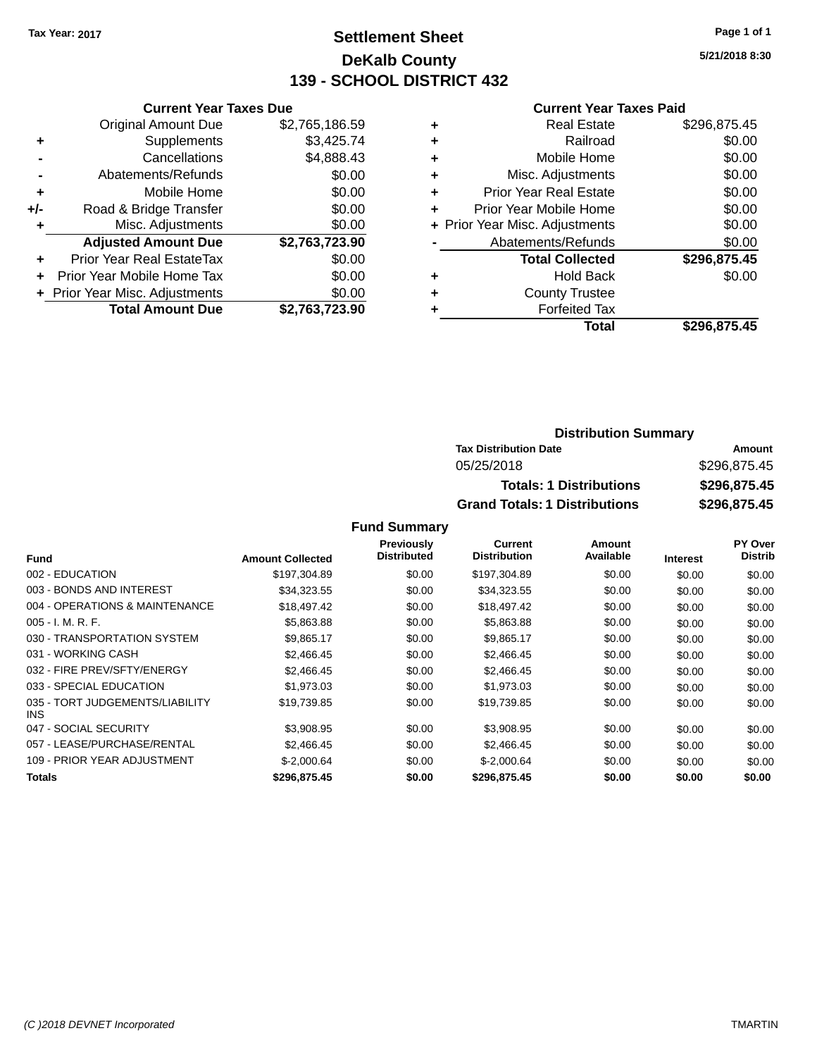## **Settlement Sheet Tax Year: 2017 Page 1 of 1 DeKalb County 139 - SCHOOL DISTRICT 432**

**5/21/2018 8:30**

#### **Current Year Taxes Paid**

|     | <b>Current Year Taxes Due</b>  |                |
|-----|--------------------------------|----------------|
|     | <b>Original Amount Due</b>     | \$2,765,186.59 |
| ٠   | Supplements                    | \$3,425.74     |
|     | Cancellations                  | \$4,888.43     |
|     | Abatements/Refunds             | \$0.00         |
| ٠   | Mobile Home                    | \$0.00         |
| +/- | Road & Bridge Transfer         | \$0.00         |
|     | Misc. Adjustments              | \$0.00         |
|     | <b>Adjusted Amount Due</b>     | \$2,763,723.90 |
| ٠   | Prior Year Real EstateTax      | \$0.00         |
|     | Prior Year Mobile Home Tax     | \$0.00         |
|     | + Prior Year Misc. Adjustments | \$0.00         |
|     | <b>Total Amount Due</b>        | \$2,763,723.90 |
|     |                                |                |

|   | <b>Real Estate</b>             | \$296,875.45 |
|---|--------------------------------|--------------|
| ٠ | Railroad                       | \$0.00       |
| ٠ | Mobile Home                    | \$0.00       |
| ٠ | Misc. Adjustments              | \$0.00       |
| ٠ | <b>Prior Year Real Estate</b>  | \$0.00       |
| ٠ | Prior Year Mobile Home         | \$0.00       |
|   | + Prior Year Misc. Adjustments | \$0.00       |
|   | Abatements/Refunds             | \$0.00       |
|   | <b>Total Collected</b>         | \$296.875.45 |
| ٠ | <b>Hold Back</b>               | \$0.00       |
| ٠ | <b>County Trustee</b>          |              |
| ٠ | <b>Forfeited Tax</b>           |              |
|   | Total                          | \$296,875.45 |
|   |                                |              |

#### **Distribution Summary Tax Distribution Date Amount** 05/25/2018 \$296,875.45 **Totals: 1 Distributions \$296,875.45 Grand Totals: 1 Distributions \$296,875.45**

|                                         |                         | <b>Previously</b>  | <b>Current</b>      | Amount    |                 | <b>PY Over</b> |
|-----------------------------------------|-------------------------|--------------------|---------------------|-----------|-----------------|----------------|
| Fund                                    | <b>Amount Collected</b> | <b>Distributed</b> | <b>Distribution</b> | Available | <b>Interest</b> | <b>Distrib</b> |
| 002 - EDUCATION                         | \$197,304.89            | \$0.00             | \$197,304.89        | \$0.00    | \$0.00          | \$0.00         |
| 003 - BONDS AND INTEREST                | \$34,323.55             | \$0.00             | \$34,323.55         | \$0.00    | \$0.00          | \$0.00         |
| 004 - OPERATIONS & MAINTENANCE          | \$18,497.42             | \$0.00             | \$18,497.42         | \$0.00    | \$0.00          | \$0.00         |
| $005 - I. M. R. F.$                     | \$5,863.88              | \$0.00             | \$5,863.88          | \$0.00    | \$0.00          | \$0.00         |
| 030 - TRANSPORTATION SYSTEM             | \$9,865.17              | \$0.00             | \$9,865.17          | \$0.00    | \$0.00          | \$0.00         |
| 031 - WORKING CASH                      | \$2,466.45              | \$0.00             | \$2,466.45          | \$0.00    | \$0.00          | \$0.00         |
| 032 - FIRE PREV/SFTY/ENERGY             | \$2,466.45              | \$0.00             | \$2,466.45          | \$0.00    | \$0.00          | \$0.00         |
| 033 - SPECIAL EDUCATION                 | \$1,973.03              | \$0.00             | \$1,973.03          | \$0.00    | \$0.00          | \$0.00         |
| 035 - TORT JUDGEMENTS/LIABILITY<br>INS. | \$19,739.85             | \$0.00             | \$19,739.85         | \$0.00    | \$0.00          | \$0.00         |
| 047 - SOCIAL SECURITY                   | \$3,908.95              | \$0.00             | \$3,908.95          | \$0.00    | \$0.00          | \$0.00         |
| 057 - LEASE/PURCHASE/RENTAL             | \$2,466.45              | \$0.00             | \$2,466.45          | \$0.00    | \$0.00          | \$0.00         |
| 109 - PRIOR YEAR ADJUSTMENT             | $$-2,000.64$            | \$0.00             | $$-2,000.64$        | \$0.00    | \$0.00          | \$0.00         |
| <b>Totals</b>                           | \$296,875.45            | \$0.00             | \$296,875.45        | \$0.00    | \$0.00          | \$0.00         |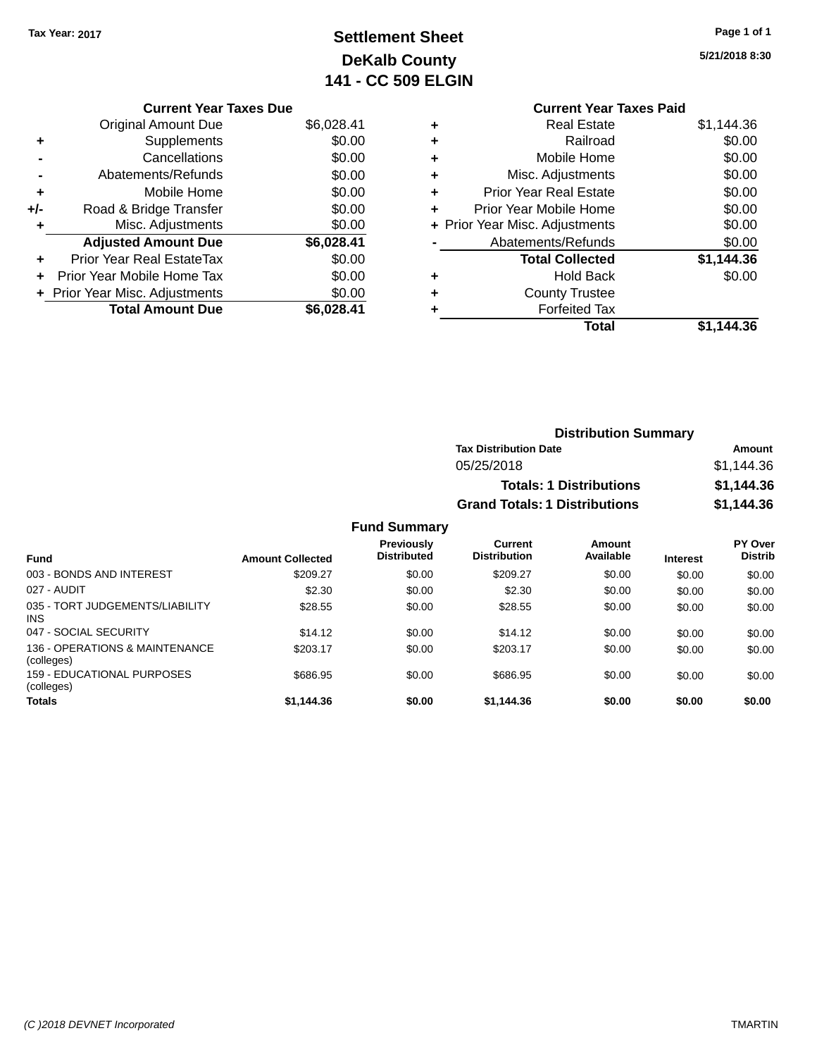## **Settlement Sheet Tax Year: 2017 Page 1 of 1 DeKalb County 141 - CC 509 ELGIN**

**5/21/2018 8:30**

#### **Current Year Taxes Due** Original Amount Due \$6,028.41 **+** Supplements \$0.00 **-** Cancellations \$0.00 **-** Abatements/Refunds \$0.00 **+** Mobile Home \$0.00 **+/-** Road & Bridge Transfer \$0.00 **+** Misc. Adjustments \$0.00 **Adjusted Amount Due \$6,028.41 +** Prior Year Real EstateTax \$0.00 **+** Prior Year Mobile Home Tax \$0.00 **+ Prior Year Misc. Adjustments**  $$0.00$ **Total Amount Due \$6,028.41**

#### **Current Year Taxes Paid +** Real Estate \$1,144.36 **+** Railroad \$0.00 **+** Mobile Home \$0.00 **+** Misc. Adjustments \$0.00 **+** Prior Year Real Estate \$0.00 **+** Prior Year Mobile Home \$0.00 **+** Prior Year Misc. Adjustments  $$0.00$ Abatements/Refunds \$0.00 **Total Collected \$1,144.36 +** Hold Back \$0.00 **+** County Trustee **+** Forfeited Tax **Total \$1,144.36**

| <b>Distribution Summary</b>          |            |
|--------------------------------------|------------|
| <b>Tax Distribution Date</b>         | Amount     |
| 05/25/2018                           | \$1.144.36 |
| <b>Totals: 1 Distributions</b>       | \$1.144.36 |
| <b>Grand Totals: 1 Distributions</b> | \$1,144.36 |

| <b>Fund</b>                                     | <b>Amount Collected</b> | <b>Previously</b><br><b>Distributed</b> | Current<br><b>Distribution</b> | Amount<br>Available | <b>Interest</b> | PY Over<br><b>Distrib</b> |
|-------------------------------------------------|-------------------------|-----------------------------------------|--------------------------------|---------------------|-----------------|---------------------------|
| 003 - BONDS AND INTEREST                        | \$209.27                | \$0.00                                  | \$209.27                       | \$0.00              | \$0.00          | \$0.00                    |
| 027 - AUDIT                                     | \$2.30                  | \$0.00                                  | \$2.30                         | \$0.00              | \$0.00          | \$0.00                    |
| 035 - TORT JUDGEMENTS/LIABILITY<br>INS.         | \$28.55                 | \$0.00                                  | \$28.55                        | \$0.00              | \$0.00          | \$0.00                    |
| 047 - SOCIAL SECURITY                           | \$14.12                 | \$0.00                                  | \$14.12                        | \$0.00              | \$0.00          | \$0.00                    |
| 136 - OPERATIONS & MAINTENANCE<br>(colleges)    | \$203.17                | \$0.00                                  | \$203.17                       | \$0.00              | \$0.00          | \$0.00                    |
| <b>159 - EDUCATIONAL PURPOSES</b><br>(colleges) | \$686.95                | \$0.00                                  | \$686.95                       | \$0.00              | \$0.00          | \$0.00                    |
| <b>Totals</b>                                   | \$1,144.36              | \$0.00                                  | \$1,144.36                     | \$0.00              | \$0.00          | \$0.00                    |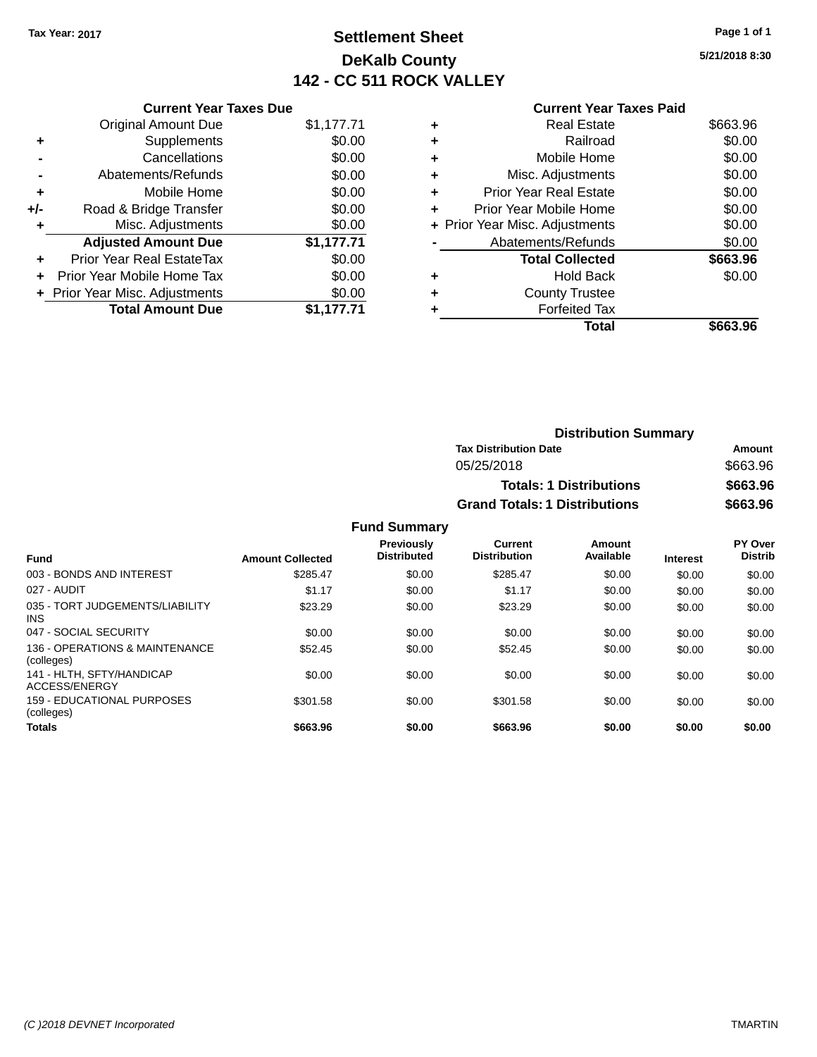## **Settlement Sheet Tax Year: 2017 Page 1 of 1 DeKalb County 142 - CC 511 ROCK VALLEY**

**5/21/2018 8:30**

|     | <b>Current Year Taxes Due</b>  |            |  |  |
|-----|--------------------------------|------------|--|--|
|     | <b>Original Amount Due</b>     | \$1,177.71 |  |  |
| ٠   | Supplements                    | \$0.00     |  |  |
|     | Cancellations                  | \$0.00     |  |  |
|     | \$0.00<br>Abatements/Refunds   |            |  |  |
| ٠   | Mobile Home                    | \$0.00     |  |  |
| +/- | Road & Bridge Transfer         | \$0.00     |  |  |
| ٠   | Misc. Adjustments              | \$0.00     |  |  |
|     | <b>Adjusted Amount Due</b>     | \$1,177.71 |  |  |
|     | Prior Year Real EstateTax      | \$0.00     |  |  |
| ÷   | Prior Year Mobile Home Tax     | \$0.00     |  |  |
|     | + Prior Year Misc. Adjustments | \$0.00     |  |  |
|     | <b>Total Amount Due</b>        | \$1.177.71 |  |  |

## **Current Year Taxes Paid +** Real Estate \$663.96 **+** Railroad \$0.00

|   | Total                          | \$663.96 |
|---|--------------------------------|----------|
|   | <b>Forfeited Tax</b>           |          |
| ÷ | <b>County Trustee</b>          |          |
| ٠ | <b>Hold Back</b>               | \$0.00   |
|   | <b>Total Collected</b>         | \$663.96 |
|   | Abatements/Refunds             | \$0.00   |
|   | + Prior Year Misc. Adjustments | \$0.00   |
| ÷ | Prior Year Mobile Home         | \$0.00   |
| ٠ | <b>Prior Year Real Estate</b>  | \$0.00   |
| ٠ | Misc. Adjustments              | \$0.00   |
|   | Mobile Home                    | \$0.00   |

| <b>Distribution Summary</b>          |          |  |
|--------------------------------------|----------|--|
| <b>Tax Distribution Date</b>         | Amount   |  |
| 05/25/2018                           | \$663.96 |  |
| <b>Totals: 1 Distributions</b>       | \$663.96 |  |
| <b>Grand Totals: 1 Distributions</b> | \$663.96 |  |

|                                               |                         | <b>Previously</b>  | Current             | Amount    |                 | <b>PY Over</b> |
|-----------------------------------------------|-------------------------|--------------------|---------------------|-----------|-----------------|----------------|
| <b>Fund</b>                                   | <b>Amount Collected</b> | <b>Distributed</b> | <b>Distribution</b> | Available | <b>Interest</b> | <b>Distrib</b> |
| 003 - BONDS AND INTEREST                      | \$285.47                | \$0.00             | \$285.47            | \$0.00    | \$0.00          | \$0.00         |
| 027 - AUDIT                                   | \$1.17                  | \$0.00             | \$1.17              | \$0.00    | \$0.00          | \$0.00         |
| 035 - TORT JUDGEMENTS/LIABILITY<br><b>INS</b> | \$23.29                 | \$0.00             | \$23.29             | \$0.00    | \$0.00          | \$0.00         |
| 047 - SOCIAL SECURITY                         | \$0.00                  | \$0.00             | \$0.00              | \$0.00    | \$0.00          | \$0.00         |
| 136 - OPERATIONS & MAINTENANCE<br>(colleges)  | \$52.45                 | \$0.00             | \$52.45             | \$0.00    | \$0.00          | \$0.00         |
| 141 - HLTH, SFTY/HANDICAP<br>ACCESS/ENERGY    | \$0.00                  | \$0.00             | \$0.00              | \$0.00    | \$0.00          | \$0.00         |
| 159 - EDUCATIONAL PURPOSES<br>(colleges)      | \$301.58                | \$0.00             | \$301.58            | \$0.00    | \$0.00          | \$0.00         |
| <b>Totals</b>                                 | \$663.96                | \$0.00             | \$663.96            | \$0.00    | \$0.00          | \$0.00         |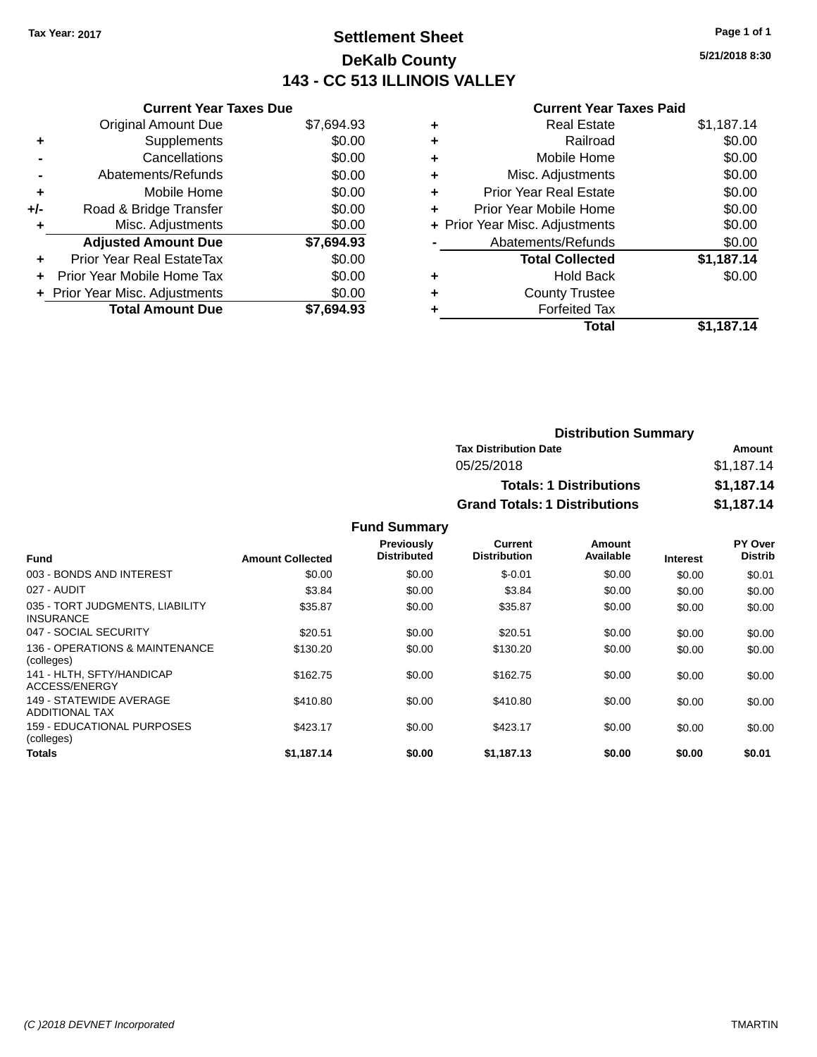## **Settlement Sheet Tax Year: 2017 Page 1 of 1 DeKalb County 143 - CC 513 ILLINOIS VALLEY**

**5/21/2018 8:30**

#### **Current Year Taxes Paid**

|     | <b>Current Year Taxes Due</b>  |            |  |  |
|-----|--------------------------------|------------|--|--|
|     | <b>Original Amount Due</b>     | \$7,694.93 |  |  |
| ÷   | \$0.00<br>Supplements          |            |  |  |
|     | Cancellations                  | \$0.00     |  |  |
|     | Abatements/Refunds             | \$0.00     |  |  |
| ٠   | \$0.00<br>Mobile Home          |            |  |  |
| +/- | Road & Bridge Transfer         | \$0.00     |  |  |
|     | Misc. Adjustments              | \$0.00     |  |  |
|     | <b>Adjusted Amount Due</b>     | \$7,694.93 |  |  |
| ÷   | Prior Year Real EstateTax      | \$0.00     |  |  |
|     | Prior Year Mobile Home Tax     | \$0.00     |  |  |
|     | + Prior Year Misc. Adjustments | \$0.00     |  |  |
|     | <b>Total Amount Due</b>        | \$7.694.93 |  |  |

|                                | <b>Real Estate</b>            | \$1,187.14 |
|--------------------------------|-------------------------------|------------|
| ٠                              | Railroad                      | \$0.00     |
| ٠                              | Mobile Home                   | \$0.00     |
| ٠                              | Misc. Adjustments             | \$0.00     |
| ٠                              | <b>Prior Year Real Estate</b> | \$0.00     |
|                                | Prior Year Mobile Home        | \$0.00     |
| + Prior Year Misc. Adjustments |                               | \$0.00     |
|                                | Abatements/Refunds            | \$0.00     |
|                                | <b>Total Collected</b>        | \$1,187.14 |
| ٠                              | <b>Hold Back</b>              | \$0.00     |
| ٠                              | <b>County Trustee</b>         |            |
| ٠                              | <b>Forfeited Tax</b>          |            |
|                                | Total                         | \$1,187.14 |
|                                |                               |            |

| <b>Distribution Summary</b>          |            |  |
|--------------------------------------|------------|--|
| <b>Tax Distribution Date</b>         | Amount     |  |
| 05/25/2018                           | \$1.187.14 |  |
| <b>Totals: 1 Distributions</b>       | \$1,187.14 |  |
| <b>Grand Totals: 1 Distributions</b> | \$1,187.14 |  |

|                                                     |                         | Previously         | Current             | Amount    |                 | PY Over        |
|-----------------------------------------------------|-------------------------|--------------------|---------------------|-----------|-----------------|----------------|
| <b>Fund</b>                                         | <b>Amount Collected</b> | <b>Distributed</b> | <b>Distribution</b> | Available | <b>Interest</b> | <b>Distrib</b> |
| 003 - BONDS AND INTEREST                            | \$0.00                  | \$0.00             | $$-0.01$            | \$0.00    | \$0.00          | \$0.01         |
| 027 - AUDIT                                         | \$3.84                  | \$0.00             | \$3.84              | \$0.00    | \$0.00          | \$0.00         |
| 035 - TORT JUDGMENTS, LIABILITY<br><b>INSURANCE</b> | \$35.87                 | \$0.00             | \$35.87             | \$0.00    | \$0.00          | \$0.00         |
| 047 - SOCIAL SECURITY                               | \$20.51                 | \$0.00             | \$20.51             | \$0.00    | \$0.00          | \$0.00         |
| 136 - OPERATIONS & MAINTENANCE<br>(colleges)        | \$130.20                | \$0.00             | \$130.20            | \$0.00    | \$0.00          | \$0.00         |
| 141 - HLTH, SFTY/HANDICAP<br>ACCESS/ENERGY          | \$162.75                | \$0.00             | \$162.75            | \$0.00    | \$0.00          | \$0.00         |
| 149 - STATEWIDE AVERAGE<br>ADDITIONAL TAX           | \$410.80                | \$0.00             | \$410.80            | \$0.00    | \$0.00          | \$0.00         |
| 159 - EDUCATIONAL PURPOSES<br>(colleges)            | \$423.17                | \$0.00             | \$423.17            | \$0.00    | \$0.00          | \$0.00         |
| <b>Totals</b>                                       | \$1.187.14              | \$0.00             | \$1,187.13          | \$0.00    | \$0.00          | \$0.01         |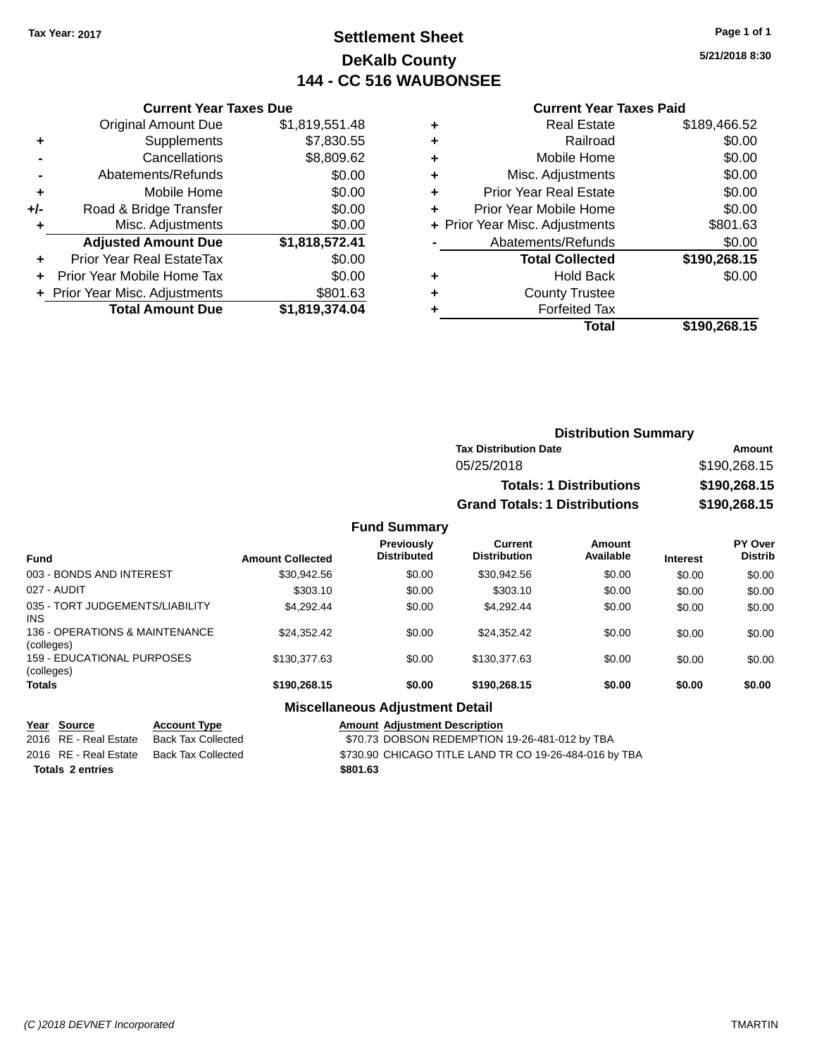## **Settlement Sheet Tax Year: 2017 Page 1 of 1 DeKalb County 144 - CC 516 WAUBONSEE**

**5/21/2018 8:30**

| <b>Current Year Taxes Paid</b> |  |  |
|--------------------------------|--|--|
|                                |  |  |

|     | <b>Original Amount Due</b>       | \$1,819,551.48 |
|-----|----------------------------------|----------------|
| ٠   | Supplements                      | \$7,830.55     |
|     | Cancellations                    | \$8,809.62     |
|     | Abatements/Refunds               | \$0.00         |
| ٠   | Mobile Home                      | \$0.00         |
| +/- | Road & Bridge Transfer           | \$0.00         |
| ۰   | Misc. Adjustments                | \$0.00         |
|     | <b>Adjusted Amount Due</b>       | \$1,818,572.41 |
| ٠   | <b>Prior Year Real EstateTax</b> | \$0.00         |
|     | Prior Year Mobile Home Tax       | \$0.00         |
|     | + Prior Year Misc. Adjustments   | \$801.63       |
|     | <b>Total Amount Due</b>          | \$1,819,374.04 |
|     |                                  |                |

**Current Year Taxes Due**

| ٠ | <b>Real Estate</b>             | \$189,466.52 |
|---|--------------------------------|--------------|
| ٠ | Railroad                       | \$0.00       |
| ٠ | Mobile Home                    | \$0.00       |
| ٠ | Misc. Adjustments              | \$0.00       |
| ٠ | <b>Prior Year Real Estate</b>  | \$0.00       |
| ٠ | Prior Year Mobile Home         | \$0.00       |
|   | + Prior Year Misc. Adjustments | \$801.63     |
|   | Abatements/Refunds             | \$0.00       |
|   | <b>Total Collected</b>         | \$190,268.15 |
| ٠ | <b>Hold Back</b>               | \$0.00       |
| ٠ | <b>County Trustee</b>          |              |
| ٠ | <b>Forfeited Tax</b>           |              |
|   | Total                          | \$190,268.15 |
|   |                                |              |

| <b>Distribution Summary</b>          |              |  |  |
|--------------------------------------|--------------|--|--|
| <b>Tax Distribution Date</b>         | Amount       |  |  |
| 05/25/2018                           | \$190,268.15 |  |  |
| <b>Totals: 1 Distributions</b>       | \$190,268.15 |  |  |
| <b>Grand Totals: 1 Distributions</b> | \$190,268.15 |  |  |

#### **Fund Summary**

| <b>Fund</b>                                  | <b>Amount Collected</b> | <b>Previously</b><br><b>Distributed</b> | Current<br><b>Distribution</b> | Amount<br>Available | <b>Interest</b> | <b>PY Over</b><br><b>Distrib</b> |
|----------------------------------------------|-------------------------|-----------------------------------------|--------------------------------|---------------------|-----------------|----------------------------------|
| 003 - BONDS AND INTEREST                     | \$30,942.56             | \$0.00                                  | \$30.942.56                    | \$0.00              | \$0.00          | \$0.00                           |
| 027 - AUDIT                                  | \$303.10                | \$0.00                                  | \$303.10                       | \$0.00              | \$0.00          | \$0.00                           |
| 035 - TORT JUDGEMENTS/LIABILITY<br>INS.      | \$4.292.44              | \$0.00                                  | \$4.292.44                     | \$0.00              | \$0.00          | \$0.00                           |
| 136 - OPERATIONS & MAINTENANCE<br>(colleges) | \$24.352.42             | \$0.00                                  | \$24.352.42                    | \$0.00              | \$0.00          | \$0.00                           |
| 159 - EDUCATIONAL PURPOSES<br>(colleges)     | \$130,377,63            | \$0.00                                  | \$130,377,63                   | \$0.00              | \$0.00          | \$0.00                           |
| <b>Totals</b>                                | \$190,268.15            | \$0.00                                  | \$190,268.15                   | \$0.00              | \$0.00          | \$0.00                           |

#### **Miscellaneous Adjustment Detail**

#### **Year Source Account Type Amount Adjustment Description**

2016 RE - Real Estate Back Tax Collected **\$70.73 DOBSON REDEMPTION 19-26-481-012 by TBA** 2016 RE - Real Estate Back Tax Collected \$730.90 CHICAGO TITLE LAND TR CO 19-26-484-016 by TBA **Totals \$801.63 2 entries**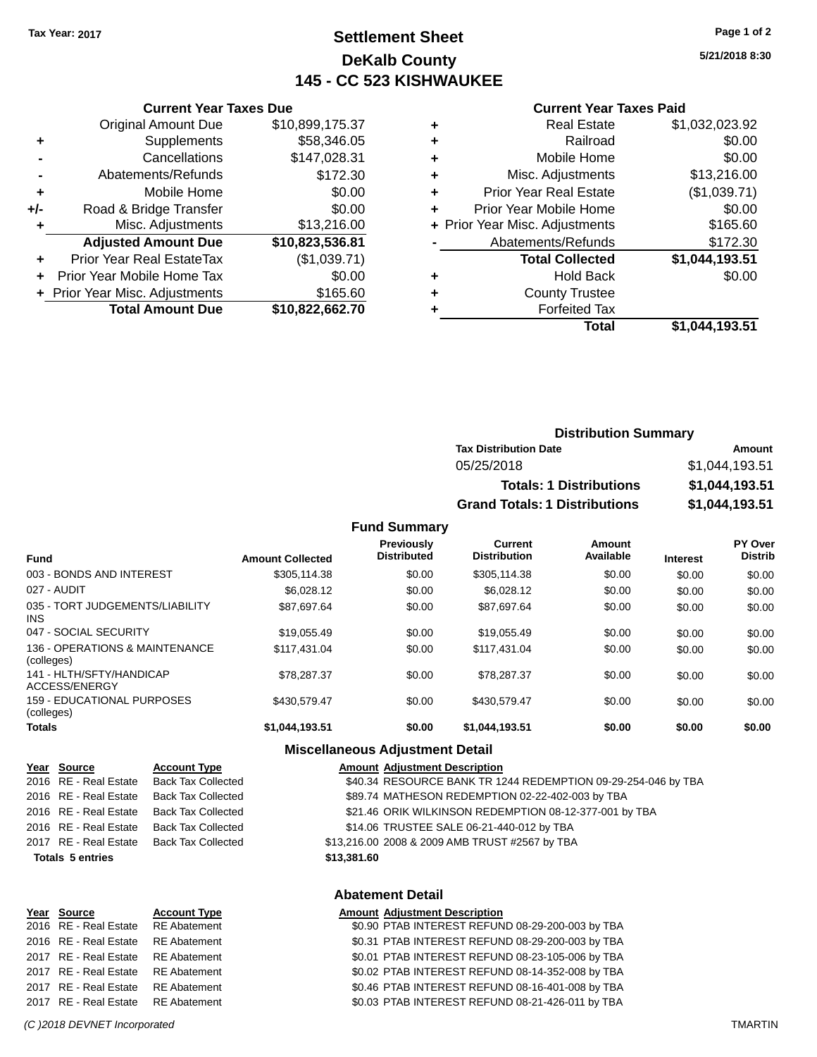## **Settlement Sheet Tax Year: 2017 Page 1 of 2 DeKalb County 145 - CC 523 KISHWAUKEE**

**5/21/2018 8:30**

#### **Current Year Taxes Paid**

|     | <b>Original Amount Due</b>     | \$10,899,175.37 |
|-----|--------------------------------|-----------------|
| ٠   | Supplements                    | \$58,346.05     |
|     | Cancellations                  | \$147,028.31    |
| -   | Abatements/Refunds             | \$172.30        |
| ٠   | Mobile Home                    | \$0.00          |
| +/- | Road & Bridge Transfer         | \$0.00          |
| ٠   | Misc. Adjustments              | \$13,216.00     |
|     | <b>Adjusted Amount Due</b>     | \$10,823,536.81 |
| ٠   | Prior Year Real EstateTax      | (\$1,039.71)    |
| ٠   | Prior Year Mobile Home Tax     | \$0.00          |
|     | + Prior Year Misc. Adjustments | \$165.60        |
|     | <b>Total Amount Due</b>        | \$10,822,662.70 |
|     |                                |                 |

**Current Year Taxes Due**

|   | <b>Real Estate</b>             | \$1,032,023.92 |
|---|--------------------------------|----------------|
|   | Railroad                       | \$0.00         |
| ٠ | Mobile Home                    | \$0.00         |
| ٠ | Misc. Adjustments              | \$13,216.00    |
| ٠ | <b>Prior Year Real Estate</b>  | (\$1,039.71)   |
|   | Prior Year Mobile Home         | \$0.00         |
|   | + Prior Year Misc. Adjustments | \$165.60       |
|   | Abatements/Refunds             | \$172.30       |
|   | <b>Total Collected</b>         | \$1,044,193.51 |
| ٠ | <b>Hold Back</b>               | \$0.00         |
|   | <b>County Trustee</b>          |                |
|   | <b>Forfeited Tax</b>           |                |
|   | Total                          | \$1,044,193.51 |
|   |                                |                |

| <b>Distribution Summary</b>          |                |  |
|--------------------------------------|----------------|--|
| <b>Tax Distribution Date</b>         | Amount         |  |
| 05/25/2018                           | \$1.044.193.51 |  |
| <b>Totals: 1 Distributions</b>       | \$1,044,193.51 |  |
| <b>Grand Totals: 1 Distributions</b> | \$1,044,193.51 |  |

#### **Fund Summary**

| <b>Fund</b>                                   | <b>Amount Collected</b> | <b>Previously</b><br><b>Distributed</b> | Current<br><b>Distribution</b> | Amount<br>Available | <b>Interest</b> | <b>PY Over</b><br><b>Distrib</b> |
|-----------------------------------------------|-------------------------|-----------------------------------------|--------------------------------|---------------------|-----------------|----------------------------------|
| 003 - BONDS AND INTEREST                      | \$305.114.38            | \$0.00                                  | \$305.114.38                   | \$0.00              | \$0.00          | \$0.00                           |
| 027 - AUDIT                                   | \$6,028.12              | \$0.00                                  | \$6.028.12                     | \$0.00              | \$0.00          | \$0.00                           |
| 035 - TORT JUDGEMENTS/LIABILITY<br><b>INS</b> | \$87.697.64             | \$0.00                                  | \$87.697.64                    | \$0.00              | \$0.00          | \$0.00                           |
| 047 - SOCIAL SECURITY                         | \$19.055.49             | \$0.00                                  | \$19.055.49                    | \$0.00              | \$0.00          | \$0.00                           |
| 136 - OPERATIONS & MAINTENANCE<br>(colleges)  | \$117.431.04            | \$0.00                                  | \$117.431.04                   | \$0.00              | \$0.00          | \$0.00                           |
| 141 - HLTH/SFTY/HANDICAP<br>ACCESS/ENERGY     | \$78,287.37             | \$0.00                                  | \$78,287.37                    | \$0.00              | \$0.00          | \$0.00                           |
| 159 - EDUCATIONAL PURPOSES<br>(colleges)      | \$430,579.47            | \$0.00                                  | \$430.579.47                   | \$0.00              | \$0.00          | \$0.00                           |
| <b>Totals</b>                                 | \$1,044,193.51          | \$0.00                                  | \$1,044,193.51                 | \$0.00              | \$0.00          | \$0.00                           |

#### **Miscellaneous Adjustment Detail**

|                         | Year Source           | <b>Account Ty</b> |  |  |  |
|-------------------------|-----------------------|-------------------|--|--|--|
|                         | 2016 RE - Real Estate | Back Tax Co       |  |  |  |
|                         | 2016 RE - Real Estate | Back Tax Co       |  |  |  |
|                         | 2016 RE - Real Estate | Back Tax Co       |  |  |  |
|                         | 2016 RE - Real Estate | Back Tax Co       |  |  |  |
|                         | 2017 RE - Real Estate | Back Tax Co       |  |  |  |
| <b>Totals 5 entries</b> |                       |                   |  |  |  |

|                                    |                     | ADALEITICHL DELAIT                   |
|------------------------------------|---------------------|--------------------------------------|
| Year Source                        | <b>Account Type</b> | <b>Amount Adjustment Description</b> |
| 2016 RE - Real Estate RE Abatement |                     | \$0.90 PTAB INTEREST REFUN           |
| 2016 RE - Real Estate              | RE Abatement        | \$0.31 PTAB INTEREST REFUN           |
| 2017 RE - Real Estate              | RE Abatement        | \$0.01 PTAB INTEREST REFUN           |
| 2017 RE - Real Estate RE Abatement |                     | \$0.02 PTAB INTEREST REFUN           |
| 2017 RE - Real Estate RE Abatement |                     | \$0.46 PTAB INTEREST REFUN           |
| 2017 RF - Real Estate RF Abatement |                     | \$0.03 PTAR INTEREST REFUN           |

**PE** *Amount Adjustment Description* 2016 Real Estate Transaction S40.34 RESOURCE BANK TR 1244 REDEMPTION 09-29-254-046 by TBA 2016 Bullected S89.74 MATHESON REDEMPTION 02-22-402-003 by TBA 21.46 ORIK WILKINSON REDEMPTION 08-12-377-001 by TBA 2016 Blected **\$14.06 TRUSTEE SALE 06-21-440-012 by TBA** 2009 AMB TRUST #2567 by TBA - \$13,216.00 2008 & 2009 AMB TRUST #2567 by TBA

#### **Totals \$13,381.60 5 entries**

#### **Abatement Detail**

2016 RE - Real Estate RE Abatement \$0.90 PTAB INTEREST REFUND 08-29-200-003 by TBA 2016 RE - Real Estate RE Abatement \$0.31 PTAB INTEREST REFUND 08-29-200-003 by TBA 2017 RE - Real Estate RE Abatement \$0.01 PTAB INTEREST REFUND 08-23-105-006 by TBA 2017 RE - Real Estate RE Abatement \$0.02 PTAB INTEREST REFUND 08-14-352-008 by TBA 2017 RE - Real Estate RE Abatement \$0.46 PTAB INTEREST REFUND 08-16-401-008 by TBA 2017 RE - Real Estate RE Abatement \$0.03 PTAB INTEREST REFUND 08-21-426-011 by TBA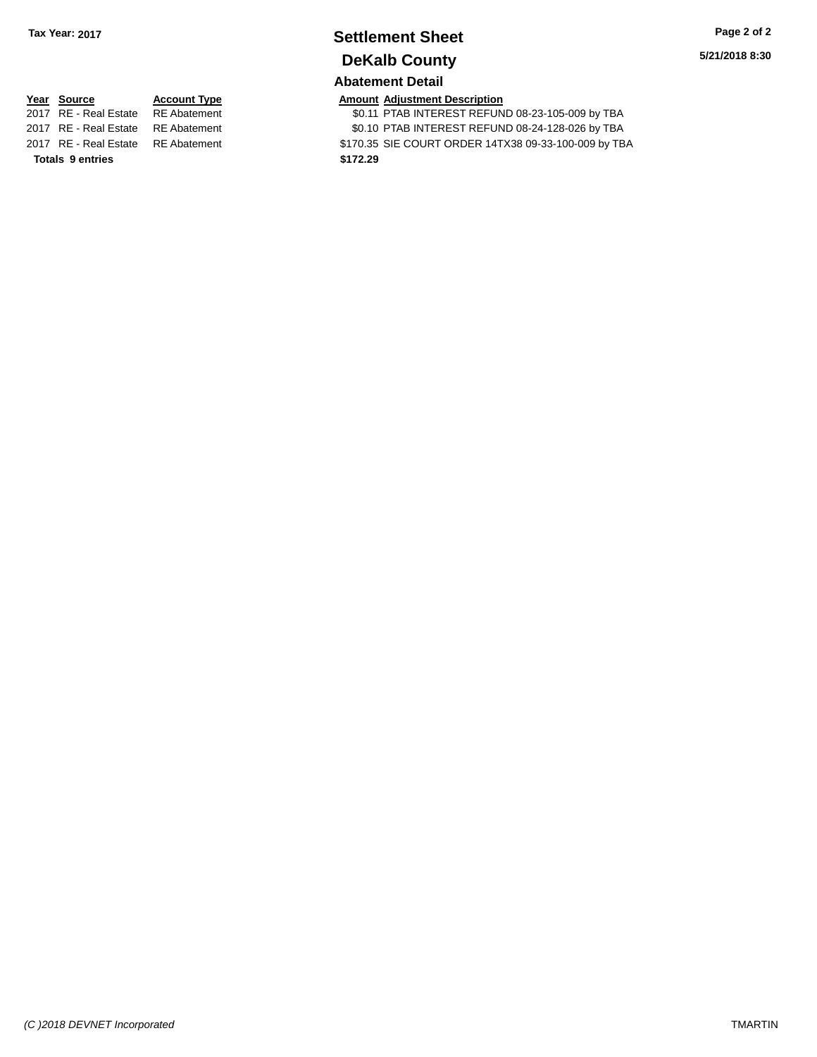# **Settlement Sheet Tax Year: 2017 Page 2 of 2 DeKalb County**

**5/21/2018 8:30**

## **Abatement Detail**

| <u> Year Source</u>   | <b>Account Type</b>    |
|-----------------------|------------------------|
| 2017 RE - Real Estate | <b>RE</b> Abatemen     |
| 2017 RE - Real Estate | <b>RE</b> Abatemen     |
| 0047 DE Deel Estate   | $D \Gamma$ $A$ hataman |

**Totals \$172.29 9 entries**

**<u>Amount Adjustment Description</u><br>
\$0.11 PTAB INTEREST REFUN** \$0.11 PTAB INTEREST REFUND 08-23-105-009 by TBA 11 **2017 REAL ESTATE ST REAL EST REFUND 08-24-128-026 by TBA** 2017 RE - Real Estate RE Abatement \$170.35 SIE COURT ORDER 14TX38 09-33-100-009 by TBA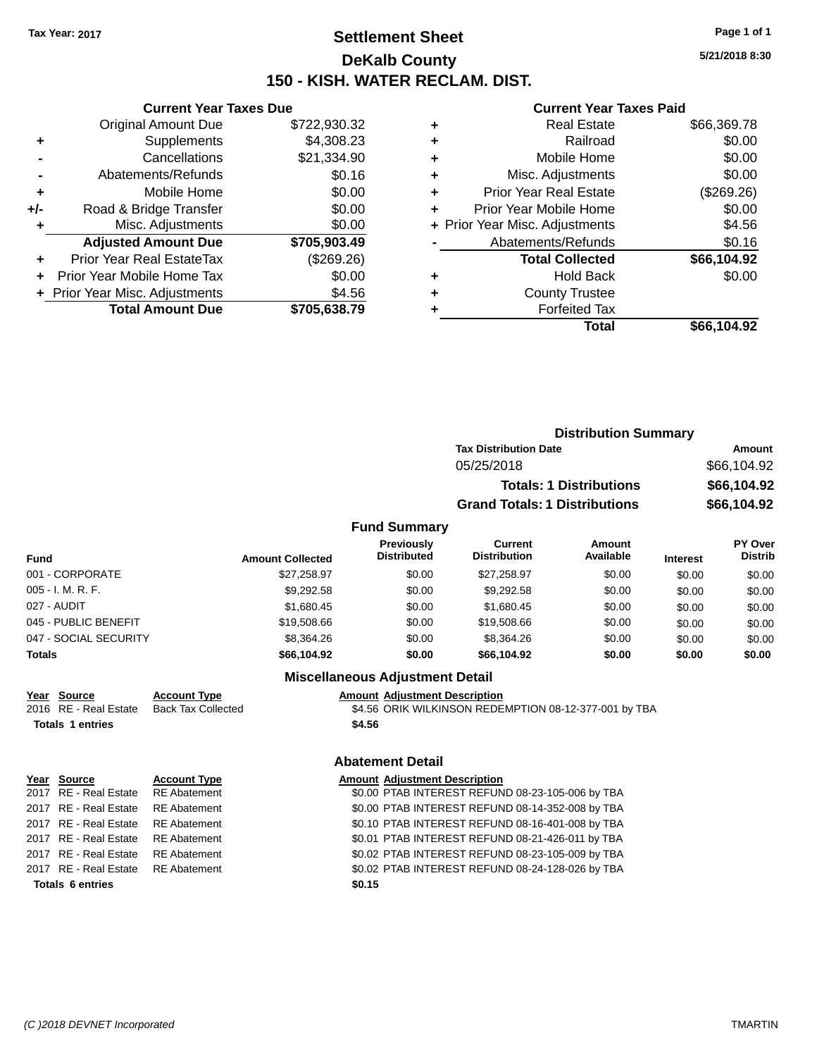## **Settlement Sheet Tax Year: 2017 Page 1 of 1 DeKalb County 150 - KISH. WATER RECLAM. DIST.**

**5/21/2018 8:30**

#### **Current Year Taxes Paid**

| <b>Current Year Taxes Due</b>  |                         |
|--------------------------------|-------------------------|
| <b>Original Amount Due</b>     | \$722,930.32            |
| Supplements                    | \$4,308.23              |
| Cancellations                  | \$21,334.90             |
| Abatements/Refunds             | \$0.16                  |
| Mobile Home                    | \$0.00                  |
| Road & Bridge Transfer         | \$0.00                  |
| Misc. Adjustments              | \$0.00                  |
| <b>Adjusted Amount Due</b>     | \$705,903.49            |
| Prior Year Real EstateTax      | (\$269.26)              |
| Prior Year Mobile Home Tax     | \$0.00                  |
| + Prior Year Misc. Adjustments | \$4.56                  |
|                                | \$705,638.79            |
|                                | <b>Total Amount Due</b> |

| ٠ | <b>Real Estate</b>             | \$66,369.78 |
|---|--------------------------------|-------------|
| ٠ | Railroad                       | \$0.00      |
| ٠ | Mobile Home                    | \$0.00      |
| ٠ | Misc. Adjustments              | \$0.00      |
| ٠ | <b>Prior Year Real Estate</b>  | (\$269.26)  |
| ٠ | Prior Year Mobile Home         | \$0.00      |
|   | + Prior Year Misc. Adjustments | \$4.56      |
|   | Abatements/Refunds             | \$0.16      |
|   | <b>Total Collected</b>         | \$66,104.92 |
| ٠ | <b>Hold Back</b>               | \$0.00      |
| ٠ | <b>County Trustee</b>          |             |
| ٠ | <b>Forfeited Tax</b>           |             |
|   | Total                          | \$66.104.92 |
|   |                                |             |

|    |                     | <b>Distribution Summary</b>          |                                |             |                |
|----|---------------------|--------------------------------------|--------------------------------|-------------|----------------|
|    |                     | <b>Tax Distribution Date</b>         |                                |             | <b>Amount</b>  |
|    |                     | 05/25/2018                           |                                |             | \$66,104.92    |
|    |                     |                                      | <b>Totals: 1 Distributions</b> |             | \$66,104.92    |
|    |                     | <b>Grand Totals: 1 Distributions</b> |                                |             | \$66,104.92    |
|    | <b>Fund Summary</b> |                                      |                                |             |                |
|    | <b>Previously</b>   | Current                              | Amount                         |             | <b>PY Over</b> |
| ъ. | Distributed         | <b>Distribution</b>                  | Available                      | In terms of | <b>Distrib</b> |

| Fund                  | <b>Amount Collected</b> | <b>Previously</b><br><b>Distributed</b> | Current<br><b>Distribution</b> | Amount<br>Available | <b>Interest</b> | <b>PY Over</b><br><b>Distrib</b> |
|-----------------------|-------------------------|-----------------------------------------|--------------------------------|---------------------|-----------------|----------------------------------|
| 001 - CORPORATE       | \$27.258.97             | \$0.00                                  | \$27.258.97                    | \$0.00              | \$0.00          | \$0.00                           |
| 005 - I. M. R. F.     | \$9,292.58              | \$0.00                                  | \$9.292.58                     | \$0.00              | \$0.00          | \$0.00                           |
| 027 - AUDIT           | \$1,680.45              | \$0.00                                  | \$1.680.45                     | \$0.00              | \$0.00          | \$0.00                           |
| 045 - PUBLIC BENEFIT  | \$19,508.66             | \$0.00                                  | \$19,508,66                    | \$0.00              | \$0.00          | \$0.00                           |
| 047 - SOCIAL SECURITY | \$8,364.26              | \$0.00                                  | \$8.364.26                     | \$0.00              | \$0.00          | \$0.00                           |
| <b>Totals</b>         | \$66,104.92             | \$0.00                                  | \$66.104.92                    | \$0.00              | \$0.00          | \$0.00                           |

## **Miscellaneous Adjustment Detail**

| Year Source             | <b>Account Type</b>       | <b>Amount Adjustment Description</b>                  |
|-------------------------|---------------------------|-------------------------------------------------------|
| 2016 RE - Real Estate   | <b>Back Tax Collected</b> | \$4.56 ORIK WILKINSON REDEMPTION 08-12-377-001 by TBA |
| <b>Totals 1 entries</b> |                           | \$4.56                                                |
|                         |                           | <b>Abatement Detail</b>                               |
| Year<br>Source          | <b>Account Type</b>       | <b>Amount Adjustment Description</b>                  |

|                         | 2017 RE - Real Estate RE Abatement | \$0.00 PTAB INTEREST REFUND 08-23-105-006 by TBA |
|-------------------------|------------------------------------|--------------------------------------------------|
|                         | 2017 RE - Real Estate RE Abatement | \$0.00 PTAB INTEREST REFUND 08-14-352-008 by TBA |
|                         | 2017 RE - Real Estate RE Abatement | \$0.10 PTAB INTEREST REFUND 08-16-401-008 by TBA |
|                         | 2017 RE - Real Estate RE Abatement | \$0.01 PTAB INTEREST REFUND 08-21-426-011 by TBA |
|                         | 2017 RE - Real Estate RE Abatement | \$0.02 PTAB INTEREST REFUND 08-23-105-009 by TBA |
|                         | 2017 RE - Real Estate RE Abatement | \$0.02 PTAB INTEREST REFUND 08-24-128-026 by TBA |
| <b>Totals 6 entries</b> |                                    | \$0.15                                           |
|                         |                                    |                                                  |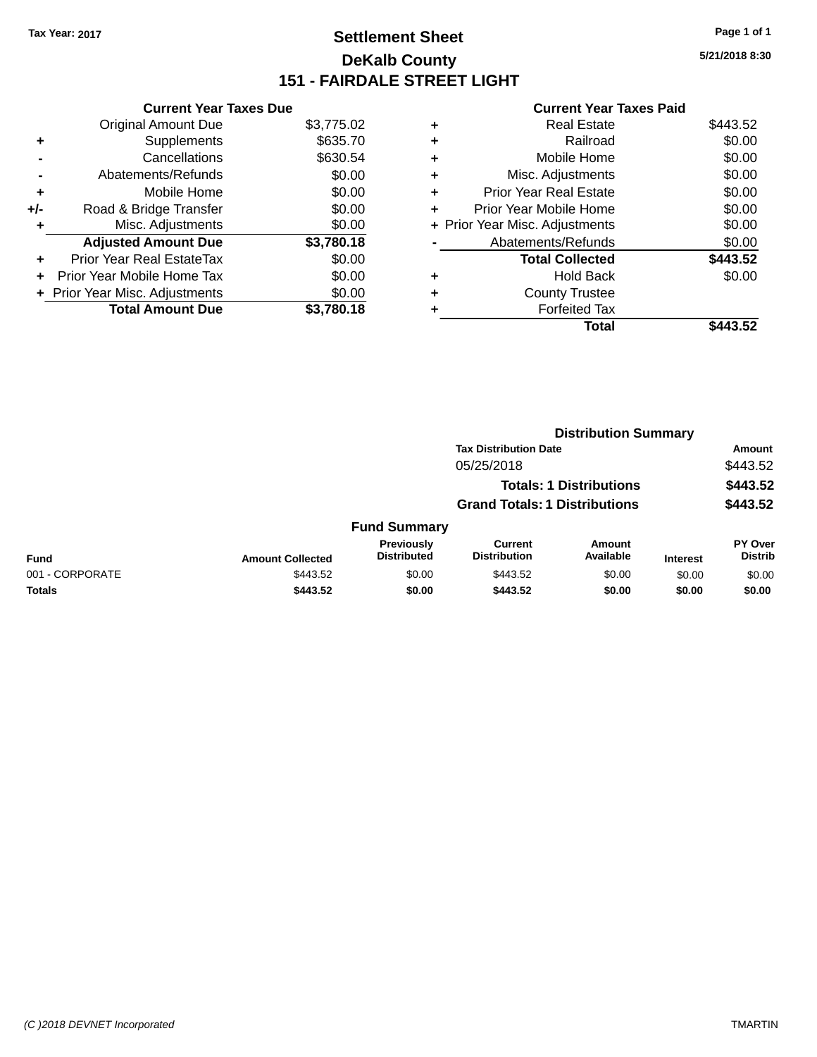## **Settlement Sheet Tax Year: 2017 Page 1 of 1 DeKalb County 151 - FAIRDALE STREET LIGHT**

| <b>Current Year Taxes Paid</b> |
|--------------------------------|
|--------------------------------|

|     | <b>Current Year Taxes Due</b>    |            |
|-----|----------------------------------|------------|
|     | <b>Original Amount Due</b>       | \$3,775.02 |
| ٠   | Supplements                      | \$635.70   |
|     | Cancellations                    | \$630.54   |
|     | Abatements/Refunds               | \$0.00     |
| ٠   | Mobile Home                      | \$0.00     |
| +/- | Road & Bridge Transfer           | \$0.00     |
| ٠   | Misc. Adjustments                | \$0.00     |
|     | <b>Adjusted Amount Due</b>       | \$3,780.18 |
| ٠   | <b>Prior Year Real EstateTax</b> | \$0.00     |
| ٠   | Prior Year Mobile Home Tax       | \$0.00     |
|     | + Prior Year Misc. Adjustments   | \$0.00     |
|     | <b>Total Amount Due</b>          | \$3.780.18 |

| ٠ | <b>Real Estate</b>             | \$443.52 |
|---|--------------------------------|----------|
| ٠ | Railroad                       | \$0.00   |
| ٠ | Mobile Home                    | \$0.00   |
| ٠ | Misc. Adjustments              | \$0.00   |
| ٠ | <b>Prior Year Real Estate</b>  | \$0.00   |
| ٠ | Prior Year Mobile Home         | \$0.00   |
|   | + Prior Year Misc. Adjustments | \$0.00   |
|   | Abatements/Refunds             | \$0.00   |
|   | <b>Total Collected</b>         | \$443.52 |
| ٠ | <b>Hold Back</b>               | \$0.00   |
| ٠ | <b>County Trustee</b>          |          |
|   | <b>Forfeited Tax</b>           |          |
|   | Total                          | \$443.52 |
|   |                                |          |

|                 |                         |                                  |                                       | <b>Distribution Summary</b>    |                 |                           |  |
|-----------------|-------------------------|----------------------------------|---------------------------------------|--------------------------------|-----------------|---------------------------|--|
|                 |                         |                                  | <b>Tax Distribution Date</b>          |                                |                 | <b>Amount</b>             |  |
|                 |                         |                                  | 05/25/2018                            |                                |                 | \$443.52                  |  |
|                 |                         |                                  |                                       | <b>Totals: 1 Distributions</b> |                 | \$443.52                  |  |
|                 |                         |                                  | <b>Grand Totals: 1 Distributions</b>  |                                |                 | \$443.52                  |  |
|                 |                         | <b>Fund Summary</b>              |                                       |                                |                 |                           |  |
| <b>Fund</b>     | <b>Amount Collected</b> | Previously<br><b>Distributed</b> | <b>Current</b><br><b>Distribution</b> | <b>Amount</b><br>Available     | <b>Interest</b> | PY Over<br><b>Distrib</b> |  |
| 001 - CORPORATE | \$443.52                | \$0.00                           | \$443.52                              | \$0.00                         | \$0.00          | \$0.00                    |  |
| <b>Totals</b>   | \$443.52                | \$0.00                           | \$443.52                              | \$0.00                         | \$0.00          | \$0.00                    |  |
|                 |                         |                                  |                                       |                                |                 |                           |  |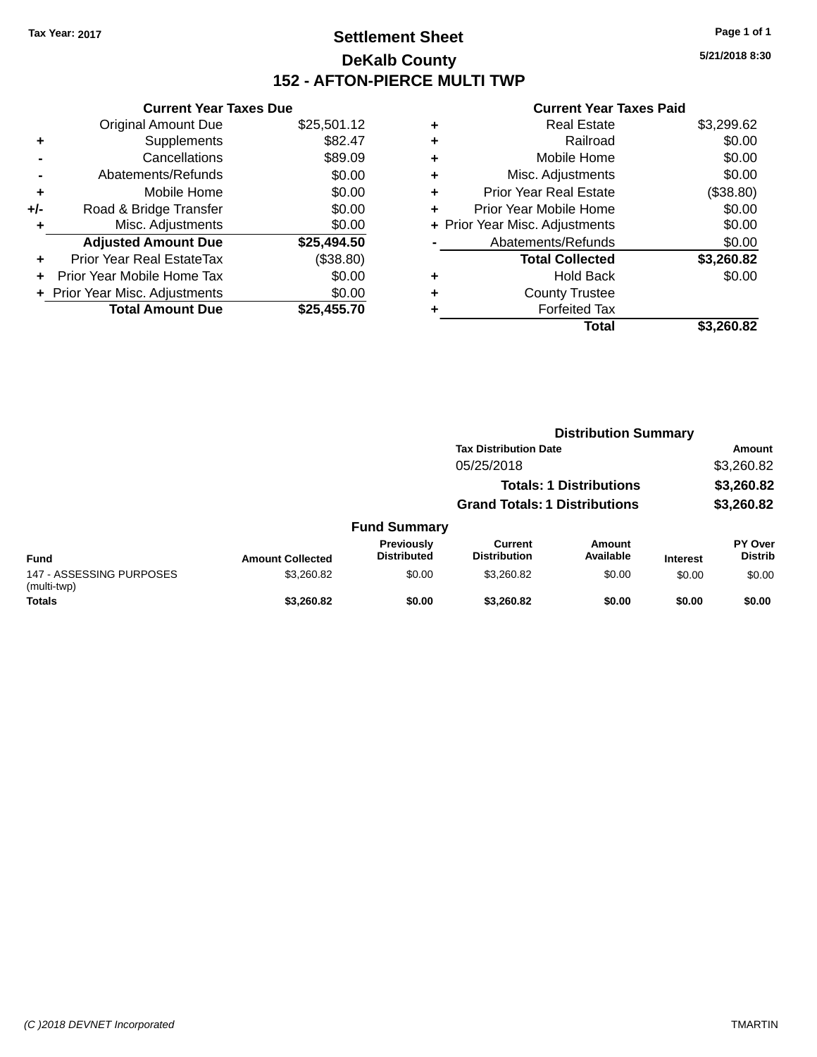## **Settlement Sheet Tax Year: 2017 Page 1 of 1 DeKalb County 152 - AFTON-PIERCE MULTI TWP**

**5/21/2018 8:30**

| <b>Current Year Taxes Due</b>  |             |
|--------------------------------|-------------|
| <b>Original Amount Due</b>     | \$25,501.12 |
| Supplements                    | \$82.47     |
| Cancellations                  | \$89.09     |
| Abatements/Refunds             | \$0.00      |
| Mobile Home                    | \$0.00      |
| Road & Bridge Transfer         | \$0.00      |
| Misc. Adjustments              | \$0.00      |
| <b>Adjusted Amount Due</b>     | \$25,494.50 |
| Prior Year Real EstateTax      | (\$38.80)   |
| Prior Year Mobile Home Tax     | \$0.00      |
| + Prior Year Misc. Adjustments | \$0.00      |
| <b>Total Amount Due</b>        | \$25.455.70 |
|                                |             |

|   | Total                          | \$3,260.82 |
|---|--------------------------------|------------|
|   | <b>Forfeited Tax</b>           |            |
| ٠ | <b>County Trustee</b>          |            |
| ٠ | <b>Hold Back</b>               | \$0.00     |
|   | <b>Total Collected</b>         | \$3,260.82 |
|   | Abatements/Refunds             | \$0.00     |
|   | + Prior Year Misc. Adjustments | \$0.00     |
| ٠ | Prior Year Mobile Home         | \$0.00     |
| ÷ | <b>Prior Year Real Estate</b>  | (\$38.80)  |
| ٠ | Misc. Adjustments              | \$0.00     |
| ٠ | Mobile Home                    | \$0.00     |
| ٠ | Railroad                       | \$0.00     |
| ۰ | <b>Real Estate</b>             | \$3,299.62 |
|   |                                |            |

|                                         |                         |                                         | <b>Distribution Summary</b>          |                                |                 |                           |
|-----------------------------------------|-------------------------|-----------------------------------------|--------------------------------------|--------------------------------|-----------------|---------------------------|
|                                         |                         |                                         | <b>Tax Distribution Date</b>         |                                |                 | <b>Amount</b>             |
|                                         |                         |                                         | 05/25/2018                           |                                |                 | \$3,260.82                |
|                                         |                         |                                         |                                      | <b>Totals: 1 Distributions</b> |                 | \$3,260.82                |
|                                         |                         |                                         | <b>Grand Totals: 1 Distributions</b> |                                |                 | \$3,260.82                |
|                                         |                         | <b>Fund Summary</b>                     |                                      |                                |                 |                           |
| <b>Fund</b>                             | <b>Amount Collected</b> | <b>Previously</b><br><b>Distributed</b> | Current<br><b>Distribution</b>       | Amount<br>Available            | <b>Interest</b> | PY Over<br><b>Distrib</b> |
| 147 - ASSESSING PURPOSES<br>(multi-twp) | \$3,260.82              | \$0.00                                  | \$3,260.82                           | \$0.00                         | \$0.00          | \$0.00                    |
| <b>Totals</b>                           | \$3,260,82              | \$0.00                                  | \$3,260.82                           | \$0.00                         | \$0.00          | \$0.00                    |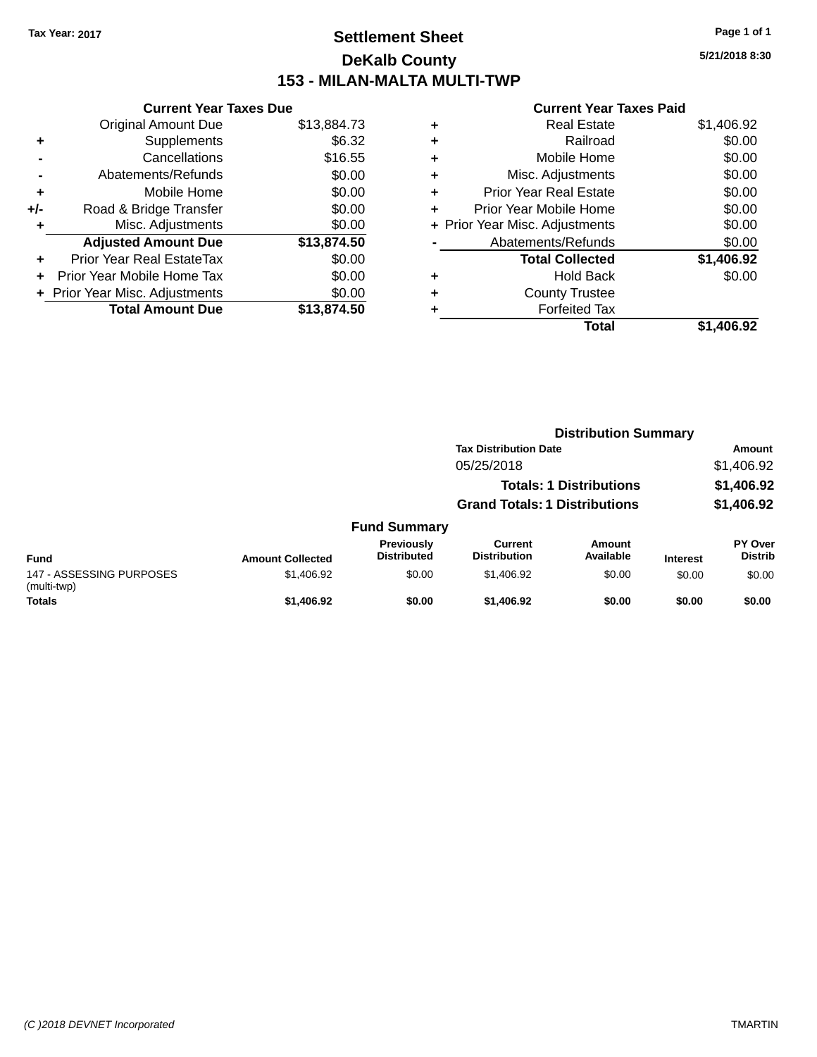## **Settlement Sheet Tax Year: 2017 Page 1 of 1 DeKalb County 153 - MILAN-MALTA MULTI-TWP**

**5/21/2018 8:30**

|     | <b>Current Year Taxes Due</b>  |             |
|-----|--------------------------------|-------------|
|     | <b>Original Amount Due</b>     | \$13,884.73 |
| ٠   | Supplements                    | \$6.32      |
|     | Cancellations                  | \$16.55     |
|     | Abatements/Refunds             | \$0.00      |
| ٠   | Mobile Home                    | \$0.00      |
| +/- | Road & Bridge Transfer         | \$0.00      |
| ٠   | Misc. Adjustments              | \$0.00      |
|     | <b>Adjusted Amount Due</b>     | \$13,874.50 |
| ٠   | Prior Year Real EstateTax      | \$0.00      |
|     | Prior Year Mobile Home Tax     | \$0.00      |
|     | + Prior Year Misc. Adjustments | \$0.00      |
|     | <b>Total Amount Due</b>        | \$13,874.50 |
|     |                                |             |

| ٠ | <b>Real Estate</b>             | \$1,406.92 |
|---|--------------------------------|------------|
| ٠ | Railroad                       | \$0.00     |
| ٠ | Mobile Home                    | \$0.00     |
| ٠ | Misc. Adjustments              | \$0.00     |
| ٠ | <b>Prior Year Real Estate</b>  | \$0.00     |
|   | Prior Year Mobile Home         | \$0.00     |
|   | + Prior Year Misc. Adjustments | \$0.00     |
|   | Abatements/Refunds             | \$0.00     |
|   | <b>Total Collected</b>         | \$1,406.92 |
| ٠ | <b>Hold Back</b>               | \$0.00     |
|   | <b>County Trustee</b>          |            |
| ٠ | <b>Forfeited Tax</b>           |            |
|   | Total                          | \$1.406.92 |
|   |                                |            |

|                                         |                         |                                  | <b>Distribution Summary</b>           |                                |                 |                                  |
|-----------------------------------------|-------------------------|----------------------------------|---------------------------------------|--------------------------------|-----------------|----------------------------------|
|                                         |                         |                                  | <b>Tax Distribution Date</b>          |                                |                 | Amount                           |
|                                         |                         |                                  | 05/25/2018                            |                                |                 | \$1,406.92                       |
|                                         |                         |                                  |                                       | <b>Totals: 1 Distributions</b> |                 | \$1,406.92                       |
|                                         |                         |                                  | <b>Grand Totals: 1 Distributions</b>  |                                |                 | \$1,406.92                       |
|                                         |                         | <b>Fund Summary</b>              |                                       |                                |                 |                                  |
| <b>Fund</b>                             | <b>Amount Collected</b> | Previously<br><b>Distributed</b> | <b>Current</b><br><b>Distribution</b> | <b>Amount</b><br>Available     | <b>Interest</b> | <b>PY Over</b><br><b>Distrib</b> |
| 147 - ASSESSING PURPOSES<br>(multi-twp) | \$1,406.92              | \$0.00                           | \$1,406.92                            | \$0.00                         | \$0.00          | \$0.00                           |
| <b>Totals</b>                           | \$1,406.92              | \$0.00                           | \$1,406.92                            | \$0.00                         | \$0.00          | \$0.00                           |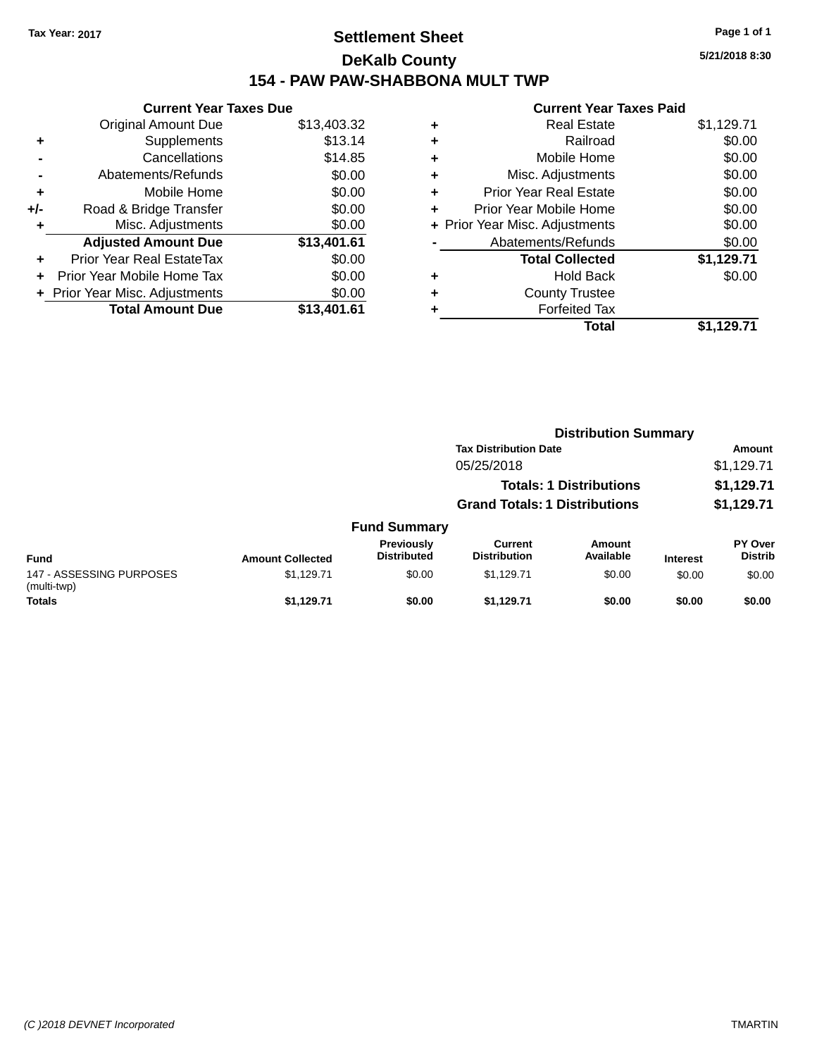## **Settlement Sheet Tax Year: 2017 Page 1 of 1 DeKalb County 154 - PAW PAW-SHABBONA MULT TWP**

**5/21/2018 8:30**

|     | <b>Current Year Taxes Due</b>          |             |  |  |  |
|-----|----------------------------------------|-------------|--|--|--|
|     | <b>Original Amount Due</b>             | \$13,403.32 |  |  |  |
| ÷   | Supplements                            | \$13.14     |  |  |  |
|     | Cancellations                          | \$14.85     |  |  |  |
|     | Abatements/Refunds                     | \$0.00      |  |  |  |
| ٠   | Mobile Home                            | \$0.00      |  |  |  |
| +/- | Road & Bridge Transfer                 | \$0.00      |  |  |  |
|     | Misc. Adjustments                      | \$0.00      |  |  |  |
|     | <b>Adjusted Amount Due</b>             | \$13,401.61 |  |  |  |
| ÷   | Prior Year Real EstateTax              | \$0.00      |  |  |  |
| ٠   | Prior Year Mobile Home Tax             | \$0.00      |  |  |  |
|     | \$0.00<br>Prior Year Misc. Adjustments |             |  |  |  |
|     | <b>Total Amount Due</b>                | \$13.401.61 |  |  |  |

|   | <b>Real Estate</b>             | \$1,129.71 |
|---|--------------------------------|------------|
| ٠ | Railroad                       | \$0.00     |
| ٠ | Mobile Home                    | \$0.00     |
| ٠ | Misc. Adjustments              | \$0.00     |
| ٠ | <b>Prior Year Real Estate</b>  | \$0.00     |
| ٠ | Prior Year Mobile Home         | \$0.00     |
|   | + Prior Year Misc. Adjustments | \$0.00     |
|   | Abatements/Refunds             | \$0.00     |
|   | <b>Total Collected</b>         | \$1,129.71 |
| ٠ | <b>Hold Back</b>               | \$0.00     |
| ٠ | <b>County Trustee</b>          |            |
|   | <b>Forfeited Tax</b>           |            |
|   | Total                          | \$1,129.71 |
|   |                                |            |

|                                         |                         |                                  | <b>Distribution Summary</b>           |                                |                 |                           |
|-----------------------------------------|-------------------------|----------------------------------|---------------------------------------|--------------------------------|-----------------|---------------------------|
|                                         |                         |                                  | <b>Tax Distribution Date</b>          |                                |                 | <b>Amount</b>             |
|                                         |                         |                                  | 05/25/2018                            |                                |                 | \$1,129.71                |
|                                         |                         |                                  |                                       | <b>Totals: 1 Distributions</b> |                 | \$1,129.71                |
|                                         |                         |                                  | <b>Grand Totals: 1 Distributions</b>  |                                |                 | \$1,129.71                |
|                                         |                         | <b>Fund Summary</b>              |                                       |                                |                 |                           |
| <b>Fund</b>                             | <b>Amount Collected</b> | Previously<br><b>Distributed</b> | <b>Current</b><br><b>Distribution</b> | <b>Amount</b><br>Available     | <b>Interest</b> | PY Over<br><b>Distrib</b> |
| 147 - ASSESSING PURPOSES<br>(multi-twp) | \$1,129.71              | \$0.00                           | \$1.129.71                            | \$0.00                         | \$0.00          | \$0.00                    |
| <b>Totals</b>                           | \$1.129.71              | \$0.00                           | \$1.129.71                            | \$0.00                         | \$0.00          | \$0.00                    |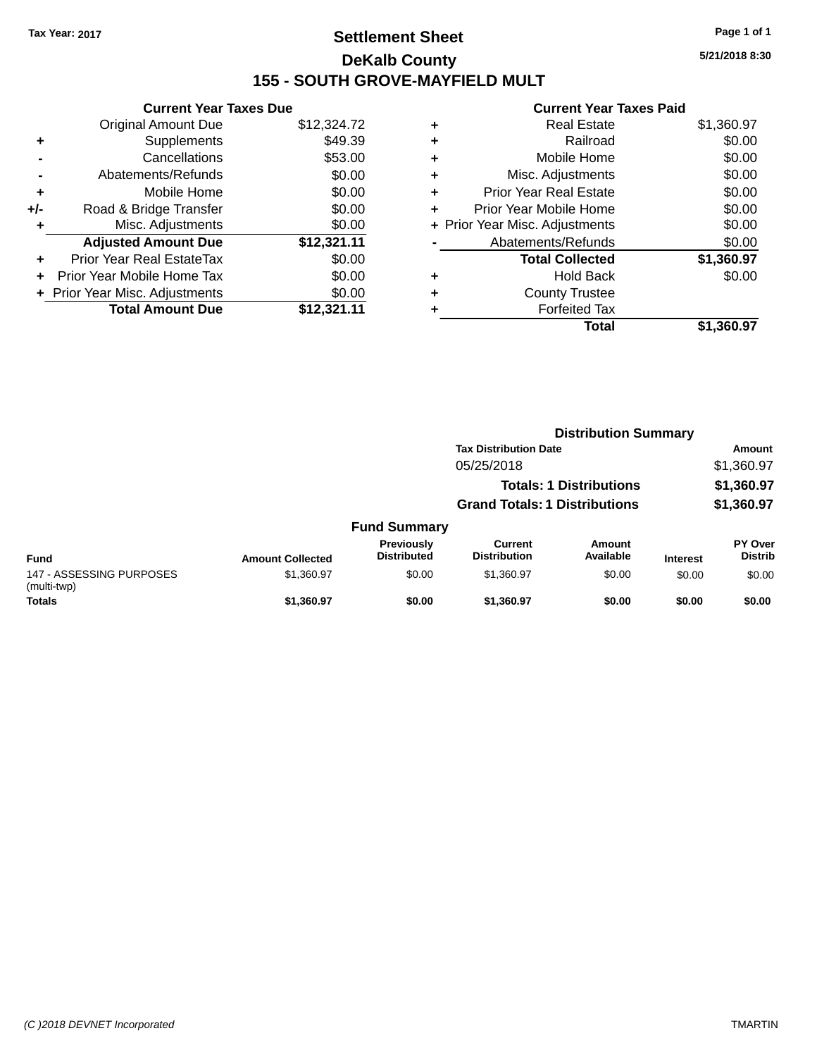## **Settlement Sheet Tax Year: 2017 Page 1 of 1 DeKalb County 155 - SOUTH GROVE-MAYFIELD MULT**

**5/21/2018 8:30**

|     | <b>Current Year Taxes Due</b>  |             |
|-----|--------------------------------|-------------|
|     | <b>Original Amount Due</b>     | \$12,324.72 |
| ٠   | Supplements                    | \$49.39     |
|     | Cancellations                  | \$53.00     |
|     | Abatements/Refunds             | \$0.00      |
| ٠   | Mobile Home                    | \$0.00      |
| +/- | Road & Bridge Transfer         | \$0.00      |
|     | Misc. Adjustments              | \$0.00      |
|     | <b>Adjusted Amount Due</b>     | \$12,321.11 |
| ÷   | Prior Year Real EstateTax      | \$0.00      |
|     | Prior Year Mobile Home Tax     | \$0.00      |
|     | + Prior Year Misc. Adjustments | \$0.00      |
|     | <b>Total Amount Due</b>        | \$12,321.11 |

|   | <b>Real Estate</b>             | \$1,360.97 |
|---|--------------------------------|------------|
| ٠ | Railroad                       | \$0.00     |
| ٠ | Mobile Home                    | \$0.00     |
| ٠ | Misc. Adjustments              | \$0.00     |
| ٠ | <b>Prior Year Real Estate</b>  | \$0.00     |
| ٠ | Prior Year Mobile Home         | \$0.00     |
|   | + Prior Year Misc. Adjustments | \$0.00     |
|   | Abatements/Refunds             | \$0.00     |
|   | <b>Total Collected</b>         | \$1,360.97 |
| ٠ | <b>Hold Back</b>               | \$0.00     |
| ٠ | <b>County Trustee</b>          |            |
| ٠ | <b>Forfeited Tax</b>           |            |
|   | Total                          | \$1.360.97 |
|   |                                |            |

|                                         |                         |                                  | <b>Distribution Summary</b>           |                                |                 |                           |
|-----------------------------------------|-------------------------|----------------------------------|---------------------------------------|--------------------------------|-----------------|---------------------------|
|                                         |                         |                                  | <b>Tax Distribution Date</b>          |                                |                 | <b>Amount</b>             |
|                                         |                         |                                  | 05/25/2018                            |                                |                 | \$1,360.97                |
|                                         |                         |                                  |                                       | <b>Totals: 1 Distributions</b> |                 | \$1,360.97                |
|                                         |                         |                                  | <b>Grand Totals: 1 Distributions</b>  |                                |                 | \$1,360.97                |
|                                         |                         | <b>Fund Summary</b>              |                                       |                                |                 |                           |
| <b>Fund</b>                             | <b>Amount Collected</b> | Previously<br><b>Distributed</b> | <b>Current</b><br><b>Distribution</b> | <b>Amount</b><br>Available     | <b>Interest</b> | PY Over<br><b>Distrib</b> |
| 147 - ASSESSING PURPOSES<br>(multi-twp) | \$1,360.97              | \$0.00                           | \$1.360.97                            | \$0.00                         | \$0.00          | \$0.00                    |
| <b>Totals</b>                           | \$1.360.97              | \$0.00                           | \$1.360.97                            | \$0.00                         | \$0.00          | \$0.00                    |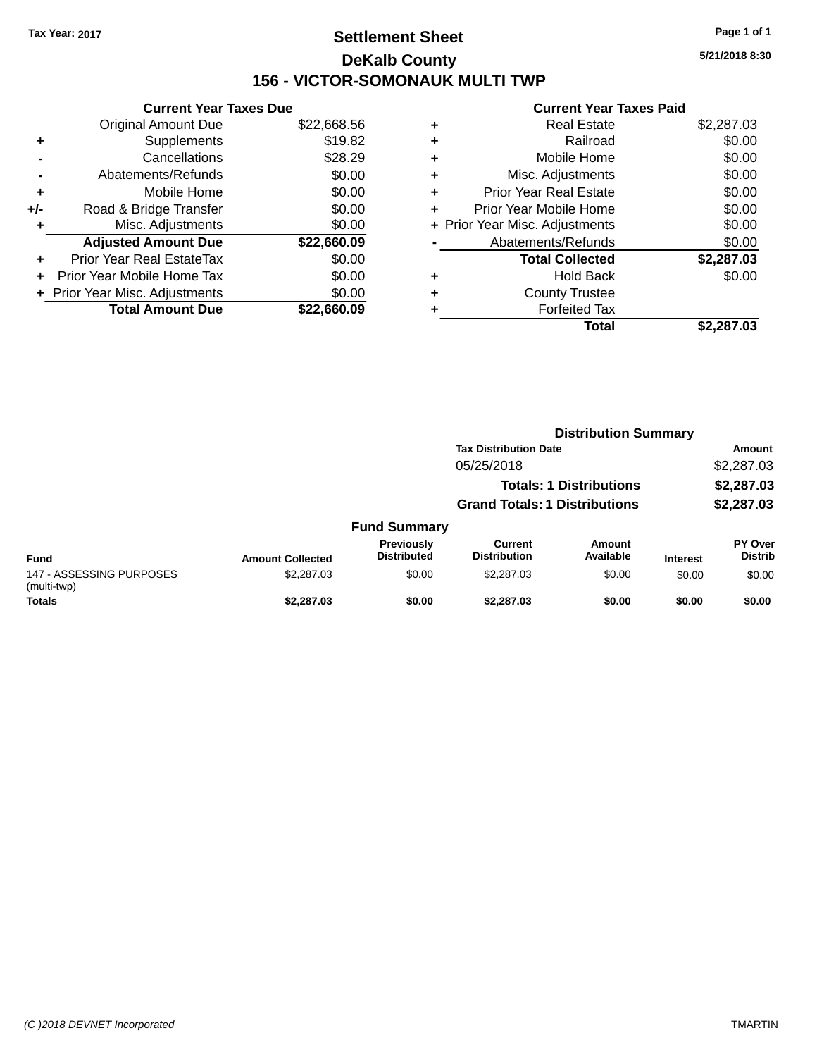## **Settlement Sheet Tax Year: 2017 Page 1 of 1 DeKalb County 156 - VICTOR-SOMONAUK MULTI TWP**

**5/21/2018 8:30**

|     | <b>Current Year Taxes Due</b>  |             |  |  |  |  |
|-----|--------------------------------|-------------|--|--|--|--|
|     | <b>Original Amount Due</b>     | \$22,668.56 |  |  |  |  |
| ٠   | Supplements                    | \$19.82     |  |  |  |  |
|     | Cancellations                  | \$28.29     |  |  |  |  |
|     | Abatements/Refunds             | \$0.00      |  |  |  |  |
| ÷   | Mobile Home                    | \$0.00      |  |  |  |  |
| +/- | Road & Bridge Transfer         | \$0.00      |  |  |  |  |
|     | Misc. Adjustments              | \$0.00      |  |  |  |  |
|     | <b>Adjusted Amount Due</b>     | \$22,660.09 |  |  |  |  |
| ٠   | Prior Year Real EstateTax      | \$0.00      |  |  |  |  |
|     | Prior Year Mobile Home Tax     | \$0.00      |  |  |  |  |
|     | + Prior Year Misc. Adjustments | \$0.00      |  |  |  |  |
|     | <b>Total Amount Due</b>        | \$22,660.09 |  |  |  |  |
|     |                                |             |  |  |  |  |

| ٠ | <b>Real Estate</b>             | \$2,287.03 |
|---|--------------------------------|------------|
| ÷ | Railroad                       | \$0.00     |
| ٠ | Mobile Home                    | \$0.00     |
| ٠ | Misc. Adjustments              | \$0.00     |
| ٠ | <b>Prior Year Real Estate</b>  | \$0.00     |
| ٠ | Prior Year Mobile Home         | \$0.00     |
|   | + Prior Year Misc. Adjustments | \$0.00     |
|   | Abatements/Refunds             | \$0.00     |
|   | <b>Total Collected</b>         | \$2,287.03 |
| ٠ | <b>Hold Back</b>               | \$0.00     |
| ٠ | <b>County Trustee</b>          |            |
| ٠ | <b>Forfeited Tax</b>           |            |
|   | Total                          | \$2,287.03 |
|   |                                |            |

|                                         |                         |                                         | <b>Distribution Summary</b>          |                                |                 |                           |
|-----------------------------------------|-------------------------|-----------------------------------------|--------------------------------------|--------------------------------|-----------------|---------------------------|
|                                         |                         |                                         | <b>Tax Distribution Date</b>         |                                |                 | Amount                    |
|                                         |                         |                                         | 05/25/2018                           |                                |                 | \$2,287.03                |
|                                         |                         |                                         |                                      | <b>Totals: 1 Distributions</b> |                 | \$2,287.03                |
|                                         |                         |                                         | <b>Grand Totals: 1 Distributions</b> |                                |                 | \$2,287.03                |
|                                         |                         | <b>Fund Summary</b>                     |                                      |                                |                 |                           |
| <b>Fund</b>                             | <b>Amount Collected</b> | <b>Previously</b><br><b>Distributed</b> | Current<br><b>Distribution</b>       | Amount<br>Available            | <b>Interest</b> | PY Over<br><b>Distrib</b> |
| 147 - ASSESSING PURPOSES<br>(multi-twp) | \$2,287.03              | \$0.00                                  | \$2,287.03                           | \$0.00                         | \$0.00          | \$0.00                    |
| <b>Totals</b>                           | \$2,287.03              | \$0.00                                  | \$2,287.03                           | \$0.00                         | \$0.00          | \$0.00                    |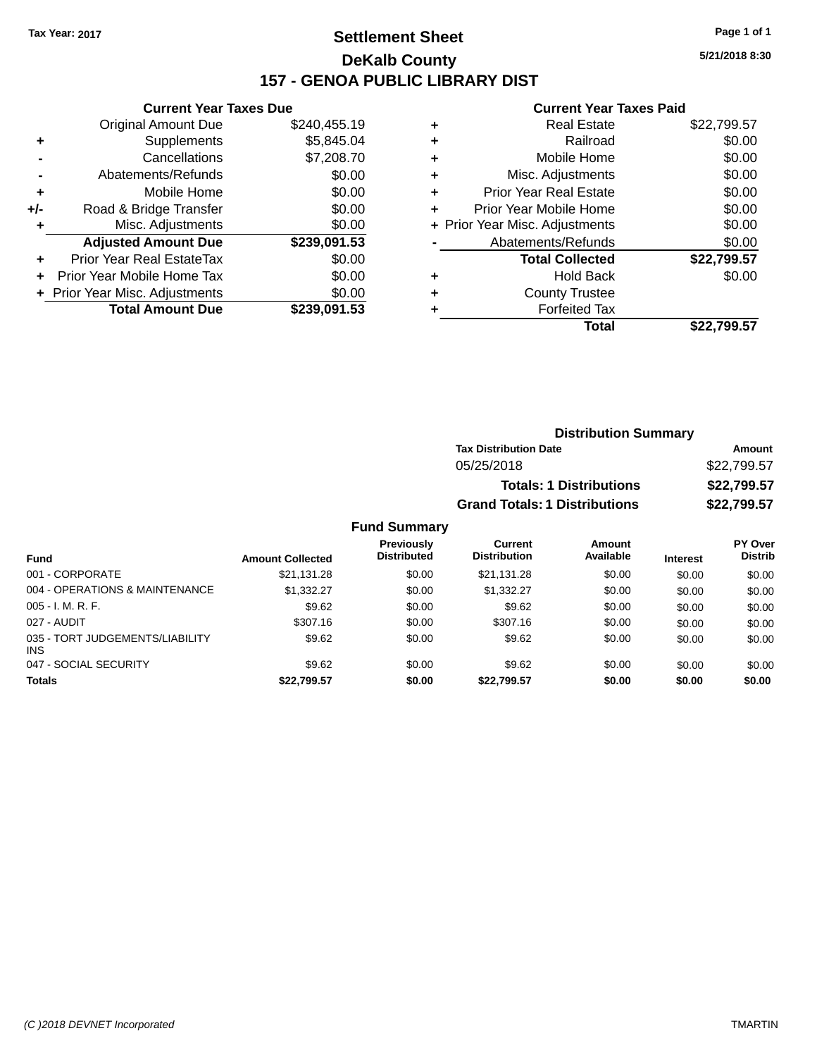## **Settlement Sheet Tax Year: 2017 Page 1 of 1 DeKalb County 157 - GENOA PUBLIC LIBRARY DIST**

**5/21/2018 8:30**

#### **Current Year Taxes Paid**

|     | <b>Current Year Taxes Due</b>          |              |  |  |  |
|-----|----------------------------------------|--------------|--|--|--|
|     | <b>Original Amount Due</b>             | \$240,455.19 |  |  |  |
| ٠   | Supplements                            | \$5,845.04   |  |  |  |
|     | Cancellations                          | \$7,208.70   |  |  |  |
|     | Abatements/Refunds                     | \$0.00       |  |  |  |
| ٠   | Mobile Home                            | \$0.00       |  |  |  |
| +/- | Road & Bridge Transfer                 | \$0.00       |  |  |  |
|     | Misc. Adjustments                      | \$0.00       |  |  |  |
|     | <b>Adjusted Amount Due</b>             | \$239,091.53 |  |  |  |
| ÷   | Prior Year Real EstateTax              | \$0.00       |  |  |  |
|     | Prior Year Mobile Home Tax             | \$0.00       |  |  |  |
|     | \$0.00<br>Prior Year Misc. Adjustments |              |  |  |  |
|     | <b>Total Amount Due</b>                | \$239.091.53 |  |  |  |

| ٠ | <b>Real Estate</b>             | \$22,799.57 |
|---|--------------------------------|-------------|
| ٠ | Railroad                       | \$0.00      |
| ٠ | Mobile Home                    | \$0.00      |
| ٠ | Misc. Adjustments              | \$0.00      |
| ٠ | <b>Prior Year Real Estate</b>  | \$0.00      |
| ٠ | Prior Year Mobile Home         | \$0.00      |
|   | + Prior Year Misc. Adjustments | \$0.00      |
|   | Abatements/Refunds             | \$0.00      |
|   | <b>Total Collected</b>         | \$22,799.57 |
| ٠ | Hold Back                      | \$0.00      |
| ٠ | <b>County Trustee</b>          |             |
| ٠ | <b>Forfeited Tax</b>           |             |
|   | Total                          | \$22.799.57 |
|   |                                |             |

| <b>Distribution Summary</b>          |             |  |  |  |  |
|--------------------------------------|-------------|--|--|--|--|
| <b>Tax Distribution Date</b>         | Amount      |  |  |  |  |
| 05/25/2018                           | \$22,799.57 |  |  |  |  |
| <b>Totals: 1 Distributions</b>       | \$22,799.57 |  |  |  |  |
| <b>Grand Totals: 1 Distributions</b> | \$22,799.57 |  |  |  |  |

| <b>Fund</b>                                   | <b>Amount Collected</b> | Previously<br><b>Distributed</b> | Current<br><b>Distribution</b> | Amount<br>Available | <b>Interest</b> | PY Over<br><b>Distrib</b> |
|-----------------------------------------------|-------------------------|----------------------------------|--------------------------------|---------------------|-----------------|---------------------------|
| 001 - CORPORATE                               | \$21.131.28             | \$0.00                           | \$21.131.28                    | \$0.00              | \$0.00          | \$0.00                    |
| 004 - OPERATIONS & MAINTENANCE                | \$1,332,27              | \$0.00                           | \$1,332,27                     | \$0.00              | \$0.00          | \$0.00                    |
| $005 - I. M. R. F.$                           | \$9.62                  | \$0.00                           | \$9.62                         | \$0.00              | \$0.00          | \$0.00                    |
| 027 - AUDIT                                   | \$307.16                | \$0.00                           | \$307.16                       | \$0.00              | \$0.00          | \$0.00                    |
| 035 - TORT JUDGEMENTS/LIABILITY<br><b>INS</b> | \$9.62                  | \$0.00                           | \$9.62                         | \$0.00              | \$0.00          | \$0.00                    |
| 047 - SOCIAL SECURITY                         | \$9.62                  | \$0.00                           | \$9.62                         | \$0.00              | \$0.00          | \$0.00                    |
| <b>Totals</b>                                 | \$22,799.57             | \$0.00                           | \$22,799.57                    | \$0.00              | \$0.00          | \$0.00                    |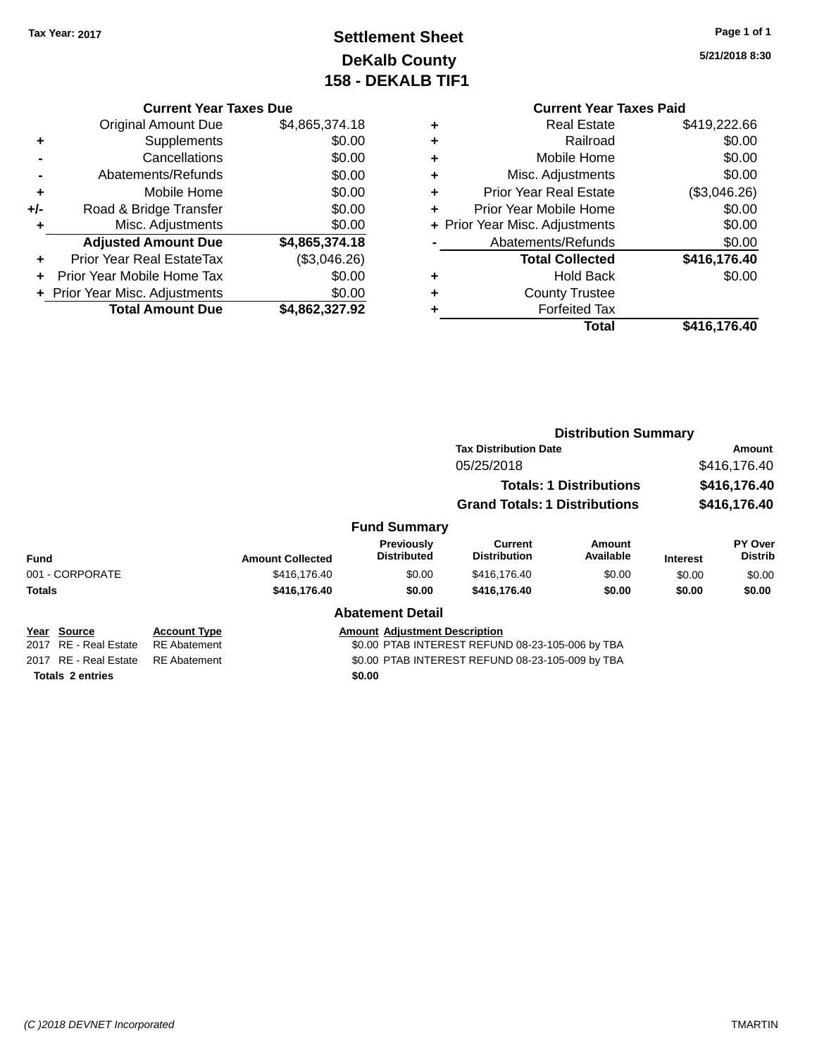## **Settlement Sheet Tax Year: 2017 Page 1 of 1 DeKalb County 158 - DEKALB TIF1**

**5/21/2018 8:30**

#### **Current Year Taxes Due**

|     | <b>Original Amount Due</b>       | \$4,865,374.18 |
|-----|----------------------------------|----------------|
| ٠   | Supplements                      | \$0.00         |
|     | Cancellations                    | \$0.00         |
|     | Abatements/Refunds               | \$0.00         |
| ٠   | Mobile Home                      | \$0.00         |
| +/- | Road & Bridge Transfer           | \$0.00         |
| ٠   | Misc. Adjustments                | \$0.00         |
|     | <b>Adjusted Amount Due</b>       | \$4,865,374.18 |
| ٠   | <b>Prior Year Real EstateTax</b> | (\$3,046.26)   |
|     | Prior Year Mobile Home Tax       | \$0.00         |
|     | + Prior Year Misc. Adjustments   | \$0.00         |
|     | <b>Total Amount Due</b>          | \$4,862,327.92 |

#### **Current Year Taxes Paid +** Real Estate \$419,222.66 **+** Railroad \$0.00 **+** Mobile Home \$0.00 **+** Misc. Adjustments \$0.00 **+** Prior Year Real Estate (\$3,046.26) **+** Prior Year Mobile Home \$0.00<br> **+** Prior Year Misc. Adjustments \$0.00 **+ Prior Year Misc. Adjustments -** Abatements/Refunds \$0.00 **Total Collected \$416,176.40 +** Hold Back \$0.00 **+** County Trustee

**Total \$416,176.40**

**+** Forfeited Tax

|                         |                     |                         |                                         | <b>Distribution Summary</b>                      |                     |                              |                                  |
|-------------------------|---------------------|-------------------------|-----------------------------------------|--------------------------------------------------|---------------------|------------------------------|----------------------------------|
|                         |                     |                         |                                         | <b>Tax Distribution Date</b>                     |                     | Amount                       |                                  |
|                         |                     |                         |                                         | 05/25/2018<br><b>Totals: 1 Distributions</b>     |                     | \$416,176.40<br>\$416,176.40 |                                  |
|                         |                     |                         |                                         |                                                  |                     |                              |                                  |
|                         |                     |                         |                                         | <b>Grand Totals: 1 Distributions</b>             |                     | \$416,176.40                 |                                  |
|                         |                     |                         | <b>Fund Summary</b>                     |                                                  |                     |                              |                                  |
| <b>Fund</b>             |                     | <b>Amount Collected</b> | <b>Previously</b><br><b>Distributed</b> | Current<br><b>Distribution</b>                   | Amount<br>Available | <b>Interest</b>              | <b>PY Over</b><br><b>Distrib</b> |
| 001 - CORPORATE         |                     | \$416,176.40            | \$0.00                                  | \$416,176.40                                     | \$0.00              | \$0.00                       | \$0.00                           |
| <b>Totals</b>           |                     | \$416,176.40            | \$0.00                                  | \$416,176.40                                     | \$0.00              | \$0.00                       | \$0.00                           |
|                         |                     |                         | <b>Abatement Detail</b>                 |                                                  |                     |                              |                                  |
| Year Source             | <b>Account Type</b> |                         | <b>Amount Adjustment Description</b>    |                                                  |                     |                              |                                  |
| 2017 RE - Real Estate   | <b>RE</b> Abatement |                         |                                         | \$0.00 PTAB INTEREST REFUND 08-23-105-006 by TBA |                     |                              |                                  |
| 2017 RE - Real Estate   | <b>RE</b> Abatement |                         |                                         | \$0.00 PTAB INTEREST REFUND 08-23-105-009 by TBA |                     |                              |                                  |
| <b>Totals 2 entries</b> |                     |                         | \$0.00                                  |                                                  |                     |                              |                                  |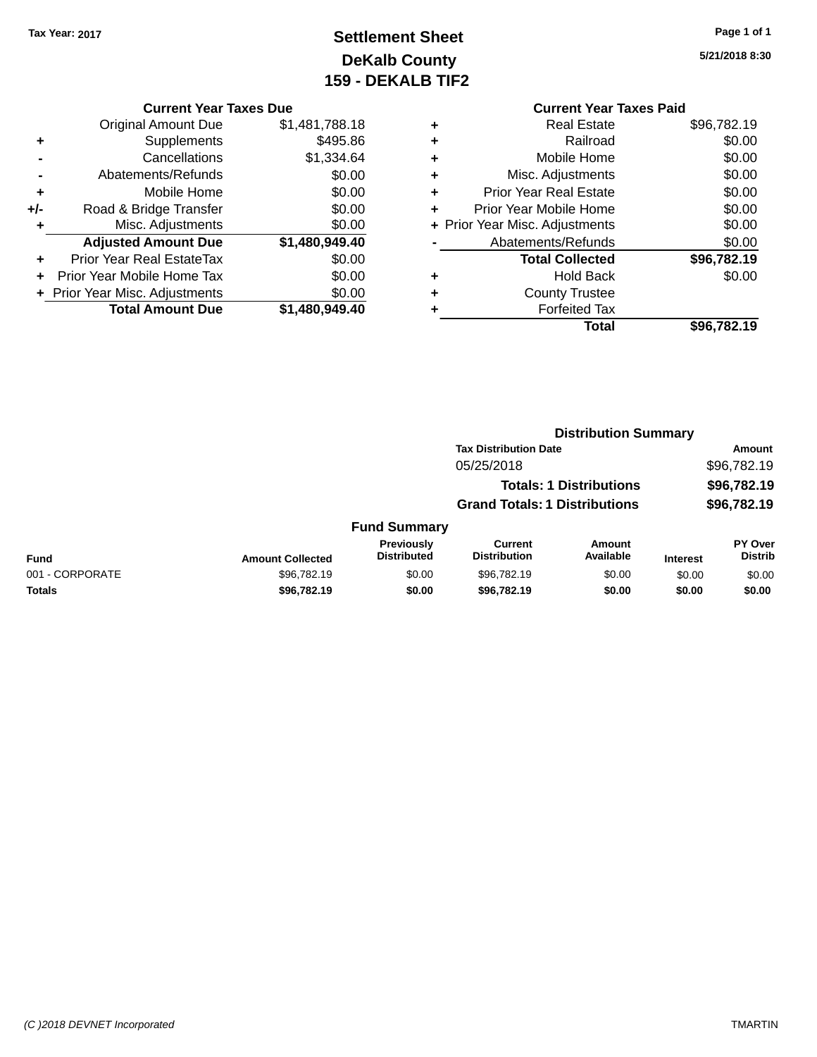## **Settlement Sheet Tax Year: 2017 Page 1 of 1 DeKalb County 159 - DEKALB TIF2**

| <b>Current Year Taxes Due</b> | Cuı            |   |               |
|-------------------------------|----------------|---|---------------|
| ll Amount Due                 | \$1,481,788.18 | ÷ | R             |
| Supplements                   | \$495.86       |   |               |
| Cancellations                 | \$1,334.64     | ÷ | Mo            |
| ents/Refunds                  | \$0.00         | ÷ | Misc. Ao      |
| Mobile Home                   | \$0.00         | ÷ | Prior Year R  |
| ridge Transfer                | \$0.00         |   | Prior Year Mo |
|                               |                |   |               |

|     | <b>Original Amount Due</b>       | \$1,481,788.18 |
|-----|----------------------------------|----------------|
| ٠   | Supplements                      | \$495.86       |
|     | Cancellations                    | \$1,334.64     |
|     | Abatements/Refunds               | \$0.00         |
| ٠   | Mobile Home                      | \$0.00         |
| +/- | Road & Bridge Transfer           | \$0.00         |
| ÷   | Misc. Adjustments                | \$0.00         |
|     | <b>Adjusted Amount Due</b>       | \$1,480,949.40 |
| ٠   | <b>Prior Year Real EstateTax</b> | \$0.00         |
|     | Prior Year Mobile Home Tax       | \$0.00         |
|     | + Prior Year Misc. Adjustments   | \$0.00         |
|     | <b>Total Amount Due</b>          | \$1,480,949.40 |

|   | <b>Current Year Taxes Paid</b> |             |
|---|--------------------------------|-------------|
| ٠ | <b>Real Estate</b>             | \$96,782.19 |
| ٠ | Railroad                       | \$0.00      |
| ٠ | Mobile Home                    | \$0.00      |
| ٠ | Misc. Adjustments              | \$0.00      |
| ٠ | <b>Prior Year Real Estate</b>  | \$0.00      |
| ٠ | Prior Year Mobile Home         | \$0.00      |
|   | + Prior Year Misc. Adjustments | \$0.00      |
|   | Abatements/Refunds             | \$0.00      |
|   | <b>Total Collected</b>         | \$96,782.19 |
| ٠ | <b>Hold Back</b>               | \$0.00      |
|   | <b>County Trustee</b>          |             |
| ٠ | <b>Forfeited Tax</b>           |             |
|   | Total                          | \$96,782.19 |

|                 |                         |                                  | <b>Distribution Summary</b>           |                                |                 |                                  |
|-----------------|-------------------------|----------------------------------|---------------------------------------|--------------------------------|-----------------|----------------------------------|
|                 |                         |                                  | <b>Tax Distribution Date</b>          |                                |                 | <b>Amount</b>                    |
|                 |                         |                                  | 05/25/2018                            |                                |                 | \$96,782.19                      |
|                 |                         |                                  |                                       | <b>Totals: 1 Distributions</b> |                 | \$96,782.19                      |
|                 |                         |                                  | <b>Grand Totals: 1 Distributions</b>  |                                | \$96,782.19     |                                  |
|                 |                         | <b>Fund Summary</b>              |                                       |                                |                 |                                  |
| <b>Fund</b>     | <b>Amount Collected</b> | Previously<br><b>Distributed</b> | <b>Current</b><br><b>Distribution</b> | <b>Amount</b><br>Available     | <b>Interest</b> | <b>PY Over</b><br><b>Distrib</b> |
| 001 - CORPORATE | \$96,782.19             | \$0.00                           | \$96,782.19                           | \$0.00                         | \$0.00          | \$0.00                           |
| <b>Totals</b>   | \$96,782.19             | \$0.00                           | \$96,782.19                           | \$0.00                         | \$0.00          | \$0.00                           |
|                 |                         |                                  |                                       |                                |                 |                                  |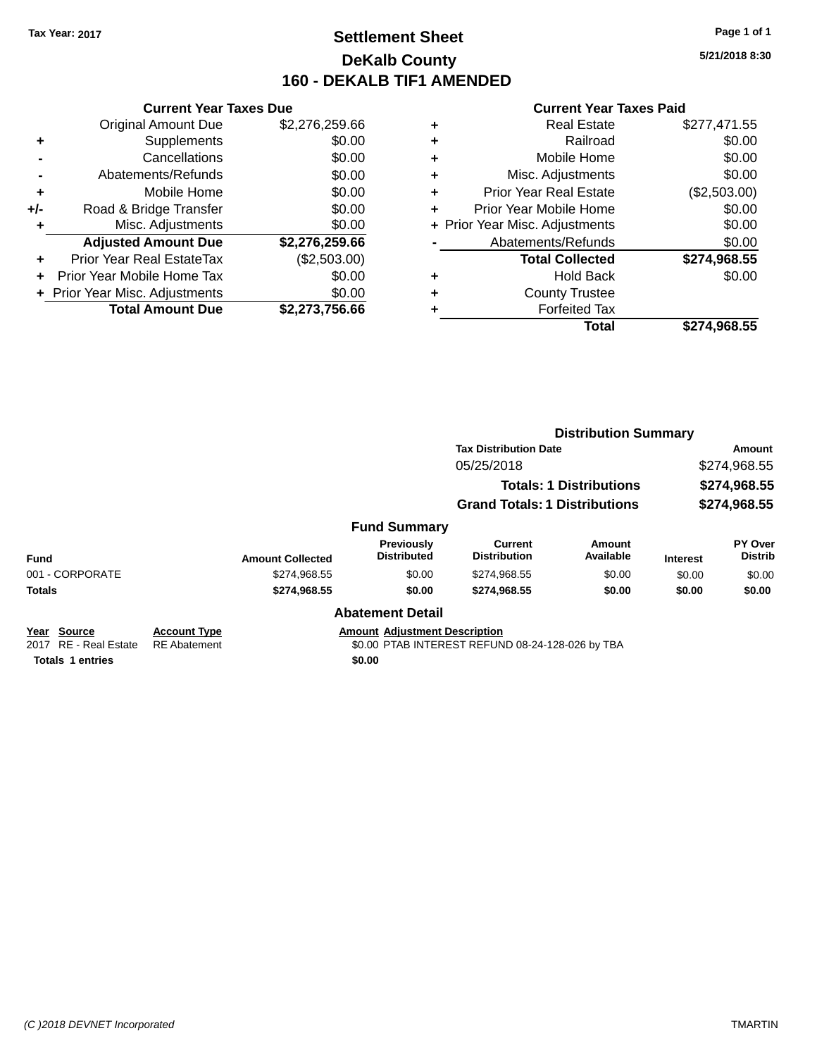## **Settlement Sheet Tax Year: 2017 Page 1 of 1 DeKalb County 160 - DEKALB TIF1 AMENDED**

**5/21/2018 8:30**

|     | <b>Current Year Taxes Due</b>  |                |  |  |  |  |
|-----|--------------------------------|----------------|--|--|--|--|
|     | <b>Original Amount Due</b>     | \$2,276,259.66 |  |  |  |  |
| ÷   | Supplements                    | \$0.00         |  |  |  |  |
|     | Cancellations                  | \$0.00         |  |  |  |  |
|     | Abatements/Refunds             | \$0.00         |  |  |  |  |
| ٠   | Mobile Home                    | \$0.00         |  |  |  |  |
| +/- | Road & Bridge Transfer         | \$0.00         |  |  |  |  |
| ٠   | Misc. Adjustments              | \$0.00         |  |  |  |  |
|     | <b>Adjusted Amount Due</b>     | \$2,276,259.66 |  |  |  |  |
| ÷   | Prior Year Real EstateTax      | (\$2,503.00)   |  |  |  |  |
|     | Prior Year Mobile Home Tax     | \$0.00         |  |  |  |  |
|     | + Prior Year Misc. Adjustments | \$0.00         |  |  |  |  |
|     | <b>Total Amount Due</b>        | \$2,273,756.66 |  |  |  |  |
|     |                                |                |  |  |  |  |

|   | <b>Real Estate</b>             | \$277,471.55 |
|---|--------------------------------|--------------|
| ٠ | Railroad                       | \$0.00       |
| ٠ | Mobile Home                    | \$0.00       |
| ٠ | Misc. Adjustments              | \$0.00       |
| ٠ | <b>Prior Year Real Estate</b>  | (\$2,503.00) |
| ٠ | Prior Year Mobile Home         | \$0.00       |
|   | + Prior Year Misc. Adjustments | \$0.00       |
|   | Abatements/Refunds             | \$0.00       |
|   | <b>Total Collected</b>         | \$274,968.55 |
| ٠ | <b>Hold Back</b>               | \$0.00       |
| ٠ | <b>County Trustee</b>          |              |
| ۰ | <b>Forfeited Tax</b>           |              |
|   | Total                          | \$274,968.55 |
|   |                                |              |

|                                      |                                            |                         |                                      |                                                                                      | <b>Distribution Summary</b>                                   |                 |                           |
|--------------------------------------|--------------------------------------------|-------------------------|--------------------------------------|--------------------------------------------------------------------------------------|---------------------------------------------------------------|-----------------|---------------------------|
|                                      |                                            |                         |                                      | <b>Tax Distribution Date</b>                                                         | <b>Amount</b><br>\$274,968.55<br>\$274,968.55<br>\$274,968.55 |                 |                           |
|                                      |                                            |                         |                                      | 05/25/2018<br><b>Totals: 1 Distributions</b><br><b>Grand Totals: 1 Distributions</b> |                                                               |                 |                           |
|                                      |                                            |                         |                                      |                                                                                      |                                                               |                 |                           |
|                                      |                                            |                         |                                      |                                                                                      |                                                               |                 |                           |
|                                      |                                            |                         | <b>Fund Summary</b>                  |                                                                                      |                                                               |                 |                           |
| <b>Fund</b>                          |                                            | <b>Amount Collected</b> | Previously<br><b>Distributed</b>     | Current<br><b>Distribution</b>                                                       | <b>Amount</b><br>Available                                    | <b>Interest</b> | PY Over<br><b>Distrib</b> |
| 001 - CORPORATE                      |                                            | \$274,968.55            | \$0.00                               | \$274,968.55                                                                         | \$0.00                                                        | \$0.00          | \$0.00                    |
| Totals                               |                                            | \$274,968.55            | \$0.00                               | \$274,968.55                                                                         | \$0.00                                                        | \$0.00          | \$0.00                    |
|                                      |                                            |                         | <b>Abatement Detail</b>              |                                                                                      |                                                               |                 |                           |
| Year Source<br>2017 RE - Real Estate | <b>Account Type</b><br><b>RE</b> Abatement |                         | <b>Amount Adiustment Description</b> | \$0.00 PTAB INTEREST REFUND 08-24-128-026 by TBA                                     |                                                               |                 |                           |
| <b>Totals 1 entries</b>              |                                            |                         | \$0.00                               |                                                                                      |                                                               |                 |                           |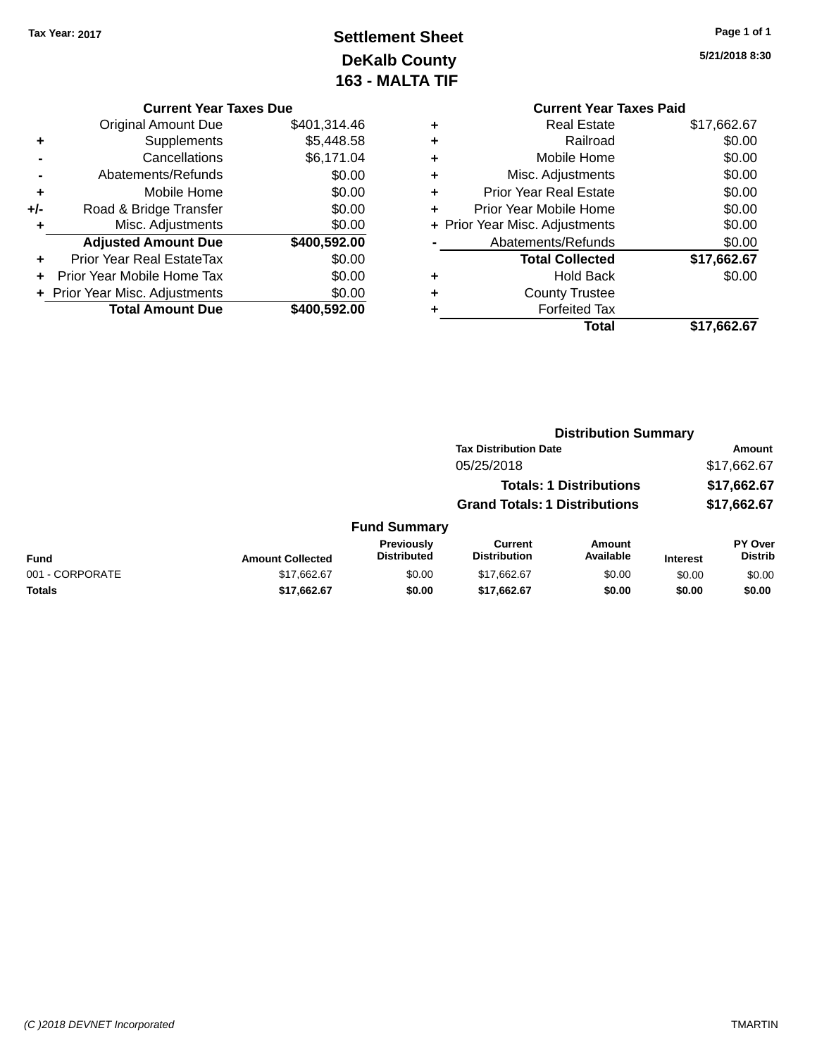## **Settlement Sheet Tax Year: 2017 Page 1 of 1 DeKalb County 163 - MALTA TIF**

**5/21/2018 8:30**

## **Current Year Taxes Due**

|     | <b>Original Amount Due</b>       | \$401,314.46 |
|-----|----------------------------------|--------------|
| ٠   | Supplements                      | \$5,448.58   |
|     | Cancellations                    | \$6,171.04   |
|     | Abatements/Refunds               | \$0.00       |
| ٠   | Mobile Home                      | \$0.00       |
| +/- | Road & Bridge Transfer           | \$0.00       |
| ٠   | Misc. Adjustments                | \$0.00       |
|     | <b>Adjusted Amount Due</b>       | \$400,592.00 |
| ٠   | <b>Prior Year Real EstateTax</b> | \$0.00       |
|     | Prior Year Mobile Home Tax       | \$0.00       |
|     | + Prior Year Misc. Adjustments   | \$0.00       |
|     | <b>Total Amount Due</b>          | \$400.592.00 |
|     |                                  |              |

|   | <b>Current Year Taxes Paid</b> |             |
|---|--------------------------------|-------------|
| ٠ | <b>Real Estate</b>             | \$17,662.67 |
| ٠ | Railroad                       | \$0.00      |
| ٠ | Mobile Home                    | \$0.00      |
| ٠ | Misc. Adjustments              | \$0.00      |
| ٠ | <b>Prior Year Real Estate</b>  | \$0.00      |
| ٠ | Prior Year Mobile Home         | \$0.00      |
|   | + Prior Year Misc. Adjustments | \$0.00      |
|   | Abatements/Refunds             | \$0.00      |
|   | <b>Total Collected</b>         | \$17,662.67 |
| ÷ | <b>Hold Back</b>               | \$0.00      |
|   | <b>County Trustee</b>          |             |
|   | <b>Forfeited Tax</b>           |             |
|   | Total                          | \$17,662.67 |
|   |                                |             |

|                 |                         |                                  |                                       | <b>Distribution Summary</b>    |                 |                                  |
|-----------------|-------------------------|----------------------------------|---------------------------------------|--------------------------------|-----------------|----------------------------------|
|                 |                         |                                  | <b>Tax Distribution Date</b>          |                                |                 | Amount                           |
|                 |                         |                                  | 05/25/2018                            |                                |                 | \$17,662.67                      |
|                 |                         |                                  |                                       | <b>Totals: 1 Distributions</b> |                 | \$17,662.67                      |
|                 |                         |                                  | <b>Grand Totals: 1 Distributions</b>  |                                |                 | \$17,662.67                      |
|                 |                         | <b>Fund Summary</b>              |                                       |                                |                 |                                  |
| <b>Fund</b>     | <b>Amount Collected</b> | Previously<br><b>Distributed</b> | <b>Current</b><br><b>Distribution</b> | Amount<br>Available            | <b>Interest</b> | <b>PY Over</b><br><b>Distrib</b> |
| 001 - CORPORATE | \$17,662.67             | \$0.00                           | \$17,662.67                           | \$0.00                         | \$0.00          | \$0.00                           |
| Totals          | \$17,662.67             | \$0.00                           | \$17,662.67                           | \$0.00                         | \$0.00          | \$0.00                           |
|                 |                         |                                  |                                       |                                |                 |                                  |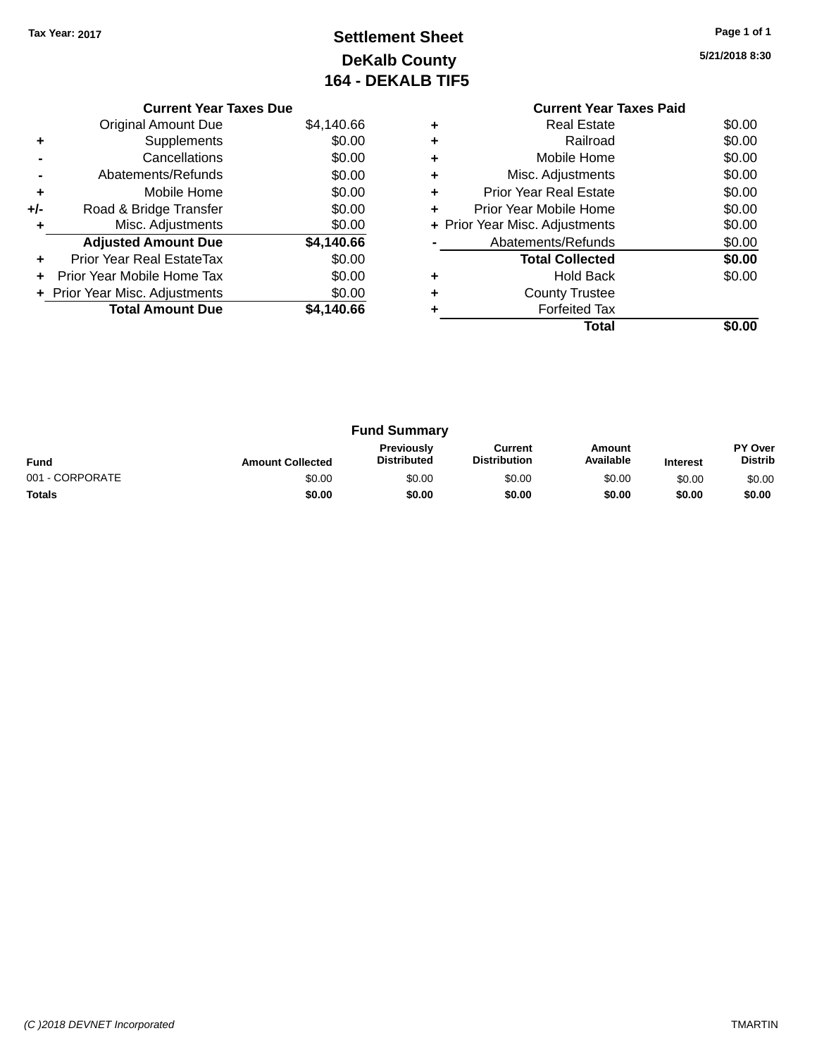## **Settlement Sheet Tax Year: 2017 Page 1 of 1 DeKalb County 164 - DEKALB TIF5**

| <b>Current Year Taxes Due</b> |                                |            |  |  |  |  |
|-------------------------------|--------------------------------|------------|--|--|--|--|
|                               | <b>Original Amount Due</b>     | \$4,140.66 |  |  |  |  |
| ٠                             | Supplements                    | \$0.00     |  |  |  |  |
|                               | Cancellations                  | \$0.00     |  |  |  |  |
|                               | Abatements/Refunds             | \$0.00     |  |  |  |  |
| ٠                             | Mobile Home                    | \$0.00     |  |  |  |  |
| +/-                           | Road & Bridge Transfer         | \$0.00     |  |  |  |  |
| ٠                             | Misc. Adjustments              | \$0.00     |  |  |  |  |
|                               | <b>Adjusted Amount Due</b>     | \$4,140.66 |  |  |  |  |
| ٠                             | Prior Year Real EstateTax      | \$0.00     |  |  |  |  |
| ÷                             | Prior Year Mobile Home Tax     | \$0.00     |  |  |  |  |
|                               | + Prior Year Misc. Adjustments | \$0.00     |  |  |  |  |
|                               | <b>Total Amount Due</b>        | \$4.140.66 |  |  |  |  |

|   | <b>Current Year Taxes Paid</b> |        |
|---|--------------------------------|--------|
| ٠ | Real Estate                    | \$0.00 |
| ٠ | Railroad                       | \$0.00 |
| ÷ | Mobile Home                    | \$0.00 |
| ÷ | Misc. Adjustments              | \$0.00 |
| ٠ | <b>Prior Year Real Estate</b>  | \$0.00 |
| ٠ | Prior Year Mobile Home         | \$0.00 |
|   | + Prior Year Misc. Adjustments | \$0.00 |
|   | Abatements/Refunds             | \$0.00 |
|   | <b>Total Collected</b>         | \$0.00 |
|   | Hold Back                      | \$0.00 |
|   | <b>County Trustee</b>          |        |
|   | <b>Forfeited Tax</b>           |        |
|   | Total                          |        |
|   |                                |        |

| <b>Fund Summary</b> |                         |                                  |                                |                     |                 |                           |
|---------------------|-------------------------|----------------------------------|--------------------------------|---------------------|-----------------|---------------------------|
| <b>Fund</b>         | <b>Amount Collected</b> | Previously<br><b>Distributed</b> | Current<br><b>Distribution</b> | Amount<br>Available | <b>Interest</b> | PY Over<br><b>Distrib</b> |
| 001 - CORPORATE     | \$0.00                  | \$0.00                           | \$0.00                         | \$0.00              | \$0.00          | \$0.00                    |
| <b>Totals</b>       | \$0.00                  | \$0.00                           | \$0.00                         | \$0.00              | \$0.00          | \$0.00                    |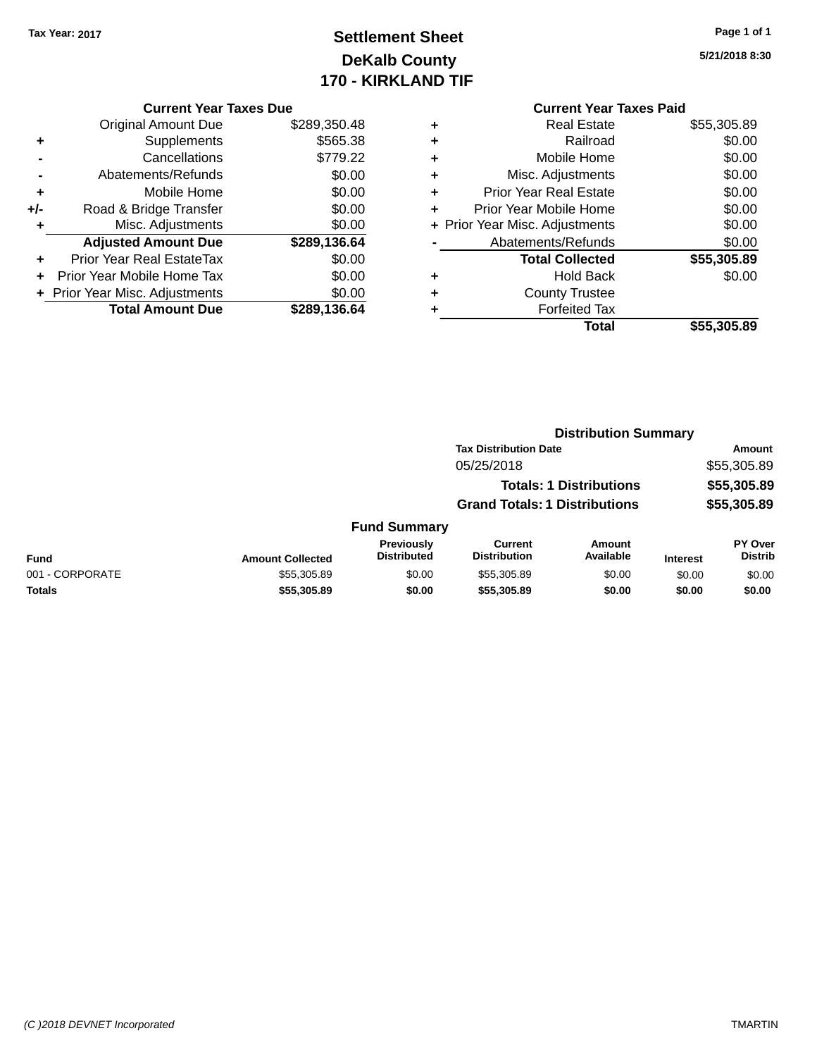## **Settlement Sheet Tax Year: 2017 Page 1 of 1 DeKalb County 170 - KIRKLAND TIF**

#### **Current Year Taxes Due**

|       | Guntu Italiakta Dut            |              |
|-------|--------------------------------|--------------|
|       | <b>Original Amount Due</b>     | \$289,350.48 |
| ٠     | Supplements                    | \$565.38     |
|       | Cancellations                  | \$779.22     |
|       | Abatements/Refunds             | \$0.00       |
| ٠     | Mobile Home                    | \$0.00       |
| $+/-$ | Road & Bridge Transfer         | \$0.00       |
|       | Misc. Adjustments              | \$0.00       |
|       | <b>Adjusted Amount Due</b>     | \$289,136.64 |
| ٠     | Prior Year Real EstateTax      | \$0.00       |
|       | Prior Year Mobile Home Tax     | \$0.00       |
|       | + Prior Year Misc. Adjustments | \$0.00       |
|       | <b>Total Amount Due</b>        | \$289,136.64 |
|       |                                |              |

#### **Current Year Taxes Paid +** Real Estate \$55,305.89 **+** Railroad \$0.00 **+** Mobile Home \$0.00 **+** Misc. Adjustments \$0.00 **+** Prior Year Real Estate \$0.00 **+** Prior Year Mobile Home \$0.00<br> **+** Prior Year Misc. Adjustments \$0.00 **+ Prior Year Misc. Adjustments**

| $\blacksquare$ | Abatements/Refunds     | \$0.00      |
|----------------|------------------------|-------------|
|                | <b>Total Collected</b> | \$55,305.89 |
| ٠              | Hold Back              | \$0.00      |
| ٠              | <b>County Trustee</b>  |             |
| ٠              | <b>Forfeited Tax</b>   |             |
|                | Total                  | \$55,305.89 |

## **Distribution Summary Tax Distribution Date Amount** 05/25/2018 \$55,305.89 **Totals: 1 Distributions \$55,305.89 Grand Totals: 1 Distributions \$55,305.89 Fund Summary**

| <b>Fund</b>     | <b>Amount Collected</b> | <b>Previously</b><br><b>Distributed</b> | Current<br><b>Distribution</b> | Amount<br>Available | <b>Interest</b> | <b>PY Over</b><br><b>Distrib</b> |
|-----------------|-------------------------|-----------------------------------------|--------------------------------|---------------------|-----------------|----------------------------------|
| 001 - CORPORATE | \$55.305.89             | \$0.00                                  | \$55,305.89                    | \$0.00              | \$0.00          | \$0.00                           |
| <b>Totals</b>   | \$55.305.89             | \$0.00                                  | \$55,305.89                    | \$0.00              | \$0.00          | \$0.00                           |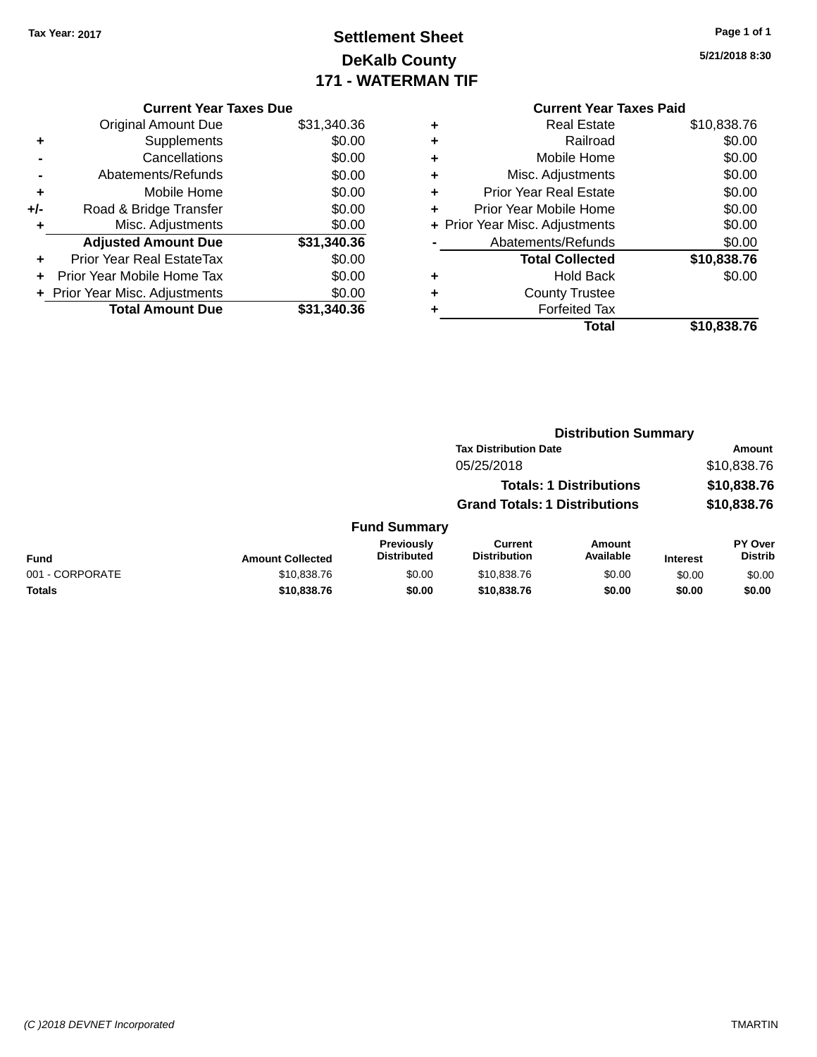## **Settlement Sheet Tax Year: 2017 Page 1 of 1 DeKalb County 171 - WATERMAN TIF**

|       | <b>Current Year Taxes Due</b>  |             |
|-------|--------------------------------|-------------|
|       | <b>Original Amount Due</b>     | \$31,340.36 |
| ٠     | Supplements                    | \$0.00      |
|       | Cancellations                  | \$0.00      |
|       | Abatements/Refunds             | \$0.00      |
| ٠     | Mobile Home                    | \$0.00      |
| $+/-$ | Road & Bridge Transfer         | \$0.00      |
| ٠     | Misc. Adjustments              | \$0.00      |
|       | <b>Adjusted Amount Due</b>     | \$31,340.36 |
| ÷     | Prior Year Real EstateTax      | \$0.00      |
|       | Prior Year Mobile Home Tax     | \$0.00      |
|       | + Prior Year Misc. Adjustments | \$0.00      |
|       | <b>Total Amount Due</b>        | \$31,340.36 |

|   | <b>Current Year Taxes Paid</b> |             |
|---|--------------------------------|-------------|
| ٠ | Real Estate                    | \$10,838.76 |
| ٠ | Railroad                       | \$0.00      |
| ٠ | Mobile Home                    | \$0.00      |
| ٠ | Misc. Adjustments              | \$0.00      |
| ٠ | Prior Year Real Estate         | \$0.00      |
| ٠ | Prior Year Mobile Home         | \$0.00      |
|   | + Prior Year Misc. Adjustments | \$0.00      |
|   | Abatements/Refunds             | \$0.00      |
|   | <b>Total Collected</b>         | \$10,838.76 |
| ٠ | <b>Hold Back</b>               | \$0.00      |
| ٠ | <b>County Trustee</b>          |             |
|   | <b>Forfeited Tax</b>           |             |
|   | Total                          | \$10,838.76 |

|                 | <b>Distribution Summary</b> |                                         |                                       |                                |                 |                                  |
|-----------------|-----------------------------|-----------------------------------------|---------------------------------------|--------------------------------|-----------------|----------------------------------|
|                 |                             |                                         | <b>Tax Distribution Date</b>          |                                |                 | Amount                           |
|                 |                             |                                         | 05/25/2018                            |                                |                 | \$10,838.76                      |
|                 |                             |                                         |                                       | <b>Totals: 1 Distributions</b> |                 | \$10,838.76                      |
|                 |                             |                                         | <b>Grand Totals: 1 Distributions</b>  |                                |                 | \$10,838.76                      |
|                 |                             | <b>Fund Summary</b>                     |                                       |                                |                 |                                  |
| <b>Fund</b>     | <b>Amount Collected</b>     | <b>Previously</b><br><b>Distributed</b> | <b>Current</b><br><b>Distribution</b> | <b>Amount</b><br>Available     | <b>Interest</b> | <b>PY Over</b><br><b>Distrib</b> |
| 001 - CORPORATE | \$10,838.76                 | \$0.00                                  | \$10,838.76                           | \$0.00                         | \$0.00          | \$0.00                           |
| <b>Totals</b>   | \$10,838.76                 | \$0.00                                  | \$10,838.76                           | \$0.00                         | \$0.00          | \$0.00                           |
|                 |                             |                                         |                                       |                                |                 |                                  |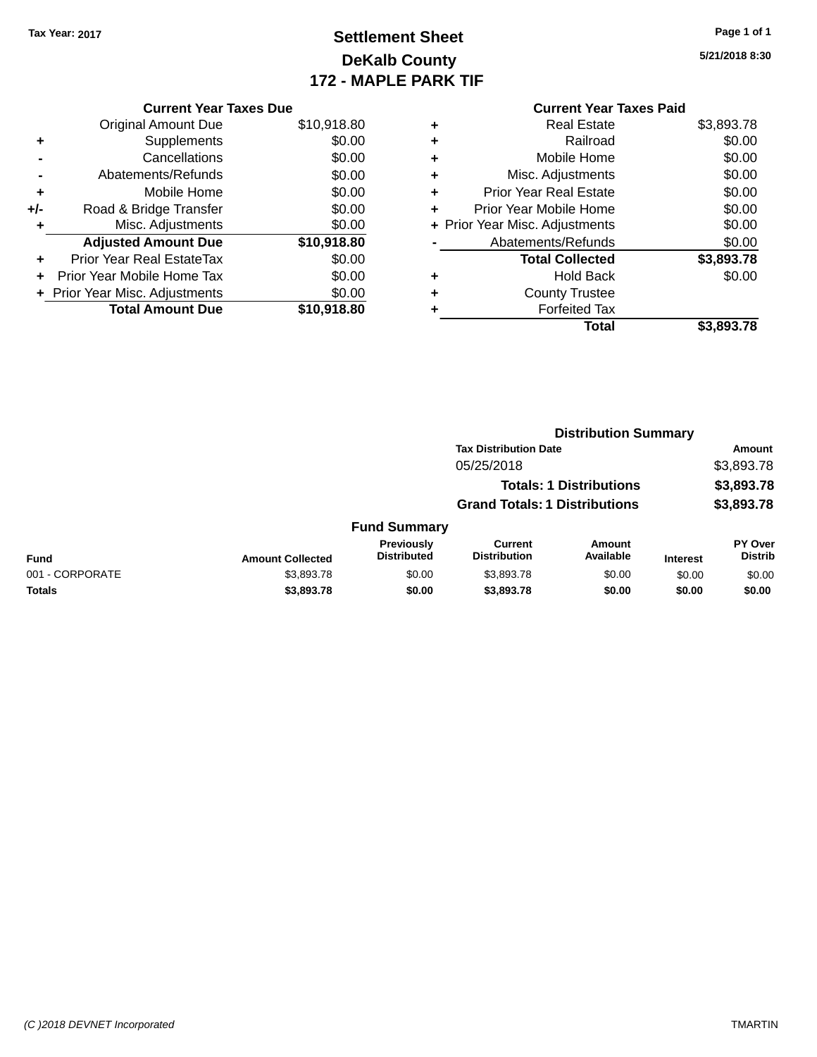## **Settlement Sheet Tax Year: 2017 Page 1 of 1 DeKalb County 172 - MAPLE PARK TIF**

|       | <b>Current Year Taxes Due</b>    |             |   | <b>Current Year Taxes Paid</b> |            |
|-------|----------------------------------|-------------|---|--------------------------------|------------|
|       | Original Amount Due              | \$10,918.80 | ٠ | <b>Real Estate</b>             | \$3,893.78 |
| ٠     | Supplements                      | \$0.00      |   | Railroad                       | \$0.00     |
|       | Cancellations                    | \$0.00      | ٠ | Mobile Home                    | \$0.00     |
|       | Abatements/Refunds               | \$0.00      | ٠ | Misc. Adjustments              | \$0.00     |
| ٠     | Mobile Home                      | \$0.00      | ٠ | <b>Prior Year Real Estate</b>  | \$0.00     |
| $+/-$ | Road & Bridge Transfer           | \$0.00      |   | Prior Year Mobile Home         | \$0.00     |
|       | Misc. Adjustments                | \$0.00      |   | + Prior Year Misc. Adjustments | \$0.00     |
|       | <b>Adjusted Amount Due</b>       | \$10,918.80 |   | Abatements/Refunds             | \$0.00     |
| ٠     | <b>Prior Year Real EstateTax</b> | \$0.00      |   | <b>Total Collected</b>         | \$3,893.78 |
| ÷.    | Prior Year Mobile Home Tax       | \$0.00      | ٠ | <b>Hold Back</b>               | \$0.00     |
|       | + Prior Year Misc. Adjustments   | \$0.00      | ٠ | <b>County Trustee</b>          |            |
|       | <b>Total Amount Due</b>          | \$10,918.80 |   | <b>Forfeited Tax</b>           |            |
|       |                                  |             |   | Total                          | \$3,893.78 |

| \$3,893.78 |
|------------|

|                 |                                            |                                         | <b>Distribution Summary</b>           |                     |                 |                                  |
|-----------------|--------------------------------------------|-----------------------------------------|---------------------------------------|---------------------|-----------------|----------------------------------|
|                 | <b>Tax Distribution Date</b><br>05/25/2018 |                                         |                                       |                     |                 | Amount                           |
|                 |                                            |                                         |                                       |                     | \$3,893.78      |                                  |
|                 | <b>Totals: 1 Distributions</b>             |                                         |                                       |                     | \$3,893.78      |                                  |
|                 | <b>Grand Totals: 1 Distributions</b>       |                                         |                                       | \$3,893.78          |                 |                                  |
|                 |                                            | <b>Fund Summary</b>                     |                                       |                     |                 |                                  |
| <b>Fund</b>     | <b>Amount Collected</b>                    | <b>Previously</b><br><b>Distributed</b> | <b>Current</b><br><b>Distribution</b> | Amount<br>Available | <b>Interest</b> | <b>PY Over</b><br><b>Distrib</b> |
| 001 - CORPORATE | \$3,893.78                                 | \$0.00                                  | \$3,893.78                            | \$0.00              | \$0.00          | \$0.00                           |
| <b>Totals</b>   | \$3,893.78                                 | \$0.00                                  | \$3,893.78                            | \$0.00              | \$0.00          | \$0.00                           |
|                 |                                            |                                         |                                       |                     |                 |                                  |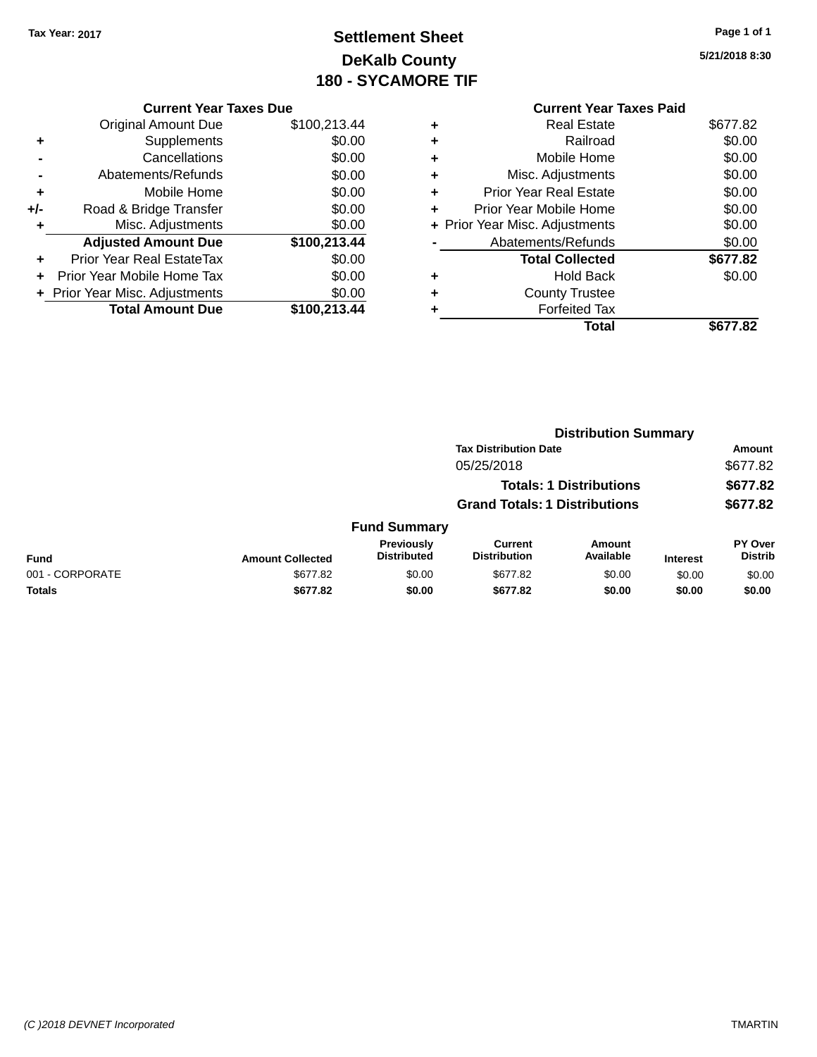# **Settlement Sheet Tax Year: 2017 Page 1 of 1 DeKalb County 180 - SYCAMORE TIF**

|   | <b>Current Year Taxes Paid</b> |          |
|---|--------------------------------|----------|
| ٠ | Real Estate                    | \$677.82 |
| ٠ | Railroad                       | \$0.00   |
| ٠ | Mobile Home                    | \$0.00   |
|   | Misc. Adjustments              | \$0.00   |
| ٠ | <b>Prior Year Real Estate</b>  | \$0.00   |
| ÷ | Prior Year Mobile Home         | \$0.00   |
|   | + Prior Year Misc. Adjustments | \$0.00   |
|   | Abatements/Refunds             | \$0.00   |
|   | <b>Total Collected</b>         | \$677.82 |
|   | <b>Hold Back</b>               | \$0.00   |
|   | <b>County Trustee</b>          |          |
|   | <b>Forfeited Tax</b>           |          |
|   | Total                          | \$677.82 |
|   |                                |          |

|     | <b>Current Year Taxes Due</b>  |              |  |  |  |
|-----|--------------------------------|--------------|--|--|--|
|     | <b>Original Amount Due</b>     | \$100,213.44 |  |  |  |
| ٠   | Supplements                    | \$0.00       |  |  |  |
|     | Cancellations                  | \$0.00       |  |  |  |
|     | Abatements/Refunds             | \$0.00       |  |  |  |
| ٠   | Mobile Home                    | \$0.00       |  |  |  |
| +/- | Road & Bridge Transfer         | \$0.00       |  |  |  |
| ٠   | Misc. Adjustments              | \$0.00       |  |  |  |
|     | <b>Adjusted Amount Due</b>     | \$100,213.44 |  |  |  |
| ٠   | Prior Year Real EstateTax      | \$0.00       |  |  |  |
|     | Prior Year Mobile Home Tax     | \$0.00       |  |  |  |
|     | + Prior Year Misc. Adjustments | \$0.00       |  |  |  |
|     | <b>Total Amount Due</b>        | \$100,213.44 |  |  |  |
|     |                                |              |  |  |  |

|                 |                         | <b>Distribution Summary</b>             |                                |                                |                 |                           |  |
|-----------------|-------------------------|-----------------------------------------|--------------------------------|--------------------------------|-----------------|---------------------------|--|
|                 |                         |                                         | <b>Tax Distribution Date</b>   |                                |                 | Amount                    |  |
|                 |                         |                                         | 05/25/2018                     |                                |                 | \$677.82                  |  |
|                 |                         |                                         |                                | <b>Totals: 1 Distributions</b> |                 | \$677.82                  |  |
|                 |                         | <b>Grand Totals: 1 Distributions</b>    |                                |                                | \$677.82        |                           |  |
|                 |                         | <b>Fund Summary</b>                     |                                |                                |                 |                           |  |
| <b>Fund</b>     | <b>Amount Collected</b> | <b>Previously</b><br><b>Distributed</b> | Current<br><b>Distribution</b> | Amount<br>Available            | <b>Interest</b> | PY Over<br><b>Distrib</b> |  |
| 001 - CORPORATE | \$677.82                | \$0.00                                  | \$677.82                       | \$0.00                         | \$0.00          | \$0.00                    |  |
| <b>Totals</b>   | \$677.82                | \$0.00                                  | \$677.82                       | \$0.00                         | \$0.00          | \$0.00                    |  |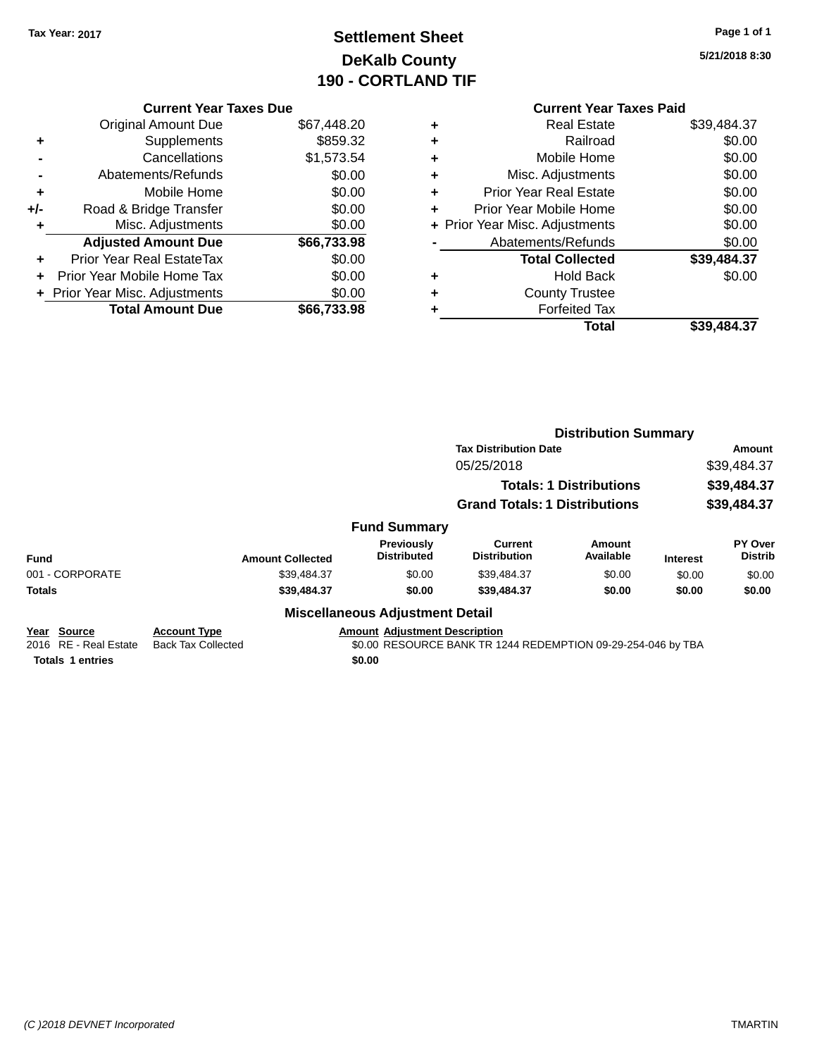**Current Year Taxes Due** Original Amount Due \$67,448.20

**Adjusted Amount Due \$66,733.98**

**Total Amount Due \$66,733.98**

**+** Supplements \$859.32 **-** Cancellations \$1,573.54 **-** Abatements/Refunds \$0.00 **+** Mobile Home \$0.00 **+/-** Road & Bridge Transfer \$0.00 **+** Misc. Adjustments \$0.00

**+** Prior Year Real EstateTax \$0.00 **+** Prior Year Mobile Home Tax \$0.00 **+ Prior Year Misc. Adjustments**  $$0.00$ 

# **Settlement Sheet Tax Year: 2017 Page 1 of 1 DeKalb County 190 - CORTLAND TIF**

**5/21/2018 8:30**

### **Current Year Taxes Paid +** Real Estate \$39,484.37 **+** Railroad \$0.00 **+** Mobile Home \$0.00 **+** Misc. Adjustments \$0.00 **+** Prior Year Real Estate \$0.00 **+** Prior Year Mobile Home \$0.00 **+ Prior Year Misc. Adjustments**  $$0.00$ Abatements/Refunds \$0.00 **Total Collected \$39,484.37 +** Hold Back \$0.00 **+** County Trustee **+** Forfeited Tax **Total \$39,484.37**

|                                         |                                                  |                                        | <b>Distribution Summary</b>                                  |                     |                 |                                  |
|-----------------------------------------|--------------------------------------------------|----------------------------------------|--------------------------------------------------------------|---------------------|-----------------|----------------------------------|
|                                         |                                                  |                                        | <b>Tax Distribution Date</b>                                 | Amount              |                 |                                  |
|                                         |                                                  |                                        | 05/25/2018                                                   |                     | \$39,484.37     |                                  |
|                                         |                                                  |                                        | <b>Totals: 1 Distributions</b>                               |                     | \$39,484.37     |                                  |
|                                         |                                                  |                                        | <b>Grand Totals: 1 Distributions</b>                         |                     |                 | \$39,484.37                      |
|                                         |                                                  | <b>Fund Summary</b>                    |                                                              |                     |                 |                                  |
| Fund                                    | <b>Amount Collected</b>                          | Previously<br><b>Distributed</b>       | Current<br><b>Distribution</b>                               | Amount<br>Available | <b>Interest</b> | <b>PY Over</b><br><b>Distrib</b> |
| 001 - CORPORATE                         | \$39,484.37                                      | \$0.00                                 | \$39,484.37                                                  | \$0.00              | \$0.00          | \$0.00                           |
| <b>Totals</b>                           | \$39,484.37                                      | \$0.00                                 | \$39,484.37                                                  | \$0.00              | \$0.00          | \$0.00                           |
|                                         |                                                  | <b>Miscellaneous Adjustment Detail</b> |                                                              |                     |                 |                                  |
| Source<br>Year<br>2016 RE - Real Estate | <b>Account Type</b><br><b>Back Tax Collected</b> | <b>Amount Adjustment Description</b>   | \$0.00 RESOURCE BANK TR 1244 REDEMPTION 09-29-254-046 by TBA |                     |                 |                                  |
| <b>Totals 1 entries</b>                 |                                                  | \$0.00                                 |                                                              |                     |                 |                                  |

#### *(C )2018 DEVNET Incorporated* TMARTIN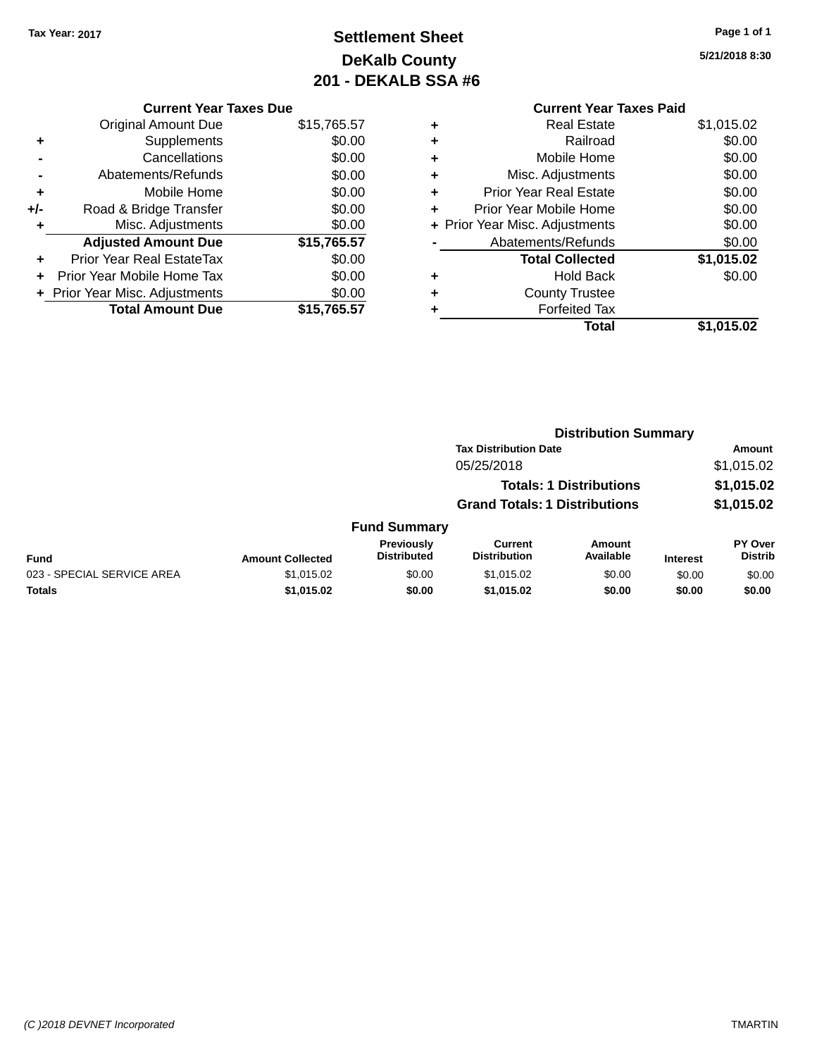# **Settlement Sheet Tax Year: 2017 Page 1 of 1 DeKalb County 201 - DEKALB SSA #6**

**5/21/2018 8:30**

### **Current Year Taxes Paid +** Real Estate \$1,015.02 **+** Railroad \$0.00 **+** Mobile Home \$0.00 **+** Misc. Adjustments \$0.00 **+** Prior Year Real Estate \$0.00 **+** Prior Year Mobile Home \$0.00 **+ Prior Year Misc. Adjustments**  $$0.00$ **-** Abatements/Refunds \$0.00 **Total Collected \$1,015.02 +** Hold Back \$0.00 **+** County Trustee **+** Forfeited Tax **Total \$1,015.02**

**Distribution Summary**

| <b>Original Amount Due</b>       | \$15,765.57                   |
|----------------------------------|-------------------------------|
| Supplements                      | \$0.00                        |
| Cancellations                    | \$0.00                        |
| Abatements/Refunds               | \$0.00                        |
| Mobile Home                      | \$0.00                        |
| Road & Bridge Transfer           | \$0.00                        |
| Misc. Adjustments                | \$0.00                        |
| <b>Adjusted Amount Due</b>       | \$15,765.57                   |
| <b>Prior Year Real EstateTax</b> | \$0.00                        |
| Prior Year Mobile Home Tax       | \$0.00                        |
| + Prior Year Misc. Adjustments   | \$0.00                        |
| <b>Total Amount Due</b>          | \$15.765.57                   |
|                                  | <b>Current Year Taxes Due</b> |

|                            |                         |                                         | <b>Tax Distribution Date</b>         |                                | Amount          |                           |  |
|----------------------------|-------------------------|-----------------------------------------|--------------------------------------|--------------------------------|-----------------|---------------------------|--|
|                            |                         |                                         | 05/25/2018                           |                                |                 | \$1,015.02                |  |
|                            |                         |                                         |                                      | <b>Totals: 1 Distributions</b> |                 | \$1,015.02                |  |
|                            |                         |                                         | <b>Grand Totals: 1 Distributions</b> |                                |                 | \$1,015.02                |  |
|                            |                         | <b>Fund Summary</b>                     |                                      |                                |                 |                           |  |
| <b>Fund</b>                | <b>Amount Collected</b> | <b>Previously</b><br><b>Distributed</b> | Current<br><b>Distribution</b>       | <b>Amount</b><br>Available     | <b>Interest</b> | PY Over<br><b>Distrib</b> |  |
| 023 - SPECIAL SERVICE AREA | \$1,015.02              | \$0.00                                  | \$1,015.02                           | \$0.00                         | \$0.00          | \$0.00                    |  |
| <b>Totals</b>              | \$1,015.02              | \$0.00                                  | \$1,015.02                           | \$0.00                         | \$0.00          | \$0.00                    |  |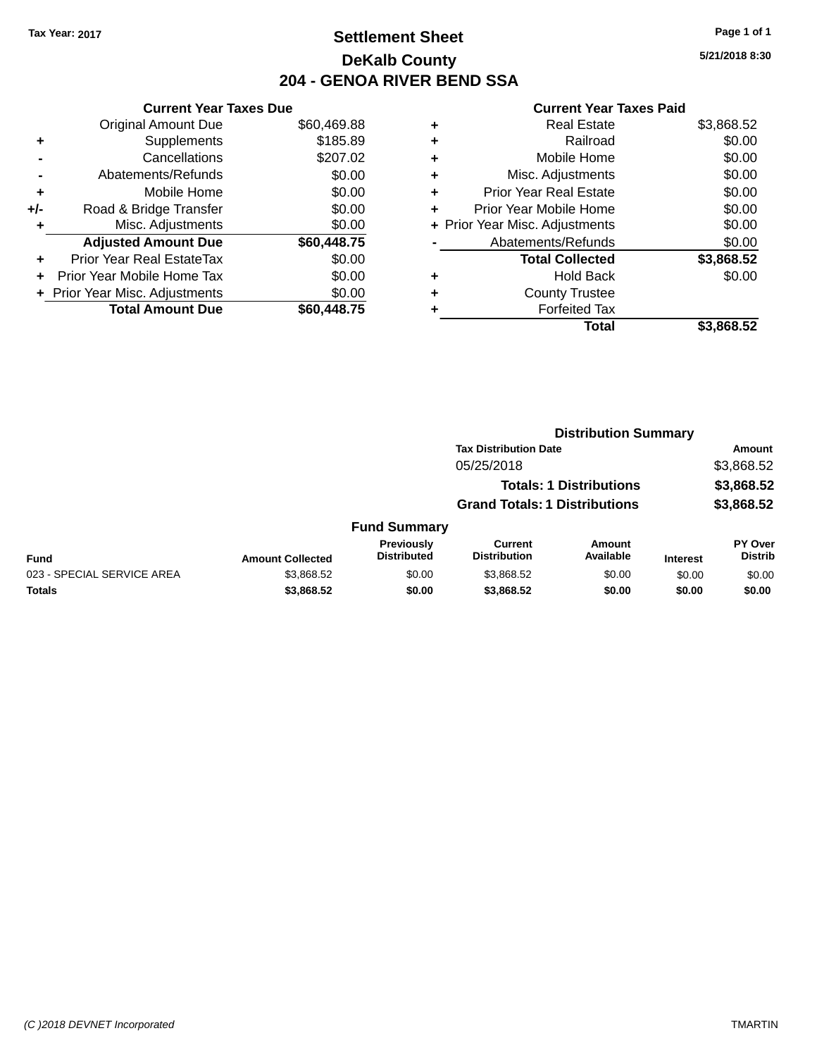### **Settlement Sheet Tax Year: 2017 Page 1 of 1 DeKalb County 204 - GENOA RIVER BEND SSA**

**5/21/2018 8:30**

|       | <b>Current Year Taxes Due</b>  |             |
|-------|--------------------------------|-------------|
|       | <b>Original Amount Due</b>     | \$60,469.88 |
| ٠     | Supplements                    | \$185.89    |
|       | Cancellations                  | \$207.02    |
|       | Abatements/Refunds             | \$0.00      |
| ÷     | Mobile Home                    | \$0.00      |
| $+/-$ | Road & Bridge Transfer         | \$0.00      |
|       | Misc. Adjustments              | \$0.00      |
|       | <b>Adjusted Amount Due</b>     | \$60,448.75 |
|       | Prior Year Real EstateTax      | \$0.00      |
|       | Prior Year Mobile Home Tax     | \$0.00      |
|       | + Prior Year Misc. Adjustments | \$0.00      |
|       | <b>Total Amount Due</b>        | \$60,448.75 |
|       |                                |             |

| ٠ | <b>Real Estate</b>             | \$3,868.52 |
|---|--------------------------------|------------|
| ٠ | Railroad                       | \$0.00     |
| ٠ | Mobile Home                    | \$0.00     |
| ٠ | Misc. Adjustments              | \$0.00     |
| ٠ | <b>Prior Year Real Estate</b>  | \$0.00     |
| ÷ | Prior Year Mobile Home         | \$0.00     |
|   | + Prior Year Misc. Adjustments | \$0.00     |
|   | Abatements/Refunds             | \$0.00     |
|   | <b>Total Collected</b>         | \$3,868.52 |
| ٠ | <b>Hold Back</b>               | \$0.00     |
| ٠ | <b>County Trustee</b>          |            |
| ٠ | <b>Forfeited Tax</b>           |            |
|   | Total                          | \$3.868.52 |
|   |                                |            |

|                            | <b>Distribution Summary</b> |                                  |                                       |                                |                 |                           |
|----------------------------|-----------------------------|----------------------------------|---------------------------------------|--------------------------------|-----------------|---------------------------|
|                            |                             |                                  | <b>Tax Distribution Date</b>          |                                |                 | Amount                    |
|                            |                             |                                  | 05/25/2018                            |                                |                 | \$3,868.52                |
|                            |                             |                                  |                                       | <b>Totals: 1 Distributions</b> |                 | \$3,868.52                |
|                            |                             |                                  | <b>Grand Totals: 1 Distributions</b>  |                                |                 | \$3,868.52                |
|                            |                             | <b>Fund Summary</b>              |                                       |                                |                 |                           |
| <b>Fund</b>                | <b>Amount Collected</b>     | Previously<br><b>Distributed</b> | <b>Current</b><br><b>Distribution</b> | Amount<br>Available            | <b>Interest</b> | PY Over<br><b>Distrib</b> |
| 023 - SPECIAL SERVICE AREA | \$3,868.52                  | \$0.00                           | \$3,868.52                            | \$0.00                         | \$0.00          | \$0.00                    |
| <b>Totals</b>              | \$3,868.52                  | \$0.00                           | \$3,868.52                            | \$0.00                         | \$0.00          | \$0.00                    |
|                            |                             |                                  |                                       |                                |                 |                           |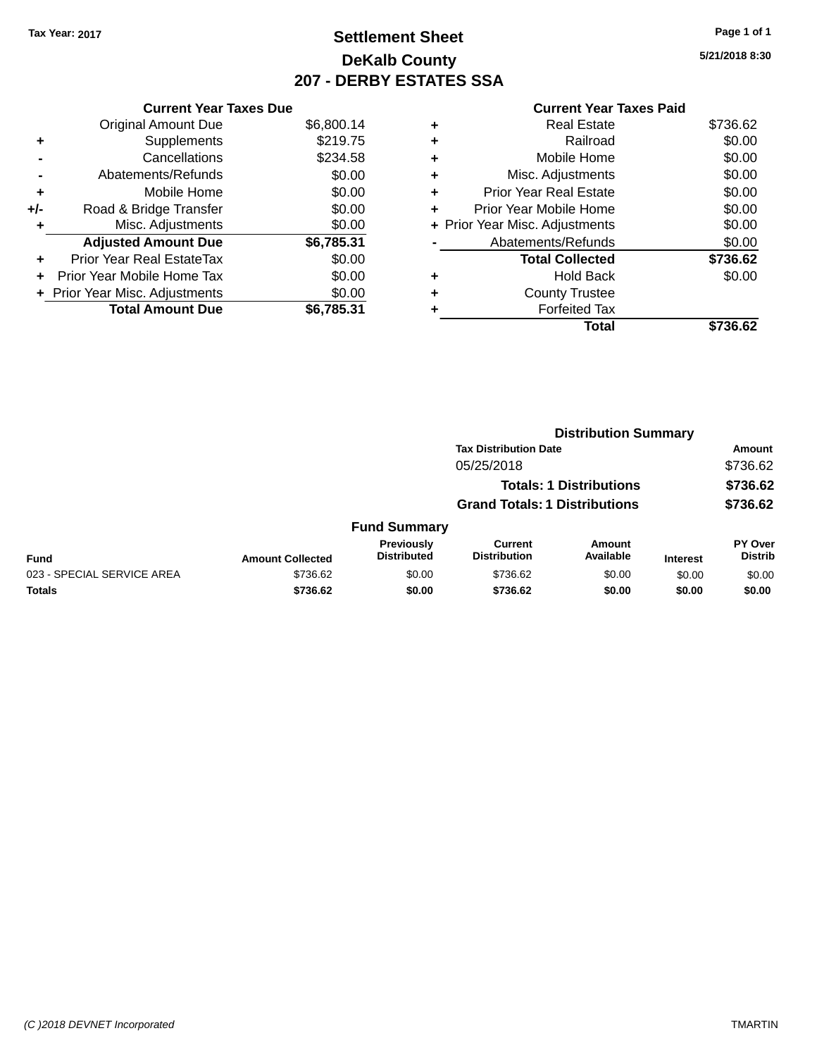## **Settlement Sheet Tax Year: 2017 Page 1 of 1 DeKalb County 207 - DERBY ESTATES SSA**

|     | <b>Current Year Taxes Due</b>  |            |
|-----|--------------------------------|------------|
|     | <b>Original Amount Due</b>     | \$6,800.14 |
|     | Supplements                    | \$219.75   |
|     | Cancellations                  | \$234.58   |
|     | Abatements/Refunds             | \$0.00     |
| ٠   | Mobile Home                    | \$0.00     |
| +/- | Road & Bridge Transfer         | \$0.00     |
|     | Misc. Adjustments              | \$0.00     |
|     | <b>Adjusted Amount Due</b>     | \$6,785.31 |
| ٠   | Prior Year Real EstateTax      | \$0.00     |
|     | Prior Year Mobile Home Tax     | \$0.00     |
|     | + Prior Year Misc. Adjustments | \$0.00     |
|     | <b>Total Amount Due</b>        | \$6,785.31 |
|     |                                |            |

|   | <b>Current Year Taxes Paid</b> |          |
|---|--------------------------------|----------|
|   | <b>Real Estate</b>             | \$736.62 |
| ٠ | Railroad                       | \$0.00   |
|   | Mobile Home                    | \$0.00   |
| ٠ | Misc. Adjustments              | \$0.00   |
| ٠ | <b>Prior Year Real Estate</b>  | \$0.00   |
| ٠ | Prior Year Mobile Home         | \$0.00   |
|   | + Prior Year Misc. Adjustments | \$0.00   |
|   | Abatements/Refunds             | \$0.00   |
|   | <b>Total Collected</b>         | \$736.62 |
|   | <b>Hold Back</b>               | \$0.00   |
|   | <b>County Trustee</b>          |          |
|   | <b>Forfeited Tax</b>           |          |
|   | <b>Total</b>                   | \$736.62 |

|                            |                         | <b>Distribution Summary</b>      |                                      |                                |                 |                                  |
|----------------------------|-------------------------|----------------------------------|--------------------------------------|--------------------------------|-----------------|----------------------------------|
|                            |                         |                                  | <b>Tax Distribution Date</b>         |                                |                 | <b>Amount</b>                    |
|                            |                         |                                  | 05/25/2018                           |                                |                 | \$736.62                         |
|                            |                         |                                  |                                      | <b>Totals: 1 Distributions</b> |                 | \$736.62                         |
|                            |                         |                                  | <b>Grand Totals: 1 Distributions</b> |                                |                 | \$736.62                         |
|                            |                         | <b>Fund Summary</b>              |                                      |                                |                 |                                  |
| <b>Fund</b>                | <b>Amount Collected</b> | Previously<br><b>Distributed</b> | Current<br><b>Distribution</b>       | Amount<br>Available            | <b>Interest</b> | <b>PY Over</b><br><b>Distrib</b> |
| 023 - SPECIAL SERVICE AREA | \$736.62                | \$0.00                           | \$736.62                             | \$0.00                         | \$0.00          | \$0.00                           |
| <b>Totals</b>              | \$736.62                | \$0.00                           | \$736.62                             | \$0.00                         | \$0.00          | \$0.00                           |
|                            |                         |                                  |                                      |                                |                 |                                  |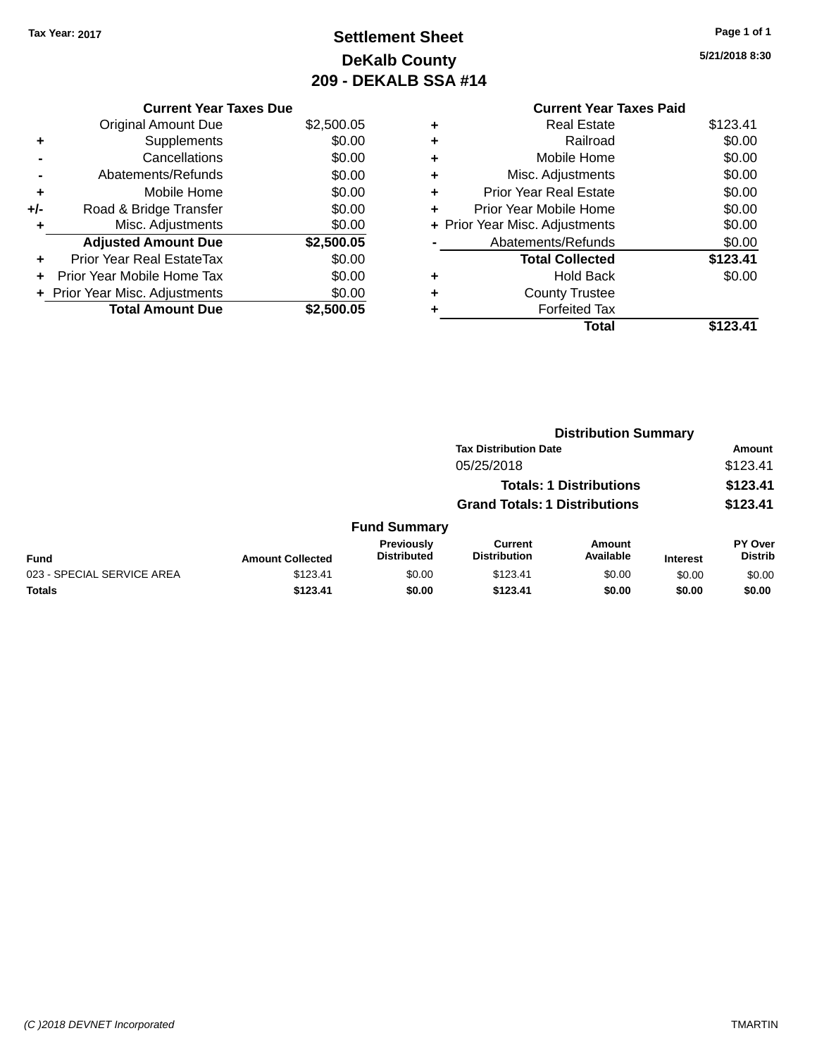# **Settlement Sheet Tax Year: 2017 Page 1 of 1 DeKalb County 209 - DEKALB SSA #14**

|     | <b>Current Year Taxes Due</b>  |            |
|-----|--------------------------------|------------|
|     | <b>Original Amount Due</b>     | \$2,500.05 |
| ٠   | Supplements                    | \$0.00     |
|     | Cancellations                  | \$0.00     |
|     | Abatements/Refunds             | \$0.00     |
| ٠   | Mobile Home                    | \$0.00     |
| +/- | Road & Bridge Transfer         | \$0.00     |
| ٠   | Misc. Adjustments              | \$0.00     |
|     | <b>Adjusted Amount Due</b>     | \$2,500.05 |
|     | Prior Year Real EstateTax      | \$0.00     |
|     | Prior Year Mobile Home Tax     | \$0.00     |
|     | + Prior Year Misc. Adjustments | \$0.00     |
|     | <b>Total Amount Due</b>        | \$2,500.05 |

|   | <b>Current Year Taxes Paid</b> |          |
|---|--------------------------------|----------|
| ٠ | <b>Real Estate</b>             | \$123.41 |
|   | Railroad                       | \$0.00   |
| ٠ | Mobile Home                    | \$0.00   |
|   | Misc. Adjustments              | \$0.00   |
| ٠ | <b>Prior Year Real Estate</b>  | \$0.00   |
| ٠ | Prior Year Mobile Home         | \$0.00   |
|   | + Prior Year Misc. Adjustments | \$0.00   |
|   | Abatements/Refunds             | \$0.00   |
|   | <b>Total Collected</b>         | \$123.41 |
| ÷ | <b>Hold Back</b>               | \$0.00   |
|   | <b>County Trustee</b>          |          |
|   | <b>Forfeited Tax</b>           |          |
|   | Total                          | \$123.41 |
|   |                                |          |

|                            |                         |                                         |                                       | <b>Distribution Summary</b>    |                 |                           |
|----------------------------|-------------------------|-----------------------------------------|---------------------------------------|--------------------------------|-----------------|---------------------------|
|                            |                         |                                         | <b>Tax Distribution Date</b>          |                                |                 | <b>Amount</b>             |
|                            |                         |                                         | 05/25/2018                            |                                |                 | \$123.41                  |
|                            |                         |                                         |                                       | <b>Totals: 1 Distributions</b> |                 | \$123.41                  |
|                            |                         |                                         | <b>Grand Totals: 1 Distributions</b>  |                                |                 | \$123.41                  |
|                            |                         | <b>Fund Summary</b>                     |                                       |                                |                 |                           |
| <b>Fund</b>                | <b>Amount Collected</b> | <b>Previously</b><br><b>Distributed</b> | <b>Current</b><br><b>Distribution</b> | Amount<br>Available            | <b>Interest</b> | PY Over<br><b>Distrib</b> |
| 023 - SPECIAL SERVICE AREA | \$123.41                | \$0.00                                  | \$123.41                              | \$0.00                         | \$0.00          | \$0.00                    |
| <b>Totals</b>              | \$123.41                | \$0.00                                  | \$123.41                              | \$0.00                         | \$0.00          | \$0.00                    |
|                            |                         |                                         |                                       |                                |                 |                           |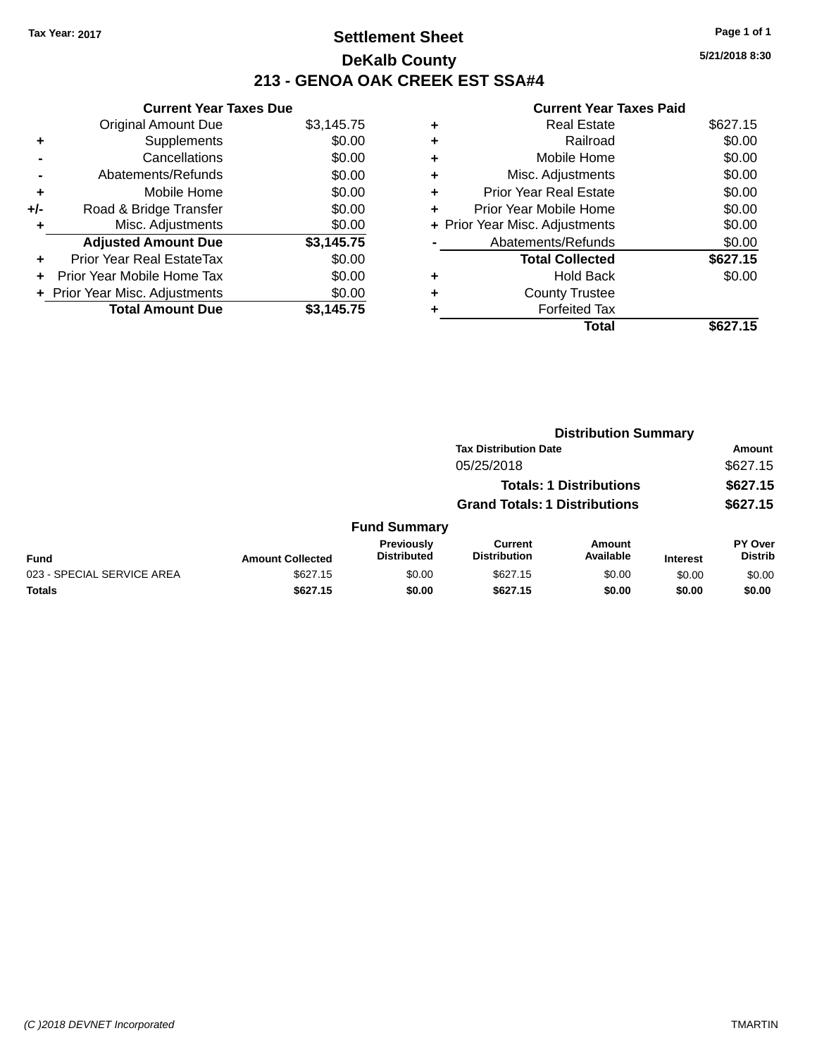### **Settlement Sheet Tax Year: 2017 Page 1 of 1 DeKalb County 213 - GENOA OAK CREEK EST SSA#4**

**Current Year Taxes Due** Original Amount Due \$3,145.75 **+** Supplements \$0.00 **-** Cancellations \$0.00 **-** Abatements/Refunds \$0.00 **+** Mobile Home \$0.00 **+/-** Road & Bridge Transfer \$0.00 **+** Misc. Adjustments \$0.00 **Adjusted Amount Due \$3,145.75 +** Prior Year Real EstateTax \$0.00 **+** Prior Year Mobile Home Tax \$0.00 **+ Prior Year Misc. Adjustments**  $$0.00$ Total Amount Due \$3,145.75

### **Current Year Taxes Paid**

| ٠ | <b>Real Estate</b>             | \$627.15 |
|---|--------------------------------|----------|
| ٠ | Railroad                       | \$0.00   |
| ٠ | Mobile Home                    | \$0.00   |
| ٠ | Misc. Adjustments              | \$0.00   |
| ٠ | <b>Prior Year Real Estate</b>  | \$0.00   |
| ٠ | Prior Year Mobile Home         | \$0.00   |
|   | + Prior Year Misc. Adjustments | \$0.00   |
|   | Abatements/Refunds             | \$0.00   |
|   | <b>Total Collected</b>         | \$627.15 |
| ٠ | <b>Hold Back</b>               | \$0.00   |
| ٠ | <b>County Trustee</b>          |          |
| ٠ | <b>Forfeited Tax</b>           |          |
|   | Total                          | \$627.15 |
|   |                                |          |

|                            |                         |                                  |                                       | <b>Distribution Summary</b>    |                 |                           |
|----------------------------|-------------------------|----------------------------------|---------------------------------------|--------------------------------|-----------------|---------------------------|
|                            |                         |                                  | <b>Tax Distribution Date</b>          |                                |                 | <b>Amount</b>             |
|                            |                         |                                  | 05/25/2018                            |                                |                 | \$627.15                  |
|                            |                         |                                  |                                       | <b>Totals: 1 Distributions</b> |                 | \$627.15                  |
|                            |                         |                                  | <b>Grand Totals: 1 Distributions</b>  |                                |                 | \$627.15                  |
|                            |                         | <b>Fund Summary</b>              |                                       |                                |                 |                           |
| <b>Fund</b>                | <b>Amount Collected</b> | Previously<br><b>Distributed</b> | <b>Current</b><br><b>Distribution</b> | <b>Amount</b><br>Available     | <b>Interest</b> | PY Over<br><b>Distrib</b> |
| 023 - SPECIAL SERVICE AREA | \$627.15                | \$0.00                           | \$627.15                              | \$0.00                         | \$0.00          | \$0.00                    |
| <b>Totals</b>              | \$627.15                | \$0.00                           | \$627.15                              | \$0.00                         | \$0.00          | \$0.00                    |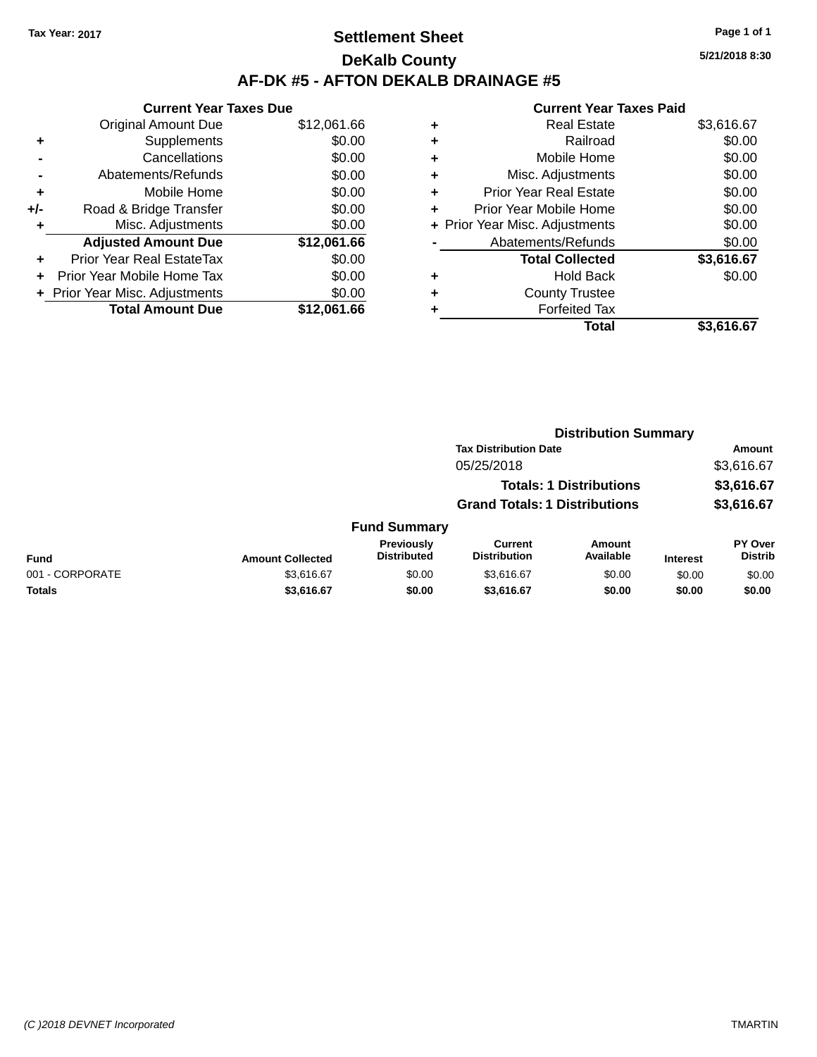### **Settlement Sheet Tax Year: 2017 Page 1 of 1 DeKalb County AF-DK #5 - AFTON DEKALB DRAINAGE #5**

|     | <b>Current Year Taxes Due</b>    |             |
|-----|----------------------------------|-------------|
|     | <b>Original Amount Due</b>       | \$12,061.66 |
|     | Supplements                      | \$0.00      |
|     | Cancellations                    | \$0.00      |
|     | Abatements/Refunds               | \$0.00      |
| ٠   | Mobile Home                      | \$0.00      |
| +/- | Road & Bridge Transfer           | \$0.00      |
|     | Misc. Adjustments                | \$0.00      |
|     | <b>Adjusted Amount Due</b>       | \$12,061.66 |
|     | <b>Prior Year Real EstateTax</b> | \$0.00      |
|     | Prior Year Mobile Home Tax       | \$0.00      |
|     | + Prior Year Misc. Adjustments   | \$0.00      |
|     | <b>Total Amount Due</b>          | \$12,061.66 |

# **Current Year Taxes Paid**

| ٠ | <b>Real Estate</b>             | \$3,616.67 |
|---|--------------------------------|------------|
| ٠ | Railroad                       | \$0.00     |
| ٠ | Mobile Home                    | \$0.00     |
| ٠ | Misc. Adjustments              | \$0.00     |
| ٠ | <b>Prior Year Real Estate</b>  | \$0.00     |
| ÷ | Prior Year Mobile Home         | \$0.00     |
|   | + Prior Year Misc. Adjustments | \$0.00     |
|   | Abatements/Refunds             | \$0.00     |
|   | <b>Total Collected</b>         | \$3,616.67 |
| ٠ | Hold Back                      | \$0.00     |
| ٠ | <b>County Trustee</b>          |            |
|   | <b>Forfeited Tax</b>           |            |
|   | <b>Total</b>                   | \$3,616.67 |
|   |                                |            |

|                 |                         |                                  | <b>Distribution Summary</b>           |                                |                 |                           |
|-----------------|-------------------------|----------------------------------|---------------------------------------|--------------------------------|-----------------|---------------------------|
|                 |                         |                                  | <b>Tax Distribution Date</b>          |                                |                 | <b>Amount</b>             |
|                 |                         |                                  | 05/25/2018                            |                                |                 | \$3,616.67                |
|                 |                         |                                  |                                       | <b>Totals: 1 Distributions</b> |                 | \$3,616.67                |
|                 |                         |                                  | <b>Grand Totals: 1 Distributions</b>  |                                |                 | \$3,616.67                |
|                 |                         | <b>Fund Summary</b>              |                                       |                                |                 |                           |
| <b>Fund</b>     | <b>Amount Collected</b> | Previously<br><b>Distributed</b> | <b>Current</b><br><b>Distribution</b> | Amount<br>Available            | <b>Interest</b> | PY Over<br><b>Distrib</b> |
| 001 - CORPORATE | \$3,616.67              | \$0.00                           | \$3,616.67                            | \$0.00                         | \$0.00          | \$0.00                    |
| <b>Totals</b>   | \$3,616.67              | \$0.00                           | \$3,616.67                            | \$0.00                         | \$0.00          | \$0.00                    |
|                 |                         |                                  |                                       |                                |                 |                           |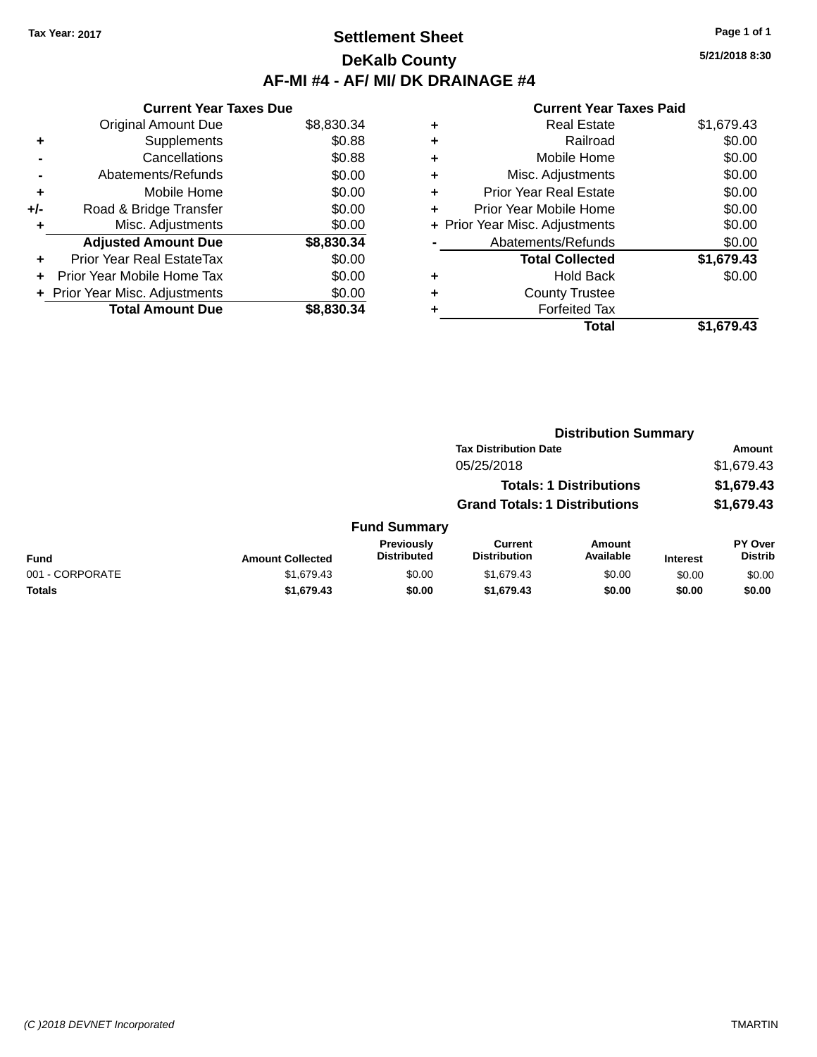### **Settlement Sheet Tax Year: 2017 Page 1 of 1 DeKalb County AF-MI #4 - AF/ MI/ DK DRAINAGE #4**

**5/21/2018 8:30**

|     | <b>Current Year Taxes Due</b>  |            |
|-----|--------------------------------|------------|
|     | <b>Original Amount Due</b>     | \$8,830.34 |
| ÷   | Supplements                    | \$0.88     |
|     | Cancellations                  | \$0.88     |
|     | Abatements/Refunds             | \$0.00     |
| ٠   | Mobile Home                    | \$0.00     |
| +/- | Road & Bridge Transfer         | \$0.00     |
| ٠   | Misc. Adjustments              | \$0.00     |
|     | <b>Adjusted Amount Due</b>     | \$8,830.34 |
| ÷   | Prior Year Real EstateTax      | \$0.00     |
| ÷   | Prior Year Mobile Home Tax     | \$0.00     |
|     | + Prior Year Misc. Adjustments | \$0.00     |
|     | <b>Total Amount Due</b>        | \$8,830.34 |

|   | <b>Real Estate</b>             | \$1,679.43 |
|---|--------------------------------|------------|
| ٠ | Railroad                       | \$0.00     |
| ٠ | Mobile Home                    | \$0.00     |
| ٠ | Misc. Adjustments              | \$0.00     |
| ٠ | <b>Prior Year Real Estate</b>  | \$0.00     |
| ٠ | Prior Year Mobile Home         | \$0.00     |
|   | + Prior Year Misc. Adjustments | \$0.00     |
|   | Abatements/Refunds             | \$0.00     |
|   | <b>Total Collected</b>         | \$1,679.43 |
| ٠ | <b>Hold Back</b>               | \$0.00     |
| ٠ | <b>County Trustee</b>          |            |
| ٠ | <b>Forfeited Tax</b>           |            |
|   | Total                          | \$1.679.43 |
|   |                                |            |

|                 |                         |                                  | <b>Distribution Summary</b>           |                                |                 |                                  |
|-----------------|-------------------------|----------------------------------|---------------------------------------|--------------------------------|-----------------|----------------------------------|
|                 |                         |                                  | <b>Tax Distribution Date</b>          |                                |                 | Amount                           |
|                 |                         |                                  | 05/25/2018                            |                                |                 | \$1,679.43                       |
|                 |                         |                                  |                                       | <b>Totals: 1 Distributions</b> |                 | \$1,679.43                       |
|                 |                         |                                  | <b>Grand Totals: 1 Distributions</b>  |                                |                 | \$1,679.43                       |
|                 |                         | <b>Fund Summary</b>              |                                       |                                |                 |                                  |
| <b>Fund</b>     | <b>Amount Collected</b> | Previously<br><b>Distributed</b> | <b>Current</b><br><b>Distribution</b> | Amount<br>Available            | <b>Interest</b> | <b>PY Over</b><br><b>Distrib</b> |
| 001 - CORPORATE | \$1,679.43              | \$0.00                           | \$1,679.43                            | \$0.00                         | \$0.00          | \$0.00                           |
| Totals          | \$1,679.43              | \$0.00                           | \$1,679.43                            | \$0.00                         | \$0.00          | \$0.00                           |
|                 |                         |                                  |                                       |                                |                 |                                  |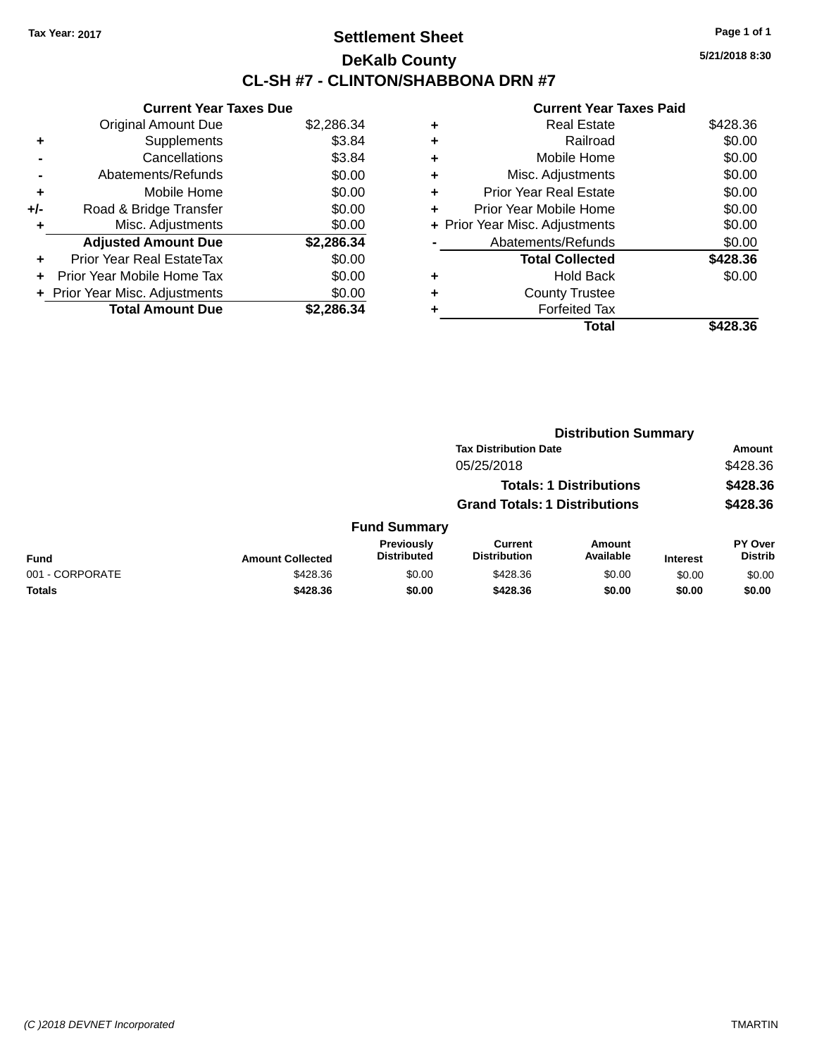### **Settlement Sheet Tax Year: 2017 Page 1 of 1 DeKalb County CL-SH #7 - CLINTON/SHABBONA DRN #7**

**5/21/2018 8:30**

|     | <b>Current Year Taxes Due</b>  |            |
|-----|--------------------------------|------------|
|     | <b>Original Amount Due</b>     | \$2,286.34 |
| ٠   | Supplements                    | \$3.84     |
|     | Cancellations                  | \$3.84     |
|     | Abatements/Refunds             | \$0.00     |
| ٠   | Mobile Home                    | \$0.00     |
| +/- | Road & Bridge Transfer         | \$0.00     |
| ٠   | Misc. Adjustments              | \$0.00     |
|     | <b>Adjusted Amount Due</b>     | \$2,286.34 |
| ÷   | Prior Year Real EstateTax      | \$0.00     |
| ÷   | Prior Year Mobile Home Tax     | \$0.00     |
|     | + Prior Year Misc. Adjustments | \$0.00     |
|     | <b>Total Amount Due</b>        | \$2.286.34 |

|   | Total                          | \$428.36 |
|---|--------------------------------|----------|
|   | <b>Forfeited Tax</b>           |          |
| ٠ | <b>County Trustee</b>          |          |
| ٠ | <b>Hold Back</b>               | \$0.00   |
|   | <b>Total Collected</b>         | \$428.36 |
|   | Abatements/Refunds             | \$0.00   |
|   | + Prior Year Misc. Adjustments | \$0.00   |
| ٠ | Prior Year Mobile Home         | \$0.00   |
| ÷ | <b>Prior Year Real Estate</b>  | \$0.00   |
| ٠ | Misc. Adjustments              | \$0.00   |
| ٠ | Mobile Home                    | \$0.00   |
| ٠ | Railroad                       | \$0.00   |
| ٠ | <b>Real Estate</b>             | \$428.36 |
|   |                                |          |

|                 |                         | <b>Distribution Summary</b>      |                                       |                                |                 |                                  |  |
|-----------------|-------------------------|----------------------------------|---------------------------------------|--------------------------------|-----------------|----------------------------------|--|
|                 |                         |                                  | <b>Tax Distribution Date</b>          |                                |                 | <b>Amount</b>                    |  |
|                 |                         |                                  | 05/25/2018                            |                                |                 | \$428.36                         |  |
|                 |                         |                                  |                                       | <b>Totals: 1 Distributions</b> |                 | \$428.36                         |  |
|                 |                         |                                  | <b>Grand Totals: 1 Distributions</b>  |                                |                 | \$428.36                         |  |
|                 |                         | <b>Fund Summary</b>              |                                       |                                |                 |                                  |  |
| <b>Fund</b>     | <b>Amount Collected</b> | Previously<br><b>Distributed</b> | <b>Current</b><br><b>Distribution</b> | <b>Amount</b><br>Available     | <b>Interest</b> | <b>PY Over</b><br><b>Distrib</b> |  |
| 001 - CORPORATE | \$428.36                | \$0.00                           | \$428.36                              | \$0.00                         | \$0.00          | \$0.00                           |  |
| <b>Totals</b>   | \$428.36                | \$0.00                           | \$428.36                              | \$0.00                         | \$0.00          | \$0.00                           |  |
|                 |                         |                                  |                                       |                                |                 |                                  |  |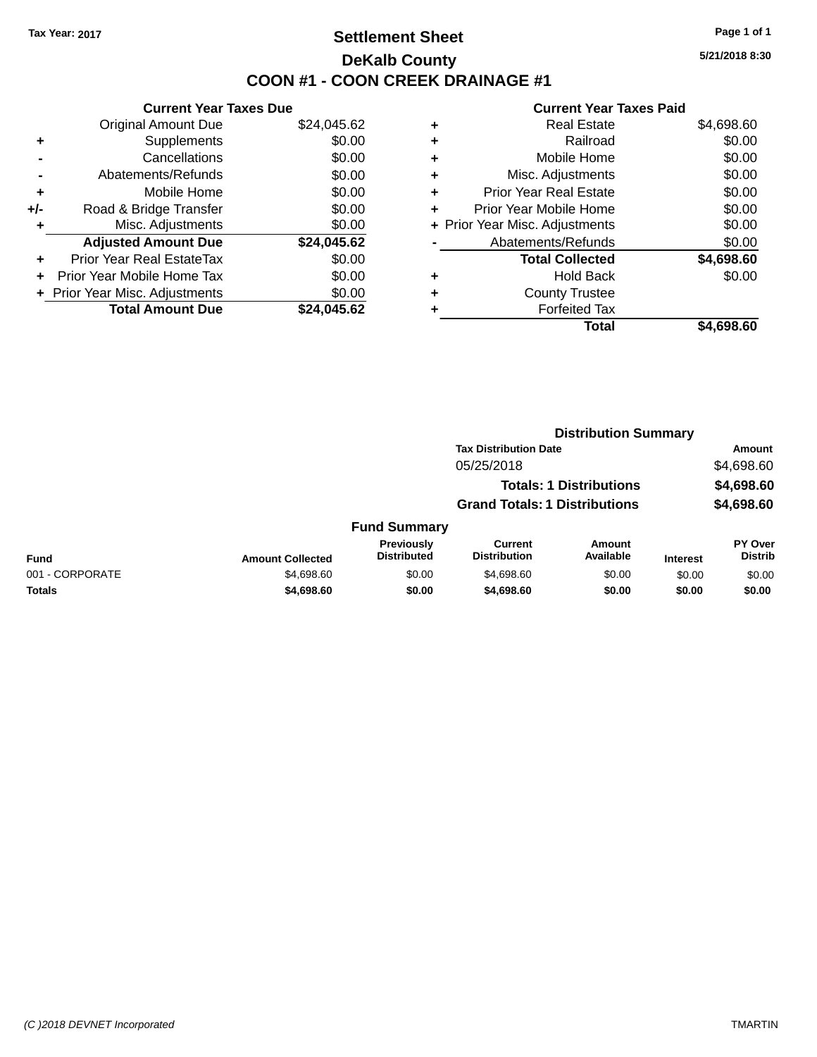### **Settlement Sheet Tax Year: 2017 Page 1 of 1 DeKalb County COON #1 - COON CREEK DRAINAGE #1**

**5/21/2018 8:30**

|     | <b>Current Year Taxes Due</b>  |             |
|-----|--------------------------------|-------------|
|     | <b>Original Amount Due</b>     | \$24,045.62 |
| ٠   | Supplements                    | \$0.00      |
|     | Cancellations                  | \$0.00      |
|     | Abatements/Refunds             | \$0.00      |
| ٠   | Mobile Home                    | \$0.00      |
| +/- | Road & Bridge Transfer         | \$0.00      |
|     | Misc. Adjustments              | \$0.00      |
|     | <b>Adjusted Amount Due</b>     | \$24,045.62 |
| ÷   | Prior Year Real EstateTax      | \$0.00      |
| ÷   | Prior Year Mobile Home Tax     | \$0.00      |
|     | + Prior Year Misc. Adjustments | \$0.00      |
|     | <b>Total Amount Due</b>        | \$24.045.62 |

| ٠ | <b>Real Estate</b>             | \$4,698.60 |
|---|--------------------------------|------------|
| ٠ | Railroad                       | \$0.00     |
| ٠ | Mobile Home                    | \$0.00     |
| ٠ | Misc. Adjustments              | \$0.00     |
| ٠ | <b>Prior Year Real Estate</b>  | \$0.00     |
| ٠ | Prior Year Mobile Home         | \$0.00     |
|   | + Prior Year Misc. Adjustments | \$0.00     |
|   | Abatements/Refunds             | \$0.00     |
|   | <b>Total Collected</b>         | \$4,698.60 |
| ٠ | <b>Hold Back</b>               | \$0.00     |
| ٠ | <b>County Trustee</b>          |            |
| ٠ | <b>Forfeited Tax</b>           |            |
|   | Total                          | \$4,698.60 |
|   |                                |            |

|                         | <b>Distribution Summary</b>      |                                       |                     |                                                                                                        |                           |  |
|-------------------------|----------------------------------|---------------------------------------|---------------------|--------------------------------------------------------------------------------------------------------|---------------------------|--|
|                         |                                  |                                       |                     |                                                                                                        | Amount                    |  |
|                         |                                  | 05/25/2018                            |                     |                                                                                                        | \$4,698.60                |  |
|                         |                                  |                                       |                     |                                                                                                        | \$4,698.60                |  |
|                         |                                  |                                       |                     |                                                                                                        | \$4,698.60                |  |
|                         |                                  |                                       |                     |                                                                                                        |                           |  |
| <b>Amount Collected</b> | Previously<br><b>Distributed</b> | <b>Current</b><br><b>Distribution</b> | Amount<br>Available | <b>Interest</b>                                                                                        | PY Over<br><b>Distrib</b> |  |
| \$4,698.60              | \$0.00                           | \$4,698.60                            | \$0.00              | \$0.00                                                                                                 | \$0.00                    |  |
| \$4,698.60              | \$0.00                           | \$4,698.60                            | \$0.00              | \$0.00                                                                                                 | \$0.00                    |  |
|                         |                                  | <b>Fund Summary</b>                   |                     | <b>Tax Distribution Date</b><br><b>Totals: 1 Distributions</b><br><b>Grand Totals: 1 Distributions</b> |                           |  |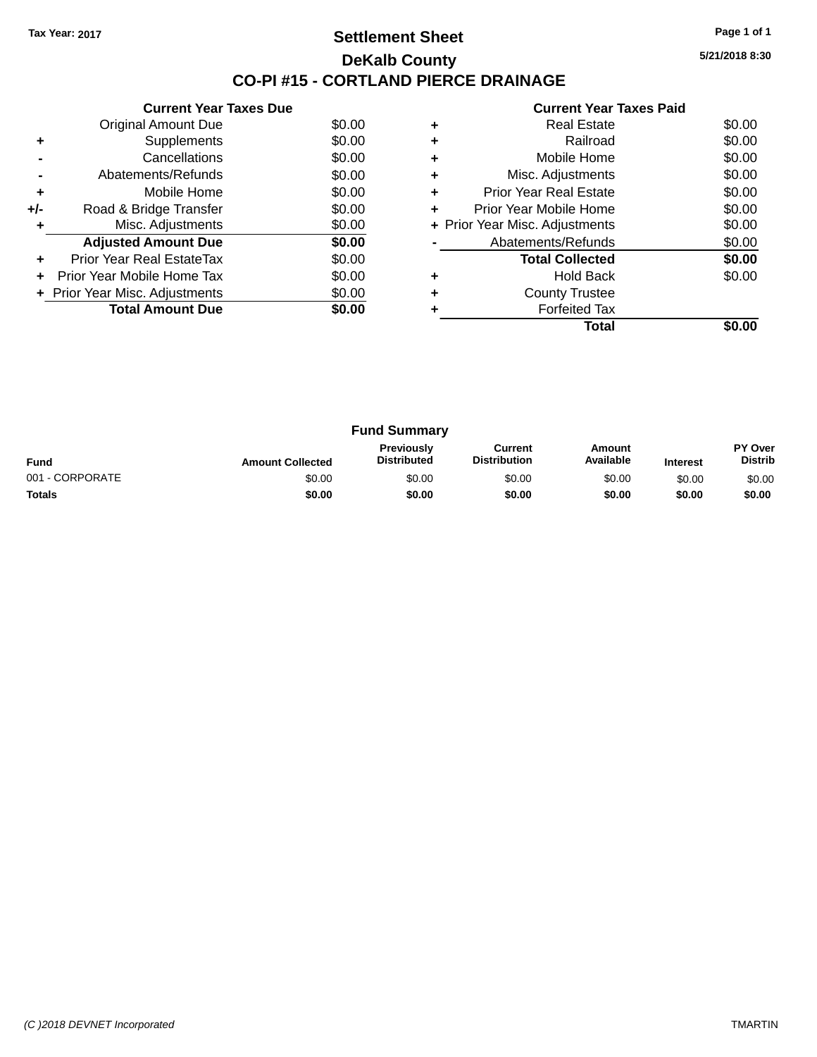### **Settlement Sheet Tax Year: 2017 Page 1 of 1 DeKalb County CO-PI #15 - CORTLAND PIERCE DRAINAGE**

**5/21/2018 8:30**

|     | <b>Current Year Taxes Due</b>  |        |
|-----|--------------------------------|--------|
|     | <b>Original Amount Due</b>     | \$0.00 |
| ٠   | Supplements                    | \$0.00 |
|     | Cancellations                  | \$0.00 |
|     | Abatements/Refunds             | \$0.00 |
| ٠   | Mobile Home                    | \$0.00 |
| +/- | Road & Bridge Transfer         | \$0.00 |
| ٠   | Misc. Adjustments              | \$0.00 |
|     | <b>Adjusted Amount Due</b>     | \$0.00 |
| ٠   | Prior Year Real EstateTax      | \$0.00 |
| ÷   | Prior Year Mobile Home Tax     | \$0.00 |
|     | + Prior Year Misc. Adjustments | \$0.00 |
|     | <b>Total Amount Due</b>        | \$0.00 |
|     |                                |        |

|   | <b>Real Estate</b>             | \$0.00 |
|---|--------------------------------|--------|
|   | Railroad                       | \$0.00 |
|   | Mobile Home                    | \$0.00 |
| ٠ | Misc. Adjustments              | \$0.00 |
| ٠ | Prior Year Real Estate         | \$0.00 |
| ٠ | Prior Year Mobile Home         | \$0.00 |
|   | + Prior Year Misc. Adjustments | \$0.00 |
|   | Abatements/Refunds             | \$0.00 |
|   | <b>Total Collected</b>         | \$0.00 |
|   | <b>Hold Back</b>               | \$0.00 |
|   | <b>County Trustee</b>          |        |
|   | <b>Forfeited Tax</b>           |        |
|   | Total                          |        |

|                 |                         | <b>Fund Summary</b>                     |                                |                     |                 |                           |
|-----------------|-------------------------|-----------------------------------------|--------------------------------|---------------------|-----------------|---------------------------|
| <b>Fund</b>     | <b>Amount Collected</b> | <b>Previously</b><br><b>Distributed</b> | Current<br><b>Distribution</b> | Amount<br>Available | <b>Interest</b> | PY Over<br><b>Distrib</b> |
| 001 - CORPORATE | \$0.00                  | \$0.00                                  | \$0.00                         | \$0.00              | \$0.00          | \$0.00                    |
| <b>Totals</b>   | \$0.00                  | \$0.00                                  | \$0.00                         | \$0.00              | \$0.00          | \$0.00                    |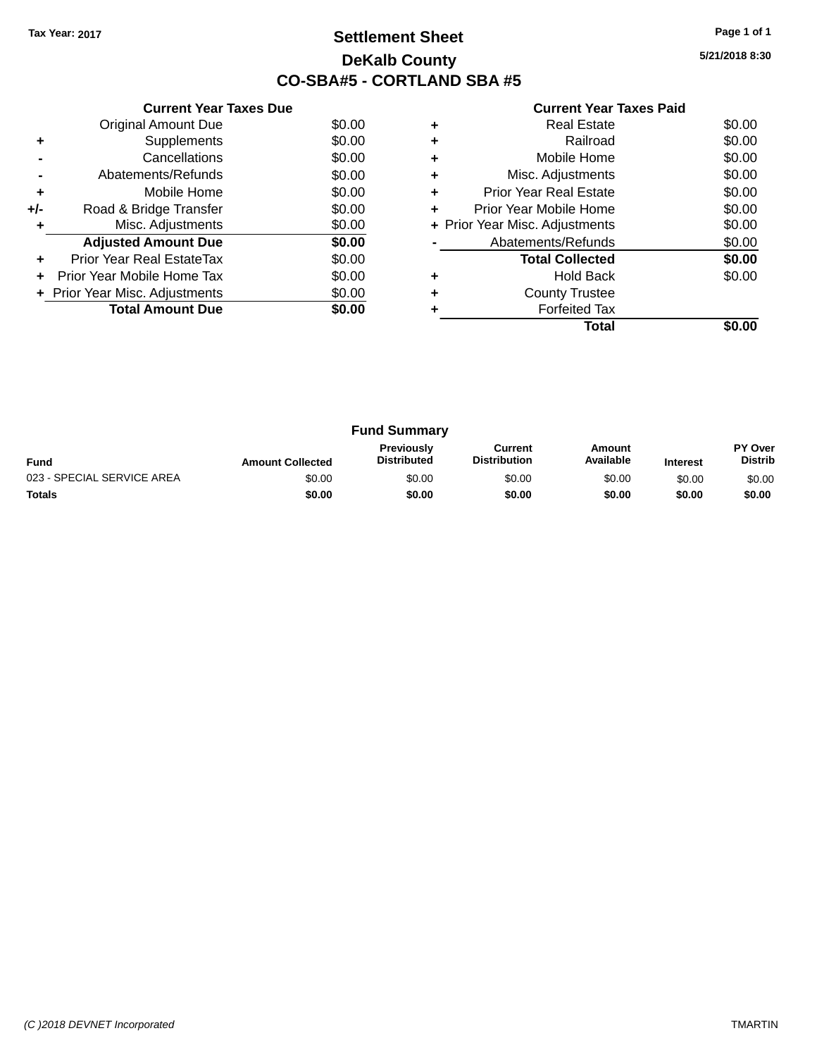### **Settlement Sheet Tax Year: 2017 Page 1 of 1 DeKalb County CO-SBA#5 - CORTLAND SBA #5**

**5/21/2018 8:30**

|     | <b>Current Year Taxes Due</b>  |        |
|-----|--------------------------------|--------|
|     | <b>Original Amount Due</b>     | \$0.00 |
| ٠   | Supplements                    | \$0.00 |
|     | Cancellations                  | \$0.00 |
|     | Abatements/Refunds             | \$0.00 |
| ٠   | Mobile Home                    | \$0.00 |
| +/- | Road & Bridge Transfer         | \$0.00 |
|     | Misc. Adjustments              | \$0.00 |
|     | <b>Adjusted Amount Due</b>     | \$0.00 |
| ٠   | Prior Year Real EstateTax      | \$0.00 |
|     | Prior Year Mobile Home Tax     | \$0.00 |
|     | + Prior Year Misc. Adjustments | \$0.00 |
|     | <b>Total Amount Due</b>        | \$0.00 |
|     |                                |        |

|   | <b>Real Estate</b>             | \$0.00 |
|---|--------------------------------|--------|
|   | Railroad                       | \$0.00 |
|   | Mobile Home                    | \$0.00 |
| ٠ | Misc. Adjustments              | \$0.00 |
| ٠ | <b>Prior Year Real Estate</b>  | \$0.00 |
| ٠ | Prior Year Mobile Home         | \$0.00 |
|   | + Prior Year Misc. Adjustments | \$0.00 |
|   | Abatements/Refunds             | \$0.00 |
|   | <b>Total Collected</b>         | \$0.00 |
|   | <b>Hold Back</b>               | \$0.00 |
|   | <b>County Trustee</b>          |        |
|   | <b>Forfeited Tax</b>           |        |
|   | Total                          |        |

| <b>Fund Summary</b>        |                         |                                         |                                |                     |                 |                           |
|----------------------------|-------------------------|-----------------------------------------|--------------------------------|---------------------|-----------------|---------------------------|
| <b>Fund</b>                | <b>Amount Collected</b> | <b>Previously</b><br><b>Distributed</b> | Current<br><b>Distribution</b> | Amount<br>Available | <b>Interest</b> | PY Over<br><b>Distrib</b> |
| 023 - SPECIAL SERVICE AREA | \$0.00                  | \$0.00                                  | \$0.00                         | \$0.00              | \$0.00          | \$0.00                    |
| <b>Totals</b>              | \$0.00                  | \$0.00                                  | \$0.00                         | \$0.00              | \$0.00          | \$0.00                    |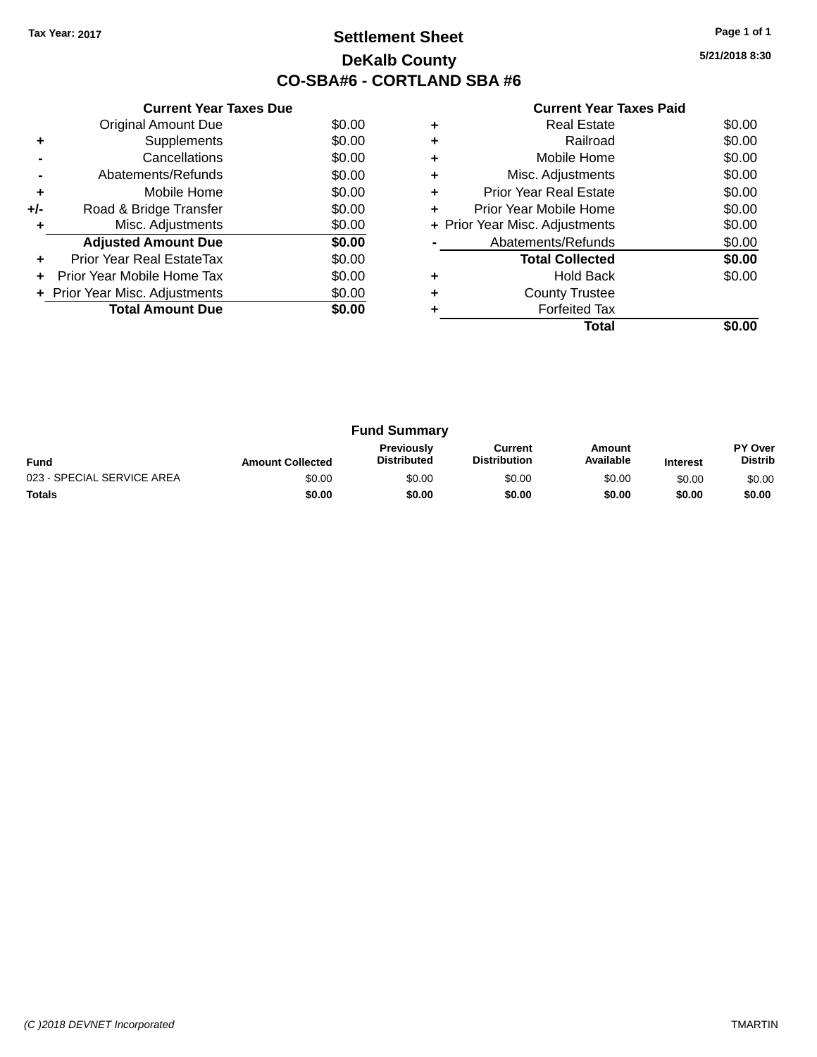## **Settlement Sheet Tax Year: 2017 Page 1 of 1 DeKalb County CO-SBA#6 - CORTLAND SBA #6**

| <b>Current Year Taxes Paid</b> |  |  |  |
|--------------------------------|--|--|--|
|--------------------------------|--|--|--|

|     | <b>Current Year Taxes Due</b>  |        |
|-----|--------------------------------|--------|
|     | Original Amount Due            | \$0.00 |
| ٠   | Supplements                    | \$0.00 |
|     | Cancellations                  | \$0.00 |
|     | Abatements/Refunds             | \$0.00 |
| ٠   | Mobile Home                    | \$0.00 |
| +/- | Road & Bridge Transfer         | \$0.00 |
| ٠   | Misc. Adjustments              | \$0.00 |
|     | <b>Adjusted Amount Due</b>     | \$0.00 |
| ٠   | Prior Year Real EstateTax      | \$0.00 |
|     | Prior Year Mobile Home Tax     | \$0.00 |
|     | + Prior Year Misc. Adjustments | \$0.00 |
|     | <b>Total Amount Due</b>        | \$0.00 |
|     |                                |        |

|   | Total                          |        |
|---|--------------------------------|--------|
|   | <b>Forfeited Tax</b>           |        |
|   | <b>County Trustee</b>          |        |
|   | <b>Hold Back</b>               | \$0.00 |
|   | <b>Total Collected</b>         | \$0.00 |
|   | Abatements/Refunds             | \$0.00 |
|   | + Prior Year Misc. Adjustments | \$0.00 |
|   | Prior Year Mobile Home         | \$0.00 |
| ٠ | <b>Prior Year Real Estate</b>  | \$0.00 |
| ٠ | Misc. Adjustments              | \$0.00 |
| ٠ | Mobile Home                    | \$0.00 |
|   | Railroad                       | \$0.00 |
|   | <b>Real Estate</b>             | \$0.00 |

| <b>Fund Summary</b>        |                         |                                         |                                |                     |                 |                                  |
|----------------------------|-------------------------|-----------------------------------------|--------------------------------|---------------------|-----------------|----------------------------------|
| <b>Fund</b>                | <b>Amount Collected</b> | <b>Previously</b><br><b>Distributed</b> | Current<br><b>Distribution</b> | Amount<br>Available | <b>Interest</b> | <b>PY Over</b><br><b>Distrib</b> |
| 023 - SPECIAL SERVICE AREA | \$0.00                  | \$0.00                                  | \$0.00                         | \$0.00              | \$0.00          | \$0.00                           |
| <b>Totals</b>              | \$0.00                  | \$0.00                                  | \$0.00                         | \$0.00              | \$0.00          | \$0.00                           |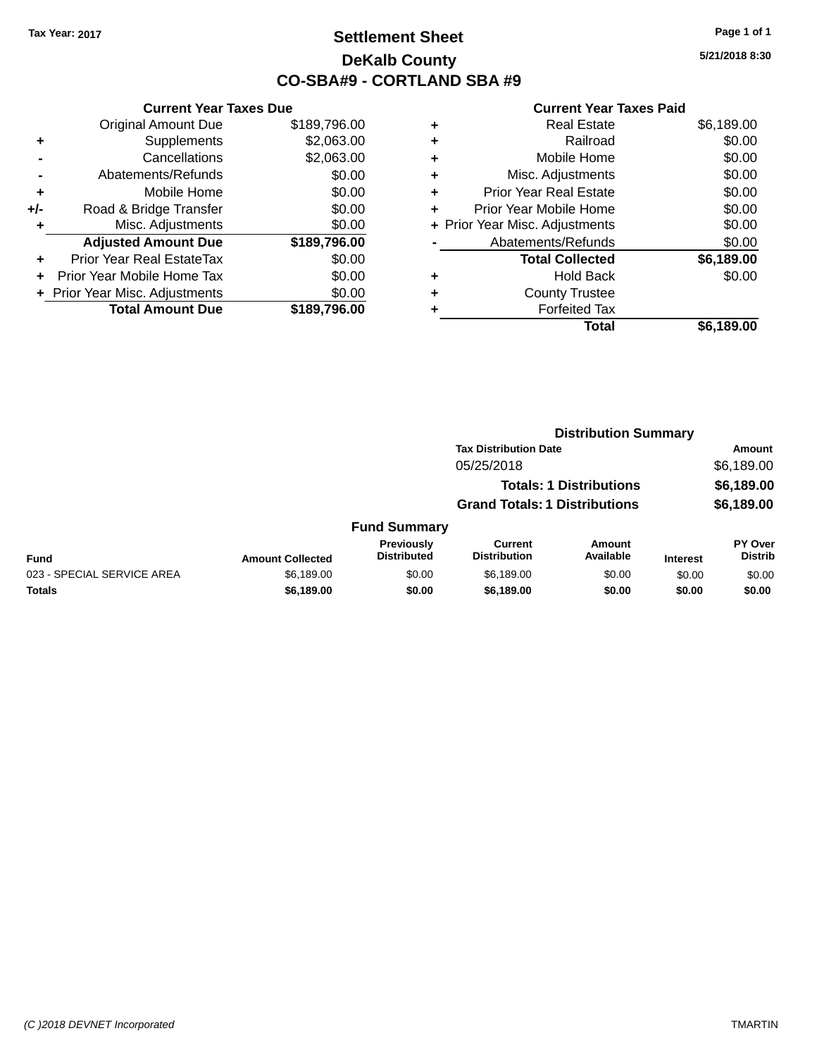### **Settlement Sheet Tax Year: 2017 Page 1 of 1 DeKalb County CO-SBA#9 - CORTLAND SBA #9**

**5/21/2018 8:30**

| <b>Current Year Taxes Due</b>           |              |  |  |  |
|-----------------------------------------|--------------|--|--|--|
| <b>Original Amount Due</b>              | \$189,796.00 |  |  |  |
| Supplements                             | \$2,063.00   |  |  |  |
| Cancellations                           | \$2,063.00   |  |  |  |
| Abatements/Refunds                      | \$0.00       |  |  |  |
| Mobile Home<br>٠                        |              |  |  |  |
| \$0.00<br>Road & Bridge Transfer<br>+/- |              |  |  |  |
| Misc. Adjustments                       | \$0.00       |  |  |  |
| <b>Adjusted Amount Due</b>              | \$189,796.00 |  |  |  |
| Prior Year Real EstateTax               | \$0.00       |  |  |  |
| Prior Year Mobile Home Tax              | \$0.00       |  |  |  |
| \$0.00<br>Prior Year Misc. Adjustments  |              |  |  |  |
| <b>Total Amount Due</b>                 | \$189.796.00 |  |  |  |
|                                         |              |  |  |  |

| ٠ | <b>Real Estate</b>             | \$6,189.00 |
|---|--------------------------------|------------|
| ٠ | Railroad                       | \$0.00     |
| ٠ | Mobile Home                    | \$0.00     |
| ٠ | Misc. Adjustments              | \$0.00     |
| ٠ | <b>Prior Year Real Estate</b>  | \$0.00     |
| ٠ | Prior Year Mobile Home         | \$0.00     |
|   | + Prior Year Misc. Adjustments | \$0.00     |
|   | Abatements/Refunds             | \$0.00     |
|   | <b>Total Collected</b>         | \$6,189.00 |
| ٠ | <b>Hold Back</b>               | \$0.00     |
| ٠ | <b>County Trustee</b>          |            |
| ٠ | <b>Forfeited Tax</b>           |            |
|   | <b>Total</b>                   | \$6,189.00 |
|   |                                |            |

|                            | <b>Distribution Summary</b> |                                  |                                       |                                |                 |                                  |
|----------------------------|-----------------------------|----------------------------------|---------------------------------------|--------------------------------|-----------------|----------------------------------|
|                            |                             |                                  | <b>Tax Distribution Date</b>          |                                |                 | <b>Amount</b>                    |
|                            |                             |                                  | 05/25/2018                            |                                |                 | \$6,189.00                       |
|                            |                             |                                  |                                       | <b>Totals: 1 Distributions</b> |                 | \$6,189.00                       |
|                            |                             |                                  | <b>Grand Totals: 1 Distributions</b>  |                                |                 | \$6,189.00                       |
|                            |                             | <b>Fund Summary</b>              |                                       |                                |                 |                                  |
| <b>Fund</b>                | <b>Amount Collected</b>     | Previously<br><b>Distributed</b> | <b>Current</b><br><b>Distribution</b> | Amount<br>Available            | <b>Interest</b> | <b>PY Over</b><br><b>Distrib</b> |
| 023 - SPECIAL SERVICE AREA | \$6,189.00                  | \$0.00                           | \$6,189.00                            | \$0.00                         | \$0.00          | \$0.00                           |
| <b>Totals</b>              | \$6,189.00                  | \$0.00                           | \$6,189.00                            | \$0.00                         | \$0.00          | \$0.00                           |
|                            |                             |                                  |                                       |                                |                 |                                  |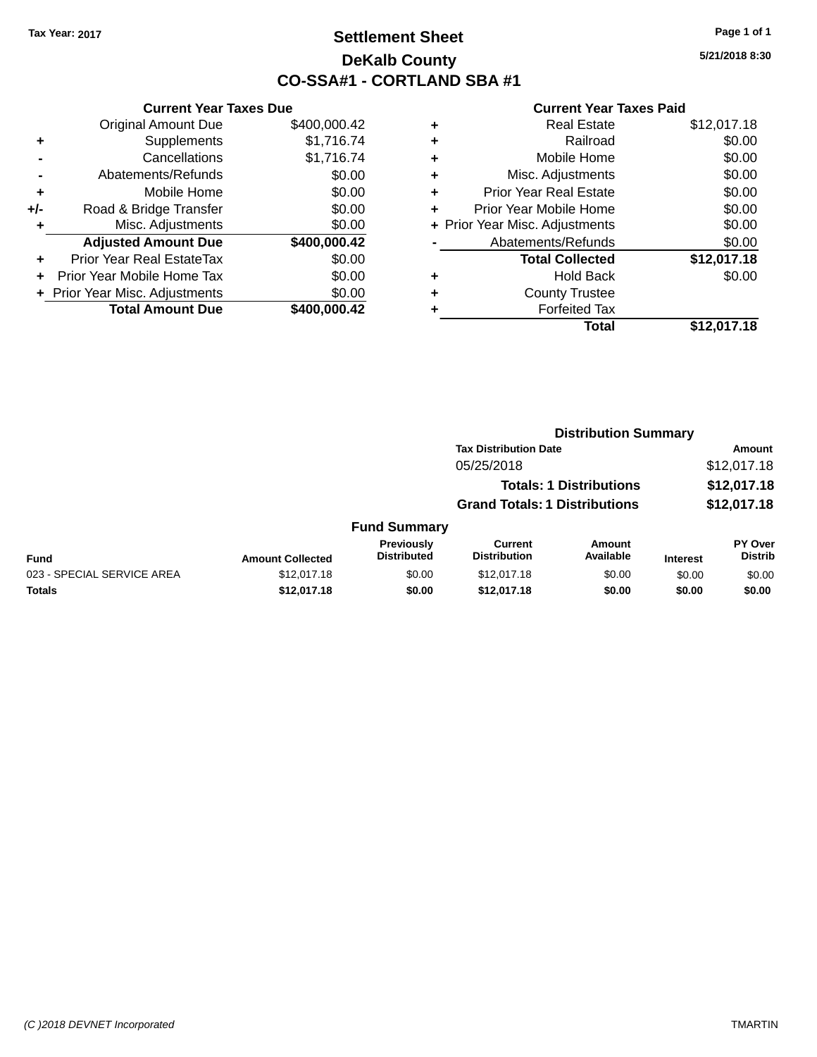### **Settlement Sheet Tax Year: 2017 Page 1 of 1 DeKalb County CO-SSA#1 - CORTLAND SBA #1**

**5/21/2018 8:30**

|     | <b>Current Year Taxes Due</b>  |              |
|-----|--------------------------------|--------------|
|     | <b>Original Amount Due</b>     | \$400,000.42 |
| ٠   | Supplements                    | \$1,716.74   |
|     | Cancellations                  | \$1,716.74   |
|     | Abatements/Refunds             | \$0.00       |
| ٠   | Mobile Home                    | \$0.00       |
| +/- | Road & Bridge Transfer         | \$0.00       |
| ٠   | Misc. Adjustments              | \$0.00       |
|     | <b>Adjusted Amount Due</b>     | \$400,000.42 |
|     | Prior Year Real EstateTax      | \$0.00       |
|     | Prior Year Mobile Home Tax     | \$0.00       |
|     | + Prior Year Misc. Adjustments | \$0.00       |
|     | <b>Total Amount Due</b>        | \$400,000.42 |
|     |                                |              |

| ٠ | <b>Real Estate</b>             | \$12,017.18 |
|---|--------------------------------|-------------|
| ٠ | Railroad                       | \$0.00      |
| ٠ | Mobile Home                    | \$0.00      |
| ٠ | Misc. Adjustments              | \$0.00      |
| ÷ | <b>Prior Year Real Estate</b>  | \$0.00      |
| ٠ | Prior Year Mobile Home         | \$0.00      |
|   | + Prior Year Misc. Adjustments | \$0.00      |
|   | Abatements/Refunds             | \$0.00      |
|   | <b>Total Collected</b>         | \$12,017.18 |
| ٠ | <b>Hold Back</b>               | \$0.00      |
| ٠ | <b>County Trustee</b>          |             |
|   | <b>Forfeited Tax</b>           |             |
|   | <b>Total</b>                   | \$12,017.18 |
|   |                                |             |

|                            |                         | <b>Distribution Summary</b>      |                                       |                                |                 |                           |  |
|----------------------------|-------------------------|----------------------------------|---------------------------------------|--------------------------------|-----------------|---------------------------|--|
|                            |                         |                                  | <b>Tax Distribution Date</b>          |                                | <b>Amount</b>   |                           |  |
|                            |                         |                                  | 05/25/2018                            |                                |                 | \$12,017.18               |  |
|                            |                         |                                  |                                       | <b>Totals: 1 Distributions</b> |                 | \$12,017.18               |  |
|                            |                         |                                  | <b>Grand Totals: 1 Distributions</b>  |                                |                 | \$12,017.18               |  |
|                            |                         | <b>Fund Summary</b>              |                                       |                                |                 |                           |  |
| <b>Fund</b>                | <b>Amount Collected</b> | Previously<br><b>Distributed</b> | <b>Current</b><br><b>Distribution</b> | Amount<br>Available            | <b>Interest</b> | PY Over<br><b>Distrib</b> |  |
| 023 - SPECIAL SERVICE AREA | \$12,017.18             | \$0.00                           | \$12,017.18                           | \$0.00                         | \$0.00          | \$0.00                    |  |
| <b>Totals</b>              | \$12,017.18             | \$0.00                           | \$12,017.18                           | \$0.00                         | \$0.00          | \$0.00                    |  |
|                            |                         |                                  |                                       |                                |                 |                           |  |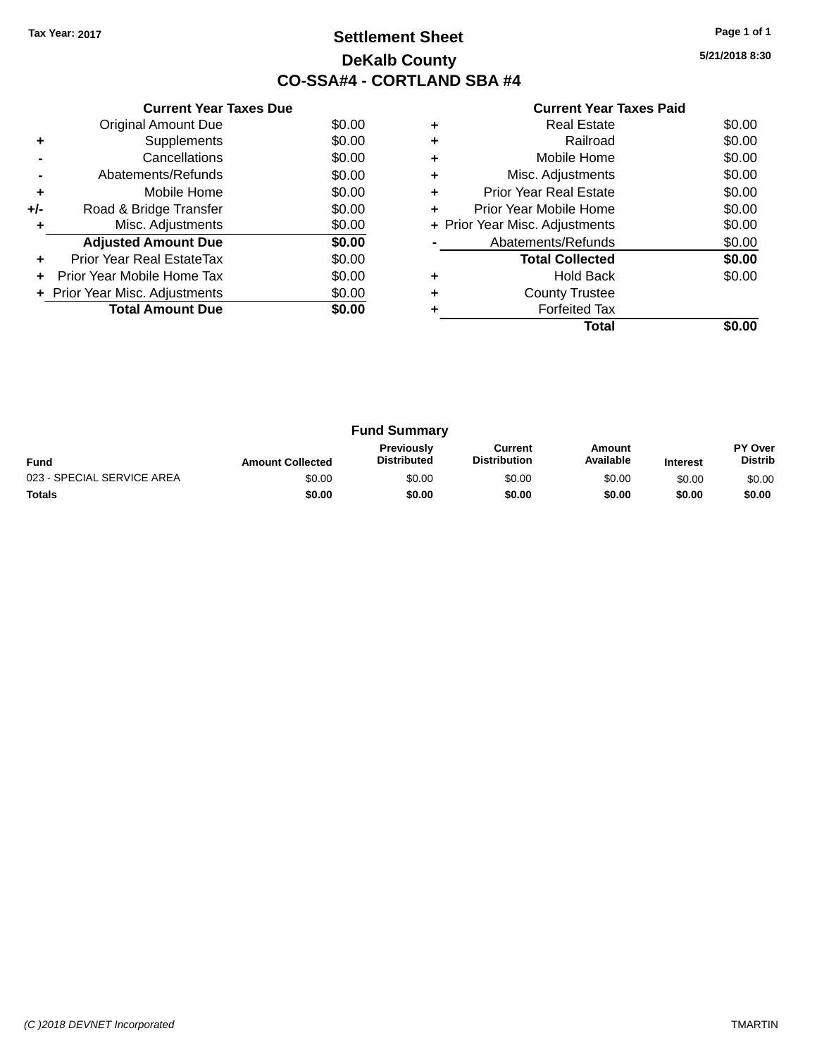### **Settlement Sheet Tax Year: 2017 Page 1 of 1 DeKalb County CO-SSA#4 - CORTLAND SBA #4**

**5/21/2018 8:30**

|     | <b>Current Year Taxes Due</b>  |        |
|-----|--------------------------------|--------|
|     | <b>Original Amount Due</b>     | \$0.00 |
| ٠   | Supplements                    | \$0.00 |
|     | Cancellations                  | \$0.00 |
|     | Abatements/Refunds             | \$0.00 |
| ٠   | Mobile Home                    | \$0.00 |
| +/- | Road & Bridge Transfer         | \$0.00 |
| ٠   | Misc. Adjustments              | \$0.00 |
|     | <b>Adjusted Amount Due</b>     | \$0.00 |
| ٠   | Prior Year Real EstateTax      | \$0.00 |
| ÷   | Prior Year Mobile Home Tax     | \$0.00 |
|     | + Prior Year Misc. Adjustments | \$0.00 |
|     | <b>Total Amount Due</b>        | \$0.00 |
|     |                                |        |

|   | Total                          |        |
|---|--------------------------------|--------|
|   | <b>Forfeited Tax</b>           |        |
|   | <b>County Trustee</b>          |        |
|   | <b>Hold Back</b>               | \$0.00 |
|   | <b>Total Collected</b>         | \$0.00 |
|   | Abatements/Refunds             | \$0.00 |
|   | + Prior Year Misc. Adjustments | \$0.00 |
| ٠ | Prior Year Mobile Home         | \$0.00 |
| ٠ | <b>Prior Year Real Estate</b>  | \$0.00 |
| ٠ | Misc. Adjustments              | \$0.00 |
|   | Mobile Home                    | \$0.00 |
|   | Railroad                       | \$0.00 |
|   | <b>Real Estate</b>             | \$0.00 |

| <b>Fund Summary</b>        |                         |                                         |                                |                     |                 |                           |
|----------------------------|-------------------------|-----------------------------------------|--------------------------------|---------------------|-----------------|---------------------------|
| <b>Fund</b>                | <b>Amount Collected</b> | <b>Previously</b><br><b>Distributed</b> | Current<br><b>Distribution</b> | Amount<br>Available | <b>Interest</b> | PY Over<br><b>Distrib</b> |
| 023 - SPECIAL SERVICE AREA | \$0.00                  | \$0.00                                  | \$0.00                         | \$0.00              | \$0.00          | \$0.00                    |
| <b>Totals</b>              | \$0.00                  | \$0.00                                  | \$0.00                         | \$0.00              | \$0.00          | \$0.00                    |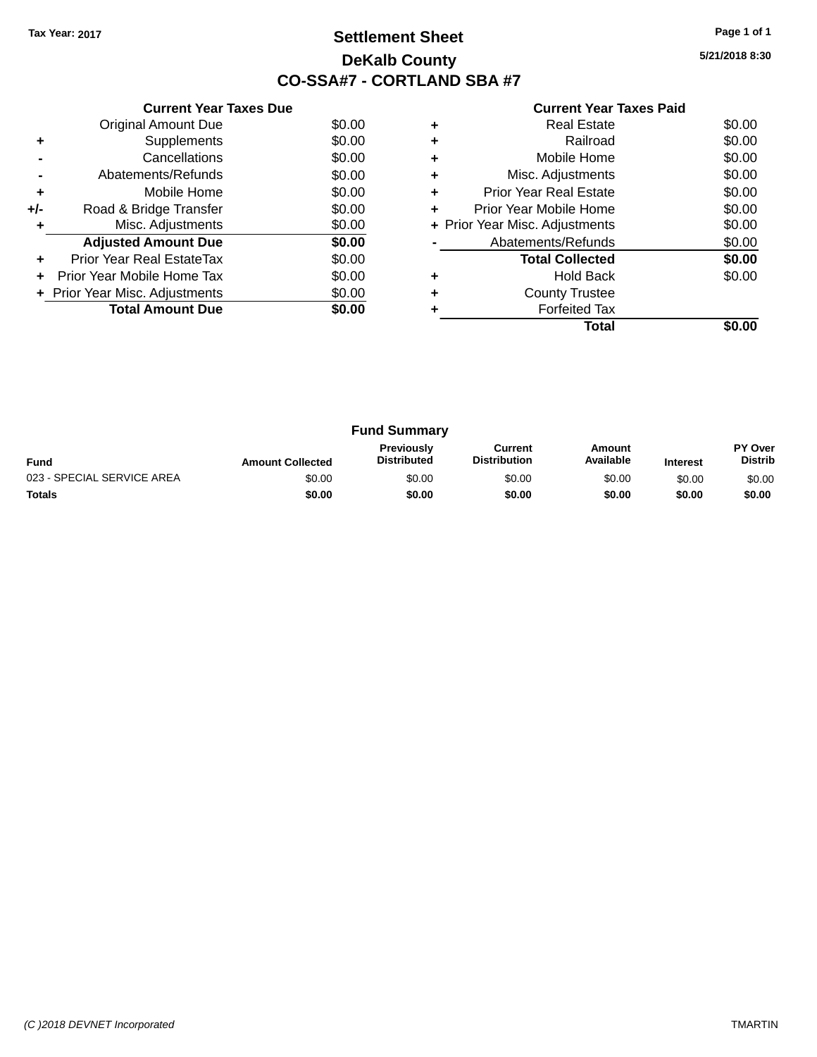### **Settlement Sheet Tax Year: 2017 Page 1 of 1 DeKalb County CO-SSA#7 - CORTLAND SBA #7**

**5/21/2018 8:30**

|     | <b>Current Year Taxes Due</b>  |        |  |  |  |  |
|-----|--------------------------------|--------|--|--|--|--|
|     | <b>Original Amount Due</b>     | \$0.00 |  |  |  |  |
| ٠   | Supplements                    | \$0.00 |  |  |  |  |
|     | Cancellations                  | \$0.00 |  |  |  |  |
|     | Abatements/Refunds             | \$0.00 |  |  |  |  |
| ÷   | Mobile Home                    | \$0.00 |  |  |  |  |
| +/- | Road & Bridge Transfer         | \$0.00 |  |  |  |  |
|     | Misc. Adjustments              | \$0.00 |  |  |  |  |
|     | <b>Adjusted Amount Due</b>     | \$0.00 |  |  |  |  |
|     | Prior Year Real EstateTax      | \$0.00 |  |  |  |  |
|     | Prior Year Mobile Home Tax     | \$0.00 |  |  |  |  |
|     | + Prior Year Misc. Adjustments | \$0.00 |  |  |  |  |
|     | <b>Total Amount Due</b>        | \$0.00 |  |  |  |  |
|     |                                |        |  |  |  |  |

|   | Total                          |        |
|---|--------------------------------|--------|
|   | <b>Forfeited Tax</b>           |        |
|   | <b>County Trustee</b>          |        |
|   | <b>Hold Back</b>               | \$0.00 |
|   | <b>Total Collected</b>         | \$0.00 |
|   | Abatements/Refunds             | \$0.00 |
|   | + Prior Year Misc. Adjustments | \$0.00 |
|   | Prior Year Mobile Home         | \$0.00 |
| ٠ | Prior Year Real Estate         | \$0.00 |
| ٠ | Misc. Adjustments              | \$0.00 |
| ٠ | Mobile Home                    | \$0.00 |
|   | Railroad                       | \$0.00 |
|   | Real Estate                    | \$0.00 |

| <b>Fund Summary</b>        |                         |                                         |                                |                     |                 |                                  |
|----------------------------|-------------------------|-----------------------------------------|--------------------------------|---------------------|-----------------|----------------------------------|
| <b>Fund</b>                | <b>Amount Collected</b> | <b>Previously</b><br><b>Distributed</b> | Current<br><b>Distribution</b> | Amount<br>Available | <b>Interest</b> | <b>PY Over</b><br><b>Distrib</b> |
| 023 - SPECIAL SERVICE AREA | \$0.00                  | \$0.00                                  | \$0.00                         | \$0.00              | \$0.00          | \$0.00                           |
| <b>Totals</b>              | \$0.00                  | \$0.00                                  | \$0.00                         | \$0.00              | \$0.00          | \$0.00                           |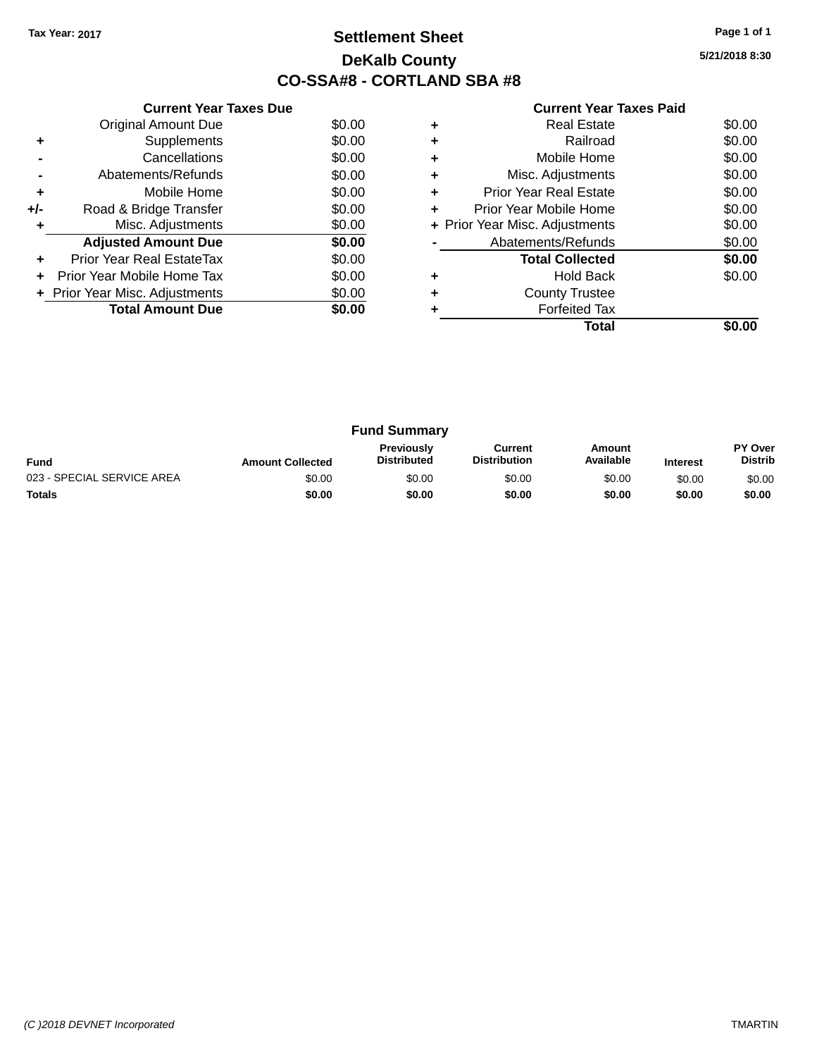### **Settlement Sheet Tax Year: 2017 Page 1 of 1 DeKalb County CO-SSA#8 - CORTLAND SBA #8**

**5/21/2018 8:30**

|     | <b>Current Year Taxes Due</b>  |        |  |  |  |  |  |
|-----|--------------------------------|--------|--|--|--|--|--|
|     | <b>Original Amount Due</b>     | \$0.00 |  |  |  |  |  |
| ٠   | Supplements                    | \$0.00 |  |  |  |  |  |
|     | Cancellations                  | \$0.00 |  |  |  |  |  |
|     | Abatements/Refunds             | \$0.00 |  |  |  |  |  |
| ٠   | Mobile Home                    | \$0.00 |  |  |  |  |  |
| +/- | Road & Bridge Transfer         | \$0.00 |  |  |  |  |  |
| ٠   | Misc. Adjustments              | \$0.00 |  |  |  |  |  |
|     | <b>Adjusted Amount Due</b>     | \$0.00 |  |  |  |  |  |
| ٠   | Prior Year Real EstateTax      | \$0.00 |  |  |  |  |  |
| ÷   | Prior Year Mobile Home Tax     | \$0.00 |  |  |  |  |  |
|     | + Prior Year Misc. Adjustments | \$0.00 |  |  |  |  |  |
|     | <b>Total Amount Due</b>        | \$0.00 |  |  |  |  |  |
|     |                                |        |  |  |  |  |  |

|   | Total                          |        |
|---|--------------------------------|--------|
|   | <b>Forfeited Tax</b>           |        |
|   | <b>County Trustee</b>          |        |
|   | <b>Hold Back</b>               | \$0.00 |
|   | <b>Total Collected</b>         | \$0.00 |
|   | Abatements/Refunds             | \$0.00 |
|   | + Prior Year Misc. Adjustments | \$0.00 |
| ٠ | Prior Year Mobile Home         | \$0.00 |
| ٠ | Prior Year Real Estate         | \$0.00 |
| ٠ | Misc. Adjustments              | \$0.00 |
|   | Mobile Home                    | \$0.00 |
|   | Railroad                       | \$0.00 |
|   | <b>Real Estate</b>             | \$0.00 |

| <b>Fund Summary</b>        |                         |                                         |                                |                     |                 |                           |
|----------------------------|-------------------------|-----------------------------------------|--------------------------------|---------------------|-----------------|---------------------------|
| <b>Fund</b>                | <b>Amount Collected</b> | <b>Previously</b><br><b>Distributed</b> | Current<br><b>Distribution</b> | Amount<br>Available | <b>Interest</b> | PY Over<br><b>Distrib</b> |
| 023 - SPECIAL SERVICE AREA | \$0.00                  | \$0.00                                  | \$0.00                         | \$0.00              | \$0.00          | \$0.00                    |
| <b>Totals</b>              | \$0.00                  | \$0.00                                  | \$0.00                         | \$0.00              | \$0.00          | \$0.00                    |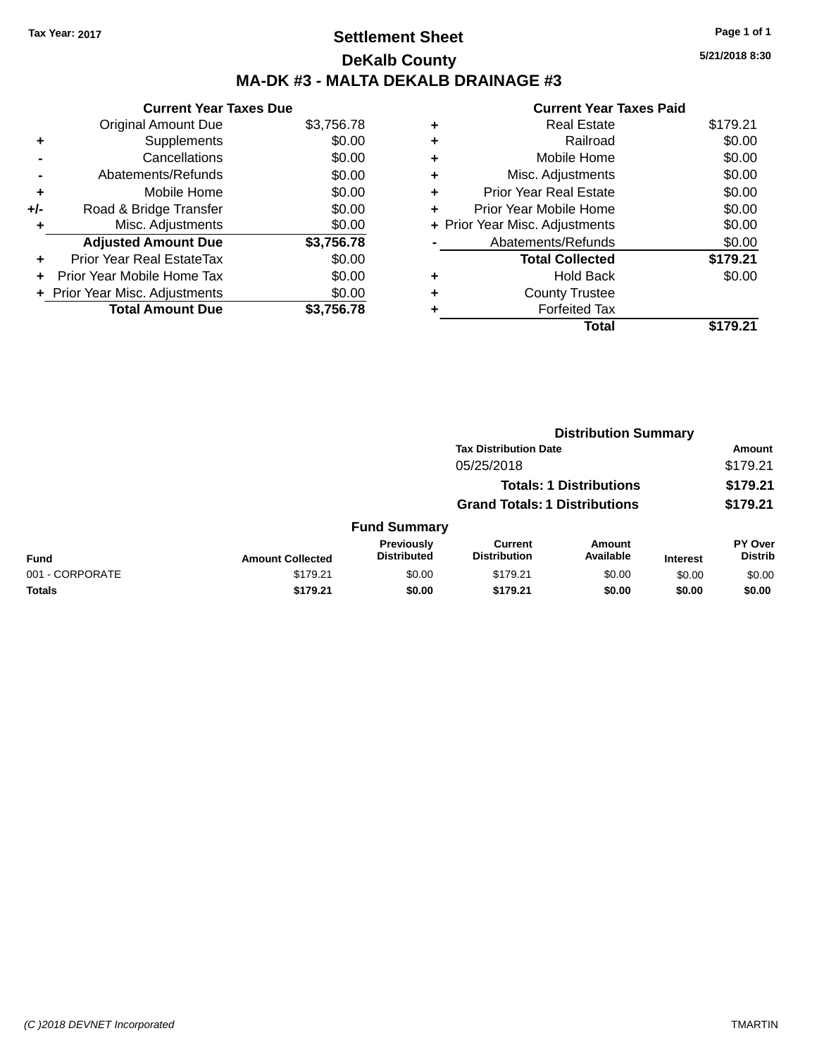## **Settlement Sheet Tax Year: 2017 Page 1 of 1 DeKalb County MA-DK #3 - MALTA DEKALB DRAINAGE #3**

|     | <b>Current Year Taxes Due</b> |            |
|-----|-------------------------------|------------|
|     | <b>Original Amount Due</b>    | \$3,756.78 |
| ٠   | Supplements                   | \$0.00     |
|     | Cancellations                 | \$0.00     |
|     | Abatements/Refunds            | \$0.00     |
| ٠   | Mobile Home                   | \$0.00     |
| +/- | Road & Bridge Transfer        | \$0.00     |
| ٠   | Misc. Adjustments             | \$0.00     |
|     | <b>Adjusted Amount Due</b>    | \$3,756.78 |
| ٠   | Prior Year Real EstateTax     | \$0.00     |
|     | Prior Year Mobile Home Tax    | \$0.00     |
|     | Prior Year Misc. Adjustments  | \$0.00     |
|     | <b>Total Amount Due</b>       | \$3,756.78 |

|   | <b>Current Year Taxes Paid</b> |          |
|---|--------------------------------|----------|
| ٠ | <b>Real Estate</b>             | \$179.21 |
| ٠ | Railroad                       | \$0.00   |
| ٠ | Mobile Home                    | \$0.00   |
| ٠ | Misc. Adjustments              | \$0.00   |
| ٠ | <b>Prior Year Real Estate</b>  | \$0.00   |
| ٠ | Prior Year Mobile Home         | \$0.00   |
|   | + Prior Year Misc. Adjustments | \$0.00   |
|   | Abatements/Refunds             | \$0.00   |
|   | <b>Total Collected</b>         | \$179.21 |
| ٠ | Hold Back                      | \$0.00   |
|   | <b>County Trustee</b>          |          |
|   | <b>Forfeited Tax</b>           |          |
|   | Total                          | .21      |

|                 |                         | <b>Distribution Summary</b>          |                                |                                |                 |                           |  |
|-----------------|-------------------------|--------------------------------------|--------------------------------|--------------------------------|-----------------|---------------------------|--|
|                 |                         |                                      | <b>Tax Distribution Date</b>   |                                |                 | <b>Amount</b>             |  |
|                 |                         |                                      | 05/25/2018                     |                                |                 | \$179.21                  |  |
|                 |                         |                                      |                                | <b>Totals: 1 Distributions</b> |                 | \$179.21                  |  |
|                 |                         | <b>Grand Totals: 1 Distributions</b> |                                |                                |                 | \$179.21                  |  |
|                 |                         | <b>Fund Summary</b>                  |                                |                                |                 |                           |  |
| <b>Fund</b>     | <b>Amount Collected</b> | Previously<br><b>Distributed</b>     | Current<br><b>Distribution</b> | <b>Amount</b><br>Available     | <b>Interest</b> | PY Over<br><b>Distrib</b> |  |
| 001 - CORPORATE | \$179.21                | \$0.00                               | \$179.21                       | \$0.00                         | \$0.00          | \$0.00                    |  |
| <b>Totals</b>   | \$179.21                | \$0.00                               | \$179.21                       | \$0.00                         | \$0.00          | \$0.00                    |  |
|                 |                         |                                      |                                |                                |                 |                           |  |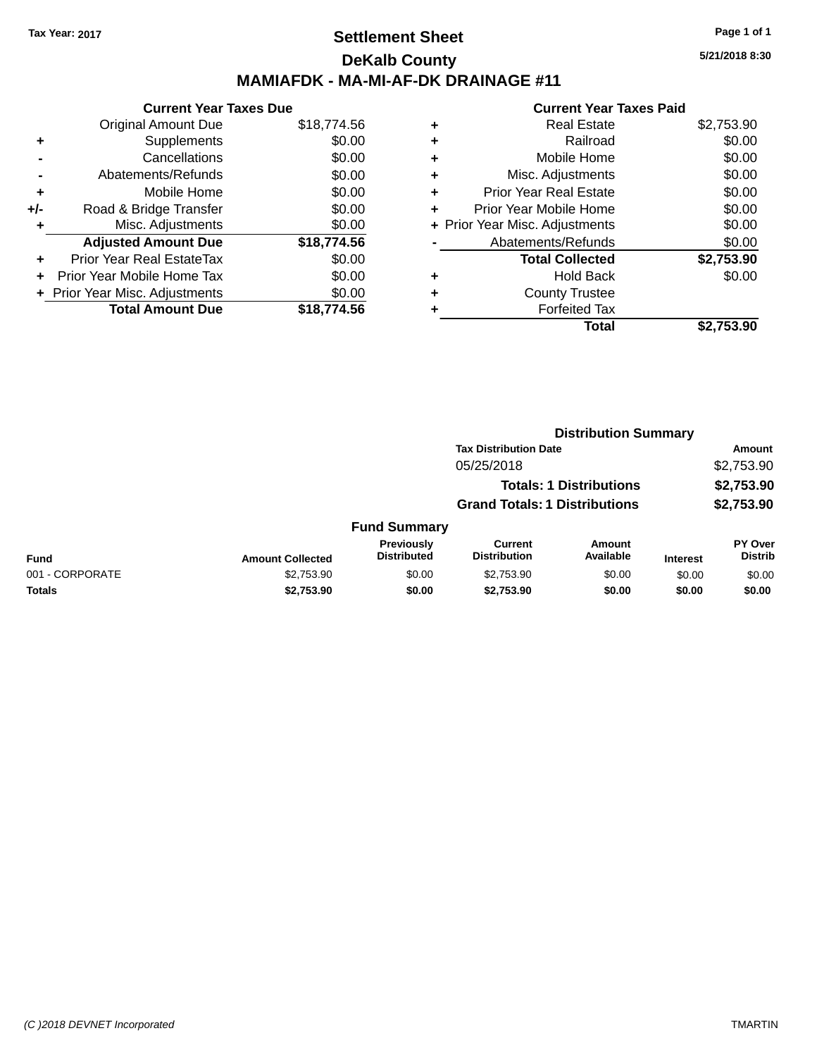### **Settlement Sheet Tax Year: 2017 Page 1 of 1 DeKalb County MAMIAFDK - MA-MI-AF-DK DRAINAGE #11**

**Current Year Taxes Due** Original Amount Due \$18,774.56 **+** Supplements \$0.00 **-** Cancellations \$0.00 **-** Abatements/Refunds \$0.00 **+** Mobile Home \$0.00 **+/-** Road & Bridge Transfer \$0.00 **+** Misc. Adjustments \$0.00 **Adjusted Amount Due \$18,774.56 +** Prior Year Real EstateTax \$0.00 **+** Prior Year Mobile Home Tax \$0.00 **+** Prior Year Misc. Adjustments \$0.00<br> **Total Amount Due** \$18,774.56 **Total Amount Due** 

|   | <b>Real Estate</b>             | \$2,753.90 |
|---|--------------------------------|------------|
| ٠ | Railroad                       | \$0.00     |
| ٠ | Mobile Home                    | \$0.00     |
| ٠ | Misc. Adjustments              | \$0.00     |
| ٠ | <b>Prior Year Real Estate</b>  | \$0.00     |
| ٠ | Prior Year Mobile Home         | \$0.00     |
|   | + Prior Year Misc. Adjustments | \$0.00     |
|   | Abatements/Refunds             | \$0.00     |
|   | <b>Total Collected</b>         | \$2,753.90 |
| ٠ | <b>Hold Back</b>               | \$0.00     |
| ٠ | <b>County Trustee</b>          |            |
| ٠ | <b>Forfeited Tax</b>           |            |
|   | Total                          | \$2,753.90 |
|   |                                |            |

|                 |                         | <b>Distribution Summary</b>      |                                                                        |                     |                 |                                  |  |
|-----------------|-------------------------|----------------------------------|------------------------------------------------------------------------|---------------------|-----------------|----------------------------------|--|
|                 |                         |                                  | <b>Tax Distribution Date</b>                                           |                     |                 | Amount                           |  |
|                 | 05/25/2018              |                                  |                                                                        |                     | \$2,753.90      |                                  |  |
|                 |                         |                                  | <b>Totals: 1 Distributions</b><br><b>Grand Totals: 1 Distributions</b> |                     |                 | \$2,753.90<br>\$2,753.90         |  |
|                 |                         |                                  |                                                                        |                     |                 |                                  |  |
|                 |                         | <b>Fund Summary</b>              |                                                                        |                     |                 |                                  |  |
| Fund            | <b>Amount Collected</b> | Previously<br><b>Distributed</b> | <b>Current</b><br><b>Distribution</b>                                  | Amount<br>Available | <b>Interest</b> | <b>PY Over</b><br><b>Distrib</b> |  |
| 001 - CORPORATE | \$2,753.90              | \$0.00                           | \$2,753.90                                                             | \$0.00              | \$0.00          | \$0.00                           |  |
| Totals          | \$2,753.90              | \$0.00                           | \$2,753.90                                                             | \$0.00              | \$0.00          | \$0.00                           |  |
|                 |                         |                                  |                                                                        |                     |                 |                                  |  |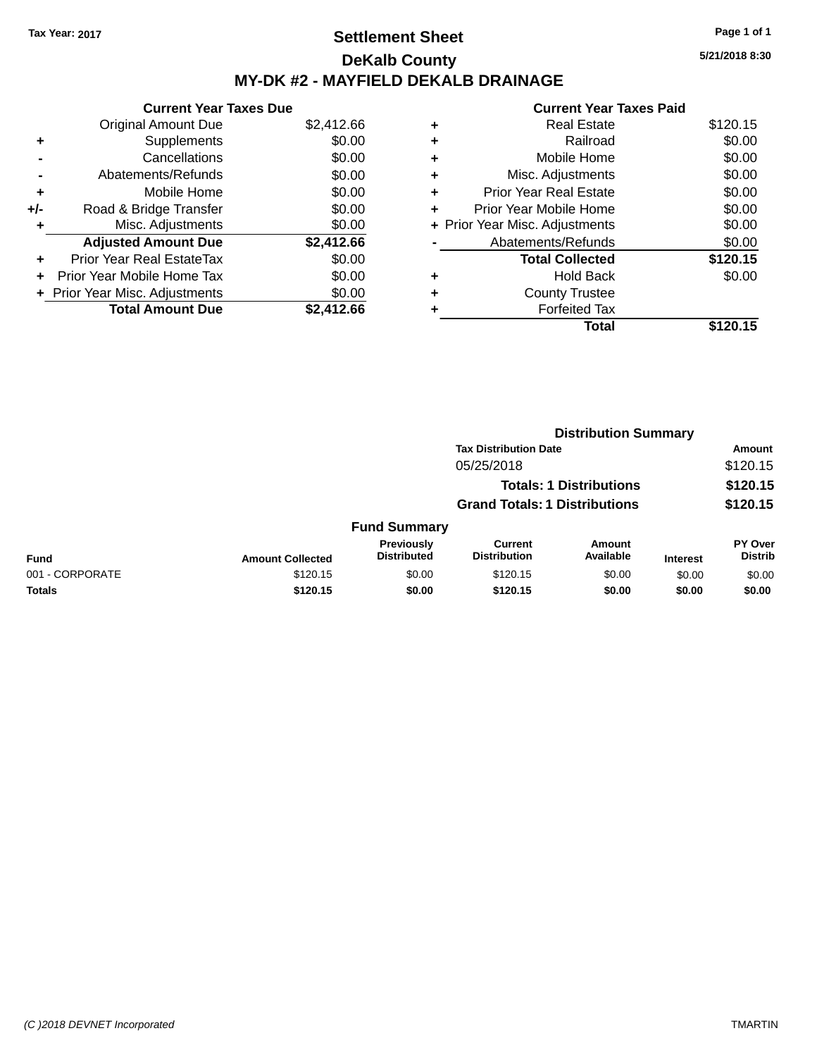### **Settlement Sheet Tax Year: 2017 Page 1 of 1 DeKalb County MY-DK #2 - MAYFIELD DEKALB DRAINAGE**

**Current Year Taxes Due** Original Amount Due \$2,412.66 **+** Supplements \$0.00 **-** Cancellations \$0.00 **-** Abatements/Refunds \$0.00 **+** Mobile Home \$0.00 **+/-** Road & Bridge Transfer \$0.00 **+** Misc. Adjustments \$0.00 **Adjusted Amount Due \$2,412.66 +** Prior Year Real EstateTax \$0.00 **+** Prior Year Mobile Home Tax \$0.00 **+** Prior Year Misc. Adjustments  $$0.00$ **Total Amount Due \$2,412.66**

### **Current Year Taxes Paid +** Real Estate \$120.15 **+** Railroad \$0.00 **+** Mobile Home \$0.00 **+** Misc. Adjustments \$0.00 **+** Prior Year Real Estate \$0.00 **+** Prior Year Mobile Home \$0.00 **+** Prior Year Misc. Adjustments  $$0.00$ Abatements/Refunds \$0.00 **Total Collected \$120.15 +** Hold Back \$0.00 **+** County Trustee **+** Forfeited Tax **Total \$120.15**

|                 | <b>Distribution Summary</b> |                                  |                                       |                                |                 |                                  |  |
|-----------------|-----------------------------|----------------------------------|---------------------------------------|--------------------------------|-----------------|----------------------------------|--|
|                 |                             | <b>Tax Distribution Date</b>     |                                       |                                |                 | Amount                           |  |
| 05/25/2018      |                             |                                  |                                       |                                | \$120.15        |                                  |  |
|                 |                             |                                  |                                       | <b>Totals: 1 Distributions</b> |                 | \$120.15                         |  |
|                 |                             |                                  | <b>Grand Totals: 1 Distributions</b>  |                                |                 | \$120.15                         |  |
|                 |                             | <b>Fund Summary</b>              |                                       |                                |                 |                                  |  |
| Fund            | <b>Amount Collected</b>     | Previously<br><b>Distributed</b> | <b>Current</b><br><b>Distribution</b> | Amount<br>Available            | <b>Interest</b> | <b>PY Over</b><br><b>Distrib</b> |  |
| 001 - CORPORATE | \$120.15                    | \$0.00                           | \$120.15                              | \$0.00                         | \$0.00          | \$0.00                           |  |
| Totals          | \$120.15                    | \$0.00                           | \$120.15                              | \$0.00                         | \$0.00          | \$0.00                           |  |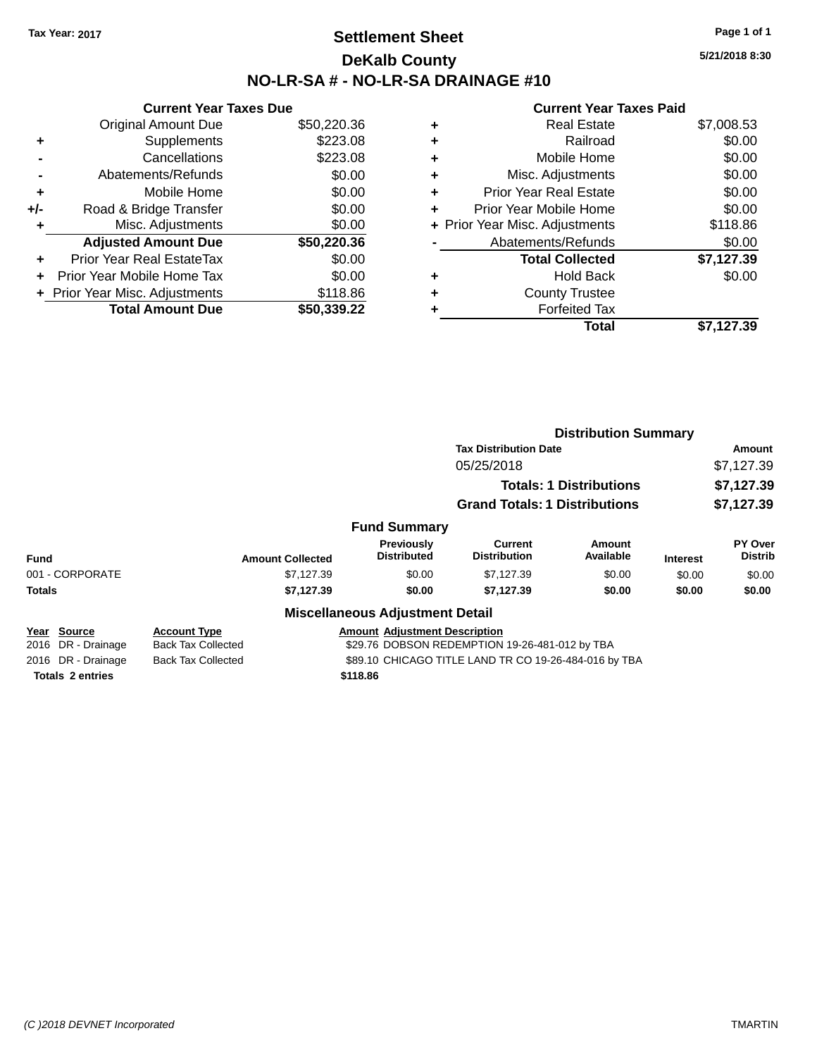### **Settlement Sheet Tax Year: 2017 Page 1 of 1 DeKalb County NO-LR-SA # - NO-LR-SA DRAINAGE #10**

**5/21/2018 8:30**

|     | <b>Current Year Taxes Due</b>    |             |
|-----|----------------------------------|-------------|
|     | <b>Original Amount Due</b>       | \$50,220.36 |
| ٠   | Supplements                      | \$223.08    |
|     | Cancellations                    | \$223.08    |
|     | Abatements/Refunds               | \$0.00      |
| ٠   | Mobile Home                      | \$0.00      |
| +/- | Road & Bridge Transfer           | \$0.00      |
| ٠   | Misc. Adjustments                | \$0.00      |
|     | <b>Adjusted Amount Due</b>       | \$50,220.36 |
| ٠   | <b>Prior Year Real EstateTax</b> | \$0.00      |
| ÷   | Prior Year Mobile Home Tax       | \$0.00      |
|     | + Prior Year Misc. Adjustments   | \$118.86    |
|     | <b>Total Amount Due</b>          | \$50,339.22 |

| ٠ | <b>Real Estate</b>             | \$7,008.53 |
|---|--------------------------------|------------|
| ٠ | Railroad                       | \$0.00     |
| ٠ | Mobile Home                    | \$0.00     |
| ٠ | Misc. Adjustments              | \$0.00     |
| ٠ | <b>Prior Year Real Estate</b>  | \$0.00     |
| ٠ | Prior Year Mobile Home         | \$0.00     |
|   | + Prior Year Misc. Adjustments | \$118.86   |
|   | Abatements/Refunds             | \$0.00     |
|   | <b>Total Collected</b>         | \$7,127.39 |
| ٠ | <b>Hold Back</b>               | \$0.00     |
|   | <b>County Trustee</b>          |            |
|   | <b>Forfeited Tax</b>           |            |
|   | <b>Total</b>                   | \$7.127.39 |
|   |                                |            |

|                                                                                                          |                           |                                        | <b>Distribution Summary</b><br><b>Tax Distribution Date</b><br>Amount |                                |                 |                           |  |
|----------------------------------------------------------------------------------------------------------|---------------------------|----------------------------------------|-----------------------------------------------------------------------|--------------------------------|-----------------|---------------------------|--|
|                                                                                                          |                           |                                        |                                                                       |                                |                 |                           |  |
|                                                                                                          |                           |                                        | 05/25/2018                                                            |                                |                 | \$7,127.39                |  |
|                                                                                                          |                           |                                        |                                                                       | <b>Totals: 1 Distributions</b> |                 | \$7,127.39                |  |
|                                                                                                          |                           |                                        | <b>Grand Totals: 1 Distributions</b>                                  |                                |                 | \$7,127.39                |  |
|                                                                                                          |                           | <b>Fund Summary</b>                    |                                                                       |                                |                 |                           |  |
| <b>Fund</b>                                                                                              | <b>Amount Collected</b>   | Previously<br><b>Distributed</b>       | Current<br><b>Distribution</b>                                        | Amount<br>Available            | <b>Interest</b> | PY Over<br><b>Distrib</b> |  |
| 001 - CORPORATE                                                                                          | \$7,127.39                | \$0.00                                 | \$7,127.39                                                            | \$0.00                         | \$0.00          | \$0.00                    |  |
| <b>Totals</b>                                                                                            | \$7,127.39                | \$0.00                                 | \$7,127.39                                                            | \$0.00                         | \$0.00          | \$0.00                    |  |
|                                                                                                          |                           | <b>Miscellaneous Adjustment Detail</b> |                                                                       |                                |                 |                           |  |
| <b>Source</b><br>Year                                                                                    | <b>Account Type</b>       | <b>Amount Adjustment Description</b>   |                                                                       |                                |                 |                           |  |
| DR - Drainage<br>2016                                                                                    | <b>Back Tax Collected</b> |                                        | \$29.76 DOBSON REDEMPTION 19-26-481-012 by TBA                        |                                |                 |                           |  |
| 2016 DR - Drainage<br>\$89.10 CHICAGO TITLE LAND TR CO 19-26-484-016 by TBA<br><b>Back Tax Collected</b> |                           |                                        |                                                                       |                                |                 |                           |  |
| <b>Totals 2 entries</b>                                                                                  |                           | \$118.86                               |                                                                       |                                |                 |                           |  |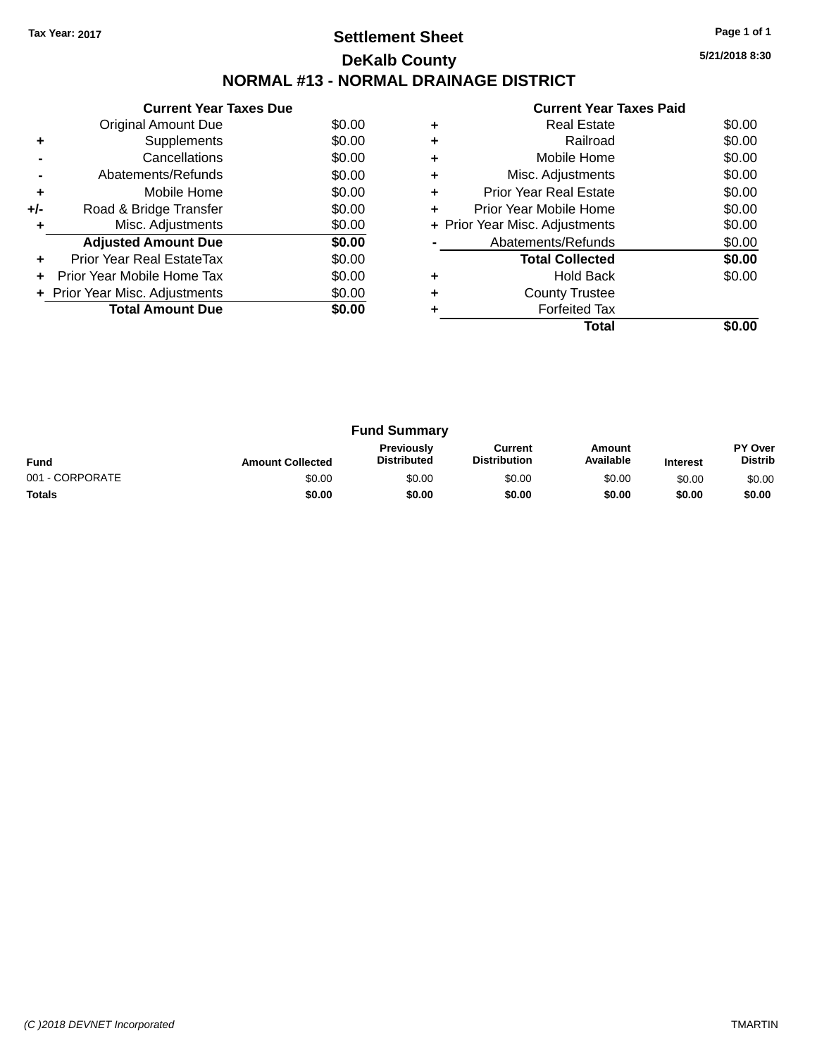## **Settlement Sheet Tax Year: 2017 Page 1 of 1 DeKalb County NORMAL #13 - NORMAL DRAINAGE DISTRICT**

**Current Year Taxes Due** Original Amount Due \$0.00<br>Supplements \$0.00 **+** Supplements **-** Cancellations \$0.00 **-** Abatements/Refunds \$0.00 **+** Mobile Home \$0.00 **+/-** Road & Bridge Transfer \$0.00<br> **+** Misc. Adjustments \$0.00 **+** Misc. Adjustments Adjusted Amount Due \$0.00 **+** Prior Year Real EstateTax \$0.00 **+** Prior Year Mobile Home Tax \$0.00 **+ Prior Year Misc. Adjustments**  $$0.00$ **Total Amount Due \$0.00** 

|   | <b>Current Year Taxes Paid</b> |        |
|---|--------------------------------|--------|
| ٠ | <b>Real Estate</b>             | \$0.00 |
| ٠ | Railroad                       | \$0.00 |
| ٠ | Mobile Home                    | \$0.00 |
|   | Misc. Adjustments              | \$0.00 |
| ٠ | <b>Prior Year Real Estate</b>  | \$0.00 |
| ٠ | Prior Year Mobile Home         | \$0.00 |
|   | + Prior Year Misc. Adjustments | \$0.00 |
|   | Abatements/Refunds             | \$0.00 |
|   | <b>Total Collected</b>         | \$0.00 |
|   | <b>Hold Back</b>               | \$0.00 |
| ٠ | <b>County Trustee</b>          |        |
|   | <b>Forfeited Tax</b>           |        |
|   | Total                          |        |

| <b>Fund Summary</b> |                         |                                         |                                |                     |                 |                                  |
|---------------------|-------------------------|-----------------------------------------|--------------------------------|---------------------|-----------------|----------------------------------|
| <b>Fund</b>         | <b>Amount Collected</b> | <b>Previously</b><br><b>Distributed</b> | Current<br><b>Distribution</b> | Amount<br>Available | <b>Interest</b> | <b>PY Over</b><br><b>Distrib</b> |
| 001 - CORPORATE     | \$0.00                  | \$0.00                                  | \$0.00                         | \$0.00              | \$0.00          | \$0.00                           |
| <b>Totals</b>       | \$0.00                  | \$0.00                                  | \$0.00                         | \$0.00              | \$0.00          | \$0.00                           |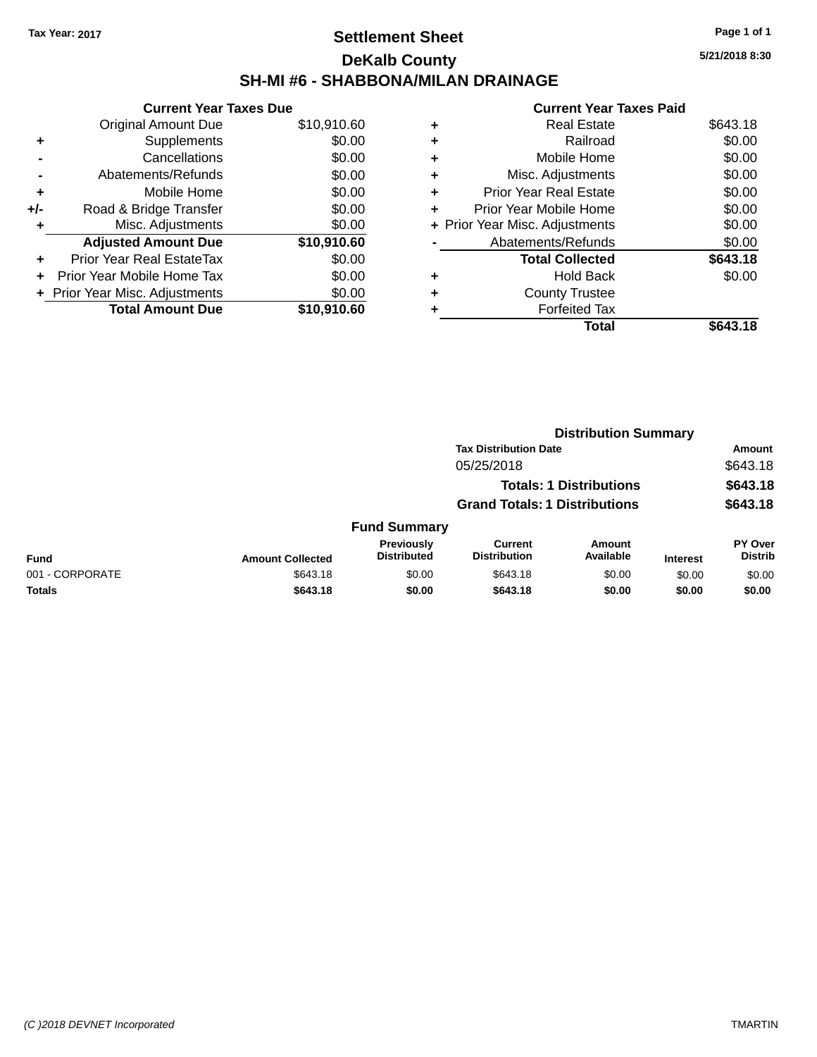### **Settlement Sheet Tax Year: 2017 Page 1 of 1 DeKalb County SH-MI #6 - SHABBONA/MILAN DRAINAGE**

**5/21/2018 8:30**

|     | <b>Current Year Taxes Due</b> |             |
|-----|-------------------------------|-------------|
|     | <b>Original Amount Due</b>    | \$10,910.60 |
| ٠   | Supplements                   | \$0.00      |
|     | Cancellations                 | \$0.00      |
|     | Abatements/Refunds            | \$0.00      |
| ٠   | Mobile Home                   | \$0.00      |
| +/- | Road & Bridge Transfer        | \$0.00      |
| ٠   | Misc. Adjustments             | \$0.00      |
|     | <b>Adjusted Amount Due</b>    | \$10,910.60 |
| ÷   | Prior Year Real EstateTax     | \$0.00      |
|     | Prior Year Mobile Home Tax    | \$0.00      |
|     | Prior Year Misc. Adjustments  | \$0.00      |
|     | <b>Total Amount Due</b>       | \$10.910.60 |

|   | <b>Total</b>                   | \$643.18 |
|---|--------------------------------|----------|
|   | <b>Forfeited Tax</b>           |          |
| ٠ | <b>County Trustee</b>          |          |
| ٠ | <b>Hold Back</b>               | \$0.00   |
|   | <b>Total Collected</b>         | \$643.18 |
|   | Abatements/Refunds             | \$0.00   |
|   | + Prior Year Misc. Adjustments | \$0.00   |
| ٠ | Prior Year Mobile Home         | \$0.00   |
| ٠ | <b>Prior Year Real Estate</b>  | \$0.00   |
| ٠ | Misc. Adjustments              | \$0.00   |
| ٠ | Mobile Home                    | \$0.00   |
| ٠ | Railroad                       | \$0.00   |
| ٠ | <b>Real Estate</b>             | \$643.18 |
|   |                                |          |

|                 |                         |                                         | <b>Distribution Summary</b>           |                                |                 |                           |  |
|-----------------|-------------------------|-----------------------------------------|---------------------------------------|--------------------------------|-----------------|---------------------------|--|
|                 |                         |                                         | <b>Tax Distribution Date</b>          |                                |                 | Amount                    |  |
|                 |                         |                                         | 05/25/2018                            |                                |                 | \$643.18                  |  |
|                 |                         |                                         |                                       | <b>Totals: 1 Distributions</b> |                 | \$643.18                  |  |
|                 |                         |                                         | <b>Grand Totals: 1 Distributions</b>  |                                |                 | \$643.18                  |  |
|                 |                         | <b>Fund Summary</b>                     |                                       |                                |                 |                           |  |
| <b>Fund</b>     | <b>Amount Collected</b> | <b>Previously</b><br><b>Distributed</b> | <b>Current</b><br><b>Distribution</b> | Amount<br>Available            | <b>Interest</b> | PY Over<br><b>Distrib</b> |  |
| 001 - CORPORATE | \$643.18                | \$0.00                                  | \$643.18                              | \$0.00                         | \$0.00          | \$0.00                    |  |
| <b>Totals</b>   | \$643.18                | \$0.00                                  | \$643.18                              | \$0.00                         | \$0.00          | \$0.00                    |  |
|                 |                         |                                         |                                       |                                |                 |                           |  |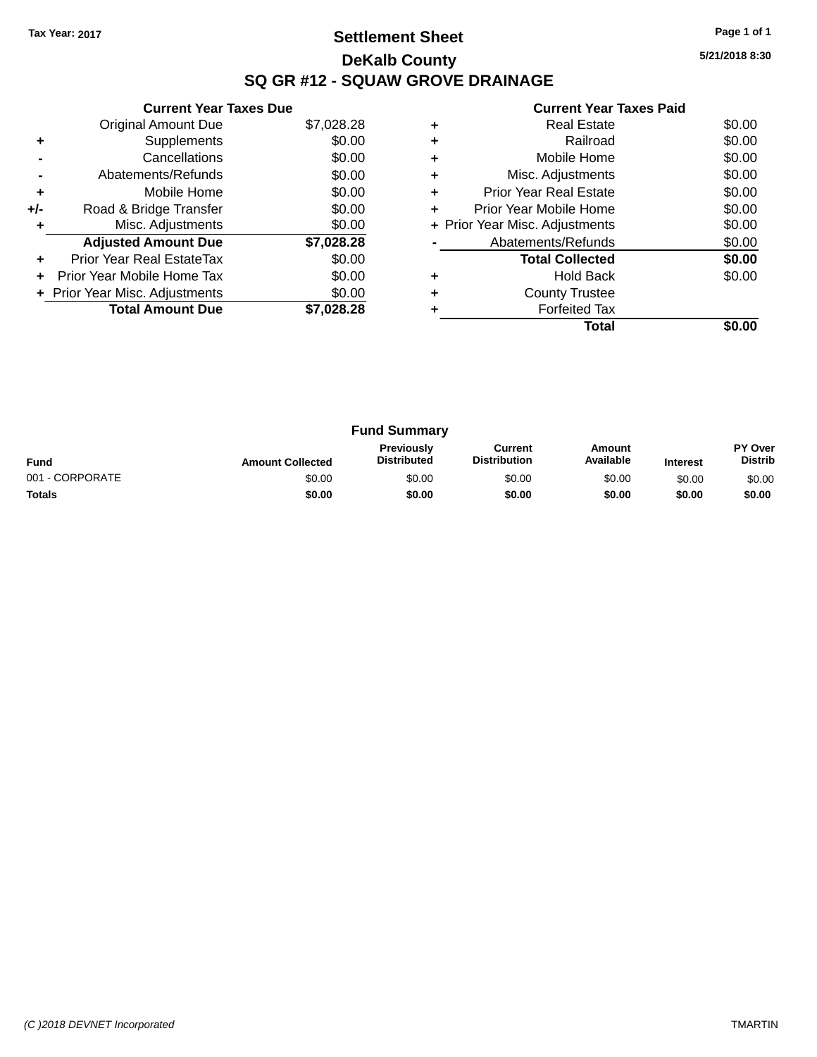## **Settlement Sheet Tax Year: 2017 Page 1 of 1 DeKalb County SQ GR #12 - SQUAW GROVE DRAINAGE**

**5/21/2018 8:30**

|     | <b>Current Year Taxes Due</b>  |            |
|-----|--------------------------------|------------|
|     | <b>Original Amount Due</b>     | \$7,028.28 |
| ٠   | Supplements                    | \$0.00     |
|     | Cancellations                  | \$0.00     |
|     | Abatements/Refunds             | \$0.00     |
| ٠   | Mobile Home                    | \$0.00     |
| +/- | Road & Bridge Transfer         | \$0.00     |
| ٠   | Misc. Adjustments              | \$0.00     |
|     | <b>Adjusted Amount Due</b>     | \$7,028.28 |
| ٠   | Prior Year Real EstateTax      | \$0.00     |
|     | Prior Year Mobile Home Tax     | \$0.00     |
|     | + Prior Year Misc. Adjustments | \$0.00     |
|     | <b>Total Amount Due</b>        | \$7.028.28 |
|     |                                |            |

|   | <b>Real Estate</b>             | \$0.00 |
|---|--------------------------------|--------|
| ٠ | Railroad                       | \$0.00 |
| ٠ | Mobile Home                    | \$0.00 |
| ٠ | Misc. Adjustments              | \$0.00 |
| ٠ | <b>Prior Year Real Estate</b>  | \$0.00 |
| ٠ | Prior Year Mobile Home         | \$0.00 |
|   | + Prior Year Misc. Adjustments | \$0.00 |
|   | Abatements/Refunds             | \$0.00 |
|   | <b>Total Collected</b>         | \$0.00 |
|   | <b>Hold Back</b>               | \$0.00 |
| ٠ | <b>County Trustee</b>          |        |
|   | <b>Forfeited Tax</b>           |        |
|   | Total                          |        |

| <b>Fund Summary</b> |                         |                                         |                                |                     |                 |                                  |
|---------------------|-------------------------|-----------------------------------------|--------------------------------|---------------------|-----------------|----------------------------------|
| <b>Fund</b>         | <b>Amount Collected</b> | <b>Previously</b><br><b>Distributed</b> | Current<br><b>Distribution</b> | Amount<br>Available | <b>Interest</b> | <b>PY Over</b><br><b>Distrib</b> |
| 001 - CORPORATE     | \$0.00                  | \$0.00                                  | \$0.00                         | \$0.00              | \$0.00          | \$0.00                           |
| <b>Totals</b>       | \$0.00                  | \$0.00                                  | \$0.00                         | \$0.00              | \$0.00          | \$0.00                           |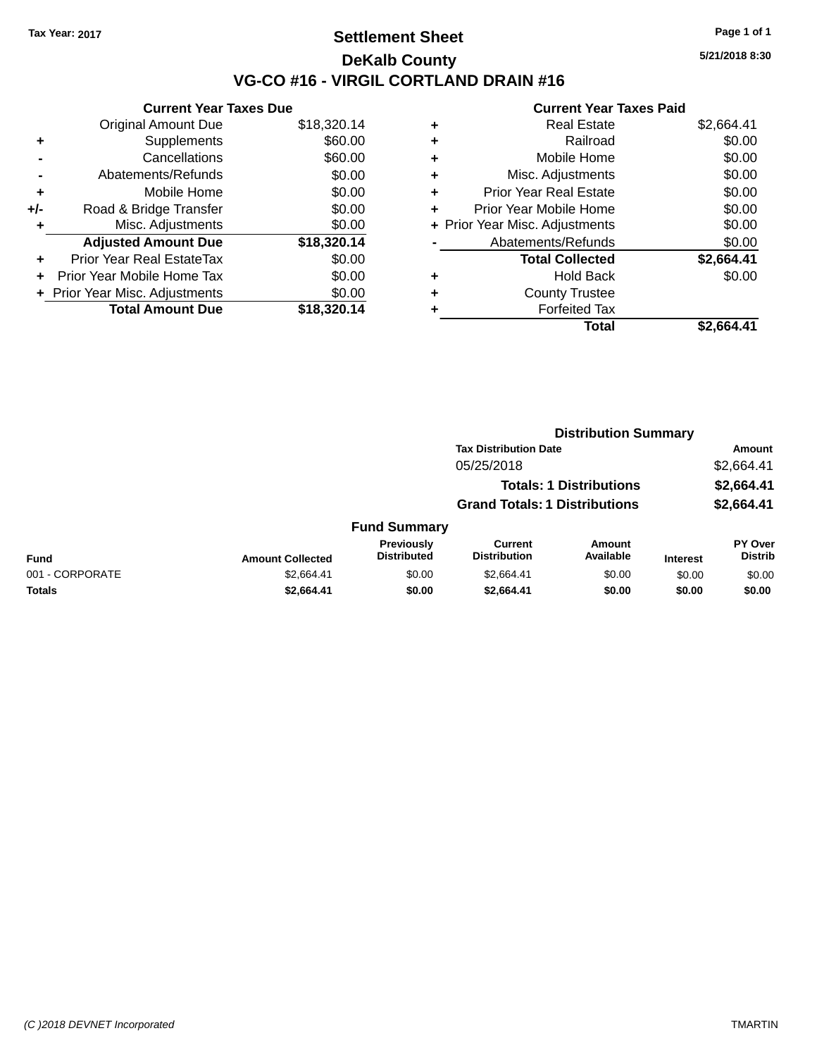### **Settlement Sheet Tax Year: 2017 Page 1 of 1 DeKalb County VG-CO #16 - VIRGIL CORTLAND DRAIN #16**

**5/21/2018 8:30**

|     | <b>Current Year Taxes Due</b>  |             |
|-----|--------------------------------|-------------|
|     | <b>Original Amount Due</b>     | \$18,320.14 |
| ٠   | Supplements                    | \$60.00     |
|     | Cancellations                  | \$60.00     |
|     | Abatements/Refunds             | \$0.00      |
| ٠   | Mobile Home                    | \$0.00      |
| +/- | Road & Bridge Transfer         | \$0.00      |
| ٠   | Misc. Adjustments              | \$0.00      |
|     | <b>Adjusted Amount Due</b>     | \$18,320.14 |
| ÷   | Prior Year Real EstateTax      | \$0.00      |
| ÷   | Prior Year Mobile Home Tax     | \$0.00      |
|     | + Prior Year Misc. Adjustments | \$0.00      |
|     | <b>Total Amount Due</b>        | \$18,320.14 |

|   | <b>Real Estate</b>             | \$2,664.41 |
|---|--------------------------------|------------|
| ٠ | Railroad                       | \$0.00     |
| ٠ | Mobile Home                    | \$0.00     |
| ٠ | Misc. Adjustments              | \$0.00     |
| ٠ | <b>Prior Year Real Estate</b>  | \$0.00     |
| ٠ | Prior Year Mobile Home         | \$0.00     |
|   | + Prior Year Misc. Adjustments | \$0.00     |
|   | Abatements/Refunds             | \$0.00     |
|   | <b>Total Collected</b>         | \$2,664.41 |
| ٠ | <b>Hold Back</b>               | \$0.00     |
| ٠ | <b>County Trustee</b>          |            |
| ٠ | <b>Forfeited Tax</b>           |            |
|   | Total                          | \$2.664.41 |
|   |                                |            |

|                 |                         |                                  | <b>Distribution Summary</b>           |                                |                 |                                  |
|-----------------|-------------------------|----------------------------------|---------------------------------------|--------------------------------|-----------------|----------------------------------|
|                 |                         |                                  | <b>Tax Distribution Date</b>          |                                |                 | Amount                           |
|                 |                         |                                  | 05/25/2018                            |                                |                 | \$2,664.41                       |
|                 |                         |                                  |                                       | <b>Totals: 1 Distributions</b> |                 | \$2,664.41                       |
|                 |                         |                                  | <b>Grand Totals: 1 Distributions</b>  |                                |                 | \$2,664.41                       |
|                 |                         | <b>Fund Summary</b>              |                                       |                                |                 |                                  |
| Fund            | <b>Amount Collected</b> | Previously<br><b>Distributed</b> | <b>Current</b><br><b>Distribution</b> | Amount<br>Available            | <b>Interest</b> | <b>PY Over</b><br><b>Distrib</b> |
| 001 - CORPORATE | \$2,664.41              | \$0.00                           | \$2,664.41                            | \$0.00                         | \$0.00          | \$0.00                           |
| <b>Totals</b>   | \$2,664.41              | \$0.00                           | \$2,664.41                            | \$0.00                         | \$0.00          | \$0.00                           |
|                 |                         |                                  |                                       |                                |                 |                                  |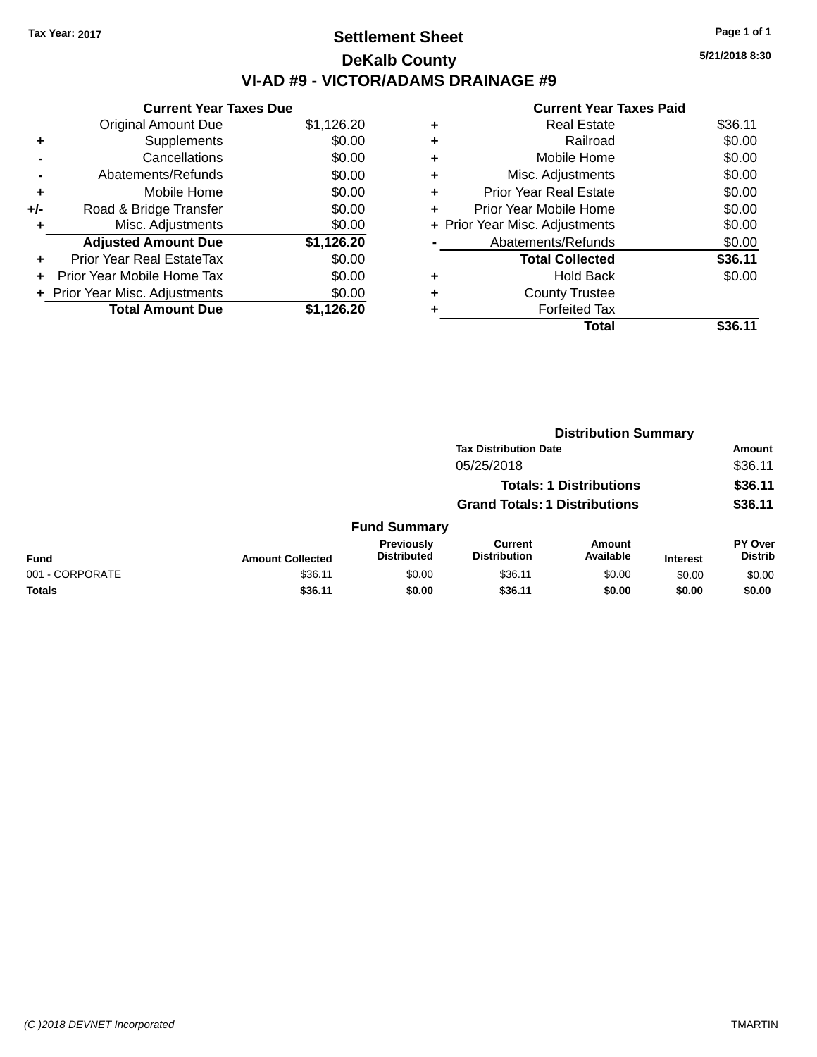### **Settlement Sheet Tax Year: 2017 Page 1 of 1 DeKalb County VI-AD #9 - VICTOR/ADAMS DRAINAGE #9**

**Current Year Taxes Due** Original Amount Due \$1,126.20 **+** Supplements \$0.00 **-** Cancellations \$0.00 **-** Abatements/Refunds \$0.00 **+** Mobile Home \$0.00 **+/-** Road & Bridge Transfer \$0.00 **+** Misc. Adjustments \$0.00 **Adjusted Amount Due \$1,126.20 +** Prior Year Real EstateTax \$0.00 **+** Prior Year Mobile Home Tax \$0.00 **+ Prior Year Misc. Adjustments**  $$0.00$ **Total Amount Due \$1,126.20**

|   | <b>Real Estate</b>             | \$36.11 |
|---|--------------------------------|---------|
| ÷ | Railroad                       | \$0.00  |
| ٠ | Mobile Home                    | \$0.00  |
| ٠ | Misc. Adjustments              | \$0.00  |
| ٠ | <b>Prior Year Real Estate</b>  | \$0.00  |
| ٠ | Prior Year Mobile Home         | \$0.00  |
|   | + Prior Year Misc. Adjustments | \$0.00  |
|   | Abatements/Refunds             | \$0.00  |
|   | <b>Total Collected</b>         | \$36.11 |
| ٠ | <b>Hold Back</b>               | \$0.00  |
| ٠ | <b>County Trustee</b>          |         |
|   | <b>Forfeited Tax</b>           |         |
|   | Total                          | \$36.11 |
|   |                                |         |

|                                                                        |                         |                                         |                                       | <b>Distribution Summary</b>   |                 |                                  |  |
|------------------------------------------------------------------------|-------------------------|-----------------------------------------|---------------------------------------|-------------------------------|-----------------|----------------------------------|--|
|                                                                        |                         | <b>Tax Distribution Date</b>            |                                       |                               |                 | Amount                           |  |
| 05/25/2018                                                             |                         |                                         |                                       | \$36.11<br>\$36.11<br>\$36.11 |                 |                                  |  |
| <b>Totals: 1 Distributions</b><br><b>Grand Totals: 1 Distributions</b> |                         |                                         |                                       |                               |                 |                                  |  |
|                                                                        |                         |                                         |                                       |                               |                 |                                  |  |
|                                                                        |                         | <b>Fund Summary</b>                     |                                       |                               |                 |                                  |  |
| Fund                                                                   | <b>Amount Collected</b> | <b>Previously</b><br><b>Distributed</b> | <b>Current</b><br><b>Distribution</b> | Amount<br>Available           | <b>Interest</b> | <b>PY Over</b><br><b>Distrib</b> |  |
| 001 - CORPORATE                                                        | \$36.11                 | \$0.00                                  | \$36.11                               | \$0.00                        | \$0.00          | \$0.00                           |  |
| <b>Totals</b>                                                          | \$36.11                 | \$0.00                                  | \$36.11                               | \$0.00                        | \$0.00          | \$0.00                           |  |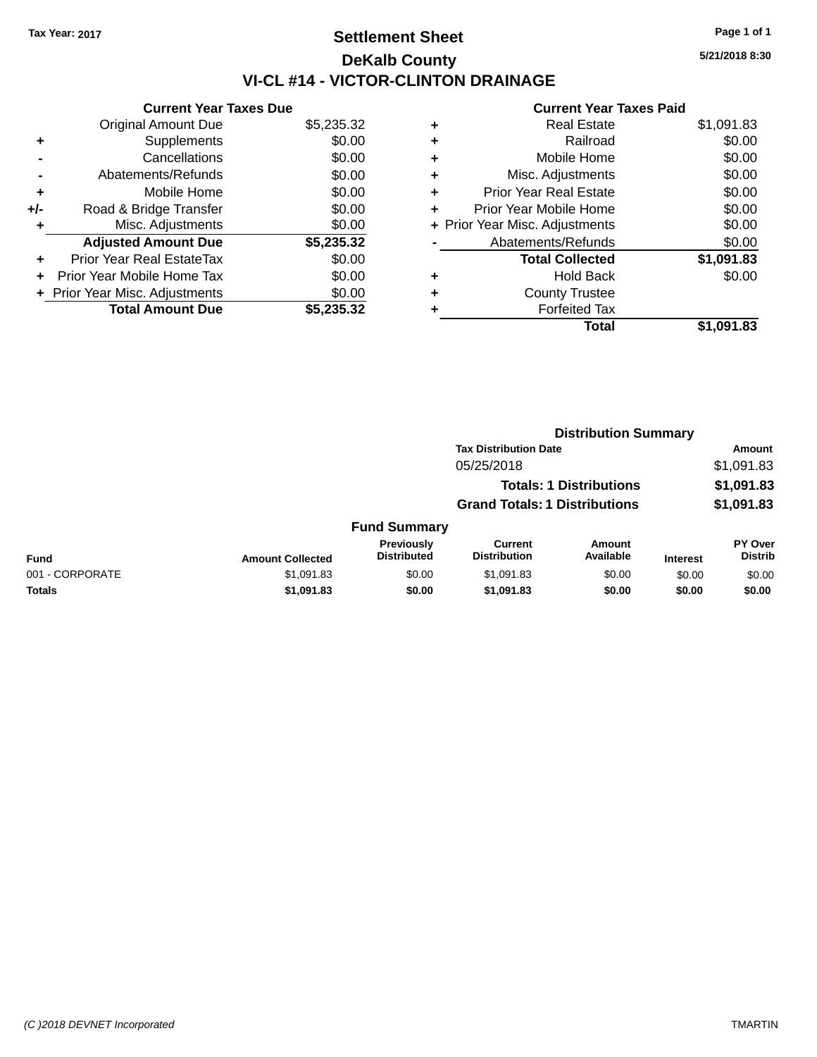### **Settlement Sheet Tax Year: 2017 Page 1 of 1 DeKalb County VI-CL #14 - VICTOR-CLINTON DRAINAGE**

**5/21/2018 8:30**

|     | <b>Current Year Taxes Due</b>  |            |  |  |  |
|-----|--------------------------------|------------|--|--|--|
|     | <b>Original Amount Due</b>     | \$5,235.32 |  |  |  |
| ٠   | Supplements                    | \$0.00     |  |  |  |
|     | Cancellations                  | \$0.00     |  |  |  |
|     | Abatements/Refunds             | \$0.00     |  |  |  |
| ٠   | Mobile Home                    | \$0.00     |  |  |  |
| +/- | Road & Bridge Transfer         | \$0.00     |  |  |  |
|     | Misc. Adjustments              | \$0.00     |  |  |  |
|     | <b>Adjusted Amount Due</b>     | \$5,235.32 |  |  |  |
| ÷   | Prior Year Real EstateTax      | \$0.00     |  |  |  |
|     | Prior Year Mobile Home Tax     | \$0.00     |  |  |  |
|     | + Prior Year Misc. Adjustments | \$0.00     |  |  |  |
|     | <b>Total Amount Due</b>        | \$5.235.32 |  |  |  |

|   | Total                          | \$1,091.83 |
|---|--------------------------------|------------|
| ٠ | <b>Forfeited Tax</b>           |            |
| ٠ | <b>County Trustee</b>          |            |
| ٠ | <b>Hold Back</b>               | \$0.00     |
|   | <b>Total Collected</b>         | \$1,091.83 |
|   | Abatements/Refunds             | \$0.00     |
|   | + Prior Year Misc. Adjustments | \$0.00     |
| ٠ | Prior Year Mobile Home         | \$0.00     |
| ÷ | <b>Prior Year Real Estate</b>  | \$0.00     |
| ٠ | Misc. Adjustments              | \$0.00     |
| ٠ | Mobile Home                    | \$0.00     |
| ٠ | Railroad                       | \$0.00     |
| ٠ | <b>Real Estate</b>             | \$1,091.83 |
|   |                                |            |

|                                | <b>Distribution Summary</b> |                                  |                                       |                     |                 |                                  |  |
|--------------------------------|-----------------------------|----------------------------------|---------------------------------------|---------------------|-----------------|----------------------------------|--|
|                                |                             |                                  | <b>Tax Distribution Date</b>          |                     |                 | Amount                           |  |
|                                |                             |                                  | 05/25/2018                            |                     |                 | \$1,091.83                       |  |
| <b>Totals: 1 Distributions</b> |                             |                                  | \$1,091.83                            |                     |                 |                                  |  |
|                                |                             |                                  | <b>Grand Totals: 1 Distributions</b>  |                     |                 | \$1,091.83                       |  |
|                                |                             | <b>Fund Summary</b>              |                                       |                     |                 |                                  |  |
| <b>Fund</b>                    | <b>Amount Collected</b>     | Previously<br><b>Distributed</b> | <b>Current</b><br><b>Distribution</b> | Amount<br>Available | <b>Interest</b> | <b>PY Over</b><br><b>Distrib</b> |  |
| 001 - CORPORATE                | \$1,091.83                  | \$0.00                           | \$1,091.83                            | \$0.00              | \$0.00          | \$0.00                           |  |
| <b>Totals</b>                  | \$1,091.83                  | \$0.00                           | \$1,091.83                            | \$0.00              | \$0.00          | \$0.00                           |  |
|                                |                             |                                  |                                       |                     |                 |                                  |  |